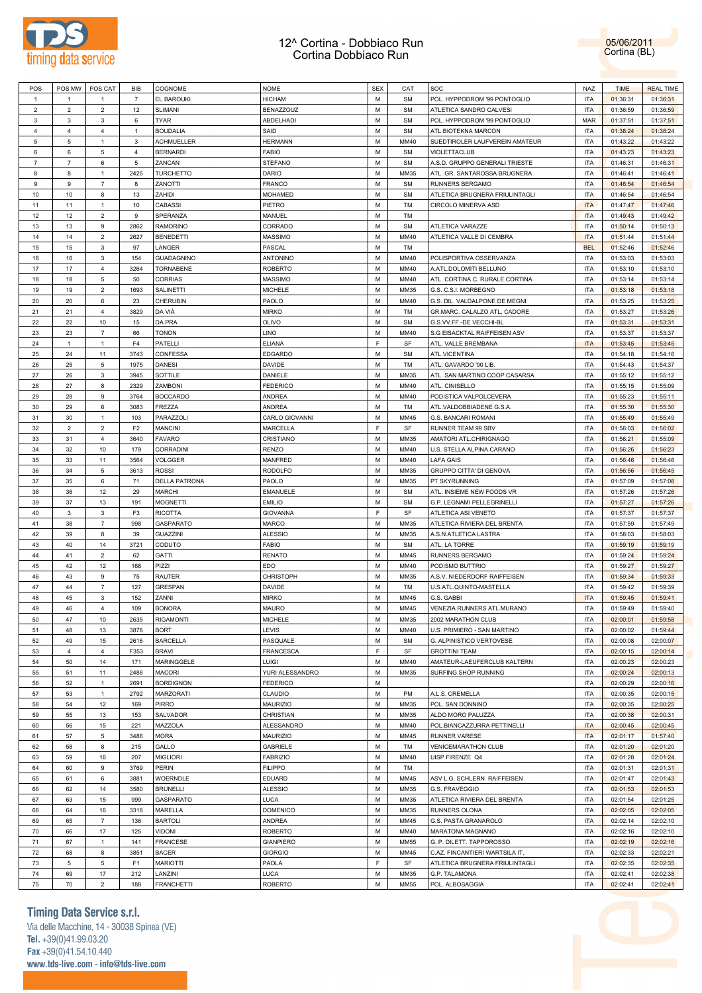



| POS            | POS MW         | POS CAT         | BIB            | COGNOME              | <b>NOME</b>      | <b>SEX</b> | CAT         | SOC                            | <b>NAZ</b> | <b>TIME</b> | <b>REAL TIME</b> |
|----------------|----------------|-----------------|----------------|----------------------|------------------|------------|-------------|--------------------------------|------------|-------------|------------------|
| $\overline{1}$ | $\mathbf{1}$   | -1              | $\overline{7}$ | EL BAROUKI           | <b>HICHAM</b>    | M          | <b>SM</b>   | POL. HYPPODROM '99 PONTOGLIO   | <b>ITA</b> | 01:36:31    | 01:36:31         |
| $\overline{2}$ | $\overline{2}$ | $\overline{2}$  | 12             | SLIMANI              | BENAZZOUZ        | М          | <b>SM</b>   | ATLETICA SANDRO CALVESI        | <b>ITA</b> | 01:36:59    | 01:36:59         |
| $\mathbf{3}$   | 3              | 3               | 6              | <b>TYAR</b>          | ABDELHADI        | M          | <b>SM</b>   | POL. HYPPODROM '99 PONTOGLIO   | <b>MAR</b> | 01:37:51    | 01:37:51         |
| $\overline{4}$ | $\overline{4}$ | $\overline{4}$  | $\overline{1}$ | <b>BOUDALIA</b>      | SAID             | M          | <b>SM</b>   | ATL.BIOTEKNA MARCON            | ITA        | 01:38:24    |                  |
|                |                |                 |                |                      |                  |            |             |                                |            |             | 01:38:24         |
| $\overline{5}$ | 5              | $\overline{1}$  | 3              | <b>ACHMUELLER</b>    | <b>HERMANN</b>   | M          | MM40        | SUEDTIROLER LAUFVEREIN AMATEUR | <b>ITA</b> | 01:43:22    | 01:43:22         |
| 6              | 6              | $\overline{5}$  | $\overline{4}$ | <b>BERNARDI</b>      | <b>FABIO</b>     | М          | <b>SM</b>   | VIOLETTACLUB                   | <b>ITA</b> | 01:43:23    | 01:43:23         |
| $\overline{7}$ | $\overline{7}$ | 6               | $\overline{5}$ | ZANCAN               | <b>STEFANO</b>   | M          | <b>SM</b>   | A.S.D. GRUPPO GENERALI TRIESTE | <b>ITA</b> | 01:46:31    | 01:46:31         |
| 8              | 8              | $\overline{1}$  | 2425           | <b>TURCHETTO</b>     | DARIO            | M          | MM35        | ATL. GR. SANTAROSSA BRUGNERA   | <b>ITA</b> | 01:46:41    | 01:46:41         |
| $\mathsf g$    | 9              | $\overline{7}$  | 8              | ZANOTTI              | <b>FRANCO</b>    | M          | <b>SM</b>   | RUNNERS BERGAMO                | <b>ITA</b> | 01:46:54    | 01:46:54         |
| 10             | 10             | 8               | 13             | ZAHIDI               | <b>MOHAMED</b>   | M          | <b>SM</b>   | ATLETICA BRUGNERA FRIULINTAGLI | <b>ITA</b> | 01:46:54    | 01:46:54         |
| 11             | 11             | $\overline{1}$  | 10             | CABASSI              | PIETRO           | M          | TM          | CIRCOLO MINERVA ASD            | <b>ITA</b> | 01:47:47    | 01:47:46         |
| 12             | 12             | $\overline{2}$  | 9              | SPERANZA             | MANUEL           | M          | TM          |                                | <b>ITA</b> | 01:49:43    | 01:49:42         |
|                |                |                 |                |                      |                  | M          |             |                                |            |             |                  |
| 13             | 13             | 9               | 2862           | <b>RAMORINO</b>      | CORRADO          |            | <b>SM</b>   | ATLETICA VARAZZE               | <b>ITA</b> | 01:50:14    | 01:50:13         |
| 14             | 14             | $\overline{2}$  | 2627           | <b>BENEDETTI</b>     | <b>MASSIMO</b>   | M          | MM40        | ATLETICA VALLE DI CEMBRA       | <b>ITA</b> | 01:51:44    | 01:51:44         |
| 15             | 15             | 3               | 97             | LANGER               | PASCAL           | M          | TM          |                                | <b>BEL</b> | 01:52:46    | 01:52:46         |
| 16             | 16             | $\mathbf{3}$    | 154            | <b>GUADAGNINO</b>    | ANTONINO         | M          | MM40        | POLISPORTIVA OSSERVANZA        | <b>ITA</b> | 01:53:03    | 01:53:03         |
| 17             | 17             | $\overline{4}$  | 3264           | <b>TORNABENE</b>     | <b>ROBERTO</b>   | M          | MM40        | A.ATL.DOLOMITI BELLUNO         | <b>ITA</b> | 01:53:10    | 01:53:10         |
| 18             | 18             | $5\phantom{.0}$ | 50             | <b>CORRIAS</b>       | <b>MASSIMO</b>   | M          | MM40        | ATL. CORTINA C. RURALE CORTINA | <b>ITA</b> | 01:53:14    | 01:53:14         |
| 19             | 19             | $\overline{2}$  | 1693           | SALINETTI            | <b>MICHELE</b>   | M          | MM35        | G.S. C.S.I. MORBEGNO           | <b>ITA</b> | 01:53:18    | 01:53:18         |
| 20             | 20             | 6               | 23             | CHERUBIN             | PAOLO            | M          | MM40        | G.S. DIL. VALDALPONE DE MEGNI  | <b>ITA</b> | 01:53:25    | 01:53:25         |
|                |                |                 |                |                      |                  | M          |             |                                |            |             |                  |
| 21             | 21             | $\overline{4}$  | 3829           | DA VIÀ               | <b>MIRKO</b>     |            | TM          | GR.MARC. CALALZO ATL. CADORE   | <b>ITA</b> | 01:53:27    | 01:53:26         |
| 22             | 22             | 10              | 15             | DA PRA               | <b>OLIVO</b>     | M          | <b>SM</b>   | G.S.VV.FF.-DE VECCHI-BL        | <b>ITA</b> | 01:53:31    | 01:53:31         |
| 23             | 23             | $\overline{7}$  | 66             | <b>TONON</b>         | LINO             | M          | MM40        | S.G EISACKTAL RAIFFEISEN ASV   | <b>ITA</b> | 01:53:37    | 01:53:37         |
| 24             | $\mathbf{1}$   | $\overline{1}$  | F <sub>4</sub> | PATELLI              | <b>ELIANA</b>    | F          | SF          | ATL. VALLE BREMBANA            | <b>ITA</b> | 01:53:45    | 01:53:45         |
| 25             | 24             | 11              | 3743           | CONFESSA             | <b>EDGARDO</b>   | M          | <b>SM</b>   | ATL.VICENTINA                  | <b>ITA</b> | 01:54:18    | 01:54:16         |
| 26             | 25             | $\,$ 5 $\,$     | 1975           | <b>DANESI</b>        | DAVIDE           | M          | TM          | ATL. GAVARDO '90 LIB.          | <b>ITA</b> | 01:54:43    | 01:54:37         |
| 27             | 26             | 3               | 3945           | SOTTILE              | DANIELE          | M          | MM35        | ATL. SAN MARTINO COOP CASARSA  | <b>ITA</b> | 01:55:12    | 01:55:12         |
| 28             | 27             | 8               | 2329           | ZAMBONI              | <b>FEDERICO</b>  | M          | MM40        | ATL. CINISELLO                 | <b>ITA</b> | 01:55:15    | 01:55:09         |
| 29             | 28             | 9               | 3764           | <b>BOCCARDO</b>      | <b>ANDREA</b>    | M          | MM40        |                                | <b>ITA</b> |             |                  |
|                |                |                 |                |                      |                  |            |             | PODISTICA VALPOLCEVERA         |            | 01:55:23    | 01:55:11         |
| 30             | 29             | 6               | 3083           | FREZZA               | ANDREA           | М          | TM          | ATL.VALDOBBIADENE G.S.A.       | <b>ITA</b> | 01:55:30    | 01:55:30         |
| 31             | 30             | $\overline{1}$  | 103            | PARAZZOLI            | CARLO GIOVANNI   | M          | MM45        | G.S. BANCARI ROMANI            | <b>ITA</b> | 01:55:49    | 01:55:49         |
| 32             | $\overline{2}$ | $\overline{2}$  | F <sub>2</sub> | <b>MANCINI</b>       | MARCELLA         | F          | SF          | RUNNER TEAM 99 SBV             | <b>ITA</b> | 01:56:03    | 01:56:02         |
| 33             | 31             | $\overline{4}$  | 3640           | <b>FAVARO</b>        | CRISTIANO        | M          | MM35        | AMATORI ATL.CHIRIGNAGO         | <b>ITA</b> | 01:56:21    | 01:55:09         |
| 34             | 32             | 10              | 179            | CORRADINI            | <b>RENZO</b>     | M          | MM40        | U.S. STELLA ALPINA CARANO      | <b>ITA</b> | 01:56:26    | 01:56:23         |
| 35             | 33             | 11              | 3564           | <b>VOLGGER</b>       | MANFRED          | M          | MM40        | LAFA GAIS                      | <b>ITA</b> | 01:56:46    | 01:56:46         |
| 36             | 34             | $\overline{5}$  | 3613           | <b>ROSSI</b>         | <b>RODOLFO</b>   | M          | MM35        | GRUPPO CITTA' DI GENOVA        | <b>ITA</b> | 01:56:56    | 01:56:45         |
| 37             | 35             | 6               | 71             | <b>DELLA PATRONA</b> | PAOLO            | M          | MM35        | PT SKYRUNNING                  | <b>ITA</b> | 01:57:09    | 01:57:08         |
| 38             | 36             | 12              | 29             | <b>MARCHI</b>        | <b>EMANUELE</b>  | M          | <b>SM</b>   | ATL. INSIEME NEW FOODS VR      | <b>ITA</b> | 01:57:26    | 01:57:26         |
|                |                |                 |                |                      |                  |            |             |                                |            |             |                  |
| 39             | 37             | 13              | 191            | <b>MOGNETTI</b>      | <b>EMILIO</b>    | M          | <b>SM</b>   | G.P. LEGNAMI PELLEGRINELLI     | <b>ITA</b> | 01:57:27    | 01:57:26         |
| 40             | $\mathbf{3}$   | $\mathbf{3}$    | F <sub>3</sub> | <b>RICOTTA</b>       | <b>GIOVANNA</b>  | F          | SF          | ATLETICA ASI VENETO            | <b>ITA</b> | 01:57:37    | 01:57:37         |
| 41             | 38             | $\overline{7}$  | 998            | GASPARATO            | <b>MARCO</b>     | M          | MM35        | ATLETICA RIVIERA DEL BRENTA    | <b>ITA</b> | 01:57:59    | 01:57:49         |
| 42             | 39             | 8               | 39             | <b>GUAZZINI</b>      | <b>ALESSIO</b>   | M          | MM35        | A.S.N.ATLETICA LASTRA          | <b>ITA</b> | 01:58:03    | 01:58:03         |
| 43             | 40             | 14              | 3721           | CODUTO               | <b>FABIO</b>     | M          | <b>SM</b>   | ATL. LA TORRE                  | <b>ITA</b> | 01:59:19    | 01:59:19         |
| 44             | 41             | $\overline{2}$  | 62             | <b>GATTI</b>         | <b>RENATO</b>    | M          | MM45        | RUNNERS BERGAMO                | <b>ITA</b> | 01:59:24    | 01:59:24         |
| 45             | 42             | 12              | 168            | PIZZI                | EDO              | M          | MM40        | PODISMO BUTTRIO                | <b>ITA</b> | 01:59:27    | 01:59:27         |
| 46             | 43             | 9               | 75             | <b>RAUTER</b>        | <b>CHRISTOPH</b> | M          | MM35        | A.S.V. NIEDERDORF RAIFFEISEN   | <b>ITA</b> | 01:59:34    | 01:59:33         |
| 47             | 44             | $\overline{7}$  | 127            | <b>GRESPAN</b>       | <b>DAVIDE</b>    | M          | TM          | U.S.ATL.QUINTO-MASTELLA        | <b>ITA</b> | 01:59:42    | 01:59:39         |
|                |                |                 |                |                      |                  |            |             |                                |            |             |                  |
| 48             | 45             | $\mathbf{3}$    | 152            | ZANNI                | <b>MIRKO</b>     | M          | MM45        | G.S. GABBI                     | <b>ITA</b> | 01:59:45    | 01:59:41         |
| 49             | 46             | $\overline{4}$  | 109            | <b>BONORA</b>        | <b>MAURO</b>     | M          | MM45        | VENEZIA RUNNERS ATL.MURANO     | <b>ITA</b> | 01:59:49    | 01:59:40         |
| 50             | 47             | 10              | 2635           | <b>RIGAMONTI</b>     | <b>MICHELE</b>   | M          | MM35        | 2002 MARATHON CLUB             | <b>ITA</b> | 02:00:01    | 01:59:58         |
| 51             | 48             | 13              | 3878           | <b>BORT</b>          | LEVIS            | M          | MM40        | U.S. PRIMIERO - SAN MARTINO    | <b>ITA</b> | 02:00:02    | 01:59:44         |
| 52             | 49             | 15              | 2616           | <b>BARCELLA</b>      | PASQUALE         | M          | <b>SM</b>   | G. ALPINISTICO VERTOVESE       | <b>ITA</b> | 02:00:08    | 02:00:07         |
| 53             | $\overline{4}$ | $\overline{4}$  | F353           | <b>BRAVI</b>         | <b>FRANCESCA</b> | F          | SF          | <b>GROTTINI TEAM</b>           | <b>ITA</b> | 02:00:15    | 02:00:14         |
| 54             | 50             | 14              | 171            | MARINGGELE           | LUIGI            | M          | MM40        | AMATEUR-LAEUFERCLUB KALTERN    | <b>ITA</b> | 02:00:23    | 02:00:23         |
| 55             | 51             | 11              | 2488           | <b>MACORI</b>        | YURI ALESSANDRO  | M          | MM35        | SURFING SHOP RUNNING           | <b>ITA</b> | 02:00:24    | 02:00:13         |
|                |                |                 |                |                      |                  | M          |             |                                |            |             |                  |
| 56             | 52             | $\mathbf{1}$    | 2691           | <b>BORDIGNON</b>     | <b>FEDERICO</b>  |            |             |                                | <b>ITA</b> | 02:00:29    | 02:00:16         |
| 57             | 53             | $\mathbf{1}$    | 2792           | MARZORATI            | CLAUDIO          | М          | PM          | A.L.S. CREMELLA                | <b>ITA</b> | 02:00:35    | 02:00:15         |
| 58             | 54             | 12              | 169            | <b>PIRRO</b>         | <b>MAURIZIO</b>  | M          | MM35        | POL. SAN DONNINO               | <b>ITA</b> | 02:00:35    | 02:00:25         |
| 59             | 55             | 13              | 153            | SALVADOR             | CHRISTIAN        | M          | MM35        | ALDO MORO PALUZZA              | <b>ITA</b> | 02:00:38    | 02:00:31         |
| 60             | 56             | 15              | 221            | MAZZOLA              | ALESSANDRO       | M          | MM40        | POL.BIANCAZZURRA PETTINELLI    | <b>ITA</b> | 02:00:45    | 02:00:45         |
| 61             | 57             | 5               | 3486           | <b>MORA</b>          | <b>MAURIZIO</b>  | M          | MM45        | RUNNER VARESE                  | <b>ITA</b> | 02:01:17    | 01:57:40         |
| 62             | 58             | 8               | 215            | GALLO                | GABRIELE         | M          | TM          | <b>VENICEMARATHON CLUB</b>     | <b>ITA</b> | 02:01:20    | 02:01:20         |
| 63             | 59             | 16              | 207            | <b>MIGLIORI</b>      | <b>FABRIZIO</b>  | M          | MM40        | UISP FIRENZE Q4                | <b>ITA</b> | 02:01:28    | 02:01:24         |
|                |                |                 |                |                      |                  |            |             |                                |            |             |                  |
| 64             | 60             | 9               | 3769           | PERIN                | <b>FILIPPO</b>   | M          | TM          |                                | <b>ITA</b> | 02:01:31    | 02:01:31         |
| 65             | 61             | 6               | 3881           | WOERNDLE             | EDUARD           | M          | MM45        | ASV L.G. SCHLERN RAIFFEISEN    | <b>ITA</b> | 02:01:47    | 02:01:43         |
| 66             | 62             | 14              | 3580           | <b>BRUNELLI</b>      | <b>ALESSIO</b>   | M          | MM35        | G.S. FRAVEGGIO                 | <b>ITA</b> | 02:01:53    | 02:01:53         |
| 67             | 63             | 15              | 999            | GASPARATO            | LUCA             | M          | MM35        | ATLETICA RIVIERA DEL BRENTA    | <b>ITA</b> | 02:01:54    | 02:01:25         |
| 68             | 64             | 16              | 3318           | MARELLA              | <b>DOMENICO</b>  | M          | MM35        | RUNNERS OLONA                  | <b>ITA</b> | 02:02:05    | 02:02:05         |
| 69             | 65             | $\overline{7}$  | 136            | <b>BARTOLI</b>       | ANDREA           | M          | MM45        | G.S. PASTA GRANAROLO           | <b>ITA</b> | 02:02:14    | 02:02:10         |
| 70             | 66             | 17              | 125            | <b>VIDONI</b>        | <b>ROBERTO</b>   | M          | MM40        | MARATONA MAGNANO               | <b>ITA</b> | 02:02:16    | 02:02:10         |
| 71             |                |                 |                | <b>FRANCESE</b>      |                  | M          |             |                                | <b>ITA</b> | 02:02:19    |                  |
|                | 67             | $\mathbf{1}$    | 141            |                      | <b>GIANPIERO</b> |            | <b>MM55</b> | G. P. DILETT. TAPPOROSSO       |            |             | 02:02:16         |
| 72             | 68             | 8               | 3851           | <b>BACER</b>         | <b>GIORGIO</b>   | M          | MM45        | C.AZ. FINCANTIERI WARTSILA IT. | <b>ITA</b> | 02:02:33    | 02:02:21         |
| 73             | 5              | $\overline{5}$  | F <sub>1</sub> | <b>MARIOTTI</b>      | PAOLA            | F          | SF          | ATLETICA BRUGNERA FRIULINTAGLI | <b>ITA</b> | 02:02:35    | 02:02:35         |
|                | 69             | 17              | 212            | LANZINI              | LUCA             | M          | MM35        | G.P. TALAMONA                  | <b>ITA</b> | 02:02:41    | 02:02:38         |
| 74             |                |                 |                |                      |                  |            |             |                                |            |             |                  |

# **Timing Data Service s.r.l.**

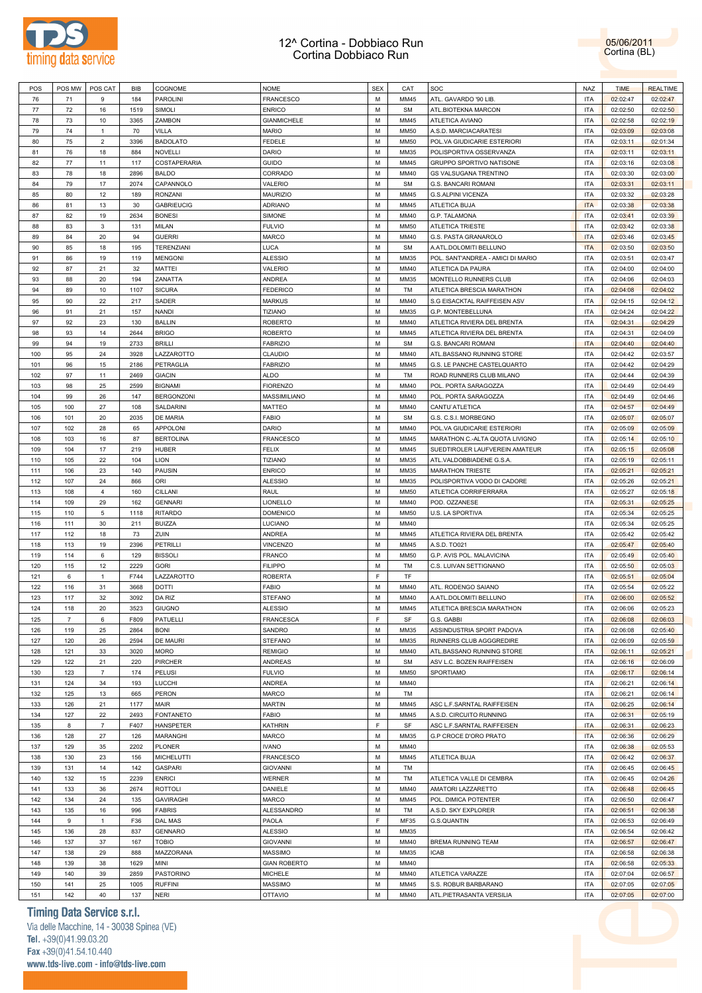



| POS | POS MW         | POS CAT        | BIB  | COGNOME           | <b>NOME</b>         | <b>SEX</b> | CAT         | SOC                               | <b>NAZ</b> | <b>TIME</b> | <b>REALTIME</b> |
|-----|----------------|----------------|------|-------------------|---------------------|------------|-------------|-----------------------------------|------------|-------------|-----------------|
| 76  | 71             | 9              | 184  | <b>PAROLINI</b>   | <b>FRANCESCO</b>    | М          | MM45        | ATL. GAVARDO '90 LIB              | <b>ITA</b> | 02:02:47    | 02:02:47        |
| 77  | 72             | 16             | 1519 | SIMOLI            | <b>ENRICO</b>       | М          | <b>SM</b>   | ATL.BIOTEKNA MARCON               | <b>ITA</b> | 02:02:50    | 02:02:50        |
|     |                |                |      |                   |                     | М          |             |                                   |            |             |                 |
| 78  | 73             | 10             | 3365 | ZAMBON            | <b>GIANMICHELE</b>  |            | MM45        | ATLETICA AVIANO                   | <b>ITA</b> | 02:02:58    | 02:02:19        |
| 79  | 74             | $\mathbf{1}$   | 70   | VILLA             | <b>MARIO</b>        | М          | MM50        | A.S.D. MARCIACARATESI             | <b>ITA</b> | 02:03:09    | 02:03:08        |
| 80  | 75             | $\overline{2}$ | 3396 | <b>BADOLATO</b>   | FEDELE              | М          | <b>MM50</b> | POL.VA GIUDICARIE ESTERIORI       | <b>ITA</b> | 02:03:11    | 02:01:34        |
| 81  | 76             | 18             | 884  | <b>NOVELLI</b>    | DARIO               | М          | MM35        | POLISPORTIVA OSSERVANZA           | <b>ITA</b> | 02:03:11    | 02:03:11        |
| 82  | 77             | 11             | 117  | COSTAPERARIA      | GUIDO               | М          | MM45        | GRUPPO SPORTIVO NATISONE          | <b>ITA</b> | 02:03:16    | 02:03:08        |
| 83  | 78             | 18             | 2896 | <b>BALDO</b>      | CORRADO             | М          | MM40        | <b>GS VALSUGANA TRENTINO</b>      | <b>ITA</b> | 02:03:30    | 02:03:00        |
| 84  | 79             | 17             | 2074 | CAPANNOLO         | VALERIO             | М          | <b>SM</b>   | G.S. BANCARI ROMANI               | <b>ITA</b> | 02:03:31    | 02:03:11        |
| 85  | 80             | 12             | 189  | <b>RONZANI</b>    | <b>MAURIZIO</b>     | М          | MM45        | G.S.ALPINI VICENZA                | <b>ITA</b> | 02:03:32    | 02:03:28        |
| 86  | 81             | 13             | 30   | <b>GABRIEUCIG</b> | <b>ADRIANO</b>      | М          | MM45        | ATLETICA BUJA                     | <b>ITA</b> | 02:03:38    | 02:03:38        |
| 87  | 82             | 19             | 2634 | <b>BONESI</b>     | SIMONE              | М          | MM40        | G.P. TALAMONA                     | ITA        | 02:03:41    | 02:03:39        |
|     |                |                |      |                   |                     |            |             | <b>ATLETICA TRIESTE</b>           |            |             |                 |
| 88  | 83             | 3              | 131  | MILAN             | <b>FULVIO</b>       | М          | MM50        |                                   | <b>ITA</b> | 02:03:42    | 02:03:38        |
| 89  | 84             | 20             | 94   | <b>GUERRI</b>     | <b>MARCO</b>        | М          | MM40        | G.S. PASTA GRANAROLO              | <b>ITA</b> | 02:03:46    | 02:03:45        |
| 90  | 85             | 18             | 195  | TERENZIANI        | <b>LUCA</b>         | М          | <b>SM</b>   | A.ATL.DOLOMITI BELLUNO            | <b>ITA</b> | 02:03:50    | 02:03:50        |
| 91  | 86             | 19             | 119  | <b>MENGONI</b>    | <b>ALESSIO</b>      | М          | MM35        | POL. SANT'ANDREA - AMICI DI MARIO | <b>ITA</b> | 02:03:51    | 02:03:47        |
| 92  | 87             | 21             | 32   | MATTEI            | VALERIO             | М          | MM40        | ATLETICA DA PAURA                 | <b>ITA</b> | 02:04:00    | 02:04:00        |
| 93  | 88             | 20             | 194  | ZANATTA           | ANDREA              | М          | MM35        | MONTELLO RUNNERS CLUB             | <b>ITA</b> | 02:04:06    | 02:04:03        |
| 94  | 89             | 10             | 1107 | <b>SICURA</b>     | <b>FEDERICO</b>     | М          | TM          | ATLETICA BRESCIA MARATHON         | <b>ITA</b> | 02:04:08    | 02:04:02        |
| 95  | 90             | 22             | 217  | SADER             | <b>MARKUS</b>       | М          | MM40        | S.G EISACKTAL RAIFFEISEN ASV      | <b>ITA</b> | 02:04:15    | 02:04:12        |
| 96  | 91             | 21             | 157  | NANDI             | <b>TIZIANO</b>      | М          | MM35        | G.P. MONTEBELLUNA                 | <b>ITA</b> | 02:04:24    | 02:04:22        |
| 97  | 92             | 23             | 130  | <b>BALLIN</b>     | <b>ROBERTO</b>      | М          | MM40        | ATLETICA RIVIERA DEL BRENTA       | <b>ITA</b> | 02:04:31    | 02:04:29        |
| 98  | 93             | 14             | 2644 | <b>BRIGO</b>      | <b>ROBERTO</b>      | М          | MM45        | ATLETICA RIVIERA DEL BRENTA       | <b>ITA</b> | 02:04:31    | 02:04:09        |
| 99  | 94             | 19             | 2733 | <b>BRILLI</b>     | <b>FABRIZIO</b>     | М          | <b>SM</b>   | G.S. BANCARI ROMANI               | <b>ITA</b> | 02:04:40    | 02:04:40        |
| 100 | 95             | 24             | 3928 | LAZZAROTTO        | CLAUDIO             | М          | MM40        | ATL.BASSANO RUNNING STORE         | <b>ITA</b> | 02:04:42    | 02:03:57        |
| 101 | 96             | 15             | 2186 | PETRAGLIA         | <b>FABRIZIO</b>     | М          | MM45        | G.S. LE PANCHE CASTELQUARTO       | <b>ITA</b> | 02:04:42    | 02:04:29        |
|     |                |                |      |                   |                     |            |             |                                   |            |             |                 |
| 102 | 97             | 11             | 2469 | <b>GIACIN</b>     | <b>ALDO</b>         | М          | TM          | ROAD RUNNERS CLUB MILANO          | <b>ITA</b> | 02:04:44    | 02:04:39        |
| 103 | 98             | 25             | 2599 | <b>BIGNAMI</b>    | <b>FIORENZO</b>     | М          | MM40        | POL. PORTA SARAGOZZA              | <b>ITA</b> | 02:04:49    | 02:04:49        |
| 104 | 99             | 26             | 147  | <b>BERGONZONI</b> | MASSIMILIANO        | М          | MM40        | POL. PORTA SARAGOZZA              | <b>ITA</b> | 02:04:49    | 02:04:46        |
| 105 | 100            | 27             | 108  | SALDARINI         | <b>MATTEO</b>       | М          | MM40        | CANTU'ATLETICA                    | <b>ITA</b> | 02:04:57    | 02:04:49        |
| 106 | 101            | 20             | 2035 | DE MARIA          | <b>FABIO</b>        | М          | <b>SM</b>   | G.S. C.S.I. MORBEGNO              | <b>ITA</b> | 02:05:07    | 02:05:07        |
| 107 | 102            | 28             | 65   | APPOLONI          | DARIO               | М          | MM40        | POL.VA GIUDICARIE ESTERIORI       | <b>ITA</b> | 02:05:09    | 02:05:09        |
| 108 | 103            | 16             | 87   | <b>BERTOLINA</b>  | <b>FRANCESCO</b>    | М          | MM45        | MARATHON C .- ALTA QUOTA LIVIGNO  | <b>ITA</b> | 02:05:14    | 02:05:10        |
| 109 | 104            | 17             | 219  | <b>HUBER</b>      | <b>FELIX</b>        | М          | MM45        | SUEDTIROLER LAUFVEREIN AMATEUR    | <b>ITA</b> | 02:05:15    | 02:05:08        |
| 110 | 105            | 22             | 104  | LION              | <b>TIZIANO</b>      | М          | MM35        | ATL.VALDOBBIADENE G.S.A.          | <b>ITA</b> | 02:05:19    | 02:05:11        |
| 111 | 106            | 23             | 140  | <b>PAUSIN</b>     | <b>ENRICO</b>       | М          | MM35        | <b>MARATHON TRIESTE</b>           | <b>ITA</b> | 02:05:21    | 02:05:21        |
| 112 | 107            | 24             | 866  | ORI               | <b>ALESSIO</b>      | М          | MM35        | POLISPORTIVA VODO DI CADORE       | <b>ITA</b> | 02:05:26    | 02:05:21        |
| 113 | 108            | $\overline{4}$ | 160  | CILLANI           | RAUL                | М          | MM50        | ATLETICA CORRIFERRARA             | <b>ITA</b> | 02:05:27    | 02:05:18        |
|     |                |                |      |                   |                     | М          |             |                                   |            |             |                 |
| 114 | 109            | 29             | 162  | <b>GENNARI</b>    | LIONELLO            |            | MM40        | POD. OZZANESE                     | <b>ITA</b> | 02:05:31    | 02:05:25        |
| 115 | 110            | 5              | 1118 | <b>RITARDO</b>    | <b>DOMENICO</b>     | М          | MM50        | U.S. LA SPORTIVA                  | <b>ITA</b> | 02:05:34    | 02:05:25        |
| 116 | 111            | 30             | 211  | <b>BUIZZA</b>     | LUCIANO             | М          | MM40        |                                   | <b>ITA</b> | 02:05:34    | 02:05:25        |
| 117 | 112            | 18             | 73   | ZUIN              | <b>ANDREA</b>       | М          | MM45        | ATLETICA RIVIERA DEL BRENTA       | <b>ITA</b> | 02:05:42    | 02:05:42        |
| 118 | 113            | 19             | 2396 | <b>PETRILLI</b>   | VINCENZO            | М          | MM45        | A.S.D. TO021                      | <b>ITA</b> | 02:05:47    | 02:05:40        |
| 119 | 114            | 6              | 129  | <b>BISSOLI</b>    | <b>FRANCO</b>       | М          | <b>MM50</b> | G.P. AVIS POL. MALAVICINA         | <b>ITA</b> | 02:05:49    | 02:05:40        |
| 120 | 115            | 12             | 2229 | <b>GORI</b>       | <b>FILIPPO</b>      | М          | TM          | C.S. LUIVAN SETTIGNANO            | <b>ITA</b> | 02:05:50    | 02:05:03        |
| 121 | 6              | $\mathbf{1}$   | F744 | LAZZAROTTO        | <b>ROBERTA</b>      | E          | TF          |                                   | <b>ITA</b> | 02:05:51    | 02:05:04        |
| 122 | 116            | 31             | 3668 | <b>DOTTI</b>      | <b>FABIO</b>        | М          | MM40        | ATL. RODENGO SAIANO               | <b>ITA</b> | 02:05:54    | 02:05:22        |
| 123 | 117            | 32             | 3092 | DA RIZ            | <b>STEFANO</b>      | М          | MM40        | A.ATL.DOLOMITI BELLUNO            | <b>ITA</b> | 02:06:00    | 02:05:52        |
| 124 | 118            | 20             | 3523 | <b>GIUGNO</b>     | <b>ALESSIO</b>      | M          | MM45        | ATLETICA BRESCIA MARATHON         | <b>ITA</b> | 02:06:06    | 02:05:23        |
| 125 | $\overline{7}$ | 6              | F809 | PATUELLI          | <b>FRANCESCA</b>    | F          | SF          | G.S. GABBI                        | <b>ITA</b> | 02:06:08    | 02:06:03        |
| 126 | 119            | 25             | 2864 | <b>BONI</b>       | SANDRO              | M          | MM35        | ASSINDUSTRIA SPORT PADOVA         | <b>ITA</b> | 02:06:08    | 02:05:40        |
| 127 | 120            | 26             | 2594 | DE MAURI          | <b>STEFANO</b>      | M          | MM35        | RUNNERS CLUB AGGGREDIRE           | <b>ITA</b> | 02:06:09    | 02:05:59        |
|     |                | 33             |      | <b>MORO</b>       |                     | М          |             | ATL.BASSANO RUNNING STORE         | <b>ITA</b> |             |                 |
| 128 | 121            |                | 3020 |                   | <b>REMIGIO</b>      |            | MM40        |                                   |            | 02:06:11    | 02:05:21        |
| 129 | 122            | 21             | 220  | PIRCHER           | <b>ANDREAS</b>      | M          | <b>SM</b>   | ASV L.C. BOZEN RAIFFEISEN         | <b>ITA</b> | 02:06:16    | 02:06:09        |
| 130 | 123            | $\overline{7}$ | 174  | PELUSI            | <b>FULVIO</b>       | M          | MM50        | SPORTIAMO                         | <b>ITA</b> | 02:06:17    | 02:06:14        |
| 131 | 124            | 34             | 193  | LUCCHI            | ANDREA              | M          | MM40        |                                   | <b>ITA</b> | 02:06:21    | 02:06:14        |
| 132 | 125            | 13             | 665  | PERON             | <b>MARCO</b>        | M          | TM          |                                   | <b>ITA</b> | 02:06:21    | 02:06:14        |
| 133 | 126            | 21             | 1177 | MAIR              | <b>MARTIN</b>       | M          | MM45        | ASC L.F.SARNTAL RAIFFEISEN        | <b>ITA</b> | 02:06:25    | 02:06:14        |
| 134 | 127            | 22             | 2493 | <b>FONTANETO</b>  | <b>FABIO</b>        | M          | MM45        | A.S.D. CIRCUITO RUNNING           | <b>ITA</b> | 02:06:31    | 02:05:19        |
| 135 | 8              | $\overline{7}$ | F407 | <b>HANSPETER</b>  | <b>KATHRIN</b>      | F          | SF          | ASC L.F.SARNTAL RAIFFEISEN        | <b>ITA</b> | 02:06:31    | 02:06:23        |
| 136 | 128            | 27             | 126  | MARANGHI          | MARCO               | M          | MM35        | G.P CROCE D'ORO PRATO             | <b>ITA</b> | 02:06:36    | 02:06:29        |
| 137 | 129            | 35             | 2202 | <b>PLONER</b>     | <b>IVANO</b>        | M          | MM40        |                                   | <b>ITA</b> | 02:06:38    | 02:05:53        |
| 138 | 130            | 23             | 156  | <b>MICHELUTTI</b> | <b>FRANCESCO</b>    | M          | MM45        | ATLETICA BUJA                     | <b>ITA</b> | 02:06:42    | 02:06:37        |
| 139 | 131            | 14             | 142  | <b>GASPARI</b>    | <b>GIOVANNI</b>     | M          | TM          |                                   | <b>ITA</b> | 02:06:45    | 02:06:45        |
| 140 | 132            | 15             | 2239 | <b>ENRICI</b>     | WERNER              | M          | TM          | ATLETICA VALLE DI CEMBRA          | <b>ITA</b> | 02:06:45    | 02:04:26        |
| 141 | 133            | 36             | 2674 | <b>ROTTOLI</b>    | DANIELE             | M          | MM40        | AMATORI LAZZARETTO                | <b>ITA</b> | 02:06:48    | 02:06:45        |
| 142 |                |                |      |                   |                     | M          |             |                                   | <b>ITA</b> |             |                 |
|     | 134            | 24             | 135  | <b>GAVIRAGHI</b>  | MARCO               |            | MM45        | POL. DIMICA POTENTER              |            | 02:06:50    | 02:06:47        |
| 143 | 135            | 16             | 996  | <b>FABRIS</b>     | ALESSANDRO          | M          | TM          | A.S.D. SKY EXPLORER               | <b>ITA</b> | 02:06:51    | 02:06:38        |
| 144 | 9              | $\mathbf{1}$   | F36  | <b>DAL MAS</b>    | PAOLA               | F          | MF35        | G.S.QUANTIN                       | <b>ITA</b> | 02:06:53    | 02:06:49        |
| 145 | 136            | 28             | 837  | <b>GENNARO</b>    | <b>ALESSIO</b>      | M          | MM35        |                                   | <b>ITA</b> | 02:06:54    | 02:06:42        |
| 146 | 137            | 37             | 167  | <b>TOBIO</b>      | <b>GIOVANNI</b>     | M          | MM40        | BREMA RUNNING TEAM                | <b>ITA</b> | 02:06:57    | 02:06:47        |
| 147 | 138            | 29             | 888  | MAZZORANA         | <b>MASSIMO</b>      | M          | MM35        | <b>ICAB</b>                       | <b>ITA</b> | 02:06:58    | 02:06:38        |
| 148 | 139            | 38             | 1629 | MINI              | <b>GIAN ROBERTO</b> | M          | MM40        |                                   | <b>ITA</b> | 02:06:58    | 02:05:33        |
| 149 | 140            | 39             | 2859 | PASTORINO         | <b>MICHELE</b>      | M          | MM40        | ATLETICA VARAZZE                  | <b>ITA</b> | 02:07:04    | 02:06:57        |
| 150 | 141            | 25             | 1005 | <b>RUFFINI</b>    | <b>MASSIMO</b>      | M          | MM45        | S.S. ROBUR BARBARANO              | <b>ITA</b> | 02:07:05    | 02:07:05        |
| 151 | 142            | 40             | 137  | <b>NERI</b>       | OTTAVIO             | М          | MM40        | ATL.PIETRASANTA VERSILIA          | <b>ITA</b> | 02:07:05    | 02:07:00        |

### **Timing Data Service s.r.l.**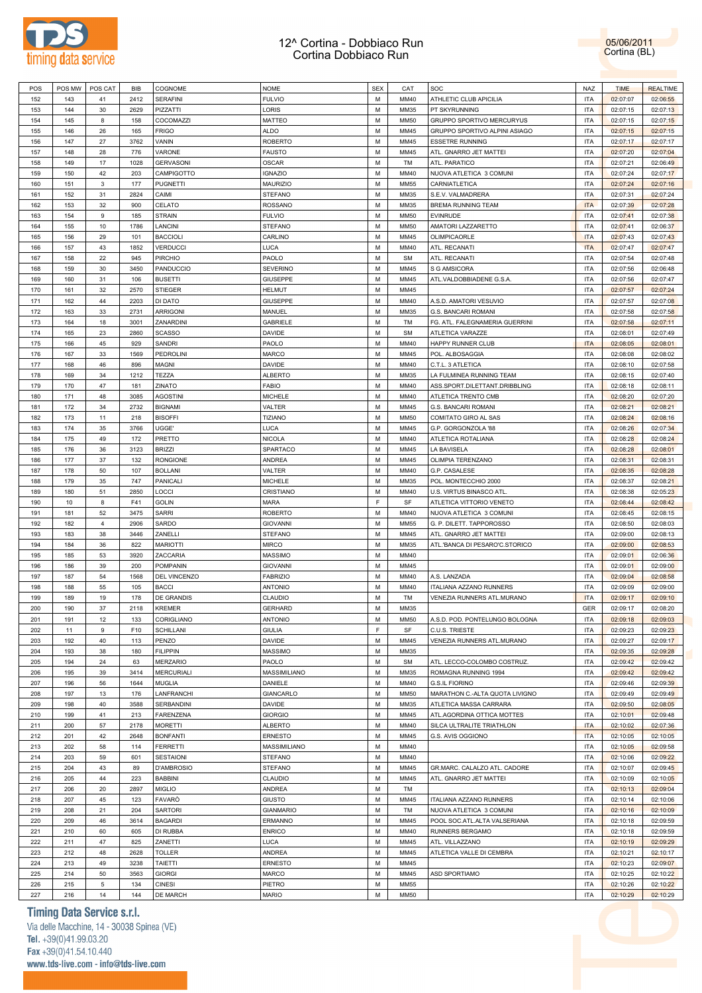



| M<br>152<br>143<br>2412<br><b>SERAFINI</b><br><b>FULVIO</b><br>MM40<br>ATHLETIC CLUB APICILIA<br><b>ITA</b><br>02:07:07<br>02:06:55<br>41<br>153<br>144<br>30<br>2629<br>PIZZATTI<br>LORIS<br>M<br>MM35<br>PT SKYRUNNING<br><b>ITA</b><br>02:07:15<br>02:07:13<br>M<br>154<br>145<br>8<br>158<br>COCOMAZZI<br>MATTEO<br><b>MM50</b><br>GRUPPO SPORTIVO MERCURYUS<br><b>ITA</b><br>02:07:15<br>02:07:15<br>M<br>155<br>146<br>26<br>165<br><b>FRIGO</b><br>ALDO<br>MM45<br>GRUPPO SPORTIVO ALPINI ASIAGO<br><b>ITA</b><br>02:07:15<br>02:07:15<br>27<br>M<br>156<br>147<br>3762<br>VANIN<br><b>ROBERTO</b><br>MM45<br><b>ESSETRE RUNNING</b><br><b>ITA</b><br>02:07:17<br>02:07:17<br>776<br>M<br><b>ITA</b><br>157<br>148<br>28<br>VARONE<br><b>FAUSTO</b><br>MM45<br>ATL. GNARRO JET MATTEI<br>02:07:20<br>02:07:04<br>M<br>158<br>149<br>17<br>1028<br><b>GERVASONI</b><br><b>OSCAR</b><br>TM<br>ATL. PARATICO<br><b>ITA</b><br>02:07:21<br>02:06:49<br>M<br>159<br>150<br>42<br>203<br>CAMPIGOTTO<br><b>IGNAZIO</b><br>MM40<br>NUOVA ATLETICA 3 COMUNI<br><b>ITA</b><br>02:07:24<br>02:07:17<br>3<br>M<br>160<br>151<br>177<br><b>PUGNETTI</b><br><b>MAURIZIO</b><br><b>MM55</b><br>CARNIATLETICA<br><b>ITA</b><br>02:07:24<br>02:07:16<br>M<br>161<br>152<br>31<br>2824<br>CAIMI<br><b>STEFANO</b><br>MM35<br>S.E.V. VALMADRERA<br><b>ITA</b><br>02:07:31<br>02:07:24<br>M<br>162<br>153<br>32<br>900<br>CELATO<br><b>ROSSANO</b><br>MM35<br><b>BREMA RUNNING TEAM</b><br><b>ITA</b><br>02:07:39<br>02:07:28<br>M<br>163<br>154<br>9<br>185<br><b>STRAIN</b><br><b>FULVIO</b><br><b>MM50</b><br><b>EVINRUDE</b><br><b>ITA</b><br>02:07:41<br>02:07:38<br>M<br>164<br>155<br>10<br>1786<br>LANCINI<br><b>STEFANO</b><br><b>MM50</b><br>AMATORI LAZZARETTO<br><b>ITA</b><br>02:07:41<br>02:06:37<br>M<br>165<br>156<br>29<br>101<br><b>BACCIOLI</b><br>CARLINO<br>MM45<br>OLIMPICAORLE<br><b>ITA</b><br>02:07:43<br>02:07:43<br>M<br>166<br>157<br>43<br>1852<br><b>VERDUCCI</b><br>LUCA<br>MM40<br>ATL. RECANATI<br><b>ITA</b><br>02:07:47<br>02:07:47<br>M<br>167<br>158<br>22<br>945<br>PIRCHIO<br>PAOLO<br><b>SM</b><br>ATL. RECANATI<br><b>ITA</b><br>02:07:54<br>02:07:48<br>M<br>168<br>159<br>30<br>3450<br>PANDUCCIO<br><b>SEVERINO</b><br>MM45<br>S G AMSICORA<br><b>ITA</b><br>02:07:56<br>02:06:48<br>M<br><b>ITA</b><br>169<br>160<br>31<br>106<br><b>BUSETTI</b><br><b>GIUSEPPE</b><br>MM45<br>ATL.VALDOBBIADENE G.S.A<br>02:07:56<br>02:07:47<br>32<br>2570<br>M<br>170<br>161<br><b>STIEGER</b><br><b>HELMUT</b><br>MM45<br><b>ITA</b><br>02:07:57<br>02:07:24<br>M<br>171<br>162<br>44<br>2203<br>DI DATO<br><b>GIUSEPPE</b><br>MM40<br>A.S.D. AMATORI VESUVIO<br><b>ITA</b><br>02:07:57<br>02:07:08<br>M<br>172<br>163<br>33<br>2731<br><b>ARRIGONI</b><br>MANUEL<br>MM35<br><b>G.S. BANCARI ROMANI</b><br><b>ITA</b><br>02:07:58<br>02:07:58<br>M<br>173<br>164<br>18<br>3001<br>ZANARDINI<br><b>GABRIELE</b><br>TM<br>FG. ATL. FALEGNAMERIA GUERRINI<br><b>ITA</b><br>02:07:58<br>02:07:11<br>M<br>174<br>165<br>23<br>2860<br><b>SCASSO</b><br>DAVIDE<br><b>SM</b><br>ATLETICA VARAZZE<br><b>ITA</b><br>02:08:01<br>02:07:49<br>175<br>166<br>45<br>929<br><b>SANDRI</b><br>PAOLO<br>M<br>MM40<br>HAPPY RUNNER CLUB<br><b>ITA</b><br>02:08:05<br>02:08:01<br>M<br>176<br>167<br>33<br>1569<br>PEDROLINI<br>MARCO<br>MM45<br>POL. ALBOSAGGIA<br><b>ITA</b><br>02:08:08<br>02:08:02<br>M<br>177<br>168<br>46<br>896<br><b>MAGNI</b><br>DAVIDE<br>MM40<br>C.T.L. 3 ATLETICA<br><b>ITA</b><br>02:08:10<br>02:07:58<br>M<br>178<br>169<br>34<br>1212<br>TEZZA<br><b>ALBERTO</b><br>MM35<br>LA FULMINEA RUNNING TEAM<br><b>ITA</b><br>02:08:15<br>02:07:40<br>M<br>179<br>170<br>47<br>181<br>ZINATO<br><b>FABIO</b><br>MM40<br>ASS.SPORT.DILETTANT.DRIBBLING<br><b>ITA</b><br>02:08:18<br>02:08:11<br>M<br>180<br>171<br>48<br>3085<br><b>AGOSTINI</b><br><b>MICHELE</b><br>MM40<br>ATLETICA TRENTO CMB<br><b>ITA</b><br>02:08:20<br>02:07:20<br>M<br>181<br>172<br>34<br>2732<br><b>BIGNAMI</b><br>VALTER<br>MM45<br><b>G.S. BANCARI ROMANI</b><br><b>ITA</b><br>02:08:21<br>02:08:21<br>TIZIANO<br>M<br>182<br>173<br>11<br>218<br><b>BISOFFI</b><br><b>MM50</b><br>COMITATO GIRO AL SAS<br><b>ITA</b><br>02:08:24<br>02:08:16<br><b>LUCA</b><br>M<br>183<br>174<br>35<br>3766<br>UGGE'<br>MM45<br>G.P. GORGONZOLA '88<br><b>ITA</b><br>02:08:26<br>02:07:34<br>M<br>184<br>175<br>49<br>172<br>PRETTO<br><b>NICOLA</b><br>MM40<br>ATLETICA ROTALIANA<br><b>ITA</b><br>02:08:28<br>02:08:24<br>M<br>185<br>176<br>36<br>3123<br><b>BRIZZI</b><br>SPARTACO<br>MM45<br>LA BAVISELA<br><b>ITA</b><br>02:08:28<br>02:08:01<br>M<br>186<br>177<br>37<br>132<br><b>RONGIONE</b><br><b>ANDREA</b><br>MM45<br>OLIMPIA TERENZANO<br><b>ITA</b><br>02:08:31<br>02:08:31<br>M<br>187<br>178<br>50<br>107<br><b>BOLLANI</b><br>VALTER<br>MM40<br>G.P. CASALESE<br><b>ITA</b><br>02:08:35<br>02:08:28<br>747<br>M<br>188<br>179<br>35<br>PANICALI<br><b>MICHELE</b><br>MM35<br>POL. MONTECCHIO 2000<br><b>ITA</b><br>02:08:37<br>02:08:21<br>M<br>189<br>180<br>51<br>2850<br>LOCCI<br>CRISTIANO<br>MM40<br>U.S. VIRTUS BINASCO ATL<br><b>ITA</b><br>02:08:38<br>02:05:23<br>F<br>190<br>10<br>8<br>F41<br><b>GOLIN</b><br>MARA<br>SF<br>ATLETICA VITTORIO VENETO<br><b>ITA</b><br>02:08:44<br>02:08:42<br>M<br>191<br>181<br>52<br>3475<br><b>SARRI</b><br><b>ROBERTO</b><br>MM40<br>NUOVA ATLETICA 3 COMUNI<br><b>ITA</b><br>02:08:45<br>02:08:15<br>M<br>192<br>182<br>$\overline{4}$<br>2906<br>SARDO<br><b>GIOVANNI</b><br><b>MM55</b><br>G. P. DILETT. TAPPOROSSO<br><b>ITA</b><br>02:08:50<br>02:08:03<br>M<br>193<br>183<br>38<br>3446<br>ZANELLI<br><b>STEFANO</b><br>MM45<br>ATL. GNARRO JET MATTEI<br><b>ITA</b><br>02:09:00<br>02:08:13<br>M<br>194<br>184<br>36<br>822<br><b>MARIOTTI</b><br><b>MIRCO</b><br>MM35<br>ATL.'BANCA DI PESARO'C.STORICO<br><b>ITA</b><br>02:09:00<br>02:08:53<br>M<br>195<br>185<br>53<br>3920<br>ZACCARIA<br><b>MASSIMO</b><br>MM40<br><b>ITA</b><br>02:09:01<br>02:06:36<br>M<br>196<br>186<br>39<br>200<br><b>POMPANIN</b><br><b>GIOVANNI</b><br>MM45<br><b>ITA</b><br>02:09:01<br>02:09:00<br>197<br>187<br>54<br>1568<br>DEL VINCENZO<br><b>FABRIZIO</b><br>M<br>MM40<br>A.S. LANZADA<br><b>ITA</b><br>02:09:04<br>02:08:58<br>M<br>198<br>188<br>55<br>105<br><b>BACCI</b><br><b>ANTONIO</b><br>MM40<br><b>ITALIANA AZZANO RUNNERS</b><br><b>ITA</b><br>02:09:09<br>02:09:00<br>M<br>199<br>189<br>19<br>178<br>DE GRANDIS<br>CLAUDIO<br>TM<br>VENEZIA RUNNERS ATL.MURANO<br><b>ITA</b><br>02:09:17<br>02:09:10<br>M<br>200<br>190<br>37<br>2118<br><b>KREMER</b><br><b>GER</b><br><b>GERHARD</b><br>MM35<br>02:09:17<br>02:08:20<br>201<br>191<br>12<br>CORIGLIANO<br><b>ANTONIO</b><br>М<br><b>MM50</b><br>A.S.D. POD. PONTELUNGO BOLOGNA<br><b>ITA</b><br>02:09:18<br>02:09:03<br>133<br>F<br><b>ITA</b><br>202<br>11<br>9<br>F10<br><b>SCHILLANI</b><br><b>GIULIA</b><br>SF<br>C.U.S. TRIESTE<br>02:09:23<br>02:09:23<br>M<br><b>ITA</b><br>203<br>192<br>40<br>113<br><b>PENZO</b><br><b>DAVIDE</b><br>MM45<br>VENEZIA RUNNERS ATL.MURANO<br>02:09:27<br>02:09:17<br>M<br>204<br>193<br>38<br>180<br><b>FILIPPIN</b><br><b>MASSIMO</b><br>MM35<br><b>ITA</b><br>02:09:35<br>02:09:28<br>M<br>ATL. LECCO-COLOMBO COSTRUZ.<br><b>ITA</b><br>205<br>194<br>24<br>63<br><b>MERZARIO</b><br>PAOLO<br><b>SM</b><br>02:09:42<br>02:09:42<br>39<br>M<br>ROMAGNA RUNNING 1994<br><b>ITA</b><br>206<br>195<br>3414<br><b>MERCURIALI</b><br>MASSIMILIANO<br>MM35<br>02:09:42<br>02:09:42<br>M<br><b>G.S.IL FIORINO</b><br><b>ITA</b><br>207<br>196<br>56<br>1644<br><b>MUGLIA</b><br>DANIELE<br>MM40<br>02:09:46<br>02:09:39<br>M<br>MARATHON C .- ALTA QUOTA LIVIGNO<br>208<br>197<br>13<br>176<br>LANFRANCHI<br>GIANCARLO<br><b>MM50</b><br><b>ITA</b><br>02:09:49<br>02:09:49<br>M<br>ATLETICA MASSA CARRARA<br>209<br>198<br>40<br>3588<br><b>SERBANDINI</b><br><b>DAVIDE</b><br>MM35<br><b>ITA</b><br>02:09:50<br>02:08:05<br>M<br>210<br>199<br>41<br>213<br><b>FARENZENA</b><br><b>GIORGIO</b><br>MM45<br>ATL.AGORDINA OTTICA MOTTES<br><b>ITA</b><br>02:10:01<br>02:09:48<br>M<br>211<br>200<br>57<br>2178<br><b>MORETTI</b><br><b>ALBERTO</b><br>MM40<br>SILCA ULTRALITE TRIATHLON<br><b>ITA</b><br>02:10:02<br>02:07:36<br>M<br>212<br>201<br>42<br>2648<br><b>BONFANTI</b><br><b>ERNESTO</b><br>MM45<br>G.S. AVIS OGGIONO<br><b>ITA</b><br>02:10:05<br>02:10:05<br>M<br>213<br>202<br>58<br>114<br><b>FERRETTI</b><br>MASSIMILIANO<br>MM40<br><b>ITA</b><br>02:10:05<br>02:09:58<br>M<br>214<br>203<br>59<br>601<br><b>SESTAIONI</b><br><b>STEFANO</b><br>MM40<br><b>ITA</b><br>02:10:06<br>02:09:22<br>M<br>215<br>204<br>43<br>89<br>D'AMBROSIO<br><b>STEFANO</b><br>MM45<br>GR.MARC. CALALZO ATL. CADORE<br><b>ITA</b><br>02:10:07<br>02:09:45<br>223<br>M<br>ATL. GNARRO JET MATTEI<br>216<br>205<br>44<br><b>BABBINI</b><br>CLAUDIO<br>MM45<br><b>ITA</b><br>02:10:09<br>02:10:05<br>20<br>M<br>TM<br><b>ITA</b><br>217<br>206<br>2897<br><b>MIGLIO</b><br><b>ANDREA</b><br>02:10:13<br>02:09:04<br><b>FAVARO</b><br>M<br>218<br>207<br>45<br>123<br><b>GIUSTO</b><br>MM45<br>ITALIANA AZZANO RUNNERS<br><b>ITA</b><br>02:10:14<br>02:10:06<br>21<br><b>SARTORI</b><br>M<br><b>ITA</b><br>219<br>208<br>204<br><b>GIANMARIO</b><br>TM<br>NUOVA ATLETICA 3 COMUNI<br>02:10:16<br>02:10:09<br>220<br>M<br>209<br>46<br>3614<br><b>BAGARDI</b><br><b>ERMANNO</b><br>MM45<br>POOL SOC.ATL.ALTA VALSERIANA<br><b>ITA</b><br>02:10:18<br>02:09:59<br>M<br>221<br>210<br>60<br>605<br>DI RUBBA<br><b>ENRICO</b><br>MM40<br>RUNNERS BERGAMO<br><b>ITA</b><br>02:10:18<br>02:09:59<br>M<br>222<br>211<br>47<br>825<br>ZANETTI<br><b>LUCA</b><br>MM45<br>ATL. VILLAZZANO<br><b>ITA</b><br>02:10:19<br>02:09:29<br>M<br>223<br>212<br>48<br>2628<br><b>TOLLER</b><br><b>ANDREA</b><br>MM45<br>ATLETICA VALLE DI CEMBRA<br><b>ITA</b><br>02:10:21<br>02:10:17<br>M<br>224<br>213<br>49<br>3238<br><b>TAIETTI</b><br><b>ERNESTO</b><br>MM45<br><b>ITA</b><br>02:10:23<br>02:09:07<br>M<br>225<br>214<br>50<br>3563<br><b>GIORGI</b><br><b>MARCO</b><br>MM45<br>ASD SPORTIAMO<br><b>ITA</b><br>02:10:25<br>02:10:22<br>5<br>M<br><b>ITA</b><br>226<br>215<br>134<br><b>CINESI</b><br>PIETRO<br><b>MM55</b><br>02:10:26<br>02:10:22<br>М<br><b>ITA</b><br>227<br>216<br>14<br>144<br>DE MARCH<br><b>MARIO</b><br><b>MM50</b><br>02:10:29<br>02:10:29 | POS | POS MW | POS CAT | BIB | COGNOME | <b>NOME</b> | <b>SEX</b> | CAT | SOC | <b>NAZ</b> | <b>TIME</b> | <b>REALTIME</b> |
|-------------------------------------------------------------------------------------------------------------------------------------------------------------------------------------------------------------------------------------------------------------------------------------------------------------------------------------------------------------------------------------------------------------------------------------------------------------------------------------------------------------------------------------------------------------------------------------------------------------------------------------------------------------------------------------------------------------------------------------------------------------------------------------------------------------------------------------------------------------------------------------------------------------------------------------------------------------------------------------------------------------------------------------------------------------------------------------------------------------------------------------------------------------------------------------------------------------------------------------------------------------------------------------------------------------------------------------------------------------------------------------------------------------------------------------------------------------------------------------------------------------------------------------------------------------------------------------------------------------------------------------------------------------------------------------------------------------------------------------------------------------------------------------------------------------------------------------------------------------------------------------------------------------------------------------------------------------------------------------------------------------------------------------------------------------------------------------------------------------------------------------------------------------------------------------------------------------------------------------------------------------------------------------------------------------------------------------------------------------------------------------------------------------------------------------------------------------------------------------------------------------------------------------------------------------------------------------------------------------------------------------------------------------------------------------------------------------------------------------------------------------------------------------------------------------------------------------------------------------------------------------------------------------------------------------------------------------------------------------------------------------------------------------------------------------------------------------------------------------------------------------------------------------------------------------------------------------------------------------------------------------------------------------------------------------------------------------------------------------------------------------------------------------------------------------------------------------------------------------------------------------------------------------------------------------------------------------------------------------------------------------------------------------------------------------------------------------------------------------------------------------------------------------------------------------------------------------------------------------------------------------------------------------------------------------------------------------------------------------------------------------------------------------------------------------------------------------------------------------------------------------------------------------------------------------------------------------------------------------------------------------------------------------------------------------------------------------------------------------------------------------------------------------------------------------------------------------------------------------------------------------------------------------------------------------------------------------------------------------------------------------------------------------------------------------------------------------------------------------------------------------------------------------------------------------------------------------------------------------------------------------------------------------------------------------------------------------------------------------------------------------------------------------------------------------------------------------------------------------------------------------------------------------------------------------------------------------------------------------------------------------------------------------------------------------------------------------------------------------------------------------------------------------------------------------------------------------------------------------------------------------------------------------------------------------------------------------------------------------------------------------------------------------------------------------------------------------------------------------------------------------------------------------------------------------------------------------------------------------------------------------------------------------------------------------------------------------------------------------------------------------------------------------------------------------------------------------------------------------------------------------------------------------------------------------------------------------------------------------------------------------------------------------------------------------------------------------------------------------------------------------------------------------------------------------------------------------------------------------------------------------------------------------------------------------------------------------------------------------------------------------------------------------------------------------------------------------------------------------------------------------------------------------------------------------------------------------------------------------------------------------------------------------------------------------------------------------------------------------------------------------------------------------------------------------------------------------------------------------------------------------------------------------------------------------------------------------------------------------------------------------------------------------------------------------------------------------------------------------------------------------------------------------------------------------------------------------------------------------------------------------------------------------------------------------------------------------------------------------------------------------------------------------------------------------------------------------------------------------------------------------------------------------------------------------------------------------------------------------------------------------------------------------------------------------------------------------------------------------------------------------------------------------------------------------------------------------------------------------------------------------------------------------------------------------------------------------------------------------------------------------------------------------------------------------------------------------------------------------------------------------------------------------------------------------------------------------------------------------------------------------------------------------------------------------------------------------------------------------------------------------------------------------------------------------------------------------------------------------------------------------------------------------------------------------------------------------------------------------------------------------------------------------------------------------------------------------------------------------------------------------------------------------------------------------------------------------------------------------------------------------------------------------------------------------------------------------------------------------------------------------------------------------------------------------------------------------------------------------------------------------------------------------------------------------------------------------------------------------------------------------------------------------------------------------------------------------------------------------------------------------------------------------------------------------------------------------------------------------------------------------------------------------------------------------------------------------------------------------------------------------------------------------------------------------------------------------------------------------------------------------------------------------------------------------------------------------------------------------------------------------------------------------------------------------------------------------------------------------------------------------------------------------------------------------------------------------------------------------------------------------------------------|-----|--------|---------|-----|---------|-------------|------------|-----|-----|------------|-------------|-----------------|
|                                                                                                                                                                                                                                                                                                                                                                                                                                                                                                                                                                                                                                                                                                                                                                                                                                                                                                                                                                                                                                                                                                                                                                                                                                                                                                                                                                                                                                                                                                                                                                                                                                                                                                                                                                                                                                                                                                                                                                                                                                                                                                                                                                                                                                                                                                                                                                                                                                                                                                                                                                                                                                                                                                                                                                                                                                                                                                                                                                                                                                                                                                                                                                                                                                                                                                                                                                                                                                                                                                                                                                                                                                                                                                                                                                                                                                                                                                                                                                                                                                                                                                                                                                                                                                                                                                                                                                                                                                                                                                                                                                                                                                                                                                                                                                                                                                                                                                                                                                                                                                                                                                                                                                                                                                                                                                                                                                                                                                                                                                                                                                                                                                                                                                                                                                                                                                                                                                                                                                                                                                                                                                                                                                                                                                                                                                                                                                                                                                                                                                                                                                                                                                                                                                                                                                                                                                                                                                                                                                                                                                                                                                                                                                                                                                                                                                                                                                                                                                                                                                                                                                                                                                                                                                                                                                                                                                                                                                                                                                                                                                                                                                                                                                                                                                                                                                                                                                                                                                                                                                                                                                                                                                                                                                                                                                                                                                                                                                                                                                                                                                                                                                                                                                                                                                                                                                                                                                                                                                                                                                                                                                                                                                                                                                                                                                                                                                                                                                                                                                                                                                                                                                                                                                                                                                                                                                                                                                                                       |     |        |         |     |         |             |            |     |     |            |             |                 |
|                                                                                                                                                                                                                                                                                                                                                                                                                                                                                                                                                                                                                                                                                                                                                                                                                                                                                                                                                                                                                                                                                                                                                                                                                                                                                                                                                                                                                                                                                                                                                                                                                                                                                                                                                                                                                                                                                                                                                                                                                                                                                                                                                                                                                                                                                                                                                                                                                                                                                                                                                                                                                                                                                                                                                                                                                                                                                                                                                                                                                                                                                                                                                                                                                                                                                                                                                                                                                                                                                                                                                                                                                                                                                                                                                                                                                                                                                                                                                                                                                                                                                                                                                                                                                                                                                                                                                                                                                                                                                                                                                                                                                                                                                                                                                                                                                                                                                                                                                                                                                                                                                                                                                                                                                                                                                                                                                                                                                                                                                                                                                                                                                                                                                                                                                                                                                                                                                                                                                                                                                                                                                                                                                                                                                                                                                                                                                                                                                                                                                                                                                                                                                                                                                                                                                                                                                                                                                                                                                                                                                                                                                                                                                                                                                                                                                                                                                                                                                                                                                                                                                                                                                                                                                                                                                                                                                                                                                                                                                                                                                                                                                                                                                                                                                                                                                                                                                                                                                                                                                                                                                                                                                                                                                                                                                                                                                                                                                                                                                                                                                                                                                                                                                                                                                                                                                                                                                                                                                                                                                                                                                                                                                                                                                                                                                                                                                                                                                                                                                                                                                                                                                                                                                                                                                                                                                                                                                                                                       |     |        |         |     |         |             |            |     |     |            |             |                 |
|                                                                                                                                                                                                                                                                                                                                                                                                                                                                                                                                                                                                                                                                                                                                                                                                                                                                                                                                                                                                                                                                                                                                                                                                                                                                                                                                                                                                                                                                                                                                                                                                                                                                                                                                                                                                                                                                                                                                                                                                                                                                                                                                                                                                                                                                                                                                                                                                                                                                                                                                                                                                                                                                                                                                                                                                                                                                                                                                                                                                                                                                                                                                                                                                                                                                                                                                                                                                                                                                                                                                                                                                                                                                                                                                                                                                                                                                                                                                                                                                                                                                                                                                                                                                                                                                                                                                                                                                                                                                                                                                                                                                                                                                                                                                                                                                                                                                                                                                                                                                                                                                                                                                                                                                                                                                                                                                                                                                                                                                                                                                                                                                                                                                                                                                                                                                                                                                                                                                                                                                                                                                                                                                                                                                                                                                                                                                                                                                                                                                                                                                                                                                                                                                                                                                                                                                                                                                                                                                                                                                                                                                                                                                                                                                                                                                                                                                                                                                                                                                                                                                                                                                                                                                                                                                                                                                                                                                                                                                                                                                                                                                                                                                                                                                                                                                                                                                                                                                                                                                                                                                                                                                                                                                                                                                                                                                                                                                                                                                                                                                                                                                                                                                                                                                                                                                                                                                                                                                                                                                                                                                                                                                                                                                                                                                                                                                                                                                                                                                                                                                                                                                                                                                                                                                                                                                                                                                                                                                       |     |        |         |     |         |             |            |     |     |            |             |                 |
|                                                                                                                                                                                                                                                                                                                                                                                                                                                                                                                                                                                                                                                                                                                                                                                                                                                                                                                                                                                                                                                                                                                                                                                                                                                                                                                                                                                                                                                                                                                                                                                                                                                                                                                                                                                                                                                                                                                                                                                                                                                                                                                                                                                                                                                                                                                                                                                                                                                                                                                                                                                                                                                                                                                                                                                                                                                                                                                                                                                                                                                                                                                                                                                                                                                                                                                                                                                                                                                                                                                                                                                                                                                                                                                                                                                                                                                                                                                                                                                                                                                                                                                                                                                                                                                                                                                                                                                                                                                                                                                                                                                                                                                                                                                                                                                                                                                                                                                                                                                                                                                                                                                                                                                                                                                                                                                                                                                                                                                                                                                                                                                                                                                                                                                                                                                                                                                                                                                                                                                                                                                                                                                                                                                                                                                                                                                                                                                                                                                                                                                                                                                                                                                                                                                                                                                                                                                                                                                                                                                                                                                                                                                                                                                                                                                                                                                                                                                                                                                                                                                                                                                                                                                                                                                                                                                                                                                                                                                                                                                                                                                                                                                                                                                                                                                                                                                                                                                                                                                                                                                                                                                                                                                                                                                                                                                                                                                                                                                                                                                                                                                                                                                                                                                                                                                                                                                                                                                                                                                                                                                                                                                                                                                                                                                                                                                                                                                                                                                                                                                                                                                                                                                                                                                                                                                                                                                                                                                                       |     |        |         |     |         |             |            |     |     |            |             |                 |
|                                                                                                                                                                                                                                                                                                                                                                                                                                                                                                                                                                                                                                                                                                                                                                                                                                                                                                                                                                                                                                                                                                                                                                                                                                                                                                                                                                                                                                                                                                                                                                                                                                                                                                                                                                                                                                                                                                                                                                                                                                                                                                                                                                                                                                                                                                                                                                                                                                                                                                                                                                                                                                                                                                                                                                                                                                                                                                                                                                                                                                                                                                                                                                                                                                                                                                                                                                                                                                                                                                                                                                                                                                                                                                                                                                                                                                                                                                                                                                                                                                                                                                                                                                                                                                                                                                                                                                                                                                                                                                                                                                                                                                                                                                                                                                                                                                                                                                                                                                                                                                                                                                                                                                                                                                                                                                                                                                                                                                                                                                                                                                                                                                                                                                                                                                                                                                                                                                                                                                                                                                                                                                                                                                                                                                                                                                                                                                                                                                                                                                                                                                                                                                                                                                                                                                                                                                                                                                                                                                                                                                                                                                                                                                                                                                                                                                                                                                                                                                                                                                                                                                                                                                                                                                                                                                                                                                                                                                                                                                                                                                                                                                                                                                                                                                                                                                                                                                                                                                                                                                                                                                                                                                                                                                                                                                                                                                                                                                                                                                                                                                                                                                                                                                                                                                                                                                                                                                                                                                                                                                                                                                                                                                                                                                                                                                                                                                                                                                                                                                                                                                                                                                                                                                                                                                                                                                                                                                                                       |     |        |         |     |         |             |            |     |     |            |             |                 |
|                                                                                                                                                                                                                                                                                                                                                                                                                                                                                                                                                                                                                                                                                                                                                                                                                                                                                                                                                                                                                                                                                                                                                                                                                                                                                                                                                                                                                                                                                                                                                                                                                                                                                                                                                                                                                                                                                                                                                                                                                                                                                                                                                                                                                                                                                                                                                                                                                                                                                                                                                                                                                                                                                                                                                                                                                                                                                                                                                                                                                                                                                                                                                                                                                                                                                                                                                                                                                                                                                                                                                                                                                                                                                                                                                                                                                                                                                                                                                                                                                                                                                                                                                                                                                                                                                                                                                                                                                                                                                                                                                                                                                                                                                                                                                                                                                                                                                                                                                                                                                                                                                                                                                                                                                                                                                                                                                                                                                                                                                                                                                                                                                                                                                                                                                                                                                                                                                                                                                                                                                                                                                                                                                                                                                                                                                                                                                                                                                                                                                                                                                                                                                                                                                                                                                                                                                                                                                                                                                                                                                                                                                                                                                                                                                                                                                                                                                                                                                                                                                                                                                                                                                                                                                                                                                                                                                                                                                                                                                                                                                                                                                                                                                                                                                                                                                                                                                                                                                                                                                                                                                                                                                                                                                                                                                                                                                                                                                                                                                                                                                                                                                                                                                                                                                                                                                                                                                                                                                                                                                                                                                                                                                                                                                                                                                                                                                                                                                                                                                                                                                                                                                                                                                                                                                                                                                                                                                                                                       |     |        |         |     |         |             |            |     |     |            |             |                 |
|                                                                                                                                                                                                                                                                                                                                                                                                                                                                                                                                                                                                                                                                                                                                                                                                                                                                                                                                                                                                                                                                                                                                                                                                                                                                                                                                                                                                                                                                                                                                                                                                                                                                                                                                                                                                                                                                                                                                                                                                                                                                                                                                                                                                                                                                                                                                                                                                                                                                                                                                                                                                                                                                                                                                                                                                                                                                                                                                                                                                                                                                                                                                                                                                                                                                                                                                                                                                                                                                                                                                                                                                                                                                                                                                                                                                                                                                                                                                                                                                                                                                                                                                                                                                                                                                                                                                                                                                                                                                                                                                                                                                                                                                                                                                                                                                                                                                                                                                                                                                                                                                                                                                                                                                                                                                                                                                                                                                                                                                                                                                                                                                                                                                                                                                                                                                                                                                                                                                                                                                                                                                                                                                                                                                                                                                                                                                                                                                                                                                                                                                                                                                                                                                                                                                                                                                                                                                                                                                                                                                                                                                                                                                                                                                                                                                                                                                                                                                                                                                                                                                                                                                                                                                                                                                                                                                                                                                                                                                                                                                                                                                                                                                                                                                                                                                                                                                                                                                                                                                                                                                                                                                                                                                                                                                                                                                                                                                                                                                                                                                                                                                                                                                                                                                                                                                                                                                                                                                                                                                                                                                                                                                                                                                                                                                                                                                                                                                                                                                                                                                                                                                                                                                                                                                                                                                                                                                                                                                       |     |        |         |     |         |             |            |     |     |            |             |                 |
|                                                                                                                                                                                                                                                                                                                                                                                                                                                                                                                                                                                                                                                                                                                                                                                                                                                                                                                                                                                                                                                                                                                                                                                                                                                                                                                                                                                                                                                                                                                                                                                                                                                                                                                                                                                                                                                                                                                                                                                                                                                                                                                                                                                                                                                                                                                                                                                                                                                                                                                                                                                                                                                                                                                                                                                                                                                                                                                                                                                                                                                                                                                                                                                                                                                                                                                                                                                                                                                                                                                                                                                                                                                                                                                                                                                                                                                                                                                                                                                                                                                                                                                                                                                                                                                                                                                                                                                                                                                                                                                                                                                                                                                                                                                                                                                                                                                                                                                                                                                                                                                                                                                                                                                                                                                                                                                                                                                                                                                                                                                                                                                                                                                                                                                                                                                                                                                                                                                                                                                                                                                                                                                                                                                                                                                                                                                                                                                                                                                                                                                                                                                                                                                                                                                                                                                                                                                                                                                                                                                                                                                                                                                                                                                                                                                                                                                                                                                                                                                                                                                                                                                                                                                                                                                                                                                                                                                                                                                                                                                                                                                                                                                                                                                                                                                                                                                                                                                                                                                                                                                                                                                                                                                                                                                                                                                                                                                                                                                                                                                                                                                                                                                                                                                                                                                                                                                                                                                                                                                                                                                                                                                                                                                                                                                                                                                                                                                                                                                                                                                                                                                                                                                                                                                                                                                                                                                                                                                                       |     |        |         |     |         |             |            |     |     |            |             |                 |
|                                                                                                                                                                                                                                                                                                                                                                                                                                                                                                                                                                                                                                                                                                                                                                                                                                                                                                                                                                                                                                                                                                                                                                                                                                                                                                                                                                                                                                                                                                                                                                                                                                                                                                                                                                                                                                                                                                                                                                                                                                                                                                                                                                                                                                                                                                                                                                                                                                                                                                                                                                                                                                                                                                                                                                                                                                                                                                                                                                                                                                                                                                                                                                                                                                                                                                                                                                                                                                                                                                                                                                                                                                                                                                                                                                                                                                                                                                                                                                                                                                                                                                                                                                                                                                                                                                                                                                                                                                                                                                                                                                                                                                                                                                                                                                                                                                                                                                                                                                                                                                                                                                                                                                                                                                                                                                                                                                                                                                                                                                                                                                                                                                                                                                                                                                                                                                                                                                                                                                                                                                                                                                                                                                                                                                                                                                                                                                                                                                                                                                                                                                                                                                                                                                                                                                                                                                                                                                                                                                                                                                                                                                                                                                                                                                                                                                                                                                                                                                                                                                                                                                                                                                                                                                                                                                                                                                                                                                                                                                                                                                                                                                                                                                                                                                                                                                                                                                                                                                                                                                                                                                                                                                                                                                                                                                                                                                                                                                                                                                                                                                                                                                                                                                                                                                                                                                                                                                                                                                                                                                                                                                                                                                                                                                                                                                                                                                                                                                                                                                                                                                                                                                                                                                                                                                                                                                                                                                                                       |     |        |         |     |         |             |            |     |     |            |             |                 |
|                                                                                                                                                                                                                                                                                                                                                                                                                                                                                                                                                                                                                                                                                                                                                                                                                                                                                                                                                                                                                                                                                                                                                                                                                                                                                                                                                                                                                                                                                                                                                                                                                                                                                                                                                                                                                                                                                                                                                                                                                                                                                                                                                                                                                                                                                                                                                                                                                                                                                                                                                                                                                                                                                                                                                                                                                                                                                                                                                                                                                                                                                                                                                                                                                                                                                                                                                                                                                                                                                                                                                                                                                                                                                                                                                                                                                                                                                                                                                                                                                                                                                                                                                                                                                                                                                                                                                                                                                                                                                                                                                                                                                                                                                                                                                                                                                                                                                                                                                                                                                                                                                                                                                                                                                                                                                                                                                                                                                                                                                                                                                                                                                                                                                                                                                                                                                                                                                                                                                                                                                                                                                                                                                                                                                                                                                                                                                                                                                                                                                                                                                                                                                                                                                                                                                                                                                                                                                                                                                                                                                                                                                                                                                                                                                                                                                                                                                                                                                                                                                                                                                                                                                                                                                                                                                                                                                                                                                                                                                                                                                                                                                                                                                                                                                                                                                                                                                                                                                                                                                                                                                                                                                                                                                                                                                                                                                                                                                                                                                                                                                                                                                                                                                                                                                                                                                                                                                                                                                                                                                                                                                                                                                                                                                                                                                                                                                                                                                                                                                                                                                                                                                                                                                                                                                                                                                                                                                                                                       |     |        |         |     |         |             |            |     |     |            |             |                 |
|                                                                                                                                                                                                                                                                                                                                                                                                                                                                                                                                                                                                                                                                                                                                                                                                                                                                                                                                                                                                                                                                                                                                                                                                                                                                                                                                                                                                                                                                                                                                                                                                                                                                                                                                                                                                                                                                                                                                                                                                                                                                                                                                                                                                                                                                                                                                                                                                                                                                                                                                                                                                                                                                                                                                                                                                                                                                                                                                                                                                                                                                                                                                                                                                                                                                                                                                                                                                                                                                                                                                                                                                                                                                                                                                                                                                                                                                                                                                                                                                                                                                                                                                                                                                                                                                                                                                                                                                                                                                                                                                                                                                                                                                                                                                                                                                                                                                                                                                                                                                                                                                                                                                                                                                                                                                                                                                                                                                                                                                                                                                                                                                                                                                                                                                                                                                                                                                                                                                                                                                                                                                                                                                                                                                                                                                                                                                                                                                                                                                                                                                                                                                                                                                                                                                                                                                                                                                                                                                                                                                                                                                                                                                                                                                                                                                                                                                                                                                                                                                                                                                                                                                                                                                                                                                                                                                                                                                                                                                                                                                                                                                                                                                                                                                                                                                                                                                                                                                                                                                                                                                                                                                                                                                                                                                                                                                                                                                                                                                                                                                                                                                                                                                                                                                                                                                                                                                                                                                                                                                                                                                                                                                                                                                                                                                                                                                                                                                                                                                                                                                                                                                                                                                                                                                                                                                                                                                                                                                       |     |        |         |     |         |             |            |     |     |            |             |                 |
|                                                                                                                                                                                                                                                                                                                                                                                                                                                                                                                                                                                                                                                                                                                                                                                                                                                                                                                                                                                                                                                                                                                                                                                                                                                                                                                                                                                                                                                                                                                                                                                                                                                                                                                                                                                                                                                                                                                                                                                                                                                                                                                                                                                                                                                                                                                                                                                                                                                                                                                                                                                                                                                                                                                                                                                                                                                                                                                                                                                                                                                                                                                                                                                                                                                                                                                                                                                                                                                                                                                                                                                                                                                                                                                                                                                                                                                                                                                                                                                                                                                                                                                                                                                                                                                                                                                                                                                                                                                                                                                                                                                                                                                                                                                                                                                                                                                                                                                                                                                                                                                                                                                                                                                                                                                                                                                                                                                                                                                                                                                                                                                                                                                                                                                                                                                                                                                                                                                                                                                                                                                                                                                                                                                                                                                                                                                                                                                                                                                                                                                                                                                                                                                                                                                                                                                                                                                                                                                                                                                                                                                                                                                                                                                                                                                                                                                                                                                                                                                                                                                                                                                                                                                                                                                                                                                                                                                                                                                                                                                                                                                                                                                                                                                                                                                                                                                                                                                                                                                                                                                                                                                                                                                                                                                                                                                                                                                                                                                                                                                                                                                                                                                                                                                                                                                                                                                                                                                                                                                                                                                                                                                                                                                                                                                                                                                                                                                                                                                                                                                                                                                                                                                                                                                                                                                                                                                                                                                                       |     |        |         |     |         |             |            |     |     |            |             |                 |
|                                                                                                                                                                                                                                                                                                                                                                                                                                                                                                                                                                                                                                                                                                                                                                                                                                                                                                                                                                                                                                                                                                                                                                                                                                                                                                                                                                                                                                                                                                                                                                                                                                                                                                                                                                                                                                                                                                                                                                                                                                                                                                                                                                                                                                                                                                                                                                                                                                                                                                                                                                                                                                                                                                                                                                                                                                                                                                                                                                                                                                                                                                                                                                                                                                                                                                                                                                                                                                                                                                                                                                                                                                                                                                                                                                                                                                                                                                                                                                                                                                                                                                                                                                                                                                                                                                                                                                                                                                                                                                                                                                                                                                                                                                                                                                                                                                                                                                                                                                                                                                                                                                                                                                                                                                                                                                                                                                                                                                                                                                                                                                                                                                                                                                                                                                                                                                                                                                                                                                                                                                                                                                                                                                                                                                                                                                                                                                                                                                                                                                                                                                                                                                                                                                                                                                                                                                                                                                                                                                                                                                                                                                                                                                                                                                                                                                                                                                                                                                                                                                                                                                                                                                                                                                                                                                                                                                                                                                                                                                                                                                                                                                                                                                                                                                                                                                                                                                                                                                                                                                                                                                                                                                                                                                                                                                                                                                                                                                                                                                                                                                                                                                                                                                                                                                                                                                                                                                                                                                                                                                                                                                                                                                                                                                                                                                                                                                                                                                                                                                                                                                                                                                                                                                                                                                                                                                                                                                                                       |     |        |         |     |         |             |            |     |     |            |             |                 |
|                                                                                                                                                                                                                                                                                                                                                                                                                                                                                                                                                                                                                                                                                                                                                                                                                                                                                                                                                                                                                                                                                                                                                                                                                                                                                                                                                                                                                                                                                                                                                                                                                                                                                                                                                                                                                                                                                                                                                                                                                                                                                                                                                                                                                                                                                                                                                                                                                                                                                                                                                                                                                                                                                                                                                                                                                                                                                                                                                                                                                                                                                                                                                                                                                                                                                                                                                                                                                                                                                                                                                                                                                                                                                                                                                                                                                                                                                                                                                                                                                                                                                                                                                                                                                                                                                                                                                                                                                                                                                                                                                                                                                                                                                                                                                                                                                                                                                                                                                                                                                                                                                                                                                                                                                                                                                                                                                                                                                                                                                                                                                                                                                                                                                                                                                                                                                                                                                                                                                                                                                                                                                                                                                                                                                                                                                                                                                                                                                                                                                                                                                                                                                                                                                                                                                                                                                                                                                                                                                                                                                                                                                                                                                                                                                                                                                                                                                                                                                                                                                                                                                                                                                                                                                                                                                                                                                                                                                                                                                                                                                                                                                                                                                                                                                                                                                                                                                                                                                                                                                                                                                                                                                                                                                                                                                                                                                                                                                                                                                                                                                                                                                                                                                                                                                                                                                                                                                                                                                                                                                                                                                                                                                                                                                                                                                                                                                                                                                                                                                                                                                                                                                                                                                                                                                                                                                                                                                                                                       |     |        |         |     |         |             |            |     |     |            |             |                 |
|                                                                                                                                                                                                                                                                                                                                                                                                                                                                                                                                                                                                                                                                                                                                                                                                                                                                                                                                                                                                                                                                                                                                                                                                                                                                                                                                                                                                                                                                                                                                                                                                                                                                                                                                                                                                                                                                                                                                                                                                                                                                                                                                                                                                                                                                                                                                                                                                                                                                                                                                                                                                                                                                                                                                                                                                                                                                                                                                                                                                                                                                                                                                                                                                                                                                                                                                                                                                                                                                                                                                                                                                                                                                                                                                                                                                                                                                                                                                                                                                                                                                                                                                                                                                                                                                                                                                                                                                                                                                                                                                                                                                                                                                                                                                                                                                                                                                                                                                                                                                                                                                                                                                                                                                                                                                                                                                                                                                                                                                                                                                                                                                                                                                                                                                                                                                                                                                                                                                                                                                                                                                                                                                                                                                                                                                                                                                                                                                                                                                                                                                                                                                                                                                                                                                                                                                                                                                                                                                                                                                                                                                                                                                                                                                                                                                                                                                                                                                                                                                                                                                                                                                                                                                                                                                                                                                                                                                                                                                                                                                                                                                                                                                                                                                                                                                                                                                                                                                                                                                                                                                                                                                                                                                                                                                                                                                                                                                                                                                                                                                                                                                                                                                                                                                                                                                                                                                                                                                                                                                                                                                                                                                                                                                                                                                                                                                                                                                                                                                                                                                                                                                                                                                                                                                                                                                                                                                                                                                       |     |        |         |     |         |             |            |     |     |            |             |                 |
|                                                                                                                                                                                                                                                                                                                                                                                                                                                                                                                                                                                                                                                                                                                                                                                                                                                                                                                                                                                                                                                                                                                                                                                                                                                                                                                                                                                                                                                                                                                                                                                                                                                                                                                                                                                                                                                                                                                                                                                                                                                                                                                                                                                                                                                                                                                                                                                                                                                                                                                                                                                                                                                                                                                                                                                                                                                                                                                                                                                                                                                                                                                                                                                                                                                                                                                                                                                                                                                                                                                                                                                                                                                                                                                                                                                                                                                                                                                                                                                                                                                                                                                                                                                                                                                                                                                                                                                                                                                                                                                                                                                                                                                                                                                                                                                                                                                                                                                                                                                                                                                                                                                                                                                                                                                                                                                                                                                                                                                                                                                                                                                                                                                                                                                                                                                                                                                                                                                                                                                                                                                                                                                                                                                                                                                                                                                                                                                                                                                                                                                                                                                                                                                                                                                                                                                                                                                                                                                                                                                                                                                                                                                                                                                                                                                                                                                                                                                                                                                                                                                                                                                                                                                                                                                                                                                                                                                                                                                                                                                                                                                                                                                                                                                                                                                                                                                                                                                                                                                                                                                                                                                                                                                                                                                                                                                                                                                                                                                                                                                                                                                                                                                                                                                                                                                                                                                                                                                                                                                                                                                                                                                                                                                                                                                                                                                                                                                                                                                                                                                                                                                                                                                                                                                                                                                                                                                                                                                                       |     |        |         |     |         |             |            |     |     |            |             |                 |
|                                                                                                                                                                                                                                                                                                                                                                                                                                                                                                                                                                                                                                                                                                                                                                                                                                                                                                                                                                                                                                                                                                                                                                                                                                                                                                                                                                                                                                                                                                                                                                                                                                                                                                                                                                                                                                                                                                                                                                                                                                                                                                                                                                                                                                                                                                                                                                                                                                                                                                                                                                                                                                                                                                                                                                                                                                                                                                                                                                                                                                                                                                                                                                                                                                                                                                                                                                                                                                                                                                                                                                                                                                                                                                                                                                                                                                                                                                                                                                                                                                                                                                                                                                                                                                                                                                                                                                                                                                                                                                                                                                                                                                                                                                                                                                                                                                                                                                                                                                                                                                                                                                                                                                                                                                                                                                                                                                                                                                                                                                                                                                                                                                                                                                                                                                                                                                                                                                                                                                                                                                                                                                                                                                                                                                                                                                                                                                                                                                                                                                                                                                                                                                                                                                                                                                                                                                                                                                                                                                                                                                                                                                                                                                                                                                                                                                                                                                                                                                                                                                                                                                                                                                                                                                                                                                                                                                                                                                                                                                                                                                                                                                                                                                                                                                                                                                                                                                                                                                                                                                                                                                                                                                                                                                                                                                                                                                                                                                                                                                                                                                                                                                                                                                                                                                                                                                                                                                                                                                                                                                                                                                                                                                                                                                                                                                                                                                                                                                                                                                                                                                                                                                                                                                                                                                                                                                                                                                                                       |     |        |         |     |         |             |            |     |     |            |             |                 |
|                                                                                                                                                                                                                                                                                                                                                                                                                                                                                                                                                                                                                                                                                                                                                                                                                                                                                                                                                                                                                                                                                                                                                                                                                                                                                                                                                                                                                                                                                                                                                                                                                                                                                                                                                                                                                                                                                                                                                                                                                                                                                                                                                                                                                                                                                                                                                                                                                                                                                                                                                                                                                                                                                                                                                                                                                                                                                                                                                                                                                                                                                                                                                                                                                                                                                                                                                                                                                                                                                                                                                                                                                                                                                                                                                                                                                                                                                                                                                                                                                                                                                                                                                                                                                                                                                                                                                                                                                                                                                                                                                                                                                                                                                                                                                                                                                                                                                                                                                                                                                                                                                                                                                                                                                                                                                                                                                                                                                                                                                                                                                                                                                                                                                                                                                                                                                                                                                                                                                                                                                                                                                                                                                                                                                                                                                                                                                                                                                                                                                                                                                                                                                                                                                                                                                                                                                                                                                                                                                                                                                                                                                                                                                                                                                                                                                                                                                                                                                                                                                                                                                                                                                                                                                                                                                                                                                                                                                                                                                                                                                                                                                                                                                                                                                                                                                                                                                                                                                                                                                                                                                                                                                                                                                                                                                                                                                                                                                                                                                                                                                                                                                                                                                                                                                                                                                                                                                                                                                                                                                                                                                                                                                                                                                                                                                                                                                                                                                                                                                                                                                                                                                                                                                                                                                                                                                                                                                                                                       |     |        |         |     |         |             |            |     |     |            |             |                 |
|                                                                                                                                                                                                                                                                                                                                                                                                                                                                                                                                                                                                                                                                                                                                                                                                                                                                                                                                                                                                                                                                                                                                                                                                                                                                                                                                                                                                                                                                                                                                                                                                                                                                                                                                                                                                                                                                                                                                                                                                                                                                                                                                                                                                                                                                                                                                                                                                                                                                                                                                                                                                                                                                                                                                                                                                                                                                                                                                                                                                                                                                                                                                                                                                                                                                                                                                                                                                                                                                                                                                                                                                                                                                                                                                                                                                                                                                                                                                                                                                                                                                                                                                                                                                                                                                                                                                                                                                                                                                                                                                                                                                                                                                                                                                                                                                                                                                                                                                                                                                                                                                                                                                                                                                                                                                                                                                                                                                                                                                                                                                                                                                                                                                                                                                                                                                                                                                                                                                                                                                                                                                                                                                                                                                                                                                                                                                                                                                                                                                                                                                                                                                                                                                                                                                                                                                                                                                                                                                                                                                                                                                                                                                                                                                                                                                                                                                                                                                                                                                                                                                                                                                                                                                                                                                                                                                                                                                                                                                                                                                                                                                                                                                                                                                                                                                                                                                                                                                                                                                                                                                                                                                                                                                                                                                                                                                                                                                                                                                                                                                                                                                                                                                                                                                                                                                                                                                                                                                                                                                                                                                                                                                                                                                                                                                                                                                                                                                                                                                                                                                                                                                                                                                                                                                                                                                                                                                                                                                       |     |        |         |     |         |             |            |     |     |            |             |                 |
|                                                                                                                                                                                                                                                                                                                                                                                                                                                                                                                                                                                                                                                                                                                                                                                                                                                                                                                                                                                                                                                                                                                                                                                                                                                                                                                                                                                                                                                                                                                                                                                                                                                                                                                                                                                                                                                                                                                                                                                                                                                                                                                                                                                                                                                                                                                                                                                                                                                                                                                                                                                                                                                                                                                                                                                                                                                                                                                                                                                                                                                                                                                                                                                                                                                                                                                                                                                                                                                                                                                                                                                                                                                                                                                                                                                                                                                                                                                                                                                                                                                                                                                                                                                                                                                                                                                                                                                                                                                                                                                                                                                                                                                                                                                                                                                                                                                                                                                                                                                                                                                                                                                                                                                                                                                                                                                                                                                                                                                                                                                                                                                                                                                                                                                                                                                                                                                                                                                                                                                                                                                                                                                                                                                                                                                                                                                                                                                                                                                                                                                                                                                                                                                                                                                                                                                                                                                                                                                                                                                                                                                                                                                                                                                                                                                                                                                                                                                                                                                                                                                                                                                                                                                                                                                                                                                                                                                                                                                                                                                                                                                                                                                                                                                                                                                                                                                                                                                                                                                                                                                                                                                                                                                                                                                                                                                                                                                                                                                                                                                                                                                                                                                                                                                                                                                                                                                                                                                                                                                                                                                                                                                                                                                                                                                                                                                                                                                                                                                                                                                                                                                                                                                                                                                                                                                                                                                                                                                                       |     |        |         |     |         |             |            |     |     |            |             |                 |
|                                                                                                                                                                                                                                                                                                                                                                                                                                                                                                                                                                                                                                                                                                                                                                                                                                                                                                                                                                                                                                                                                                                                                                                                                                                                                                                                                                                                                                                                                                                                                                                                                                                                                                                                                                                                                                                                                                                                                                                                                                                                                                                                                                                                                                                                                                                                                                                                                                                                                                                                                                                                                                                                                                                                                                                                                                                                                                                                                                                                                                                                                                                                                                                                                                                                                                                                                                                                                                                                                                                                                                                                                                                                                                                                                                                                                                                                                                                                                                                                                                                                                                                                                                                                                                                                                                                                                                                                                                                                                                                                                                                                                                                                                                                                                                                                                                                                                                                                                                                                                                                                                                                                                                                                                                                                                                                                                                                                                                                                                                                                                                                                                                                                                                                                                                                                                                                                                                                                                                                                                                                                                                                                                                                                                                                                                                                                                                                                                                                                                                                                                                                                                                                                                                                                                                                                                                                                                                                                                                                                                                                                                                                                                                                                                                                                                                                                                                                                                                                                                                                                                                                                                                                                                                                                                                                                                                                                                                                                                                                                                                                                                                                                                                                                                                                                                                                                                                                                                                                                                                                                                                                                                                                                                                                                                                                                                                                                                                                                                                                                                                                                                                                                                                                                                                                                                                                                                                                                                                                                                                                                                                                                                                                                                                                                                                                                                                                                                                                                                                                                                                                                                                                                                                                                                                                                                                                                                                                                       |     |        |         |     |         |             |            |     |     |            |             |                 |
|                                                                                                                                                                                                                                                                                                                                                                                                                                                                                                                                                                                                                                                                                                                                                                                                                                                                                                                                                                                                                                                                                                                                                                                                                                                                                                                                                                                                                                                                                                                                                                                                                                                                                                                                                                                                                                                                                                                                                                                                                                                                                                                                                                                                                                                                                                                                                                                                                                                                                                                                                                                                                                                                                                                                                                                                                                                                                                                                                                                                                                                                                                                                                                                                                                                                                                                                                                                                                                                                                                                                                                                                                                                                                                                                                                                                                                                                                                                                                                                                                                                                                                                                                                                                                                                                                                                                                                                                                                                                                                                                                                                                                                                                                                                                                                                                                                                                                                                                                                                                                                                                                                                                                                                                                                                                                                                                                                                                                                                                                                                                                                                                                                                                                                                                                                                                                                                                                                                                                                                                                                                                                                                                                                                                                                                                                                                                                                                                                                                                                                                                                                                                                                                                                                                                                                                                                                                                                                                                                                                                                                                                                                                                                                                                                                                                                                                                                                                                                                                                                                                                                                                                                                                                                                                                                                                                                                                                                                                                                                                                                                                                                                                                                                                                                                                                                                                                                                                                                                                                                                                                                                                                                                                                                                                                                                                                                                                                                                                                                                                                                                                                                                                                                                                                                                                                                                                                                                                                                                                                                                                                                                                                                                                                                                                                                                                                                                                                                                                                                                                                                                                                                                                                                                                                                                                                                                                                                                                                       |     |        |         |     |         |             |            |     |     |            |             |                 |
|                                                                                                                                                                                                                                                                                                                                                                                                                                                                                                                                                                                                                                                                                                                                                                                                                                                                                                                                                                                                                                                                                                                                                                                                                                                                                                                                                                                                                                                                                                                                                                                                                                                                                                                                                                                                                                                                                                                                                                                                                                                                                                                                                                                                                                                                                                                                                                                                                                                                                                                                                                                                                                                                                                                                                                                                                                                                                                                                                                                                                                                                                                                                                                                                                                                                                                                                                                                                                                                                                                                                                                                                                                                                                                                                                                                                                                                                                                                                                                                                                                                                                                                                                                                                                                                                                                                                                                                                                                                                                                                                                                                                                                                                                                                                                                                                                                                                                                                                                                                                                                                                                                                                                                                                                                                                                                                                                                                                                                                                                                                                                                                                                                                                                                                                                                                                                                                                                                                                                                                                                                                                                                                                                                                                                                                                                                                                                                                                                                                                                                                                                                                                                                                                                                                                                                                                                                                                                                                                                                                                                                                                                                                                                                                                                                                                                                                                                                                                                                                                                                                                                                                                                                                                                                                                                                                                                                                                                                                                                                                                                                                                                                                                                                                                                                                                                                                                                                                                                                                                                                                                                                                                                                                                                                                                                                                                                                                                                                                                                                                                                                                                                                                                                                                                                                                                                                                                                                                                                                                                                                                                                                                                                                                                                                                                                                                                                                                                                                                                                                                                                                                                                                                                                                                                                                                                                                                                                                                                       |     |        |         |     |         |             |            |     |     |            |             |                 |
|                                                                                                                                                                                                                                                                                                                                                                                                                                                                                                                                                                                                                                                                                                                                                                                                                                                                                                                                                                                                                                                                                                                                                                                                                                                                                                                                                                                                                                                                                                                                                                                                                                                                                                                                                                                                                                                                                                                                                                                                                                                                                                                                                                                                                                                                                                                                                                                                                                                                                                                                                                                                                                                                                                                                                                                                                                                                                                                                                                                                                                                                                                                                                                                                                                                                                                                                                                                                                                                                                                                                                                                                                                                                                                                                                                                                                                                                                                                                                                                                                                                                                                                                                                                                                                                                                                                                                                                                                                                                                                                                                                                                                                                                                                                                                                                                                                                                                                                                                                                                                                                                                                                                                                                                                                                                                                                                                                                                                                                                                                                                                                                                                                                                                                                                                                                                                                                                                                                                                                                                                                                                                                                                                                                                                                                                                                                                                                                                                                                                                                                                                                                                                                                                                                                                                                                                                                                                                                                                                                                                                                                                                                                                                                                                                                                                                                                                                                                                                                                                                                                                                                                                                                                                                                                                                                                                                                                                                                                                                                                                                                                                                                                                                                                                                                                                                                                                                                                                                                                                                                                                                                                                                                                                                                                                                                                                                                                                                                                                                                                                                                                                                                                                                                                                                                                                                                                                                                                                                                                                                                                                                                                                                                                                                                                                                                                                                                                                                                                                                                                                                                                                                                                                                                                                                                                                                                                                                                                                       |     |        |         |     |         |             |            |     |     |            |             |                 |
|                                                                                                                                                                                                                                                                                                                                                                                                                                                                                                                                                                                                                                                                                                                                                                                                                                                                                                                                                                                                                                                                                                                                                                                                                                                                                                                                                                                                                                                                                                                                                                                                                                                                                                                                                                                                                                                                                                                                                                                                                                                                                                                                                                                                                                                                                                                                                                                                                                                                                                                                                                                                                                                                                                                                                                                                                                                                                                                                                                                                                                                                                                                                                                                                                                                                                                                                                                                                                                                                                                                                                                                                                                                                                                                                                                                                                                                                                                                                                                                                                                                                                                                                                                                                                                                                                                                                                                                                                                                                                                                                                                                                                                                                                                                                                                                                                                                                                                                                                                                                                                                                                                                                                                                                                                                                                                                                                                                                                                                                                                                                                                                                                                                                                                                                                                                                                                                                                                                                                                                                                                                                                                                                                                                                                                                                                                                                                                                                                                                                                                                                                                                                                                                                                                                                                                                                                                                                                                                                                                                                                                                                                                                                                                                                                                                                                                                                                                                                                                                                                                                                                                                                                                                                                                                                                                                                                                                                                                                                                                                                                                                                                                                                                                                                                                                                                                                                                                                                                                                                                                                                                                                                                                                                                                                                                                                                                                                                                                                                                                                                                                                                                                                                                                                                                                                                                                                                                                                                                                                                                                                                                                                                                                                                                                                                                                                                                                                                                                                                                                                                                                                                                                                                                                                                                                                                                                                                                                                                       |     |        |         |     |         |             |            |     |     |            |             |                 |
|                                                                                                                                                                                                                                                                                                                                                                                                                                                                                                                                                                                                                                                                                                                                                                                                                                                                                                                                                                                                                                                                                                                                                                                                                                                                                                                                                                                                                                                                                                                                                                                                                                                                                                                                                                                                                                                                                                                                                                                                                                                                                                                                                                                                                                                                                                                                                                                                                                                                                                                                                                                                                                                                                                                                                                                                                                                                                                                                                                                                                                                                                                                                                                                                                                                                                                                                                                                                                                                                                                                                                                                                                                                                                                                                                                                                                                                                                                                                                                                                                                                                                                                                                                                                                                                                                                                                                                                                                                                                                                                                                                                                                                                                                                                                                                                                                                                                                                                                                                                                                                                                                                                                                                                                                                                                                                                                                                                                                                                                                                                                                                                                                                                                                                                                                                                                                                                                                                                                                                                                                                                                                                                                                                                                                                                                                                                                                                                                                                                                                                                                                                                                                                                                                                                                                                                                                                                                                                                                                                                                                                                                                                                                                                                                                                                                                                                                                                                                                                                                                                                                                                                                                                                                                                                                                                                                                                                                                                                                                                                                                                                                                                                                                                                                                                                                                                                                                                                                                                                                                                                                                                                                                                                                                                                                                                                                                                                                                                                                                                                                                                                                                                                                                                                                                                                                                                                                                                                                                                                                                                                                                                                                                                                                                                                                                                                                                                                                                                                                                                                                                                                                                                                                                                                                                                                                                                                                                                                                       |     |        |         |     |         |             |            |     |     |            |             |                 |
|                                                                                                                                                                                                                                                                                                                                                                                                                                                                                                                                                                                                                                                                                                                                                                                                                                                                                                                                                                                                                                                                                                                                                                                                                                                                                                                                                                                                                                                                                                                                                                                                                                                                                                                                                                                                                                                                                                                                                                                                                                                                                                                                                                                                                                                                                                                                                                                                                                                                                                                                                                                                                                                                                                                                                                                                                                                                                                                                                                                                                                                                                                                                                                                                                                                                                                                                                                                                                                                                                                                                                                                                                                                                                                                                                                                                                                                                                                                                                                                                                                                                                                                                                                                                                                                                                                                                                                                                                                                                                                                                                                                                                                                                                                                                                                                                                                                                                                                                                                                                                                                                                                                                                                                                                                                                                                                                                                                                                                                                                                                                                                                                                                                                                                                                                                                                                                                                                                                                                                                                                                                                                                                                                                                                                                                                                                                                                                                                                                                                                                                                                                                                                                                                                                                                                                                                                                                                                                                                                                                                                                                                                                                                                                                                                                                                                                                                                                                                                                                                                                                                                                                                                                                                                                                                                                                                                                                                                                                                                                                                                                                                                                                                                                                                                                                                                                                                                                                                                                                                                                                                                                                                                                                                                                                                                                                                                                                                                                                                                                                                                                                                                                                                                                                                                                                                                                                                                                                                                                                                                                                                                                                                                                                                                                                                                                                                                                                                                                                                                                                                                                                                                                                                                                                                                                                                                                                                                                                                       |     |        |         |     |         |             |            |     |     |            |             |                 |
|                                                                                                                                                                                                                                                                                                                                                                                                                                                                                                                                                                                                                                                                                                                                                                                                                                                                                                                                                                                                                                                                                                                                                                                                                                                                                                                                                                                                                                                                                                                                                                                                                                                                                                                                                                                                                                                                                                                                                                                                                                                                                                                                                                                                                                                                                                                                                                                                                                                                                                                                                                                                                                                                                                                                                                                                                                                                                                                                                                                                                                                                                                                                                                                                                                                                                                                                                                                                                                                                                                                                                                                                                                                                                                                                                                                                                                                                                                                                                                                                                                                                                                                                                                                                                                                                                                                                                                                                                                                                                                                                                                                                                                                                                                                                                                                                                                                                                                                                                                                                                                                                                                                                                                                                                                                                                                                                                                                                                                                                                                                                                                                                                                                                                                                                                                                                                                                                                                                                                                                                                                                                                                                                                                                                                                                                                                                                                                                                                                                                                                                                                                                                                                                                                                                                                                                                                                                                                                                                                                                                                                                                                                                                                                                                                                                                                                                                                                                                                                                                                                                                                                                                                                                                                                                                                                                                                                                                                                                                                                                                                                                                                                                                                                                                                                                                                                                                                                                                                                                                                                                                                                                                                                                                                                                                                                                                                                                                                                                                                                                                                                                                                                                                                                                                                                                                                                                                                                                                                                                                                                                                                                                                                                                                                                                                                                                                                                                                                                                                                                                                                                                                                                                                                                                                                                                                                                                                                                                                       |     |        |         |     |         |             |            |     |     |            |             |                 |
|                                                                                                                                                                                                                                                                                                                                                                                                                                                                                                                                                                                                                                                                                                                                                                                                                                                                                                                                                                                                                                                                                                                                                                                                                                                                                                                                                                                                                                                                                                                                                                                                                                                                                                                                                                                                                                                                                                                                                                                                                                                                                                                                                                                                                                                                                                                                                                                                                                                                                                                                                                                                                                                                                                                                                                                                                                                                                                                                                                                                                                                                                                                                                                                                                                                                                                                                                                                                                                                                                                                                                                                                                                                                                                                                                                                                                                                                                                                                                                                                                                                                                                                                                                                                                                                                                                                                                                                                                                                                                                                                                                                                                                                                                                                                                                                                                                                                                                                                                                                                                                                                                                                                                                                                                                                                                                                                                                                                                                                                                                                                                                                                                                                                                                                                                                                                                                                                                                                                                                                                                                                                                                                                                                                                                                                                                                                                                                                                                                                                                                                                                                                                                                                                                                                                                                                                                                                                                                                                                                                                                                                                                                                                                                                                                                                                                                                                                                                                                                                                                                                                                                                                                                                                                                                                                                                                                                                                                                                                                                                                                                                                                                                                                                                                                                                                                                                                                                                                                                                                                                                                                                                                                                                                                                                                                                                                                                                                                                                                                                                                                                                                                                                                                                                                                                                                                                                                                                                                                                                                                                                                                                                                                                                                                                                                                                                                                                                                                                                                                                                                                                                                                                                                                                                                                                                                                                                                                                                                       |     |        |         |     |         |             |            |     |     |            |             |                 |
|                                                                                                                                                                                                                                                                                                                                                                                                                                                                                                                                                                                                                                                                                                                                                                                                                                                                                                                                                                                                                                                                                                                                                                                                                                                                                                                                                                                                                                                                                                                                                                                                                                                                                                                                                                                                                                                                                                                                                                                                                                                                                                                                                                                                                                                                                                                                                                                                                                                                                                                                                                                                                                                                                                                                                                                                                                                                                                                                                                                                                                                                                                                                                                                                                                                                                                                                                                                                                                                                                                                                                                                                                                                                                                                                                                                                                                                                                                                                                                                                                                                                                                                                                                                                                                                                                                                                                                                                                                                                                                                                                                                                                                                                                                                                                                                                                                                                                                                                                                                                                                                                                                                                                                                                                                                                                                                                                                                                                                                                                                                                                                                                                                                                                                                                                                                                                                                                                                                                                                                                                                                                                                                                                                                                                                                                                                                                                                                                                                                                                                                                                                                                                                                                                                                                                                                                                                                                                                                                                                                                                                                                                                                                                                                                                                                                                                                                                                                                                                                                                                                                                                                                                                                                                                                                                                                                                                                                                                                                                                                                                                                                                                                                                                                                                                                                                                                                                                                                                                                                                                                                                                                                                                                                                                                                                                                                                                                                                                                                                                                                                                                                                                                                                                                                                                                                                                                                                                                                                                                                                                                                                                                                                                                                                                                                                                                                                                                                                                                                                                                                                                                                                                                                                                                                                                                                                                                                                                                                       |     |        |         |     |         |             |            |     |     |            |             |                 |
|                                                                                                                                                                                                                                                                                                                                                                                                                                                                                                                                                                                                                                                                                                                                                                                                                                                                                                                                                                                                                                                                                                                                                                                                                                                                                                                                                                                                                                                                                                                                                                                                                                                                                                                                                                                                                                                                                                                                                                                                                                                                                                                                                                                                                                                                                                                                                                                                                                                                                                                                                                                                                                                                                                                                                                                                                                                                                                                                                                                                                                                                                                                                                                                                                                                                                                                                                                                                                                                                                                                                                                                                                                                                                                                                                                                                                                                                                                                                                                                                                                                                                                                                                                                                                                                                                                                                                                                                                                                                                                                                                                                                                                                                                                                                                                                                                                                                                                                                                                                                                                                                                                                                                                                                                                                                                                                                                                                                                                                                                                                                                                                                                                                                                                                                                                                                                                                                                                                                                                                                                                                                                                                                                                                                                                                                                                                                                                                                                                                                                                                                                                                                                                                                                                                                                                                                                                                                                                                                                                                                                                                                                                                                                                                                                                                                                                                                                                                                                                                                                                                                                                                                                                                                                                                                                                                                                                                                                                                                                                                                                                                                                                                                                                                                                                                                                                                                                                                                                                                                                                                                                                                                                                                                                                                                                                                                                                                                                                                                                                                                                                                                                                                                                                                                                                                                                                                                                                                                                                                                                                                                                                                                                                                                                                                                                                                                                                                                                                                                                                                                                                                                                                                                                                                                                                                                                                                                                                                                       |     |        |         |     |         |             |            |     |     |            |             |                 |
|                                                                                                                                                                                                                                                                                                                                                                                                                                                                                                                                                                                                                                                                                                                                                                                                                                                                                                                                                                                                                                                                                                                                                                                                                                                                                                                                                                                                                                                                                                                                                                                                                                                                                                                                                                                                                                                                                                                                                                                                                                                                                                                                                                                                                                                                                                                                                                                                                                                                                                                                                                                                                                                                                                                                                                                                                                                                                                                                                                                                                                                                                                                                                                                                                                                                                                                                                                                                                                                                                                                                                                                                                                                                                                                                                                                                                                                                                                                                                                                                                                                                                                                                                                                                                                                                                                                                                                                                                                                                                                                                                                                                                                                                                                                                                                                                                                                                                                                                                                                                                                                                                                                                                                                                                                                                                                                                                                                                                                                                                                                                                                                                                                                                                                                                                                                                                                                                                                                                                                                                                                                                                                                                                                                                                                                                                                                                                                                                                                                                                                                                                                                                                                                                                                                                                                                                                                                                                                                                                                                                                                                                                                                                                                                                                                                                                                                                                                                                                                                                                                                                                                                                                                                                                                                                                                                                                                                                                                                                                                                                                                                                                                                                                                                                                                                                                                                                                                                                                                                                                                                                                                                                                                                                                                                                                                                                                                                                                                                                                                                                                                                                                                                                                                                                                                                                                                                                                                                                                                                                                                                                                                                                                                                                                                                                                                                                                                                                                                                                                                                                                                                                                                                                                                                                                                                                                                                                                                                                       |     |        |         |     |         |             |            |     |     |            |             |                 |
|                                                                                                                                                                                                                                                                                                                                                                                                                                                                                                                                                                                                                                                                                                                                                                                                                                                                                                                                                                                                                                                                                                                                                                                                                                                                                                                                                                                                                                                                                                                                                                                                                                                                                                                                                                                                                                                                                                                                                                                                                                                                                                                                                                                                                                                                                                                                                                                                                                                                                                                                                                                                                                                                                                                                                                                                                                                                                                                                                                                                                                                                                                                                                                                                                                                                                                                                                                                                                                                                                                                                                                                                                                                                                                                                                                                                                                                                                                                                                                                                                                                                                                                                                                                                                                                                                                                                                                                                                                                                                                                                                                                                                                                                                                                                                                                                                                                                                                                                                                                                                                                                                                                                                                                                                                                                                                                                                                                                                                                                                                                                                                                                                                                                                                                                                                                                                                                                                                                                                                                                                                                                                                                                                                                                                                                                                                                                                                                                                                                                                                                                                                                                                                                                                                                                                                                                                                                                                                                                                                                                                                                                                                                                                                                                                                                                                                                                                                                                                                                                                                                                                                                                                                                                                                                                                                                                                                                                                                                                                                                                                                                                                                                                                                                                                                                                                                                                                                                                                                                                                                                                                                                                                                                                                                                                                                                                                                                                                                                                                                                                                                                                                                                                                                                                                                                                                                                                                                                                                                                                                                                                                                                                                                                                                                                                                                                                                                                                                                                                                                                                                                                                                                                                                                                                                                                                                                                                                                                                       |     |        |         |     |         |             |            |     |     |            |             |                 |
|                                                                                                                                                                                                                                                                                                                                                                                                                                                                                                                                                                                                                                                                                                                                                                                                                                                                                                                                                                                                                                                                                                                                                                                                                                                                                                                                                                                                                                                                                                                                                                                                                                                                                                                                                                                                                                                                                                                                                                                                                                                                                                                                                                                                                                                                                                                                                                                                                                                                                                                                                                                                                                                                                                                                                                                                                                                                                                                                                                                                                                                                                                                                                                                                                                                                                                                                                                                                                                                                                                                                                                                                                                                                                                                                                                                                                                                                                                                                                                                                                                                                                                                                                                                                                                                                                                                                                                                                                                                                                                                                                                                                                                                                                                                                                                                                                                                                                                                                                                                                                                                                                                                                                                                                                                                                                                                                                                                                                                                                                                                                                                                                                                                                                                                                                                                                                                                                                                                                                                                                                                                                                                                                                                                                                                                                                                                                                                                                                                                                                                                                                                                                                                                                                                                                                                                                                                                                                                                                                                                                                                                                                                                                                                                                                                                                                                                                                                                                                                                                                                                                                                                                                                                                                                                                                                                                                                                                                                                                                                                                                                                                                                                                                                                                                                                                                                                                                                                                                                                                                                                                                                                                                                                                                                                                                                                                                                                                                                                                                                                                                                                                                                                                                                                                                                                                                                                                                                                                                                                                                                                                                                                                                                                                                                                                                                                                                                                                                                                                                                                                                                                                                                                                                                                                                                                                                                                                                                                                       |     |        |         |     |         |             |            |     |     |            |             |                 |
|                                                                                                                                                                                                                                                                                                                                                                                                                                                                                                                                                                                                                                                                                                                                                                                                                                                                                                                                                                                                                                                                                                                                                                                                                                                                                                                                                                                                                                                                                                                                                                                                                                                                                                                                                                                                                                                                                                                                                                                                                                                                                                                                                                                                                                                                                                                                                                                                                                                                                                                                                                                                                                                                                                                                                                                                                                                                                                                                                                                                                                                                                                                                                                                                                                                                                                                                                                                                                                                                                                                                                                                                                                                                                                                                                                                                                                                                                                                                                                                                                                                                                                                                                                                                                                                                                                                                                                                                                                                                                                                                                                                                                                                                                                                                                                                                                                                                                                                                                                                                                                                                                                                                                                                                                                                                                                                                                                                                                                                                                                                                                                                                                                                                                                                                                                                                                                                                                                                                                                                                                                                                                                                                                                                                                                                                                                                                                                                                                                                                                                                                                                                                                                                                                                                                                                                                                                                                                                                                                                                                                                                                                                                                                                                                                                                                                                                                                                                                                                                                                                                                                                                                                                                                                                                                                                                                                                                                                                                                                                                                                                                                                                                                                                                                                                                                                                                                                                                                                                                                                                                                                                                                                                                                                                                                                                                                                                                                                                                                                                                                                                                                                                                                                                                                                                                                                                                                                                                                                                                                                                                                                                                                                                                                                                                                                                                                                                                                                                                                                                                                                                                                                                                                                                                                                                                                                                                                                                                                       |     |        |         |     |         |             |            |     |     |            |             |                 |
|                                                                                                                                                                                                                                                                                                                                                                                                                                                                                                                                                                                                                                                                                                                                                                                                                                                                                                                                                                                                                                                                                                                                                                                                                                                                                                                                                                                                                                                                                                                                                                                                                                                                                                                                                                                                                                                                                                                                                                                                                                                                                                                                                                                                                                                                                                                                                                                                                                                                                                                                                                                                                                                                                                                                                                                                                                                                                                                                                                                                                                                                                                                                                                                                                                                                                                                                                                                                                                                                                                                                                                                                                                                                                                                                                                                                                                                                                                                                                                                                                                                                                                                                                                                                                                                                                                                                                                                                                                                                                                                                                                                                                                                                                                                                                                                                                                                                                                                                                                                                                                                                                                                                                                                                                                                                                                                                                                                                                                                                                                                                                                                                                                                                                                                                                                                                                                                                                                                                                                                                                                                                                                                                                                                                                                                                                                                                                                                                                                                                                                                                                                                                                                                                                                                                                                                                                                                                                                                                                                                                                                                                                                                                                                                                                                                                                                                                                                                                                                                                                                                                                                                                                                                                                                                                                                                                                                                                                                                                                                                                                                                                                                                                                                                                                                                                                                                                                                                                                                                                                                                                                                                                                                                                                                                                                                                                                                                                                                                                                                                                                                                                                                                                                                                                                                                                                                                                                                                                                                                                                                                                                                                                                                                                                                                                                                                                                                                                                                                                                                                                                                                                                                                                                                                                                                                                                                                                                                                                       |     |        |         |     |         |             |            |     |     |            |             |                 |
|                                                                                                                                                                                                                                                                                                                                                                                                                                                                                                                                                                                                                                                                                                                                                                                                                                                                                                                                                                                                                                                                                                                                                                                                                                                                                                                                                                                                                                                                                                                                                                                                                                                                                                                                                                                                                                                                                                                                                                                                                                                                                                                                                                                                                                                                                                                                                                                                                                                                                                                                                                                                                                                                                                                                                                                                                                                                                                                                                                                                                                                                                                                                                                                                                                                                                                                                                                                                                                                                                                                                                                                                                                                                                                                                                                                                                                                                                                                                                                                                                                                                                                                                                                                                                                                                                                                                                                                                                                                                                                                                                                                                                                                                                                                                                                                                                                                                                                                                                                                                                                                                                                                                                                                                                                                                                                                                                                                                                                                                                                                                                                                                                                                                                                                                                                                                                                                                                                                                                                                                                                                                                                                                                                                                                                                                                                                                                                                                                                                                                                                                                                                                                                                                                                                                                                                                                                                                                                                                                                                                                                                                                                                                                                                                                                                                                                                                                                                                                                                                                                                                                                                                                                                                                                                                                                                                                                                                                                                                                                                                                                                                                                                                                                                                                                                                                                                                                                                                                                                                                                                                                                                                                                                                                                                                                                                                                                                                                                                                                                                                                                                                                                                                                                                                                                                                                                                                                                                                                                                                                                                                                                                                                                                                                                                                                                                                                                                                                                                                                                                                                                                                                                                                                                                                                                                                                                                                                                                                       |     |        |         |     |         |             |            |     |     |            |             |                 |
|                                                                                                                                                                                                                                                                                                                                                                                                                                                                                                                                                                                                                                                                                                                                                                                                                                                                                                                                                                                                                                                                                                                                                                                                                                                                                                                                                                                                                                                                                                                                                                                                                                                                                                                                                                                                                                                                                                                                                                                                                                                                                                                                                                                                                                                                                                                                                                                                                                                                                                                                                                                                                                                                                                                                                                                                                                                                                                                                                                                                                                                                                                                                                                                                                                                                                                                                                                                                                                                                                                                                                                                                                                                                                                                                                                                                                                                                                                                                                                                                                                                                                                                                                                                                                                                                                                                                                                                                                                                                                                                                                                                                                                                                                                                                                                                                                                                                                                                                                                                                                                                                                                                                                                                                                                                                                                                                                                                                                                                                                                                                                                                                                                                                                                                                                                                                                                                                                                                                                                                                                                                                                                                                                                                                                                                                                                                                                                                                                                                                                                                                                                                                                                                                                                                                                                                                                                                                                                                                                                                                                                                                                                                                                                                                                                                                                                                                                                                                                                                                                                                                                                                                                                                                                                                                                                                                                                                                                                                                                                                                                                                                                                                                                                                                                                                                                                                                                                                                                                                                                                                                                                                                                                                                                                                                                                                                                                                                                                                                                                                                                                                                                                                                                                                                                                                                                                                                                                                                                                                                                                                                                                                                                                                                                                                                                                                                                                                                                                                                                                                                                                                                                                                                                                                                                                                                                                                                                                                                       |     |        |         |     |         |             |            |     |     |            |             |                 |
|                                                                                                                                                                                                                                                                                                                                                                                                                                                                                                                                                                                                                                                                                                                                                                                                                                                                                                                                                                                                                                                                                                                                                                                                                                                                                                                                                                                                                                                                                                                                                                                                                                                                                                                                                                                                                                                                                                                                                                                                                                                                                                                                                                                                                                                                                                                                                                                                                                                                                                                                                                                                                                                                                                                                                                                                                                                                                                                                                                                                                                                                                                                                                                                                                                                                                                                                                                                                                                                                                                                                                                                                                                                                                                                                                                                                                                                                                                                                                                                                                                                                                                                                                                                                                                                                                                                                                                                                                                                                                                                                                                                                                                                                                                                                                                                                                                                                                                                                                                                                                                                                                                                                                                                                                                                                                                                                                                                                                                                                                                                                                                                                                                                                                                                                                                                                                                                                                                                                                                                                                                                                                                                                                                                                                                                                                                                                                                                                                                                                                                                                                                                                                                                                                                                                                                                                                                                                                                                                                                                                                                                                                                                                                                                                                                                                                                                                                                                                                                                                                                                                                                                                                                                                                                                                                                                                                                                                                                                                                                                                                                                                                                                                                                                                                                                                                                                                                                                                                                                                                                                                                                                                                                                                                                                                                                                                                                                                                                                                                                                                                                                                                                                                                                                                                                                                                                                                                                                                                                                                                                                                                                                                                                                                                                                                                                                                                                                                                                                                                                                                                                                                                                                                                                                                                                                                                                                                                                                                       |     |        |         |     |         |             |            |     |     |            |             |                 |
|                                                                                                                                                                                                                                                                                                                                                                                                                                                                                                                                                                                                                                                                                                                                                                                                                                                                                                                                                                                                                                                                                                                                                                                                                                                                                                                                                                                                                                                                                                                                                                                                                                                                                                                                                                                                                                                                                                                                                                                                                                                                                                                                                                                                                                                                                                                                                                                                                                                                                                                                                                                                                                                                                                                                                                                                                                                                                                                                                                                                                                                                                                                                                                                                                                                                                                                                                                                                                                                                                                                                                                                                                                                                                                                                                                                                                                                                                                                                                                                                                                                                                                                                                                                                                                                                                                                                                                                                                                                                                                                                                                                                                                                                                                                                                                                                                                                                                                                                                                                                                                                                                                                                                                                                                                                                                                                                                                                                                                                                                                                                                                                                                                                                                                                                                                                                                                                                                                                                                                                                                                                                                                                                                                                                                                                                                                                                                                                                                                                                                                                                                                                                                                                                                                                                                                                                                                                                                                                                                                                                                                                                                                                                                                                                                                                                                                                                                                                                                                                                                                                                                                                                                                                                                                                                                                                                                                                                                                                                                                                                                                                                                                                                                                                                                                                                                                                                                                                                                                                                                                                                                                                                                                                                                                                                                                                                                                                                                                                                                                                                                                                                                                                                                                                                                                                                                                                                                                                                                                                                                                                                                                                                                                                                                                                                                                                                                                                                                                                                                                                                                                                                                                                                                                                                                                                                                                                                                                                                       |     |        |         |     |         |             |            |     |     |            |             |                 |
|                                                                                                                                                                                                                                                                                                                                                                                                                                                                                                                                                                                                                                                                                                                                                                                                                                                                                                                                                                                                                                                                                                                                                                                                                                                                                                                                                                                                                                                                                                                                                                                                                                                                                                                                                                                                                                                                                                                                                                                                                                                                                                                                                                                                                                                                                                                                                                                                                                                                                                                                                                                                                                                                                                                                                                                                                                                                                                                                                                                                                                                                                                                                                                                                                                                                                                                                                                                                                                                                                                                                                                                                                                                                                                                                                                                                                                                                                                                                                                                                                                                                                                                                                                                                                                                                                                                                                                                                                                                                                                                                                                                                                                                                                                                                                                                                                                                                                                                                                                                                                                                                                                                                                                                                                                                                                                                                                                                                                                                                                                                                                                                                                                                                                                                                                                                                                                                                                                                                                                                                                                                                                                                                                                                                                                                                                                                                                                                                                                                                                                                                                                                                                                                                                                                                                                                                                                                                                                                                                                                                                                                                                                                                                                                                                                                                                                                                                                                                                                                                                                                                                                                                                                                                                                                                                                                                                                                                                                                                                                                                                                                                                                                                                                                                                                                                                                                                                                                                                                                                                                                                                                                                                                                                                                                                                                                                                                                                                                                                                                                                                                                                                                                                                                                                                                                                                                                                                                                                                                                                                                                                                                                                                                                                                                                                                                                                                                                                                                                                                                                                                                                                                                                                                                                                                                                                                                                                                                                                       |     |        |         |     |         |             |            |     |     |            |             |                 |
|                                                                                                                                                                                                                                                                                                                                                                                                                                                                                                                                                                                                                                                                                                                                                                                                                                                                                                                                                                                                                                                                                                                                                                                                                                                                                                                                                                                                                                                                                                                                                                                                                                                                                                                                                                                                                                                                                                                                                                                                                                                                                                                                                                                                                                                                                                                                                                                                                                                                                                                                                                                                                                                                                                                                                                                                                                                                                                                                                                                                                                                                                                                                                                                                                                                                                                                                                                                                                                                                                                                                                                                                                                                                                                                                                                                                                                                                                                                                                                                                                                                                                                                                                                                                                                                                                                                                                                                                                                                                                                                                                                                                                                                                                                                                                                                                                                                                                                                                                                                                                                                                                                                                                                                                                                                                                                                                                                                                                                                                                                                                                                                                                                                                                                                                                                                                                                                                                                                                                                                                                                                                                                                                                                                                                                                                                                                                                                                                                                                                                                                                                                                                                                                                                                                                                                                                                                                                                                                                                                                                                                                                                                                                                                                                                                                                                                                                                                                                                                                                                                                                                                                                                                                                                                                                                                                                                                                                                                                                                                                                                                                                                                                                                                                                                                                                                                                                                                                                                                                                                                                                                                                                                                                                                                                                                                                                                                                                                                                                                                                                                                                                                                                                                                                                                                                                                                                                                                                                                                                                                                                                                                                                                                                                                                                                                                                                                                                                                                                                                                                                                                                                                                                                                                                                                                                                                                                                                                                                       |     |        |         |     |         |             |            |     |     |            |             |                 |
|                                                                                                                                                                                                                                                                                                                                                                                                                                                                                                                                                                                                                                                                                                                                                                                                                                                                                                                                                                                                                                                                                                                                                                                                                                                                                                                                                                                                                                                                                                                                                                                                                                                                                                                                                                                                                                                                                                                                                                                                                                                                                                                                                                                                                                                                                                                                                                                                                                                                                                                                                                                                                                                                                                                                                                                                                                                                                                                                                                                                                                                                                                                                                                                                                                                                                                                                                                                                                                                                                                                                                                                                                                                                                                                                                                                                                                                                                                                                                                                                                                                                                                                                                                                                                                                                                                                                                                                                                                                                                                                                                                                                                                                                                                                                                                                                                                                                                                                                                                                                                                                                                                                                                                                                                                                                                                                                                                                                                                                                                                                                                                                                                                                                                                                                                                                                                                                                                                                                                                                                                                                                                                                                                                                                                                                                                                                                                                                                                                                                                                                                                                                                                                                                                                                                                                                                                                                                                                                                                                                                                                                                                                                                                                                                                                                                                                                                                                                                                                                                                                                                                                                                                                                                                                                                                                                                                                                                                                                                                                                                                                                                                                                                                                                                                                                                                                                                                                                                                                                                                                                                                                                                                                                                                                                                                                                                                                                                                                                                                                                                                                                                                                                                                                                                                                                                                                                                                                                                                                                                                                                                                                                                                                                                                                                                                                                                                                                                                                                                                                                                                                                                                                                                                                                                                                                                                                                                                                                                       |     |        |         |     |         |             |            |     |     |            |             |                 |
|                                                                                                                                                                                                                                                                                                                                                                                                                                                                                                                                                                                                                                                                                                                                                                                                                                                                                                                                                                                                                                                                                                                                                                                                                                                                                                                                                                                                                                                                                                                                                                                                                                                                                                                                                                                                                                                                                                                                                                                                                                                                                                                                                                                                                                                                                                                                                                                                                                                                                                                                                                                                                                                                                                                                                                                                                                                                                                                                                                                                                                                                                                                                                                                                                                                                                                                                                                                                                                                                                                                                                                                                                                                                                                                                                                                                                                                                                                                                                                                                                                                                                                                                                                                                                                                                                                                                                                                                                                                                                                                                                                                                                                                                                                                                                                                                                                                                                                                                                                                                                                                                                                                                                                                                                                                                                                                                                                                                                                                                                                                                                                                                                                                                                                                                                                                                                                                                                                                                                                                                                                                                                                                                                                                                                                                                                                                                                                                                                                                                                                                                                                                                                                                                                                                                                                                                                                                                                                                                                                                                                                                                                                                                                                                                                                                                                                                                                                                                                                                                                                                                                                                                                                                                                                                                                                                                                                                                                                                                                                                                                                                                                                                                                                                                                                                                                                                                                                                                                                                                                                                                                                                                                                                                                                                                                                                                                                                                                                                                                                                                                                                                                                                                                                                                                                                                                                                                                                                                                                                                                                                                                                                                                                                                                                                                                                                                                                                                                                                                                                                                                                                                                                                                                                                                                                                                                                                                                                                                       |     |        |         |     |         |             |            |     |     |            |             |                 |
|                                                                                                                                                                                                                                                                                                                                                                                                                                                                                                                                                                                                                                                                                                                                                                                                                                                                                                                                                                                                                                                                                                                                                                                                                                                                                                                                                                                                                                                                                                                                                                                                                                                                                                                                                                                                                                                                                                                                                                                                                                                                                                                                                                                                                                                                                                                                                                                                                                                                                                                                                                                                                                                                                                                                                                                                                                                                                                                                                                                                                                                                                                                                                                                                                                                                                                                                                                                                                                                                                                                                                                                                                                                                                                                                                                                                                                                                                                                                                                                                                                                                                                                                                                                                                                                                                                                                                                                                                                                                                                                                                                                                                                                                                                                                                                                                                                                                                                                                                                                                                                                                                                                                                                                                                                                                                                                                                                                                                                                                                                                                                                                                                                                                                                                                                                                                                                                                                                                                                                                                                                                                                                                                                                                                                                                                                                                                                                                                                                                                                                                                                                                                                                                                                                                                                                                                                                                                                                                                                                                                                                                                                                                                                                                                                                                                                                                                                                                                                                                                                                                                                                                                                                                                                                                                                                                                                                                                                                                                                                                                                                                                                                                                                                                                                                                                                                                                                                                                                                                                                                                                                                                                                                                                                                                                                                                                                                                                                                                                                                                                                                                                                                                                                                                                                                                                                                                                                                                                                                                                                                                                                                                                                                                                                                                                                                                                                                                                                                                                                                                                                                                                                                                                                                                                                                                                                                                                                                                                       |     |        |         |     |         |             |            |     |     |            |             |                 |
|                                                                                                                                                                                                                                                                                                                                                                                                                                                                                                                                                                                                                                                                                                                                                                                                                                                                                                                                                                                                                                                                                                                                                                                                                                                                                                                                                                                                                                                                                                                                                                                                                                                                                                                                                                                                                                                                                                                                                                                                                                                                                                                                                                                                                                                                                                                                                                                                                                                                                                                                                                                                                                                                                                                                                                                                                                                                                                                                                                                                                                                                                                                                                                                                                                                                                                                                                                                                                                                                                                                                                                                                                                                                                                                                                                                                                                                                                                                                                                                                                                                                                                                                                                                                                                                                                                                                                                                                                                                                                                                                                                                                                                                                                                                                                                                                                                                                                                                                                                                                                                                                                                                                                                                                                                                                                                                                                                                                                                                                                                                                                                                                                                                                                                                                                                                                                                                                                                                                                                                                                                                                                                                                                                                                                                                                                                                                                                                                                                                                                                                                                                                                                                                                                                                                                                                                                                                                                                                                                                                                                                                                                                                                                                                                                                                                                                                                                                                                                                                                                                                                                                                                                                                                                                                                                                                                                                                                                                                                                                                                                                                                                                                                                                                                                                                                                                                                                                                                                                                                                                                                                                                                                                                                                                                                                                                                                                                                                                                                                                                                                                                                                                                                                                                                                                                                                                                                                                                                                                                                                                                                                                                                                                                                                                                                                                                                                                                                                                                                                                                                                                                                                                                                                                                                                                                                                                                                                                                                       |     |        |         |     |         |             |            |     |     |            |             |                 |
|                                                                                                                                                                                                                                                                                                                                                                                                                                                                                                                                                                                                                                                                                                                                                                                                                                                                                                                                                                                                                                                                                                                                                                                                                                                                                                                                                                                                                                                                                                                                                                                                                                                                                                                                                                                                                                                                                                                                                                                                                                                                                                                                                                                                                                                                                                                                                                                                                                                                                                                                                                                                                                                                                                                                                                                                                                                                                                                                                                                                                                                                                                                                                                                                                                                                                                                                                                                                                                                                                                                                                                                                                                                                                                                                                                                                                                                                                                                                                                                                                                                                                                                                                                                                                                                                                                                                                                                                                                                                                                                                                                                                                                                                                                                                                                                                                                                                                                                                                                                                                                                                                                                                                                                                                                                                                                                                                                                                                                                                                                                                                                                                                                                                                                                                                                                                                                                                                                                                                                                                                                                                                                                                                                                                                                                                                                                                                                                                                                                                                                                                                                                                                                                                                                                                                                                                                                                                                                                                                                                                                                                                                                                                                                                                                                                                                                                                                                                                                                                                                                                                                                                                                                                                                                                                                                                                                                                                                                                                                                                                                                                                                                                                                                                                                                                                                                                                                                                                                                                                                                                                                                                                                                                                                                                                                                                                                                                                                                                                                                                                                                                                                                                                                                                                                                                                                                                                                                                                                                                                                                                                                                                                                                                                                                                                                                                                                                                                                                                                                                                                                                                                                                                                                                                                                                                                                                                                                                                                       |     |        |         |     |         |             |            |     |     |            |             |                 |
|                                                                                                                                                                                                                                                                                                                                                                                                                                                                                                                                                                                                                                                                                                                                                                                                                                                                                                                                                                                                                                                                                                                                                                                                                                                                                                                                                                                                                                                                                                                                                                                                                                                                                                                                                                                                                                                                                                                                                                                                                                                                                                                                                                                                                                                                                                                                                                                                                                                                                                                                                                                                                                                                                                                                                                                                                                                                                                                                                                                                                                                                                                                                                                                                                                                                                                                                                                                                                                                                                                                                                                                                                                                                                                                                                                                                                                                                                                                                                                                                                                                                                                                                                                                                                                                                                                                                                                                                                                                                                                                                                                                                                                                                                                                                                                                                                                                                                                                                                                                                                                                                                                                                                                                                                                                                                                                                                                                                                                                                                                                                                                                                                                                                                                                                                                                                                                                                                                                                                                                                                                                                                                                                                                                                                                                                                                                                                                                                                                                                                                                                                                                                                                                                                                                                                                                                                                                                                                                                                                                                                                                                                                                                                                                                                                                                                                                                                                                                                                                                                                                                                                                                                                                                                                                                                                                                                                                                                                                                                                                                                                                                                                                                                                                                                                                                                                                                                                                                                                                                                                                                                                                                                                                                                                                                                                                                                                                                                                                                                                                                                                                                                                                                                                                                                                                                                                                                                                                                                                                                                                                                                                                                                                                                                                                                                                                                                                                                                                                                                                                                                                                                                                                                                                                                                                                                                                                                                                                                       |     |        |         |     |         |             |            |     |     |            |             |                 |
|                                                                                                                                                                                                                                                                                                                                                                                                                                                                                                                                                                                                                                                                                                                                                                                                                                                                                                                                                                                                                                                                                                                                                                                                                                                                                                                                                                                                                                                                                                                                                                                                                                                                                                                                                                                                                                                                                                                                                                                                                                                                                                                                                                                                                                                                                                                                                                                                                                                                                                                                                                                                                                                                                                                                                                                                                                                                                                                                                                                                                                                                                                                                                                                                                                                                                                                                                                                                                                                                                                                                                                                                                                                                                                                                                                                                                                                                                                                                                                                                                                                                                                                                                                                                                                                                                                                                                                                                                                                                                                                                                                                                                                                                                                                                                                                                                                                                                                                                                                                                                                                                                                                                                                                                                                                                                                                                                                                                                                                                                                                                                                                                                                                                                                                                                                                                                                                                                                                                                                                                                                                                                                                                                                                                                                                                                                                                                                                                                                                                                                                                                                                                                                                                                                                                                                                                                                                                                                                                                                                                                                                                                                                                                                                                                                                                                                                                                                                                                                                                                                                                                                                                                                                                                                                                                                                                                                                                                                                                                                                                                                                                                                                                                                                                                                                                                                                                                                                                                                                                                                                                                                                                                                                                                                                                                                                                                                                                                                                                                                                                                                                                                                                                                                                                                                                                                                                                                                                                                                                                                                                                                                                                                                                                                                                                                                                                                                                                                                                                                                                                                                                                                                                                                                                                                                                                                                                                                                                                       |     |        |         |     |         |             |            |     |     |            |             |                 |
|                                                                                                                                                                                                                                                                                                                                                                                                                                                                                                                                                                                                                                                                                                                                                                                                                                                                                                                                                                                                                                                                                                                                                                                                                                                                                                                                                                                                                                                                                                                                                                                                                                                                                                                                                                                                                                                                                                                                                                                                                                                                                                                                                                                                                                                                                                                                                                                                                                                                                                                                                                                                                                                                                                                                                                                                                                                                                                                                                                                                                                                                                                                                                                                                                                                                                                                                                                                                                                                                                                                                                                                                                                                                                                                                                                                                                                                                                                                                                                                                                                                                                                                                                                                                                                                                                                                                                                                                                                                                                                                                                                                                                                                                                                                                                                                                                                                                                                                                                                                                                                                                                                                                                                                                                                                                                                                                                                                                                                                                                                                                                                                                                                                                                                                                                                                                                                                                                                                                                                                                                                                                                                                                                                                                                                                                                                                                                                                                                                                                                                                                                                                                                                                                                                                                                                                                                                                                                                                                                                                                                                                                                                                                                                                                                                                                                                                                                                                                                                                                                                                                                                                                                                                                                                                                                                                                                                                                                                                                                                                                                                                                                                                                                                                                                                                                                                                                                                                                                                                                                                                                                                                                                                                                                                                                                                                                                                                                                                                                                                                                                                                                                                                                                                                                                                                                                                                                                                                                                                                                                                                                                                                                                                                                                                                                                                                                                                                                                                                                                                                                                                                                                                                                                                                                                                                                                                                                                                                                       |     |        |         |     |         |             |            |     |     |            |             |                 |
|                                                                                                                                                                                                                                                                                                                                                                                                                                                                                                                                                                                                                                                                                                                                                                                                                                                                                                                                                                                                                                                                                                                                                                                                                                                                                                                                                                                                                                                                                                                                                                                                                                                                                                                                                                                                                                                                                                                                                                                                                                                                                                                                                                                                                                                                                                                                                                                                                                                                                                                                                                                                                                                                                                                                                                                                                                                                                                                                                                                                                                                                                                                                                                                                                                                                                                                                                                                                                                                                                                                                                                                                                                                                                                                                                                                                                                                                                                                                                                                                                                                                                                                                                                                                                                                                                                                                                                                                                                                                                                                                                                                                                                                                                                                                                                                                                                                                                                                                                                                                                                                                                                                                                                                                                                                                                                                                                                                                                                                                                                                                                                                                                                                                                                                                                                                                                                                                                                                                                                                                                                                                                                                                                                                                                                                                                                                                                                                                                                                                                                                                                                                                                                                                                                                                                                                                                                                                                                                                                                                                                                                                                                                                                                                                                                                                                                                                                                                                                                                                                                                                                                                                                                                                                                                                                                                                                                                                                                                                                                                                                                                                                                                                                                                                                                                                                                                                                                                                                                                                                                                                                                                                                                                                                                                                                                                                                                                                                                                                                                                                                                                                                                                                                                                                                                                                                                                                                                                                                                                                                                                                                                                                                                                                                                                                                                                                                                                                                                                                                                                                                                                                                                                                                                                                                                                                                                                                                                                                       |     |        |         |     |         |             |            |     |     |            |             |                 |
|                                                                                                                                                                                                                                                                                                                                                                                                                                                                                                                                                                                                                                                                                                                                                                                                                                                                                                                                                                                                                                                                                                                                                                                                                                                                                                                                                                                                                                                                                                                                                                                                                                                                                                                                                                                                                                                                                                                                                                                                                                                                                                                                                                                                                                                                                                                                                                                                                                                                                                                                                                                                                                                                                                                                                                                                                                                                                                                                                                                                                                                                                                                                                                                                                                                                                                                                                                                                                                                                                                                                                                                                                                                                                                                                                                                                                                                                                                                                                                                                                                                                                                                                                                                                                                                                                                                                                                                                                                                                                                                                                                                                                                                                                                                                                                                                                                                                                                                                                                                                                                                                                                                                                                                                                                                                                                                                                                                                                                                                                                                                                                                                                                                                                                                                                                                                                                                                                                                                                                                                                                                                                                                                                                                                                                                                                                                                                                                                                                                                                                                                                                                                                                                                                                                                                                                                                                                                                                                                                                                                                                                                                                                                                                                                                                                                                                                                                                                                                                                                                                                                                                                                                                                                                                                                                                                                                                                                                                                                                                                                                                                                                                                                                                                                                                                                                                                                                                                                                                                                                                                                                                                                                                                                                                                                                                                                                                                                                                                                                                                                                                                                                                                                                                                                                                                                                                                                                                                                                                                                                                                                                                                                                                                                                                                                                                                                                                                                                                                                                                                                                                                                                                                                                                                                                                                                                                                                                                                                       |     |        |         |     |         |             |            |     |     |            |             |                 |
|                                                                                                                                                                                                                                                                                                                                                                                                                                                                                                                                                                                                                                                                                                                                                                                                                                                                                                                                                                                                                                                                                                                                                                                                                                                                                                                                                                                                                                                                                                                                                                                                                                                                                                                                                                                                                                                                                                                                                                                                                                                                                                                                                                                                                                                                                                                                                                                                                                                                                                                                                                                                                                                                                                                                                                                                                                                                                                                                                                                                                                                                                                                                                                                                                                                                                                                                                                                                                                                                                                                                                                                                                                                                                                                                                                                                                                                                                                                                                                                                                                                                                                                                                                                                                                                                                                                                                                                                                                                                                                                                                                                                                                                                                                                                                                                                                                                                                                                                                                                                                                                                                                                                                                                                                                                                                                                                                                                                                                                                                                                                                                                                                                                                                                                                                                                                                                                                                                                                                                                                                                                                                                                                                                                                                                                                                                                                                                                                                                                                                                                                                                                                                                                                                                                                                                                                                                                                                                                                                                                                                                                                                                                                                                                                                                                                                                                                                                                                                                                                                                                                                                                                                                                                                                                                                                                                                                                                                                                                                                                                                                                                                                                                                                                                                                                                                                                                                                                                                                                                                                                                                                                                                                                                                                                                                                                                                                                                                                                                                                                                                                                                                                                                                                                                                                                                                                                                                                                                                                                                                                                                                                                                                                                                                                                                                                                                                                                                                                                                                                                                                                                                                                                                                                                                                                                                                                                                                                                                       |     |        |         |     |         |             |            |     |     |            |             |                 |
|                                                                                                                                                                                                                                                                                                                                                                                                                                                                                                                                                                                                                                                                                                                                                                                                                                                                                                                                                                                                                                                                                                                                                                                                                                                                                                                                                                                                                                                                                                                                                                                                                                                                                                                                                                                                                                                                                                                                                                                                                                                                                                                                                                                                                                                                                                                                                                                                                                                                                                                                                                                                                                                                                                                                                                                                                                                                                                                                                                                                                                                                                                                                                                                                                                                                                                                                                                                                                                                                                                                                                                                                                                                                                                                                                                                                                                                                                                                                                                                                                                                                                                                                                                                                                                                                                                                                                                                                                                                                                                                                                                                                                                                                                                                                                                                                                                                                                                                                                                                                                                                                                                                                                                                                                                                                                                                                                                                                                                                                                                                                                                                                                                                                                                                                                                                                                                                                                                                                                                                                                                                                                                                                                                                                                                                                                                                                                                                                                                                                                                                                                                                                                                                                                                                                                                                                                                                                                                                                                                                                                                                                                                                                                                                                                                                                                                                                                                                                                                                                                                                                                                                                                                                                                                                                                                                                                                                                                                                                                                                                                                                                                                                                                                                                                                                                                                                                                                                                                                                                                                                                                                                                                                                                                                                                                                                                                                                                                                                                                                                                                                                                                                                                                                                                                                                                                                                                                                                                                                                                                                                                                                                                                                                                                                                                                                                                                                                                                                                                                                                                                                                                                                                                                                                                                                                                                                                                                                                                       |     |        |         |     |         |             |            |     |     |            |             |                 |
|                                                                                                                                                                                                                                                                                                                                                                                                                                                                                                                                                                                                                                                                                                                                                                                                                                                                                                                                                                                                                                                                                                                                                                                                                                                                                                                                                                                                                                                                                                                                                                                                                                                                                                                                                                                                                                                                                                                                                                                                                                                                                                                                                                                                                                                                                                                                                                                                                                                                                                                                                                                                                                                                                                                                                                                                                                                                                                                                                                                                                                                                                                                                                                                                                                                                                                                                                                                                                                                                                                                                                                                                                                                                                                                                                                                                                                                                                                                                                                                                                                                                                                                                                                                                                                                                                                                                                                                                                                                                                                                                                                                                                                                                                                                                                                                                                                                                                                                                                                                                                                                                                                                                                                                                                                                                                                                                                                                                                                                                                                                                                                                                                                                                                                                                                                                                                                                                                                                                                                                                                                                                                                                                                                                                                                                                                                                                                                                                                                                                                                                                                                                                                                                                                                                                                                                                                                                                                                                                                                                                                                                                                                                                                                                                                                                                                                                                                                                                                                                                                                                                                                                                                                                                                                                                                                                                                                                                                                                                                                                                                                                                                                                                                                                                                                                                                                                                                                                                                                                                                                                                                                                                                                                                                                                                                                                                                                                                                                                                                                                                                                                                                                                                                                                                                                                                                                                                                                                                                                                                                                                                                                                                                                                                                                                                                                                                                                                                                                                                                                                                                                                                                                                                                                                                                                                                                                                                                                                                       |     |        |         |     |         |             |            |     |     |            |             |                 |
|                                                                                                                                                                                                                                                                                                                                                                                                                                                                                                                                                                                                                                                                                                                                                                                                                                                                                                                                                                                                                                                                                                                                                                                                                                                                                                                                                                                                                                                                                                                                                                                                                                                                                                                                                                                                                                                                                                                                                                                                                                                                                                                                                                                                                                                                                                                                                                                                                                                                                                                                                                                                                                                                                                                                                                                                                                                                                                                                                                                                                                                                                                                                                                                                                                                                                                                                                                                                                                                                                                                                                                                                                                                                                                                                                                                                                                                                                                                                                                                                                                                                                                                                                                                                                                                                                                                                                                                                                                                                                                                                                                                                                                                                                                                                                                                                                                                                                                                                                                                                                                                                                                                                                                                                                                                                                                                                                                                                                                                                                                                                                                                                                                                                                                                                                                                                                                                                                                                                                                                                                                                                                                                                                                                                                                                                                                                                                                                                                                                                                                                                                                                                                                                                                                                                                                                                                                                                                                                                                                                                                                                                                                                                                                                                                                                                                                                                                                                                                                                                                                                                                                                                                                                                                                                                                                                                                                                                                                                                                                                                                                                                                                                                                                                                                                                                                                                                                                                                                                                                                                                                                                                                                                                                                                                                                                                                                                                                                                                                                                                                                                                                                                                                                                                                                                                                                                                                                                                                                                                                                                                                                                                                                                                                                                                                                                                                                                                                                                                                                                                                                                                                                                                                                                                                                                                                                                                                                                                                       |     |        |         |     |         |             |            |     |     |            |             |                 |
|                                                                                                                                                                                                                                                                                                                                                                                                                                                                                                                                                                                                                                                                                                                                                                                                                                                                                                                                                                                                                                                                                                                                                                                                                                                                                                                                                                                                                                                                                                                                                                                                                                                                                                                                                                                                                                                                                                                                                                                                                                                                                                                                                                                                                                                                                                                                                                                                                                                                                                                                                                                                                                                                                                                                                                                                                                                                                                                                                                                                                                                                                                                                                                                                                                                                                                                                                                                                                                                                                                                                                                                                                                                                                                                                                                                                                                                                                                                                                                                                                                                                                                                                                                                                                                                                                                                                                                                                                                                                                                                                                                                                                                                                                                                                                                                                                                                                                                                                                                                                                                                                                                                                                                                                                                                                                                                                                                                                                                                                                                                                                                                                                                                                                                                                                                                                                                                                                                                                                                                                                                                                                                                                                                                                                                                                                                                                                                                                                                                                                                                                                                                                                                                                                                                                                                                                                                                                                                                                                                                                                                                                                                                                                                                                                                                                                                                                                                                                                                                                                                                                                                                                                                                                                                                                                                                                                                                                                                                                                                                                                                                                                                                                                                                                                                                                                                                                                                                                                                                                                                                                                                                                                                                                                                                                                                                                                                                                                                                                                                                                                                                                                                                                                                                                                                                                                                                                                                                                                                                                                                                                                                                                                                                                                                                                                                                                                                                                                                                                                                                                                                                                                                                                                                                                                                                                                                                                                                                                       |     |        |         |     |         |             |            |     |     |            |             |                 |
|                                                                                                                                                                                                                                                                                                                                                                                                                                                                                                                                                                                                                                                                                                                                                                                                                                                                                                                                                                                                                                                                                                                                                                                                                                                                                                                                                                                                                                                                                                                                                                                                                                                                                                                                                                                                                                                                                                                                                                                                                                                                                                                                                                                                                                                                                                                                                                                                                                                                                                                                                                                                                                                                                                                                                                                                                                                                                                                                                                                                                                                                                                                                                                                                                                                                                                                                                                                                                                                                                                                                                                                                                                                                                                                                                                                                                                                                                                                                                                                                                                                                                                                                                                                                                                                                                                                                                                                                                                                                                                                                                                                                                                                                                                                                                                                                                                                                                                                                                                                                                                                                                                                                                                                                                                                                                                                                                                                                                                                                                                                                                                                                                                                                                                                                                                                                                                                                                                                                                                                                                                                                                                                                                                                                                                                                                                                                                                                                                                                                                                                                                                                                                                                                                                                                                                                                                                                                                                                                                                                                                                                                                                                                                                                                                                                                                                                                                                                                                                                                                                                                                                                                                                                                                                                                                                                                                                                                                                                                                                                                                                                                                                                                                                                                                                                                                                                                                                                                                                                                                                                                                                                                                                                                                                                                                                                                                                                                                                                                                                                                                                                                                                                                                                                                                                                                                                                                                                                                                                                                                                                                                                                                                                                                                                                                                                                                                                                                                                                                                                                                                                                                                                                                                                                                                                                                                                                                                                                                       |     |        |         |     |         |             |            |     |     |            |             |                 |
|                                                                                                                                                                                                                                                                                                                                                                                                                                                                                                                                                                                                                                                                                                                                                                                                                                                                                                                                                                                                                                                                                                                                                                                                                                                                                                                                                                                                                                                                                                                                                                                                                                                                                                                                                                                                                                                                                                                                                                                                                                                                                                                                                                                                                                                                                                                                                                                                                                                                                                                                                                                                                                                                                                                                                                                                                                                                                                                                                                                                                                                                                                                                                                                                                                                                                                                                                                                                                                                                                                                                                                                                                                                                                                                                                                                                                                                                                                                                                                                                                                                                                                                                                                                                                                                                                                                                                                                                                                                                                                                                                                                                                                                                                                                                                                                                                                                                                                                                                                                                                                                                                                                                                                                                                                                                                                                                                                                                                                                                                                                                                                                                                                                                                                                                                                                                                                                                                                                                                                                                                                                                                                                                                                                                                                                                                                                                                                                                                                                                                                                                                                                                                                                                                                                                                                                                                                                                                                                                                                                                                                                                                                                                                                                                                                                                                                                                                                                                                                                                                                                                                                                                                                                                                                                                                                                                                                                                                                                                                                                                                                                                                                                                                                                                                                                                                                                                                                                                                                                                                                                                                                                                                                                                                                                                                                                                                                                                                                                                                                                                                                                                                                                                                                                                                                                                                                                                                                                                                                                                                                                                                                                                                                                                                                                                                                                                                                                                                                                                                                                                                                                                                                                                                                                                                                                                                                                                                                                                       |     |        |         |     |         |             |            |     |     |            |             |                 |
|                                                                                                                                                                                                                                                                                                                                                                                                                                                                                                                                                                                                                                                                                                                                                                                                                                                                                                                                                                                                                                                                                                                                                                                                                                                                                                                                                                                                                                                                                                                                                                                                                                                                                                                                                                                                                                                                                                                                                                                                                                                                                                                                                                                                                                                                                                                                                                                                                                                                                                                                                                                                                                                                                                                                                                                                                                                                                                                                                                                                                                                                                                                                                                                                                                                                                                                                                                                                                                                                                                                                                                                                                                                                                                                                                                                                                                                                                                                                                                                                                                                                                                                                                                                                                                                                                                                                                                                                                                                                                                                                                                                                                                                                                                                                                                                                                                                                                                                                                                                                                                                                                                                                                                                                                                                                                                                                                                                                                                                                                                                                                                                                                                                                                                                                                                                                                                                                                                                                                                                                                                                                                                                                                                                                                                                                                                                                                                                                                                                                                                                                                                                                                                                                                                                                                                                                                                                                                                                                                                                                                                                                                                                                                                                                                                                                                                                                                                                                                                                                                                                                                                                                                                                                                                                                                                                                                                                                                                                                                                                                                                                                                                                                                                                                                                                                                                                                                                                                                                                                                                                                                                                                                                                                                                                                                                                                                                                                                                                                                                                                                                                                                                                                                                                                                                                                                                                                                                                                                                                                                                                                                                                                                                                                                                                                                                                                                                                                                                                                                                                                                                                                                                                                                                                                                                                                                                                                                                                                       |     |        |         |     |         |             |            |     |     |            |             |                 |
|                                                                                                                                                                                                                                                                                                                                                                                                                                                                                                                                                                                                                                                                                                                                                                                                                                                                                                                                                                                                                                                                                                                                                                                                                                                                                                                                                                                                                                                                                                                                                                                                                                                                                                                                                                                                                                                                                                                                                                                                                                                                                                                                                                                                                                                                                                                                                                                                                                                                                                                                                                                                                                                                                                                                                                                                                                                                                                                                                                                                                                                                                                                                                                                                                                                                                                                                                                                                                                                                                                                                                                                                                                                                                                                                                                                                                                                                                                                                                                                                                                                                                                                                                                                                                                                                                                                                                                                                                                                                                                                                                                                                                                                                                                                                                                                                                                                                                                                                                                                                                                                                                                                                                                                                                                                                                                                                                                                                                                                                                                                                                                                                                                                                                                                                                                                                                                                                                                                                                                                                                                                                                                                                                                                                                                                                                                                                                                                                                                                                                                                                                                                                                                                                                                                                                                                                                                                                                                                                                                                                                                                                                                                                                                                                                                                                                                                                                                                                                                                                                                                                                                                                                                                                                                                                                                                                                                                                                                                                                                                                                                                                                                                                                                                                                                                                                                                                                                                                                                                                                                                                                                                                                                                                                                                                                                                                                                                                                                                                                                                                                                                                                                                                                                                                                                                                                                                                                                                                                                                                                                                                                                                                                                                                                                                                                                                                                                                                                                                                                                                                                                                                                                                                                                                                                                                                                                                                                                                                       |     |        |         |     |         |             |            |     |     |            |             |                 |
|                                                                                                                                                                                                                                                                                                                                                                                                                                                                                                                                                                                                                                                                                                                                                                                                                                                                                                                                                                                                                                                                                                                                                                                                                                                                                                                                                                                                                                                                                                                                                                                                                                                                                                                                                                                                                                                                                                                                                                                                                                                                                                                                                                                                                                                                                                                                                                                                                                                                                                                                                                                                                                                                                                                                                                                                                                                                                                                                                                                                                                                                                                                                                                                                                                                                                                                                                                                                                                                                                                                                                                                                                                                                                                                                                                                                                                                                                                                                                                                                                                                                                                                                                                                                                                                                                                                                                                                                                                                                                                                                                                                                                                                                                                                                                                                                                                                                                                                                                                                                                                                                                                                                                                                                                                                                                                                                                                                                                                                                                                                                                                                                                                                                                                                                                                                                                                                                                                                                                                                                                                                                                                                                                                                                                                                                                                                                                                                                                                                                                                                                                                                                                                                                                                                                                                                                                                                                                                                                                                                                                                                                                                                                                                                                                                                                                                                                                                                                                                                                                                                                                                                                                                                                                                                                                                                                                                                                                                                                                                                                                                                                                                                                                                                                                                                                                                                                                                                                                                                                                                                                                                                                                                                                                                                                                                                                                                                                                                                                                                                                                                                                                                                                                                                                                                                                                                                                                                                                                                                                                                                                                                                                                                                                                                                                                                                                                                                                                                                                                                                                                                                                                                                                                                                                                                                                                                                                                                                                       |     |        |         |     |         |             |            |     |     |            |             |                 |
|                                                                                                                                                                                                                                                                                                                                                                                                                                                                                                                                                                                                                                                                                                                                                                                                                                                                                                                                                                                                                                                                                                                                                                                                                                                                                                                                                                                                                                                                                                                                                                                                                                                                                                                                                                                                                                                                                                                                                                                                                                                                                                                                                                                                                                                                                                                                                                                                                                                                                                                                                                                                                                                                                                                                                                                                                                                                                                                                                                                                                                                                                                                                                                                                                                                                                                                                                                                                                                                                                                                                                                                                                                                                                                                                                                                                                                                                                                                                                                                                                                                                                                                                                                                                                                                                                                                                                                                                                                                                                                                                                                                                                                                                                                                                                                                                                                                                                                                                                                                                                                                                                                                                                                                                                                                                                                                                                                                                                                                                                                                                                                                                                                                                                                                                                                                                                                                                                                                                                                                                                                                                                                                                                                                                                                                                                                                                                                                                                                                                                                                                                                                                                                                                                                                                                                                                                                                                                                                                                                                                                                                                                                                                                                                                                                                                                                                                                                                                                                                                                                                                                                                                                                                                                                                                                                                                                                                                                                                                                                                                                                                                                                                                                                                                                                                                                                                                                                                                                                                                                                                                                                                                                                                                                                                                                                                                                                                                                                                                                                                                                                                                                                                                                                                                                                                                                                                                                                                                                                                                                                                                                                                                                                                                                                                                                                                                                                                                                                                                                                                                                                                                                                                                                                                                                                                                                                                                                                                                       |     |        |         |     |         |             |            |     |     |            |             |                 |
|                                                                                                                                                                                                                                                                                                                                                                                                                                                                                                                                                                                                                                                                                                                                                                                                                                                                                                                                                                                                                                                                                                                                                                                                                                                                                                                                                                                                                                                                                                                                                                                                                                                                                                                                                                                                                                                                                                                                                                                                                                                                                                                                                                                                                                                                                                                                                                                                                                                                                                                                                                                                                                                                                                                                                                                                                                                                                                                                                                                                                                                                                                                                                                                                                                                                                                                                                                                                                                                                                                                                                                                                                                                                                                                                                                                                                                                                                                                                                                                                                                                                                                                                                                                                                                                                                                                                                                                                                                                                                                                                                                                                                                                                                                                                                                                                                                                                                                                                                                                                                                                                                                                                                                                                                                                                                                                                                                                                                                                                                                                                                                                                                                                                                                                                                                                                                                                                                                                                                                                                                                                                                                                                                                                                                                                                                                                                                                                                                                                                                                                                                                                                                                                                                                                                                                                                                                                                                                                                                                                                                                                                                                                                                                                                                                                                                                                                                                                                                                                                                                                                                                                                                                                                                                                                                                                                                                                                                                                                                                                                                                                                                                                                                                                                                                                                                                                                                                                                                                                                                                                                                                                                                                                                                                                                                                                                                                                                                                                                                                                                                                                                                                                                                                                                                                                                                                                                                                                                                                                                                                                                                                                                                                                                                                                                                                                                                                                                                                                                                                                                                                                                                                                                                                                                                                                                                                                                                                                                       |     |        |         |     |         |             |            |     |     |            |             |                 |
|                                                                                                                                                                                                                                                                                                                                                                                                                                                                                                                                                                                                                                                                                                                                                                                                                                                                                                                                                                                                                                                                                                                                                                                                                                                                                                                                                                                                                                                                                                                                                                                                                                                                                                                                                                                                                                                                                                                                                                                                                                                                                                                                                                                                                                                                                                                                                                                                                                                                                                                                                                                                                                                                                                                                                                                                                                                                                                                                                                                                                                                                                                                                                                                                                                                                                                                                                                                                                                                                                                                                                                                                                                                                                                                                                                                                                                                                                                                                                                                                                                                                                                                                                                                                                                                                                                                                                                                                                                                                                                                                                                                                                                                                                                                                                                                                                                                                                                                                                                                                                                                                                                                                                                                                                                                                                                                                                                                                                                                                                                                                                                                                                                                                                                                                                                                                                                                                                                                                                                                                                                                                                                                                                                                                                                                                                                                                                                                                                                                                                                                                                                                                                                                                                                                                                                                                                                                                                                                                                                                                                                                                                                                                                                                                                                                                                                                                                                                                                                                                                                                                                                                                                                                                                                                                                                                                                                                                                                                                                                                                                                                                                                                                                                                                                                                                                                                                                                                                                                                                                                                                                                                                                                                                                                                                                                                                                                                                                                                                                                                                                                                                                                                                                                                                                                                                                                                                                                                                                                                                                                                                                                                                                                                                                                                                                                                                                                                                                                                                                                                                                                                                                                                                                                                                                                                                                                                                                                                                       |     |        |         |     |         |             |            |     |     |            |             |                 |
|                                                                                                                                                                                                                                                                                                                                                                                                                                                                                                                                                                                                                                                                                                                                                                                                                                                                                                                                                                                                                                                                                                                                                                                                                                                                                                                                                                                                                                                                                                                                                                                                                                                                                                                                                                                                                                                                                                                                                                                                                                                                                                                                                                                                                                                                                                                                                                                                                                                                                                                                                                                                                                                                                                                                                                                                                                                                                                                                                                                                                                                                                                                                                                                                                                                                                                                                                                                                                                                                                                                                                                                                                                                                                                                                                                                                                                                                                                                                                                                                                                                                                                                                                                                                                                                                                                                                                                                                                                                                                                                                                                                                                                                                                                                                                                                                                                                                                                                                                                                                                                                                                                                                                                                                                                                                                                                                                                                                                                                                                                                                                                                                                                                                                                                                                                                                                                                                                                                                                                                                                                                                                                                                                                                                                                                                                                                                                                                                                                                                                                                                                                                                                                                                                                                                                                                                                                                                                                                                                                                                                                                                                                                                                                                                                                                                                                                                                                                                                                                                                                                                                                                                                                                                                                                                                                                                                                                                                                                                                                                                                                                                                                                                                                                                                                                                                                                                                                                                                                                                                                                                                                                                                                                                                                                                                                                                                                                                                                                                                                                                                                                                                                                                                                                                                                                                                                                                                                                                                                                                                                                                                                                                                                                                                                                                                                                                                                                                                                                                                                                                                                                                                                                                                                                                                                                                                                                                                                                                       |     |        |         |     |         |             |            |     |     |            |             |                 |
|                                                                                                                                                                                                                                                                                                                                                                                                                                                                                                                                                                                                                                                                                                                                                                                                                                                                                                                                                                                                                                                                                                                                                                                                                                                                                                                                                                                                                                                                                                                                                                                                                                                                                                                                                                                                                                                                                                                                                                                                                                                                                                                                                                                                                                                                                                                                                                                                                                                                                                                                                                                                                                                                                                                                                                                                                                                                                                                                                                                                                                                                                                                                                                                                                                                                                                                                                                                                                                                                                                                                                                                                                                                                                                                                                                                                                                                                                                                                                                                                                                                                                                                                                                                                                                                                                                                                                                                                                                                                                                                                                                                                                                                                                                                                                                                                                                                                                                                                                                                                                                                                                                                                                                                                                                                                                                                                                                                                                                                                                                                                                                                                                                                                                                                                                                                                                                                                                                                                                                                                                                                                                                                                                                                                                                                                                                                                                                                                                                                                                                                                                                                                                                                                                                                                                                                                                                                                                                                                                                                                                                                                                                                                                                                                                                                                                                                                                                                                                                                                                                                                                                                                                                                                                                                                                                                                                                                                                                                                                                                                                                                                                                                                                                                                                                                                                                                                                                                                                                                                                                                                                                                                                                                                                                                                                                                                                                                                                                                                                                                                                                                                                                                                                                                                                                                                                                                                                                                                                                                                                                                                                                                                                                                                                                                                                                                                                                                                                                                                                                                                                                                                                                                                                                                                                                                                                                                                                                                                       |     |        |         |     |         |             |            |     |     |            |             |                 |
|                                                                                                                                                                                                                                                                                                                                                                                                                                                                                                                                                                                                                                                                                                                                                                                                                                                                                                                                                                                                                                                                                                                                                                                                                                                                                                                                                                                                                                                                                                                                                                                                                                                                                                                                                                                                                                                                                                                                                                                                                                                                                                                                                                                                                                                                                                                                                                                                                                                                                                                                                                                                                                                                                                                                                                                                                                                                                                                                                                                                                                                                                                                                                                                                                                                                                                                                                                                                                                                                                                                                                                                                                                                                                                                                                                                                                                                                                                                                                                                                                                                                                                                                                                                                                                                                                                                                                                                                                                                                                                                                                                                                                                                                                                                                                                                                                                                                                                                                                                                                                                                                                                                                                                                                                                                                                                                                                                                                                                                                                                                                                                                                                                                                                                                                                                                                                                                                                                                                                                                                                                                                                                                                                                                                                                                                                                                                                                                                                                                                                                                                                                                                                                                                                                                                                                                                                                                                                                                                                                                                                                                                                                                                                                                                                                                                                                                                                                                                                                                                                                                                                                                                                                                                                                                                                                                                                                                                                                                                                                                                                                                                                                                                                                                                                                                                                                                                                                                                                                                                                                                                                                                                                                                                                                                                                                                                                                                                                                                                                                                                                                                                                                                                                                                                                                                                                                                                                                                                                                                                                                                                                                                                                                                                                                                                                                                                                                                                                                                                                                                                                                                                                                                                                                                                                                                                                                                                                                                                       |     |        |         |     |         |             |            |     |     |            |             |                 |
|                                                                                                                                                                                                                                                                                                                                                                                                                                                                                                                                                                                                                                                                                                                                                                                                                                                                                                                                                                                                                                                                                                                                                                                                                                                                                                                                                                                                                                                                                                                                                                                                                                                                                                                                                                                                                                                                                                                                                                                                                                                                                                                                                                                                                                                                                                                                                                                                                                                                                                                                                                                                                                                                                                                                                                                                                                                                                                                                                                                                                                                                                                                                                                                                                                                                                                                                                                                                                                                                                                                                                                                                                                                                                                                                                                                                                                                                                                                                                                                                                                                                                                                                                                                                                                                                                                                                                                                                                                                                                                                                                                                                                                                                                                                                                                                                                                                                                                                                                                                                                                                                                                                                                                                                                                                                                                                                                                                                                                                                                                                                                                                                                                                                                                                                                                                                                                                                                                                                                                                                                                                                                                                                                                                                                                                                                                                                                                                                                                                                                                                                                                                                                                                                                                                                                                                                                                                                                                                                                                                                                                                                                                                                                                                                                                                                                                                                                                                                                                                                                                                                                                                                                                                                                                                                                                                                                                                                                                                                                                                                                                                                                                                                                                                                                                                                                                                                                                                                                                                                                                                                                                                                                                                                                                                                                                                                                                                                                                                                                                                                                                                                                                                                                                                                                                                                                                                                                                                                                                                                                                                                                                                                                                                                                                                                                                                                                                                                                                                                                                                                                                                                                                                                                                                                                                                                                                                                                                                                       |     |        |         |     |         |             |            |     |     |            |             |                 |
|                                                                                                                                                                                                                                                                                                                                                                                                                                                                                                                                                                                                                                                                                                                                                                                                                                                                                                                                                                                                                                                                                                                                                                                                                                                                                                                                                                                                                                                                                                                                                                                                                                                                                                                                                                                                                                                                                                                                                                                                                                                                                                                                                                                                                                                                                                                                                                                                                                                                                                                                                                                                                                                                                                                                                                                                                                                                                                                                                                                                                                                                                                                                                                                                                                                                                                                                                                                                                                                                                                                                                                                                                                                                                                                                                                                                                                                                                                                                                                                                                                                                                                                                                                                                                                                                                                                                                                                                                                                                                                                                                                                                                                                                                                                                                                                                                                                                                                                                                                                                                                                                                                                                                                                                                                                                                                                                                                                                                                                                                                                                                                                                                                                                                                                                                                                                                                                                                                                                                                                                                                                                                                                                                                                                                                                                                                                                                                                                                                                                                                                                                                                                                                                                                                                                                                                                                                                                                                                                                                                                                                                                                                                                                                                                                                                                                                                                                                                                                                                                                                                                                                                                                                                                                                                                                                                                                                                                                                                                                                                                                                                                                                                                                                                                                                                                                                                                                                                                                                                                                                                                                                                                                                                                                                                                                                                                                                                                                                                                                                                                                                                                                                                                                                                                                                                                                                                                                                                                                                                                                                                                                                                                                                                                                                                                                                                                                                                                                                                                                                                                                                                                                                                                                                                                                                                                                                                                                                                                       |     |        |         |     |         |             |            |     |     |            |             |                 |
|                                                                                                                                                                                                                                                                                                                                                                                                                                                                                                                                                                                                                                                                                                                                                                                                                                                                                                                                                                                                                                                                                                                                                                                                                                                                                                                                                                                                                                                                                                                                                                                                                                                                                                                                                                                                                                                                                                                                                                                                                                                                                                                                                                                                                                                                                                                                                                                                                                                                                                                                                                                                                                                                                                                                                                                                                                                                                                                                                                                                                                                                                                                                                                                                                                                                                                                                                                                                                                                                                                                                                                                                                                                                                                                                                                                                                                                                                                                                                                                                                                                                                                                                                                                                                                                                                                                                                                                                                                                                                                                                                                                                                                                                                                                                                                                                                                                                                                                                                                                                                                                                                                                                                                                                                                                                                                                                                                                                                                                                                                                                                                                                                                                                                                                                                                                                                                                                                                                                                                                                                                                                                                                                                                                                                                                                                                                                                                                                                                                                                                                                                                                                                                                                                                                                                                                                                                                                                                                                                                                                                                                                                                                                                                                                                                                                                                                                                                                                                                                                                                                                                                                                                                                                                                                                                                                                                                                                                                                                                                                                                                                                                                                                                                                                                                                                                                                                                                                                                                                                                                                                                                                                                                                                                                                                                                                                                                                                                                                                                                                                                                                                                                                                                                                                                                                                                                                                                                                                                                                                                                                                                                                                                                                                                                                                                                                                                                                                                                                                                                                                                                                                                                                                                                                                                                                                                                                                                                                                       |     |        |         |     |         |             |            |     |     |            |             |                 |
|                                                                                                                                                                                                                                                                                                                                                                                                                                                                                                                                                                                                                                                                                                                                                                                                                                                                                                                                                                                                                                                                                                                                                                                                                                                                                                                                                                                                                                                                                                                                                                                                                                                                                                                                                                                                                                                                                                                                                                                                                                                                                                                                                                                                                                                                                                                                                                                                                                                                                                                                                                                                                                                                                                                                                                                                                                                                                                                                                                                                                                                                                                                                                                                                                                                                                                                                                                                                                                                                                                                                                                                                                                                                                                                                                                                                                                                                                                                                                                                                                                                                                                                                                                                                                                                                                                                                                                                                                                                                                                                                                                                                                                                                                                                                                                                                                                                                                                                                                                                                                                                                                                                                                                                                                                                                                                                                                                                                                                                                                                                                                                                                                                                                                                                                                                                                                                                                                                                                                                                                                                                                                                                                                                                                                                                                                                                                                                                                                                                                                                                                                                                                                                                                                                                                                                                                                                                                                                                                                                                                                                                                                                                                                                                                                                                                                                                                                                                                                                                                                                                                                                                                                                                                                                                                                                                                                                                                                                                                                                                                                                                                                                                                                                                                                                                                                                                                                                                                                                                                                                                                                                                                                                                                                                                                                                                                                                                                                                                                                                                                                                                                                                                                                                                                                                                                                                                                                                                                                                                                                                                                                                                                                                                                                                                                                                                                                                                                                                                                                                                                                                                                                                                                                                                                                                                                                                                                                                                                       |     |        |         |     |         |             |            |     |     |            |             |                 |
|                                                                                                                                                                                                                                                                                                                                                                                                                                                                                                                                                                                                                                                                                                                                                                                                                                                                                                                                                                                                                                                                                                                                                                                                                                                                                                                                                                                                                                                                                                                                                                                                                                                                                                                                                                                                                                                                                                                                                                                                                                                                                                                                                                                                                                                                                                                                                                                                                                                                                                                                                                                                                                                                                                                                                                                                                                                                                                                                                                                                                                                                                                                                                                                                                                                                                                                                                                                                                                                                                                                                                                                                                                                                                                                                                                                                                                                                                                                                                                                                                                                                                                                                                                                                                                                                                                                                                                                                                                                                                                                                                                                                                                                                                                                                                                                                                                                                                                                                                                                                                                                                                                                                                                                                                                                                                                                                                                                                                                                                                                                                                                                                                                                                                                                                                                                                                                                                                                                                                                                                                                                                                                                                                                                                                                                                                                                                                                                                                                                                                                                                                                                                                                                                                                                                                                                                                                                                                                                                                                                                                                                                                                                                                                                                                                                                                                                                                                                                                                                                                                                                                                                                                                                                                                                                                                                                                                                                                                                                                                                                                                                                                                                                                                                                                                                                                                                                                                                                                                                                                                                                                                                                                                                                                                                                                                                                                                                                                                                                                                                                                                                                                                                                                                                                                                                                                                                                                                                                                                                                                                                                                                                                                                                                                                                                                                                                                                                                                                                                                                                                                                                                                                                                                                                                                                                                                                                                                                                                       |     |        |         |     |         |             |            |     |     |            |             |                 |
|                                                                                                                                                                                                                                                                                                                                                                                                                                                                                                                                                                                                                                                                                                                                                                                                                                                                                                                                                                                                                                                                                                                                                                                                                                                                                                                                                                                                                                                                                                                                                                                                                                                                                                                                                                                                                                                                                                                                                                                                                                                                                                                                                                                                                                                                                                                                                                                                                                                                                                                                                                                                                                                                                                                                                                                                                                                                                                                                                                                                                                                                                                                                                                                                                                                                                                                                                                                                                                                                                                                                                                                                                                                                                                                                                                                                                                                                                                                                                                                                                                                                                                                                                                                                                                                                                                                                                                                                                                                                                                                                                                                                                                                                                                                                                                                                                                                                                                                                                                                                                                                                                                                                                                                                                                                                                                                                                                                                                                                                                                                                                                                                                                                                                                                                                                                                                                                                                                                                                                                                                                                                                                                                                                                                                                                                                                                                                                                                                                                                                                                                                                                                                                                                                                                                                                                                                                                                                                                                                                                                                                                                                                                                                                                                                                                                                                                                                                                                                                                                                                                                                                                                                                                                                                                                                                                                                                                                                                                                                                                                                                                                                                                                                                                                                                                                                                                                                                                                                                                                                                                                                                                                                                                                                                                                                                                                                                                                                                                                                                                                                                                                                                                                                                                                                                                                                                                                                                                                                                                                                                                                                                                                                                                                                                                                                                                                                                                                                                                                                                                                                                                                                                                                                                                                                                                                                                                                                                                                       |     |        |         |     |         |             |            |     |     |            |             |                 |
|                                                                                                                                                                                                                                                                                                                                                                                                                                                                                                                                                                                                                                                                                                                                                                                                                                                                                                                                                                                                                                                                                                                                                                                                                                                                                                                                                                                                                                                                                                                                                                                                                                                                                                                                                                                                                                                                                                                                                                                                                                                                                                                                                                                                                                                                                                                                                                                                                                                                                                                                                                                                                                                                                                                                                                                                                                                                                                                                                                                                                                                                                                                                                                                                                                                                                                                                                                                                                                                                                                                                                                                                                                                                                                                                                                                                                                                                                                                                                                                                                                                                                                                                                                                                                                                                                                                                                                                                                                                                                                                                                                                                                                                                                                                                                                                                                                                                                                                                                                                                                                                                                                                                                                                                                                                                                                                                                                                                                                                                                                                                                                                                                                                                                                                                                                                                                                                                                                                                                                                                                                                                                                                                                                                                                                                                                                                                                                                                                                                                                                                                                                                                                                                                                                                                                                                                                                                                                                                                                                                                                                                                                                                                                                                                                                                                                                                                                                                                                                                                                                                                                                                                                                                                                                                                                                                                                                                                                                                                                                                                                                                                                                                                                                                                                                                                                                                                                                                                                                                                                                                                                                                                                                                                                                                                                                                                                                                                                                                                                                                                                                                                                                                                                                                                                                                                                                                                                                                                                                                                                                                                                                                                                                                                                                                                                                                                                                                                                                                                                                                                                                                                                                                                                                                                                                                                                                                                                                                                       |     |        |         |     |         |             |            |     |     |            |             |                 |
|                                                                                                                                                                                                                                                                                                                                                                                                                                                                                                                                                                                                                                                                                                                                                                                                                                                                                                                                                                                                                                                                                                                                                                                                                                                                                                                                                                                                                                                                                                                                                                                                                                                                                                                                                                                                                                                                                                                                                                                                                                                                                                                                                                                                                                                                                                                                                                                                                                                                                                                                                                                                                                                                                                                                                                                                                                                                                                                                                                                                                                                                                                                                                                                                                                                                                                                                                                                                                                                                                                                                                                                                                                                                                                                                                                                                                                                                                                                                                                                                                                                                                                                                                                                                                                                                                                                                                                                                                                                                                                                                                                                                                                                                                                                                                                                                                                                                                                                                                                                                                                                                                                                                                                                                                                                                                                                                                                                                                                                                                                                                                                                                                                                                                                                                                                                                                                                                                                                                                                                                                                                                                                                                                                                                                                                                                                                                                                                                                                                                                                                                                                                                                                                                                                                                                                                                                                                                                                                                                                                                                                                                                                                                                                                                                                                                                                                                                                                                                                                                                                                                                                                                                                                                                                                                                                                                                                                                                                                                                                                                                                                                                                                                                                                                                                                                                                                                                                                                                                                                                                                                                                                                                                                                                                                                                                                                                                                                                                                                                                                                                                                                                                                                                                                                                                                                                                                                                                                                                                                                                                                                                                                                                                                                                                                                                                                                                                                                                                                                                                                                                                                                                                                                                                                                                                                                                                                                                                                                       |     |        |         |     |         |             |            |     |     |            |             |                 |
|                                                                                                                                                                                                                                                                                                                                                                                                                                                                                                                                                                                                                                                                                                                                                                                                                                                                                                                                                                                                                                                                                                                                                                                                                                                                                                                                                                                                                                                                                                                                                                                                                                                                                                                                                                                                                                                                                                                                                                                                                                                                                                                                                                                                                                                                                                                                                                                                                                                                                                                                                                                                                                                                                                                                                                                                                                                                                                                                                                                                                                                                                                                                                                                                                                                                                                                                                                                                                                                                                                                                                                                                                                                                                                                                                                                                                                                                                                                                                                                                                                                                                                                                                                                                                                                                                                                                                                                                                                                                                                                                                                                                                                                                                                                                                                                                                                                                                                                                                                                                                                                                                                                                                                                                                                                                                                                                                                                                                                                                                                                                                                                                                                                                                                                                                                                                                                                                                                                                                                                                                                                                                                                                                                                                                                                                                                                                                                                                                                                                                                                                                                                                                                                                                                                                                                                                                                                                                                                                                                                                                                                                                                                                                                                                                                                                                                                                                                                                                                                                                                                                                                                                                                                                                                                                                                                                                                                                                                                                                                                                                                                                                                                                                                                                                                                                                                                                                                                                                                                                                                                                                                                                                                                                                                                                                                                                                                                                                                                                                                                                                                                                                                                                                                                                                                                                                                                                                                                                                                                                                                                                                                                                                                                                                                                                                                                                                                                                                                                                                                                                                                                                                                                                                                                                                                                                                                                                                                                                       |     |        |         |     |         |             |            |     |     |            |             |                 |
|                                                                                                                                                                                                                                                                                                                                                                                                                                                                                                                                                                                                                                                                                                                                                                                                                                                                                                                                                                                                                                                                                                                                                                                                                                                                                                                                                                                                                                                                                                                                                                                                                                                                                                                                                                                                                                                                                                                                                                                                                                                                                                                                                                                                                                                                                                                                                                                                                                                                                                                                                                                                                                                                                                                                                                                                                                                                                                                                                                                                                                                                                                                                                                                                                                                                                                                                                                                                                                                                                                                                                                                                                                                                                                                                                                                                                                                                                                                                                                                                                                                                                                                                                                                                                                                                                                                                                                                                                                                                                                                                                                                                                                                                                                                                                                                                                                                                                                                                                                                                                                                                                                                                                                                                                                                                                                                                                                                                                                                                                                                                                                                                                                                                                                                                                                                                                                                                                                                                                                                                                                                                                                                                                                                                                                                                                                                                                                                                                                                                                                                                                                                                                                                                                                                                                                                                                                                                                                                                                                                                                                                                                                                                                                                                                                                                                                                                                                                                                                                                                                                                                                                                                                                                                                                                                                                                                                                                                                                                                                                                                                                                                                                                                                                                                                                                                                                                                                                                                                                                                                                                                                                                                                                                                                                                                                                                                                                                                                                                                                                                                                                                                                                                                                                                                                                                                                                                                                                                                                                                                                                                                                                                                                                                                                                                                                                                                                                                                                                                                                                                                                                                                                                                                                                                                                                                                                                                                                                                       |     |        |         |     |         |             |            |     |     |            |             |                 |
|                                                                                                                                                                                                                                                                                                                                                                                                                                                                                                                                                                                                                                                                                                                                                                                                                                                                                                                                                                                                                                                                                                                                                                                                                                                                                                                                                                                                                                                                                                                                                                                                                                                                                                                                                                                                                                                                                                                                                                                                                                                                                                                                                                                                                                                                                                                                                                                                                                                                                                                                                                                                                                                                                                                                                                                                                                                                                                                                                                                                                                                                                                                                                                                                                                                                                                                                                                                                                                                                                                                                                                                                                                                                                                                                                                                                                                                                                                                                                                                                                                                                                                                                                                                                                                                                                                                                                                                                                                                                                                                                                                                                                                                                                                                                                                                                                                                                                                                                                                                                                                                                                                                                                                                                                                                                                                                                                                                                                                                                                                                                                                                                                                                                                                                                                                                                                                                                                                                                                                                                                                                                                                                                                                                                                                                                                                                                                                                                                                                                                                                                                                                                                                                                                                                                                                                                                                                                                                                                                                                                                                                                                                                                                                                                                                                                                                                                                                                                                                                                                                                                                                                                                                                                                                                                                                                                                                                                                                                                                                                                                                                                                                                                                                                                                                                                                                                                                                                                                                                                                                                                                                                                                                                                                                                                                                                                                                                                                                                                                                                                                                                                                                                                                                                                                                                                                                                                                                                                                                                                                                                                                                                                                                                                                                                                                                                                                                                                                                                                                                                                                                                                                                                                                                                                                                                                                                                                                                                                       |     |        |         |     |         |             |            |     |     |            |             |                 |
|                                                                                                                                                                                                                                                                                                                                                                                                                                                                                                                                                                                                                                                                                                                                                                                                                                                                                                                                                                                                                                                                                                                                                                                                                                                                                                                                                                                                                                                                                                                                                                                                                                                                                                                                                                                                                                                                                                                                                                                                                                                                                                                                                                                                                                                                                                                                                                                                                                                                                                                                                                                                                                                                                                                                                                                                                                                                                                                                                                                                                                                                                                                                                                                                                                                                                                                                                                                                                                                                                                                                                                                                                                                                                                                                                                                                                                                                                                                                                                                                                                                                                                                                                                                                                                                                                                                                                                                                                                                                                                                                                                                                                                                                                                                                                                                                                                                                                                                                                                                                                                                                                                                                                                                                                                                                                                                                                                                                                                                                                                                                                                                                                                                                                                                                                                                                                                                                                                                                                                                                                                                                                                                                                                                                                                                                                                                                                                                                                                                                                                                                                                                                                                                                                                                                                                                                                                                                                                                                                                                                                                                                                                                                                                                                                                                                                                                                                                                                                                                                                                                                                                                                                                                                                                                                                                                                                                                                                                                                                                                                                                                                                                                                                                                                                                                                                                                                                                                                                                                                                                                                                                                                                                                                                                                                                                                                                                                                                                                                                                                                                                                                                                                                                                                                                                                                                                                                                                                                                                                                                                                                                                                                                                                                                                                                                                                                                                                                                                                                                                                                                                                                                                                                                                                                                                                                                                                                                                                                       |     |        |         |     |         |             |            |     |     |            |             |                 |
|                                                                                                                                                                                                                                                                                                                                                                                                                                                                                                                                                                                                                                                                                                                                                                                                                                                                                                                                                                                                                                                                                                                                                                                                                                                                                                                                                                                                                                                                                                                                                                                                                                                                                                                                                                                                                                                                                                                                                                                                                                                                                                                                                                                                                                                                                                                                                                                                                                                                                                                                                                                                                                                                                                                                                                                                                                                                                                                                                                                                                                                                                                                                                                                                                                                                                                                                                                                                                                                                                                                                                                                                                                                                                                                                                                                                                                                                                                                                                                                                                                                                                                                                                                                                                                                                                                                                                                                                                                                                                                                                                                                                                                                                                                                                                                                                                                                                                                                                                                                                                                                                                                                                                                                                                                                                                                                                                                                                                                                                                                                                                                                                                                                                                                                                                                                                                                                                                                                                                                                                                                                                                                                                                                                                                                                                                                                                                                                                                                                                                                                                                                                                                                                                                                                                                                                                                                                                                                                                                                                                                                                                                                                                                                                                                                                                                                                                                                                                                                                                                                                                                                                                                                                                                                                                                                                                                                                                                                                                                                                                                                                                                                                                                                                                                                                                                                                                                                                                                                                                                                                                                                                                                                                                                                                                                                                                                                                                                                                                                                                                                                                                                                                                                                                                                                                                                                                                                                                                                                                                                                                                                                                                                                                                                                                                                                                                                                                                                                                                                                                                                                                                                                                                                                                                                                                                                                                                                                                                       |     |        |         |     |         |             |            |     |     |            |             |                 |
|                                                                                                                                                                                                                                                                                                                                                                                                                                                                                                                                                                                                                                                                                                                                                                                                                                                                                                                                                                                                                                                                                                                                                                                                                                                                                                                                                                                                                                                                                                                                                                                                                                                                                                                                                                                                                                                                                                                                                                                                                                                                                                                                                                                                                                                                                                                                                                                                                                                                                                                                                                                                                                                                                                                                                                                                                                                                                                                                                                                                                                                                                                                                                                                                                                                                                                                                                                                                                                                                                                                                                                                                                                                                                                                                                                                                                                                                                                                                                                                                                                                                                                                                                                                                                                                                                                                                                                                                                                                                                                                                                                                                                                                                                                                                                                                                                                                                                                                                                                                                                                                                                                                                                                                                                                                                                                                                                                                                                                                                                                                                                                                                                                                                                                                                                                                                                                                                                                                                                                                                                                                                                                                                                                                                                                                                                                                                                                                                                                                                                                                                                                                                                                                                                                                                                                                                                                                                                                                                                                                                                                                                                                                                                                                                                                                                                                                                                                                                                                                                                                                                                                                                                                                                                                                                                                                                                                                                                                                                                                                                                                                                                                                                                                                                                                                                                                                                                                                                                                                                                                                                                                                                                                                                                                                                                                                                                                                                                                                                                                                                                                                                                                                                                                                                                                                                                                                                                                                                                                                                                                                                                                                                                                                                                                                                                                                                                                                                                                                                                                                                                                                                                                                                                                                                                                                                                                                                                                                                       |     |        |         |     |         |             |            |     |     |            |             |                 |
|                                                                                                                                                                                                                                                                                                                                                                                                                                                                                                                                                                                                                                                                                                                                                                                                                                                                                                                                                                                                                                                                                                                                                                                                                                                                                                                                                                                                                                                                                                                                                                                                                                                                                                                                                                                                                                                                                                                                                                                                                                                                                                                                                                                                                                                                                                                                                                                                                                                                                                                                                                                                                                                                                                                                                                                                                                                                                                                                                                                                                                                                                                                                                                                                                                                                                                                                                                                                                                                                                                                                                                                                                                                                                                                                                                                                                                                                                                                                                                                                                                                                                                                                                                                                                                                                                                                                                                                                                                                                                                                                                                                                                                                                                                                                                                                                                                                                                                                                                                                                                                                                                                                                                                                                                                                                                                                                                                                                                                                                                                                                                                                                                                                                                                                                                                                                                                                                                                                                                                                                                                                                                                                                                                                                                                                                                                                                                                                                                                                                                                                                                                                                                                                                                                                                                                                                                                                                                                                                                                                                                                                                                                                                                                                                                                                                                                                                                                                                                                                                                                                                                                                                                                                                                                                                                                                                                                                                                                                                                                                                                                                                                                                                                                                                                                                                                                                                                                                                                                                                                                                                                                                                                                                                                                                                                                                                                                                                                                                                                                                                                                                                                                                                                                                                                                                                                                                                                                                                                                                                                                                                                                                                                                                                                                                                                                                                                                                                                                                                                                                                                                                                                                                                                                                                                                                                                                                                                                                                       |     |        |         |     |         |             |            |     |     |            |             |                 |
|                                                                                                                                                                                                                                                                                                                                                                                                                                                                                                                                                                                                                                                                                                                                                                                                                                                                                                                                                                                                                                                                                                                                                                                                                                                                                                                                                                                                                                                                                                                                                                                                                                                                                                                                                                                                                                                                                                                                                                                                                                                                                                                                                                                                                                                                                                                                                                                                                                                                                                                                                                                                                                                                                                                                                                                                                                                                                                                                                                                                                                                                                                                                                                                                                                                                                                                                                                                                                                                                                                                                                                                                                                                                                                                                                                                                                                                                                                                                                                                                                                                                                                                                                                                                                                                                                                                                                                                                                                                                                                                                                                                                                                                                                                                                                                                                                                                                                                                                                                                                                                                                                                                                                                                                                                                                                                                                                                                                                                                                                                                                                                                                                                                                                                                                                                                                                                                                                                                                                                                                                                                                                                                                                                                                                                                                                                                                                                                                                                                                                                                                                                                                                                                                                                                                                                                                                                                                                                                                                                                                                                                                                                                                                                                                                                                                                                                                                                                                                                                                                                                                                                                                                                                                                                                                                                                                                                                                                                                                                                                                                                                                                                                                                                                                                                                                                                                                                                                                                                                                                                                                                                                                                                                                                                                                                                                                                                                                                                                                                                                                                                                                                                                                                                                                                                                                                                                                                                                                                                                                                                                                                                                                                                                                                                                                                                                                                                                                                                                                                                                                                                                                                                                                                                                                                                                                                                                                                                                                       |     |        |         |     |         |             |            |     |     |            |             |                 |

# **Timing Data Service s.r.l.**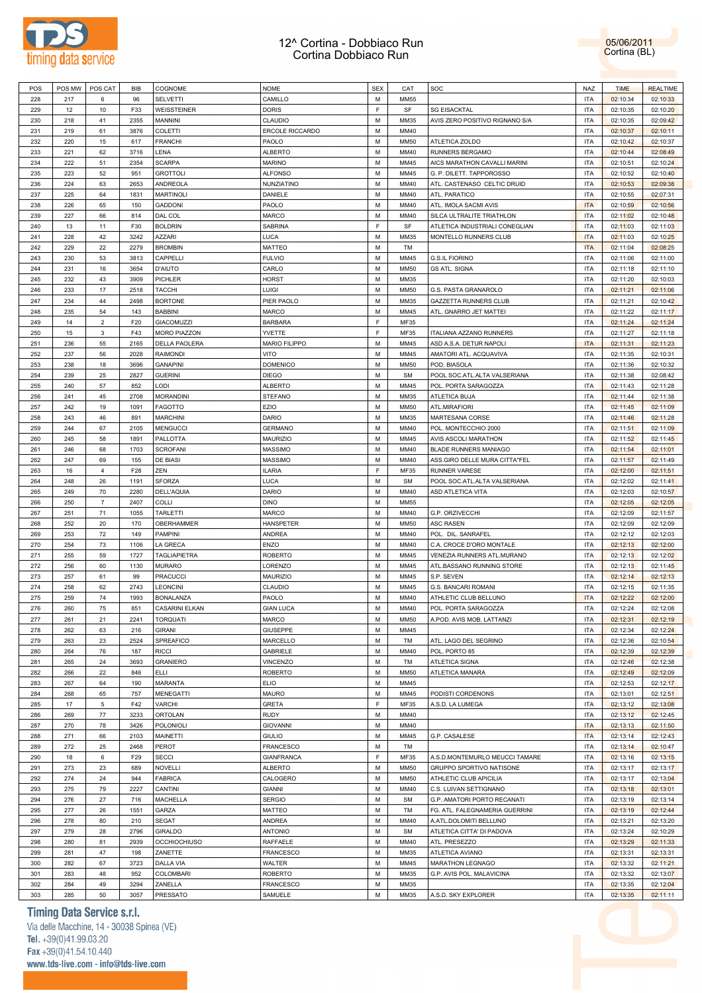

05/06/2011 Cortina (BL)

|     | POS MW     | POS CAT        | BIB  | COGNOME              | <b>NOME</b>                 | <b>SEX</b> | CAT         | SOC                            | NAZ        | <b>TIME</b>          | <b>REALTIME</b>      |  |
|-----|------------|----------------|------|----------------------|-----------------------------|------------|-------------|--------------------------------|------------|----------------------|----------------------|--|
| 228 | 217        | 6              | 96   | SELVETTI             | CAMILLO                     | М          | <b>MM55</b> |                                | <b>ITA</b> | 02:10:34             | 02:10:33             |  |
| 229 | 12         | 10             | F33  |                      | <b>DORIS</b>                | F          | SF          | <b>SG EISACKTAL</b>            | <b>ITA</b> |                      |                      |  |
|     |            |                |      | WEISSTEINER          |                             |            |             |                                |            | 02:10:35             | 02:10:20             |  |
| 230 | 218        | 41             | 2355 | MANNINI              | CLAUDIO                     | M          | MM35        | AVIS ZERO POSITIVO RIGNANO S/A | <b>ITA</b> | 02:10:35             | 02:09:42             |  |
| 231 | 219        | 61             | 3876 | COLETTI              | ERCOLE RICCARDO             | M          | MM40        |                                | <b>ITA</b> | 02:10:37             | 02:10:11             |  |
| 232 | 220        | 15             | 617  | <b>FRANCHI</b>       | PAOLO                       | M          | <b>MM50</b> | ATLETICA ZOLDO                 | <b>ITA</b> | 02:10:42             | 02:10:37             |  |
|     |            |                |      |                      |                             |            |             |                                |            |                      |                      |  |
| 233 | 221        | 62             | 3716 | LENA                 | <b>ALBERTO</b>              | M          | MM40        | <b>RUNNERS BERGAMO</b>         | <b>ITA</b> | 02:10:44             | 02:08:49             |  |
| 234 | 222        | 51             | 2354 | <b>SCARPA</b>        | <b>MARINO</b>               | M          | MM45        | AICS MARATHON CAVALLI MARINI   | <b>ITA</b> | 02:10:51             | 02:10:24             |  |
| 235 | 223        | 52             | 951  | <b>GROTTOLI</b>      | <b>ALFONSO</b>              | M          | MM45        | G. P. DILETT. TAPPOROSSO       | <b>ITA</b> | 02:10:52             | 02:10:40             |  |
|     |            |                |      |                      |                             |            |             |                                |            |                      |                      |  |
| 236 | 224        | 63             | 2653 | ANDREOLA             | NUNZIATINO                  | M          | MM40        | ATL. CASTENASO CELTIC DRUID    | <b>ITA</b> | 02:10:53             | 02:09:38             |  |
| 237 | 225        | 64             | 1831 | <b>MARTINOLI</b>     | DANIELE                     | M          | MM40        | ATL. PARATICO                  | <b>ITA</b> | 02:10:55             | 02:07:31             |  |
| 238 | 226        | 65             | 150  | <b>GADDONI</b>       | PAOLO                       | M          | MM40        | ATL. IMOLA SACMI AVIS          | <b>ITA</b> | 02:10:59             | 02:10:56             |  |
|     |            |                |      |                      |                             |            |             |                                |            |                      |                      |  |
| 239 | 227        | 66             | 814  | DAL COL              | <b>MARCO</b>                | M          | MM40        | SILCA ULTRALITE TRIATHLON      | <b>ITA</b> | 02:11:02             | 02:10:48             |  |
| 240 | 13         | 11             | F30  | <b>BOLDRIN</b>       | <b>SABRINA</b>              | E          | SF          | ATLETICA INDUSTRIALI CONEGLIAN | <b>ITA</b> | 02:11:03             | 02:11:03             |  |
| 241 | 228        | 42             | 3242 | AZZARI               | <b>LUCA</b>                 | M          | MM35        | MONTELLO RUNNERS CLUB          | <b>ITA</b> | 02:11:03             | 02:10:25             |  |
|     |            |                |      |                      |                             |            |             |                                |            |                      |                      |  |
| 242 | 229        | 22             | 2279 | <b>BROMBIN</b>       | MATTEO                      | M          | TM          |                                | <b>ITA</b> | 02:11:04             | 02:08:25             |  |
| 243 | 230        | 53             | 3813 | CAPPELLI             | <b>FULVIO</b>               | M          | MM45        | <b>G.S.IL FIORINO</b>          | <b>ITA</b> | 02:11:06             | 02:11:00             |  |
| 244 | 231        | 16             | 3654 | <b>D'AIUTO</b>       | CARLO                       | M          | <b>MM50</b> | <b>GS ATL. SIGNA</b>           | <b>ITA</b> | 02:11:18             | 02:11:10             |  |
|     |            |                |      |                      |                             |            |             |                                |            |                      |                      |  |
| 245 | 232        | 43             | 3909 | PICHLER              | <b>HORST</b>                | M          | MM35        |                                | <b>ITA</b> | 02:11:20             | 02:10:03             |  |
| 246 | 233        | 17             | 2518 | <b>TACCHI</b>        | LUIGI                       | M          | <b>MM50</b> | G.S. PASTA GRANAROLO           | <b>ITA</b> | 02:11:21             | 02:11:06             |  |
| 247 | 234        | 44             | 2498 | <b>BORTONE</b>       | PIER PAOLO                  | M          | MM35        | <b>GAZZETTA RUNNERS CLUB</b>   | <b>ITA</b> | 02:11:21             | 02:10:42             |  |
|     |            |                |      |                      |                             |            |             |                                |            |                      |                      |  |
| 248 | 235        | 54             | 143  | <b>BABBINI</b>       | MARCO                       | M          | MM45        | ATL. GNARRO JET MATTEI         | <b>ITA</b> | 02:11:22             | 02:11:17             |  |
| 249 | 14         | $\overline{2}$ | F20  | <b>GIACOMUZZI</b>    | <b>BARBARA</b>              | F          | <b>MF35</b> |                                | <b>ITA</b> | 02:11:24             | 02:11:24             |  |
| 250 | 15         | 3              | F43  | <b>MORO PIAZZON</b>  | YVETTE                      | F          | <b>MF35</b> | ITALIANA AZZANO RUNNERS        | <b>ITA</b> | 02:11:27             | 02:11:18             |  |
|     |            |                |      |                      |                             |            |             |                                |            |                      |                      |  |
| 251 | 236        | 55             | 2165 | <b>DELLA PAOLERA</b> | <b>MARIO FILIPPO</b>        | M          | MM45        | ASD A.S.A. DETUR NAPOLI        | <b>ITA</b> | 02:11:31             | 02:11:23             |  |
| 252 | 237        | 56             | 2028 | <b>RAIMONDI</b>      | VITO                        | M          | MM45        | AMATORI ATL. ACQUAVIVA         | <b>ITA</b> | 02:11:35             | 02:10:31             |  |
| 253 | 238        | 18             | 3696 | <b>GANAPINI</b>      | <b>DOMENICO</b>             | M          | <b>MM50</b> | POD. BIASOLA                   | <b>ITA</b> | 02:11:36             | 02:10:32             |  |
|     |            |                |      |                      |                             |            |             |                                |            |                      |                      |  |
| 254 | 239        | 25             | 2827 | <b>GUERINI</b>       | <b>DIEGO</b>                | M          | <b>SM</b>   | POOL SOC.ATL.ALTA VALSERIANA   | <b>ITA</b> | 02:11:38             | 02:08:42             |  |
| 255 | 240        | 57             | 852  | LODI                 | <b>ALBERTO</b>              | M          | MM45        | POL. PORTA SARAGOZZA           | <b>ITA</b> | 02:11:43             | 02:11:28             |  |
| 256 | 241        | 45             | 2708 | <b>MORANDINI</b>     | <b>STEFANO</b>              | M          | MM35        | ATLETICA BUJA                  | <b>ITA</b> | 02:11:44             | 02:11:38             |  |
|     |            |                |      |                      |                             |            |             |                                |            |                      |                      |  |
| 257 | 242        | 19             | 1091 | <b>FAGOTTO</b>       | EZIO                        | M          | <b>MM50</b> | ATL.MIRAFIORI                  | <b>ITA</b> | 02:11:45             | 02:11:09             |  |
| 258 | 243        | 46             | 891  | <b>MARCHINI</b>      | DARIO                       | M          | MM35        | MARTESANA CORSE                | <b>ITA</b> | 02:11:46             | 02:11:28             |  |
| 259 | 244        | 67             | 2105 | <b>MENGUCCI</b>      | <b>GERMANO</b>              | M          | MM40        | POL. MONTECCHIO 2000           | <b>ITA</b> | 02:11:51             | 02:11:09             |  |
|     |            |                |      |                      |                             |            |             |                                |            |                      |                      |  |
| 260 | 245        | 58             | 1891 | <b>PALLOTTA</b>      | MAURIZIO                    | M          | MM45        | AVIS ASCOLI MARATHON           | <b>ITA</b> | 02:11:52             | 02:11:45             |  |
| 261 | 246        | 68             | 1703 | <b>SCROFANI</b>      | <b>MASSIMO</b>              | M          | MM40        | BLADE RUNNERS MANIAGO          | <b>ITA</b> | 02:11:54             | 02:11:01             |  |
| 262 | 247        | 69             | 155  | DE BIASI             | <b>MASSIMO</b>              | M          | MM40        | ASS.GIRO DELLE MURA CITTA"FEL  | <b>ITA</b> | 02:11:57             | 02:11:49             |  |
| 263 | 16         | $\overline{4}$ | F28  | ZEN                  | <b>ILARIA</b>               | E          | <b>MF35</b> | <b>RUNNER VARESE</b>           | <b>ITA</b> |                      |                      |  |
|     |            |                |      |                      |                             |            |             |                                |            | 02:12:00             | 02:11:51             |  |
| 264 | 248        | 26             | 1191 | <b>SFORZA</b>        | <b>LUCA</b>                 | M          | <b>SM</b>   | POOL SOC.ATL.ALTA VALSERIANA   | <b>ITA</b> | 02:12:02             | 02:11:41             |  |
| 265 | 249        | 70             | 2280 | DELL'AQUIA           | DARIO                       | M          | MM40        | ASD ATLETICA VITA              | <b>ITA</b> | 02:12:03             | 02:10:57             |  |
| 266 | 250        | $\overline{7}$ | 2407 | COLLI                | <b>DINO</b>                 | M          | <b>MM55</b> |                                | <b>ITA</b> | 02:12:05             | 02:12:05             |  |
|     |            |                |      |                      |                             |            |             |                                |            |                      |                      |  |
| 267 | 251        | 71             | 1055 | TARLETTI             | <b>MARCO</b>                | M          | MM40        | G.P. ORZIVECCHI                | <b>ITA</b> | 02:12:09             | 02:11:57             |  |
|     |            |                |      |                      | HANSPETER                   | M          | <b>MM50</b> | <b>ASC RASEN</b>               | <b>ITA</b> | 02:12:09             | 02:12:09             |  |
| 268 | 252        | 20             | 170  | OBERHAMMER           |                             |            |             |                                |            |                      |                      |  |
|     |            |                |      |                      |                             |            |             |                                |            |                      |                      |  |
| 269 | 253        | 72             | 149  | PAMPINI              | <b>ANDREA</b>               | M          | MM40        | POL. DIL. SANRAFEL             | <b>ITA</b> | 02:12:12             | 02:12:03             |  |
| 270 | 254        | 73             | 1106 | LA GRECA             | ENZO                        | M          | MM40        | C.A. CROCE D'ORO MONTALE       | <b>ITA</b> | 02:12:13             | 02:12:00             |  |
| 271 | 255        | 59             | 1727 | <b>TAGLIAPIETRA</b>  | <b>ROBERTO</b>              | M          | MM45        | VENEZIA RUNNERS ATL.MURANO     | <b>ITA</b> | 02:12:13             | 02:12:02             |  |
|     |            |                |      |                      |                             |            |             |                                |            |                      |                      |  |
| 272 | 256        | 60             | 1130 | <b>MURARO</b>        | LORENZO                     | M          | MM45        | ATL.BASSANO RUNNING STORE      | <b>ITA</b> | 02:12:13             | 02:11:45             |  |
| 273 | 257        | 61             | 99   | <b>PRACUCCI</b>      | <b>MAURIZIO</b>             | M          | MM45        | S.P. SEVEN                     | <b>ITA</b> | 02:12:14             | 02:12:13             |  |
| 274 | 258        | 62             | 2743 | LEONCINI             | CLAUDIO                     | M          | MM45        | G.S. BANCARI ROMANI            | <b>ITA</b> | 02:12:15             | 02:11:35             |  |
| 275 | 259        | 74             | 1993 | <b>BONALANZA</b>     |                             | M          | MM40        | ATHLETIC CLUB BELLUNO          | <b>ITA</b> |                      |                      |  |
|     |            |                |      |                      | PAOLO                       |            |             |                                |            | 02:12:22             | 02:12:00             |  |
| 276 | 260        | 75             | 851  | CASARINI ELKAN       | <b>GIAN LUCA</b>            | M          | MM40        | POL. PORTA SARAGOZZA           | <b>ITA</b> | 02:12:24             | 02:12:08             |  |
| 277 | 261        | 21             | 2241 | TORQUATI             | MARCO                       | М          | <b>MM50</b> | A.POD. AVIS MOB. LATTANZI      | ITA        | 02:12:31             | 02:12:19             |  |
| 278 | 262        | 63             | 216  |                      |                             | М          | MM45        |                                | <b>ITA</b> |                      |                      |  |
|     |            |                |      | GIRANI               | <b>GIUSEPPE</b>             |            |             |                                |            | 02:12:34             | 02:12:24             |  |
| 279 | 263        | 23             | 2524 | SPREAFICO            | MARCELLO                    | М          | TM          | ATL. LAGO DEL SEGRINO          | <b>ITA</b> | 02:12:36             | 02:10:54             |  |
| 280 | 264        | 76             | 187  | <b>RICCI</b>         | GABRIELE                    | M          | MM40        | POL. PORTO 85                  | <b>ITA</b> | 02:12:39             | 02:12:39             |  |
|     | 265        | 24             | 3693 |                      |                             | M          | TM          |                                | <b>ITA</b> |                      |                      |  |
| 281 |            |                |      | <b>GRANIERO</b>      | VINCENZO                    |            |             | ATLETICA SIGNA                 |            | 02:12:46             | 02:12:38             |  |
| 282 | 266        | 22             | 846  | <b>ELLI</b>          | <b>ROBERTO</b>              | M          | <b>MM50</b> | ATLETICA MANARA                | <b>ITA</b> | 02:12:49             | 02:12:09             |  |
| 283 | 267        | 64             | 190  | <b>MARANTA</b>       | <b>ELIO</b>                 | M          | MM45        |                                | <b>ITA</b> | 02:12:53             | 02:12:17             |  |
|     |            |                |      |                      |                             |            |             |                                |            |                      |                      |  |
| 284 | 268        | 65             | 757  | <b>MENEGATTI</b>     | MAURO                       | M          | MM45        | PODISTI CORDENONS              | <b>ITA</b> | 02:13:01             | 02:12:51             |  |
| 285 | 17         | 5              | F42  | <b>VARCHI</b>        | <b>GRETA</b>                | F          | <b>MF35</b> | A.S.D. LA LUMEGA               | <b>ITA</b> | 02:13:12             | 02:13:08             |  |
| 286 | 269        | 77             | 3233 | ORTOLAN              | <b>RUDY</b>                 | М          | MM40        |                                | <b>ITA</b> | 02:13:12             | 02:12:45             |  |
| 287 |            | 78             | 3426 |                      |                             | M          | MM40        |                                |            |                      |                      |  |
|     | 270        |                |      | POLONIOLI            | <b>GIOVANNI</b>             |            |             |                                | <b>ITA</b> | 02:13:13             | 02:11:50             |  |
| 288 | 271        | 66             | 2103 | MAINETTI             | <b>GIULIO</b>               | M          | MM45        | G.P. CASALESE                  | <b>ITA</b> | 02:13:14             | 02:12:43             |  |
| 289 | 272        | 25             | 2468 | PEROT                | <b>FRANCESCO</b>            | М          | TM          |                                | <b>ITA</b> | 02:13:14             | 02:10:47             |  |
| 290 | 18         | 6              | F29  | <b>SECCI</b>         | <b>GIANFRANCA</b>           | F          | MF35        | A.S.D.MONTEMURLO MEUCCI TAMARE | <b>ITA</b> | 02:13:16             | 02:13:15             |  |
|     |            |                |      |                      |                             |            |             |                                |            |                      |                      |  |
| 291 | 273        | 23             | 689  | <b>NOVELLI</b>       | <b>ALBERTO</b>              | M          | <b>MM50</b> | GRUPPO SPORTIVO NATISONE       | <b>ITA</b> | 02:13:17             | 02:13:17             |  |
| 292 | 274        | 24             | 944  | <b>FABRICA</b>       | CALOGERO                    | M          | <b>MM50</b> | ATHLETIC CLUB APICILIA         | <b>ITA</b> | 02:13:17             | 02:13:04             |  |
| 293 | 275        | 79             | 2227 | CANTINI              | <b>GIANNI</b>               | M          | MM40        | C.S. LUIVAN SETTIGNANO         | <b>ITA</b> | 02:13:18             | 02:13:01             |  |
|     |            |                |      |                      |                             |            |             |                                |            |                      |                      |  |
| 294 | 276        | 27             | 716  | MACHELLA             | <b>SERGIO</b>               | M          | <b>SM</b>   | G.P. AMATORI PORTO RECANATI    | <b>ITA</b> | 02:13:19             | 02:13:14             |  |
| 295 | 277        | 26             | 1551 | GARZA                | MATTEO                      | М          | TM          | FG. ATL. FALEGNAMERIA GUERRINI | <b>ITA</b> | 02:13:19             | 02:12:44             |  |
| 296 | 278        | 80             | 210  |                      | ANDREA                      | M          | MM40        | A.ATL.DOLOMITI BELLUNO         | <b>ITA</b> | 02:13:21             | 02:13:20             |  |
|     |            |                |      | SEGAT                |                             |            |             |                                |            |                      |                      |  |
| 297 | 279        | 28             | 2796 | GIRALDO              | <b>ANTONIO</b>              | М          | <b>SM</b>   | ATLETICA CITTA' DI PADOVA      | <b>ITA</b> | 02:13:24             | 02:10:29             |  |
| 298 | 280        | 81             | 2939 | <b>OCCHIOCHIUSO</b>  | RAFFAELE                    | M          | MM40        | ATL. PRESEZZO                  | <b>ITA</b> | 02:13:29             | 02:11:33             |  |
|     | 281        | 47             | 198  |                      |                             | M          | MM35        |                                | <b>ITA</b> |                      |                      |  |
| 299 |            |                |      | ZANETTE              | <b>FRANCESCO</b>            |            |             | ATLETICA AVIANO                |            | 02:13:31             | 02:13:31             |  |
| 300 | 282        | 67             | 3723 | <b>DALLA VIA</b>     | WALTER                      | M          | MM45        | MARATHON LEGNAGO               | <b>ITA</b> | 02:13:32             | 02:11:21             |  |
| 301 | 283        | 48             | 952  | <b>COLOMBARI</b>     | <b>ROBERTO</b>              | M          | MM35        | G.P. AVIS POL. MALAVICINA      | <b>ITA</b> | 02:13:32             | 02:13:07             |  |
| 302 |            |                | 3294 |                      |                             | M          | MM35        |                                | <b>ITA</b> |                      |                      |  |
| 303 | 284<br>285 | 49<br>50       | 3057 | ZANELLA<br>PRESSATO  | <b>FRANCESCO</b><br>SAMUELE | М          | MM35        | A.S.D. SKY EXPLORER            | <b>ITA</b> | 02:13:35<br>02:13:35 | 02:12:04<br>02:11:11 |  |

# **Timing Data Service s.r.l.**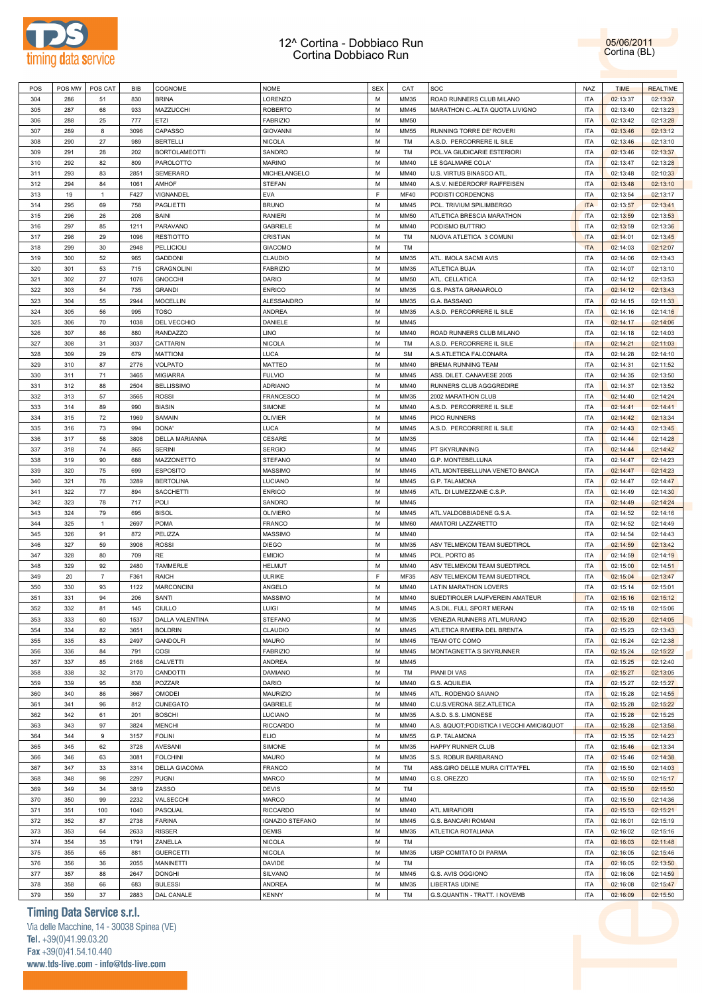



| POS | POS MW | POS CAT        | BIB  | COGNOME              | <b>NOME</b>            | <b>SEX</b> | CAT         | SOC                                         | <b>NAZ</b> | <b>TIME</b> | <b>REALTIME</b> |
|-----|--------|----------------|------|----------------------|------------------------|------------|-------------|---------------------------------------------|------------|-------------|-----------------|
| 304 | 286    | 51             | 830  | <b>BRINA</b>         | LORENZO                | M          | MM35        | ROAD RUNNERS CLUB MILANO                    | ITA        | 02:13:37    | 02:13:37        |
| 305 | 287    | 68             | 933  | MAZZUCCHI            | <b>ROBERTO</b>         | M          | MM45        | MARATHON C .- ALTA QUOTA LIVIGNO            | <b>ITA</b> | 02:13:40    | 02:13:23        |
|     |        |                |      |                      |                        |            |             |                                             |            |             |                 |
| 306 | 288    | 25             | 777  | ETZI                 | <b>FABRIZIO</b>        | M          | <b>MM50</b> |                                             | <b>ITA</b> | 02:13:42    | 02:13:28        |
| 307 | 289    | 8              | 3096 | CAPASSO              | <b>GIOVANNI</b>        | M          | <b>MM55</b> | RUNNING TORRE DE' ROVERI                    | <b>ITA</b> | 02:13:46    | 02:13:12        |
| 308 | 290    | 27             | 989  | <b>BERTELLI</b>      | <b>NICOLA</b>          | M          | TM          | A.S.D. PERCORRERE IL SILE                   | <b>ITA</b> | 02:13:46    | 02:13:10        |
| 309 | 291    | 28             | 202  | <b>BORTOLAMEOTTI</b> | SANDRO                 | м          | <b>TM</b>   | POL.VA GIUDICARIE ESTERIORI                 | <b>ITA</b> | 02:13:46    | 02:13:37        |
| 310 | 292    | 82             | 809  | PAROLOTTO            | <b>MARINO</b>          | M          | MM40        | LE SGALMARE COLA'                           | ITA        | 02:13:47    | 02:13:28        |
| 311 | 293    | 83             | 2851 | <b>SEMERARO</b>      | MICHELANGELO           | М          | MM40        | U.S. VIRTUS BINASCO ATL                     | <b>ITA</b> | 02:13:48    | 02:10:33        |
| 312 | 294    | 84             | 1061 | <b>AMHOF</b>         | <b>STEFAN</b>          | M          | MM40        | A.S.V. NIEDERDORF RAIFFEISEN                | ITA        | 02:13:48    | 02:13:10        |
| 313 | 19     | $\mathbf{1}$   | F427 | VIGNANDEL            | <b>EVA</b>             | E          | MF40        | PODISTI CORDENONS                           | <b>ITA</b> | 02:13:54    | 02:13:17        |
| 314 | 295    | 69             | 758  | <b>PAGLIETTI</b>     | <b>BRUNO</b>           | M          | MM45        | POL. TRIVIUM SPILIMBERGO                    | <b>ITA</b> | 02:13:57    | 02:13:41        |
|     |        |                |      |                      |                        |            |             |                                             |            |             |                 |
| 315 | 296    | 26             | 208  | BAINI                | RANIERI                | м          | <b>MM50</b> | ATLETICA BRESCIA MARATHON                   | <b>ITA</b> | 02:13:59    | 02:13:53        |
| 316 | 297    | 85             | 1211 | PARAVANO             | <b>GABRIELE</b>        | M          | MM40        | PODISMO BUTTRIO                             | <b>ITA</b> | 02:13:59    | 02:13:36        |
| 317 | 298    | 29             | 1096 | <b>RESTIOTTO</b>     | <b>CRISTIAN</b>        | M          | <b>TM</b>   | NUOVA ATLETICA 3 COMUNI                     | <b>ITA</b> | 02:14:01    | 02:13:45        |
| 318 | 299    | 30             | 2948 | <b>PELLICIOLI</b>    | <b>GIACOMO</b>         | M          | <b>TM</b>   |                                             | <b>ITA</b> | 02:14:03    | 02:12:07        |
| 319 | 300    | 52             | 965  | <b>GADDONI</b>       | <b>CLAUDIO</b>         | M          | MM35        | ATL. IMOLA SACMI AVIS                       | <b>ITA</b> | 02:14:06    | 02:13:43        |
| 320 | 301    | 53             | 715  | CRAGNOLINI           | <b>FABRIZIO</b>        | M          | MM35        | ATLETICA BUJA                               | <b>ITA</b> | 02:14:07    | 02:13:10        |
| 321 | 302    | 27             | 1076 | <b>GNOCCHI</b>       | DARIO                  | M          | <b>MM50</b> | ATL. CELLATICA                              | <b>ITA</b> | 02:14:12    | 02:13:53        |
| 322 | 303    | 54             | 735  | <b>GRANDI</b>        | <b>ENRICO</b>          | M          | MM35        | G.S. PASTA GRANAROLO                        | <b>ITA</b> | 02:14:12    | 02:13:43        |
| 323 | 304    | 55             | 2944 | <b>MOCELLIN</b>      | <b>ALESSANDRO</b>      | М          | MM35        | G.A. BASSANO                                | ITA        | 02:14:15    | 02:11:33        |
| 324 | 305    | 56             | 995  | <b>TOSO</b>          | <b>ANDREA</b>          | M          | MM35        | A.S.D. PERCORRERE IL SILE                   | ITA        | 02:14:16    | 02:14:16        |
| 325 | 306    | 70             | 1038 | DEL VECCHIO          | DANIELE                | м          | MM45        |                                             | <b>ITA</b> | 02:14:17    | 02:14:06        |
|     |        |                |      |                      | LINO                   | M          |             | ROAD RUNNERS CLUB MILANO                    |            |             |                 |
| 326 | 307    | 86             | 880  | <b>RANDAZZO</b>      |                        |            | MM40        |                                             | <b>ITA</b> | 02:14:18    | 02:14:03        |
| 327 | 308    | 31             | 3037 | CATTARIN             | <b>NICOLA</b>          | м          | TM          | A.S.D. PERCORRERE IL SILE                   | <b>ITA</b> | 02:14:21    | 02:11:03        |
| 328 | 309    | 29             | 679  | <b>MATTIONI</b>      | <b>LUCA</b>            | M          | <b>SM</b>   | A.S.ATLETICA FALCONARA                      | <b>ITA</b> | 02:14:28    | 02:14:10        |
| 329 | 310    | 87             | 2776 | <b>VOLPATO</b>       | <b>MATTEO</b>          | м          | MM40        | BREMA RUNNING TEAM                          | <b>ITA</b> | 02:14:31    | 02:11:52        |
| 330 | 311    | 71             | 3465 | <b>MIGIARRA</b>      | <b>FULVIO</b>          | M          | MM45        | ASS. DILET. CANAVESE 2005                   | <b>ITA</b> | 02:14:35    | 02:13:50        |
| 331 | 312    | 88             | 2504 | <b>BELLISSIMO</b>    | <b>ADRIANO</b>         | M          | MM40        | RUNNERS CLUB AGGGREDIRE                     | <b>ITA</b> | 02:14:37    | 02:13:52        |
| 332 | 313    | 57             | 3565 | <b>ROSSI</b>         | <b>FRANCESCO</b>       | M          | MM35        | 2002 MARATHON CLUB                          | <b>ITA</b> | 02:14:40    | 02:14:24        |
| 333 | 314    | 89             | 990  | <b>BIASIN</b>        | SIMONE                 | M          | MM40        | A.S.D. PERCORRERE IL SILE                   | <b>ITA</b> | 02:14:41    | 02:14:41        |
| 334 | 315    | 72             | 1969 | SAMAIN               | <b>OLIVIER</b>         | M          | MM45        | PICO RUNNERS                                | <b>ITA</b> | 02:14:42    | 02:13:34        |
| 335 | 316    | 73             | 994  | DONA'                | <b>LUCA</b>            | м          | MM45        | A.S.D. PERCORRERE IL SILE                   | ITA        | 02:14:43    | 02:13:45        |
|     | 317    | 58             | 3808 | DELLA MARIANNA       | CESARE                 | M          | MM35        |                                             | ITA        | 02:14:44    | 02:14:28        |
| 336 |        |                |      |                      |                        |            |             |                                             |            |             |                 |
| 337 | 318    | 74             | 865  | <b>SERINI</b>        | <b>SERGIO</b>          | м          | MM45        | PT SKYRUNNING                               | <b>ITA</b> | 02:14:44    | 02:14:42        |
| 338 | 319    | 90             | 688  | MAZZONETTO           | <b>STEFANO</b>         | M          | MM40        | G.P. MONTEBELLUNA                           | <b>ITA</b> | 02:14:47    | 02:14:23        |
| 339 | 320    | 75             | 699  | <b>ESPOSITO</b>      | <b>MASSIMO</b>         | м          | MM45        | ATL.MONTEBELLUNA VENETO BANCA               | <b>ITA</b> | 02:14:47    | 02:14:23        |
| 340 | 321    | 76             | 3289 | <b>BERTOLINA</b>     | <b>LUCIANO</b>         | M          | MM45        | G.P. TALAMONA                               | ITA        | 02:14:47    | 02:14:47        |
| 341 | 322    | 77             | 894  | SACCHETTI            | <b>ENRICO</b>          | м          | MM45        | ATL. DI LUMEZZANE C.S.P.                    | <b>ITA</b> | 02:14:49    | 02:14:30        |
| 342 | 323    | 78             | 717  | POLI                 | SANDRO                 | M          | MM45        |                                             | <b>ITA</b> | 02:14:49    | 02:14:24        |
| 343 | 324    | 79             | 695  | <b>BISOL</b>         | <b>OLIVIERO</b>        | M          | MM45        | ATL.VALDOBBIADENE G.S.A.                    | <b>ITA</b> | 02:14:52    | 02:14:16        |
| 344 | 325    | $\mathbf{1}$   | 2697 | <b>POMA</b>          | <b>FRANCO</b>          | M          | <b>MM60</b> | AMATORI LAZZARETTO                          | <b>ITA</b> | 02:14:52    | 02:14:49        |
| 345 | 326    | 91             | 872  | PELIZZA              | <b>MASSIMO</b>         | M          | MM40        |                                             | <b>ITA</b> | 02:14:54    | 02:14:43        |
| 346 | 327    | 59             | 3908 | <b>ROSSI</b>         | <b>DIEGO</b>           | M          | MM35        | ASV TELMEKOM TEAM SUEDTIROL                 | <b>ITA</b> | 02:14:59    | 02:13:42        |
| 347 | 328    | 80             | 709  | RE                   | <b>EMIDIO</b>          | м          | MM45        | POL. PORTO 85                               | ITA        | 02:14:59    |                 |
|     |        |                |      |                      |                        |            |             |                                             |            |             | 02:14:19        |
| 348 | 329    | 92             | 2480 | TAMMERLE             | <b>HELMUT</b>          | M          | MM40        | ASV TELMEKOM TEAM SUEDTIROL                 | ITA        | 02:15:00    | 02:14:51        |
| 349 | 20     | $\overline{7}$ | F361 | RAICH                | <b>ULRIKE</b>          | F          | MF35        | ASV TELMEKOM TEAM SUEDTIROL                 | ITA        | 02:15:04    | 02:13:47        |
| 350 | 330    | 93             | 1122 | <b>MARCONCINI</b>    | ANGELO                 | М          | MM40        | LATIN MARATHON LOVERS                       | <b>ITA</b> | 02:15:14    | 02:15:01        |
| 351 | 331    | 94             | 206  | SANTI                | <b>MASSIMO</b>         | M          | MM40        | SUEDTIROLER LAUFVEREIN AMATEUR              | <b>ITA</b> | 02:15:16    | 02:15:12        |
| 352 | 332    | 81             | 145  | CIULLO               | LUIGI                  | M          | MM45        | A.S.DIL. FULL SPORT MERAN                   | <b>ITA</b> | 02:15:18    | 02:15:06        |
| 353 | 333    | 60             | 1537 | DALLA VALENTINA      | <b>STEFANO</b>         | м          | MM35        | VENEZIA RUNNERS ATL.MURANO                  | ITA        | 02:15:20    | 02:14:05        |
| 354 | 334    | 82             | 3651 | <b>BOLDRIN</b>       | CLAUDIO                | M          | MM45        | ATLETICA RIVIERA DEL BRENTA                 | ITA        | 02:15:23    | 02:13:43        |
| 355 | 335    | 83             | 2497 | GANDOLFI             | <b>MAURO</b>           | M          | MM45        | TEAM OTC COMO                               | <b>ITA</b> | 02:15:24    | 02:12:38        |
| 356 | 336    | 84             | 791  | COSI                 | <b>FABRIZIO</b>        | M          | MM45        | MONTAGNETTA S SKYRUNNER                     | ITA        | 02:15:24    | 02:15:22        |
| 357 | 337    | 85             | 2168 | CALVETTI             | ANDREA                 | M          | MM45        |                                             | <b>ITA</b> | 02:15:25    | 02:12:40        |
| 358 | 338    | 32             | 3170 | CANDOTTI             | <b>DAMIANO</b>         | M          | TM          | PIANI DI VAS                                | ITA        | 02:15:27    | 02:13:05        |
|     |        |                |      |                      |                        | M          |             | G.S. AQUILEIA                               |            |             |                 |
| 359 | 339    | 95             | 838  | POZZAR               | <b>DARIO</b>           |            | MM40        |                                             | ITA        | 02:15:27    | 02:15:27        |
| 360 | 340    | 86             | 3667 | <b>OMODEI</b>        | <b>MAURIZIO</b>        | M          | MM45        | ATL. RODENGO SAIANO                         | ITA        | 02:15:28    | 02:14:55        |
| 361 | 341    | 96             | 812  | CUNEGATO             | GABRIELE               | M          | MM40        | C.U.S.VERONA SEZ.ATLETICA                   | ITA        | 02:15:28    | 02:15:22        |
| 362 | 342    | 61             | 201  | <b>BOSCHI</b>        | LUCIANO                | M          | MM35        | A.S.D. S.S. LIMONESE                        | ITA        | 02:15:28    | 02:15:25        |
| 363 | 343    | 97             | 3824 | <b>MENCHI</b>        | <b>RICCARDO</b>        | M          | MM40        | A.S. & QUOT; PODISTICA I VECCHI AMICI& QUOT | <b>ITA</b> | 02:15:28    | 02:13:58        |
| 364 | 344    | 9              | 3157 | FOLINI               | <b>ELIO</b>            | M          | <b>MM55</b> | G.P. TALAMONA                               | <b>ITA</b> | 02:15:35    | 02:14:23        |
| 365 | 345    | 62             | 3728 | AVESANI              | SIMONE                 | M          | MM35        | HAPPY RUNNER CLUB                           | <b>ITA</b> | 02:15:46    | 02:13:34        |
| 366 | 346    | 63             | 3081 | <b>FOLCHINI</b>      | <b>MAURO</b>           | M          | MM35        | S.S. ROBUR BARBARANO                        | ITA        | 02:15:46    | 02:14:38        |
| 367 | 347    | 33             | 3314 | <b>DELLA GIACOMA</b> | <b>FRANCO</b>          | M          | TM          | ASS.GIRO DELLE MURA CITTA"FEL               | <b>ITA</b> | 02:15:50    | 02:14:03        |
| 368 | 348    | 98             | 2297 | PUGNI                | MARCO                  | M          | MM40        | G.S. OREZZO                                 | ITA        | 02:15:50    | 02:15:17        |
| 369 | 349    | 34             | 3819 | ZASSO                | <b>DEVIS</b>           | M          | TM          |                                             | <b>ITA</b> | 02:15:50    | 02:15:50        |
|     |        |                |      |                      |                        | M          |             |                                             |            |             |                 |
| 370 | 350    | 99             | 2232 | VALSECCHI            | <b>MARCO</b>           |            | MM40        |                                             | ITA        | 02:15:50    | 02:14:36        |
| 371 | 351    | 100            | 1040 | PASQUAL              | <b>RICCARDO</b>        | M          | MM40        | ATL.MIRAFIORI                               | ITA        | 02:15:53    | 02:15:21        |
| 372 | 352    | 87             | 2738 | <b>FARINA</b>        | <b>IGNAZIO STEFANO</b> | M          | MM45        | G.S. BANCARI ROMANI                         | ITA        | 02:16:01    | 02:15:19        |
| 373 | 353    | 64             | 2633 | <b>RISSER</b>        | <b>DEMIS</b>           | M          | MM35        | ATLETICA ROTALIANA                          | ITA        | 02:16:02    | 02:15:16        |
| 374 | 354    | 35             | 1791 | ZANELLA              | <b>NICOLA</b>          | M          | TM          |                                             | ITA        | 02:16:03    | 02:11:48        |
| 375 | 355    | 65             | 881  | <b>GUERCETTI</b>     | <b>NICOLA</b>          | М          | MM35        | UISP COMITATO DI PARMA                      | ITA        | 02:16:05    | 02:15:46        |
| 376 | 356    | 36             | 2055 | MANINETTI            | DAVIDE                 | M          | TM          |                                             | ITA        | 02:16:05    | 02:13:50        |
| 377 | 357    | 88             | 2647 | <b>DONGHI</b>        | SILVANO                | M          | MM45        | G.S. AVIS OGGIONO                           | ITA        | 02:16:06    | 02:14:59        |
| 378 | 358    | 66             | 683  | <b>BULESSI</b>       | ANDREA                 | M          | MM35        | LIBERTAS UDINE                              | ITA        | 02:16:08    | 02:15:47        |
| 379 | 359    | 37             | 2883 | DAL CANALE           | <b>KENNY</b>           | M          | TM          | G.S.QUANTIN - TRATT. I NOVEMB               | <b>ITA</b> | 02:16:09    | 02:15:50        |
|     |        |                |      |                      |                        |            |             |                                             |            |             |                 |

# **Timing Data Service s.r.l.**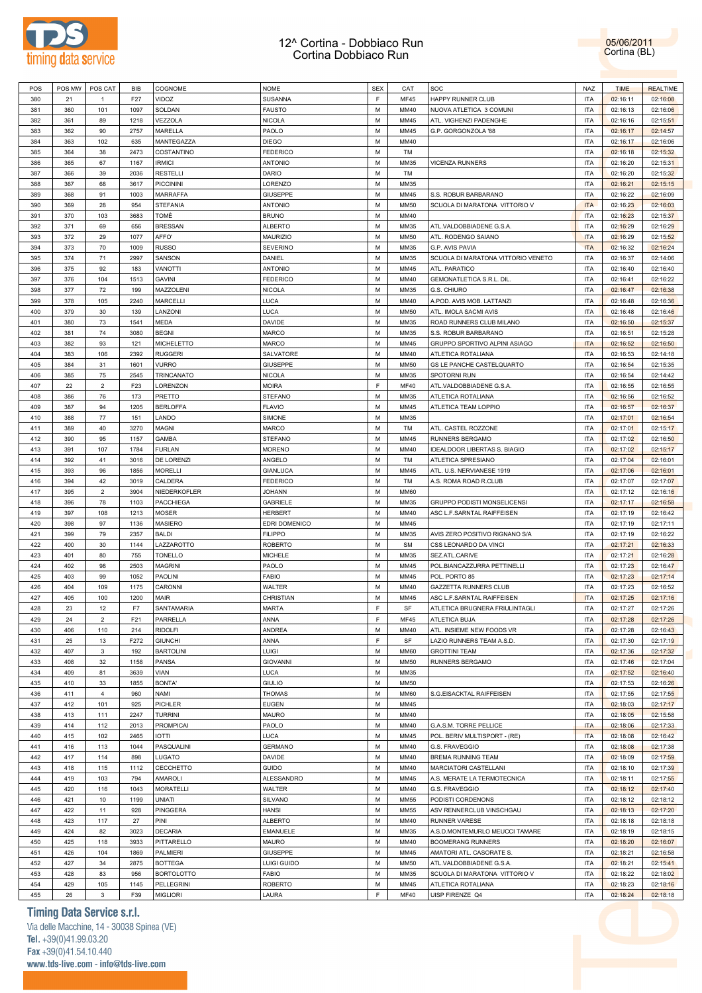



| POS | POS MW | POS CAT        | BIB             | COGNOME           | <b>NOME</b>     | <b>SEX</b> | CAT         | SOC                                | NAZ        | <b>TIME</b> | <b>REALTIME</b> |
|-----|--------|----------------|-----------------|-------------------|-----------------|------------|-------------|------------------------------------|------------|-------------|-----------------|
| 380 | 21     | $\overline{1}$ | F27             | VIDOZ             | <b>SUSANNA</b>  | F.         | MF45        | HAPPY RUNNER CLUB                  | <b>ITA</b> | 02:16:11    | 02:16:08        |
| 381 | 360    | 101            | 1097            | SOLDAN            | <b>FAUSTO</b>   | M          | MM40        | NUOVA ATLETICA 3 COMUNI            | <b>ITA</b> | 02:16:13    | 02:16:06        |
| 382 | 361    | 89             | 1218            | VEZZOLA           | <b>NICOLA</b>   | М          | MM45        | ATL. VIGHENZI PADENGHE             | <b>ITA</b> | 02:16:16    | 02:15:51        |
|     | 362    | 90             | 2757            | MARELLA           |                 | M          | MM45        |                                    | <b>ITA</b> |             |                 |
| 383 |        |                |                 |                   | PAOLO           |            |             | G.P. GORGONZOLA '88                |            | 02:16:17    | 02:14:57        |
| 384 | 363    | 102            | 635             | MANTEGAZZA        | <b>DIEGO</b>    | М          | MM40        |                                    | <b>ITA</b> | 02:16:17    | 02:16:06        |
| 385 | 364    | 38             | 2473            | COSTANTINO        | <b>FEDERICO</b> | м          | TM          |                                    | <b>ITA</b> | 02:16:18    | 02:15:32        |
| 386 | 365    | 67             | 1167            | <b>IRMICI</b>     | <b>ANTONIO</b>  | М          | MM35        | <b>VICENZA RUNNERS</b>             | <b>ITA</b> | 02:16:20    | 02:15:31        |
| 387 | 366    | 39             | 2036            | <b>RESTELLI</b>   | DARIO           | м          | TM          |                                    | <b>ITA</b> | 02:16:20    | 02:15:32        |
| 388 | 367    | 68             | 3617            | <b>PICCININI</b>  | LORENZO         | М          | MM35        |                                    | <b>ITA</b> | 02:16:21    | 02:15:15        |
| 389 | 368    | 91             | 1003            | MARRAFFA          | GIUSEPPE        | М          | MM45        | S.S. ROBUR BARBARANO               | <b>ITA</b> | 02:16:22    | 02:16:09        |
|     |        |                |                 |                   |                 |            |             |                                    |            |             |                 |
| 390 | 369    | 28             | 954             | <b>STEFANIA</b>   | <b>ANTONIO</b>  | М          | <b>MM50</b> | SCUOLA DI MARATONA VITTORIO V      | <b>ITA</b> | 02:16:23    | 02:16:03        |
| 391 | 370    | 103            | 3683            | TOMÈ              | <b>BRUNO</b>    | М          | MM40        |                                    | <b>ITA</b> | 02:16:23    | 02:15:37        |
| 392 | 371    | 69             | 656             | <b>BRESSAN</b>    | <b>ALBERTO</b>  | М          | MM35        | ATL.VALDOBBIADENE G.S.A            | <b>ITA</b> | 02:16:29    | 02:16:29        |
| 393 | 372    | 29             | 1077            | AFFO'             | <b>MAURIZIO</b> | M          | <b>MM50</b> | ATL. RODENGO SAIANO                | <b>ITA</b> | 02:16:29    | 02:15:52        |
| 394 | 373    | 70             | 1009            | <b>RUSSO</b>      | <b>SEVERINO</b> | М          | MM35        | G.P. AVIS PAVIA                    | <b>ITA</b> | 02:16:32    | 02:16:24        |
| 395 | 374    | 71             | 2997            | SANSON            | DANIEL          | M          | MM35        | SCUOLA DI MARATONA VITTORIO VENETO | <b>ITA</b> | 02:16:37    | 02:14:06        |
| 396 | 375    | 92             | 183             | <b>VANOTTI</b>    | <b>ANTONIO</b>  | М          | MM45        | ATL. PARATICO                      | <b>ITA</b> | 02:16:40    | 02:16:40        |
| 397 | 376    | 104            | 1513            | <b>GAVINI</b>     | <b>FEDERICO</b> | M          | MM40        | GEMONATLETICA S.R.L. DIL.          | <b>ITA</b> | 02:16:41    | 02:16:22        |
|     |        |                |                 |                   |                 |            |             |                                    |            |             |                 |
| 398 | 377    | 72             | 199             | MAZZOLENI         | <b>NICOLA</b>   | М          | MM35        | G.S. CHIURO                        | <b>ITA</b> | 02:16:47    | 02:16:38        |
| 399 | 378    | 105            | 2240            | MARCELLI          | <b>LUCA</b>     | М          | MM40        | A.POD. AVIS MOB. LATTANZI          | <b>ITA</b> | 02:16:48    | 02:16:36        |
| 400 | 379    | 30             | 139             | LANZONI           | <b>LUCA</b>     | М          | <b>MM50</b> | ATL. IMOLA SACMI AVIS              | <b>ITA</b> | 02:16:48    | 02:16:46        |
| 401 | 380    | 73             | 1541            | MEDA              | DAVIDE          | М          | MM35        | ROAD RUNNERS CLUB MILANO           | <b>ITA</b> | 02:16:50    | 02:15:37        |
| 402 | 381    | 74             | 3080            | <b>BEGNI</b>      | <b>MARCO</b>    | М          | MM35        | S.S. ROBUR BARBARANO               | <b>ITA</b> | 02:16:51    | 02:15:28        |
| 403 | 382    | 93             | 121             | MICHELETTO        | <b>MARCO</b>    | М          | MM45        | GRUPPO SPORTIVO ALPINI ASIAGO      | <b>ITA</b> | 02:16:52    | 02:16:50        |
| 404 | 383    | 106            | 2392            | <b>RUGGERI</b>    | SALVATORE       | М          | MM40        | ATLETICA ROTALIANA                 | <b>ITA</b> | 02:16:53    | 02:14:18        |
|     |        |                |                 |                   |                 | M          |             |                                    |            |             |                 |
| 405 | 384    | 31             | 1601            | <b>VURRO</b>      | <b>GIUSEPPE</b> |            | <b>MM50</b> | GS LE PANCHE CASTELQUARTO          | <b>ITA</b> | 02:16:54    | 02:15:35        |
| 406 | 385    | 75             | 2545            | TRINCANATO        | <b>NICOLA</b>   | М          | MM35        | SPOTORNI RUN                       | <b>ITA</b> | 02:16:54    | 02:14:42        |
| 407 | 22     | $\overline{2}$ | F <sub>23</sub> | LORENZON          | <b>MOIRA</b>    | F          | MF40        | ATL.VALDOBBIADENE G.S.A.           | <b>ITA</b> | 02:16:55    | 02:16:55        |
| 408 | 386    | 76             | 173             | PRETTO            | <b>STEFANO</b>  | М          | MM35        | ATLETICA ROTALIANA                 | <b>ITA</b> | 02:16:56    | 02:16:52        |
| 409 | 387    | 94             | 1205            | <b>BERLOFFA</b>   | <b>FLAVIO</b>   | M          | MM45        | ATLETICA TEAM LOPPIO               | <b>ITA</b> | 02:16:57    | 02:16:37        |
| 410 | 388    | 77             | 151             | LANDO             | SIMONE          | М          | MM35        |                                    | <b>ITA</b> | 02:17:01    | 02:16:54        |
| 411 | 389    | 40             | 3270            | <b>MAGNI</b>      | MARCO           | M          | TM          | ATL. CASTEL ROZZONE                | <b>ITA</b> | 02:17:01    | 02:15:17        |
|     |        |                |                 |                   |                 |            |             |                                    |            |             |                 |
| 412 | 390    | 95             | 1157            | <b>GAMBA</b>      | <b>STEFANO</b>  | М          | MM45        | RUNNERS BERGAMO                    | <b>ITA</b> | 02:17:02    | 02:16:50        |
| 413 | 391    | 107            | 1784            | <b>FURLAN</b>     | <b>MORENO</b>   | М          | MM40        | IDEALDOOR LIBERTAS S. BIAGIO       | <b>ITA</b> | 02:17:02    | 02:15:17        |
| 414 | 392    | 41             | 3016            | DE LORENZI        | ANGELO          | М          | TM          | ATLETICA SPRESIANO                 | <b>ITA</b> | 02:17:04    | 02:16:01        |
| 415 | 393    | 96             | 1856            | <b>MORELLI</b>    | <b>GIANLUCA</b> | М          | MM45        | ATL. U.S. NERVIANESE 1919          | <b>ITA</b> | 02:17:06    | 02:16:01        |
| 416 | 394    | 42             | 3019            | CALDERA           | <b>FEDERICO</b> | M          | TM          | A.S. ROMA ROAD R.CLUB              | <b>ITA</b> | 02:17:07    | 02:17:07        |
| 417 | 395    | $\overline{2}$ | 3904            | NIEDERKOFLER      | JOHANN          | М          | <b>MM60</b> |                                    | <b>ITA</b> | 02:17:12    | 02:16:16        |
| 418 | 396    | 78             | 1103            | PACCHIEGA         | <b>GABRIELE</b> | М          | MM35        | GRUPPO PODISTI MONSELICENSI        | <b>ITA</b> | 02:17:17    | 02:16:58        |
|     |        |                |                 |                   |                 |            |             |                                    |            |             |                 |
| 419 | 397    | 108            | 1213            | <b>MOSER</b>      | <b>HERBERT</b>  | M          | MM40        | ASC L.F.SARNTAL RAIFFEISEN         | <b>ITA</b> | 02:17:19    | 02:16:42        |
| 420 | 398    | 97             | 1136            | <b>MASIERO</b>    | EDRI DOMENICO   | М          | MM45        |                                    | <b>ITA</b> | 02:17:19    | 02:17:11        |
| 421 | 399    | 79             | 2357            | <b>BALDI</b>      | <b>FILIPPO</b>  | M          | MM35        | AVIS ZERO POSITIVO RIGNANO S/A     | <b>ITA</b> | 02:17:19    | 02:16:22        |
| 422 | 400    | 30             | 1144            | LAZZAROTTO        | <b>ROBERTO</b>  | М          | <b>SM</b>   | CSS LEONARDO DA VINCI              | <b>ITA</b> | 02:17:21    | 02:16:33        |
| 423 | 401    | 80             | 755             | <b>TONELLO</b>    | <b>MICHELE</b>  | М          | MM35        | SEZ.ATL.CARIVE                     | <b>ITA</b> | 02:17:21    | 02:16:28        |
| 424 | 402    | 98             | 2503            | <b>MAGRINI</b>    | PAOLO           | М          | MM45        | POL.BIANCAZZURRA PETTINELLI        | <b>ITA</b> | 02:17:23    | 02:16:47        |
| 425 | 403    | 99             | 1052            | PAOLINI           | <b>FABIO</b>    | М          | MM45        | POL. PORTO 85                      | <b>ITA</b> | 02:17:23    | 02:17:14        |
|     |        |                | 1175            |                   |                 |            |             |                                    |            |             |                 |
| 426 | 404    | 109            |                 | CARONNI           | WALTER          | М          | MM40        | GAZZETTA RUNNERS CLUB              | <b>ITA</b> | 02:17:23    | 02:16:52        |
| 427 | 405    | 100            | 1200            | MAIR              | CHRISTIAN       | М          | MM45        | ASC L.F.SARNTAL RAIFFEISEN         | <b>ITA</b> | 02:17:25    | 02:17:16        |
| 428 | 23     | 12             | F7              | SANTAMARIA        | <b>MARTA</b>    | F          | SF          | ATLETICA BRUGNERA FRIULINTAGLI     | <b>ITA</b> | 02:17:27    | 02:17:26        |
| 429 | 24     | $\overline{2}$ | F21             | PARRELLA          | ANNA            | F          | MF45        | ATLETICA BUJA                      | <b>ITA</b> | 02:17:28    | 02:17:26        |
| 430 | 406    | 110            | 214             | <b>RIDOLFI</b>    | <b>ANDREA</b>   | M          | MM40        | ATL. INSIEME NEW FOODS VR          | <b>ITA</b> | 02:17:28    | 02:16:43        |
| 431 | 25     | 13             | F272            | <b>GIUNCHI</b>    | ANNA            | F          | SF          | LAZIO RUNNERS TEAM A.S.D.          | <b>ITA</b> | 02:17:30    | 02:17:19        |
| 432 | 407    | $\mathbf{3}$   | 192             | <b>BARTOLINI</b>  | <b>LUIGI</b>    | M          | <b>MM60</b> | <b>GROTTINI TEAM</b>               | <b>ITA</b> | 02:17:36    | 02:17:32        |
| 433 | 408    | 32             | 1158            | PANSA             | <b>GIOVANNI</b> | ${\sf M}$  | <b>MM50</b> | RUNNERS BERGAMO                    | <b>ITA</b> | 02:17:46    | 02:17:04        |
|     |        |                |                 |                   |                 |            |             |                                    |            |             |                 |
| 434 | 409    | 81             | 3639            | VIAN              | <b>LUCA</b>     | M          | MM35        |                                    | <b>ITA</b> | 02:17:52    | 02:16:40        |
| 435 | 410    | 33             | 1855            | <b>BONTA'</b>     | <b>GIULIO</b>   | M          | <b>MM50</b> |                                    | <b>ITA</b> | 02:17:53    | 02:16:26        |
| 436 | 411    | $\overline{4}$ | 960             | NAMI              | <b>THOMAS</b>   | M          | <b>MM60</b> | S.G.EISACKTAL RAIFFEISEN           | <b>ITA</b> | 02:17:55    | 02:17:55        |
| 437 | 412    | 101            | 925             | PICHLER           | <b>EUGEN</b>    | М          | MM45        |                                    | <b>ITA</b> | 02:18:03    | 02:17:17        |
| 438 | 413    | 111            | 2247            | <b>TURRINI</b>    | <b>MAURO</b>    | M          | MM40        |                                    | <b>ITA</b> | 02:18:05    | 02:15:58        |
| 439 | 414    | 112            | 2013            | <b>PROMPICAI</b>  | PAOLO           | М          | MM40        | G.A.S.M. TORRE PELLICE             | <b>ITA</b> | 02:18:06    | 02:17:33        |
| 440 | 415    | 102            | 2465            | <b>IOTTI</b>      | <b>LUCA</b>     | M          | MM45        | POL. BERIV MULTISPORT - (RE)       | <b>ITA</b> | 02:18:08    | 02:16:42        |
|     |        |                |                 |                   |                 |            |             |                                    |            |             |                 |
| 441 | 416    | 113            | 1044            | PASQUALINI        | <b>GERMANO</b>  | М          | MM40        | G.S. FRAVEGGIO                     | <b>ITA</b> | 02:18:08    | 02:17:38        |
| 442 | 417    | 114            | 898             | LUGATO            | DAVIDE          | M          | MM40        | <b>BREMA RUNNING TEAM</b>          | <b>ITA</b> | 02:18:09    | 02:17:59        |
| 443 | 418    | 115            | 1112            | CECCHETTO         | <b>GUIDO</b>    | М          | MM40        | MARCIATORI CASTELLANI              | <b>ITA</b> | 02:18:10    | 02:17:39        |
| 444 | 419    | 103            | 794             | AMAROLI           | ALESSANDRO      | M          | MM45        | A.S. MERATE LA TERMOTECNICA        | <b>ITA</b> | 02:18:11    | 02:17:55        |
| 445 | 420    | 116            | 1043            | <b>MORATELLI</b>  | WALTER          | М          | MM40        | G.S. FRAVEGGIO                     | <b>ITA</b> | 02:18:12    | 02:17:40        |
| 446 | 421    | 10             | 1199            | <b>UNIATI</b>     | SILVANO         | M          | <b>MM55</b> | PODISTI CORDENONS                  | <b>ITA</b> | 02:18:12    | 02:18:12        |
| 447 | 422    | 11             | 928             | PINGGERA          | <b>HANSI</b>    | M          | <b>MM55</b> | ASV RENNERCLUB VINSCHGAU           | <b>ITA</b> | 02:18:13    | 02:17:20        |
| 448 | 423    | 117            | 27              | PINI              | <b>ALBERTO</b>  | M          | MM40        | <b>RUNNER VARESE</b>               | <b>ITA</b> |             | 02:18:18        |
|     |        |                |                 |                   |                 |            |             |                                    |            | 02:18:18    |                 |
| 449 | 424    | 82             | 3023            | <b>DECARIA</b>    | <b>EMANUELE</b> | М          | MM35        | A.S.D.MONTEMURLO MEUCCI TAMARE     | <b>ITA</b> | 02:18:19    | 02:18:15        |
| 450 | 425    | 118            | 3933            | PITTARELLO        | <b>MAURO</b>    | M          | MM40        | <b>BOOMERANG RUNNERS</b>           | <b>ITA</b> | 02:18:20    | 02:16:07        |
| 451 | 426    | 104            | 1869            | <b>PALMIERI</b>   | GIUSEPPE        | М          | MM45        | AMATORI ATL. CASORATE S.           | <b>ITA</b> | 02:18:21    | 02:16:58        |
| 452 | 427    | 34             | 2875            | <b>BOTTEGA</b>    | LUIGI GUIDO     | M          | <b>MM50</b> | ATL.VALDOBBIADENE G.S.A.           | <b>ITA</b> | 02:18:21    | 02:15:41        |
| 453 | 428    | 83             | 956             | <b>BORTOLOTTO</b> | <b>FABIO</b>    | М          | MM35        | SCUOLA DI MARATONA VITTORIO V      | <b>ITA</b> | 02:18:22    | 02:18:02        |
| 454 | 429    | 105            | 1145            | <b>PELLEGRINI</b> | <b>ROBERTO</b>  | М          | MM45        | ATLETICA ROTALIANA                 | <b>ITA</b> | 02:18:23    | 02:18:16        |
| 455 | 26     | 3              | F39             | <b>MIGLIORI</b>   | LAURA           | F          | <b>MF40</b> | UISP FIRENZE Q4                    | <b>ITA</b> | 02:18:24    | 02:18:18        |
|     |        |                |                 |                   |                 |            |             |                                    |            |             |                 |

# **Timing Data Service s.r.l.**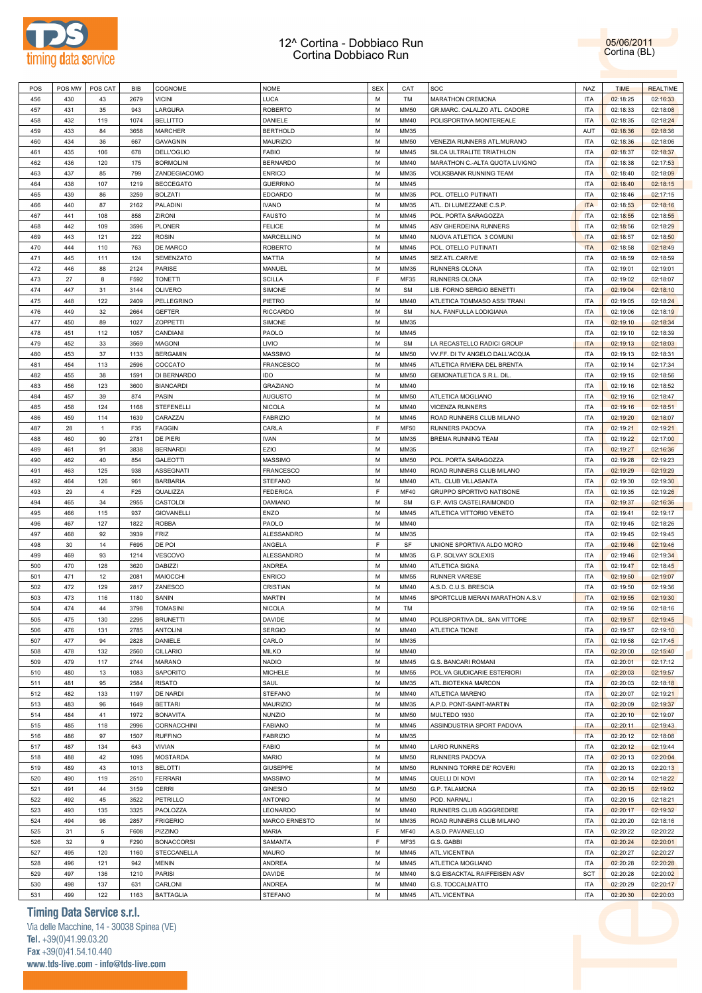



| POS | POS MW | POS CAT      | <b>BIB</b> | COGNOME           | <b>NOME</b>      | <b>SEX</b>  | CAT         | SOC                              | NAZ        | <b>TIME</b> | <b>REALTIME</b> |
|-----|--------|--------------|------------|-------------------|------------------|-------------|-------------|----------------------------------|------------|-------------|-----------------|
| 456 | 430    | 43           | 2679       | <b>VICINI</b>     | LUCA             | М           | TM          | <b>MARATHON CREMONA</b>          | <b>ITA</b> | 02:18:25    | 02:16:33        |
| 457 | 431    | 35           | 943        | LARGURA           | <b>ROBERTO</b>   | M           | MM50        |                                  | <b>ITA</b> |             |                 |
|     |        |              |            |                   |                  |             |             | GR.MARC. CALALZO ATL. CADORE     |            | 02:18:33    | 02:18:08        |
| 458 | 432    | 119          | 1074       | <b>BELLITTO</b>   | DANIELE          | М           | MM40        | POLISPORTIVA MONTEREALE          | <b>ITA</b> | 02:18:35    | 02:18:24        |
| 459 | 433    | 84           | 3658       | MARCHER           | <b>BERTHOLD</b>  | M           | MM35        |                                  | AUT        | 02:18:36    | 02:18:36        |
| 460 | 434    | 36           | 667        | GAVAGNIN          | <b>MAURIZIO</b>  | М           | MM50        | VENEZIA RUNNERS ATL.MURANO       | <b>ITA</b> | 02:18:36    | 02:18:06        |
| 461 | 435    | 106          | 678        | <b>DELL'OGLIO</b> | <b>FABIO</b>     | M           | MM45        | SILCA ULTRALITE TRIATHLON        | <b>ITA</b> | 02:18:37    | 02:18:37        |
|     |        |              |            |                   |                  |             |             |                                  |            |             |                 |
| 462 | 436    | 120          | 175        | <b>BORMOLINI</b>  | <b>BERNARDO</b>  | М           | MM40        | MARATHON C .- ALTA QUOTA LIVIGNO | <b>ITA</b> | 02:18:38    | 02:17:53        |
| 463 | 437    | 85           | 799        | ZANDEGIACOMO      | <b>ENRICO</b>    | M           | MM35        | VOLKSBANK RUNNING TEAM           | <b>ITA</b> | 02:18:40    | 02:18:09        |
| 464 | 438    | 107          | 1219       | <b>BECCEGATO</b>  | <b>GUERRINO</b>  | М           | MM45        |                                  | <b>ITA</b> | 02:18:40    | 02:18:15        |
| 465 | 439    | 86           | 3259       | <b>BOLZATI</b>    | <b>EDOARDO</b>   | M           | MM35        | POL. OTELLO PUTINATI             | <b>ITA</b> | 02:18:46    | 02:17:15        |
| 466 | 440    | 87           | 2162       | PALADINI          | <b>IVANO</b>     | М           | MM35        | ATL. DI LUMEZZANE C.S.P.         | <b>ITA</b> | 02:18:53    | 02:18:16        |
|     |        |              |            |                   |                  |             |             |                                  |            |             |                 |
| 467 | 441    | 108          | 858        | ZIRONI            | <b>FAUSTO</b>    | M           | MM45        | POL. PORTA SARAGOZZA             | <b>ITA</b> | 02:18:55    | 02:18:55        |
| 468 | 442    | 109          | 3596       | <b>PLONER</b>     | <b>FELICE</b>    | М           | MM45        | ASV GHERDEINA RUNNERS            | <b>ITA</b> | 02:18:56    | 02:18:29        |
| 469 | 443    | 121          | 222        | <b>ROSIN</b>      | MARCELLINO       | M           | MM40        | NUOVA ATLETICA 3 COMUNI          | <b>ITA</b> | 02:18:57    | 02:18:50        |
| 470 | 444    | 110          | 763        | DE MARCO          | <b>ROBERTO</b>   | М           | MM45        | POL. OTELLO PUTINATI             | <b>ITA</b> | 02:18:58    | 02:18:49        |
| 471 | 445    | 111          | 124        | SEMENZATO         | <b>MATTIA</b>    | M           | MM45        | SEZ.ATL.CARIVE                   | <b>ITA</b> | 02:18:59    | 02:18:59        |
|     |        |              |            |                   |                  |             |             |                                  |            |             |                 |
| 472 | 446    | 88           | 2124       | PARISE            | MANUEL           | М           | MM35        | RUNNERS OLONA                    | <b>ITA</b> | 02:19:01    | 02:19:01        |
| 473 | 27     | 8            | F592       | <b>TONETTI</b>    | <b>SCILLA</b>    | F           | MF35        | RUNNERS OLONA                    | <b>ITA</b> | 02:19:02    | 02:18:07        |
| 474 | 447    | 31           | 3144       | OLIVERO           | SIMONE           | М           | <b>SM</b>   | LIB. FORNO SERGIO BENETTI        | <b>ITA</b> | 02:19:04    | 02:18:10        |
| 475 | 448    | 122          | 2409       | PELLEGRINO        | PIETRO           | M           | MM40        | ATLETICA TOMMASO ASSI TRANI      | <b>ITA</b> | 02:19:05    | 02:18:24        |
|     |        |              | 2664       |                   |                  | М           |             |                                  |            |             |                 |
| 476 | 449    | 32           |            | GEFTER            | <b>RICCARDO</b>  |             | <b>SM</b>   | N.A. FANFULLA LODIGIANA          | <b>ITA</b> | 02:19:06    | 02:18:19        |
| 477 | 450    | 89           | 1027       | <b>ZOPPETTI</b>   | SIMONE           | M           | MM35        |                                  | <b>ITA</b> | 02:19:10    | 02:18:34        |
| 478 | 451    | 112          | 1057       | CANDIANI          | PAOLO            | М           | MM45        |                                  | <b>ITA</b> | 02:19:10    | 02:18:39        |
| 479 | 452    | 33           | 3569       | MAGONI            | LIVIO            | M           | <b>SM</b>   | LA RECASTELLO RADICI GROUP       | <b>ITA</b> | 02:19:13    | 02:18:03        |
| 480 | 453    | 37           | 1133       | <b>BERGAMIN</b>   | <b>MASSIMO</b>   | М           | MM50        | VV.FF. DI TV ANGELO DALL'ACQUA   | <b>ITA</b> | 02:19:13    | 02:18:31        |
|     |        |              |            |                   |                  |             |             |                                  |            |             |                 |
| 481 | 454    | 113          | 2596       | COCCATO           | <b>FRANCESCO</b> | M           | MM45        | ATLETICA RIVIERA DEL BRENTA      | <b>ITA</b> | 02:19:14    | 02:17:34        |
| 482 | 455    | 38           | 1591       | DI BERNARDO       | IDO              | M           | MM50        | GEMONATLETICA S.R.L. DIL.        | <b>ITA</b> | 02:19:15    | 02:18:56        |
| 483 | 456    | 123          | 3600       | <b>BIANCARDI</b>  | <b>GRAZIANO</b>  | M           | MM40        |                                  | <b>ITA</b> | 02:19:16    | 02:18:52        |
| 484 | 457    | 39           | 874        | PASIN             | <b>AUGUSTO</b>   | М           | MM50        | ATLETICA MOGLIANO                | <b>ITA</b> | 02:19:16    | 02:18:47        |
| 485 | 458    | 124          | 1168       | STEFENELLI        | <b>NICOLA</b>    | M           | MM40        | <b>VICENZA RUNNERS</b>           | <b>ITA</b> | 02:19:16    | 02:18:51        |
|     |        |              |            |                   |                  |             |             |                                  |            |             |                 |
| 486 | 459    | 114          | 1639       | CARAZZAI          | <b>FABRIZIO</b>  | М           | MM45        | ROAD RUNNERS CLUB MILANO         | <b>ITA</b> | 02:19:20    | 02:18:07        |
| 487 | 28     | $\mathbf{1}$ | F35        | <b>FAGGIN</b>     | CARLA            | F           | MF50        | RUNNERS PADOVA                   | <b>ITA</b> | 02:19:21    | 02:19:21        |
| 488 | 460    | 90           | 2781       | DE PIERI          | <b>IVAN</b>      | М           | MM35        | BREMA RUNNING TEAM               | <b>ITA</b> | 02:19:22    | 02:17:00        |
| 489 | 461    | 91           | 3838       | <b>BERNARDI</b>   | EZIO             | M           | MM35        |                                  | <b>ITA</b> | 02:19:27    | 02:16:36        |
|     | 462    |              | 854        |                   |                  | М           | <b>MM50</b> |                                  | <b>ITA</b> |             |                 |
| 490 |        | 40           |            | GALEOTTI          | <b>MASSIMO</b>   |             |             | POL. PORTA SARAGOZZA             |            | 02:19:28    | 02:19:23        |
| 491 | 463    | 125          | 938        | ASSEGNATI         | <b>FRANCESCO</b> | M           | MM40        | ROAD RUNNERS CLUB MILANO         | <b>ITA</b> | 02:19:29    | 02:19:29        |
| 492 | 464    | 126          | 961        | <b>BARBARIA</b>   | <b>STEFANO</b>   | М           | MM40        | ATL. CLUB VILLASANTA             | <b>ITA</b> | 02:19:30    | 02:19:30        |
| 493 | 29     | 4            | F25        | QUALIZZA          | <b>FEDERICA</b>  | $\mathsf F$ | MF40        | GRUPPO SPORTIVO NATISONE         | <b>ITA</b> | 02:19:35    | 02:19:26        |
| 494 | 465    | 34           | 2955       | CASTOLDI          | DAMIANO          | М           | <b>SM</b>   | G.P. AVIS CASTELRAIMONDO         | <b>ITA</b> | 02:19:37    | 02:16:36        |
|     |        |              |            |                   |                  | M           |             |                                  |            |             |                 |
| 495 | 466    | 115          | 937        | GIOVANELLI        | ENZO             |             | MM45        | ATLETICA VITTORIO VENETO         | <b>ITA</b> | 02:19:41    | 02:19:17        |
| 496 | 467    | 127          | 1822       | <b>ROBBA</b>      | PAOLO            | М           | MM40        |                                  | <b>ITA</b> | 02:19:45    | 02:18:26        |
| 497 | 468    | 92           | 3939       | FRIZ              | ALESSANDRO       | M           | MM35        |                                  | <b>ITA</b> | 02:19:45    | 02:19:45        |
| 498 | 30     | 14           | F695       | DE POI            | ANGELA           | E           | SF          | UNIONE SPORTIVA ALDO MORO        | <b>ITA</b> | 02:19:46    | 02:19:46        |
| 499 | 469    | 93           | 1214       | VESCOVO           | ALESSANDRO       | M           | MM35        | G.P. SOLVAY SOLEXIS              | <b>ITA</b> | 02:19:46    | 02:19:34        |
|     |        |              |            |                   |                  |             |             |                                  |            |             |                 |
| 500 | 470    | 128          | 3620       | <b>DABIZZI</b>    | ANDREA           | М           | MM40        | ATLETICA SIGNA                   | <b>ITA</b> | 02:19:47    | 02:18:45        |
| 501 | 471    | 12           | 2081       | MAIOCCHI          | <b>ENRICO</b>    | M           | MM55        | RUNNER VARESE                    | <b>ITA</b> | 02:19:50    | 02:19:07        |
| 502 | 472    | 129          | 2817       | ZANESCO           | CRISTIAN         | М           | MM40        | A.S.D. C.U.S. BRESCIA            | <b>ITA</b> | 02:19:50    | 02:19:36        |
| 503 | 473    | 116          | 1180       | SANIN             | <b>MARTIN</b>    | M           | MM45        | SPORTCLUB MERAN MARATHON A.S.V   | <b>ITA</b> | 02:19:55    | 02:19:30        |
| 504 | 474    | 44           | 3798       | <b>TOMASINI</b>   |                  | M           | TM          |                                  | <b>ITA</b> | 02:19:56    | 02:18:16        |
|     |        |              |            |                   | <b>NICOLA</b>    |             |             |                                  |            |             |                 |
| 505 | 475    | 130          | 2295       | <b>BRUNETTI</b>   | DAVIDE           | м           | MM40        | POLISPORTIVA DIL. SAN VITTORE    | ITA        | 02:19:57    | 02:19:45        |
| 506 | 476    | 131          | 2785       | <b>ANTOLINI</b>   | <b>SERGIO</b>    | M           | MM40        | ATLETICA TIONE                   | <b>ITA</b> | 02:19:57    | 02:19:10        |
| 507 | 477    | 94           | 2828       | DANIELE           | CARLO            | M           | MM35        |                                  | <b>ITA</b> | 02:19:58    | 02:17:45        |
| 508 | 478    | 132          | 2560       | CILLARIO          | <b>MILKO</b>     | М           | MM40        |                                  | <b>ITA</b> | 02:20:00    | 02:15:40        |
| 509 | 479    | 117          | 2744       | MARANO            | <b>NADIO</b>     | M           | MM45        | G.S. BANCARI ROMANI              | <b>ITA</b> | 02:20:01    | 02:17:12        |
|     |        |              |            |                   |                  |             |             |                                  |            |             |                 |
| 510 | 480    | 13           | 1083       | SAPORITO          | <b>MICHELE</b>   | M           | MM55        | POL.VA GIUDICARIE ESTERIORI      | <b>ITA</b> | 02:20:03    | 02:19:57        |
| 511 | 481    | 95           | 2584       | <b>RISATO</b>     | SAUL             | M           | MM35        | ATL.BIOTEKNA MARCON              | <b>ITA</b> | 02:20:03    | 02:18:18        |
| 512 | 482    | 133          | 1197       | DE NARDI          | <b>STEFANO</b>   | M           | MM40        | ATLETICA MARENO                  | <b>ITA</b> | 02:20:07    | 02:19:21        |
| 513 | 483    | 96           | 1649       | <b>BETTARI</b>    | MAURIZIO         | M           | MM35        | A.P.D. PONT-SAINT-MARTIN         | <b>ITA</b> | 02:20:09    | 02:19:37        |
|     |        |              |            |                   |                  | M           |             |                                  |            |             |                 |
| 514 | 484    | 41           | 1972       | <b>BONAVITA</b>   | <b>NUNZIO</b>    |             | MM50        | MULTEDO 1930                     | <b>ITA</b> | 02:20:10    | 02:19:07        |
| 515 | 485    | 118          | 2996       | CORNACCHINI       | <b>FABIANO</b>   | M           | MM45        | ASSINDUSTRIA SPORT PADOVA        | <b>ITA</b> | 02:20:11    | 02:19:43        |
| 516 | 486    | 97           | 1507       | <b>RUFFINO</b>    | <b>FABRIZIO</b>  | M           | MM35        |                                  | <b>ITA</b> | 02:20:12    | 02:18:08        |
| 517 | 487    | 134          | 643        | <b>VIVIAN</b>     | <b>FABIO</b>     | M           | MM40        | <b>LARIO RUNNERS</b>             | <b>ITA</b> | 02:20:12    | 02:19:44        |
| 518 | 488    | 42           | 1095       | <b>MOSTARDA</b>   | <b>MARIO</b>     | M           | MM50        | RUNNERS PADOVA                   | <b>ITA</b> | 02:20:13    | 02:20:04        |
|     |        |              |            |                   |                  |             |             |                                  |            |             |                 |
| 519 | 489    | 43           | 1013       | <b>BELOTTI</b>    | <b>GIUSEPPE</b>  | M           | MM50        | RUNNING TORRE DE' ROVERI         | <b>ITA</b> | 02:20:13    | 02:20:13        |
| 520 | 490    | 119          | 2510       | <b>FERRARI</b>    | <b>MASSIMO</b>   | M           | MM45        | QUELLI DI NOVI                   | <b>ITA</b> | 02:20:14    | 02:18:22        |
| 521 | 491    | 44           | 3159       | <b>CERRI</b>      | GINESIO          | M           | MM50        | G.P. TALAMONA                    | <b>ITA</b> | 02:20:15    | 02:19:02        |
| 522 | 492    | 45           | 3522       | PETRILLO          | <b>ANTONIO</b>   | M           | MM50        | POD. NARNALI                     | <b>ITA</b> | 02:20:15    | 02:18:21        |
| 523 | 493    | 135          | 3325       | PAOLOZZA          | LEONARDO         | M           | MM40        | RUNNERS CLUB AGGGREDIRE          | <b>ITA</b> | 02:20:17    | 02:19:32        |
|     |        |              |            |                   |                  |             |             |                                  |            |             |                 |
| 524 | 494    | 98           | 2857       | <b>FRIGERIO</b>   | MARCO ERNESTO    | M           | MM35        | ROAD RUNNERS CLUB MILANO         | <b>ITA</b> | 02:20:20    | 02:18:16        |
| 525 | 31     | 5            | F608       | PIZZINO           | <b>MARIA</b>     | F           | <b>MF40</b> | A.S.D. PAVANELLO                 | <b>ITA</b> | 02:20:22    | 02:20:22        |
| 526 | 32     | 9            | F290       | <b>BONACCORSI</b> | SAMANTA          | F           | MF35        | G.S. GABBI                       | <b>ITA</b> | 02:20:24    | 02:20:01        |
| 527 | 495    | 120          | 1160       | STECCANELLA       | <b>MAURO</b>     | M           | MM45        | ATL.VICENTINA                    | <b>ITA</b> | 02:20:27    | 02:20:27        |
|     |        |              |            |                   |                  |             |             |                                  |            |             |                 |
| 528 | 496    | 121          | 942        | <b>MENIN</b>      | <b>ANDREA</b>    | M           | MM45        | ATLETICA MOGLIANO                | <b>ITA</b> | 02:20:28    | 02:20:28        |
| 529 | 497    | 136          | 1210       | <b>PARISI</b>     | <b>DAVIDE</b>    | M           | MM40        | S.G EISACKTAL RAIFFEISEN ASV     | <b>SCT</b> | 02:20:28    | 02:20:02        |
| 530 | 498    | 137          | 631        | CARLONI           | ANDREA           | M           | MM40        | G.S. TOCCALMATTO                 | <b>ITA</b> | 02:20:29    | 02:20:17        |
| 531 | 499    | 122          | 1163       | <b>BATTAGLIA</b>  | <b>STEFANO</b>   | M           | MM45        | ATL.VICENTINA                    | <b>ITA</b> | 02:20:30    | 02:20:03        |

### **Timing Data Service s.r.l.**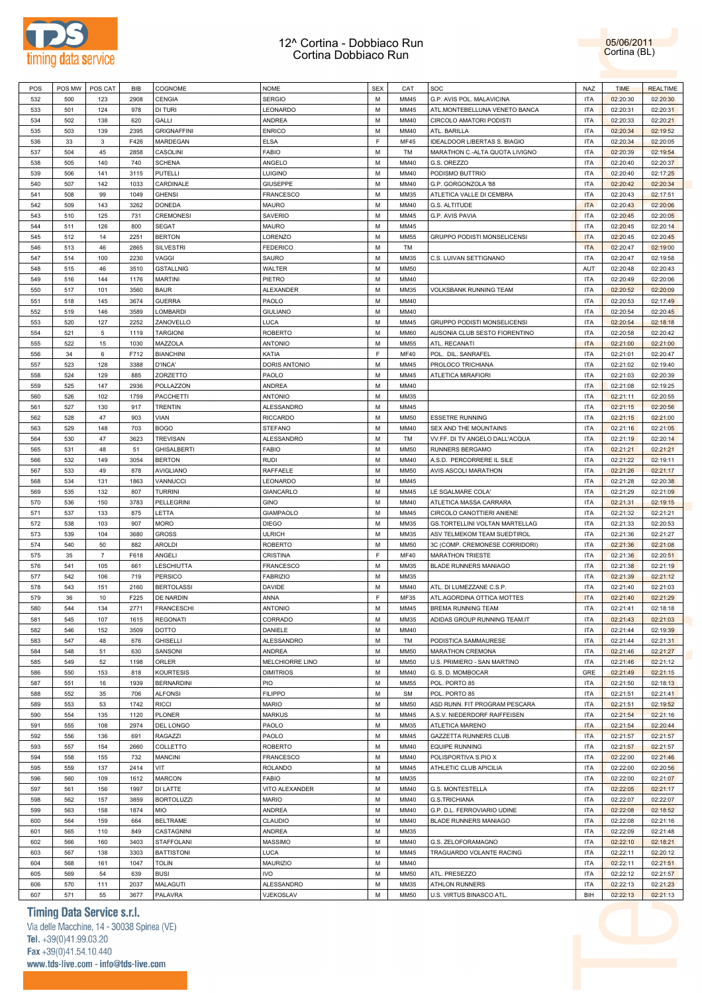



| POS | POS MW | POS CAT        | <b>BIB</b> | COGNOME            | <b>NOME</b>      | <b>SEX</b> | CAT         | SOC                                | <b>NAZ</b> | <b>TIME</b> | <b>REALTIME</b> |
|-----|--------|----------------|------------|--------------------|------------------|------------|-------------|------------------------------------|------------|-------------|-----------------|
|     |        |                |            |                    | <b>SERGIO</b>    |            |             |                                    |            |             |                 |
| 532 | 500    | 123            | 2908       | <b>CENGIA</b>      |                  | M          | MM45        | G.P. AVIS POL. MALAVICINA          | <b>ITA</b> | 02:20:30    | 02:20:30        |
| 533 | 501    | 124            | 978        | DI TURI            | LEONARDO         | M          | MM45        | ATL.MONTEBELLUNA VENETO BANCA      | ITA        | 02:20:31    | 02:20:31        |
| 534 | 502    | 138            | 620        | GALLI              | <b>ANDREA</b>    | M          | MM40        | CIRCOLO AMATORI PODISTI            | <b>ITA</b> | 02:20:33    | 02:20:21        |
| 535 | 503    | 139            | 2395       | <b>GRIGNAFFINI</b> | <b>ENRICO</b>    | м          | MM40        | ATL. BARILLA                       | ITA        | 02:20:34    | 02:19:52        |
| 536 | 33     | $\mathbf{3}$   | F426       | MARDEGAN           | <b>ELSA</b>      | F          | MF45        | IDEALDOOR LIBERTAS S. BIAGIO       | <b>ITA</b> | 02:20:34    | 02:20:05        |
|     |        |                |            |                    |                  |            |             |                                    |            |             |                 |
| 537 | 504    | 45             | 2858       | CASOLINI           | <b>FABIO</b>     | M          | TM          | MARATHON C .- ALTA QUOTA LIVIGNO   | ITA        | 02:20:39    | 02:19:54        |
| 538 | 505    | 140            | 740        | <b>SCHENA</b>      | ANGELO           | M          | MM40        | G.S. OREZZO                        | <b>ITA</b> | 02:20:40    | 02:20:37        |
| 539 | 506    | 141            | 3115       | <b>PUTELLI</b>     | <b>LUIGINO</b>   | M          | MM40        | PODISMO BUTTRIO                    | <b>ITA</b> | 02:20:40    | 02:17:25        |
| 540 | 507    | 142            | 1033       | CARDINALE          | <b>GIUSEPPE</b>  | M          | MM40        | G.P. GORGONZOLA '88                | <b>ITA</b> | 02:20:42    | 02:20:34        |
| 541 | 508    | 99             | 1049       | <b>GHENSI</b>      | <b>FRANCESCO</b> | M          | MM35        | ATLETICA VALLE DI CEMBRA           | <b>ITA</b> | 02:20:43    | 02:17:51        |
|     |        |                |            |                    |                  |            |             |                                    |            |             |                 |
| 542 | 509    | 143            | 3262       | <b>DONEDA</b>      | <b>MAURO</b>     | M          | MM40        | G.S. ALTITUDE                      | <b>ITA</b> | 02:20:43    | 02:20:06        |
| 543 | 510    | 125            | 731        | <b>CREMONESI</b>   | SAVERIO          | M          | MM45        | G.P. AVIS PAVIA                    | <b>ITA</b> | 02:20:45    | 02:20:05        |
| 544 | 511    | 126            | 800        | <b>SEGAT</b>       | <b>MAURO</b>     | M          | MM45        |                                    | <b>ITA</b> | 02:20:45    | 02:20:14        |
| 545 | 512    | 14             | 2251       | <b>BERTON</b>      | LORENZO          | M          | <b>MM55</b> | GRUPPO PODISTI MONSELICENSI        | <b>ITA</b> | 02:20:45    | 02:20:45        |
| 546 | 513    | 46             | 2865       | <b>SILVESTRI</b>   | <b>FEDERICO</b>  | M          | TM          |                                    | <b>ITA</b> | 02:20:47    | 02:19:00        |
|     |        |                |            |                    |                  |            |             |                                    |            |             |                 |
| 547 | 514    | 100            | 2230       | VAGGI              | SAURO            | м          | MM35        | C.S. LUIVAN SETTIGNANO             | <b>ITA</b> | 02:20:47    | 02:19:58        |
| 548 | 515    | 46             | 3510       | <b>GSTALLNIG</b>   | <b>WALTER</b>    | M          | <b>MM50</b> |                                    | AUT        | 02:20:48    | 02:20:43        |
| 549 | 516    | 144            | 1176       | <b>MARTINI</b>     | PIETRO           | M          | MM40        |                                    | <b>ITA</b> | 02:20:49    | 02:20:06        |
| 550 | 517    | 101            | 3560       | <b>BAUR</b>        | ALEXANDER        | M          | MM35        | VOLKSBANK RUNNING TEAM             | <b>ITA</b> | 02:20:52    | 02:20:09        |
| 551 | 518    | 145            | 3674       | <b>GUERRA</b>      | PAOLO            | M          | MM40        |                                    | <b>ITA</b> | 02:20:53    | 02:17:49        |
| 552 | 519    |                | 3589       | LOMBARDI           | <b>GIULIANO</b>  | M          | MM40        |                                    | <b>ITA</b> | 02:20:54    |                 |
|     |        | 146            |            |                    |                  |            |             |                                    |            |             | 02:20:45        |
| 553 | 520    | 127            | 2252       | ZANOVELLO          | LUCA             | M          | MM45        | <b>GRUPPO PODISTI MONSELICENSI</b> | <b>ITA</b> | 02:20:54    | 02:18:18        |
| 554 | 521    | 5              | 1119       | <b>TARGIONI</b>    | <b>ROBERTO</b>   | M          | <b>MM60</b> | AUSONIA CLUB SESTO FIORENTINO      | <b>ITA</b> | 02:20:58    | 02:20:42        |
| 555 | 522    | 15             | 1030       | MAZZOLA            | <b>ANTONIO</b>   | M          | <b>MM55</b> | ATL. RECANATI                      | <b>ITA</b> | 02:21:00    | 02:21:00        |
| 556 | 34     | 6              | F712       | <b>BIANCHINI</b>   | KATIA            | F          | <b>MF40</b> | POL. DIL. SANRAFEL                 | <b>ITA</b> | 02:21:01    | 02:20:47        |
|     |        |                |            |                    |                  |            |             |                                    |            |             |                 |
| 557 | 523    | 128            | 3388       | D'INCA'            | DORIS ANTONIO    | M          | MM45        | PROLOCO TRICHIANA                  | <b>ITA</b> | 02:21:02    | 02:19:40        |
| 558 | 524    | 129            | 885        | ZORZETTO           | PAOLO            | M          | MM45        | <b>ATLETICA MIRAFIORI</b>          | <b>ITA</b> | 02:21:03    | 02:20:39        |
| 559 | 525    | 147            | 2936       | POLLAZZON          | ANDREA           | M          | MM40        |                                    | <b>ITA</b> | 02:21:08    | 02:19:25        |
| 560 | 526    | 102            | 1759       | <b>PACCHETTI</b>   | <b>ANTONIO</b>   | M          | MM35        |                                    | <b>ITA</b> | 02:21:11    | 02:20:55        |
| 561 | 527    | 130            | 917        | <b>TRENTIN</b>     | ALESSANDRO       | M          | MM45        |                                    | <b>ITA</b> | 02:21:15    | 02:20:56        |
|     |        |                |            |                    |                  |            |             |                                    |            |             |                 |
| 562 | 528    | 47             | 903        | VIAN               | <b>RICCARDO</b>  | M          | <b>MM50</b> | <b>ESSETRE RUNNING</b>             | <b>ITA</b> | 02:21:15    | 02:21:00        |
| 563 | 529    | 148            | 703        | <b>BOGO</b>        | STEFANO          | M          | MM40        | SEX AND THE MOUNTAINS              | <b>ITA</b> | 02:21:16    | 02:21:05        |
| 564 | 530    | 47             | 3623       | <b>TREVISAN</b>    | ALESSANDRO       | M          | TM          | VV.FF. DI TV ANGELO DALL'ACQUA     | <b>ITA</b> | 02:21:19    | 02:20:14        |
| 565 | 531    | 48             | 51         | <b>GHISALBERTI</b> | <b>FABIO</b>     | M          | <b>MM50</b> | <b>RUNNERS BERGAMO</b>             | <b>ITA</b> | 02:21:21    | 02:21:21        |
| 566 | 532    | 149            | 3054       | <b>BERTON</b>      | <b>RUDI</b>      | M          | MM40        | A.S.D. PERCORRERE IL SILE          | <b>ITA</b> | 02:21:22    | 02:19:11        |
|     |        |                |            |                    |                  |            |             |                                    |            |             |                 |
| 567 | 533    | 49             | 878        | AVIGLIANO          | RAFFAELE         | M          | <b>MM50</b> | AVIS ASCOLI MARATHON               | <b>ITA</b> | 02:21:26    | 02:21:17        |
| 568 | 534    | 131            | 1863       | VANNUCCI           | LEONARDO         | M          | MM45        |                                    | <b>ITA</b> | 02:21:28    | 02:20:38        |
| 569 | 535    | 132            | 807        | <b>TURRINI</b>     | GIANCARLO        | M          | MM45        | LE SGALMARE COLA'                  | <b>ITA</b> | 02:21:29    | 02:21:09        |
| 570 | 536    | 150            | 3783       | PELLEGRINI         | <b>GINO</b>      | M          | MM40        | ATLETICA MASSA CARRARA             | <b>ITA</b> | 02:21:31    | 02:19:15        |
| 571 | 537    | 133            | 875        | LETTA              | <b>GIAMPAOLO</b> | M          | MM45        | CIRCOLO CANOTTIERI ANIENE          | <b>ITA</b> | 02:21:32    | 02:21:21        |
|     |        |                |            | <b>MORO</b>        |                  |            |             |                                    |            |             |                 |
| 572 | 538    | 103            | 907        |                    | <b>DIEGO</b>     | M          | MM35        | GS.TORTELLINI VOLTAN MARTELLAG     | <b>ITA</b> | 02:21:33    | 02:20:53        |
| 573 | 539    | 104            | 3680       | <b>GROSS</b>       | <b>ULRICH</b>    | M          | MM35        | ASV TELMEKOM TEAM SUEDTIROL        | <b>ITA</b> | 02:21:36    | 02:21:27        |
| 574 | 540    | 50             | 882        | <b>AROLDI</b>      | <b>ROBERTO</b>   | M          | <b>MM50</b> | 3C (COMP. CREMONESE CORRIDORI)     | <b>ITA</b> | 02:21:36    | 02:21:08        |
| 575 | 35     | $\overline{7}$ | F618       | ANGELI             | CRISTINA         | F          | MF40        | <b>MARATHON TRIESTE</b>            | <b>ITA</b> | 02:21:36    | 02:20:51        |
| 576 | 541    | 105            | 661        | LESCHIUTTA         | <b>FRANCESCO</b> | M          | MM35        | <b>BLADE RUNNERS MANIAGO</b>       | <b>ITA</b> | 02:21:38    | 02:21:19        |
|     |        |                |            |                    |                  |            |             |                                    |            |             |                 |
| 577 | 542    | 106            | 719        | <b>PERSICO</b>     | <b>FABRIZIO</b>  | м          | MM35        |                                    | ITA        | 02:21:39    | 02:21:12        |
| 578 | 543    | 151            | 2160       | <b>BERTOLASSI</b>  | <b>DAVIDE</b>    | M          | MM40        | ATL. DI LUMEZZANE C.S.P.           | <b>ITA</b> | 02:21:40    | 02:21:03        |
| 579 | 36     | 10             | F225       | DE NARDIN          | ANNA             | F          | MF35        | ATL.AGORDINA OTTICA MOTTES         | <b>ITA</b> | 02:21:40    | 02:21:29        |
| 580 | 544    | 134            | 2771       | <b>FRANCESCHI</b>  | <b>ANTONIO</b>   | M          | MM45        | <b>BREMA RUNNING TEAM</b>          | <b>ITA</b> | 02:21:41    | 02:18:18        |
| 581 | 545    | 107            | 1615       | <b>REGONATI</b>    | CORRADO          | M          | MM35        | ADIDAS GROUP RUNNING TEAM.IT       | <b>ITA</b> | 02:21:43    | 02:21:03        |
|     |        |                | 3509       |                    | DANIELE          | М          | MM40        |                                    |            |             |                 |
| 582 | 546    | 152            |            | DOTTO              |                  |            |             |                                    | <b>ITA</b> | 02:21:44    | 02:19:39        |
| 583 | 547    | 48             | 676        | <b>GHISELLI</b>    | ALESSANDRO       | М          | TM          | PODISTICA SAMMAURESE               | <b>ITA</b> | 02:21:44    | 02:21:31        |
| 584 | 548    | 51             | 630        | SANSONI            | ANDREA           | M          | <b>MM50</b> | <b>MARATHON CREMONA</b>            | <b>ITA</b> | 02:21:46    | 02:21:27        |
| 585 | 549    | 52             | 1198       | ORLER              | MELCHIORRE LINO  | M          | <b>MM50</b> | U.S. PRIMIERO - SAN MARTINO        | <b>ITA</b> | 02:21:46    | 02:21:12        |
| 586 | 550    | 153            | 818        | <b>KOURTESIS</b>   | <b>DIMITRIOS</b> | M          | MM40        | G. S. D. MOMBOCAR                  | GRE        | 02:21:49    | 02:21:15        |
| 587 | 551    | 16             | 1939       | <b>BERNARDINI</b>  | <b>PIO</b>       | M          | MM55        | POL. PORTO 85                      | <b>ITA</b> | 02:21:50    | 02:18:13        |
|     |        |                |            |                    |                  |            |             |                                    |            |             |                 |
| 588 | 552    | 35             | 706        | <b>ALFONSI</b>     | <b>FILIPPO</b>   | M          | <b>SM</b>   | POL. PORTO 85                      | <b>ITA</b> | 02:21:51    | 02:21:41        |
| 589 | 553    | 53             | 1742       | <b>RICCI</b>       | <b>MARIO</b>     | M          | <b>MM50</b> | ASD RUNN. FIT PROGRAM PESCARA      | <b>ITA</b> | 02:21:51    | 02:19:52        |
| 590 | 554    | 135            | 1120       | <b>PLONER</b>      | <b>MARKUS</b>    | M          | MM45        | A.S.V. NIEDERDORF RAIFFEISEN       | <b>ITA</b> | 02:21:54    | 02:21:16        |
| 591 | 555    | 108            | 2974       | DEL LONGO          | PAOLO            | М          | MM35        | ATLETICA MARENO                    | <b>ITA</b> | 02:21:54    | 02:20:44        |
| 592 | 556    | 136            | 691        | <b>RAGAZZI</b>     | PAOLO            | M          | MM45        | <b>GAZZETTA RUNNERS CLUB</b>       | <b>ITA</b> | 02:21:57    | 02:21:57        |
|     |        |                |            |                    |                  |            |             |                                    |            |             |                 |
| 593 | 557    | 154            | 2660       | COLLETTO           | ROBERTO          | M          | MM40        | <b>EQUIPE RUNNING</b>              | <b>ITA</b> | 02:21:57    | 02:21:57        |
| 594 | 558    | 155            | 732        | <b>MANCINI</b>     | FRANCESCO        | М          | MM40        | POLISPORTIVA S.PIO X               | <b>ITA</b> | 02:22:00    | 02:21:46        |
| 595 | 559    | 137            | 2414       | VIT                | ROLANDO          | М          | MM45        | ATHLETIC CLUB APICILIA             | <b>ITA</b> | 02:22:00    | 02:20:56        |
| 596 | 560    | 109            | 1612       | <b>MARCON</b>      | <b>FABIO</b>     | М          | MM35        |                                    | <b>ITA</b> | 02:22:00    | 02:21:07        |
|     |        |                |            |                    |                  | М          |             |                                    |            |             |                 |
| 597 | 561    | 156            | 1997       | DI LATTE           | VITO ALEXANDER   |            | MM40        | G.S. MONTESTELLA                   | <b>ITA</b> | 02:22:05    | 02:21:17        |
| 598 | 562    | 157            | 3859       | <b>BORTOLUZZI</b>  | <b>MARIO</b>     | М          | MM40        | <b>G.S.TRICHIANA</b>               | <b>ITA</b> | 02:22:07    | 02:22:07        |
| 599 | 563    | 158            | 1874       | <b>MIO</b>         | ANDREA           | М          | MM40        | G.P. D.L. FERROVIARIO UDINE        | <b>ITA</b> | 02:22:08    | 02:18:52        |
| 600 | 564    | 159            | 664        | <b>BELTRAME</b>    | CLAUDIO          | М          | MM40        | BLADE RUNNERS MANIAGO              | <b>ITA</b> | 02:22:08    | 02:21:16        |
| 601 | 565    | 110            | 849        | CASTAGNINI         | ANDREA           | M          | MM35        |                                    | <b>ITA</b> | 02:22:09    | 02:21:48        |
|     | 566    |                | 3403       |                    | MASSIMO          | M          | MM40        |                                    | <b>ITA</b> |             |                 |
| 602 |        | 160            |            | STAFFOLANI         |                  |            |             | G.S. ZELOFORAMAGNO                 |            | 02:22:10    | 02:18:21        |
| 603 | 567    | 138            | 3303       | <b>BATTISTONI</b>  | LUCA             | М          | MM45        | TRAGUARDO VOLANTE RACING           | <b>ITA</b> | 02:22:11    | 02:20:12        |
| 604 | 568    | 161            | 1047       | <b>TOLIN</b>       | <b>MAURIZIO</b>  | M          | MM40        |                                    | <b>ITA</b> | 02:22:11    | 02:21:51        |
| 605 | 569    | 54             | 639        | <b>BUSI</b>        | IVO              | М          | <b>MM50</b> | ATL. PRESEZZO                      | <b>ITA</b> | 02:22:12    | 02:21:57        |
| 606 | 570    | 111            | 2037       | MALAGUTI           | ALESSANDRO       | М          | MM35        | <b>ATHLON RUNNERS</b>              | <b>ITA</b> | 02:22:13    | 02:21:23        |
|     |        |                |            |                    |                  |            |             |                                    |            |             |                 |
| 607 | 571    | 55             | 3677       | PALAVRA            | VJEKOSLAV        | М          | <b>MM50</b> | U.S. VIRTUS BINASCO ATL.           | BIH        | 02:22:13    | 02:21:13        |

### **Timing Data Service s.r.l.**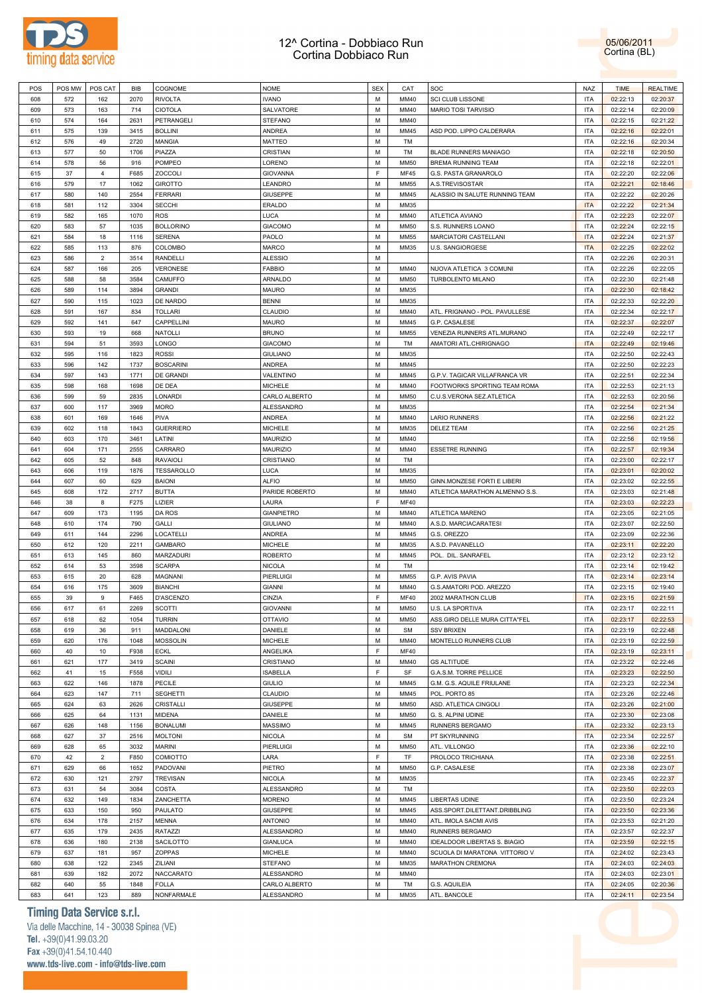



| POS        | POS MW     | POS CAT        | BIB         | COGNOME             | <b>NOME</b>                 | <b>SEX</b>  | CAT         | SOC                            | NAZ                      | <b>TIME</b>          | <b>REALTIME</b>      |
|------------|------------|----------------|-------------|---------------------|-----------------------------|-------------|-------------|--------------------------------|--------------------------|----------------------|----------------------|
| 608        | 572        | 162            | 2070        | <b>RIVOLTA</b>      | <b>IVANO</b>                | М           | MM40        | <b>SCI CLUB LISSONE</b>        | <b>ITA</b>               | 02:22:13             | 02:20:37             |
| 609        | 573        | 163            | 714         | CIOTOLA             | SALVATORE                   | М           | MM40        | <b>MARIO TOSI TARVISIO</b>     | <b>ITA</b>               | 02:22:14             | 02:20:09             |
|            |            |                |             |                     |                             |             |             |                                |                          |                      |                      |
| 610        | 574        | 164            | 2631        | PETRANGELI          | <b>STEFANO</b>              | М           | MM40        |                                | ITA                      | 02:22:15             | 02:21:22             |
| 611        | 575        | 139            | 3415        | <b>BOLLINI</b>      | <b>ANDREA</b>               | M           | MM45        | ASD POD. LIPPO CALDERARA       | <b>ITA</b>               | 02:22:16             | 02:22:01             |
| 612        | 576        | 49             | 2720        | <b>MANGIA</b>       | <b>MATTEO</b>               | М           | TM          |                                | ITA                      | 02:22:16             | 02:20:34             |
| 613        | 577        | 50             | 1706        | PIAZZA              | CRISTIAN                    | M           | TM          | <b>BLADE RUNNERS MANIAGO</b>   | <b>ITA</b>               | 02:22:18             | 02:20:50             |
| 614        | 578        | 56             | 916         | POMPEO              | LORENO                      | М           | <b>MM50</b> | <b>BREMA RUNNING TEAM</b>      | <b>ITA</b>               | 02:22:18             | 02:22:01             |
|            | 37         |                |             |                     |                             | F           |             |                                |                          |                      |                      |
| 615        |            | $\overline{4}$ | F685        | <b>ZOCCOLI</b>      | <b>GIOVANNA</b>             |             | <b>MF45</b> | G.S. PASTA GRANAROLO           | <b>ITA</b>               | 02:22:20             | 02:22:06             |
| 616        | 579        | 17             | 1062        | <b>GIROTTO</b>      | LEANDRO                     | М           | MM55        | A.S.TREVISOSTAR                | <b>ITA</b>               | 02:22:21             | 02:18:46             |
| 617        | 580        | 140            | 2554        | <b>FERRARI</b>      | <b>GIUSEPPE</b>             | M           | MM45        | ALASSIO IN SALUTE RUNNING TEAM | <b>ITA</b>               | 02:22:22             | 02:20:26             |
| 618        | 581        | 112            | 3304        | <b>SECCHI</b>       | <b>ERALDO</b>               | М           | MM35        |                                | <b>ITA</b>               | 02:22:22             | 02:21:34             |
| 619        | 582        | 165            | 1070        | <b>ROS</b>          | <b>LUCA</b>                 | M           | MM40        | ATLETICA AVIANO                | <b>ITA</b>               | 02:22:23             | 02:22:07             |
|            |            |                |             |                     |                             |             |             |                                |                          |                      |                      |
| 620        | 583        | 57             | 1035        | <b>BOLLORINO</b>    | <b>GIACOMO</b>              | М           | <b>MM50</b> | S.S. RUNNERS LOANO             | ITA                      | 02:22:24             | 02:22:15             |
| 621        | 584        | 18             | 1116        | <b>SERENA</b>       | PAOLO                       | M           | MM55        | MARCIATORI CASTELLANI          | <b>ITA</b>               | 02:22:24             | 02:21:37             |
| 622        | 585        | 113            | 876         | COLOMBO             | <b>MARCO</b>                | М           | MM35        | U.S. SANGIORGESE               | <b>ITA</b>               | 02:22:25             | 02:22:02             |
| 623        | 586        | $\overline{2}$ | 3514        | <b>RANDELLI</b>     | <b>ALESSIO</b>              | M           |             |                                | <b>ITA</b>               | 02:22:26             | 02:20:31             |
| 624        | 587        | 166            | 205         | <b>VERONESE</b>     | <b>FABBIO</b>               | М           | MM40        | NUOVA ATLETICA 3 COMUNI        | ITA                      | 02:22:26             | 02:22:05             |
|            |            |                |             |                     |                             |             |             |                                |                          |                      |                      |
| 625        | 588        | 58             | 3584        | CAMUFFO             | ARNALDO                     | M           | <b>MM50</b> | TURBOLENTO MILANO              | <b>ITA</b>               | 02:22:30             | 02:21:48             |
| 626        | 589        | 114            | 3894        | <b>GRANDI</b>       | <b>MAURO</b>                | М           | MM35        |                                | <b>ITA</b>               | 02:22:30             | 02:18:42             |
| 627        | 590        | 115            | 1023        | DE NARDO            | <b>BENNI</b>                | M           | MM35        |                                | <b>ITA</b>               | 02:22:33             | 02:22:20             |
| 628        | 591        | 167            | 834         | <b>TOLLARI</b>      | <b>CLAUDIO</b>              | М           | MM40        | ATL. FRIGNANO - POL. PAVULLESE | <b>ITA</b>               | 02:22:34             | 02:22:17             |
|            |            |                |             |                     |                             | M           |             |                                |                          |                      |                      |
| 629        | 592        | 141            | 647         | CAPPELLINI          | <b>MAURO</b>                |             | MM45        | G.P. CASALESE                  | <b>ITA</b>               | 02:22:37             | 02:22:07             |
| 630        | 593        | 19             | 668         | <b>NATOLLI</b>      | <b>BRUNO</b>                | М           | MM55        | VENEZIA RUNNERS ATL.MURANO     | ITA                      | 02:22:49             | 02:22:17             |
| 631        | 594        | 51             | 3593        | LONGO               | <b>GIACOMO</b>              | M           | TM          | AMATORI ATL.CHIRIGNAGO         | <b>ITA</b>               | 02:22:49             | 02:19:46             |
| 632        | 595        | 116            | 1823        | <b>ROSSI</b>        | <b>GIULIANO</b>             | М           | MM35        |                                | <b>ITA</b>               | 02:22:50             | 02:22:43             |
| 633        | 596        | 142            | 1737        | <b>BOSCARINI</b>    | ANDREA                      | M           | MM45        |                                | <b>ITA</b>               | 02:22:50             | 02:22:23             |
|            |            |                |             |                     |                             |             |             |                                |                          |                      |                      |
| 634        | 597        | 143            | 1771        | DE GRANDI           | VALENTINO                   | М           | MM45        | G.P.V. TAGICAR VILLAFRANCA VR  | ITA                      | 02:22:51             | 02:22:34             |
| 635        | 598        | 168            | 1698        | DE DEA              | <b>MICHELE</b>              | M           | MM40        | FOOTWORKS SPORTING TEAM ROMA   | <b>ITA</b>               | 02:22:53             | 02:21:13             |
| 636        | 599        | 59             | 2835        | <b>LONARDI</b>      | CARLO ALBERTO               | М           | <b>MM50</b> | C.U.S.VERONA SEZ.ATLETICA      | ITA                      | 02:22:53             | 02:20:56             |
| 637        | 600        | 117            | 3969        | <b>MORO</b>         | ALESSANDRO                  | M           | MM35        |                                | <b>ITA</b>               | 02:22:54             | 02:21:34             |
| 638        | 601        | 169            | 1646        | <b>PIVA</b>         | ANDREA                      | М           | MM40        | <b>LARIO RUNNERS</b>           | <b>ITA</b>               | 02:22:56             | 02:21:22             |
|            |            |                |             |                     |                             |             |             |                                |                          |                      |                      |
| 639        | 602        | 118            | 1843        | <b>GUERRIERO</b>    | <b>MICHELE</b>              | M           | MM35        | <b>DELEZ TEAM</b>              | <b>ITA</b>               | 02:22:56             | 02:21:25             |
| 640        | 603        | 170            | 3461        | LATINI              | <b>MAURIZIO</b>             | М           | MM40        |                                | <b>ITA</b>               | 02:22:56             | 02:19:56             |
| 641        | 604        | 171            | 2555        | CARRARO             | MAURIZIO                    | M           | MM40        | <b>ESSETRE RUNNING</b>         | <b>ITA</b>               | 02:22:57             | 02:19:34             |
| 642        | 605        | 52             | 848         | <b>RAVAIOLI</b>     | CRISTIANO                   | М           | TM          |                                | ITA                      | 02:23:00             | 02:22:17             |
| 643        | 606        | 119            | 1876        | TESSAROLLO          | LUCA                        | M           | MM35        |                                | <b>ITA</b>               | 02:23:01             | 02:20:02             |
|            |            |                |             |                     |                             |             |             |                                |                          |                      |                      |
| 644        | 607        | 60             | 629         | <b>BAIONI</b>       | <b>ALFIO</b>                | М           | <b>MM50</b> | GINN.MONZESE FORTI E LIBERI    | ITA                      | 02:23:02             | 02:22:55             |
| 645        | 608        | 172            | 2717        | <b>BUTTA</b>        | PARIDE ROBERTO              | M           | MM40        | ATLETICA MARATHON ALMENNO S.S. | <b>ITA</b>               | 02:23:03             | 02:21:48             |
| 646        | 38         | 8              | F275        | LIZIER              | LAURA                       | F           | MF40        |                                | ITA                      | 02:23:03             | 02:22:23             |
| 647        | 609        | 173            | 1195        | DA ROS              | <b>GIANPIETRO</b>           | M           | MM40        | ATLETICA MARENO                | <b>ITA</b>               | 02:23:05             | 02:21:05             |
|            |            | 174            | 790         | GALLI               | <b>GIULIANO</b>             | М           | MM40        | A.S.D. MARCIACARATESI          | <b>ITA</b>               | 02:23:07             | 02:22:50             |
|            |            |                |             |                     |                             |             |             |                                |                          |                      |                      |
| 648        | 610        |                |             |                     |                             |             |             |                                |                          |                      |                      |
| 649        | 611        | 144            | 2296        | LOCATELLI           | ANDREA                      | M           | MM45        | G.S. OREZZO                    | <b>ITA</b>               | 02:23:09             | 02:22:36             |
| 650        | 612        | 120            | 2211        | <b>GAMBARO</b>      | <b>MICHELE</b>              | М           | MM35        | A.S.D. PAVANELLO               | <b>ITA</b>               | 02:23:11             | 02:22:20             |
| 651        | 613        | 145            | 860         | <b>MARZADURI</b>    | <b>ROBERTO</b>              | M           | MM45        | POL. DIL. SANRAFEL             | <b>ITA</b>               | 02:23:12             | 02:23:12             |
| 652        | 614        | 53             | 3598        | <b>SCARPA</b>       | <b>NICOLA</b>               | М           | TM          |                                | <b>ITA</b>               |                      | 02:19:42             |
|            |            |                |             |                     |                             |             |             |                                |                          | 02:23:14             |                      |
| 653        | 615        | 20             | 628         | <b>MAGNANI</b>      | PIERLUIGI                   | M           | MM55        | G.P. AVIS PAVIA                | <b>ITA</b>               | 02:23:14             | 02:23:14             |
| 654        | 616        | 175            | 3609        | <b>BIANCHI</b>      | <b>GIANNI</b>               | М           | MM40        | G.S.AMATORI POD. AREZZO        | ITA                      | 02:23:15             | 02:19:40             |
| 655        | 39         | 9              | F465        | D'ASCENZO           | CINZIA                      | F           | <b>MF40</b> | 2002 MARATHON CLUB             | <b>ITA</b>               | 02:23:15             | 02:21:59             |
| 656        | 617        | 61             | 2269        | <b>SCOTTI</b>       | <b>GIOVANNI</b>             | M           | <b>MM50</b> | U.S. LA SPORTIVA               | <b>ITA</b>               | 02:23:17             | 02:22:11             |
|            |            |                |             |                     |                             |             |             |                                |                          |                      |                      |
| 657        | 618        | 62             | 1054        | <b>TURRIN</b>       | <b>OTTAVIO</b>              | М           | <b>MM50</b> | ASS.GIRO DELLE MURA CITTA"FEL  | ITA                      | 02:23:17             | 02:22:53             |
| 658        | 619        | 36             | 911         | <b>MADDALONI</b>    | DANIELE                     | M           | <b>SM</b>   | <b>SSV BRIXEN</b>              | <b>ITA</b>               | 02:23:19             | 02:22:48             |
| 659        | 620        | 176            | 1048        | <b>MOSSOLIN</b>     | <b>MICHELE</b>              | М           | MM40        | MONTELLO RUNNERS CLUB          | ITA                      | 02:23:19             | 02:22:59             |
| 660        | 40         | 10             | F938        | <b>ECKL</b>         | ANGELIKA                    | $\mathsf F$ | <b>MF40</b> |                                | <b>ITA</b>               | 02:23:19             | 02:23:11             |
| 661        | 621        | 177            | 3419        | <b>SCAINI</b>       | CRISTIANO                   | М           | MM40        | <b>GS ALTITUDE</b>             | <b>ITA</b>               | 02:23:22             | 02:22:46             |
| 662        | 41         | 15             | F558        | VIDILI              | <b>ISABELLA</b>             | F           | SF          | G.A.S.M. TORRE PELLICE         | <b>ITA</b>               | 02:23:23             | 02:22:50             |
|            |            |                |             |                     |                             |             |             |                                |                          |                      |                      |
| 663        | 622        | 146            | 1878        | PECILE              | <b>GIULIO</b>               | M           | MM45        | G.M. G.S. AQUILE FRIULANE      | <b>ITA</b>               | 02:23:23             | 02:22:34             |
| 664        | 623        | 147            | 711         | <b>SEGHETTI</b>     | CLAUDIO                     | M           | MM45        | POL. PORTO 85                  | ITA                      | 02:23:26             | 02:22:46             |
| 665        | 624        | 63             | 2626        | CRISTALLI           | <b>GIUSEPPE</b>             | M           | <b>MM50</b> | ASD. ATLETICA CINGOLI          | <b>ITA</b>               | 02:23:26             | 02:21:00             |
| 666        | 625        | 64             | 1131        | <b>MIDENA</b>       | DANIELE                     | M           | <b>MM50</b> | G. S. ALPINI UDINE             | <b>ITA</b>               | 02:23:30             | 02:23:08             |
|            |            |                |             |                     |                             |             |             |                                |                          |                      |                      |
| 667        | 626        | 148            | 1156        | <b>BONALUMI</b>     | MASSIMO                     | М           | MM45        | RUNNERS BERGAMO                | <b>ITA</b>               | 02:23:32             | 02:23:13             |
| 668        | 627        | 37             | 2516        | <b>MOLTONI</b>      | <b>NICOLA</b>               | M           | <b>SM</b>   | PT SKYRUNNING                  | <b>ITA</b>               | 02:23:34             | 02:22:57             |
| 669        | 628        | 65             | 3032        | <b>MARINI</b>       | PIERLUIGI                   | М           | <b>MM50</b> | ATL. VILLONGO                  | <b>ITA</b>               | 02:23:36             | 02:22:10             |
| 670        | 42         | $\overline{c}$ | F850        | COMIOTTO            | LARA                        | F           | TF          | PROLOCO TRICHIANA              | <b>ITA</b>               | 02:23:38             | 02:22:51             |
| 671        | 629        | 66             | 1652        | PADOVANI            | PIETRO                      | М           | <b>MM50</b> | G.P. CASALESE                  | <b>ITA</b>               | 02:23:38             | 02:23:07             |
|            |            |                |             |                     |                             |             |             |                                |                          |                      |                      |
| 672        | 630        | 121            | 2797        | <b>TREVISAN</b>     | <b>NICOLA</b>               | M           | MM35        |                                | <b>ITA</b>               | 02:23:45             | 02:22:37             |
| 673        | 631        | 54             | 3084        | COSTA               | ALESSANDRO                  | M           | TM          |                                | <b>ITA</b>               | 02:23:50             | 02:22:03             |
| 674        | 632        | 149            | 1834        | ZANCHETTA           | <b>MORENO</b>               | M           | MM45        | LIBERTAS UDINE                 | <b>ITA</b>               | 02:23:50             | 02:23:24             |
| 675        | 633        | 150            | 950         | PAULATO             | <b>GIUSEPPE</b>             | M           | MM45        | ASS.SPORT.DILETTANT.DRIBBLING  | <b>ITA</b>               | 02:23:50             | 02:23:36             |
|            | 634        | 178            | 2157        | <b>MENNA</b>        |                             | M           | MM40        |                                |                          |                      |                      |
| 676        |            |                |             |                     | <b>ANTONIO</b>              |             |             | ATL. IMOLA SACMI AVIS          | <b>ITA</b>               | 02:23:53             | 02:21:20             |
| 677        | 635        | 179            | 2435        | <b>RATAZZI</b>      | ALESSANDRO                  | M           | MM40        | RUNNERS BERGAMO                | <b>ITA</b>               | 02:23:57             | 02:22:37             |
| 678        | 636        | 180            | 2138        | SACILOTTO           | <b>GIANLUCA</b>             | M           | MM40        | IDEALDOOR LIBERTAS S. BIAGIO   | <b>ITA</b>               | 02:23:59             | 02:22:15             |
| 679        | 637        | 181            | 957         | ZOPPAS              | <b>MICHELE</b>              | М           | MM40        | SCUOLA DI MARATONA VITTORIO V  | <b>ITA</b>               | 02:24:02             | 02:23:43             |
| 680        | 638        | 122            | 2345        | ZILIANI             | STEFANO                     | м           | MM35        | MARATHON CREMONA               | ITA                      | 02:24:03             | 02:24:03             |
|            |            |                |             |                     |                             |             |             |                                |                          |                      |                      |
| 681        | 639        | 182            | 2072        | NACCARATO           | ALESSANDRO                  | М           | MM40        |                                | <b>ITA</b>               | 02:24:03             | 02:23:01             |
| 682<br>683 | 640<br>641 | 55<br>123      | 1848<br>889 | FOLLA<br>NONFARMALE | CARLO ALBERTO<br>ALESSANDRO | М<br>М      | TM<br>MM35  | G.S. AQUILEIA<br>ATL. BANCOLE  | <b>ITA</b><br><b>ITA</b> | 02:24:05<br>02:24:11 | 02:20:36<br>02:23:54 |

# **Timing Data Service s.r.l.**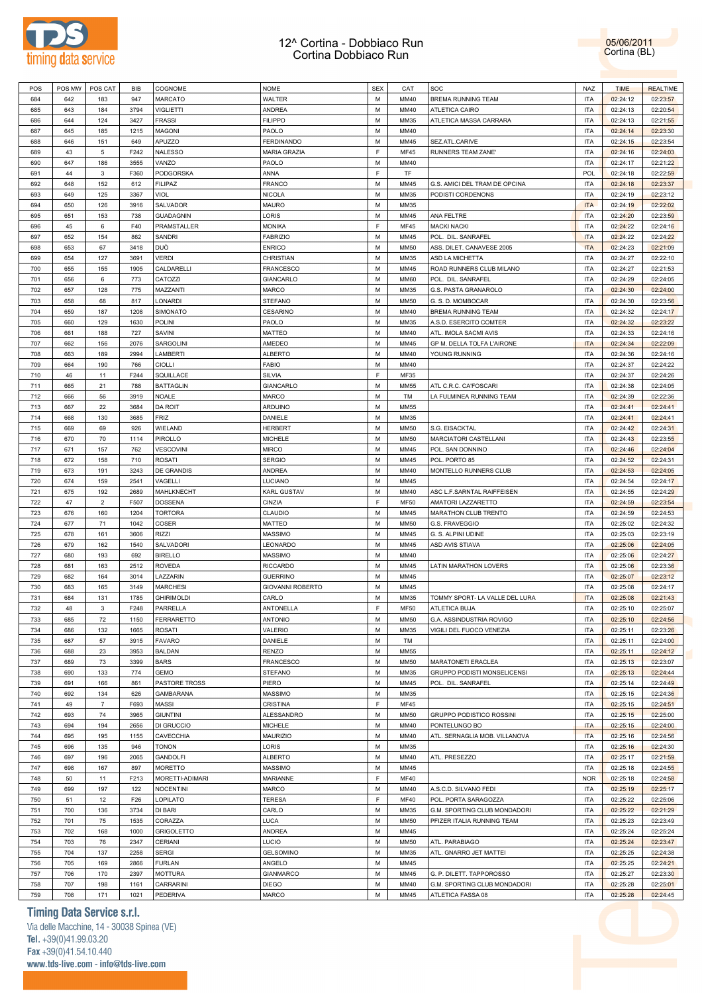

05/06/2011 Cortina (BL)

| POS | POS MW | POS CAT        | BIB  | COGNOME           | <b>NOME</b>             | <b>SEX</b> | CAT         | <b>SOC</b>                     | <b>NAZ</b> | <b>TIME</b> | <b>REALTIME</b> |
|-----|--------|----------------|------|-------------------|-------------------------|------------|-------------|--------------------------------|------------|-------------|-----------------|
| 684 | 642    | 183            | 947  | <b>MARCATO</b>    | WALTER                  | M          | MM40        | BREMA RUNNING TEAM             | <b>ITA</b> | 02:24:12    | 02:23:57        |
| 685 | 643    | 184            | 3794 | VIGLIETTI         | <b>ANDREA</b>           | M          | MM40        | ATLETICA CAIRO                 | <b>ITA</b> | 02:24:13    | 02:20:54        |
| 686 | 644    | 124            | 3427 | <b>FRASSI</b>     | <b>FILIPPO</b>          | M          | MM35        | ATLETICA MASSA CARRARA         | <b>ITA</b> | 02:24:13    | 02:21:55        |
| 687 | 645    | 185            | 1215 | <b>MAGONI</b>     | PAOLO                   | M          | <b>MM40</b> |                                | <b>ITA</b> | 02:24:14    | 02:23:30        |
|     |        |                |      |                   |                         |            |             |                                |            |             |                 |
| 688 | 646    | 151            | 649  | <b>APUZZO</b>     | <b>FERDINANDO</b>       | M          | MM45        | SEZ.ATL.CARIVE                 | <b>ITA</b> | 02:24:15    | 02:23:54        |
| 689 | 43     | 5              | F242 | <b>NALESSO</b>    | <b>MARIA GRAZIA</b>     | E          | <b>MF45</b> | RUNNERS TEAM ZANE'             | <b>ITA</b> | 02:24:16    | 02:24:03        |
| 690 | 647    | 186            | 3555 | VANZO             | PAOLO                   | M          | MM40        |                                | <b>ITA</b> | 02:24:17    | 02:21:22        |
| 691 | 44     | 3              | F360 | PODGORSKA         | ANNA                    | F          | <b>TF</b>   |                                | POL        | 02:24:18    | 02:22:59        |
| 692 | 648    | 152            | 612  | <b>FILIPAZ</b>    | <b>FRANCO</b>           | M          | MM45        | G.S. AMICI DEL TRAM DE OPCINA  | <b>ITA</b> | 02:24:18    | 02:23:37        |
| 693 | 649    | 125            | 3367 | VIOL              | <b>NICOLA</b>           | M          | MM35        | PODISTI CORDENONS              | <b>ITA</b> | 02:24:19    | 02:23:12        |
| 694 | 650    | 126            | 3916 | SALVADOR          | <b>MAURO</b>            | M          | <b>MM35</b> |                                | <b>ITA</b> | 02:24:19    | 02:22:02        |
| 695 | 651    | 153            | 738  | <b>GUADAGNIN</b>  | LORIS                   | M          | MM45        | ANA FELTRE                     | <b>ITA</b> | 02:24:20    | 02:23:59        |
| 696 | 45     | 6              | F40  | PRAMSTALLER       | <b>MONIKA</b>           | F          | <b>MF45</b> | <b>MACKI NACKI</b>             | <b>ITA</b> | 02:24:22    | 02:24:16        |
|     |        |                |      |                   |                         | M          | MM45        |                                | <b>ITA</b> |             |                 |
| 697 | 652    | 154            | 862  | <b>SANDRI</b>     | <b>FABRIZIO</b>         |            |             | POL. DIL. SANRAFEL             |            | 02:24:22    | 02:24:22        |
| 698 | 653    | 67             | 3418 | DUÒ               | <b>ENRICO</b>           | M          | MM50        | ASS. DILET. CANAVESE 2005      | <b>ITA</b> | 02:24:23    | 02:21:09        |
| 699 | 654    | 127            | 3691 | <b>VERDI</b>      | CHRISTIAN               | M          | MM35        | ASD LA MICHETTA                | <b>ITA</b> | 02:24:27    | 02:22:10        |
| 700 | 655    | 155            | 1905 | CALDARELLI        | <b>FRANCESCO</b>        | M          | MM45        | ROAD RUNNERS CLUB MILANO       | <b>ITA</b> | 02:24:27    | 02:21:53        |
| 701 | 656    | 6              | 773  | CATOZZI           | <b>GIANCARLO</b>        | M          | <b>MM60</b> | POL. DIL. SANRAFEL             | <b>ITA</b> | 02:24:29    | 02:24:05        |
| 702 | 657    | 128            | 775  | MAZZANTI          | <b>MARCO</b>            | M          | MM35        | G.S. PASTA GRANAROLO           | <b>ITA</b> | 02:24:30    | 02:24:00        |
| 703 | 658    | 68             | 817  | LONARDI           | <b>STEFANO</b>          | M          | MM50        | G. S. D. MOMBOCAR              | <b>ITA</b> | 02:24:30    | 02:23:56        |
| 704 | 659    | 187            | 1208 | SIMONATO          | <b>CESARINO</b>         | M          | <b>MM40</b> | <b>BREMA RUNNING TEAM</b>      | <b>ITA</b> | 02:24:32    | 02:24:17        |
| 705 | 660    | 129            | 1630 | POLINI            | PAOLO                   | M          | MM35        | A.S.D. ESERCITO COMTER         | <b>ITA</b> | 02:24:32    | 02:23:22        |
| 706 | 661    | 188            | 727  |                   |                         | M          | MM40        | ATL. IMOLA SACMI AVIS          | <b>ITA</b> |             |                 |
|     |        |                |      | SAVINI            | <b>MATTEO</b>           |            |             |                                |            | 02:24:33    | 02:24:16        |
| 707 | 662    | 156            | 2076 | SARGOLINI         | AMEDEO                  | M          | MM45        | GP M. DELLA TOLFA L'AIRONE     | <b>ITA</b> | 02:24:34    | 02:22:09        |
| 708 | 663    | 189            | 2994 | LAMBERTI          | <b>ALBERTO</b>          | M          | <b>MM40</b> | YOUNG RUNNING                  | <b>ITA</b> | 02:24:36    | 02:24:16        |
| 709 | 664    | 190            | 766  | <b>CIOLLI</b>     | <b>FABIO</b>            | M          | MM40        |                                | <b>ITA</b> | 02:24:37    | 02:24:22        |
| 710 | 46     | 11             | F244 | SQUILLACE         | <b>SILVIA</b>           | F          | MF35        |                                | <b>ITA</b> | 02:24:37    | 02:24:26        |
| 711 | 665    | 21             | 788  | <b>BATTAGLIN</b>  | <b>GIANCARLO</b>        | M          | MM55        | ATL C.R.C. CA'FOSCARI          | <b>ITA</b> | 02:24:38    | 02:24:05        |
| 712 | 666    | 56             | 3919 | NOALE             | <b>MARCO</b>            | M          | TM          | LA FULMINEA RUNNING TEAM       | <b>ITA</b> | 02:24:39    | 02:22:36        |
| 713 | 667    | 22             | 3684 | <b>DA ROIT</b>    | <b>ARDUINO</b>          | M          | MM55        |                                | <b>ITA</b> | 02:24:41    | 02:24:41        |
| 714 | 668    | 130            | 3685 | <b>FRIZ</b>       | DANIELE                 | M          | MM35        |                                | <b>ITA</b> | 02:24:41    | 02:24:41        |
| 715 | 669    | 69             | 926  | WIELAND           | <b>HERBERT</b>          | M          | <b>MM50</b> | S.G. EISACKTAL                 | <b>ITA</b> | 02:24:42    | 02:24:31        |
|     |        |                |      |                   |                         |            |             |                                |            |             |                 |
| 716 | 670    | 70             | 1114 | PIROLLO           | <b>MICHELE</b>          | M          | MM50        | MARCIATORI CASTELLANI          | <b>ITA</b> | 02:24:43    | 02:23:55        |
| 717 | 671    | 157            | 762  | <b>VESCOVINI</b>  | <b>MIRCO</b>            | M          | MM45        | POL. SAN DONNINO               | <b>ITA</b> | 02:24:46    | 02:24:04        |
| 718 | 672    | 158            | 710  | <b>ROSATI</b>     | <b>SERGIO</b>           | M          | <b>MM45</b> | POL. PORTO 85                  | <b>ITA</b> | 02:24:52    | 02:24:31        |
| 719 | 673    | 191            | 3243 | DE GRANDIS        | <b>ANDREA</b>           | M          | MM40        | MONTELLO RUNNERS CLUB          | <b>ITA</b> | 02:24:53    | 02:24:05        |
| 720 | 674    | 159            | 2541 | VAGELLI           | LUCIANO                 | M          | MM45        |                                | <b>ITA</b> | 02:24:54    | 02:24:17        |
| 721 | 675    | 192            | 2689 | MAHLKNECHT        | <b>KARL GUSTAV</b>      | M          | MM40        | ASC L.F.SARNTAL RAIFFEISEN     | <b>ITA</b> | 02:24:55    | 02:24:29        |
| 722 | 47     | 2              | F507 | <b>DOSSENA</b>    | CINZIA                  | F          | <b>MF50</b> | AMATORI LAZZARETTO             | <b>ITA</b> | 02:24:59    | 02:23:54        |
| 723 | 676    | 160            | 1204 | <b>TORTORA</b>    | CLAUDIO                 | M          | MM45        | MARATHON CLUB TRENTO           | <b>ITA</b> | 02:24:59    | 02:24:53        |
| 724 | 677    | 71             | 1042 | COSER             | <b>MATTEO</b>           | M          | MM50        | G.S. FRAVEGGIO                 | <b>ITA</b> | 02:25:02    | 02:24:32        |
| 725 | 678    | 161            | 3606 | <b>RIZZI</b>      | <b>MASSIMO</b>          | M          | MM45        | G. S. ALPINI UDINE             | <b>ITA</b> |             |                 |
|     |        |                |      |                   |                         |            |             |                                |            | 02:25:03    | 02:23:19        |
| 726 | 679    | 162            | 1540 | SALVADORI         | LEONARDO                | M          | MM45        | ASD AVIS STIAVA                | <b>ITA</b> | 02:25:06    | 02:24:05        |
| 727 | 680    | 193            | 692  | <b>BIRELLO</b>    | <b>MASSIMO</b>          | M          | <b>MM40</b> |                                | <b>ITA</b> | 02:25:06    | 02:24:27        |
| 728 | 681    | 163            | 2512 | <b>ROVEDA</b>     | <b>RICCARDO</b>         | M          | MM45        | LATIN MARATHON LOVERS          | <b>ITA</b> | 02:25:06    | 02:23:36        |
| 729 | 682    | 164            | 3014 | LAZZARIN          | <b>GUERRINO</b>         | M          | MM45        |                                | <b>ITA</b> | 02:25:07    | 02:23:12        |
| 730 | 683    | 165            | 3149 | <b>MARCHESI</b>   | <b>GIOVANNI ROBERTO</b> | M          | MM45        |                                | <b>ITA</b> | 02:25:08    | 02:24:17        |
| 731 | 684    | 131            | 1785 | <b>GHIRIMOLDI</b> | CARLO                   | M          | MM35        | TOMMY SPORT- LA VALLE DEL LURA | <b>ITA</b> | 02:25:08    | 02:21:43        |
| 732 | 48     | 3              | F248 | PARRELLA          | ANTONELLA               | E          | <b>MF50</b> | ATLETICA BUJA                  | <b>ITA</b> | 02:25:10    | 02:25:07        |
| 733 | 685    | 72             | 1150 | <b>FERRARETTO</b> | <b>ANTONIO</b>          | M          | <b>MM50</b> | G.A. ASSINDUSTRIA ROVIGO       | <b>ITA</b> | 02:25:10    | 02:24:56        |
|     |        |                |      |                   |                         | M          |             | VIGILI DEL FUOCO VENEZIA       | <b>ITA</b> |             |                 |
| 734 | 686    | 132            | 1665 | <b>ROSATI</b>     | VALERIO                 |            | MM35        |                                |            | 02:25:11    | 02:23:26        |
| 735 | 687    | 57             | 3915 | <b>FAVARO</b>     | DANIELE                 | M          | TM          |                                | <b>ITA</b> | 02:25:11    | 02:24:00        |
| 736 | 688    | 23             | 3953 | <b>BALDAN</b>     | RENZO                   | M          | MM55        |                                | <b>ITA</b> | 02:25:11    | 02:24:12        |
| 737 | 689    | 73             | 3399 | <b>BARS</b>       | <b>FRANCESCO</b>        | M          | MM50        | MARATONETI ERACLEA             | <b>ITA</b> | 02:25:13    | 02:23:07        |
| 738 | 690    | 133            | 774  | GEMO              | <b>STEFANO</b>          | M          | MM35        | GRUPPO PODISTI MONSELICENSI    | <b>ITA</b> | 02:25:13    | 02:24:44        |
| 739 | 691    | 166            | 861  | PASTORE TROSS     | PIERO                   | M          | MM45        | POL. DIL. SANRAFEL             | <b>ITA</b> | 02:25:14    | 02:24:49        |
| 740 | 692    | 134            | 626  | <b>GAMBARANA</b>  | <b>MASSIMO</b>          | M          | MM35        |                                | <b>ITA</b> | 02:25:15    | 02:24:36        |
| 741 | 49     | $\overline{7}$ | F693 | MASSI             | <b>CRISTINA</b>         | E          | <b>MF45</b> |                                | <b>ITA</b> | 02:25:15    | 02:24:51        |
| 742 | 693    | 74             | 3965 | <b>GIUNTINI</b>   | ALESSANDRO              | М          | MM50        | GRUPPO PODISTICO ROSSINI       | <b>ITA</b> | 02:25:15    | 02:25:00        |
| 743 | 694    | 194            | 2656 | DI GRUCCIO        | <b>MICHELE</b>          | M          | MM40        | PONTELUNGO BO                  | <b>ITA</b> | 02:25:15    | 02:24:00        |
|     | 695    | 195            |      |                   |                         | M          | MM40        |                                | <b>ITA</b> |             |                 |
| 744 |        |                | 1155 | CAVECCHIA         | <b>MAURIZIO</b>         |            |             | ATL. SERNAGLIA MOB. VILLANOVA  |            | 02:25:16    | 02:24:56        |
| 745 | 696    | 135            | 946  | <b>TONON</b>      | LORIS                   | M          | MM35        |                                | <b>ITA</b> | 02:25:16    | 02:24:30        |
| 746 | 697    | 196            | 2065 | <b>GANDOLFI</b>   | <b>ALBERTO</b>          | M          | MM40        | ATL. PRESEZZO                  | <b>ITA</b> | 02:25:17    | 02:21:59        |
| 747 | 698    | 167            | 897  | <b>MORETTO</b>    | <b>MASSIMO</b>          | M          | MM45        |                                | <b>ITA</b> | 02:25:18    | 02:24:55        |
| 748 | 50     | 11             | F213 | MORETTI-ADIMARI   | MARIANNE                | F          | <b>MF40</b> |                                | <b>NOR</b> | 02:25:18    | 02:24:58        |
| 749 | 699    | 197            | 122  | <b>NOCENTINI</b>  | <b>MARCO</b>            | M          | MM40        | A.S.C.D. SILVANO FEDI          | <b>ITA</b> | 02:25:19    | 02:25:17        |
| 750 | 51     | 12             | F26  | LOPILATO          | <b>TERESA</b>           | F          | <b>MF40</b> | POL. PORTA SARAGOZZA           | <b>ITA</b> | 02:25:22    | 02:25:06        |
| 751 | 700    | 136            | 3734 | DI BARI           | CARLO                   | M          | MM35        | G.M. SPORTING CLUB MONDADORI   | <b>ITA</b> | 02:25:22    | 02:21:29        |
| 752 | 701    | 75             | 1535 | CORAZZA           | <b>LUCA</b>             | M          | <b>MM50</b> | PFIZER ITALIA RUNNING TEAM     | <b>ITA</b> | 02:25:23    | 02:23:49        |
|     | 702    |                |      |                   | ANDREA                  | M          | MM45        |                                | <b>ITA</b> |             |                 |
| 753 |        | 168            | 1000 | <b>GRIGOLETTO</b> |                         |            |             |                                |            | 02:25:24    | 02:25:24        |
| 754 | 703    | 76             | 2347 | CERIANI           | LUCIO                   | М          | <b>MM50</b> | ATL. PARABIAGO                 | <b>ITA</b> | 02:25:24    | 02:23:47        |
| 755 | 704    | 137            | 2258 | <b>SERGI</b>      | <b>GELSOMINO</b>        | M          | MM35        | ATL. GNARRO JET MATTEI         | <b>ITA</b> | 02:25:25    | 02:24:38        |
| 756 | 705    | 169            | 2866 | <b>FURLAN</b>     | ANGELO                  | М          | MM45        |                                | <b>ITA</b> | 02:25:25    | 02:24:21        |
| 757 | 706    | 170            | 2397 | <b>MOTTURA</b>    | <b>GIANMARCO</b>        | M          | MM45        | G. P. DILETT. TAPPOROSSO       | <b>ITA</b> | 02:25:27    | 02:23:30        |
| 758 | 707    | 198            | 1161 | CARRARINI         | DIEGO                   | М          | MM40        | G.M. SPORTING CLUB MONDADORI   | <b>ITA</b> | 02:25:28    | 02:25:01        |
| 759 | 708    | 171            | 1021 | PEDERIVA          | <b>MARCO</b>            | M          | MM45        | ATLETICA FASSA 08              | <b>ITA</b> | 02:25:28    | 02:24:45        |
|     |        |                |      |                   |                         |            |             |                                |            |             |                 |

# **Timing Data Service s.r.l.**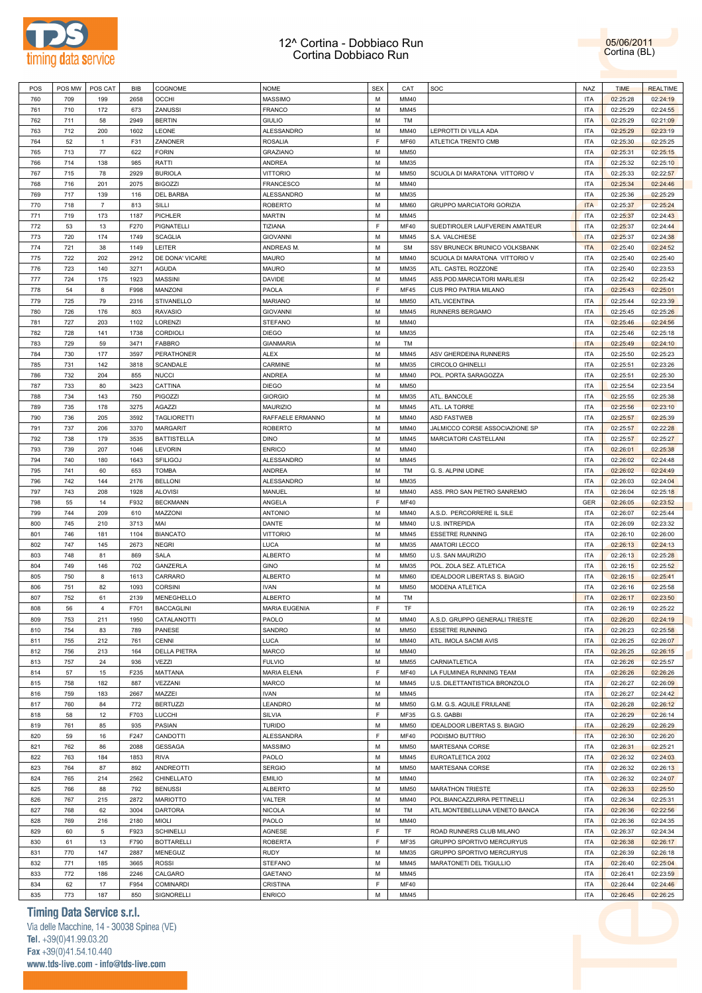



| POS | POS MW | POS CAT        | <b>BIB</b> | COGNOME             | <b>NOME</b>          | <b>SEX</b> | CAT         | SOC                              | NAZ        | <b>TIME</b> | <b>REALTIME</b> |
|-----|--------|----------------|------------|---------------------|----------------------|------------|-------------|----------------------------------|------------|-------------|-----------------|
| 760 | 709    | 199            | 2658       | <b>OCCHI</b>        | <b>MASSIMO</b>       | М          | MM40        |                                  | <b>ITA</b> | 02:25:28    | 02:24:19        |
| 761 | 710    | 172            | 673        | ZANUSSI             | FRANCO               | М          | MM45        |                                  | <b>ITA</b> | 02:25:29    | 02:24:55        |
| 762 | 711    | 58             | 2949       | <b>BERTIN</b>       | <b>GIULIO</b>        | М          | TM          |                                  | <b>ITA</b> | 02:25:29    | 02:21:09        |
|     |        |                |            |                     |                      |            |             |                                  |            |             |                 |
| 763 | 712    | 200            | 1602       | LEONE               | ALESSANDRO           | М          | MM40        | LEPROTTI DI VILLA ADA            | <b>ITA</b> | 02:25:29    | 02:23:19        |
| 764 | 52     | $\mathbf{1}$   | F31        | ZANONER             | <b>ROSALIA</b>       | F          | <b>MF60</b> | ATLETICA TRENTO CMB              | <b>ITA</b> | 02:25:30    | 02:25:25        |
| 765 | 713    | 77             | 622        | <b>FORIN</b>        | GRAZIANO             | М          | <b>MM50</b> |                                  | <b>ITA</b> | 02:25:31    | 02:25:15        |
| 766 | 714    | 138            | 985        | RATTI               | ANDREA               | М          | MM35        |                                  | <b>ITA</b> | 02:25:32    | 02:25:10        |
| 767 | 715    | 78             | 2929       | <b>BURIOLA</b>      | VITTORIO             | М          | MM50        | SCUOLA DI MARATONA VITTORIO V    | <b>ITA</b> | 02:25:33    | 02:22:57        |
| 768 | 716    | 201            | 2075       | <b>BIGOZZI</b>      | <b>FRANCESCO</b>     | М          | MM40        |                                  | <b>ITA</b> | 02:25:34    | 02:24:46        |
| 769 | 717    | 139            | 116        | DEL BARBA           | ALESSANDRO           | М          | MM35        |                                  | <b>ITA</b> | 02:25:36    | 02:25:29        |
| 770 | 718    | $\overline{7}$ | 813        | SILLI               | <b>ROBERTO</b>       | М          | <b>MM60</b> | <b>GRUPPO MARCIATORI GORIZIA</b> | <b>ITA</b> | 02:25:37    | 02:25:24        |
| 771 | 719    | 173            | 1187       | PICHLER             | <b>MARTIN</b>        | М          | MM45        |                                  | <b>ITA</b> | 02:25:37    | 02:24:43        |
| 772 |        |                | F270       | PIGNATELLI          | TIZIANA              | F          |             | SUEDTIROLER LAUFVEREIN AMATEUR   |            |             |                 |
|     | 53     | 13             |            |                     |                      |            | <b>MF40</b> |                                  | <b>ITA</b> | 02:25:37    | 02:24:44        |
| 773 | 720    | 174            | 1749       | <b>SCAGLIA</b>      | <b>GIOVANNI</b>      | М          | MM45        | S.A. VALCHIESE                   | <b>ITA</b> | 02:25:37    | 02:24:38        |
| 774 | 721    | 38             | 1149       | LEITER              | ANDREAS M.           | М          | <b>SM</b>   | SSV BRUNECK BRUNICO VOLKSBANK    | <b>ITA</b> | 02:25:40    | 02:24:52        |
| 775 | 722    | 202            | 2912       | DE DONA' VICARE     | MAURO                | М          | MM40        | SCUOLA DI MARATONA VITTORIO V    | <b>ITA</b> | 02:25:40    | 02:25:40        |
| 776 | 723    | 140            | 3271       | <b>AGUDA</b>        | <b>MAURO</b>         | М          | MM35        | ATL. CASTEL ROZZONE              | <b>ITA</b> | 02:25:40    | 02:23:53        |
| 777 | 724    | 175            | 1923       | <b>MASSINI</b>      | DAVIDE               | М          | MM45        | ASS.POD.MARCIATORI MARLIESI      | <b>ITA</b> | 02:25:42    | 02:25:42        |
| 778 | 54     | 8              | F998       | MANZONI             | PAOLA                | F          | <b>MF45</b> | CUS PRO PATRIA MILANO            | <b>ITA</b> | 02:25:43    | 02:25:01        |
| 779 | 725    | 79             | 2316       | STIVANELLO          | <b>MARIANO</b>       | М          | MM50        | ATL.VICENTINA                    | <b>ITA</b> | 02:25:44    | 02:23:39        |
| 780 | 726    | 176            | 803        | <b>RAVASIO</b>      | <b>GIOVANNI</b>      | М          | MM45        | RUNNERS BERGAMO                  | <b>ITA</b> | 02:25:45    | 02:25:26        |
|     |        |                |            |                     |                      |            |             |                                  |            |             |                 |
| 781 | 727    | 203            | 1102       | LORENZI             | <b>STEFANO</b>       | М          | MM40        |                                  | <b>ITA</b> | 02:25:46    | 02:24:56        |
| 782 | 728    | 141            | 1738       | CORDIOLI            | <b>DIEGO</b>         | М          | MM35        |                                  | <b>ITA</b> | 02:25:46    | 02:25:18        |
| 783 | 729    | 59             | 3471       | <b>FABBRO</b>       | <b>GIANMARIA</b>     | М          | TM          |                                  | <b>ITA</b> | 02:25:49    | 02:24:10        |
| 784 | 730    | 177            | 3597       | <b>PERATHONER</b>   | <b>ALEX</b>          | М          | MM45        | ASV GHERDEINA RUNNERS            | <b>ITA</b> | 02:25:50    | 02:25:23        |
| 785 | 731    | 142            | 3818       | SCANDALE            | CARMINE              | М          | MM35        | CIRCOLO GHINELLI                 | <b>ITA</b> | 02:25:51    | 02:23:26        |
| 786 | 732    | 204            | 855        | <b>NUCCI</b>        | ANDREA               | М          | MM40        | POL. PORTA SARAGOZZA             | <b>ITA</b> | 02:25:51    | 02:25:30        |
| 787 | 733    | 80             | 3423       | CATTINA             | <b>DIEGO</b>         | М          | MM50        |                                  | <b>ITA</b> | 02:25:54    | 02:23:54        |
| 788 | 734    | 143            | 750        | PIGOZZI             | <b>GIORGIO</b>       | М          | MM35        | ATL. BANCOLE                     | <b>ITA</b> | 02:25:55    | 02:25:38        |
| 789 | 735    | 178            | 3275       | AGAZZI              | <b>MAURIZIO</b>      | М          | MM45        | ATL. LA TORRE                    | <b>ITA</b> | 02:25:56    | 02:23:10        |
| 790 |        |                |            |                     |                      | М          |             |                                  |            |             |                 |
|     | 736    | 205            | 3592       | <b>TAGLIORETTI</b>  | RAFFAELE ERMANNO     |            | MM40        | ASD FASTWEB                      | <b>ITA</b> | 02:25:57    | 02:25:39        |
| 791 | 737    | 206            | 3370       | <b>MARGARIT</b>     | <b>ROBERTO</b>       | М          | MM40        | JALMICCO CORSE ASSOCIAZIONE SP   | <b>ITA</b> | 02:25:57    | 02:22:28        |
| 792 | 738    | 179            | 3535       | <b>BATTISTELLA</b>  | <b>DINO</b>          | М          | MM45        | MARCIATORI CASTELLANI            | <b>ITA</b> | 02:25:57    | 02:25:27        |
| 793 | 739    | 207            | 1046       | LEVORIN             | <b>ENRICO</b>        | М          | MM40        |                                  | <b>ITA</b> | 02:26:01    | 02:25:38        |
| 794 | 740    | 180            | 1643       | <b>SFILIGOJ</b>     | ALESSANDRO           | М          | MM45        |                                  | <b>ITA</b> | 02:26:02    | 02:24:48        |
| 795 | 741    | 60             | 653        | <b>TOMBA</b>        | ANDREA               | М          | TM          | G. S. ALPINI UDINE               | <b>ITA</b> | 02:26:02    | 02:24:49        |
| 796 | 742    | 144            | 2176       | <b>BELLONI</b>      | ALESSANDRO           | М          | MM35        |                                  | <b>ITA</b> | 02:26:03    | 02:24:04        |
| 797 | 743    | 208            | 1928       | <b>ALOVISI</b>      | MANUEL               | М          | MM40        | ASS. PRO SAN PIETRO SANREMO      | <b>ITA</b> | 02:26:04    | 02:25:18        |
| 798 | 55     | 14             | F932       | <b>BECKMANN</b>     | ANGELA               | F          | <b>MF40</b> |                                  | GER        | 02:26:05    | 02:23:52        |
| 799 | 744    | 209            | 610        | MAZZONI             | <b>ANTONIO</b>       | М          | MM40        |                                  | <b>ITA</b> | 02:26:07    | 02:25:44        |
|     |        |                |            |                     |                      |            |             | A.S.D. PERCORRERE IL SILE        |            |             |                 |
| 800 | 745    | 210            | 3713       | MAI                 | DANTE                | М          | MM40        | U.S. INTREPIDA                   | <b>ITA</b> | 02:26:09    | 02:23:32        |
| 801 | 746    | 181            | 1104       | <b>BIANCATO</b>     | <b>VITTORIO</b>      | М          | MM45        | <b>ESSETRE RUNNING</b>           | <b>ITA</b> | 02:26:10    | 02:26:00        |
| 802 | 747    | 145            | 2673       | <b>NEGRI</b>        | LUCA                 | М          | MM35        | <b>AMATORI LECCO</b>             | <b>ITA</b> | 02:26:13    | 02:24:13        |
| 803 | 748    | 81             | 869        | SALA                | <b>ALBERTO</b>       | М          | MM50        | U.S. SAN MAURIZIO                | <b>ITA</b> | 02:26:13    | 02:25:28        |
| 804 | 749    | 146            | 702        | GANZERLA            | <b>GINO</b>          | М          | MM35        | POL. ZOLA SEZ. ATLETICA          | <b>ITA</b> | 02:26:15    | 02:25:52        |
| 805 | 750    | 8              | 1613       | CARRARO             | <b>ALBERTO</b>       | М          | <b>MM60</b> | IDEALDOOR LIBERTAS S. BIAGIO     | <b>ITA</b> | 02:26:15    | 02:25:41        |
| 806 | 751    | 82             | 1093       | <b>CORSINI</b>      | <b>IVAN</b>          | М          | <b>MM50</b> | <b>MODENA ATLETICA</b>           | <b>ITA</b> | 02:26:16    | 02:25:58        |
| 807 | 752    | 61             | 2139       | MENEGHELLO          | ALBERTO              | M          | TM          |                                  | <b>ITA</b> | 02:26:17    | 02:23:50        |
| 808 | 56     | $\overline{4}$ | F701       | <b>BACCAGLINI</b>   | <b>MARIA EUGENIA</b> | E          | TF          |                                  | <b>ITA</b> | 02:26:19    | 02:25:22        |
|     |        |                |            |                     |                      |            |             |                                  |            |             |                 |
| 809 | 753    | 211            | 1950       | CATALANOTTI         | PAOLO                | М          | MM40        | A.S.D. GRUPPO GENERALI TRIESTE   | <b>ITA</b> | 02:26:20    | 02:24:19        |
| 810 | 754    | 83             | 789        | PANESE              | SANDRO               | M          | MM50        | <b>ESSETRE RUNNING</b>           | <b>ITA</b> | 02:26:23    | 02:25:58        |
| 811 | 755    | 212            | 761        | CENNI               | LUCA                 | М          | MM40        | ATL. IMOLA SACMI AVIS            | <b>ITA</b> | 02:26:25    | 02:26:07        |
| 812 | 756    | 213            | 164        | <b>DELLA PIETRA</b> | MARCO                | М          | MM40        |                                  | <b>ITA</b> | 02:26:25    | 02:26:15        |
| 813 | 757    | 24             | 936        | VEZZI               | <b>FULVIO</b>        | М          | <b>MM55</b> | CARNIATLETICA                    | <b>ITA</b> | 02:26:26    | 02:25:57        |
| 814 | 57     | 15             | F235       | <b>MATTANA</b>      | <b>MARIA ELENA</b>   | F          | <b>MF40</b> | LA FULMINEA RUNNING TEAM         | <b>ITA</b> | 02:26:26    | 02:26:26        |
| 815 | 758    | 182            | 887        | VEZZANI             | MARCO                | М          | MM45        | U.S. DILETTANTISTICA BRONZOLO    | <b>ITA</b> | 02:26:27    | 02:26:09        |
| 816 | 759    | 183            | 2667       | MAZZEI              | <b>IVAN</b>          | М          | MM45        |                                  | <b>ITA</b> | 02:26:27    | 02:24:42        |
|     |        | 84             | 772        | <b>BERTUZZI</b>     | LEANDRO              |            |             |                                  | <b>ITA</b> | 02:26:28    | 02:26:12        |
| 817 | 760    |                |            |                     |                      | М          | <b>MM50</b> | G.M. G.S. AQUILE FRIULANE        |            |             |                 |
| 818 | 58     | 12             | F703       | LUCCHI              | SILVIA               | F          | MF35        | G.S. GABBI                       | <b>ITA</b> | 02:26:29    | 02:26:14        |
| 819 | 761    | 85             | 935        | PASIAN              | <b>TURIDO</b>        | М          | <b>MM50</b> | IDEALDOOR LIBERTAS S. BIAGIO     | <b>ITA</b> | 02:26:29    | 02:26:29        |
| 820 | 59     | 16             | F247       | CANDOTTI            | ALESSANDRA           | F          | <b>MF40</b> | PODISMO BUTTRIO                  | <b>ITA</b> | 02:26:30    | 02:26:20        |
| 821 | 762    | 86             | 2088       | <b>GESSAGA</b>      | MASSIMO              | M          | <b>MM50</b> | MARTESANA CORSE                  | <b>ITA</b> | 02:26:31    | 02:25:21        |
| 822 | 763    | 184            | 1853       | <b>RIVA</b>         | PAOLO                | M          | MM45        | EUROATLETICA 2002                | <b>ITA</b> | 02:26:32    | 02:24:03        |
| 823 | 764    | 87             | 892        | <b>ANDREOTTI</b>    | <b>SERGIO</b>        | М          | <b>MM50</b> | MARTESANA CORSE                  | <b>ITA</b> | 02:26:32    | 02:26:13        |
| 824 | 765    | 214            | 2562       | CHINELLATO          | <b>EMILIO</b>        | М          | MM40        |                                  | <b>ITA</b> | 02:26:32    | 02:24:07        |
| 825 | 766    | 88             | 792        | <b>BENUSSI</b>      | <b>ALBERTO</b>       | М          | <b>MM50</b> | MARATHON TRIESTE                 | <b>ITA</b> | 02:26:33    | 02:25:50        |
|     |        |                |            |                     |                      |            |             |                                  |            |             |                 |
| 826 | 767    | 215            | 2872       | <b>MARIOTTO</b>     | VALTER               | М          | MM40        | POL.BIANCAZZURRA PETTINELLI      | <b>ITA</b> | 02:26:34    | 02:25:31        |
| 827 | 768    | 62             | 3004       | <b>DARTORA</b>      | <b>NICOLA</b>        | М          | TM          | ATL.MONTEBELLUNA VENETO BANCA    | <b>ITA</b> | 02:26:36    | 02:22:56        |
| 828 | 769    | 216            | 2180       | <b>MIOLI</b>        | PAOLO                | М          | MM40        |                                  | <b>ITA</b> | 02:26:36    | 02:24:35        |
| 829 | 60     | 5              | F923       | <b>SCHINELLI</b>    | AGNESE               | F.         | TF          | ROAD RUNNERS CLUB MILANO         | <b>ITA</b> | 02:26:37    | 02:24:34        |
| 830 | 61     | 13             | F790       | <b>BOTTARELLI</b>   | <b>ROBERTA</b>       | F          | MF35        | GRUPPO SPORTIVO MERCURYUS        | <b>ITA</b> | 02:26:38    | 02:26:17        |
| 831 | 770    | 147            | 2887       | MENEGUZ             | <b>RUDY</b>          | М          | MM35        | GRUPPO SPORTIVO MERCURYUS        | <b>ITA</b> | 02:26:39    | 02:26:18        |
| 832 | 771    | 185            | 3665       | <b>ROSSI</b>        | <b>STEFANO</b>       | М          | MM45        | MARATONETI DEL TIGULLIO          | <b>ITA</b> | 02:26:40    | 02:25:04        |
| 833 | 772    | 186            | 2246       | CALGARO             | GAETANO              | М          | MM45        |                                  | <b>ITA</b> | 02:26:41    | 02:23:59        |
| 834 | 62     | 17             | F954       | COMINARDI           | CRISTINA             | F          | <b>MF40</b> |                                  | <b>ITA</b> | 02:26:44    | 02:24:46        |
|     |        |                |            |                     |                      |            |             |                                  |            |             |                 |
| 835 | 773    | 187            | 850        | SIGNORELLI          | <b>ENRICO</b>        | М          | MM45        |                                  | <b>ITA</b> | 02:26:45    | 02:26:25        |

### **Timing Data Service s.r.l.**

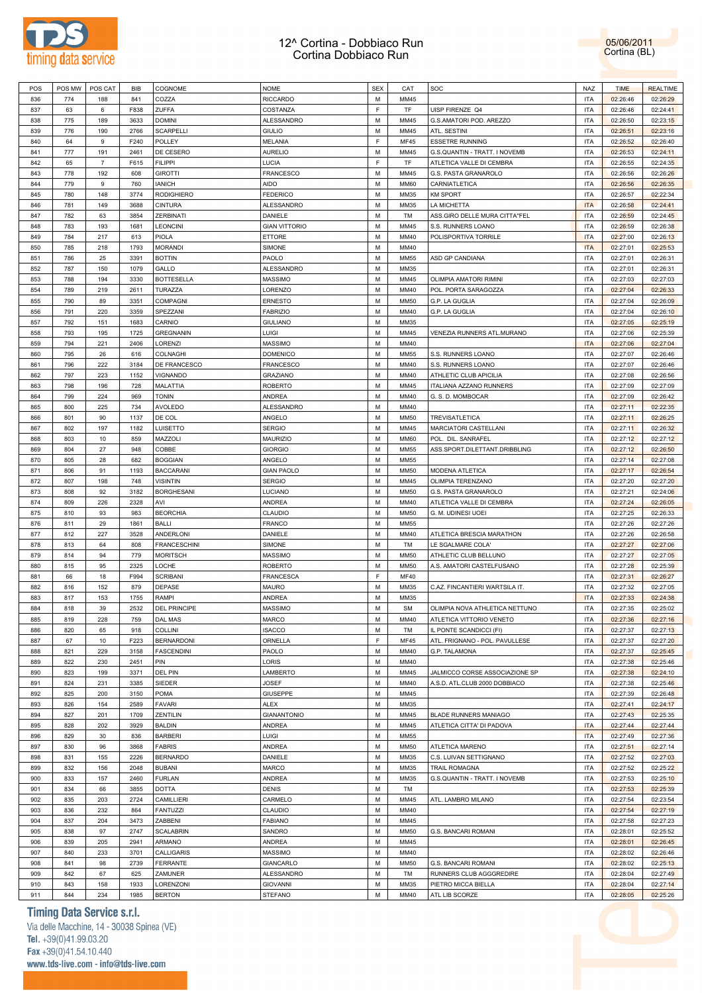



| POS | POS MW | POS CAT        | BIB  | COGNOME             | <b>NOME</b>          | <b>SEX</b> | CAT         | SOC                            | NAZ        | <b>TIME</b> | <b>REALTIME</b> |
|-----|--------|----------------|------|---------------------|----------------------|------------|-------------|--------------------------------|------------|-------------|-----------------|
| 836 | 774    | 188            | 841  | COZZA               | <b>RICCARDO</b>      | M          | MM45        |                                | <b>ITA</b> | 02:26:46    | 02:26:29        |
| 837 | 63     | 6              | F838 | ZUFFA               | COSTANZA             | F          | TF          | UISP FIRENZE Q4                | <b>ITA</b> | 02:26:46    | 02:24:41        |
| 838 | 775    | 189            | 3633 | <b>DOMINI</b>       | ALESSANDRO           | М          | MM45        | G.S.AMATORI POD. AREZZO        | <b>ITA</b> | 02:26:50    | 02:23:15        |
|     |        |                |      |                     |                      |            |             |                                | <b>ITA</b> |             |                 |
| 839 | 776    | 190            | 2766 | SCARPELLI           | <b>GIULIO</b>        | М          | MM45        | ATL. SESTINI                   |            | 02:26:51    | 02:23:16        |
| 840 | 64     | 9              | F240 | POLLEY              | <b>MELANIA</b>       | F          | <b>MF45</b> | ESSETRE RUNNING                | <b>ITA</b> | 02:26:52    | 02:26:40        |
| 841 | 777    | 191            | 2461 | DE CESERO           | <b>AURELIO</b>       | М          | MM45        | G.S.QUANTIN - TRATT. I NOVEMB  | <b>ITA</b> | 02:26:53    | 02:24:11        |
| 842 | 65     | $\overline{7}$ | F615 | <b>FILIPPI</b>      | LUCIA                | E          | TF          | ATLETICA VALLE DI CEMBRA       | <b>ITA</b> | 02:26:55    | 02:24:35        |
| 843 | 778    | 192            | 608  | <b>GIROTTI</b>      | <b>FRANCESCO</b>     | M          | MM45        | G.S. PASTA GRANAROLO           | <b>ITA</b> | 02:26:56    | 02:26:26        |
| 844 | 779    | 9              | 760  | <b>IANICH</b>       | <b>AIDO</b>          | M          | <b>MM60</b> | CARNIATLETICA                  | <b>ITA</b> | 02:26:56    | 02:26:35        |
| 845 | 780    | 148            | 3774 | <b>RODIGHIERO</b>   | <b>FEDERICO</b>      | M          | MM35        | <b>KM SPORT</b>                | <b>ITA</b> | 02:26:57    | 02:22:34        |
| 846 | 781    | 149            | 3688 | <b>CINTURA</b>      | ALESSANDRO           | М          | MM35        | LA MICHETTA                    | <b>ITA</b> | 02:26:58    | 02:24:41        |
| 847 | 782    | 63             | 3854 | ZERBINATI           | DANIELE              | М          | TM          | ASS.GIRO DELLE MURA CITTA"FEL  | <b>ITA</b> | 02:26:59    | 02:24:45        |
|     |        |                |      |                     |                      |            |             |                                |            |             |                 |
| 848 | 783    | 193            | 1681 | <b>LEONCINI</b>     | <b>GIAN VITTORIO</b> | М          | MM45        | S.S. RUNNERS LOANO             | <b>ITA</b> | 02:26:59    | 02:26:38        |
| 849 | 784    | 217            | 613  | PIOLA               | ETTORE               | М          | MM40        | POLISPORTIVA TORRILE           | <b>ITA</b> | 02:27:00    | 02:26:13        |
| 850 | 785    | 218            | 1793 | <b>MORANDI</b>      | SIMONE               | М          | MM40        |                                | <b>ITA</b> | 02:27:01    | 02:25:53        |
| 851 | 786    | 25             | 3391 | <b>BOTTIN</b>       | PAOLO                | М          | <b>MM55</b> | ASD GP CANDIANA                | <b>ITA</b> | 02:27:01    | 02:26:31        |
| 852 | 787    | 150            | 1079 | GALLO               | ALESSANDRO           | M          | MM35        |                                | <b>ITA</b> | 02:27:01    | 02:26:31        |
| 853 | 788    | 194            | 3330 | <b>BOTTESELLA</b>   | <b>MASSIMO</b>       | M          | MM45        | OLIMPIA AMATORI RIMINI         | <b>ITA</b> | 02:27:03    | 02:27:03        |
| 854 | 789    | 219            | 2611 | TURAZZA             | LORENZO              | M          | MM40        | POL. PORTA SARAGOZZA           | <b>ITA</b> | 02:27:04    | 02:26:33        |
| 855 | 790    | 89             | 3351 | COMPAGNI            | <b>ERNESTO</b>       | M          | <b>MM50</b> | G.P. LA GUGLIA                 | <b>ITA</b> | 02:27:04    | 02:26:09        |
|     |        |                |      |                     |                      |            |             |                                |            |             |                 |
| 856 | 791    | 220            | 3359 | SPEZZANI            | <b>FABRIZIO</b>      | М          | MM40        | G.P. LA GUGLIA                 | <b>ITA</b> | 02:27:04    | 02:26:10        |
| 857 | 792    | 151            | 1683 | CARNIO              | <b>GIULIANO</b>      | М          | MM35        |                                | <b>ITA</b> | 02:27:05    | 02:25:19        |
| 858 | 793    | 195            | 1725 | <b>GREGNANIN</b>    | LUIGI                | М          | MM45        | VENEZIA RUNNERS ATL.MURANO     | <b>ITA</b> | 02:27:06    | 02:25:39        |
| 859 | 794    | 221            | 2406 | LORENZI             | <b>MASSIMO</b>       | М          | MM40        |                                | <b>ITA</b> | 02:27:06    | 02:27:04        |
| 860 | 795    | 26             | 616  | COLNAGHI            | <b>DOMENICO</b>      | М          | <b>MM55</b> | S.S. RUNNERS LOANO             | <b>ITA</b> | 02:27:07    | 02:26:46        |
| 861 | 796    | 222            | 3184 | DE FRANCESCO        | <b>FRANCESCO</b>     | М          | MM40        | S.S. RUNNERS LOANO             | <b>ITA</b> | 02:27:07    | 02:26:46        |
| 862 | 797    | 223            | 1152 | VIGNANDO            | <b>GRAZIANO</b>      | М          | MM40        | ATHLETIC CLUB APICILIA         | <b>ITA</b> | 02:27:08    | 02:26:56        |
| 863 | 798    | 196            | 728  | MALATTIA            | <b>ROBERTO</b>       | M          | MM45        | ITALIANA AZZANO RUNNERS        | <b>ITA</b> | 02:27:09    | 02:27:09        |
|     |        |                |      |                     |                      |            |             |                                |            |             |                 |
| 864 | 799    | 224            | 969  | <b>TONIN</b>        | <b>ANDREA</b>        | M          | MM40        | G. S. D. MOMBOCAR              | <b>ITA</b> | 02:27:09    | 02:26:42        |
| 865 | 800    | 225            | 734  | <b>AVOLEDO</b>      | ALESSANDRO           | M          | MM40        |                                | <b>ITA</b> | 02:27:11    | 02:22:35        |
| 866 | 801    | 90             | 1137 | DE COL              | ANGELO               | М          | <b>MM50</b> | TREVISATLETICA                 | <b>ITA</b> | 02:27:11    | 02:26:25        |
| 867 | 802    | 197            | 1182 | LUISETTO            | <b>SERGIO</b>        | М          | MM45        | MARCIATORI CASTELLANI          | <b>ITA</b> | 02:27:11    | 02:26:32        |
| 868 | 803    | 10             | 859  | MAZZOLI             | <b>MAURIZIO</b>      | М          | <b>MM60</b> | POL. DIL. SANRAFEL             | <b>ITA</b> | 02:27:12    | 02:27:12        |
| 869 | 804    | 27             | 948  | COBBE               | <b>GIORGIO</b>       | М          | <b>MM55</b> | ASS.SPORT.DILETTANT.DRIBBLING  | <b>ITA</b> | 02:27:12    | 02:26:50        |
| 870 | 805    | 28             | 682  | <b>BOGGIAN</b>      | ANGELO               | М          | <b>MM55</b> |                                | <b>ITA</b> | 02:27:14    | 02:27:08        |
|     |        |                |      |                     |                      |            |             |                                |            |             |                 |
| 871 | 806    | 91             | 1193 | <b>BACCARANI</b>    | <b>GIAN PAOLO</b>    | М          | <b>MM50</b> | MODENA ATLETICA                | <b>ITA</b> | 02:27:17    | 02:26:54        |
| 872 | 807    | 198            | 748  | <b>VISINTIN</b>     | <b>SERGIO</b>        | M          | MM45        | OLIMPIA TERENZANO              | <b>ITA</b> | 02:27:20    | 02:27:20        |
| 873 | 808    | 92             | 3182 | <b>BORGHESANI</b>   | LUCIANO              | М          | <b>MM50</b> | G.S. PASTA GRANAROLO           | <b>ITA</b> | 02:27:21    | 02:24:06        |
| 874 | 809    | 226            | 2328 | AVI                 | <b>ANDREA</b>        | M          | MM40        | ATLETICA VALLE DI CEMBRA       | <b>ITA</b> | 02:27:24    | 02:26:05        |
| 875 | 810    | 93             | 983  | <b>BEORCHIA</b>     | CLAUDIO              | M          | <b>MM50</b> | G. M. UDINESI UOEI             | <b>ITA</b> | 02:27:25    | 02:26:33        |
| 876 | 811    | 29             | 1861 | <b>BALLI</b>        | <b>FRANCO</b>        | М          | <b>MM55</b> |                                | <b>ITA</b> | 02:27:26    | 02:27:26        |
| 877 | 812    | 227            | 3528 | ANDERLONI           | DANIELE              | М          | MM40        | ATLETICA BRESCIA MARATHON      | <b>ITA</b> | 02:27:26    | 02:26:58        |
| 878 | 813    | 64             | 808  | <b>FRANCESCHINI</b> | SIMONE               | М          | TM          | LE SGALMARE COLA'              | <b>ITA</b> | 02:27:27    | 02:27:06        |
| 879 |        | 94             | 779  | <b>MORITSCH</b>     | <b>MASSIMO</b>       | М          | <b>MM50</b> | ATHLETIC CLUB BELLUNO          | <b>ITA</b> | 02:27:27    |                 |
|     | 814    |                |      |                     |                      |            |             |                                |            |             | 02:27:05        |
| 880 | 815    | 95             | 2325 | LOCHE               | <b>ROBERTO</b>       | М          | <b>MM50</b> | A.S. AMATORI CASTELFUSANO      | <b>ITA</b> | 02:27:28    | 02:25:39        |
| 881 | 66     | 18             | F994 | <b>SCRIBANI</b>     | <b>FRANCESCA</b>     | F          | <b>MF40</b> |                                | <b>ITA</b> | 02:27:31    | 02:26:27        |
| 882 | 816    | 152            | 879  | DEPASE              | <b>MAURO</b>         | М          | MM35        | C.AZ. FINCANTIERI WARTSILA IT. | <b>ITA</b> | 02:27:32    | 02:27:05        |
| 883 | 817    | 153            | 1755 | RAMPI               | <b>ANDREA</b>        | M          | MM35        |                                | <b>ITA</b> | 02:27:33    | 02:24:38        |
| 884 | 818    | 39             | 2532 | DEL PRINCIPE        | <b>MASSIMO</b>       | M          | <b>SM</b>   | OLIMPIA NOVA ATHLETICA NETTUNO | <b>ITA</b> | 02:27:35    | 02:25:02        |
| 885 | 819    | 228            | 759  | <b>DAL MAS</b>      | MARCO                | M          | MM40        | ATLETICA VITTORIO VENETO       | <b>ITA</b> | 02:27:36    | 02:27:16        |
| 886 | 820    | 65             | 918  | <b>COLLINI</b>      | <b>ISACCO</b>        | M          | TM          | IL PONTE SCANDICCI (FI)        | <b>ITA</b> | 02:27:37    | 02:27:13        |
| 887 | 67     | 10             | F223 | <b>BERNARDONI</b>   | ORNELLA              | F          | <b>MF45</b> | ATL. FRIGNANO - POL. PAVULLESE | <b>ITA</b> | 02:27:37    | 02:27:20        |
|     |        |                |      |                     |                      |            |             |                                |            |             |                 |
| 888 | 821    | 229            | 3158 | <b>FASCENDINI</b>   | PAOLO                | М          | MM40        | G.P. TALAMONA                  | <b>ITA</b> | 02:27:37    | 02:25:45        |
| 889 | 822    | 230            | 2451 | PIN                 | LORIS                | М          | MM40        |                                | <b>ITA</b> | 02:27:38    | 02:25:46        |
| 890 | 823    | 199            | 3371 | DEL PIN             | LAMBERTO             | М          | MM45        | JALMICCO CORSE ASSOCIAZIONE SP | <b>ITA</b> | 02:27:38    | 02:24:10        |
| 891 | 824    | 231            | 3385 | SIEDER              | <b>JOSEF</b>         | М          | MM40        | A.S.D. ATL.CLUB 2000 DOBBIACO  | <b>ITA</b> | 02:27:38    | 02:25:46        |
| 892 | 825    | 200            | 3150 | POMA                | <b>GIUSEPPE</b>      | M          | MM45        |                                | <b>ITA</b> | 02:27:39    | 02:26:48        |
| 893 | 826    | 154            | 2589 | <b>FAVARI</b>       | <b>ALEX</b>          | М          | MM35        |                                | <b>ITA</b> | 02:27:41    | 02:24:17        |
| 894 | 827    | 201            | 1709 | ZENTILIN            | <b>GIANANTONIO</b>   | M          | MM45        | <b>BLADE RUNNERS MANIAGO</b>   | <b>ITA</b> | 02:27:43    | 02:25:35        |
|     |        | 202            | 3929 | <b>BALDIN</b>       | ANDREA               | M          | MM45        | ATLETICA CITTA' DI PADOVA      | <b>ITA</b> | 02:27:44    | 02:27:44        |
| 895 | 828    |                |      |                     |                      |            |             |                                |            |             |                 |
| 896 | 829    | 30             | 836  | <b>BARBERI</b>      | LUIGI                | M          | <b>MM55</b> |                                | <b>ITA</b> | 02:27:49    | 02:27:36        |
| 897 | 830    | 96             | 3868 | <b>FABRIS</b>       | ANDREA               | М          | <b>MM50</b> | ATLETICA MARENO                | <b>ITA</b> | 02:27:51    | 02:27:14        |
| 898 | 831    | 155            | 2226 | <b>BERNARDO</b>     | DANIELE              | М          | MM35        | C.S. LUIVAN SETTIGNANO         | <b>ITA</b> | 02:27:52    | 02:27:03        |
| 899 | 832    | 156            | 2048 | <b>BUBANI</b>       | MARCO                | М          | MM35        | TRAIL ROMAGNA                  | <b>ITA</b> | 02:27:52    | 02:25:22        |
| 900 | 833    | 157            | 2460 | <b>FURLAN</b>       | <b>ANDREA</b>        | M          | MM35        | G.S.QUANTIN - TRATT. I NOVEMB  | <b>ITA</b> | 02:27:53    | 02:25:10        |
| 901 | 834    | 66             | 3855 | <b>DOTTA</b>        | <b>DENIS</b>         | М          | TM          |                                | <b>ITA</b> | 02:27:53    | 02:25:39        |
| 902 | 835    | 203            | 2724 | CAMILLIERI          | CARMELO              | M          | MM45        | ATL. LAMBRO MILANO             | <b>ITA</b> | 02:27:54    | 02:23:54        |
| 903 | 836    | 232            | 864  | <b>FANTUZZI</b>     | CLAUDIO              | M          | MM40        |                                | <b>ITA</b> | 02:27:54    | 02:27:19        |
|     |        |                |      |                     |                      |            |             |                                |            |             |                 |
| 904 | 837    | 204            | 3473 | ZABBENI             | <b>FABIANO</b>       | M          | MM45        |                                | <b>ITA</b> | 02:27:58    | 02:27:23        |
| 905 | 838    | 97             | 2747 | <b>SCALABRIN</b>    | SANDRO               | M          | <b>MM50</b> | G.S. BANCARI ROMANI            | <b>ITA</b> | 02:28:01    | 02:25:52        |
| 906 | 839    | 205            | 2941 | ARMANO              | ANDREA               | М          | MM45        |                                | <b>ITA</b> | 02:28:01    | 02:26:45        |
| 907 | 840    | 233            | 3701 | CALLIGARIS          | <b>MASSIMO</b>       | М          | MM40        |                                | <b>ITA</b> | 02:28:02    | 02:26:46        |
| 908 | 841    | 98             | 2739 | <b>FERRANTE</b>     | <b>GIANCARLO</b>     | M          | <b>MM50</b> | G.S. BANCARI ROMANI            | <b>ITA</b> | 02:28:02    | 02:25:13        |
| 909 | 842    | 67             | 625  | ZAMUNER             | ALESSANDRO           | M          | TM          | RUNNERS CLUB AGGGREDIRE        | <b>ITA</b> | 02:28:04    | 02:27:49        |
| 910 | 843    | 158            | 1933 | LORENZONI           | <b>GIOVANNI</b>      | М          | MM35        | PIETRO MICCA BIELLA            | <b>ITA</b> | 02:28:04    | 02:27:14        |
|     |        |                |      |                     |                      |            |             |                                |            |             |                 |
| 911 | 844    | 234            | 1985 | <b>BERTON</b>       | <b>STEFANO</b>       | М          | MM40        | ATL LIB SCORZE                 | <b>ITA</b> | 02:28:05    | 02:25:26        |

# **Timing Data Service s.r.l.**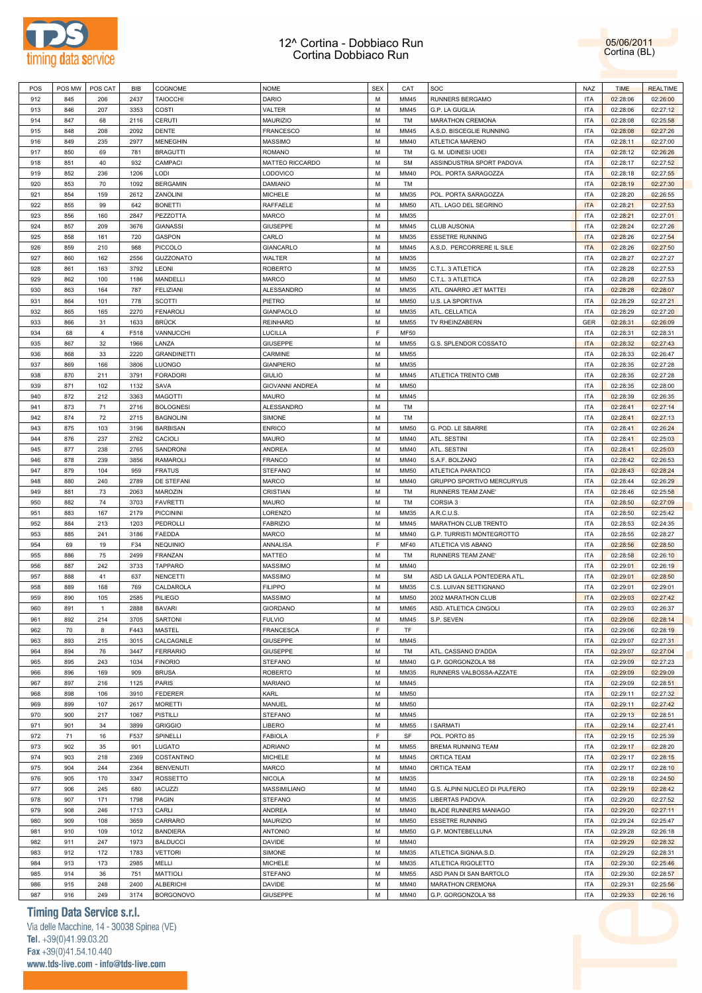



| POS | POS MW | POS CAT        | BIB  | COGNOME            | <b>NOME</b>            | <b>SEX</b> | CAT         | SOC                           | NAZ        | <b>TIME</b> | <b>REALTIME</b> |
|-----|--------|----------------|------|--------------------|------------------------|------------|-------------|-------------------------------|------------|-------------|-----------------|
| 912 | 845    | 206            | 2437 | <b>TAIOCCHI</b>    | <b>DARIO</b>           | M          | MM45        | RUNNERS BERGAMO               | <b>ITA</b> | 02:28:06    | 02:26:00        |
| 913 | 846    | 207            | 3353 | COSTI              | VALTER                 | М          | MM45        | G.P. LA GUGLIA                | <b>ITA</b> | 02:28:06    | 02:27:12        |
| 914 | 847    | 68             | 2116 | CERUTI             | MAURIZIO               | М          | TM          | MARATHON CREMONA              | <b>ITA</b> | 02:28:08    | 02:25:58        |
|     | 848    |                |      | <b>DENTE</b>       |                        | М          | MM45        |                               | <b>ITA</b> |             | 02:27:26        |
| 915 |        | 208            | 2092 |                    | <b>FRANCESCO</b>       |            |             | A.S.D. BISCEGLIE RUNNING      |            | 02:28:08    |                 |
| 916 | 849    | 235            | 2977 | <b>MENEGHIN</b>    | <b>MASSIMO</b>         | M          | MM40        | ATLETICA MARENO               | <b>ITA</b> | 02:28:11    | 02:27:00        |
| 917 | 850    | 69             | 781  | <b>BRAGUTTI</b>    | <b>ROMANO</b>          | М          | TM          | G. M. UDINESI UOEI            | <b>ITA</b> | 02:28:12    | 02:26:26        |
| 918 | 851    | 40             | 932  | CAMPACI            | MATTEO RICCARDO        | М          | <b>SM</b>   | ASSINDUSTRIA SPORT PADOVA     | <b>ITA</b> | 02:28:17    | 02:27:52        |
| 919 | 852    | 236            | 1206 | LODI               | LODOVICO               | М          | MM40        | POL. PORTA SARAGOZZA          | <b>ITA</b> | 02:28:18    | 02:27:55        |
| 920 | 853    | 70             | 1092 | <b>BERGAMIN</b>    | DAMIANO                | M          | TM          |                               | <b>ITA</b> | 02:28:19    | 02:27:30        |
| 921 | 854    | 159            | 2612 | ZANOLINI           | <b>MICHELE</b>         | M          | MM35        | POL. PORTA SARAGOZZA          | <b>ITA</b> | 02:28:20    | 02:26:55        |
| 922 | 855    | 99             | 642  | <b>BONETTI</b>     | RAFFAELE               | M          | <b>MM50</b> | ATL. LAGO DEL SEGRINO         | <b>ITA</b> | 02:28:21    | 02:27:53        |
| 923 | 856    | 160            | 2847 | PEZZOTTA           | <b>MARCO</b>           | M          | MM35        |                               | <b>ITA</b> | 02:28:21    | 02:27:01        |
| 924 | 857    | 209            | 3676 | <b>GIANASSI</b>    | <b>GIUSEPPE</b>        | M          | MM45        | <b>CLUB AUSONIA</b>           | <b>ITA</b> | 02:28:24    | 02:27:26        |
|     |        |                |      |                    |                        |            |             |                               |            |             |                 |
| 925 | 858    | 161            | 720  | GASPON             | CARLO                  | M          | MM35        | <b>ESSETRE RUNNING</b>        | <b>ITA</b> | 02:28:26    | 02:27:54        |
| 926 | 859    | 210            | 988  | <b>PICCOLO</b>     | <b>GIANCARLO</b>       | M          | MM45        | A.S.D. PERCORRERE IL SILE     | <b>ITA</b> | 02:28:26    | 02:27:50        |
| 927 | 860    | 162            | 2556 | <b>GUZZONATO</b>   | WALTER                 | M          | MM35        |                               | <b>ITA</b> | 02:28:27    | 02:27:27        |
| 928 | 861    | 163            | 3792 | LEONI              | <b>ROBERTO</b>         | M          | MM35        | C.T.L. 3 ATLETICA             | <b>ITA</b> | 02:28:28    | 02:27:53        |
| 929 | 862    | 100            | 1186 | MANDELLI           | <b>MARCO</b>           | M          | <b>MM50</b> | C.T.L. 3 ATLETICA             | <b>ITA</b> | 02:28:28    | 02:27:53        |
| 930 | 863    | 164            | 787  | <b>FELIZIANI</b>   | ALESSANDRO             | M          | MM35        | ATL. GNARRO JET MATTEI        | <b>ITA</b> | 02:28:28    | 02:28:07        |
| 931 | 864    | 101            | 778  | <b>SCOTTI</b>      | PIETRO                 | М          | <b>MM50</b> | U.S. LA SPORTIVA              | <b>ITA</b> | 02:28:29    | 02:27:21        |
| 932 | 865    | 165            | 2270 | <b>FENAROLI</b>    | <b>GIANPAOLO</b>       | M          | MM35        | ATL. CELLATICA                | <b>ITA</b> | 02:28:29    | 02:27:20        |
|     | 866    | 31             |      | <b>BRÜCK</b>       |                        | М          | <b>MM55</b> | TV RHEINZABERN                | GER        |             |                 |
| 933 |        |                | 1633 |                    | <b>REINHARD</b>        |            |             |                               |            | 02:28:31    | 02:26:09        |
| 934 | 68     | $\overline{4}$ | F518 | VANNUCCHI          | LUCILLA                | F          | <b>MF50</b> |                               | <b>ITA</b> | 02:28:31    | 02:28:31        |
| 935 | 867    | 32             | 1966 | LANZA              | <b>GIUSEPPE</b>        | M          | <b>MM55</b> | G.S. SPLENDOR COSSATO         | <b>ITA</b> | 02:28:32    | 02:27:43        |
| 936 | 868    | 33             | 2220 | <b>GRANDINETTI</b> | CARMINE                | M          | <b>MM55</b> |                               | <b>ITA</b> | 02:28:33    | 02:26:47        |
| 937 | 869    | 166            | 3806 | LUONGO             | <b>GIANPIERO</b>       | М          | MM35        |                               | <b>ITA</b> | 02:28:35    | 02:27:28        |
| 938 | 870    | 211            | 3791 | <b>FORADORI</b>    | <b>GIULIO</b>          | M          | MM45        | ATLETICA TRENTO CMB           | <b>ITA</b> | 02:28:35    | 02:27:28        |
| 939 | 871    | 102            | 1132 | SAVA               | <b>GIOVANNI ANDREA</b> | M          | <b>MM50</b> |                               | <b>ITA</b> | 02:28:35    | 02:28:00        |
| 940 | 872    | 212            | 3363 | <b>MAGOTTI</b>     | <b>MAURO</b>           | M          | MM45        |                               | <b>ITA</b> | 02:28:39    | 02:26:35        |
| 941 | 873    | 71             | 2716 | <b>BOLOGNESI</b>   | ALESSANDRO             | М          | TM          |                               | <b>ITA</b> | 02:28:41    | 02:27:14        |
| 942 | 874    | 72             | 2715 | <b>BAGNOLINI</b>   | SIMONE                 | M          | TM          |                               | <b>ITA</b> | 02:28:41    | 02:27:13        |
|     |        |                |      |                    |                        |            |             |                               |            |             |                 |
| 943 | 875    | 103            | 3196 | <b>BARBISAN</b>    | <b>ENRICO</b>          | M          | <b>MM50</b> | G. POD. LE SBARRE             | <b>ITA</b> | 02:28:41    | 02:26:24        |
| 944 | 876    | 237            | 2762 | CACIOLI            | <b>MAURO</b>           | M          | MM40        | ATL. SESTINI                  | <b>ITA</b> | 02:28:41    | 02:25:03        |
| 945 | 877    | 238            | 2765 | SANDRONI           | <b>ANDREA</b>          | M          | MM40        | ATL. SESTINI                  | <b>ITA</b> | 02:28:41    | 02:25:03        |
| 946 | 878    | 239            | 3856 | <b>RAMAROLI</b>    | <b>FRANCO</b>          | M          | MM40        | S.A.F. BOLZANO                | <b>ITA</b> | 02:28:42    | 02:26:53        |
| 947 | 879    | 104            | 959  | <b>FRATUS</b>      | <b>STEFANO</b>         | M          | <b>MM50</b> | ATLETICA PARATICO             | <b>ITA</b> | 02:28:43    | 02:28:24        |
| 948 | 880    | 240            | 2789 | DE STEFANI         | <b>MARCO</b>           | M          | MM40        | GRUPPO SPORTIVO MERCURYUS     | <b>ITA</b> | 02:28:44    | 02:26:29        |
| 949 | 881    | 73             | 2063 | MAROZIN            | CRISTIAN               | М          | TM          | RUNNERS TEAM ZANE'            | <b>ITA</b> | 02:28:46    | 02:25:58        |
| 950 | 882    | 74             | 3703 | <b>FAVRETTI</b>    | <b>MAURO</b>           | M          | TM          | CORSIA <sub>3</sub>           | <b>ITA</b> | 02:28:50    | 02:27:09        |
| 951 | 883    | 167            | 2179 | <b>PICCININI</b>   | LORENZO                | М          | MM35        | A.R.C.U.S.                    | <b>ITA</b> | 02:28:50    | 02:25:42        |
|     |        |                |      |                    |                        | M          |             |                               | <b>ITA</b> |             |                 |
| 952 | 884    | 213            | 1203 | PEDROLLI           | <b>FABRIZIO</b>        |            | MM45        | MARATHON CLUB TRENTO          |            | 02:28:53    | 02:24:35        |
| 953 | 885    | 241            | 3186 | <b>FAEDDA</b>      | <b>MARCO</b>           | М          | MM40        | G.P. TURRISTI MONTEGROTTO     | <b>ITA</b> | 02:28:55    | 02:28:27        |
| 954 | 69     | 19             | F34  | <b>NEQUINIO</b>    | ANNALISA               | F          | MF40        | ATLETICA VIS ABANO            | <b>ITA</b> | 02:28:56    | 02:28:50        |
| 955 | 886    | 75             | 2499 | FRANZAN            | MATTEO                 | M          | TM          | RUNNERS TEAM ZANE'            | <b>ITA</b> | 02:28:58    | 02:26:10        |
| 956 | 887    | 242            | 3733 | <b>TAPPARO</b>     | <b>MASSIMO</b>         | M          | MM40        |                               | <b>ITA</b> | 02:29:01    | 02:26:19        |
| 957 | 888    | 41             | 637  | <b>NENCETTI</b>    | <b>MASSIMO</b>         | M          | <b>SM</b>   | ASD LA GALLA PONTEDERA ATL.   | <b>ITA</b> | 02:29:01    | 02:28:50        |
| 958 | 889    | 168            | 769  | CALDAROLA          | <b>FILIPPO</b>         | М          | MM35        | C.S. LUIVAN SETTIGNANO        | <b>ITA</b> | 02:29:01    | 02:29:01        |
| 959 | 890    | 105            | 2585 | PILIEGO            | <b>MASSIMO</b>         | М          | <b>MM50</b> | 2002 MARATHON CLUB            | <b>ITA</b> | 02:29:03    | 02:27:42        |
| 960 | 891    | $\mathbf{1}$   | 2888 | <b>BAVARI</b>      | <b>GIORDANO</b>        | M          | <b>MM65</b> | ASD. ATLETICA CINGOLI         | <b>ITA</b> | 02:29:03    | 02:26:37        |
|     |        |                |      |                    | <b>FULVIO</b>          |            |             |                               |            |             |                 |
| 961 | 892    | 214            | 3705 | SARTONI            |                        | M          | MM45        | S.P. SEVEN                    | <b>ITA</b> | 02:29:06    | 02:28:14        |
| 962 | 70     | 8              | F443 | MASTEL             | <b>FRANCESCA</b>       | F          | TF          |                               | <b>ITA</b> | 02:29:06    | 02:28:19        |
| 963 | 893    | 215            | 3015 | CALCAGNILE         | <b>GIUSEPPE</b>        | М          | MM45        |                               | <b>ITA</b> | 02:29:07    | 02:27:31        |
| 964 | 894    | 76             | 3447 | <b>FERRARIO</b>    | <b>GIUSEPPE</b>        | М          | TM          | ATL. CASSANO D'ADDA           | <b>ITA</b> | 02:29:07    | 02:27:04        |
| 965 | 895    | 243            | 1034 | <b>FINORIO</b>     | <b>STEFANO</b>         | М          | MM40        | G.P. GORGONZOLA '88           | <b>ITA</b> | 02:29:09    | 02:27:23        |
| 966 | 896    | 169            | 909  | <b>BRUSA</b>       | <b>ROBERTO</b>         | М          | MM35        | RUNNERS VALBOSSA-AZZATE       | <b>ITA</b> | 02:29:09    | 02:29:09        |
| 967 | 897    | 216            | 1125 | PARIS              | <b>MARIANO</b>         | М          | MM45        |                               | <b>ITA</b> | 02:29:09    | 02:28:51        |
| 968 | 898    | 106            | 3910 | <b>FEDERER</b>     | KARL                   | М          | <b>MM50</b> |                               | <b>ITA</b> | 02:29:11    | 02:27:32        |
| 969 | 899    | 107            | 2617 | <b>MORETTI</b>     | MANUEL                 | М          | <b>MM50</b> |                               | <b>ITA</b> | 02:29:11    | 02:27:42        |
|     | 900    |                |      |                    |                        | М          | MM45        |                               | <b>ITA</b> |             |                 |
| 970 |        | 217            | 1067 | PISTILLI           | <b>STEFANO</b>         |            |             |                               |            | 02:29:13    | 02:28:51        |
| 971 | 901    | 34             | 3899 | <b>GRIGGIO</b>     | LIBERO                 | М          | <b>MM55</b> | <b>I SARMATI</b>              | <b>ITA</b> | 02:29:14    | 02:27:41        |
| 972 | 71     | 16             | F537 | SPINELLI           | <b>FABIOLA</b>         | F          | SF          | POL. PORTO 85                 | <b>ITA</b> | 02:29:15    | 02:25:39        |
| 973 | 902    | 35             | 901  | LUGATO             | <b>ADRIANO</b>         | М          | <b>MM55</b> | BREMA RUNNING TEAM            | <b>ITA</b> | 02:29:17    | 02:28:20        |
| 974 | 903    | 218            | 2369 | COSTANTINO         | <b>MICHELE</b>         | М          | MM45        | ORTICA TEAM                   | <b>ITA</b> | 02:29:17    | 02:28:15        |
| 975 | 904    | 244            | 2364 | <b>BENVENUTI</b>   | MARCO                  | М          | MM40        | ORTICA TEAM                   | <b>ITA</b> | 02:29:17    | 02:28:10        |
| 976 | 905    | 170            | 3347 | ROSSETTO           | <b>NICOLA</b>          | М          | MM35        |                               | <b>ITA</b> | 02:29:18    | 02:24:50        |
| 977 | 906    | 245            | 680  | <b>IACUZZI</b>     | MASSIMILIANO           | М          | MM40        | G.S. ALPINI NUCLEO DI PULFERO | <b>ITA</b> | 02:29:19    | 02:28:42        |
| 978 | 907    | 171            | 1798 | PAGIN              | <b>STEFANO</b>         | М          | MM35        | <b>LIBERTAS PADOVA</b>        | <b>ITA</b> | 02:29:20    | 02:27:52        |
|     |        |                |      |                    |                        |            |             |                               |            |             |                 |
| 979 | 908    | 246            | 1713 | CARLI              | ANDREA                 | М          | MM40        | BLADE RUNNERS MANIAGO         | <b>ITA</b> | 02:29:20    | 02:27:11        |
| 980 | 909    | 108            | 3659 | CARRARO            | MAURIZIO               | М          | <b>MM50</b> | <b>ESSETRE RUNNING</b>        | <b>ITA</b> | 02:29:24    | 02:25:47        |
| 981 | 910    | 109            | 1012 | <b>BANDIERA</b>    | <b>ANTONIO</b>         | М          | <b>MM50</b> | G.P. MONTEBELLUNA             | <b>ITA</b> | 02:29:28    | 02:26:18        |
| 982 | 911    | 247            | 1973 | <b>BALDUCCI</b>    | DAVIDE                 | М          | MM40        |                               | <b>ITA</b> | 02:29:29    | 02:28:32        |
| 983 | 912    | 172            | 1783 | <b>VETTORI</b>     | SIMONE                 | М          | MM35        | ATLETICA SIGNAA.S.D.          | <b>ITA</b> | 02:29:29    | 02:28:31        |
| 984 | 913    | 173            | 2985 | MELLI              | <b>MICHELE</b>         | М          | MM35        | ATLETICA RIGOLETTO            | <b>ITA</b> | 02:29:30    | 02:25:46        |
| 985 | 914    | 36             | 751  | MATTIOLI           | <b>STEFANO</b>         | М          | <b>MM55</b> | ASD PIAN DI SAN BARTOLO       | <b>ITA</b> | 02:29:30    | 02:28:57        |
| 986 | 915    | 248            | 2400 | <b>ALBERICHI</b>   | DAVIDE                 | М          | MM40        | MARATHON CREMONA              | <b>ITA</b> | 02:29:31    | 02:25:56        |
| 987 | 916    | 249            | 3174 | <b>BORGONOVO</b>   | <b>GIUSEPPE</b>        | M          | MM40        | G.P. GORGONZOLA '88           | <b>ITA</b> | 02:29:33    | 02:26:16        |
|     |        |                |      |                    |                        |            |             |                               |            |             |                 |

### **Timing Data Service s.r.l.**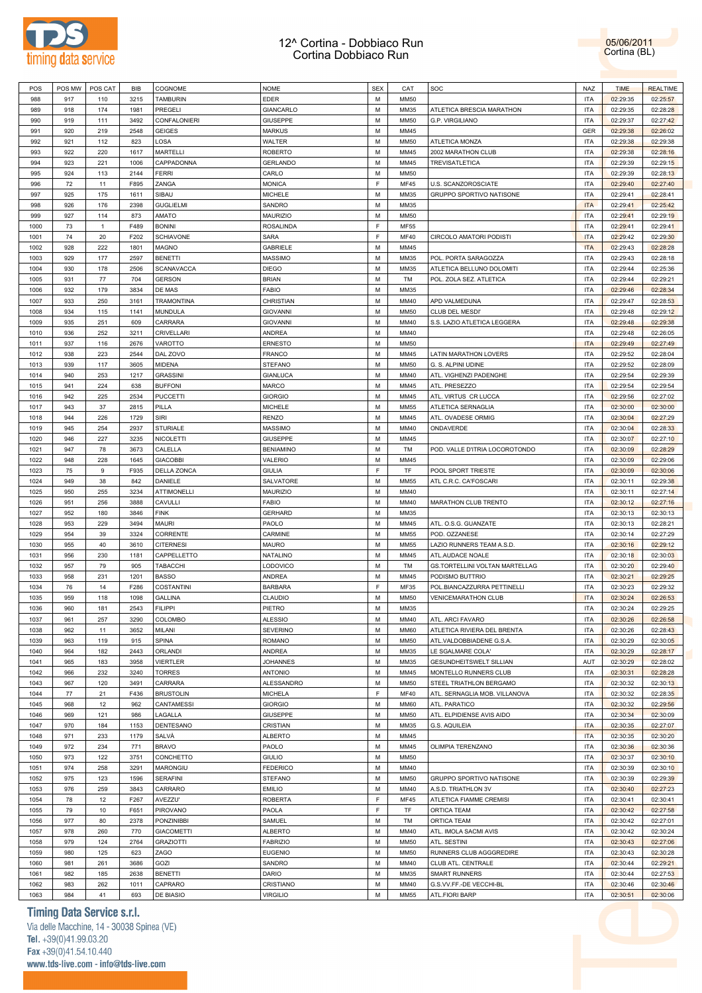

05/06/2011 Cortina (BL)

| POS  | POS MW | POS CAT      | BIB  | COGNOME                  | <b>NOME</b>                      | <b>SEX</b> | CAT         | <b>SOC</b>                                        | <b>NAZ</b>               | <b>TIME</b> | <b>REALTIME</b> |
|------|--------|--------------|------|--------------------------|----------------------------------|------------|-------------|---------------------------------------------------|--------------------------|-------------|-----------------|
| 988  | 917    | 110          | 3215 | <b>TAMBURIN</b>          | <b>EDER</b>                      | M          | <b>MM50</b> |                                                   | <b>ITA</b>               | 02:29:35    | 02:25:57        |
| 989  | 918    | 174          | 1981 | PREGELI                  | GIANCARLO                        | M          | MM35        | ATLETICA BRESCIA MARATHON                         | <b>ITA</b>               | 02:29:35    | 02:28:28        |
| 990  | 919    | 111          | 3492 | CONFALONIERI             | <b>GIUSEPPE</b>                  | M          | <b>MM50</b> | G.P. VIRGILIANO                                   | <b>ITA</b>               | 02:29:37    | 02:27:42        |
| 991  | 920    | 219          | 2548 | <b>GEIGES</b>            | <b>MARKUS</b>                    | M          | MM45        |                                                   | <b>GER</b>               | 02:29:38    | 02:26:02        |
| 992  | 921    | 112          | 823  | LOSA                     | WALTER                           | M          | <b>MM50</b> | ATLETICA MONZA                                    | <b>ITA</b>               | 02:29:38    | 02:29:38        |
| 993  | 922    | 220          | 1617 | <b>MARTELLI</b>          | <b>ROBERTO</b>                   | M          | MM45        | 2002 MARATHON CLUB                                | <b>ITA</b>               | 02:29:38    | 02:28:16        |
| 994  | 923    | 221          | 1006 | CAPPADONNA               | <b>GERLANDO</b>                  | M          | MM45        | TREVISATLETICA                                    | <b>ITA</b>               | 02:29:39    | 02:29:15        |
| 995  | 924    | 113          | 2144 | FERRI                    | CARLO                            | M          | <b>MM50</b> |                                                   | <b>ITA</b>               | 02:29:39    | 02:28:13        |
| 996  | 72     | 11           | F895 | ZANGA                    | <b>MONICA</b>                    | F          | <b>MF45</b> | U.S. SCANZOROSCIATE                               | <b>ITA</b>               | 02:29:40    | 02:27:40        |
| 997  | 925    | 175          | 1611 | SIBAU                    | <b>MICHELE</b>                   | M          | MM35        | GRUPPO SPORTIVO NATISONE                          | <b>ITA</b>               | 02:29:41    | 02:28:41        |
| 998  | 926    | 176          | 2398 | <b>GUGLIELMI</b>         | SANDRO                           | M          | MM35        |                                                   | <b>ITA</b>               | 02:29:41    | 02:25:42        |
| 999  | 927    | 114          | 873  | AMATO                    | <b>MAURIZIO</b>                  | M          | <b>MM50</b> |                                                   | <b>ITA</b>               | 02:29:41    | 02:29:19        |
| 1000 | 73     | $\mathbf{1}$ | F489 | <b>BONINI</b>            | <b>ROSALINDA</b>                 | F          | <b>MF55</b> |                                                   | <b>ITA</b>               | 02:29:41    | 02:29:41        |
| 1001 | 74     | 20           | F202 | <b>SCHIAVONE</b>         | SARA                             | E          | <b>MF40</b> | CIRCOLO AMATORI PODISTI                           | <b>ITA</b>               | 02:29:42    | 02:29:30        |
| 1002 | 928    | 222          | 1801 | <b>MAGNO</b>             | GABRIELE                         | M          | MM45        |                                                   | <b>ITA</b>               | 02:29:43    | 02:28:28        |
| 1003 | 929    | 177          | 2597 | <b>BENETTI</b>           | MASSIMO                          | M          | MM35        | POL. PORTA SARAGOZZA                              | <b>ITA</b>               | 02:29:43    | 02:28:18        |
| 1004 | 930    | 178          | 2506 | <b>SCANAVACCA</b>        | <b>DIEGO</b>                     | M          | MM35        | ATLETICA BELLUNO DOLOMITI                         | <b>ITA</b>               | 02:29:44    | 02:25:36        |
| 1005 | 931    | 77           | 704  | <b>GERSON</b>            | <b>BRIAN</b>                     | M          | TM          | POL. ZOLA SEZ. ATLETICA                           | <b>ITA</b>               | 02:29:44    | 02:29:21        |
| 1006 | 932    | 179          | 3834 | DE MAS                   | <b>FABIO</b>                     | M          | MM35        |                                                   | <b>ITA</b>               | 02:29:46    | 02:28:34        |
| 1007 | 933    | 250          | 3161 | <b>TRAMONTINA</b>        | CHRISTIAN                        | M          | MM40        | APD VALMEDUNA                                     | <b>ITA</b>               | 02:29:47    | 02:28:53        |
| 1008 | 934    | 115          | 1141 | MUNDULA                  | <b>GIOVANNI</b>                  | M          | <b>MM50</b> | CLUB DEL MESDI'                                   | <b>ITA</b>               | 02:29:48    | 02:29:12        |
| 1009 | 935    | 251          | 609  | CARRARA                  | <b>GIOVANNI</b>                  | M          | MM40        | S.S. LAZIO ATLETICA LEGGERA                       | <b>ITA</b>               | 02:29:48    | 02:29:38        |
| 1010 | 936    | 252          | 3211 | CRIVELLARI               | ANDREA                           | M          | MM40        |                                                   | <b>ITA</b>               | 02:29:48    | 02:26:05        |
| 1011 | 937    | 116          | 2676 | VAROTTO                  | <b>ERNESTO</b>                   | M          | <b>MM50</b> |                                                   | <b>ITA</b>               | 02:29:49    | 02:27:49        |
| 1012 | 938    | 223          | 2544 | DAL ZOVO                 | <b>FRANCO</b>                    | M          | MM45        | LATIN MARATHON LOVERS                             | <b>ITA</b>               | 02:29:52    | 02:28:04        |
| 1013 | 939    | 117          | 3605 | MIDENA                   | <b>STEFANO</b>                   | M          | <b>MM50</b> | G. S. ALPINI UDINE                                | <b>ITA</b>               | 02:29:52    | 02:28:09        |
| 1014 | 940    | 253          | 1217 | <b>GRASSINI</b>          | <b>GIANLUCA</b>                  | M          | <b>MM40</b> | ATL. VIGHENZI PADENGHE                            | <b>ITA</b>               | 02:29:54    | 02:29:39        |
|      | 941    |              |      |                          |                                  | M          | MM45        |                                                   | <b>ITA</b>               |             |                 |
| 1015 |        | 224          | 638  | <b>BUFFONI</b>           | <b>MARCO</b>                     | M          |             | ATL. PRESEZZO                                     |                          | 02:29:54    | 02:29:54        |
| 1016 | 942    | 225          | 2534 | <b>PUCCETTI</b><br>PILLA | <b>GIORGIO</b><br><b>MICHELE</b> | M          | MM45        | ATL. VIRTUS CR LUCCA<br><b>ATLETICA SERNAGLIA</b> | <b>ITA</b><br><b>ITA</b> | 02:29:56    | 02:27:02        |
| 1017 | 943    | 37           | 2815 |                          |                                  | M          | MM55        | ATL. OVADESE ORMIG                                |                          | 02:30:00    | 02:30:00        |
| 1018 | 944    | 226          | 1729 | SIRI                     | <b>RENZO</b>                     |            | MM45        |                                                   | <b>ITA</b>               | 02:30:04    | 02:27:29        |
| 1019 | 945    | 254          | 2937 | <b>STURIALE</b>          | <b>MASSIMO</b>                   | M          | MM40        | ONDAVERDE                                         | <b>ITA</b>               | 02:30:04    | 02:28:33        |
| 1020 | 946    | 227          | 3235 | NICOLETTI                | <b>GIUSEPPE</b>                  | M          | MM45        |                                                   | <b>ITA</b>               | 02:30:07    | 02:27:10        |
| 1021 | 947    | 78           | 3673 | CALELLA                  | <b>BENIAMINO</b>                 | M          | TM          | POD. VALLE D'ITRIA LOCOROTONDO                    | <b>ITA</b>               | 02:30:09    | 02:28:29        |
| 1022 | 948    | 228          | 1645 | <b>GIACOBBI</b>          | VALERIO                          | M          | MM45        |                                                   | <b>ITA</b>               | 02:30:09    | 02:29:06        |
| 1023 | 75     | 9            | F935 | DELLA ZONCA              | <b>GIULIA</b>                    | E          | TF          | POOL SPORT TRIESTE                                | <b>ITA</b>               | 02:30:09    | 02:30:06        |
| 1024 | 949    | 38           | 842  | DANIELE                  | SALVATORE                        | M          | <b>MM55</b> | ATL C.R.C. CA'FOSCARI                             | <b>ITA</b>               | 02:30:11    | 02:29:38        |
| 1025 | 950    | 255          | 3234 | <b>ATTIMONELLI</b>       | <b>MAURIZIO</b>                  | M          | MM40        |                                                   | <b>ITA</b>               | 02:30:11    | 02:27:14        |
| 1026 | 951    | 256          | 3888 | CAVULLI                  | <b>FABIO</b>                     | M          | MM40        | MARATHON CLUB TRENTO                              | <b>ITA</b>               | 02:30:12    | 02:27:16        |
| 1027 | 952    | 180          | 3846 | <b>FINK</b>              | <b>GERHARD</b>                   | M          | MM35        |                                                   | <b>ITA</b>               | 02:30:13    | 02:30:13        |
| 1028 | 953    | 229          | 3494 | <b>MAURI</b>             | PAOLO                            | M          | MM45        | ATL. O.S.G. GUANZATE                              | <b>ITA</b>               | 02:30:13    | 02:28:21        |
| 1029 | 954    | 39           | 3324 | CORRENTE                 | CARMINE                          | M          | MM55        | POD. OZZANESE                                     | <b>ITA</b>               | 02:30:14    | 02:27:29        |
| 1030 | 955    | 40           | 3610 | <b>CITERNESI</b>         | <b>MAURO</b>                     | M          | MM55        | LAZIO RUNNERS TEAM A.S.D.                         | <b>ITA</b>               | 02:30:16    | 02:29:12        |
| 1031 | 956    | 230          | 1181 | CAPPELLETTO              | NATALINO                         | M          | MM45        | ATL.AUDACE NOALE                                  | <b>ITA</b>               | 02:30:18    | 02:30:03        |
| 1032 | 957    | 79           | 905  | TABACCHI                 | LODOVICO                         | M          | TM          | GS.TORTELLINI VOLTAN MARTELLAG                    | <b>ITA</b>               | 02:30:20    | 02:29:40        |
| 1033 | 958    | 231          | 1201 | <b>BASSO</b>             | ANDREA                           | M          | MM45        | PODISMO BUTTRIO                                   | <b>ITA</b>               | 02:30:21    | 02:29:25        |
| 1034 | 76     | 14           | F286 | <b>COSTANTINI</b>        | <b>BARBARA</b>                   | F          | MF35        | POL.BIANCAZZURRA PETTINELLI                       | <b>ITA</b>               | 02:30:23    | 02:29:32        |
| 1035 | 959    | 118          | 1098 | <b>GALLINA</b>           | CLAUDIO                          | M          | <b>MM50</b> | <b>VENICEMARATHON CLUB</b>                        | <b>ITA</b>               | 02:30:24    | 02:26:53        |
| 1036 | 960    | 181          | 2543 | <b>FILIPPI</b>           | PIETRO                           | M          | MM35        |                                                   | <b>ITA</b>               | 02:30:24    | 02:29:25        |
| 1037 | 961    | 257          | 3290 | COLOMBO                  | <b>ALESSIO</b>                   | M          | MM40        | ATL. ARCI FAVARO                                  | <b>ITA</b>               | 02:30:26    | 02:26:58        |
| 1038 | 962    | 11           | 3652 | MILANI                   | <b>SEVERINO</b>                  | M          | <b>MM60</b> | ATLETICA RIVIERA DEL BRENTA                       | <b>ITA</b>               | 02:30:26    | 02:28:43        |
| 1039 | 963    | 119          | 915  | <b>SPINA</b>             | <b>ROMANO</b>                    | M          | <b>MM50</b> | ATL.VALDOBBIADENE G.S.A.                          | <b>ITA</b>               | 02:30:29    | 02:30:05        |
| 1040 | 964    | 182          | 2443 | ORLANDI                  | ANDREA                           | M          | MM35        | LE SGALMARE COLA'                                 | <b>ITA</b>               | 02:30:29    | 02:28:17        |
| 1041 | 965    | 183          | 3958 | <b>VIERTLER</b>          | <b>JOHANNES</b>                  | M          | MM35        | <b>GESUNDHEITSWELT SILLIAN</b>                    | AUT                      | 02:30:29    | 02:28:02        |
| 1042 | 966    | 232          | 3240 | <b>TORRES</b>            | <b>ANTONIO</b>                   | M          | MM45        | MONTELLO RUNNERS CLUB                             | <b>ITA</b>               | 02:30:31    | 02:28:28        |
| 1043 | 967    | 120          | 3491 | CARRARA                  | ALESSANDRO                       | M          | <b>MM50</b> | STEEL TRIATHLON BERGAMO                           | <b>ITA</b>               | 02:30:32    | 02:30:13        |
| 1044 | 77     | 21           | F436 | <b>BRUSTOLIN</b>         | <b>MICHELA</b>                   | E          | <b>MF40</b> | ATL. SERNAGLIA MOB. VILLANOVA                     | <b>ITA</b>               | 02:30:32    | 02:28:35        |
| 1045 | 968    | 12           | 962  | CANTAMESSI               | <b>GIORGIO</b>                   | M          | <b>MM60</b> | ATL. PARATICO                                     | <b>ITA</b>               | 02:30:32    | 02:29:56        |
| 1046 | 969    | 121          | 986  | LAGALLA                  | <b>GIUSEPPE</b>                  | M          | <b>MM50</b> | ATL. ELPIDIENSE AVIS AIDO                         | <b>ITA</b>               | 02:30:34    | 02:30:09        |
| 1047 | 970    | 184          | 1153 | DENTESANO                | CRISTIAN                         | M          | MM35        | G.S. AQUILEIA                                     | <b>ITA</b>               | 02:30:35    | 02:27:07        |
| 1048 | 971    | 233          | 1179 | SALVÀ                    | <b>ALBERTO</b>                   | M          | MM45        |                                                   | <b>ITA</b>               | 02:30:35    | 02:30:20        |
| 1049 | 972    | 234          | 771  | <b>BRAVO</b>             | PAOLO                            | M          | MM45        | OLIMPIA TERENZANO                                 | <b>ITA</b>               | 02:30:36    | 02:30:36        |
| 1050 | 973    | 122          | 3751 | CONCHETTO                | <b>GIULIO</b>                    | M          | <b>MM50</b> |                                                   | <b>ITA</b>               | 02:30:37    | 02:30:10        |
| 1051 | 974    | 258          | 3291 | MARONGIU                 | <b>FEDERICO</b>                  | M          | MM40        |                                                   | <b>ITA</b>               | 02:30:39    | 02:30:10        |
| 1052 | 975    | 123          | 1596 | <b>SERAFINI</b>          | <b>STEFANO</b>                   | M          | <b>MM50</b> | GRUPPO SPORTIVO NATISONE                          | <b>ITA</b>               | 02:30:39    | 02:29:39        |
| 1053 | 976    | 259          | 3843 | CARRARO                  | <b>EMILIO</b>                    | M          | MM40        | A.S.D. TRIATHLON 3V                               | <b>ITA</b>               | 02:30:40    | 02:27:23        |
| 1054 | 78     | 12           | F267 | AVEZZU'                  | <b>ROBERTA</b>                   | F          | MF45        | ATLETICA FIAMME CREMISI                           | <b>ITA</b>               | 02:30:41    | 02:30:41        |
| 1055 | 79     | 10           | F651 | PIROVANO                 | PAOLA                            | F.         | TF          | ORTICA TEAM                                       | <b>ITA</b>               | 02:30:42    | 02:27:58        |
| 1056 | 977    | 80           | 2378 | <b>PONZINIBBI</b>        | SAMUEL                           | M          | TM          | ORTICA TEAM                                       | <b>ITA</b>               | 02:30:42    | 02:27:01        |
| 1057 | 978    | 260          | 770  | <b>GIACOMETTI</b>        | <b>ALBERTO</b>                   | M          | MM40        | ATL. IMOLA SACMI AVIS                             | <b>ITA</b>               | 02:30:42    | 02:30:24        |
| 1058 | 979    | 124          | 2764 | <b>GRAZIOTTI</b>         | <b>FABRIZIO</b>                  | M          | <b>MM50</b> | ATL. SESTINI                                      | <b>ITA</b>               | 02:30:43    | 02:27:06        |
| 1059 | 980    | 125          | 623  | ZAGO                     | <b>EUGENIO</b>                   | M          | <b>MM50</b> | RUNNERS CLUB AGGGREDIRE                           | <b>ITA</b>               | 02:30:43    | 02:30:28        |
| 1060 | 981    | 261          | 3686 | GOZI                     | SANDRO                           | M          | MM40        | CLUB ATL. CENTRALE                                | <b>ITA</b>               | 02:30:44    | 02:29:21        |
|      | 982    |              |      |                          | <b>DARIO</b>                     | M          | MM35        |                                                   | <b>ITA</b>               |             | 02:27:53        |
| 1061 |        | 185          | 2638 | <b>BENETTI</b>           |                                  |            |             | <b>SMART RUNNERS</b>                              |                          | 02:30:44    |                 |
| 1062 | 983    | 262          | 1011 | CAPRARO                  | CRISTIANO                        | M          | MM40        | G.S.VV.FF.-DE VECCHI-BL                           | <b>ITA</b>               | 02:30:46    | 02:30:46        |
| 1063 | 984    | 41           | 693  | DE BIASIO                | <b>VIRGILIO</b>                  | M          | MM55        | ATL.FIORI BARP                                    | <b>ITA</b>               | 02:30:51    | 02:30:06        |

# **Timing Data Service s.r.l.**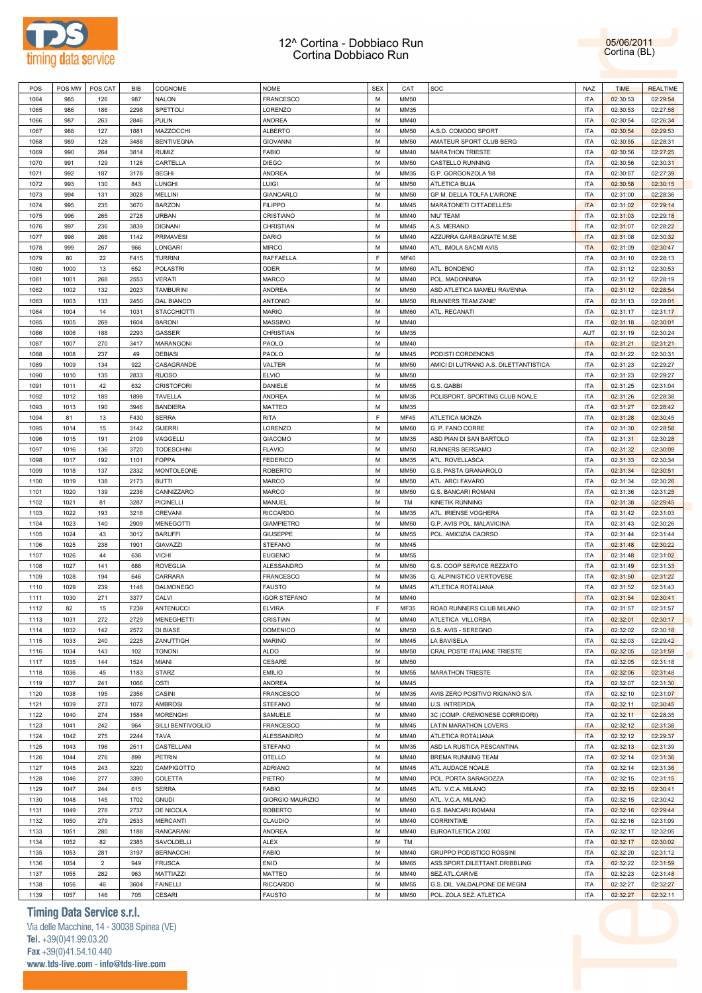



| POS  | POS MW | POS CAT        | BIB  | COGNOME            | <b>NOME</b>         | <b>SEX</b> | CAT         | SOC                                   | NAZ        | <b>TIME</b> | <b>REALTIME</b> |
|------|--------|----------------|------|--------------------|---------------------|------------|-------------|---------------------------------------|------------|-------------|-----------------|
| 1064 | 985    | 126            | 987  | <b>NALON</b>       | <b>FRANCESCO</b>    | М          | <b>MM50</b> |                                       | ITA        | 02:30:53    | 02:29:54        |
| 1065 | 986    | 186            | 2298 | SPETTOLI           | LORENZO             | М          | MM35        |                                       | ITA        | 02:30:53    | 02:27:58        |
| 1066 | 987    | 263            | 2846 | <b>PULIN</b>       | <b>ANDREA</b>       | М          | MM40        |                                       | ITA        | 02:30:54    | 02:26:34        |
|      |        |                |      |                    |                     |            |             |                                       |            |             |                 |
| 1067 | 988    | 127            | 1881 | MAZZOCCHI          | <b>ALBERTO</b>      | M          | <b>MM50</b> | A.S.D. COMODO SPORT                   | ITA        | 02:30:54    | 02:29:53        |
| 1068 | 989    | 128            | 3488 | <b>BENTIVEGNA</b>  | <b>GIOVANNI</b>     | М          | <b>MM50</b> | AMATEUR SPORT CLUB BERG               | ITA        | 02:30:55    | 02:28:31        |
| 1069 | 990    | 264            | 3814 | <b>RUMIZ</b>       | <b>FABIO</b>        | M          | MM40        | <b>MARATHON TRIESTE</b>               | ITA        | 02:30:56    | 02:27:25        |
| 1070 | 991    | 129            | 1126 | CARTELLA           | <b>DIEGO</b>        | М          | <b>MM50</b> | CASTELLO RUNNING                      | ITA        | 02:30:56    | 02:30:31        |
| 1071 | 992    | 187            | 3178 | <b>BEGHI</b>       | <b>ANDREA</b>       | M          | MM35        | G.P. GORGONZOLA '88                   | <b>ITA</b> | 02:30:57    | 02:27:39        |
| 1072 | 993    | 130            | 843  | <b>LUNGHI</b>      | LUIGI               | М          | <b>MM50</b> | ATLETICA BUJA                         | ITA        | 02:30:58    | 02:30:15        |
| 1073 | 994    | 131            | 3028 | <b>MELLINI</b>     | GIANCARLO           | M          | <b>MM50</b> | GP M. DELLA TOLFA L'AIRONE            | <b>ITA</b> | 02:31:00    | 02:28:36        |
|      |        |                |      |                    |                     |            |             |                                       |            |             |                 |
| 1074 | 995    | 235            | 3670 | <b>BARZON</b>      | <b>FILIPPO</b>      | М          | MM45        | MARATONETI CITTADELLESI               | <b>ITA</b> | 02:31:02    | 02:29:14        |
| 1075 | 996    | 265            | 2728 | <b>URBAN</b>       | CRISTIANO           | М          | MM40        | NIU' TEAM                             | ITA        | 02:31:03    | 02:29:18        |
| 1076 | 997    | 236            | 3839 | <b>DIGNANI</b>     | CHRISTIAN           | М          | MM45        | A.S. MERANO                           | <b>ITA</b> | 02:31:07    | 02:28:22        |
| 1077 | 998    | 266            | 1142 | <b>PRIMAVESI</b>   | DARIO               | М          | MM40        | AZZURRA GARBAGNATE M.SE               | <b>ITA</b> | 02:31:08    | 02:30:32        |
| 1078 | 999    | 267            | 966  | LONGARI            | <b>MIRCO</b>        | М          | MM40        | ATL. IMOLA SACMI AVIS                 | <b>ITA</b> | 02:31:09    | 02:30:47        |
| 1079 | 80     | 22             | F415 | <b>TURRINI</b>     | RAFFAELLA           | F.         | <b>MF40</b> |                                       | ITA        | 02:31:10    | 02:28:13        |
| 1080 | 1000   | 13             | 652  | <b>POLASTRI</b>    | ODER                | М          | <b>MM60</b> | ATL. BONDENO                          | ITA        | 02:31:12    | 02:30:53        |
| 1081 | 1001   | 268            | 2553 | <b>VERATI</b>      | <b>MARCO</b>        | М          | MM40        | POL. MADONNINA                        | ITA        | 02:31:12    | 02:28:19        |
|      |        |                |      |                    |                     |            |             |                                       |            |             |                 |
| 1082 | 1002   | 132            | 2023 | <b>TAMBURINI</b>   | ANDREA              | М          | <b>MM50</b> | ASD ATLETICA MAMELI RAVENNA           | ITA        | 02:31:12    | 02:28:54        |
| 1083 | 1003   | 133            | 2450 | DAL BIANCO         | <b>ANTONIO</b>      | М          | <b>MM50</b> | RUNNERS TEAM ZANE'                    | ITA        | 02:31:13    | 02:28:01        |
| 1084 | 1004   | 14             | 1031 | <b>STACCHIOTTI</b> | <b>MARIO</b>        | М          | MM60        | ATL. RECANATI                         | ITA        | 02:31:17    | 02:31:17        |
| 1085 | 1005   | 269            | 1604 | <b>BARONI</b>      | <b>MASSIMO</b>      | М          | MM40        |                                       | ITA        | 02:31:18    | 02:30:01        |
| 1086 | 1006   | 188            | 2293 | GASSER             | CHRISTIAN           | М          | MM35        |                                       | AUT        | 02:31:19    | 02:30:24        |
| 1087 | 1007   | 270            | 3417 | MARANGONI          | PAOLO               | M          | MM40        |                                       | <b>ITA</b> | 02:31:21    | 02:31:21        |
| 1088 | 1008   | 237            | 49   | <b>DEBIASI</b>     | PAOLO               | М          | MM45        | PODISTI CORDENONS                     | ITA        | 02:31:22    | 02:30:31        |
|      |        |                |      |                    |                     |            |             |                                       |            |             |                 |
| 1089 | 1009   | 134            | 922  | CASAGRANDE         | VALTER              | M          | <b>MM50</b> | AMICI DI LUTRANO A.S. DILETTANTISTICA | ITA        | 02:31:23    | 02:29:27        |
| 1090 | 1010   | 135            | 2833 | <b>RUOSO</b>       | <b>ELVIO</b>        | М          | <b>MM50</b> |                                       | ITA        | 02:31:23    | 02:29:27        |
| 1091 | 1011   | 42             | 632  | <b>CRISTOFORI</b>  | DANIELE             | M          | MM55        | G.S. GABBI                            | ITA        | 02:31:25    | 02:31:04        |
| 1092 | 1012   | 189            | 1898 | <b>TAVELLA</b>     | <b>ANDREA</b>       | М          | MM35        | POLISPORT. SPORTING CLUB NOALE        | ITA        | 02:31:26    | 02:28:38        |
| 1093 | 1013   | 190            | 3946 | <b>BANDIERA</b>    | <b>MATTEO</b>       | M          | MM35        |                                       | ITA        | 02:31:27    | 02:28:42        |
| 1094 | 81     | 13             | F430 | <b>SERRA</b>       | <b>RITA</b>         | F          | <b>MF45</b> | <b>ATLETICA MONZA</b>                 | ITA        | 02:31:28    | 02:30:45        |
| 1095 | 1014   | 15             | 3142 | <b>GUERRI</b>      | LORENZO             | M          | <b>MM60</b> | G. P. FANO CORRE                      | ITA        | 02:31:30    | 02:28:58        |
|      |        |                |      |                    |                     |            |             |                                       |            |             |                 |
| 1096 | 1015   | 191            | 2109 | VAGGELLI           | <b>GIACOMO</b>      | М          | MM35        | ASD PIAN DI SAN BARTOLO               | ITA        | 02:31:31    | 02:30:28        |
| 1097 | 1016   | 136            | 3720 | <b>TODESCHINI</b>  | <b>FLAVIO</b>       | M          | <b>MM50</b> | RUNNERS BERGAMO                       | ITA        | 02:31:32    | 02:30:09        |
| 1098 | 1017   | 192            | 1101 | <b>FOPPA</b>       | <b>FEDERICO</b>     | М          | MM35        | ATL. ROVELLASCA                       | ITA        | 02:31:33    | 02:30:34        |
| 1099 | 1018   | 137            | 2332 | MONTOLEONE         | <b>ROBERTO</b>      | М          | <b>MM50</b> | G.S. PASTA GRANAROLO                  | <b>ITA</b> | 02:31:34    | 02:30:51        |
| 1100 | 1019   | 138            | 2173 | <b>BUTTI</b>       | <b>MARCO</b>        | М          | <b>MM50</b> | ATL. ARCI FAVARO                      | <b>ITA</b> | 02:31:34    | 02:30:26        |
| 1101 | 1020   | 139            | 2236 | CANNIZZARO         | <b>MARCO</b>        | М          | <b>MM50</b> | G.S. BANCARI ROMANI                   | ITA        | 02:31:36    | 02:31:25        |
| 1102 | 1021   | 81             | 3287 | <b>PICINELLI</b>   | MANUEL              | М          | TM          | KINETIK RUNNING                       | ITA        | 02:31:38    | 02:29:45        |
|      |        |                |      |                    |                     |            |             |                                       |            |             |                 |
| 1103 | 1022   | 193            | 3216 | CREVANI            | <b>RICCARDO</b>     | М          | MM35        | ATL. IRIENSE VOGHERA                  | ITA        | 02:31:42    | 02:31:03        |
| 1104 | 1023   | 140            | 2909 | <b>MENEGOTTI</b>   | <b>GIAMPIETRO</b>   | М          | MM50        | G.P. AVIS POL. MALAVICINA             | <b>ITA</b> | 02:31:43    | 02:30:26        |
| 1105 | 1024   | 43             | 3012 | <b>BARUFFI</b>     | GIUSEPPE            | М          | <b>MM55</b> | POL. AMICIZIA CAORSO                  | ITA        | 02:31:44    | 02:31:44        |
| 1106 | 1025   | 238            | 1901 | GIAVAZZI           | <b>STEFANO</b>      | М          | MM45        |                                       | ITA        | 02:31:48    | 02:30:22        |
| 1107 | 1026   | 44             | 636  | <b>VICHI</b>       | <b>EUGENIO</b>      | М          | <b>MM55</b> |                                       | ITA        | 02:31:48    | 02:31:02        |
| 1108 | 1027   | 141            | 686  | <b>ROVEGLIA</b>    | ALESSANDRO          | М          | <b>MM50</b> | G.S. COOP SERVICE REZZATO             | ITA        | 02:31:49    | 02:31:33        |
| 1109 | 1028   | 194            | 646  | CARRARA            | FRANCESCO           | М          | MM35        | G. ALPINISTICO VERTOVESE              | ITA        | 02:31:50    | 02:31:22        |
| 1110 | 1029   | 239            | 1146 | DALMONEGO          | <b>FAUSTO</b>       | М          | MM45        | ATLETICA ROTALIANA                    | <b>ITA</b> | 02:31:52    | 02:31:43        |
|      |        |                |      |                    |                     |            |             |                                       |            |             |                 |
| 1111 | 1030   | 271            | 3377 | CALVI              | <b>IGOR STEFANO</b> | М          | MM40        |                                       | <b>ITA</b> | 02:31:54    | 02:30:41        |
| 1112 | 82     | 15             | F239 | ANTENUCCI          | <b>ELVIRA</b>       | F.         | MF35        | ROAD RUNNERS CLUB MILANO              | <b>ITA</b> | 02:31:57    | 02:31:57        |
| 1113 | 1031   | 272            | 2729 | <b>MENEGHETTI</b>  | CRISTIAN            | М          | MM40        | ATLETICA VILLORBA                     | <b>ITA</b> | 02:32:01    | 02:30:17        |
| 1114 | 1032   | 142            | 2572 | DI BIASE           | <b>DOMENICO</b>     | M          | <b>MM50</b> | G.S. AVIS - SEREGNO                   | <b>ITA</b> | 02:32:02    | 02:30:18        |
| 1115 | 1033   | 240            | 2225 | ZANUTTIGH          | <b>MARINO</b>       | М          | MM45        | LA BAVISELA                           | <b>ITA</b> | 02:32:03    | 02:29:42        |
| 1116 | 1034   | 143            | 102  | <b>TONONI</b>      | <b>ALDO</b>         | М          | <b>MM50</b> | CRAL POSTE ITALIANE TRIESTE           | ITA        | 02:32:05    | 02:31:59        |
| 1117 | 1035   | 144            | 1524 | MIANI              | CESARE              | М          | MM50        |                                       | ITA        | 02:32:05    | 02:31:18        |
| 1118 | 1036   | 45             | 1183 | <b>STARZ</b>       | <b>EMILIO</b>       | M          | <b>MM55</b> | <b>MARATHON TRIESTE</b>               | ITA        | 02:32:06    | 02:31:48        |
|      |        |                |      |                    | ANDREA              |            |             |                                       |            |             |                 |
| 1119 | 1037   | 241            | 1066 | OSTI               |                     | М          | MM45        |                                       | ITA        | 02:32:07    | 02:31:30        |
| 1120 | 1038   | 195            | 2356 | CASINI             | <b>FRANCESCO</b>    | М          | MM35        | AVIS ZERO POSITIVO RIGNANO S/A        | ITA        | 02:32:10    | 02:31:07        |
| 1121 | 1039   | 273            | 1072 | <b>AMBROSI</b>     | <b>STEFANO</b>      | М          | MM40        | U.S. INTREPIDA                        | ITA        | 02:32:11    | 02:30:45        |
| 1122 | 1040   | 274            | 1584 | <b>MORENGHI</b>    | SAMUELE             | M          | MM40        | 3C (COMP. CREMONESE CORRIDORI)        | ITA        | 02:32:11    | 02:28:35        |
| 1123 | 1041   | 242            | 964  | SILLI BENTIVOGLIO  | <b>FRANCESCO</b>    | M          | MM45        | LATIN MARATHON LOVERS                 | <b>ITA</b> | 02:32:12    | 02:31:38        |
| 1124 | 1042   | 275            | 2244 | <b>TAVA</b>        | ALESSANDRO          | М          | MM40        | ATLETICA ROTALIANA                    | <b>ITA</b> | 02:32:12    | 02:29:37        |
| 1125 | 1043   | 196            | 2511 | CASTELLANI         | <b>STEFANO</b>      | М          | MM35        | ASD LA RUSTICA PESCANTINA             | ITA        | 02:32:13    | 02:31:39        |
|      |        |                |      |                    |                     |            |             |                                       |            |             |                 |
| 1126 | 1044   | 276            | 899  | <b>PETRIN</b>      | OTELLO              | М          | MM40        | BREMA RUNNING TEAM                    | ITA        | 02:32:14    | 02:31:36        |
| 1127 | 1045   | 243            | 3220 | CAMPIGOTTO         | <b>ADRIANO</b>      | M          | MM45        | ATL.AUDACE NOALE                      | ITA        | 02:32:14    | 02:31:36        |
| 1128 | 1046   | 277            | 3390 | COLETTA            | PIETRO              | М          | MM40        | POL. PORTA SARAGOZZA                  | ITA        | 02:32:15    | 02:31:15        |
| 1129 | 1047   | 244            | 615  | <b>SERRA</b>       | <b>FABIO</b>        | М          | MM45        | ATL. V.C.A. MILANO                    | ITA        | 02:32:15    | 02:30:41        |
| 1130 | 1048   | 145            | 1702 | <b>GNUDI</b>       | GIORGIO MAURIZIO    | М          | <b>MM50</b> | ATL. V.C.A. MILANO                    | ITA        | 02:32:15    | 02:30:42        |
| 1131 | 1049   | 278            | 2737 | DE NICOLA          | <b>ROBERTO</b>      | М          | MM40        | G.S. BANCARI ROMANI                   | ITA        | 02:32:16    | 02:29:44        |
| 1132 | 1050   | 279            | 2533 | <b>MERCANTI</b>    | CLAUDIO             | М          | MM40        | <b>CORRINTIME</b>                     | ITA        | 02:32:16    | 02:31:09        |
| 1133 | 1051   | 280            | 1188 | RANCARANI          | <b>ANDREA</b>       | М          | MM40        | EUROATLETICA 2002                     | ITA        | 02:32:17    | 02:32:05        |
|      |        |                |      |                    |                     |            |             |                                       |            |             |                 |
| 1134 | 1052   | 82             | 2385 | SAVOLDELLI         | <b>ALEX</b>         | М          | TM          |                                       | ITA        | 02:32:17    | 02:30:02        |
| 1135 | 1053   | 281            | 3197 | <b>BERNACCHI</b>   | <b>FABIO</b>        | M          | MM40        | GRUPPO PODISTICO ROSSINI              | ITA        | 02:32:20    | 02:31:12        |
| 1136 | 1054   | $\overline{2}$ | 949  | <b>FRUSCA</b>      | <b>ENIO</b>         | М          | <b>MM65</b> | ASS.SPORT.DILETTANT.DRIBBLING         | ITA        | 02:32:22    | 02:31:59        |
| 1137 | 1055   | 282            | 963  | MATTIAZZI          | <b>MATTEO</b>       | M          | MM40        | SEZ.ATL.CARIVE                        | <b>ITA</b> | 02:32:23    | 02:31:48        |
| 1138 | 1056   | 46             | 3604 | <b>FAINELLI</b>    | <b>RICCARDO</b>     | M          | <b>MM55</b> | G.S. DIL. VALDALPONE DE MEGNI         | ITA        | 02:32:27    | 02:32:27        |
| 1139 | 1057   | 146            | 705  | <b>CESARI</b>      | <b>FAUSTO</b>       | М          | <b>MM50</b> | POL. ZOLA SEZ. ATLETICA               | <b>ITA</b> | 02:32:27    | 02:32:11        |

### **Timing Data Service s.r.l.**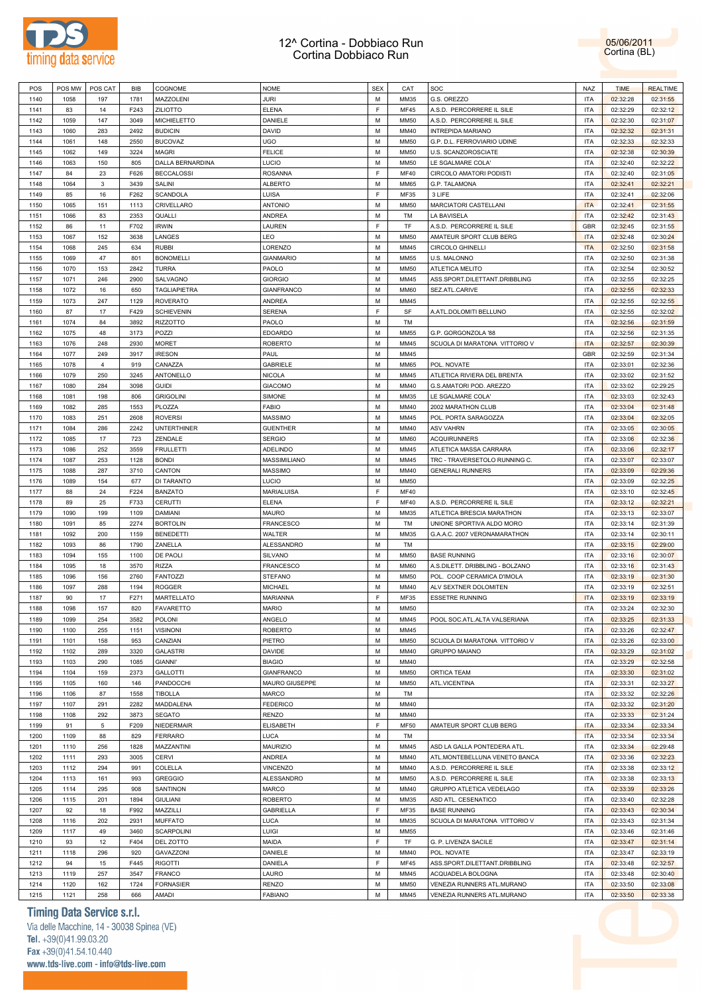



| POS  | POS MW | POS CAT        | <b>BIB</b> | COGNOME             | <b>NOME</b>       | <b>SEX</b> | CAT         | SOC                             | <b>NAZ</b> | <b>TIME</b> | <b>REALTIME</b> |
|------|--------|----------------|------------|---------------------|-------------------|------------|-------------|---------------------------------|------------|-------------|-----------------|
| 1140 | 1058   | 197            | 1781       | MAZZOLENI           | <b>JURI</b>       | M          | MM35        | G.S. OREZZO                     | <b>ITA</b> | 02:32:28    | 02:31:55        |
|      |        |                |            |                     |                   |            |             |                                 |            |             |                 |
| 1141 | 83     | 14             | F243       | <b>ZILIOTTO</b>     | <b>ELENA</b>      | E          | <b>MF45</b> | A.S.D. PERCORRERE IL SILE       | <b>ITA</b> | 02:32:29    | 02:32:12        |
| 1142 | 1059   | 147            | 3049       | <b>MICHIELETTO</b>  | DANIELE           | M          | <b>MM50</b> | A.S.D. PERCORRERE IL SILE       | <b>ITA</b> | 02:32:30    | 02:31:07        |
| 1143 | 1060   | 283            | 2492       | <b>BUDICIN</b>      | DAVID             | M          | MM40        | INTREPIDA MARIANO               | <b>ITA</b> | 02:32:32    | 02:31:31        |
| 1144 | 1061   | 148            | 2550       | <b>BUCOVAZ</b>      | UGO               | M          | <b>MM50</b> | G.P. D.L. FERROVIARIO UDINE     | <b>ITA</b> | 02:32:33    | 02:32:33        |
| 1145 | 1062   | 149            | 3224       | MAGRI               | <b>FELICE</b>     | M          | <b>MM50</b> | U.S. SCANZOROSCIATE             | <b>ITA</b> | 02:32:38    | 02:30:39        |
|      |        |                |            |                     |                   |            |             |                                 |            |             |                 |
| 1146 | 1063   | 150            | 805        | DALLA BERNARDINA    | LUCIO             | M          | <b>MM50</b> | LE SGALMARE COLA'               | <b>ITA</b> | 02:32:40    | 02:32:22        |
| 1147 | 84     | 23             | F626       | <b>BECCALOSSI</b>   | <b>ROSANNA</b>    | E          | <b>MF40</b> | CIRCOLO AMATORI PODISTI         | <b>ITA</b> | 02:32:40    | 02:31:05        |
| 1148 | 1064   | 3              | 3439       | SALINI              | <b>ALBERTO</b>    | M          | <b>MM65</b> | G.P. TALAMONA                   | <b>ITA</b> | 02:32:41    | 02:32:21        |
| 1149 | 85     | 16             | F262       | <b>SCANDOLA</b>     | LUISA             | E          | MF35        | 3 LIFE                          | <b>ITA</b> | 02:32:41    | 02:32:06        |
|      |        |                |            |                     | <b>ANTONIO</b>    | M          |             | <b>MARCIATORI CASTELLANI</b>    |            |             |                 |
| 1150 | 1065   | 151            | 1113       | CRIVELLARO          |                   |            | <b>MM50</b> |                                 | <b>ITA</b> | 02:32:41    | 02:31:55        |
| 1151 | 1066   | 83             | 2353       | QUALLI              | <b>ANDREA</b>     | M          | <b>TM</b>   | LA BAVISELA                     | <b>ITA</b> | 02:32:42    | 02:31:43        |
| 1152 | 86     | 11             | F702       | <b>IRWIN</b>        | LAUREN            | E          | <b>TF</b>   | A.S.D. PERCORRERE IL SILE       | <b>GBR</b> | 02:32:45    | 02:31:55        |
| 1153 | 1067   | 152            | 3638       | LANGES              | <b>LEO</b>        | M          | <b>MM50</b> | AMATEUR SPORT CLUB BERG         | <b>ITA</b> | 02:32:48    | 02:30:24        |
| 1154 | 1068   | 245            | 634        | <b>RUBBI</b>        | LORENZO           | M          | MM45        | <b>CIRCOLO GHINELLI</b>         | <b>ITA</b> | 02:32:50    | 02:31:58        |
| 1155 | 1069   | 47             | 801        | <b>BONOMELLI</b>    | <b>GIANMARIO</b>  | M          | <b>MM55</b> | U.S. MALONNO                    | <b>ITA</b> | 02:32:50    | 02:31:38        |
|      |        |                |            |                     |                   |            |             |                                 |            |             |                 |
| 1156 | 1070   | 153            | 2842       | <b>TURRA</b>        | PAOLO             | M          | <b>MM50</b> | <b>ATLETICA MELITO</b>          | <b>ITA</b> | 02:32:54    | 02:30:52        |
| 1157 | 1071   | 246            | 2900       | SALVAGNO            | <b>GIORGIO</b>    | М          | MM45        | ASS.SPORT.DILETTANT.DRIBBLING   | <b>ITA</b> | 02:32:55    | 02:32:25        |
| 1158 | 1072   | 16             | 650        | <b>TAGLIAPIETRA</b> | <b>GIANFRANCO</b> | M          | <b>MM60</b> | SEZ.ATL.CARIVE                  | <b>ITA</b> | 02:32:55    | 02:32:33        |
| 1159 | 1073   | 247            | 1129       | <b>ROVERATO</b>     | <b>ANDREA</b>     | M          | MM45        |                                 | <b>ITA</b> | 02:32:55    | 02:32:55        |
| 1160 | 87     | 17             | F429       | <b>SCHIEVENIN</b>   | <b>SERENA</b>     | E          | SF          |                                 | <b>ITA</b> |             |                 |
|      |        |                |            |                     |                   |            |             | A.ATL.DOLOMITI BELLUNO          |            | 02:32:55    | 02:32:02        |
| 1161 | 1074   | 84             | 3892       | <b>RIZZOTTO</b>     | PAOLO             | M          | <b>TM</b>   |                                 | <b>ITA</b> | 02:32:56    | 02:31:59        |
| 1162 | 1075   | 48             | 3173       | POZZI               | <b>EDOARDO</b>    | M          | <b>MM55</b> | G.P. GORGONZOLA '88             | <b>ITA</b> | 02:32:56    | 02:31:35        |
| 1163 | 1076   | 248            | 2930       | <b>MORET</b>        | <b>ROBERTO</b>    | M          | MM45        | SCUOLA DI MARATONA VITTORIO V   | <b>ITA</b> | 02:32:57    | 02:30:39        |
| 1164 | 1077   | 249            | 3917       | <b>IRESON</b>       | PAUL              | M          | MM45        |                                 | <b>GBR</b> | 02:32:59    | 02:31:34        |
|      |        |                |            |                     |                   |            |             |                                 |            |             |                 |
| 1165 | 1078   | $\overline{4}$ | 919        | CANAZZA             | <b>GABRIELE</b>   | М          | <b>MM65</b> | POL. NOVATE                     | <b>ITA</b> | 02:33:01    | 02:32:36        |
| 1166 | 1079   | 250            | 3245       | <b>ANTONELLO</b>    | <b>NICOLA</b>     | M          | MM45        | ATLETICA RIVIERA DEL BRENTA     | <b>ITA</b> | 02:33:02    | 02:31:52        |
| 1167 | 1080   | 284            | 3098       | <b>GUIDI</b>        | <b>GIACOMO</b>    | M          | MM40        | G.S.AMATORI POD. AREZZO         | <b>ITA</b> | 02:33:02    | 02:29:25        |
| 1168 | 1081   | 198            | 806        | <b>GRIGOLINI</b>    | <b>SIMONE</b>     | M          | MM35        | LE SGALMARE COLA'               | <b>ITA</b> | 02:33:03    | 02:32:43        |
| 1169 | 1082   | 285            | 1553       | PLOZZA              | <b>FABIO</b>      | M          | MM40        | 2002 MARATHON CLUB              | <b>ITA</b> | 02:33:04    | 02:31:48        |
|      |        |                |            |                     |                   |            |             |                                 |            |             |                 |
| 1170 | 1083   | 251            | 2608       | <b>ROVERSI</b>      | <b>MASSIMO</b>    | M          | MM45        | POL. PORTA SARAGOZZA            | <b>ITA</b> | 02:33:04    | 02:32:05        |
| 1171 | 1084   | 286            | 2242       | <b>UNTERTHINER</b>  | <b>GUENTHER</b>   | M          | MM40        | <b>ASV VAHRN</b>                | <b>ITA</b> | 02:33:05    | 02:30:05        |
| 1172 | 1085   | 17             | 723        | ZENDALE             | <b>SERGIO</b>     | M          | <b>MM60</b> | <b>ACQUIRUNNERS</b>             | <b>ITA</b> | 02:33:06    | 02:32:36        |
| 1173 | 1086   | 252            | 3559       | <b>FRULLETTI</b>    | <b>ADELINDO</b>   | M          | MM45        | ATLETICA MASSA CARRARA          | <b>ITA</b> | 02:33:06    | 02:32:17        |
| 1174 | 1087   | 253            | 1128       | <b>BONDI</b>        | MASSIMILIANO      | M          | MM45        | TRC - TRAVERSETOLO RUNNING C.   | <b>ITA</b> | 02:33:07    | 02:33:07        |
|      |        |                |            |                     |                   |            |             |                                 |            |             |                 |
| 1175 | 1088   | 287            | 3710       | CANTON              | <b>MASSIMO</b>    | M          | MM40        | <b>GENERALI RUNNERS</b>         | <b>ITA</b> | 02:33:09    | 02:29:36        |
| 1176 | 1089   | 154            | 677        | DI TARANTO          | LUCIO             | M          | <b>MM50</b> |                                 | <b>ITA</b> | 02:33:09    | 02:32:25        |
| 1177 | 88     | 24             | F224       | <b>BANZATO</b>      | MARIALUISA        | E          | <b>MF40</b> |                                 | <b>ITA</b> | 02:33:10    | 02:32:45        |
| 1178 | 89     | 25             | F733       | <b>CERUTTI</b>      | <b>ELENA</b>      | F          | <b>MF40</b> | A.S.D. PERCORRERE IL SILE       | <b>ITA</b> | 02:33:12    | 02:32:21        |
| 1179 | 1090   | 199            | 1109       | <b>DAMIANI</b>      | <b>MAURO</b>      | M          | MM35        | ATLETICA BRESCIA MARATHON       | <b>ITA</b> | 02:33:13    | 02:33:07        |
|      |        |                |            |                     |                   | M          |             |                                 | <b>ITA</b> |             |                 |
| 1180 | 1091   | 85             | 2274       | <b>BORTOLIN</b>     | <b>FRANCESCO</b>  |            | TM          | UNIONE SPORTIVA ALDO MORO       |            | 02:33:14    | 02:31:39        |
| 1181 | 1092   | 200            | 1159       | <b>BENEDETTI</b>    | WALTER            | M          | MM35        | G.A.A.C. 2007 VERONAMARATHON    | <b>ITA</b> | 02:33:14    | 02:30:11        |
| 1182 | 1093   | 86             | 1790       | ZANELLA             | ALESSANDRO        | M          | TM          |                                 | <b>ITA</b> | 02:33:15    | 02:29:00        |
| 1183 | 1094   | 155            | 1100       | DE PAOLI            | <b>SILVANO</b>    | M          | <b>MM50</b> | <b>BASE RUNNING</b>             | <b>ITA</b> | 02:33:16    | 02:30:07        |
| 1184 | 1095   | 18             | 3570       | <b>RIZZA</b>        | <b>FRANCESCO</b>  | M          | <b>MM60</b> | A.S.DILETT. DRIBBLING - BOLZANO | <b>ITA</b> | 02:33:16    | 02:31:43        |
| 1185 | 1096   |                | 2760       | <b>FANTOZZI</b>     | <b>STEFANO</b>    | М          | <b>MM50</b> |                                 | <b>ITA</b> |             |                 |
|      |        | 156            |            |                     |                   |            |             | POL. COOP CERAMICA D'IMOLA      |            | 02:33:19    | 02:31:30        |
| 1186 | 1097   | 288            | 1194       | <b>ROGGER</b>       | <b>MICHAEL</b>    | М          | MM40        | ALV SEXTNER DOLOMITEN           | <b>ITA</b> | 02:33:19    | 02:32:51        |
| 1187 | 90     | 17             | F271       | MARTELLATO          | <b>MARIANNA</b>   | E          | MF35        | <b>ESSETRE RUNNING</b>          | <b>ITA</b> | 02:33:19    | 02:33:19        |
| 1188 | 1098   | 157            | 820        | <b>FAVARETTO</b>    | <b>MARIO</b>      | M          | <b>MM50</b> |                                 | <b>ITA</b> | 02:33:24    | 02:32:30        |
| 1189 | 1099   | 254            | 3582       | <b>POLONI</b>       | ANGELO            | м          | MM45        | POOL SOC.ATL.ALTA VALSERIANA    | <b>ITA</b> | 02:33:25    | 02:31:33        |
|      |        |                |            |                     |                   |            |             |                                 |            |             |                 |
| 1190 | 1100   | 255            | 1151       | <b>VISINONI</b>     | <b>ROBERTO</b>    | M          | MM45        |                                 | <b>ITA</b> | 02:33:26    | 02:32:47        |
| 1191 | 1101   | 158            | 953        | CANZIAN             | PIETRO            | M          | <b>MM50</b> | SCUOLA DI MARATONA VITTORIO V   | <b>ITA</b> | 02:33:26    | 02:33:00        |
| 1192 | 1102   | 289            | 3320       | <b>GALASTRI</b>     | DAVIDE            | M          | MM40        | <b>GRUPPO MAIANO</b>            | <b>ITA</b> | 02:33:29    | 02:31:02        |
| 1193 | 1103   | 290            | 1085       | <b>GIANNI'</b>      | <b>BIAGIO</b>     | M          | MM40        |                                 | <b>ITA</b> | 02:33:29    | 02:32:58        |
| 1194 | 1104   | 159            | 2373       | <b>GALLOTTI</b>     | <b>GIANFRANCO</b> | M          | <b>MM50</b> | ORTICA TEAM                     | <b>ITA</b> | 02:33:30    | 02:31:02        |
|      |        |                |            |                     |                   |            |             |                                 |            |             |                 |
| 1195 | 1105   | 160            | 146        | PANDOCCHI           | MAURO GIUSEPPE    | М          | <b>MM50</b> | ATL.VICENTINA                   | <b>ITA</b> | 02:33:31    | 02:33:27        |
| 1196 | 1106   | 87             | 1558       | <b>TIBOLLA</b>      | <b>MARCO</b>      | M          | TM          |                                 | <b>ITA</b> | 02:33:32    | 02:32:26        |
| 1197 | 1107   | 291            | 2282       | MADDALENA           | <b>FEDERICO</b>   | М          | MM40        |                                 | <b>ITA</b> | 02:33:32    | 02:31:20        |
| 1198 | 1108   | 292            | 3873       | <b>SEGATO</b>       | RENZO             | M          | MM40        |                                 | <b>ITA</b> | 02:33:33    | 02:31:24        |
| 1199 | 91     | 5              | F209       | NIEDERMAIR          | ELISABETH         | E          | MF50        | AMATEUR SPORT CLUB BERG         | <b>ITA</b> | 02:33:34    | 02:33:34        |
|      |        |                |            |                     |                   |            |             |                                 |            |             |                 |
| 1200 | 1109   | 88             | 829        | <b>FERRARO</b>      | LUCA              | M          | TM          |                                 | <b>ITA</b> | 02:33:34    | 02:33:34        |
| 1201 | 1110   | 256            | 1828       | MAZZANTINI          | <b>MAURIZIO</b>   | M          | MM45        | ASD LA GALLA PONTEDERA ATL.     | <b>ITA</b> | 02:33:34    | 02:29:48        |
| 1202 | 1111   | 293            | 3005       | <b>CERVI</b>        | <b>ANDREA</b>     | M          | MM40        | ATL.MONTEBELLUNA VENETO BANCA   | <b>ITA</b> | 02:33:36    | 02:32:23        |
| 1203 | 1112   | 294            | 991        | COLELLA             | <b>VINCENZO</b>   | M          | MM40        | A.S.D. PERCORRERE IL SILE       | <b>ITA</b> | 02:33:38    | 02:33:12        |
| 1204 | 1113   | 161            | 993        | <b>GREGGIO</b>      | ALESSANDRO        | M          | <b>MM50</b> | A.S.D. PERCORRERE IL SILE       | <b>ITA</b> | 02:33:38    | 02:33:13        |
|      |        |                |            |                     |                   |            |             |                                 |            |             |                 |
| 1205 | 1114   | 295            | 908        | SANTINON            | <b>MARCO</b>      | M          | MM40        | GRUPPO ATLETICA VEDELAGO        | <b>ITA</b> | 02:33:39    | 02:33:26        |
| 1206 | 1115   | 201            | 1894       | <b>GIULIANI</b>     | <b>ROBERTO</b>    | M          | MM35        | ASD ATL. CESENATICO             | <b>ITA</b> | 02:33:40    | 02:32:28        |
| 1207 | 92     | 18             | F992       | MAZZILLI            | <b>GABRIELLA</b>  | E          | MF35        | <b>BASE RUNNING</b>             | <b>ITA</b> | 02:33:43    | 02:30:34        |
| 1208 | 1116   | 202            | 2931       | <b>MUFFATO</b>      | LUCA              | M          | MM35        | SCUOLA DI MARATONA VITTORIO V   | <b>ITA</b> | 02:33:43    | 02:31:34        |
|      |        |                |            | <b>SCARPOLINI</b>   | LUIGI             | M          |             |                                 |            |             |                 |
| 1209 | 1117   | 49             | 3460       |                     |                   |            | <b>MM55</b> |                                 | <b>ITA</b> | 02:33:46    | 02:31:46        |
| 1210 | 93     | 12             | F404       | DEL ZOTTO           | MAIDA             | E          | TF          | G. P. LIVENZA SACILE            | <b>ITA</b> | 02:33:47    | 02:31:14        |
| 1211 | 1118   | 296            | 920        | GAVAZZONI           | DANIELE           | M          | MM40        | POL. NOVATE                     | <b>ITA</b> | 02:33:47    | 02:33:19        |
| 1212 | 94     | 15             | F445       | <b>RIGOTTI</b>      | DANIELA           | E          | <b>MF45</b> | ASS.SPORT.DILETTANT.DRIBBLING   | <b>ITA</b> | 02:33:48    | 02:32:57        |
| 1213 | 1119   | 257            | 3547       | <b>FRANCO</b>       | LAURO             | M          | MM45        | ACQUADELA BOLOGNA               | <b>ITA</b> | 02:33:48    | 02:30:40        |
|      |        |                |            |                     |                   |            |             |                                 |            |             |                 |
| 1214 | 1120   | 162            | 1724       | <b>FORNASIER</b>    | <b>RENZO</b>      | M          | <b>MM50</b> | VENEZIA RUNNERS ATL.MURANO      | <b>ITA</b> | 02:33:50    | 02:33:08        |
| 1215 | 1121   | 258            | 666        | AMADI               | <b>FABIANO</b>    | М          | MM45        | VENEZIA RUNNERS ATL.MURANO      | ITA        | 02:33:50    | 02:33:38        |

### **Timing Data Service s.r.l.**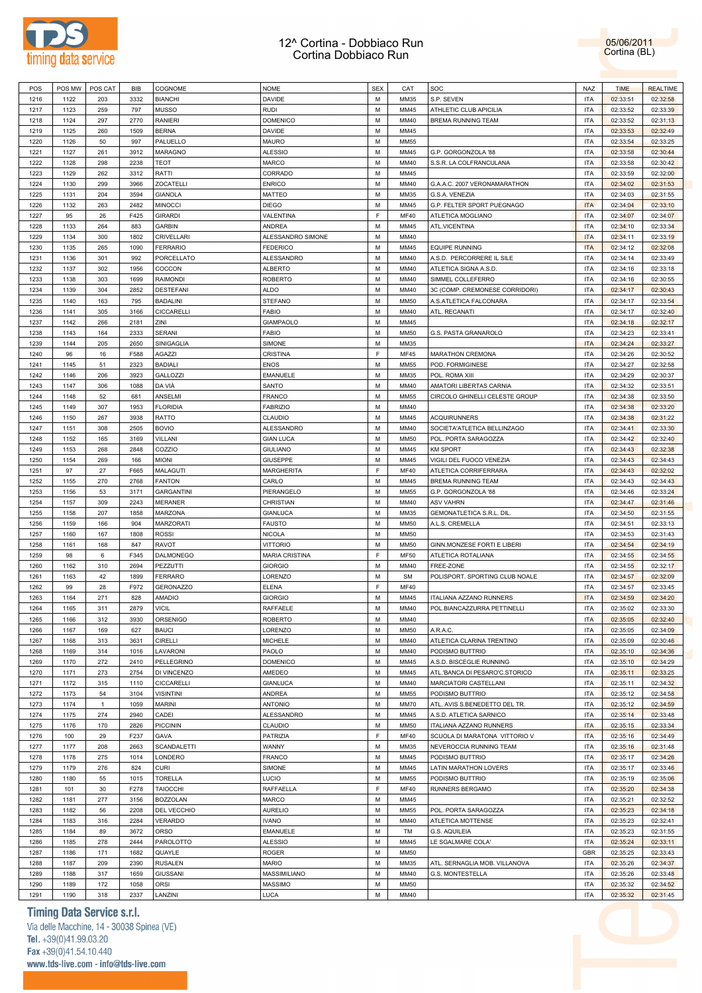



| 1216<br>1122<br>203<br>3332<br><b>BIANCHI</b><br><b>DAVIDE</b><br>M<br>MM35<br>1217<br>1123<br>259<br>797<br><b>MUSSO</b><br><b>RUDI</b><br>M<br>MM45<br>1218<br>1124<br>297<br>2770<br><b>RANIERI</b><br><b>DOMENICO</b><br>м<br>MM40<br>1219<br>1125<br>260<br>1509<br><b>BERNA</b><br>DAVIDE<br>м<br>MM45<br>1220<br>1126<br>50<br>997<br>PALUELLO<br><b>MAURO</b><br>м<br><b>MM55</b><br>1221<br>1127<br>261<br>3912<br><b>MARAGNO</b><br><b>ALESSIO</b><br>М<br>MM45<br>1222<br>1128<br>298<br>2238<br><b>TEOT</b><br><b>MARCO</b><br>м<br>MM40<br>1223<br>1129<br>262<br>3312<br>RATTI<br>CORRADO<br>М<br>MM45<br>1224<br>1130<br>299<br>3966<br>ZOCATELLI<br><b>ENRICO</b><br>м<br>MM40<br>1225<br>1131<br>204<br>3594<br><b>GIANOLA</b><br>MATTEO<br>М<br>MM35<br>1226<br>1132<br>263<br>2482<br><b>MINOCCI</b><br><b>DIEGO</b><br>М<br>MM45<br>F<br>1227<br>95<br>26<br>F425<br><b>GIRARDI</b><br>VALENTINA<br><b>MF40</b><br>1228<br>1133<br>264<br>883<br><b>GARBIN</b><br>ANDREA<br>м<br>MM45<br>1229<br>1134<br>300<br>1802<br>CRIVELLARI<br>ALESSANDRO SIMONE<br>М<br>MM40 | S.P. SEVEN<br><b>ITA</b><br><b>ITA</b><br>ATHLETIC CLUB APICILIA<br>BREMA RUNNING TEAM<br><b>ITA</b><br>ITA<br><b>ITA</b><br>G.P. GORGONZOLA '88<br>ITA<br>S.S.R. LA COLFRANCULANA<br><b>ITA</b><br>ITA<br>G.A.A.C. 2007 VERONAMARATHON<br><b>ITA</b><br>G.S.A. VENEZIA<br><b>ITA</b><br>G.P. FELTER SPORT PUEGNAGO<br><b>ITA</b><br>ATLETICA MOGLIANO |     | 02:33:51<br>02:33:52<br>02:33:52<br>02:33:53<br>02:33:54<br>02:33:58 | 02:32:58 |
|------------------------------------------------------------------------------------------------------------------------------------------------------------------------------------------------------------------------------------------------------------------------------------------------------------------------------------------------------------------------------------------------------------------------------------------------------------------------------------------------------------------------------------------------------------------------------------------------------------------------------------------------------------------------------------------------------------------------------------------------------------------------------------------------------------------------------------------------------------------------------------------------------------------------------------------------------------------------------------------------------------------------------------------------------------------------------------------|--------------------------------------------------------------------------------------------------------------------------------------------------------------------------------------------------------------------------------------------------------------------------------------------------------------------------------------------------------|-----|----------------------------------------------------------------------|----------|
|                                                                                                                                                                                                                                                                                                                                                                                                                                                                                                                                                                                                                                                                                                                                                                                                                                                                                                                                                                                                                                                                                          |                                                                                                                                                                                                                                                                                                                                                        |     |                                                                      |          |
|                                                                                                                                                                                                                                                                                                                                                                                                                                                                                                                                                                                                                                                                                                                                                                                                                                                                                                                                                                                                                                                                                          |                                                                                                                                                                                                                                                                                                                                                        |     |                                                                      | 02:33:39 |
|                                                                                                                                                                                                                                                                                                                                                                                                                                                                                                                                                                                                                                                                                                                                                                                                                                                                                                                                                                                                                                                                                          |                                                                                                                                                                                                                                                                                                                                                        |     |                                                                      | 02:31:13 |
|                                                                                                                                                                                                                                                                                                                                                                                                                                                                                                                                                                                                                                                                                                                                                                                                                                                                                                                                                                                                                                                                                          |                                                                                                                                                                                                                                                                                                                                                        |     |                                                                      | 02:32:49 |
|                                                                                                                                                                                                                                                                                                                                                                                                                                                                                                                                                                                                                                                                                                                                                                                                                                                                                                                                                                                                                                                                                          |                                                                                                                                                                                                                                                                                                                                                        |     |                                                                      | 02:33:25 |
|                                                                                                                                                                                                                                                                                                                                                                                                                                                                                                                                                                                                                                                                                                                                                                                                                                                                                                                                                                                                                                                                                          |                                                                                                                                                                                                                                                                                                                                                        |     |                                                                      | 02:30:44 |
|                                                                                                                                                                                                                                                                                                                                                                                                                                                                                                                                                                                                                                                                                                                                                                                                                                                                                                                                                                                                                                                                                          |                                                                                                                                                                                                                                                                                                                                                        |     |                                                                      |          |
|                                                                                                                                                                                                                                                                                                                                                                                                                                                                                                                                                                                                                                                                                                                                                                                                                                                                                                                                                                                                                                                                                          |                                                                                                                                                                                                                                                                                                                                                        |     | 02:33:58                                                             | 02:30:42 |
|                                                                                                                                                                                                                                                                                                                                                                                                                                                                                                                                                                                                                                                                                                                                                                                                                                                                                                                                                                                                                                                                                          |                                                                                                                                                                                                                                                                                                                                                        |     | 02:33:59                                                             | 02:32:00 |
|                                                                                                                                                                                                                                                                                                                                                                                                                                                                                                                                                                                                                                                                                                                                                                                                                                                                                                                                                                                                                                                                                          |                                                                                                                                                                                                                                                                                                                                                        |     | 02:34:02                                                             | 02:31:53 |
|                                                                                                                                                                                                                                                                                                                                                                                                                                                                                                                                                                                                                                                                                                                                                                                                                                                                                                                                                                                                                                                                                          |                                                                                                                                                                                                                                                                                                                                                        |     | 02:34:03                                                             | 02:31:55 |
|                                                                                                                                                                                                                                                                                                                                                                                                                                                                                                                                                                                                                                                                                                                                                                                                                                                                                                                                                                                                                                                                                          |                                                                                                                                                                                                                                                                                                                                                        |     | 02:34:04                                                             | 02:33:10 |
|                                                                                                                                                                                                                                                                                                                                                                                                                                                                                                                                                                                                                                                                                                                                                                                                                                                                                                                                                                                                                                                                                          |                                                                                                                                                                                                                                                                                                                                                        | ITA | 02:34:07                                                             | 02:34:07 |
|                                                                                                                                                                                                                                                                                                                                                                                                                                                                                                                                                                                                                                                                                                                                                                                                                                                                                                                                                                                                                                                                                          | ATL.VICENTINA<br><b>ITA</b>                                                                                                                                                                                                                                                                                                                            |     | 02:34:10                                                             | 02:33:34 |
|                                                                                                                                                                                                                                                                                                                                                                                                                                                                                                                                                                                                                                                                                                                                                                                                                                                                                                                                                                                                                                                                                          | <b>ITA</b>                                                                                                                                                                                                                                                                                                                                             |     | 02:34:11                                                             | 02:33:19 |
| 1230<br>1135<br>265<br>1090<br><b>FERRARIO</b><br><b>FEDERICO</b><br>м<br>MM45                                                                                                                                                                                                                                                                                                                                                                                                                                                                                                                                                                                                                                                                                                                                                                                                                                                                                                                                                                                                           | <b>EQUIPE RUNNING</b><br><b>ITA</b>                                                                                                                                                                                                                                                                                                                    |     | 02:34:12                                                             | 02:32:08 |
|                                                                                                                                                                                                                                                                                                                                                                                                                                                                                                                                                                                                                                                                                                                                                                                                                                                                                                                                                                                                                                                                                          |                                                                                                                                                                                                                                                                                                                                                        |     |                                                                      |          |
| M<br>1231<br>1136<br>301<br>992<br>PORCELLATO<br>ALESSANDRO<br>MM40                                                                                                                                                                                                                                                                                                                                                                                                                                                                                                                                                                                                                                                                                                                                                                                                                                                                                                                                                                                                                      | A.S.D. PERCORRERE IL SILE<br>ITA                                                                                                                                                                                                                                                                                                                       |     | 02:34:14                                                             | 02:33:49 |
| 1232<br>1137<br>302<br>1956<br>COCCON<br><b>ALBERTO</b><br>м<br>MM40                                                                                                                                                                                                                                                                                                                                                                                                                                                                                                                                                                                                                                                                                                                                                                                                                                                                                                                                                                                                                     | ATLETICA SIGNA A.S.D.<br><b>ITA</b>                                                                                                                                                                                                                                                                                                                    |     | 02:34:16                                                             | 02:33:18 |
| M<br>1233<br>1138<br>303<br>1699<br><b>RAIMONDI</b><br><b>ROBERTO</b><br>MM40                                                                                                                                                                                                                                                                                                                                                                                                                                                                                                                                                                                                                                                                                                                                                                                                                                                                                                                                                                                                            | SIMMEL COLLEFERRO<br><b>ITA</b>                                                                                                                                                                                                                                                                                                                        |     | 02:34:16                                                             | 02:30:55 |
| 1234<br>1139<br>304<br>2852<br><b>DESTEFANI</b><br><b>ALDO</b><br>м<br>MM40                                                                                                                                                                                                                                                                                                                                                                                                                                                                                                                                                                                                                                                                                                                                                                                                                                                                                                                                                                                                              | 3C (COMP. CREMONESE CORRIDORI)<br><b>ITA</b>                                                                                                                                                                                                                                                                                                           |     | 02:34:17                                                             | 02:30:43 |
| M<br>1235<br>1140<br>163<br>795<br><b>BADALINI</b><br><b>STEFANO</b><br><b>MM50</b>                                                                                                                                                                                                                                                                                                                                                                                                                                                                                                                                                                                                                                                                                                                                                                                                                                                                                                                                                                                                      | A.S.ATLETICA FALCONARA<br><b>ITA</b>                                                                                                                                                                                                                                                                                                                   |     | 02:34:17                                                             | 02:33:54 |
| 1236<br>1141<br>305<br>3166<br>CICCARELLI<br><b>FABIO</b><br>м<br>MM40                                                                                                                                                                                                                                                                                                                                                                                                                                                                                                                                                                                                                                                                                                                                                                                                                                                                                                                                                                                                                   | ATL. RECANATI<br><b>ITA</b>                                                                                                                                                                                                                                                                                                                            |     | 02:34:17                                                             | 02:32:40 |
| 1237<br>1142<br>266<br>2181<br>ZINI<br><b>GIAMPAOLO</b><br>М<br>MM45                                                                                                                                                                                                                                                                                                                                                                                                                                                                                                                                                                                                                                                                                                                                                                                                                                                                                                                                                                                                                     | ITA                                                                                                                                                                                                                                                                                                                                                    |     | 02:34:18                                                             | 02:32:17 |
| 1238<br>1143<br>164<br>2333<br><b>SERANI</b><br><b>FABIO</b><br>м<br><b>MM50</b>                                                                                                                                                                                                                                                                                                                                                                                                                                                                                                                                                                                                                                                                                                                                                                                                                                                                                                                                                                                                         | G.S. PASTA GRANAROLO<br><b>ITA</b>                                                                                                                                                                                                                                                                                                                     |     | 02:34:23                                                             | 02:33:41 |
| 1239<br>1144<br>205<br>2650<br>SINIGAGLIA<br>SIMONE<br>М<br>MM35                                                                                                                                                                                                                                                                                                                                                                                                                                                                                                                                                                                                                                                                                                                                                                                                                                                                                                                                                                                                                         | <b>ITA</b>                                                                                                                                                                                                                                                                                                                                             |     | 02:34:24                                                             | 02:33:27 |
| F                                                                                                                                                                                                                                                                                                                                                                                                                                                                                                                                                                                                                                                                                                                                                                                                                                                                                                                                                                                                                                                                                        |                                                                                                                                                                                                                                                                                                                                                        |     |                                                                      |          |
| 1240<br>96<br>F588<br><b>AGAZZI</b><br><b>CRISTINA</b><br><b>MF45</b><br>16                                                                                                                                                                                                                                                                                                                                                                                                                                                                                                                                                                                                                                                                                                                                                                                                                                                                                                                                                                                                              | MARATHON CREMONA<br><b>ITA</b>                                                                                                                                                                                                                                                                                                                         |     | 02:34:26                                                             | 02:30:52 |
| 1241<br>1145<br>51<br>2323<br><b>BADIALI</b><br><b>ENOS</b><br>М<br><b>MM55</b>                                                                                                                                                                                                                                                                                                                                                                                                                                                                                                                                                                                                                                                                                                                                                                                                                                                                                                                                                                                                          | POD. FORMIGINESE<br>ITA                                                                                                                                                                                                                                                                                                                                |     | 02:34:27                                                             | 02:32:58 |
| 1242<br>1146<br>206<br>3923<br>GALLOZZI<br><b>EMANUELE</b><br>м<br>MM35                                                                                                                                                                                                                                                                                                                                                                                                                                                                                                                                                                                                                                                                                                                                                                                                                                                                                                                                                                                                                  | POL. ROMA XIII<br><b>ITA</b>                                                                                                                                                                                                                                                                                                                           |     | 02:34:29                                                             | 02:30:37 |
| DA VIÀ<br>1243<br>1147<br>306<br>1088<br>SANTO<br>М<br>MM40                                                                                                                                                                                                                                                                                                                                                                                                                                                                                                                                                                                                                                                                                                                                                                                                                                                                                                                                                                                                                              | AMATORI LIBERTAS CARNIA<br>ITA                                                                                                                                                                                                                                                                                                                         |     | 02:34:32                                                             | 02:33:51 |
| 1244<br>1148<br>52<br>681<br>ANSELMI<br><b>FRANCO</b><br>м<br><b>MM55</b>                                                                                                                                                                                                                                                                                                                                                                                                                                                                                                                                                                                                                                                                                                                                                                                                                                                                                                                                                                                                                | CIRCOLO GHINELLI CELESTE GROUP<br><b>ITA</b>                                                                                                                                                                                                                                                                                                           |     | 02:34:38                                                             | 02:33:50 |
| 1245<br>1149<br>307<br>1953<br><b>FLORIDIA</b><br><b>FABRIZIO</b><br>М<br>MM40                                                                                                                                                                                                                                                                                                                                                                                                                                                                                                                                                                                                                                                                                                                                                                                                                                                                                                                                                                                                           | <b>ITA</b>                                                                                                                                                                                                                                                                                                                                             |     | 02:34:38                                                             | 02:33:20 |
| 1246<br>1150<br>267<br>3938<br>RATTO<br>CLAUDIO<br>м<br>MM45                                                                                                                                                                                                                                                                                                                                                                                                                                                                                                                                                                                                                                                                                                                                                                                                                                                                                                                                                                                                                             | <b>ACQUIRUNNERS</b><br><b>ITA</b>                                                                                                                                                                                                                                                                                                                      |     | 02:34:38                                                             | 02:31:22 |
| M<br>1247<br>1151<br>308<br>2505<br><b>BOVIO</b><br>ALESSANDRO<br>MM40                                                                                                                                                                                                                                                                                                                                                                                                                                                                                                                                                                                                                                                                                                                                                                                                                                                                                                                                                                                                                   | SOCIETA'ATLETICA BELLINZAGO<br><b>ITA</b>                                                                                                                                                                                                                                                                                                              |     | 02:34:41                                                             | 02:33:30 |
| 1248<br>1152<br>165<br>3169<br>VILLANI<br><b>GIAN LUCA</b><br>м<br><b>MM50</b>                                                                                                                                                                                                                                                                                                                                                                                                                                                                                                                                                                                                                                                                                                                                                                                                                                                                                                                                                                                                           | POL. PORTA SARAGOZZA<br><b>ITA</b>                                                                                                                                                                                                                                                                                                                     |     | 02:34:42                                                             | 02:32:40 |
| COZZIO<br>M<br>1249<br>1153<br>268<br>2848<br><b>GIULIANO</b><br>MM45                                                                                                                                                                                                                                                                                                                                                                                                                                                                                                                                                                                                                                                                                                                                                                                                                                                                                                                                                                                                                    | <b>KM SPORT</b><br><b>ITA</b>                                                                                                                                                                                                                                                                                                                          |     | 02:34:43                                                             | 02:32:38 |
|                                                                                                                                                                                                                                                                                                                                                                                                                                                                                                                                                                                                                                                                                                                                                                                                                                                                                                                                                                                                                                                                                          |                                                                                                                                                                                                                                                                                                                                                        |     |                                                                      |          |
| 1250<br>1154<br>269<br>166<br><b>MIONI</b><br><b>GIUSEPPE</b><br>м<br>MM45                                                                                                                                                                                                                                                                                                                                                                                                                                                                                                                                                                                                                                                                                                                                                                                                                                                                                                                                                                                                               | VIGILI DEL FUOCO VENEZIA<br><b>ITA</b>                                                                                                                                                                                                                                                                                                                 |     | 02:34:43                                                             | 02:34:43 |
| F<br>1251<br>97<br>27<br>F665<br>MALAGUTI<br><b>MARGHERITA</b><br><b>MF40</b>                                                                                                                                                                                                                                                                                                                                                                                                                                                                                                                                                                                                                                                                                                                                                                                                                                                                                                                                                                                                            | ATLETICA CORRIFERRARA<br><b>ITA</b>                                                                                                                                                                                                                                                                                                                    |     | 02:34:43                                                             | 02:32:02 |
| 1252<br>1155<br>270<br>2768<br><b>FANTON</b><br>CARLO<br>м<br>MM45                                                                                                                                                                                                                                                                                                                                                                                                                                                                                                                                                                                                                                                                                                                                                                                                                                                                                                                                                                                                                       | <b>BREMA RUNNING TEAM</b><br><b>ITA</b>                                                                                                                                                                                                                                                                                                                |     | 02:34:43                                                             | 02:34:43 |
| 1253<br>1156<br>53<br>3171<br><b>GARGANTINI</b><br>PIERANGELO<br>м<br><b>MM55</b>                                                                                                                                                                                                                                                                                                                                                                                                                                                                                                                                                                                                                                                                                                                                                                                                                                                                                                                                                                                                        | G.P. GORGONZOLA '88<br>ITA                                                                                                                                                                                                                                                                                                                             |     | 02:34:46                                                             | 02:33:24 |
| 1254<br>1157<br>309<br>2243<br><b>MERANER</b><br>CHRISTIAN<br>м<br>MM40                                                                                                                                                                                                                                                                                                                                                                                                                                                                                                                                                                                                                                                                                                                                                                                                                                                                                                                                                                                                                  | <b>ASV VAHRN</b><br><b>ITA</b>                                                                                                                                                                                                                                                                                                                         |     | 02:34:47                                                             | 02:31:46 |
| 1255<br>1158<br>207<br>1858<br>MARZONA<br><b>GIANLUCA</b><br>М<br>MM35                                                                                                                                                                                                                                                                                                                                                                                                                                                                                                                                                                                                                                                                                                                                                                                                                                                                                                                                                                                                                   | GEMONATLETICA S.R.L. DIL<br>ITA                                                                                                                                                                                                                                                                                                                        |     | 02:34:50                                                             | 02:31:55 |
| 1256<br>1159<br>166<br>904<br>MARZORATI<br><b>FAUSTO</b><br>м<br><b>MM50</b>                                                                                                                                                                                                                                                                                                                                                                                                                                                                                                                                                                                                                                                                                                                                                                                                                                                                                                                                                                                                             | A.L.S. CREMELLA<br><b>ITA</b>                                                                                                                                                                                                                                                                                                                          |     |                                                                      |          |
| 1257<br>1160<br>167<br>1808<br><b>ROSSI</b><br><b>NICOLA</b><br>М<br><b>MM50</b>                                                                                                                                                                                                                                                                                                                                                                                                                                                                                                                                                                                                                                                                                                                                                                                                                                                                                                                                                                                                         | <b>ITA</b>                                                                                                                                                                                                                                                                                                                                             |     |                                                                      |          |
| 1258<br>1161<br>168<br>847<br><b>RAVOT</b><br><b>VITTORIO</b><br>М<br><b>MM50</b>                                                                                                                                                                                                                                                                                                                                                                                                                                                                                                                                                                                                                                                                                                                                                                                                                                                                                                                                                                                                        |                                                                                                                                                                                                                                                                                                                                                        |     | 02:34:51                                                             | 02:33:13 |
|                                                                                                                                                                                                                                                                                                                                                                                                                                                                                                                                                                                                                                                                                                                                                                                                                                                                                                                                                                                                                                                                                          |                                                                                                                                                                                                                                                                                                                                                        |     | 02:34:53                                                             | 02:31:43 |
|                                                                                                                                                                                                                                                                                                                                                                                                                                                                                                                                                                                                                                                                                                                                                                                                                                                                                                                                                                                                                                                                                          | GINN.MONZESE FORTI E LIBERI<br><b>ITA</b>                                                                                                                                                                                                                                                                                                              |     | 02:34:54                                                             | 02:34:19 |
| F<br>1259<br>98<br>6<br>F345<br><b>DALMONEGO</b><br><b>MARIA CRISTINA</b><br><b>MF50</b>                                                                                                                                                                                                                                                                                                                                                                                                                                                                                                                                                                                                                                                                                                                                                                                                                                                                                                                                                                                                 | ATLETICA ROTALIANA<br>ITA                                                                                                                                                                                                                                                                                                                              |     | 02:34:55                                                             | 02:34:55 |
| 1260<br>1162<br>310<br>2694<br>PEZZUTTI<br><b>GIORGIO</b><br>м<br>MM40                                                                                                                                                                                                                                                                                                                                                                                                                                                                                                                                                                                                                                                                                                                                                                                                                                                                                                                                                                                                                   | FREE-ZONE<br><b>ITA</b>                                                                                                                                                                                                                                                                                                                                |     | 02:34:55                                                             | 02:32:17 |
| 1261<br>1163<br>42<br>1899<br><b>FERRARO</b><br>LORENZO<br>М<br><b>SM</b>                                                                                                                                                                                                                                                                                                                                                                                                                                                                                                                                                                                                                                                                                                                                                                                                                                                                                                                                                                                                                | POLISPORT. SPORTING CLUB NOALE<br><b>ITA</b>                                                                                                                                                                                                                                                                                                           |     | 02:34:57                                                             | 02:32:09 |
| F<br>1262<br>99<br>28<br>F972<br><b>GERONAZZO</b><br><b>ELENA</b><br><b>MF40</b>                                                                                                                                                                                                                                                                                                                                                                                                                                                                                                                                                                                                                                                                                                                                                                                                                                                                                                                                                                                                         | <b>ITA</b>                                                                                                                                                                                                                                                                                                                                             |     | 02:34:57                                                             | 02:33:45 |
| 1263<br>1164<br>271<br>828<br><b>AMADIO</b><br><b>GIORGIO</b><br>м<br>MM45                                                                                                                                                                                                                                                                                                                                                                                                                                                                                                                                                                                                                                                                                                                                                                                                                                                                                                                                                                                                               | ITALIANA AZZANO RUNNERS<br><b>ITA</b>                                                                                                                                                                                                                                                                                                                  |     | 02:34:59                                                             | 02:34:20 |
| 311<br>2879<br><b>VICIL</b><br>M<br>1264<br>1165<br>RAFFAELE<br>MM40                                                                                                                                                                                                                                                                                                                                                                                                                                                                                                                                                                                                                                                                                                                                                                                                                                                                                                                                                                                                                     | <b>ITA</b><br>POL.BIANCAZZURRA PETTINELLI                                                                                                                                                                                                                                                                                                              |     | 02:35:02                                                             | 02:33:30 |
| <b>ROBERTO</b><br>M<br>MM40<br>1265<br>1166<br>312<br>3930<br>ORSENIGO                                                                                                                                                                                                                                                                                                                                                                                                                                                                                                                                                                                                                                                                                                                                                                                                                                                                                                                                                                                                                   | <b>ITA</b>                                                                                                                                                                                                                                                                                                                                             |     | 02:35:05                                                             | 02:32:40 |
| M                                                                                                                                                                                                                                                                                                                                                                                                                                                                                                                                                                                                                                                                                                                                                                                                                                                                                                                                                                                                                                                                                        |                                                                                                                                                                                                                                                                                                                                                        |     |                                                                      |          |
| LORENZO<br>1266<br>1167<br>169<br>627<br><b>BAUCI</b><br><b>MM50</b><br>A.R.A.C.                                                                                                                                                                                                                                                                                                                                                                                                                                                                                                                                                                                                                                                                                                                                                                                                                                                                                                                                                                                                         | <b>ITA</b>                                                                                                                                                                                                                                                                                                                                             |     | 02:35:05                                                             | 02:34:09 |
| 1168<br>313<br><b>CIRELLI</b><br>MICHELE<br>M<br>MM40<br>1267<br>3631                                                                                                                                                                                                                                                                                                                                                                                                                                                                                                                                                                                                                                                                                                                                                                                                                                                                                                                                                                                                                    | <b>ITA</b><br>ATLETICA CLARINA TRENTINO                                                                                                                                                                                                                                                                                                                |     | 02:35:09                                                             | 02:30:46 |
| M<br>1268<br>1169<br>314<br>1016<br>LAVARONI<br>PAOLO<br>MM40                                                                                                                                                                                                                                                                                                                                                                                                                                                                                                                                                                                                                                                                                                                                                                                                                                                                                                                                                                                                                            | <b>ITA</b><br>PODISMO BUTTRIO                                                                                                                                                                                                                                                                                                                          |     | 02:35:10                                                             | 02:34:36 |
| 1170<br>272<br><b>DOMENICO</b><br>M<br>MM45<br>1269<br>2410<br>PELLEGRINO                                                                                                                                                                                                                                                                                                                                                                                                                                                                                                                                                                                                                                                                                                                                                                                                                                                                                                                                                                                                                | <b>ITA</b><br>A.S.D. BISCEGLIE RUNNING                                                                                                                                                                                                                                                                                                                 |     | 02:35:10                                                             | 02:34:29 |
| M<br>1270<br>1171<br>273<br>2754<br>DI VINCENZO<br>AMEDEO<br>MM45                                                                                                                                                                                                                                                                                                                                                                                                                                                                                                                                                                                                                                                                                                                                                                                                                                                                                                                                                                                                                        | <b>ITA</b><br>ATL.'BANCA DI PESARO'C.STORICO                                                                                                                                                                                                                                                                                                           |     | 02:35:11                                                             | 02:33:25 |
| 315<br><b>GIANLUCA</b><br>M<br>MM40<br>1271<br>1172<br>1110<br>CICCARELLI                                                                                                                                                                                                                                                                                                                                                                                                                                                                                                                                                                                                                                                                                                                                                                                                                                                                                                                                                                                                                | <b>ITA</b><br>MARCIATORI CASTELLANI                                                                                                                                                                                                                                                                                                                    |     | 02:35:11                                                             | 02:34:32 |
| M<br>1272<br>1173<br>54<br>3104<br><b>VISINTINI</b><br>ANDREA<br><b>MM55</b>                                                                                                                                                                                                                                                                                                                                                                                                                                                                                                                                                                                                                                                                                                                                                                                                                                                                                                                                                                                                             | PODISMO BUTTRIO<br><b>ITA</b>                                                                                                                                                                                                                                                                                                                          |     | 02:35:12                                                             | 02:34:58 |
| <b>ANTONIO</b><br>M<br>1273<br>1174<br>$\mathbf{1}$<br>1059<br><b>MARINI</b><br>MM70                                                                                                                                                                                                                                                                                                                                                                                                                                                                                                                                                                                                                                                                                                                                                                                                                                                                                                                                                                                                     | <b>ITA</b><br>ATL. AVIS S.BENEDETTO DEL TR.                                                                                                                                                                                                                                                                                                            |     | 02:35:12                                                             | 02:34:59 |
| M<br>1274<br>1175<br>274<br>2940<br>CADEI<br>ALESSANDRO<br>MM45                                                                                                                                                                                                                                                                                                                                                                                                                                                                                                                                                                                                                                                                                                                                                                                                                                                                                                                                                                                                                          | A.S.D. ATLETICA SARNICO<br><b>ITA</b>                                                                                                                                                                                                                                                                                                                  |     | 02:35:14                                                             | 02:33:48 |
| M<br>CLAUDIO<br><b>MM50</b>                                                                                                                                                                                                                                                                                                                                                                                                                                                                                                                                                                                                                                                                                                                                                                                                                                                                                                                                                                                                                                                              |                                                                                                                                                                                                                                                                                                                                                        |     |                                                                      |          |
| 170<br>1275<br>1176<br>2826<br><b>PICCININ</b><br>F                                                                                                                                                                                                                                                                                                                                                                                                                                                                                                                                                                                                                                                                                                                                                                                                                                                                                                                                                                                                                                      | <b>ITA</b><br>ITALIANA AZZANO RUNNERS                                                                                                                                                                                                                                                                                                                  |     | 02:35:15                                                             | 02:33:34 |
| 1276<br>100<br>29<br>F237<br>GAVA<br>PATRIZIA<br><b>MF40</b>                                                                                                                                                                                                                                                                                                                                                                                                                                                                                                                                                                                                                                                                                                                                                                                                                                                                                                                                                                                                                             | SCUOLA DI MARATONA VITTORIO V<br><b>ITA</b>                                                                                                                                                                                                                                                                                                            |     | 02:35:16                                                             | 02:34:49 |
| 208<br>WANNY<br>M<br>1277<br>1177<br>2663<br>SCANDALETTI<br>MM35                                                                                                                                                                                                                                                                                                                                                                                                                                                                                                                                                                                                                                                                                                                                                                                                                                                                                                                                                                                                                         | <b>ITA</b><br>NEVEROCCIA RUNNING TEAM                                                                                                                                                                                                                                                                                                                  |     | 02:35:16                                                             | 02:31:48 |
| M<br>1278<br>1178<br>275<br>1014<br>LONDERO<br><b>FRANCO</b><br>MM45                                                                                                                                                                                                                                                                                                                                                                                                                                                                                                                                                                                                                                                                                                                                                                                                                                                                                                                                                                                                                     | PODISMO BUTTRIO<br><b>ITA</b>                                                                                                                                                                                                                                                                                                                          |     | 02:35:17                                                             | 02:34:26 |
| 276<br>SIMONE<br>M<br>1279<br>1179<br>824<br><b>CURI</b><br>MM45                                                                                                                                                                                                                                                                                                                                                                                                                                                                                                                                                                                                                                                                                                                                                                                                                                                                                                                                                                                                                         | <b>ITA</b><br>LATIN MARATHON LOVERS                                                                                                                                                                                                                                                                                                                    |     | 02:35:17                                                             | 02:33:46 |
| M<br>1280<br>1180<br>55<br>1015<br><b>TORELLA</b><br><b>LUCIO</b><br><b>MM55</b>                                                                                                                                                                                                                                                                                                                                                                                                                                                                                                                                                                                                                                                                                                                                                                                                                                                                                                                                                                                                         | <b>ITA</b><br>PODISMO BUTTRIO                                                                                                                                                                                                                                                                                                                          |     | 02:35:19                                                             | 02:35:06 |
| E<br>1281<br>30<br>TAIOCCHI<br><b>MF40</b><br>101<br>F278<br>RAFFAELLA                                                                                                                                                                                                                                                                                                                                                                                                                                                                                                                                                                                                                                                                                                                                                                                                                                                                                                                                                                                                                   | <b>ITA</b><br>RUNNERS BERGAMO                                                                                                                                                                                                                                                                                                                          |     | 02:35:20                                                             | 02:34:38 |
| M<br>1282<br>1181<br>277<br>3156<br><b>BOZZOLAN</b><br>MARCO<br>MM45                                                                                                                                                                                                                                                                                                                                                                                                                                                                                                                                                                                                                                                                                                                                                                                                                                                                                                                                                                                                                     | <b>ITA</b>                                                                                                                                                                                                                                                                                                                                             |     | 02:35:21                                                             | 02:32:52 |
| 1283<br>1182<br>56<br><b>AURELIO</b><br>M<br>2208<br>DEL VECCHIO<br><b>MM55</b>                                                                                                                                                                                                                                                                                                                                                                                                                                                                                                                                                                                                                                                                                                                                                                                                                                                                                                                                                                                                          | <b>ITA</b><br>POL. PORTA SARAGOZZA                                                                                                                                                                                                                                                                                                                     |     | 02:35:23                                                             | 02:34:18 |
| M                                                                                                                                                                                                                                                                                                                                                                                                                                                                                                                                                                                                                                                                                                                                                                                                                                                                                                                                                                                                                                                                                        |                                                                                                                                                                                                                                                                                                                                                        |     |                                                                      |          |
| 1284<br>1183<br>316<br>2284<br><b>VERARDO</b><br><b>IVANO</b><br>MM40                                                                                                                                                                                                                                                                                                                                                                                                                                                                                                                                                                                                                                                                                                                                                                                                                                                                                                                                                                                                                    | <b>ITA</b><br>ATLETICA MOTTENSE                                                                                                                                                                                                                                                                                                                        |     | 02:35:23                                                             | 02:32:41 |
| 1285<br>1184<br>89<br>M<br>TM<br>3672<br>ORSO<br><b>EMANUELE</b>                                                                                                                                                                                                                                                                                                                                                                                                                                                                                                                                                                                                                                                                                                                                                                                                                                                                                                                                                                                                                         | <b>ITA</b><br>G.S. AQUILEIA                                                                                                                                                                                                                                                                                                                            |     | 02:35:23                                                             | 02:31:55 |
| M<br>1286<br>1185<br>278<br>2444<br>PAROLOTTO<br><b>ALESSIO</b><br>MM45                                                                                                                                                                                                                                                                                                                                                                                                                                                                                                                                                                                                                                                                                                                                                                                                                                                                                                                                                                                                                  | LE SGALMARE COLA'<br><b>ITA</b>                                                                                                                                                                                                                                                                                                                        |     | 02:35:24                                                             | 02:33:11 |
| M<br><b>MM50</b><br>1287<br>1186<br>171<br>1682<br>QUAYLE<br><b>ROGER</b>                                                                                                                                                                                                                                                                                                                                                                                                                                                                                                                                                                                                                                                                                                                                                                                                                                                                                                                                                                                                                | <b>GBR</b>                                                                                                                                                                                                                                                                                                                                             |     | 02:35:25                                                             | 02:33:43 |
| M<br>1288<br>1187<br>209<br>2390<br><b>RUSALEN</b><br><b>MARIO</b><br>MM35                                                                                                                                                                                                                                                                                                                                                                                                                                                                                                                                                                                                                                                                                                                                                                                                                                                                                                                                                                                                               | ATL. SERNAGLIA MOB. VILLANOVA<br><b>ITA</b>                                                                                                                                                                                                                                                                                                            |     | 02:35:26                                                             | 02:34:37 |
| 317<br>M<br>MM40<br>1289<br>1188<br>1659<br><b>GIUSSANI</b><br>MASSIMILIANO                                                                                                                                                                                                                                                                                                                                                                                                                                                                                                                                                                                                                                                                                                                                                                                                                                                                                                                                                                                                              | <b>ITA</b><br>G.S. MONTESTELLA                                                                                                                                                                                                                                                                                                                         |     | 02:35:26                                                             | 02:33:48 |
| 1290<br>1189<br>172<br>1058<br>ORSI<br><b>MASSIMO</b><br>М<br><b>MM50</b>                                                                                                                                                                                                                                                                                                                                                                                                                                                                                                                                                                                                                                                                                                                                                                                                                                                                                                                                                                                                                | <b>ITA</b>                                                                                                                                                                                                                                                                                                                                             |     | 02:35:32                                                             | 02:34:52 |

# **Timing Data Service s.r.l.**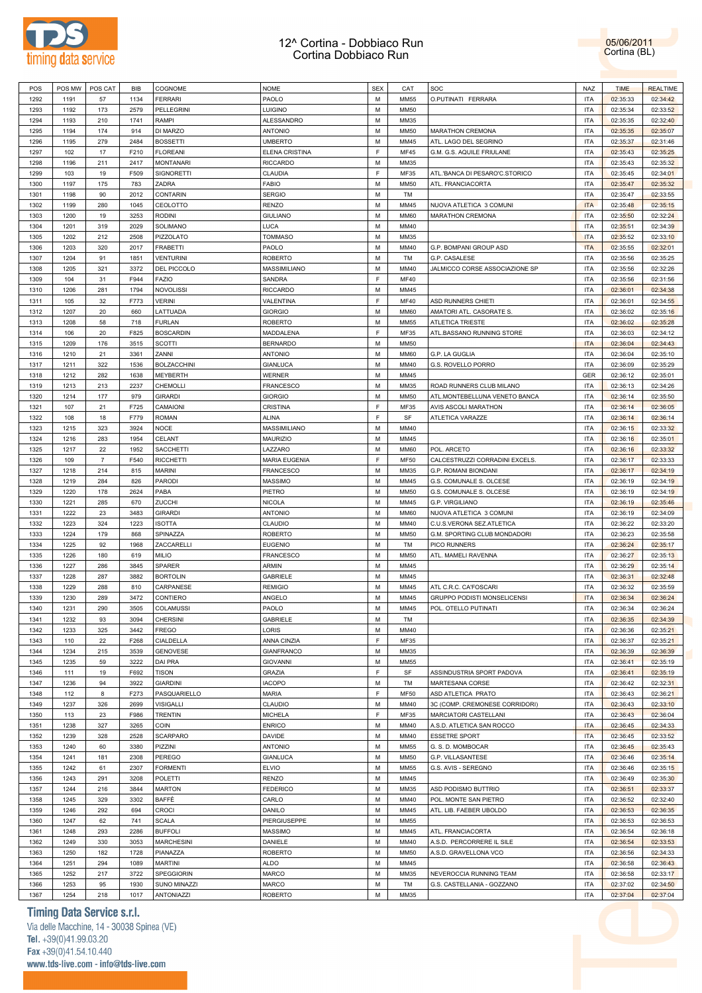

05/06/2011 Cortina (BL)

| POS  | POS MW | POS CAT        | BIB  | COGNOME            | <b>NOME</b>          | <b>SEX</b> | CAT         | SOC                                | <b>NAZ</b> | <b>TIME</b> | <b>REALTIME</b> |
|------|--------|----------------|------|--------------------|----------------------|------------|-------------|------------------------------------|------------|-------------|-----------------|
| 1292 | 1191   | 57             | 1134 | <b>FERRARI</b>     | PAOLO                | M          | <b>MM55</b> | O.PUTINATI FERRARA                 | <b>ITA</b> | 02:35:33    | 02:34:42        |
| 1293 | 1192   | 173            | 2579 | PELLEGRINI         | <b>LUIGINO</b>       | M          | <b>MM50</b> |                                    | <b>ITA</b> | 02:35:34    | 02:33:52        |
| 1294 | 1193   | 210            | 1741 | RAMPI              | ALESSANDRO           | M          | MM35        |                                    | <b>ITA</b> | 02:35:35    | 02:32:40        |
|      |        |                |      |                    |                      |            |             |                                    |            |             |                 |
| 1295 | 1194   | 174            | 914  | DI MARZO           | <b>ANTONIO</b>       | M          | <b>MM50</b> | MARATHON CREMONA                   | <b>ITA</b> | 02:35:35    | 02:35:07        |
| 1296 | 1195   | 279            | 2484 | <b>BOSSETTI</b>    | <b>UMBERTO</b>       | M          | MM45        | ATL. LAGO DEL SEGRINO              | <b>ITA</b> | 02:35:37    | 02:31:46        |
| 1297 | 102    | 17             | F210 | <b>FLOREANI</b>    | ELENA CRISTINA       | E          | <b>MF45</b> | G.M. G.S. AQUILE FRIULANE          | <b>ITA</b> | 02:35:43    | 02:35:25        |
| 1298 | 1196   | 211            | 2417 | <b>MONTANARI</b>   | <b>RICCARDO</b>      | M          | <b>MM35</b> |                                    | <b>ITA</b> | 02:35:43    | 02:35:32        |
| 1299 | 103    | 19             | F509 | <b>SIGNORETTI</b>  | CLAUDIA              | F          | <b>MF35</b> | ATL.'BANCA DI PESARO'C.STORICO     | <b>ITA</b> | 02:35:45    | 02:34:01        |
| 1300 | 1197   | 175            | 783  | ZADRA              | <b>FABIO</b>         | M          | MM50        | ATL. FRANCIACORTA                  | <b>ITA</b> | 02:35:47    | 02:35:32        |
| 1301 | 1198   | 90             | 2012 | <b>CONTARIN</b>    | <b>SERGIO</b>        | M          | TM          |                                    | <b>ITA</b> | 02:35:47    | 02:33:55        |
| 1302 | 1199   | 280            | 1045 | CEOLOTTO           | <b>RENZO</b>         | M          | MM45        | NUOVA ATLETICA 3 COMUNI            | <b>ITA</b> | 02:35:48    | 02:35:15        |
| 1303 | 1200   | 19             | 3253 | <b>RODINI</b>      | <b>GIULIANO</b>      | M          | <b>MM60</b> | MARATHON CREMONA                   | <b>ITA</b> | 02:35:50    | 02:32:24        |
| 1304 | 1201   | 319            | 2029 | SOLIMANO           | <b>LUCA</b>          | M          | MM40        |                                    | <b>ITA</b> | 02:35:51    | 02:34:39        |
|      |        |                |      |                    |                      | M          |             |                                    | <b>ITA</b> |             |                 |
| 1305 | 1202   | 212            | 2508 | PIZZOLATO          | <b>TOMMASO</b>       |            | MM35        |                                    |            | 02:35:52    | 02:33:10        |
| 1306 | 1203   | 320            | 2017 | <b>FRABETTI</b>    | PAOLO                | M          | MM40        | G.P. BOMPANI GROUP ASD             | <b>ITA</b> | 02:35:55    | 02:32:01        |
| 1307 | 1204   | 91             | 1851 | <b>VENTURINI</b>   | <b>ROBERTO</b>       | M          | TM          | G.P. CASALESE                      | <b>ITA</b> | 02:35:56    | 02:35:25        |
| 1308 | 1205   | 321            | 3372 | DEL PICCOLO        | MASSIMILIANO         | M          | <b>MM40</b> | JALMICCO CORSE ASSOCIAZIONE SP     | <b>ITA</b> | 02:35:56    | 02:32:26        |
| 1309 | 104    | 31             | F944 | <b>FAZIO</b>       | SANDRA               | E          | <b>MF40</b> |                                    | <b>ITA</b> | 02:35:56    | 02:31:56        |
| 1310 | 1206   | 281            | 1794 | NOVOLISSI          | <b>RICCARDO</b>      | M          | MM45        |                                    | <b>ITA</b> | 02:36:01    | 02:34:38        |
| 1311 | 105    | 32             | F773 | <b>VERINI</b>      | VALENTINA            | F          | <b>MF40</b> | ASD RUNNERS CHIETI                 | <b>ITA</b> | 02:36:01    | 02:34:55        |
| 1312 | 1207   | 20             | 660  | LATTUADA           | <b>GIORGIO</b>       | M          | <b>MM60</b> | AMATORI ATL. CASORATE S.           | <b>ITA</b> | 02:36:02    | 02:35:16        |
| 1313 | 1208   | 58             | 718  | <b>FURLAN</b>      | <b>ROBERTO</b>       | M          | <b>MM55</b> | ATLETICA TRIESTE                   | <b>ITA</b> | 02:36:02    | 02:35:28        |
| 1314 | 106    | 20             | F825 | <b>BOSCARDIN</b>   | MADDALENA            | F          | MF35        | ATL.BASSANO RUNNING STORE          | <b>ITA</b> | 02:36:03    | 02:34:12        |
| 1315 | 1209   | 176            | 3515 | SCOTTI             | <b>BERNARDO</b>      | M          | MM50        |                                    | <b>ITA</b> | 02:36:04    | 02:34:43        |
| 1316 | 1210   | 21             | 3361 | ZANNI              | <b>ANTONIO</b>       | M          | <b>MM60</b> | G.P. LA GUGLIA                     | <b>ITA</b> | 02:36:04    | 02:35:10        |
| 1317 | 1211   | 322            | 1536 | <b>BOLZACCHINI</b> | <b>GIANLUCA</b>      | M          | MM40        | G.S. ROVELLO PORRO                 | <b>ITA</b> | 02:36:09    | 02:35:29        |
|      |        |                |      |                    |                      |            |             |                                    |            |             |                 |
| 1318 | 1212   | 282            | 1638 | MEYBERTH           | <b>WERNER</b>        | M          | MM45        |                                    | <b>GER</b> | 02:36:12    | 02:35:01        |
| 1319 | 1213   | 213            | 2237 | CHEMOLLI           | <b>FRANCESCO</b>     | M          | MM35        | ROAD RUNNERS CLUB MILANO           | <b>ITA</b> | 02:36:13    | 02:34:26        |
| 1320 | 1214   | 177            | 979  | <b>GIRARDI</b>     | <b>GIORGIO</b>       | M          | <b>MM50</b> | ATL.MONTEBELLUNA VENETO BANCA      | <b>ITA</b> | 02:36:14    | 02:35:50        |
| 1321 | 107    | 21             | F725 | CAMAIONI           | CRISTINA             | F          | MF35        | AVIS ASCOLI MARATHON               | <b>ITA</b> | 02:36:14    | 02:36:05        |
| 1322 | 108    | 18             | F779 | <b>ROMAN</b>       | <b>ALINA</b>         | F          | SF          | ATLETICA VARAZZE                   | <b>ITA</b> | 02:36:14    | 02:36:14        |
| 1323 | 1215   | 323            | 3924 | <b>NOCE</b>        | MASSIMILIANO         | M          | <b>MM40</b> |                                    | <b>ITA</b> | 02:36:15    | 02:33:32        |
| 1324 | 1216   | 283            | 1954 | CELANT             | <b>MAURIZIO</b>      | M          | MM45        |                                    | <b>ITA</b> | 02:36:16    | 02:35:01        |
| 1325 | 1217   | 22             | 1952 | SACCHETTI          | LAZZARO              | M          | <b>MM60</b> | POL. ARCETO                        | <b>ITA</b> | 02:36:16    | 02:33:32        |
| 1326 | 109    | $\overline{7}$ | F540 | <b>RICCHETTI</b>   | <b>MARIA EUGENIA</b> | F          | <b>MF50</b> | CALCESTRUZZI CORRADINI EXCELS.     | <b>ITA</b> | 02:36:17    | 02:33:33        |
| 1327 | 1218   | 214            | 815  | <b>MARINI</b>      | <b>FRANCESCO</b>     | M          | MM35        | G.P. ROMANI BIONDANI               | <b>ITA</b> | 02:36:17    | 02:34:19        |
| 1328 | 1219   | 284            | 826  | PARODI             | <b>MASSIMO</b>       | M          | MM45        | G.S. COMUNALE S. OLCESE            | <b>ITA</b> | 02:36:19    | 02:34:19        |
| 1329 | 1220   | 178            | 2624 | PABA               | PIETRO               | M          | <b>MM50</b> | G.S. COMUNALE S. OLCESE            | <b>ITA</b> | 02:36:19    | 02:34:19        |
| 1330 | 1221   | 285            | 670  | ZUCCHI             | <b>NICOLA</b>        | M          | MM45        | <b>G.P. VIRGILIANO</b>             | <b>ITA</b> | 02:36:19    | 02:35:46        |
|      |        |                |      |                    |                      |            |             |                                    | <b>ITA</b> |             |                 |
| 1331 | 1222   | 23             | 3483 | <b>GIRARDI</b>     | <b>ANTONIO</b>       | M          | <b>MM60</b> | NUOVA ATLETICA 3 COMUNI            |            | 02:36:19    | 02:34:09        |
| 1332 | 1223   | 324            | 1223 | <b>ISOTTA</b>      | CLAUDIO              | M          | MM40        | C.U.S.VERONA SEZ.ATLETICA          | <b>ITA</b> | 02:36:22    | 02:33:20        |
| 1333 | 1224   | 179            | 868  | SPINAZZA           | <b>ROBERTO</b>       | M          | <b>MM50</b> | G.M. SPORTING CLUB MONDADORI       | <b>ITA</b> | 02:36:23    | 02:35:58        |
| 1334 | 1225   | 92             | 1968 | ZACCARELLI         | <b>EUGENIO</b>       | M          | TM          | <b>PICO RUNNERS</b>                | <b>ITA</b> | 02:36:24    | 02:35:17        |
| 1335 | 1226   | 180            | 619  | <b>MILIO</b>       | <b>FRANCESCO</b>     | M          | MM50        | ATL. MAMELI RAVENNA                | <b>ITA</b> | 02:36:27    | 02:35:13        |
| 1336 | 1227   | 286            | 3845 | SPARER             | <b>ARMIN</b>         | M          | MM45        |                                    | <b>ITA</b> | 02:36:29    | 02:35:14        |
| 1337 | 1228   | 287            | 3882 | <b>BORTOLIN</b>    | GABRIELE             | M          | MM45        |                                    | <b>ITA</b> | 02:36:31    | 02:32:48        |
| 1338 | 1229   | 288            | 810  | CARPANESE          | <b>REMIGIO</b>       | M          | MM45        | ATL C.R.C. CA'FOSCARI              | <b>ITA</b> | 02:36:32    | 02:35:59        |
| 1339 | 1230   | 289            | 3472 | CONTIERO           | ANGELO               | M          | MM45        | <b>GRUPPO PODISTI MONSELICENSI</b> | <b>ITA</b> | 02:36:34    | 02:36:24        |
| 1340 | 1231   | 290            | 3505 | COLAMUSSI          | PAOLO                | M          | MM45        | POL. OTELLO PUTINATI               | <b>ITA</b> | 02:36:34    | 02:36:24        |
| 1341 | 1232   | 93             | 3094 | <b>CHERSINI</b>    | <b>GABRIELE</b>      | М          | TM          |                                    | <b>ITA</b> | 02:36:35    | 02:34:39        |
| 1342 | 1233   | 325            | 3442 | <b>FREGO</b>       | LORIS                | M          | MM40        |                                    | <b>ITA</b> | 02:36:36    | 02:35:21        |
| 1343 | 110    | 22             | F268 | CIALDELLA          | ANNA CINZIA          | E          | MF35        |                                    | <b>ITA</b> | 02:36:37    | 02:35:21        |
| 1344 | 1234   | 215            | 3539 | <b>GENOVESE</b>    | <b>GIANFRANCO</b>    | M          | MM35        |                                    | <b>ITA</b> | 02:36:39    | 02:36:39        |
| 1345 | 1235   |                |      |                    | <b>GIOVANNI</b>      | M          | MM55        |                                    | <b>ITA</b> |             | 02:35:19        |
|      |        | 59             | 3222 | DAI PRA            |                      | F          |             |                                    |            | 02:36:41    |                 |
| 1346 | 111    | 19             | F692 | <b>TISON</b>       | GRAZIA               |            | SF          | ASSINDUSTRIA SPORT PADOVA          | <b>ITA</b> | 02:36:41    | 02:35:19        |
| 1347 | 1236   | 94             | 3922 | <b>GIARDINI</b>    | <b>IACOPO</b>        | M          | TM          | MARTESANA CORSE                    | <b>ITA</b> | 02:36:42    | 02:32:31        |
| 1348 | 112    | 8              | F273 | PASQUARIELLO       | MARIA                | E          | MF50        | ASD ATLETICA PRATO                 | <b>ITA</b> | 02:36:43    | 02:36:21        |
| 1349 | 1237   | 326            | 2699 | <b>VISIGALLI</b>   | CLAUDIO              | M          | MM40        | 3C (COMP. CREMONESE CORRIDORI)     | <b>ITA</b> | 02:36:43    | 02:33:10        |
| 1350 | 113    | 23             | F986 | <b>TRENTIN</b>     | <b>MICHELA</b>       | F          | MF35        | MARCIATORI CASTELLANI              | <b>ITA</b> | 02:36:43    | 02:36:04        |
| 1351 | 1238   | 327            | 3265 | COIN               | <b>ENRICO</b>        | M          | MM40        | A.S.D. ATLETICA SAN ROCCO          | <b>ITA</b> | 02:36:45    | 02:34:33        |
| 1352 | 1239   | 328            | 2528 | SCARPARO           | DAVIDE               | M          | MM40        | <b>ESSETRE SPORT</b>               | <b>ITA</b> | 02:36:45    | 02:33:52        |
| 1353 | 1240   | 60             | 3380 | PIZZINI            | <b>ANTONIO</b>       | M          | MM55        | G. S. D. MOMBOCAR                  | <b>ITA</b> | 02:36:45    | 02:35:43        |
| 1354 | 1241   | 181            | 2308 | PEREGO             | <b>GIANLUCA</b>      | М          | <b>MM50</b> | G.P. VILLASANTESE                  | <b>ITA</b> | 02:36:46    | 02:35:14        |
| 1355 | 1242   | 61             | 2307 | <b>FORMENTI</b>    | <b>ELVIO</b>         | M          | MM55        | G.S. AVIS - SEREGNO                | <b>ITA</b> | 02:36:46    | 02:35:15        |
| 1356 | 1243   | 291            | 3208 | POLETTI            | <b>RENZO</b>         | M          | MM45        |                                    | <b>ITA</b> | 02:36:49    | 02:35:30        |
| 1357 | 1244   | 216            | 3844 | <b>MARTON</b>      | <b>FEDERICO</b>      | M          | MM35        | ASD PODISMO BUTTRIO                | <b>ITA</b> | 02:36:51    | 02:33:37        |
| 1358 | 1245   | 329            | 3302 | BAFFÈ              | CARLO                | м          | MM40        | POL. MONTE SAN PIETRO              | <b>ITA</b> | 02:36:52    | 02:32:40        |
| 1359 | 1246   | 292            | 694  | CROCI              | DANILO               | M          | MM45        |                                    | <b>ITA</b> |             | 02:36:35        |
|      |        |                |      |                    |                      |            |             | ATL. LIB. FAEBER UBOLDO            |            | 02:36:53    |                 |
| 1360 | 1247   | 62             | 741  | <b>SCALA</b>       | PIERGIUSEPPE         | М          | MM55        |                                    | <b>ITA</b> | 02:36:53    | 02:36:53        |
| 1361 | 1248   | 293            | 2286 | <b>BUFFOLI</b>     | <b>MASSIMO</b>       | M          | MM45        | ATL. FRANCIACORTA                  | <b>ITA</b> | 02:36:54    | 02:36:18        |
| 1362 | 1249   | 330            | 3053 | <b>MARCHESINI</b>  | DANIELE              | м          | MM40        | A.S.D. PERCORRERE IL SILE          | <b>ITA</b> | 02:36:54    | 02:33:53        |
| 1363 | 1250   | 182            | 1728 | PIANAZZA           | <b>ROBERTO</b>       | M          | MM50        | A.S.D. GRAVELLONA VCO              | <b>ITA</b> | 02:36:56    | 02:34:33        |
| 1364 | 1251   | 294            | 1089 | <b>MARTINI</b>     | <b>ALDO</b>          | М          | MM45        |                                    | <b>ITA</b> | 02:36:58    | 02:36:43        |
| 1365 | 1252   | 217            | 3722 | SPEGGIORIN         | MARCO                | М          | MM35        | NEVEROCCIA RUNNING TEAM            | <b>ITA</b> | 02:36:58    | 02:33:17        |
| 1366 | 1253   | 95             | 1930 | SUNO MINAZZI       | MARCO                | м          | TM          | G.S. CASTELLANIA - GOZZANO         | <b>ITA</b> | 02:37:02    | 02:34:50        |
| 1367 | 1254   | 218            | 1017 | ANTONIAZZI         | <b>ROBERTO</b>       | M          | MM35        |                                    | <b>ITA</b> | 02:37:04    | 02:37:04        |
|      |        |                |      |                    |                      |            |             |                                    |            |             |                 |

# **Timing Data Service s.r.l.**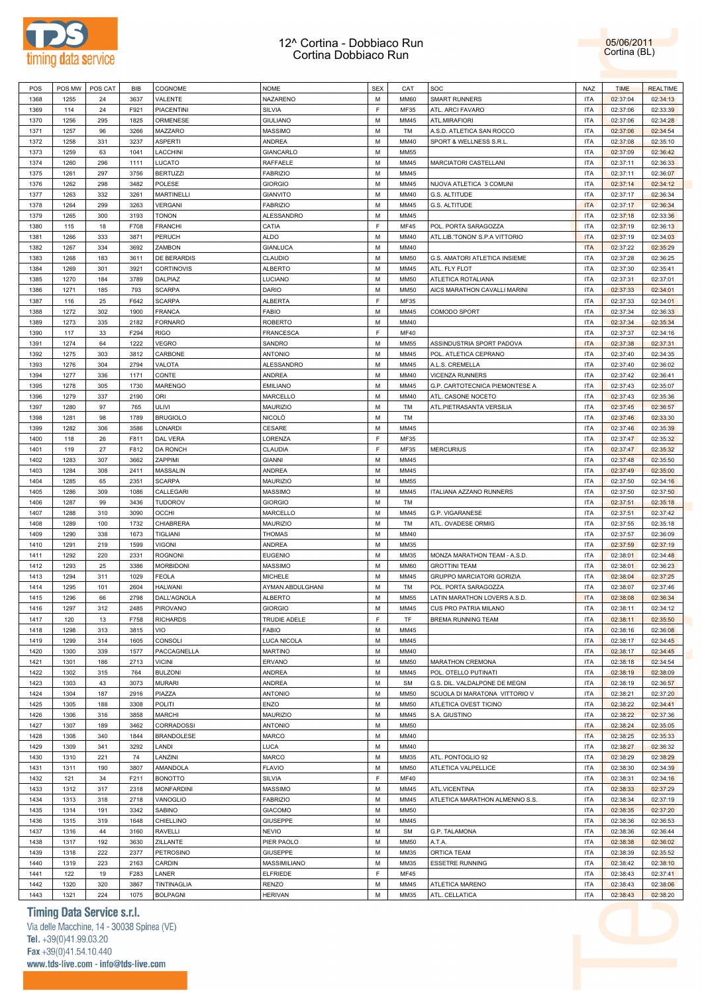

05/06/2011 Cortina (BL)

| POS  | POS MW | POS CAT | BIB  | COGNOME           | <b>NOME</b>      | <b>SEX</b> | CAT         | SOC                            | <b>NAZ</b> | <b>TIME</b> | <b>REALTIME</b> |
|------|--------|---------|------|-------------------|------------------|------------|-------------|--------------------------------|------------|-------------|-----------------|
| 1368 | 1255   | 24      | 3637 | VALENTE           | NAZARENO         | M          | <b>MM60</b> | <b>SMART RUNNERS</b>           | ITA        | 02:37:04    | 02:34:13        |
| 1369 | 114    | 24      | F921 | <b>PIACENTINI</b> | SILVIA           | F          | <b>MF35</b> | ATL. ARCI FAVARO               | <b>ITA</b> | 02:37:06    | 02:33:39        |
| 1370 | 1256   | 295     | 1825 | ORMENESE          | <b>GIULIANO</b>  | M          | MM45        | <b>ATL.MIRAFIORI</b>           | <b>ITA</b> | 02:37:06    | 02:34:28        |
|      |        |         |      |                   |                  |            |             |                                |            |             |                 |
| 1371 | 1257   | 96      | 3266 | MAZZARO           | <b>MASSIMO</b>   | M          | TM          | A.S.D. ATLETICA SAN ROCCO      | <b>ITA</b> | 02:37:06    | 02:34:54        |
| 1372 | 1258   | 331     | 3237 | ASPERTI           | <b>ANDREA</b>    | M          | MM40        | SPORT & WELLNESS S.R.L         | <b>ITA</b> | 02:37:08    | 02:35:10        |
| 1373 | 1259   | 63      | 1041 | LACCHINI          | <b>GIANCARLO</b> | M          | <b>MM55</b> |                                | <b>ITA</b> | 02:37:09    | 02:36:42        |
| 1374 | 1260   | 296     | 1111 | LUCATO            | <b>RAFFAELE</b>  | M          | MM45        | MARCIATORI CASTELLANI          | <b>ITA</b> | 02:37:11    | 02:36:33        |
| 1375 | 1261   | 297     | 3756 | <b>BERTUZZI</b>   | <b>FABRIZIO</b>  | M          | MM45        |                                | <b>ITA</b> | 02:37:11    | 02:36:07        |
| 1376 | 1262   | 298     | 3482 | POLESE            | <b>GIORGIO</b>   | M          | MM45        | NUOVA ATLETICA 3 COMUNI        | <b>ITA</b> | 02:37:14    | 02:34:12        |
| 1377 | 1263   | 332     | 3261 | <b>MARTINELLI</b> | <b>GIANVITO</b>  | M          | MM40        | G.S. ALTITUDE                  | <b>ITA</b> | 02:37:17    | 02:36:34        |
| 1378 | 1264   | 299     | 3263 | VERGANI           | <b>FABRIZIO</b>  | M          | MM45        | G.S. ALTITUDE                  | <b>ITA</b> | 02:37:17    | 02:36:34        |
| 1379 | 1265   | 300     | 3193 | <b>TONON</b>      | ALESSANDRO       | M          | MM45        |                                | <b>ITA</b> | 02:37:18    | 02:33:36        |
| 1380 | 115    | 18      | F708 | <b>FRANCHI</b>    | CATIA            | E          | <b>MF45</b> | POL. PORTA SARAGOZZA           | <b>ITA</b> | 02:37:19    | 02:36:13        |
|      |        |         |      |                   |                  |            |             |                                |            |             |                 |
| 1381 | 1266   | 333     | 3871 | PERUCH            | <b>ALDO</b>      | M          | MM40        | ATL.LIB.'TONON' S.P.A VITTORIO | <b>ITA</b> | 02:37:19    | 02:34:03        |
| 1382 | 1267   | 334     | 3692 | ZAMBON            | GIANLUCA         | M          | MM40        |                                | <b>ITA</b> | 02:37:22    | 02:35:29        |
| 1383 | 1268   | 183     | 3611 | DE BERARDIS       | CLAUDIO          | M          | MM50        | G.S. AMATORI ATLETICA INSIEME  | <b>ITA</b> | 02:37:28    | 02:36:25        |
| 1384 | 1269   | 301     | 3921 | CORTINOVIS        | <b>ALBERTO</b>   | M          | MM45        | ATL. FLY FLOT                  | <b>ITA</b> | 02:37:30    | 02:35:41        |
| 1385 | 1270   | 184     | 3789 | DALPIAZ           | LUCIANO          | M          | MM50        | ATLETICA ROTALIANA             | <b>ITA</b> | 02:37:31    | 02:37:01        |
| 1386 | 1271   | 185     | 793  | <b>SCARPA</b>     | DARIO            | M          | <b>MM50</b> | AICS MARATHON CAVALLI MARINI   | <b>ITA</b> | 02:37:33    | 02:34:01        |
| 1387 | 116    | 25      | F642 | <b>SCARPA</b>     | <b>ALBERTA</b>   | F          | <b>MF35</b> |                                | <b>ITA</b> | 02:37:33    | 02:34:01        |
| 1388 | 1272   | 302     | 1900 | <b>FRANCA</b>     | <b>FABIO</b>     | M          | MM45        | COMODO SPORT                   | <b>ITA</b> | 02:37:34    | 02:36:33        |
| 1389 | 1273   | 335     | 2182 | <b>FORNARO</b>    | <b>ROBERTO</b>   | M          | MM40        |                                | <b>ITA</b> | 02:37:34    | 02:35:34        |
| 1390 | 117    | 33      | F294 | RIGO              | <b>FRANCESCA</b> | F          | <b>MF40</b> |                                | <b>ITA</b> | 02:37:37    | 02:34:16        |
| 1391 | 1274   | 64      | 1222 | <b>VEGRO</b>      | SANDRO           | M          | MM55        | ASSINDUSTRIA SPORT PADOVA      | <b>ITA</b> | 02:37:38    | 02:37:31        |
| 1392 | 1275   | 303     | 3812 | CARBONE           | <b>ANTONIO</b>   | M          | MM45        | POL. ATLETICA CEPRANO          | ITA        | 02:37:40    | 02:34:35        |
|      |        |         |      |                   |                  |            |             |                                |            |             |                 |
| 1393 | 1276   | 304     | 2794 | VALOTA            | ALESSANDRO       | M          | MM45        | A.L.S. CREMELLA                | <b>ITA</b> | 02:37:40    | 02:36:02        |
| 1394 | 1277   | 336     | 1171 | CONTE             | <b>ANDREA</b>    | M          | MM40        | VICENZA RUNNERS                | <b>ITA</b> | 02:37:42    | 02:36:41        |
| 1395 | 1278   | 305     | 1730 | <b>MARENGO</b>    | <b>EMILIANO</b>  | M          | MM45        | G.P. CARTOTECNICA PIEMONTESE A | <b>ITA</b> | 02:37:43    | 02:35:07        |
| 1396 | 1279   | 337     | 2190 | ORI               | MARCELLO         | M          | MM40        | ATL. CASONE NOCETO             | <b>ITA</b> | 02:37:43    | 02:35:36        |
| 1397 | 1280   | 97      | 765  | ULIVI             | MAURIZIO         | M          | TM          | ATL.PIETRASANTA VERSILIA       | <b>ITA</b> | 02:37:45    | 02:36:57        |
| 1398 | 1281   | 98      | 1789 | <b>BRUGIOLO</b>   | <b>NICOLO</b>    | M          | TM          |                                | <b>ITA</b> | 02:37:46    | 02:33:30        |
| 1399 | 1282   | 306     | 3586 | LONARDI           | CESARE           | M          | MM45        |                                | <b>ITA</b> | 02:37:46    | 02:35:39        |
| 1400 | 118    | 26      | F811 | DAL VERA          | LORENZA          | F          | <b>MF35</b> |                                | <b>ITA</b> | 02:37:47    | 02:35:32        |
| 1401 | 119    | 27      | F812 | <b>DA RONCH</b>   | CLAUDIA          | F          | <b>MF35</b> | <b>MERCURIUS</b>               | <b>ITA</b> | 02:37:47    | 02:35:32        |
| 1402 | 1283   | 307     | 3662 | ZAPPIMI           | <b>GIANNI</b>    | M          | MM45        |                                | <b>ITA</b> | 02:37:48    | 02:35:50        |
| 1403 | 1284   | 308     | 2411 | MASSALIN          | <b>ANDREA</b>    | M          | MM45        |                                | <b>ITA</b> | 02:37:49    | 02:35:00        |
|      |        |         |      |                   |                  |            |             |                                |            |             |                 |
| 1404 | 1285   | 65      | 2351 | <b>SCARPA</b>     | MAURIZIO         | M          | MM55        |                                | <b>ITA</b> | 02:37:50    | 02:34:16        |
| 1405 | 1286   | 309     | 1086 | CALLEGARI         | <b>MASSIMO</b>   | M          | MM45        | ITALIANA AZZANO RUNNERS        | <b>ITA</b> | 02:37:50    | 02:37:50        |
| 1406 | 1287   | 99      | 3436 | <b>TUDOROV</b>    | <b>GIORGIO</b>   | M          | TM          |                                | <b>ITA</b> | 02:37:51    | 02:35:18        |
| 1407 | 1288   | 310     | 3090 | <b>OCCHI</b>      | MARCELLO         | M          | MM45        | G.P. VIGARANESE                | <b>ITA</b> | 02:37:51    | 02:37:42        |
| 1408 | 1289   | 100     | 1732 | CHIABRERA         | MAURIZIO         | M          | TM          | ATL. OVADESE ORMIG             | <b>ITA</b> | 02:37:55    | 02:35:18        |
| 1409 | 1290   | 338     | 1673 | TIGLIANI          | <b>THOMAS</b>    | M          | MM40        |                                | <b>ITA</b> | 02:37:57    | 02:36:09        |
| 1410 | 1291   | 219     | 1599 | <b>VIGONI</b>     | <b>ANDREA</b>    | M          | MM35        |                                | <b>ITA</b> | 02:37:59    | 02:37:19        |
| 1411 | 1292   | 220     | 2331 | <b>ROGNONI</b>    | <b>EUGENIO</b>   | M          | MM35        | MONZA MARATHON TEAM - A.S.D.   | <b>ITA</b> | 02:38:01    | 02:34:48        |
| 1412 | 1293   | 25      | 3386 | <b>MORBIDONI</b>  | <b>MASSIMO</b>   | M          | <b>MM60</b> | <b>GROTTINI TEAM</b>           | <b>ITA</b> | 02:38:01    | 02:36:23        |
| 1413 | 1294   | 311     | 1029 | <b>FEOLA</b>      | <b>MICHELE</b>   | M          | MM45        | GRUPPO MARCIATORI GORIZIA      | <b>ITA</b> | 02:38:04    | 02:37:25        |
| 1414 | 1295   | 101     | 2604 | <b>HALWANI</b>    | AYMAN ABDULGHANI | M          | TM          | POL. PORTA SARAGOZZA           | <b>ITA</b> | 02:38:07    | 02:37:46        |
| 1415 | 1296   | 66      | 2798 | DALL'AGNOLA       | <b>ALBERTO</b>   | M          | <b>MM55</b> | LATIN MARATHON LOVERS A.S.D.   | <b>ITA</b> | 02:38:08    | 02:36:34        |
| 1416 | 1297   | 312     | 2485 | PIROVANO          | <b>GIORGIO</b>   | M          | MM45        | CUS PRO PATRIA MILANO          | <b>ITA</b> | 02:38:11    | 02:34:12        |
|      |        |         |      |                   |                  |            |             |                                |            |             |                 |
| 1417 | 120    | 13      | F758 | <b>RICHARDS</b>   | TRUDIE ADELE     | F          | TF          | BREMA RUNNING TEAM             | <b>ITA</b> | 02:38:11    | 02:35:50        |
| 1418 | 1298   | 313     | 3815 | VIO               | <b>FABIO</b>     | M          | MM45        |                                | <b>ITA</b> | 02:38:16    | 02:36:08        |
| 1419 | 1299   | 314     | 1605 | CONSOLI           | LUCA NICOLA      | М          | MM45        |                                | <b>ITA</b> | 02:38:17    | 02:34:45        |
| 1420 | 1300   | 339     | 1577 | PACCAGNELLA       | <b>MARTINO</b>   | M          | MM40        |                                | <b>ITA</b> | 02:38:17    | 02:34:45        |
| 1421 | 1301   | 186     | 2713 | <b>VICINI</b>     | <b>ERVANO</b>    | M          | MM50        | MARATHON CREMONA               | <b>ITA</b> | 02:38:18    | 02:34:54        |
| 1422 | 1302   | 315     | 764  | <b>BULZONI</b>    | <b>ANDREA</b>    | М          | MM45        | POL. OTELLO PUTINATI           | <b>ITA</b> | 02:38:19    | 02:38:09        |
| 1423 | 1303   | 43      | 3073 | <b>MURARI</b>     | <b>ANDREA</b>    | M          | <b>SM</b>   | G.S. DIL. VALDALPONE DE MEGNI  | <b>ITA</b> | 02:38:19    | 02:36:57        |
| 1424 | 1304   | 187     | 2916 | PIAZZA            | <b>ANTONIO</b>   | M          | MM50        | SCUOLA DI MARATONA VITTORIO V  | <b>ITA</b> | 02:38:21    | 02:37:20        |
| 1425 | 1305   | 188     | 3308 | POLITI            | ENZO             | M          | MM50        | ATLETICA OVEST TICINO          | <b>ITA</b> | 02:38:22    | 02:34:41        |
| 1426 | 1306   | 316     | 3858 | <b>MARCHI</b>     | MAURIZIO         | M          | MM45        | S.A. GIUSTINO                  | <b>ITA</b> | 02:38:22    | 02:37:36        |
| 1427 | 1307   | 189     | 3462 | <b>CORRADOSSI</b> | <b>ANTONIO</b>   | M          | MM50        |                                | <b>ITA</b> | 02:38:24    | 02:35:05        |
|      |        |         |      |                   |                  |            |             |                                |            |             |                 |
| 1428 | 1308   | 340     | 1844 | <b>BRANDOLESE</b> | <b>MARCO</b>     | М          | MM40        |                                | <b>ITA</b> | 02:38:25    | 02:35:33        |
| 1429 | 1309   | 341     | 3292 | LANDI             | <b>LUCA</b>      | M          | MM40        |                                | <b>ITA</b> | 02:38:27    | 02:36:32        |
| 1430 | 1310   | 221     | 74   | LANZINI           | <b>MARCO</b>     | M          | MM35        | ATL. PONTOGLIO 92              | <b>ITA</b> | 02:38:29    | 02:38:29        |
| 1431 | 1311   | 190     | 3807 | AMANDOLA          | <b>FLAVIO</b>    | М          | MM50        | ATLETICA VALPELLICE            | <b>ITA</b> | 02:38:30    | 02:34:39        |
| 1432 | 121    | 34      | F211 | <b>BONOTTO</b>    | SILVIA           | F          | <b>MF40</b> |                                | <b>ITA</b> | 02:38:31    | 02:34:16        |
| 1433 | 1312   | 317     | 2318 | <b>MONFARDINI</b> | <b>MASSIMO</b>   | M          | MM45        | ATL.VICENTINA                  | <b>ITA</b> | 02:38:33    | 02:37:29        |
| 1434 | 1313   | 318     | 2718 | VANOGLIO          | <b>FABRIZIO</b>  | M          | MM45        | ATLETICA MARATHON ALMENNO S.S. | <b>ITA</b> | 02:38:34    | 02:37:19        |
| 1435 | 1314   | 191     | 3342 | SABINO            | <b>GIACOMO</b>   | M          | MM50        |                                | <b>ITA</b> | 02:38:35    | 02:37:20        |
| 1436 | 1315   | 319     | 1648 | CHIELLINO         | <b>GIUSEPPE</b>  | M          | MM45        |                                | <b>ITA</b> | 02:38:36    | 02:36:53        |
| 1437 | 1316   | 44      | 3160 | <b>RAVELLI</b>    | <b>NEVIO</b>     | M          | <b>SM</b>   | G.P. TALAMONA                  | <b>ITA</b> | 02:38:36    | 02:36:44        |
| 1438 | 1317   | 192     | 3630 | ZILLANTE          | PIER PAOLO       | M          | MM50        | A.T.A.                         | <b>ITA</b> | 02:38:38    | 02:36:02        |
|      |        |         |      |                   |                  |            |             |                                |            |             |                 |
| 1439 | 1318   | 222     | 2377 | PETROSINO         | <b>GIUSEPPE</b>  | M          | MM35        | ORTICA TEAM                    | <b>ITA</b> | 02:38:39    | 02:35:52        |
| 1440 | 1319   | 223     | 2163 | CARDIN            | MASSIMILIANO     | М          | MM35        | <b>ESSETRE RUNNING</b>         | <b>ITA</b> | 02:38:42    | 02:38:10        |
| 1441 | 122    | 19      | F283 | LANER             | <b>ELFRIEDE</b>  | F          | <b>MF45</b> |                                | <b>ITA</b> | 02:38:43    | 02:37:41        |
| 1442 | 1320   | 320     | 3867 | TINTINAGLIA       | <b>RENZO</b>     | M          | MM45        | ATLETICA MARENO                | <b>ITA</b> | 02:38:43    | 02:38:06        |
| 1443 | 1321   | 224     | 1075 | <b>BOLPAGNI</b>   | <b>HERIVAN</b>   | M          | MM35        | ATL. CELLATICA                 | <b>ITA</b> | 02:38:43    | 02:38:20        |

# **Timing Data Service s.r.l.**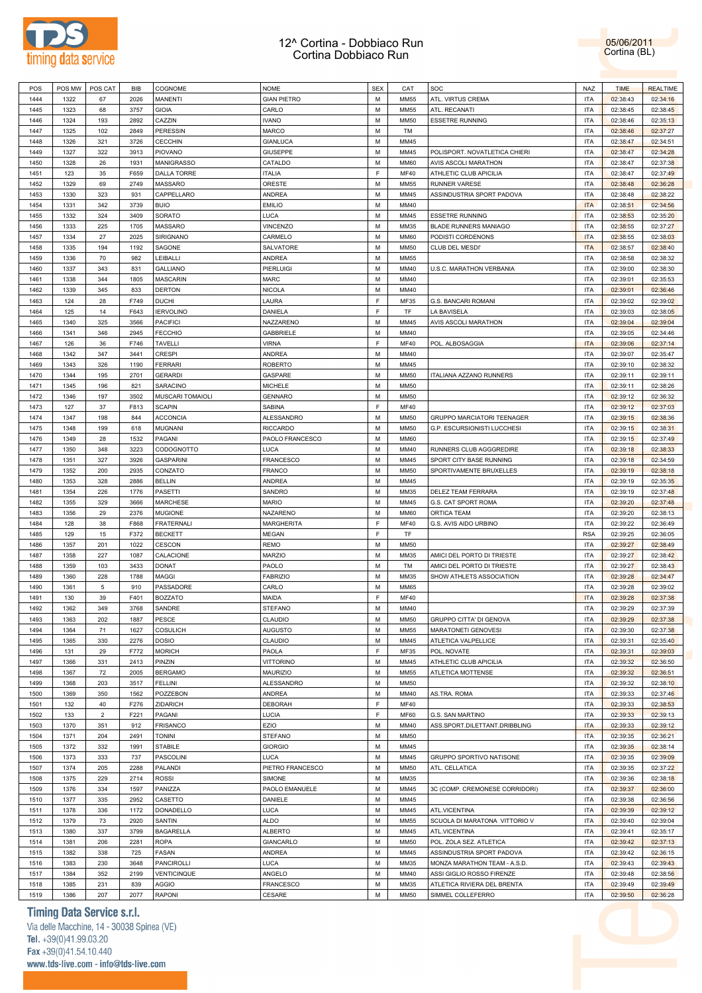

05/06/2011 Cortina (BL)

|              | POS MW       | POS CAT        | BIB         | COGNOME                | <b>NOME</b>         | <b>SEX</b> | CAT                 | SOC                                              | NAZ                      | <b>TIME</b>          | <b>REALTIME</b>      |  |
|--------------|--------------|----------------|-------------|------------------------|---------------------|------------|---------------------|--------------------------------------------------|--------------------------|----------------------|----------------------|--|
| 1444         | 1322         | 67             | 2026        | <b>MANENTI</b>         | <b>GIAN PIETRO</b>  | M          | <b>MM55</b>         | ATL. VIRTUS CREMA                                | <b>ITA</b>               | 02:38:43             | 02:34:16             |  |
| 1445         | 1323         | 68             | 3757        | <b>GIOIA</b>           | CARLO               | M          | <b>MM55</b>         | ATL. RECANATI                                    | <b>ITA</b>               | 02:38:45             | 02:38:45             |  |
|              |              |                |             |                        |                     | M          |                     |                                                  | <b>ITA</b>               |                      |                      |  |
| 1446         | 1324         | 193            | 2892        | CAZZIN                 | <b>IVANO</b>        |            | <b>MM50</b>         | <b>ESSETRE RUNNING</b>                           |                          | 02:38:46             | 02:35:13             |  |
| 1447         | 1325         | 102            | 2849        | <b>PERESSIN</b>        | MARCO               | М          | TM                  |                                                  | <b>ITA</b>               | 02:38:46             | 02:37:27             |  |
| 1448         | 1326         | 321            | 3726        | CECCHIN                | <b>GIANLUCA</b>     | M          | MM45                |                                                  | <b>ITA</b>               | 02:38:47             | 02:34:51             |  |
| 1449         | 1327         | 322            | 3913        | <b>PIOVANO</b>         | <b>GIUSEPPE</b>     | M          | MM45                | POLISPORT. NOVATLETICA CHIERI                    | <b>ITA</b>               | 02:38:47             | 02:34:28             |  |
| 1450         | 1328         | 26             | 1931        | MANIGRASSO             | CATALDO             | M          | <b>MM60</b>         | AVIS ASCOLI MARATHON                             | <b>ITA</b>               | 02:38:47             | 02:37:38             |  |
| 1451         | 123          | 35             | F659        | <b>DALLA TORRE</b>     | <b>ITALIA</b>       | F          | <b>MF40</b>         | ATHLETIC CLUB APICILIA                           | <b>ITA</b>               | 02:38:47             | 02:37:49             |  |
| 1452         | 1329         | 69             | 2749        | MASSARO                | ORESTE              | M          | <b>MM55</b>         | <b>RUNNER VARESE</b>                             | <b>ITA</b>               | 02:38:48             |                      |  |
|              |              |                |             |                        |                     |            |                     |                                                  |                          |                      | 02:36:28             |  |
| 1453         | 1330         | 323            | 931         | CAPPELLARO             | <b>ANDREA</b>       | M          | MM45                | ASSINDUSTRIA SPORT PADOVA                        | <b>ITA</b>               | 02:38:48             | 02:38:22             |  |
| 1454         | 1331         | 342            | 3739        | <b>BUIO</b>            | <b>EMILIO</b>       | M          | MM40                |                                                  | <b>ITA</b>               | 02:38:51             | 02:34:56             |  |
| 1455         | 1332         | 324            | 3409        | <b>SORATO</b>          | <b>LUCA</b>         | M          | MM45                | <b>ESSETRE RUNNING</b>                           | <b>ITA</b>               | 02:38:53             | 02:35:20             |  |
| 1456         | 1333         | 225            | 1705        | MASSARO                | <b>VINCENZO</b>     | M          | MM35                | BLADE RUNNERS MANIAGO                            | <b>ITA</b>               | 02:38:55             | 02:37:27             |  |
| 1457         | 1334         | 27             | 2025        | <b>SIRIGNANO</b>       | CARMELO             | M          | <b>MM60</b>         | PODISTI CORDENONS                                | <b>ITA</b>               | 02:38:55             | 02:38:03             |  |
| 1458         | 1335         | 194            | 1192        | SAGONE                 | SALVATORE           | M          | <b>MM50</b>         | CLUB DEL MESDI'                                  | <b>ITA</b>               |                      | 02:38:40             |  |
|              |              |                |             |                        |                     |            |                     |                                                  |                          | 02:38:57             |                      |  |
| 1459         | 1336         | 70             | 982         | LEIBALLI               | <b>ANDREA</b>       | M          | MM55                |                                                  | <b>ITA</b>               | 02:38:58             | 02:38:32             |  |
| 1460         | 1337         | 343            | 831         | <b>GALLIANO</b>        | <b>PIERLUIGI</b>    | M          | MM40                | U.S.C. MARATHON VERBANIA                         | <b>ITA</b>               | 02:39:00             | 02:38:30             |  |
| 1461         | 1338         | 344            | 1805        | <b>MASCARIN</b>        | MARC                | M          | MM40                |                                                  | <b>ITA</b>               | 02:39:01             | 02:35:53             |  |
| 1462         | 1339         | 345            | 833         | <b>DERTON</b>          | <b>NICOLA</b>       | M          | MM40                |                                                  | <b>ITA</b>               | 02:39:01             | 02:36:46             |  |
| 1463         | 124          | 28             | F749        | <b>DUCHI</b>           | LAURA               | F          | MF35                | G.S. BANCARI ROMANI                              | <b>ITA</b>               | 02:39:02             | 02:39:02             |  |
| 1464         | 125          | 14             | F643        | <b>IERVOLINO</b>       | DANIELA             | F          | TF                  | LA BAVISELA                                      | <b>ITA</b>               |                      | 02:38:05             |  |
|              |              |                |             |                        |                     |            |                     |                                                  |                          | 02:39:03             |                      |  |
| 1465         | 1340         | 325            | 3566        | <b>PACIFICI</b>        | NAZZARENO           | M          | MM45                | <b>AVIS ASCOLI MARATHON</b>                      | <b>ITA</b>               | 02:39:04             | 02:39:04             |  |
| 1466         | 1341         | 346            | 2945        | <b>FECCHIO</b>         | <b>GABBRIELE</b>    | M          | MM40                |                                                  | <b>ITA</b>               | 02:39:05             | 02:34:46             |  |
| 1467         | 126          | 36             | F746        | <b>TAVELLI</b>         | <b>VIRNA</b>        | F          | <b>MF40</b>         | POL. ALBOSAGGIA                                  | <b>ITA</b>               | 02:39:06             | 02:37:14             |  |
| 1468         | 1342         | 347            | 3441        | <b>CRESPI</b>          | <b>ANDREA</b>       | M          | MM40                |                                                  | <b>ITA</b>               | 02:39:07             | 02:35:47             |  |
| 1469         | 1343         | 326            | 1190        | <b>FERRARI</b>         | <b>ROBERTO</b>      | M          | MM45                |                                                  | <b>ITA</b>               | 02:39:10             | 02:38:32             |  |
|              |              |                |             |                        |                     |            |                     |                                                  |                          |                      |                      |  |
| 1470         | 1344         | 195            | 2701        | <b>GERARDI</b>         | GASPARE             | M          | <b>MM50</b>         | ITALIANA AZZANO RUNNERS                          | <b>ITA</b>               | 02:39:11             | 02:39:11             |  |
| 1471         | 1345         | 196            | 821         | <b>SARACINO</b>        | <b>MICHELE</b>      | M          | <b>MM50</b>         |                                                  | <b>ITA</b>               | 02:39:11             | 02:38:26             |  |
| 1472         | 1346         | 197            | 3502        | MUSCARI TOMAIOLI       | <b>GENNARO</b>      | M          | <b>MM50</b>         |                                                  | <b>ITA</b>               | 02:39:12             | 02:36:32             |  |
| 1473         | 127          | 37             | F813        | <b>SCAPIN</b>          | SABINA              | F          | <b>MF40</b>         |                                                  | <b>ITA</b>               | 02:39:12             | 02:37:03             |  |
| 1474         | 1347         | 198            | 844         | <b>ACCONCIA</b>        | <b>ALESSANDRO</b>   | M          | <b>MM50</b>         | <b>GRUPPO MARCIATORI TEENAGER</b>                | <b>ITA</b>               | 02:39:15             | 02:38:36             |  |
|              |              |                |             |                        |                     | M          |                     |                                                  | <b>ITA</b>               |                      |                      |  |
| 1475         | 1348         | 199            | 618         | MUGNANI                | <b>RICCARDO</b>     |            | <b>MM50</b>         | G.P. ESCURSIONISTI LUCCHESI                      |                          | 02:39:15             | 02:38:31             |  |
| 1476         | 1349         | 28             | 1532        | PAGANI                 | PAOLO FRANCESCO     | M          | <b>MM60</b>         |                                                  | <b>ITA</b>               | 02:39:15             | 02:37:49             |  |
| 1477         | 1350         | 348            | 3223        | CODOGNOTTO             | <b>LUCA</b>         | M          | MM40                | RUNNERS CLUB AGGGREDIRE                          | <b>ITA</b>               | 02:39:18             | 02:38:33             |  |
| 1478         | 1351         | 327            | 3926        | <b>GASPARINI</b>       | <b>FRANCESCO</b>    | M          | MM45                | SPORT CITY BASE RUNNING                          | <b>ITA</b>               | 02:39:18             | 02:34:59             |  |
| 1479         | 1352         | 200            | 2935        | CONZATO                | <b>FRANCO</b>       | M          | <b>MM50</b>         | SPORTIVAMENTE BRUXELLES                          | <b>ITA</b>               | 02:39:19             | 02:38:18             |  |
| 1480         | 1353         | 328            | 2886        | <b>BELLIN</b>          | <b>ANDREA</b>       | M          | MM45                |                                                  | <b>ITA</b>               | 02:39:19             | 02:35:35             |  |
| 1481         | 1354         | 226            | 1776        | <b>PASETTI</b>         | SANDRO              | M          | MM35                | DELEZ TEAM FERRARA                               | <b>ITA</b>               |                      | 02:37:48             |  |
|              |              |                |             |                        |                     |            |                     |                                                  |                          | 02:39:19             |                      |  |
| 1482         | 1355         | 329            | 3666        | <b>MARCHESE</b>        | <b>MARIO</b>        | M          | MM45                | G.S. CAT SPORT ROMA                              | <b>ITA</b>               | 02:39:20             | 02:37:48             |  |
| 1483         | 1356         | 29             | 2376        | <b>MUGIONE</b>         | NAZARENO            | M          | <b>MM60</b>         | <b>ORTICA TEAM</b>                               | <b>ITA</b>               | 02:39:20             | 02:38:13             |  |
| 1484         | 128          | 38             | F868        | <b>FRATERNALI</b>      | MARGHERITA          | F          | <b>MF40</b>         | G.S. AVIS AIDO URBINO                            | <b>ITA</b>               | 02:39:22             | 02:36:49             |  |
| 1485         | 129          | 15             | F372        | <b>BECKETT</b>         | <b>MEGAN</b>        | F          | TF                  |                                                  | <b>RSA</b>               | 02:39:25             | 02:36:05             |  |
| 1486         | 1357         | 201            | 1022        | CESCON                 | <b>REMO</b>         | M          | <b>MM50</b>         |                                                  | <b>ITA</b>               | 02:39:27             | 02:38:49             |  |
| 1487         | 1358         | 227            | 1087        | CALACIONE              | <b>MARZIO</b>       | M          | MM35                | AMICI DEL PORTO DI TRIESTE                       | <b>ITA</b>               | 02:39:27             | 02:38:42             |  |
|              |              |                |             |                        |                     |            |                     |                                                  |                          |                      |                      |  |
|              |              |                |             | <b>DONAT</b>           | PAOLO               | M          |                     |                                                  |                          |                      | 02:38:43             |  |
| 1488         | 1359         | 103            | 3433        |                        |                     |            | TM                  | AMICI DEL PORTO DI TRIESTE                       | <b>ITA</b>               | 02:39:27             |                      |  |
| 1489         | 1360         | 228            | 1788        | MAGGI                  | <b>FABRIZIO</b>     | M          | MM35                | SHOW ATHLETS ASSOCIATION                         | <b>ITA</b>               | 02:39:28             | 02:34:47             |  |
| 1490         | 1361         | 5              | 910         | PASSADORE              | CARLO               | M          | <b>MM65</b>         |                                                  | <b>ITA</b>               | 02:39:28             | 02:39:02             |  |
| 1491         | 130          | 39             | F401        | <b>BOZZATO</b>         | MAIDA               | F          | <b>MF40</b>         |                                                  | <b>ITA</b>               | 02:39:28             | 02:37:38             |  |
| 1492         | 1362         | 349            | 3768        | SANDRE                 | <b>STEFANO</b>      | M          | MM40                |                                                  | <b>ITA</b>               | 02:39:29             |                      |  |
|              |              |                |             |                        |                     |            |                     |                                                  |                          |                      | 02:37:39             |  |
| 1493         | 1363         | 202            | 1887        | PESCE                  | CLAUDIO             | М          | <b>MM50</b>         | GRUPPO CITTA' DI GENOVA                          | <b>ITA</b>               | 02:39:29             | 02:37:38             |  |
| 1494         | 1364         | 71             | 1627        | <b>COSULICH</b>        | <b>AUGUSTO</b>      | M          | MM55                | MARATONETI GENOVESI                              | <b>ITA</b>               | 02:39:30             | 02:37:38             |  |
| 1495         | 1365         | 330            | 2276        | <b>DOSIO</b>           | CLAUDIO             | M          | MM45                | ATLETICA VALPELLICE                              | <b>ITA</b>               | 02:39:31             | 02:35:40             |  |
| 1496         | 131          | 29             | F772        | <b>MORICH</b>          | PAOLA               | F          | MF35                | POL. NOVATE                                      | <b>ITA</b>               | 02:39:31             | 02:39:03             |  |
| 1497         | 1366         | 331            | 2413        | PINZIN                 | <b>VITTORINO</b>    | M          | MM45                | ATHLETIC CLUB APICILIA                           | <b>ITA</b>               | 02:39:32             | 02:36:50             |  |
| 1498         | 1367         | 72             | 2005        | <b>BERGAMO</b>         | <b>MAURIZIO</b>     | M          | <b>MM55</b>         | ATLETICA MOTTENSE                                | <b>ITA</b>               | 02:39:32             |                      |  |
|              |              |                |             |                        |                     |            |                     |                                                  |                          |                      | 02:36:51             |  |
| 1499         | 1368         | 203            | 3517        | <b>FELLINI</b>         | <b>ALESSANDRO</b>   | M          | <b>MM50</b>         |                                                  | <b>ITA</b>               | 02:39:32             | 02:38:10             |  |
| 1500         | 1369         | 350            | 1562        | POZZEBON               | <b>ANDREA</b>       | M          | MM40                | AS.TRA. ROMA                                     | <b>ITA</b>               | 02:39:33             | 02:37:46             |  |
| 1501         | 132          | 40             | F276        | ZIDARICH               | <b>DEBORAH</b>      | F          | <b>MF40</b>         |                                                  | <b>ITA</b>               | 02:39:33             | 02:38:53             |  |
| 1502         | 133          | $\overline{2}$ | F221        | PAGANI                 | LUCIA               | F          | <b>MF60</b>         | G.S. SAN MARTINO                                 | <b>ITA</b>               | 02:39:33             | 02:39:13             |  |
| 1503         | 1370         | 351            | 912         | <b>FRISANCO</b>        | EZIO                | M          | MM40                | ASS.SPORT.DILETTANT.DRIBBLING                    | <b>ITA</b>               | 02:39:33             | 02:39:12             |  |
| 1504         | 1371         | 204            | 2491        | <b>TONINI</b>          | <b>STEFANO</b>      | M          | <b>MM50</b>         |                                                  | <b>ITA</b>               | 02:39:35             | 02:36:21             |  |
|              |              |                |             |                        |                     |            |                     |                                                  |                          |                      |                      |  |
| 1505         | 1372         | 332            | 1991        | <b>STABILE</b>         | <b>GIORGIO</b>      | M          | MM45                |                                                  | <b>ITA</b>               | 02:39:35             | 02:38:14             |  |
| 1506         | 1373         | 333            | 737         | <b>PASCOLINI</b>       | <b>LUCA</b>         | M          | MM45                | GRUPPO SPORTIVO NATISONE                         | <b>ITA</b>               | 02:39:35             | 02:39:09             |  |
| 1507         | 1374         | 205            | 2288        | PALANDI                | PIETRO FRANCESCO    | M          | <b>MM50</b>         | ATL. CELLATICA                                   | <b>ITA</b>               | 02:39:35             | 02:37:22             |  |
| 1508         | 1375         | 229            | 2714        | <b>ROSSI</b>           | SIMONE              | M          | MM35                |                                                  | <b>ITA</b>               | 02:39:36             | 02:38:18             |  |
| 1509         | 1376         | 334            | 1597        | PANIZZA                | PAOLO EMANUELE      | M          | MM45                | 3C (COMP. CREMONESE CORRIDORI)                   | <b>ITA</b>               | 02:39:37             | 02:36:00             |  |
| 1510         | 1377         |                | 2952        | CASETTO                | DANIELE             | M          | MM45                |                                                  | <b>ITA</b>               |                      |                      |  |
|              |              | 335            |             |                        |                     |            |                     |                                                  |                          | 02:39:38             | 02:36:56             |  |
| 1511         | 1378         | 336            | 1172        | <b>DONADELLO</b>       | <b>LUCA</b>         | M          | MM45                | ATL.VICENTINA                                    | <b>ITA</b>               | 02:39:39             | 02:39:12             |  |
| 1512         | 1379         | 73             | 2920        | SANTIN                 | <b>ALDO</b>         | M          | MM55                | SCUOLA DI MARATONA VITTORIO V                    | <b>ITA</b>               | 02:39:40             | 02:39:04             |  |
| 1513         | 1380         | 337            | 3799        | <b>BAGARELLA</b>       | <b>ALBERTO</b>      | M          | MM45                | ATL.VICENTINA                                    | <b>ITA</b>               | 02:39:41             | 02:35:17             |  |
| 1514         | 1381         | 206            | 2281        | <b>ROPA</b>            | GIANCARLO           | M          | <b>MM50</b>         | POL. ZOLA SEZ. ATLETICA                          | <b>ITA</b>               | 02:39:42             | 02:37:13             |  |
| 1515         | 1382         | 338            | 725         | FASAN                  | ANDREA              | M          | MM45                | ASSINDUSTRIA SPORT PADOVA                        | <b>ITA</b>               | 02:39:42             | 02:36:15             |  |
|              |              |                |             |                        |                     | M          |                     |                                                  |                          |                      |                      |  |
| 1516         | 1383         | 230            | 3648        | <b>PANCIROLLI</b>      | <b>LUCA</b>         |            | MM35                | MONZA MARATHON TEAM - A.S.D.                     | <b>ITA</b>               | 02:39:43             | 02:39:43             |  |
| 1517         | 1384         | 352            | 2199        | VENTICINQUE            | ANGELO              | M          | MM40                | ASSI GIGLIO ROSSO FIRENZE                        | <b>ITA</b>               | 02:39:48             | 02:38:56             |  |
| 1518<br>1519 | 1385<br>1386 | 231<br>207     | 839<br>2077 | AGGIO<br><b>RAPONI</b> | FRANCESCO<br>CESARE | M<br>M     | MM35<br><b>MM50</b> | ATLETICA RIVIERA DEL BRENTA<br>SIMMEL COLLEFERRO | <b>ITA</b><br><b>ITA</b> | 02:39:49<br>02:39:50 | 02:39:49<br>02:36:28 |  |

### **Timing Data Service s.r.l.**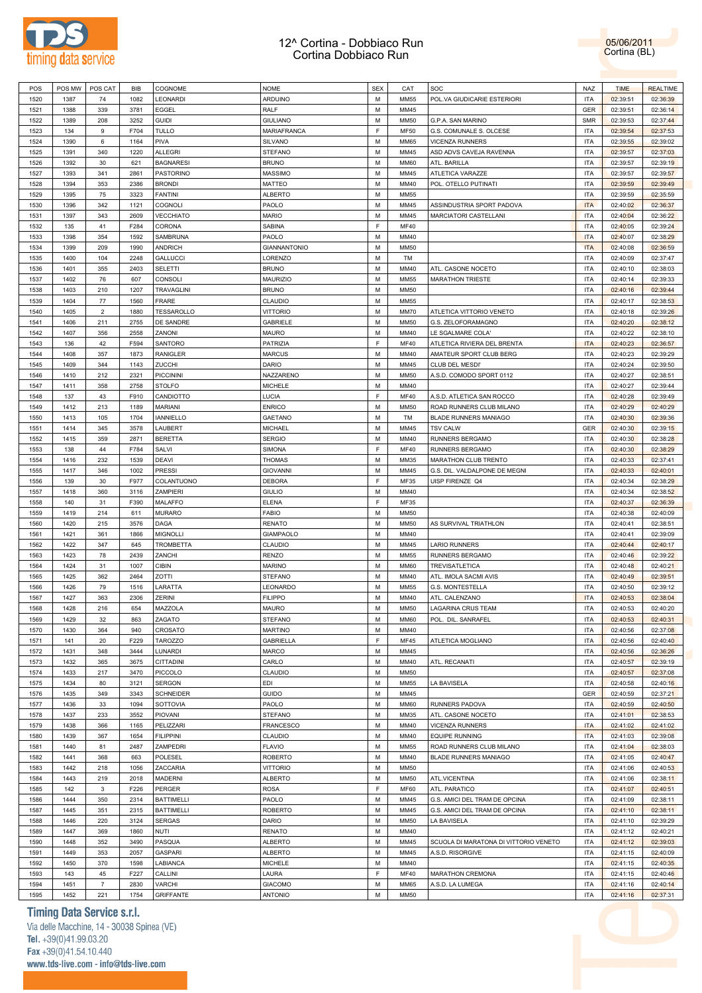



| POS  | POS MW | POS CAT        | <b>BIB</b> | COGNOME           | <b>NOME</b>         | <b>SEX</b>  | CAT         | SOC                                   | <b>NAZ</b> | <b>TIME</b> | <b>REALTIME</b> |
|------|--------|----------------|------------|-------------------|---------------------|-------------|-------------|---------------------------------------|------------|-------------|-----------------|
|      |        |                |            |                   |                     |             |             |                                       |            |             |                 |
| 1520 | 1387   | 74             | 1082       | LEONARDI          | ARDUINO             | M           | <b>MM55</b> | POL.VA GIUDICARIE ESTERIORI           | <b>ITA</b> | 02:39:51    | 02:36:39        |
| 1521 | 1388   | 339            | 3781       | EGGEL             | RALF                | M           | MM45        |                                       | GER        | 02:39:51    | 02:36:14        |
| 1522 | 1389   | 208            | 3252       | <b>GUIDI</b>      | <b>GIULIANO</b>     | M           | <b>MM50</b> | G.P.A. SAN MARINO                     | <b>SMR</b> | 02:39:53    | 02:37:44        |
| 1523 | 134    | 9              | F704       | TULLO             | MARIAFRANCA         | F           | <b>MF50</b> | G.S. COMUNALE S. OLCESE               | <b>ITA</b> | 02:39:54    | 02:37:53        |
| 1524 | 1390   | 6              | 1164       | PIVA              | SILVANO             | М           | <b>MM65</b> | <b>VICENZA RUNNERS</b>                | <b>ITA</b> | 02:39:55    | 02:39:02        |
|      |        |                |            |                   |                     |             |             |                                       |            |             |                 |
| 1525 | 1391   | 340            | 1220       | <b>ALLEGRI</b>    | <b>STEFANO</b>      | М           | MM45        | ASD ADVS CAVEJA RAVENNA               | <b>ITA</b> | 02:39:57    | 02:37:03        |
| 1526 | 1392   | 30             | 621        | <b>BAGNARESI</b>  | <b>BRUNO</b>        | М           | <b>MM60</b> | ATL. BARILLA                          | <b>ITA</b> | 02:39:57    | 02:39:19        |
| 1527 | 1393   | 341            | 2861       | <b>PASTORINO</b>  | <b>MASSIMO</b>      | M           | MM45        | ATLETICA VARAZZE                      | <b>ITA</b> | 02:39:57    | 02:39:57        |
| 1528 | 1394   | 353            | 2386       | <b>BRONDI</b>     | MATTEO              | М           | MM40        | POL. OTELLO PUTINATI                  | <b>ITA</b> | 02:39:59    | 02:39:49        |
|      |        |                |            |                   |                     |             |             |                                       |            |             |                 |
| 1529 | 1395   | 75             | 3323       | <b>FANTINI</b>    | <b>ALBERTO</b>      | M           | <b>MM55</b> |                                       | <b>ITA</b> | 02:39:59    | 02:35:59        |
| 1530 | 1396   | 342            | 1121       | COGNOLI           | PAOLO               | M           | MM45        | ASSINDUSTRIA SPORT PADOVA             | <b>ITA</b> | 02:40:02    | 02:36:37        |
| 1531 | 1397   | 343            | 2609       | <b>VECCHIATO</b>  | <b>MARIO</b>        | M           | MM45        | MARCIATORI CASTELLANI                 | <b>ITA</b> | 02:40:04    | 02:36:22        |
| 1532 | 135    | 41             | F284       | CORONA            | SABINA              | F           | <b>MF40</b> |                                       | <b>ITA</b> | 02:40:05    | 02:39:24        |
| 1533 | 1398   | 354            | 1592       | SAMBRUNA          | PAOLO               | М           | MM40        |                                       | <b>ITA</b> | 02:40:07    | 02:38:29        |
|      |        |                |            |                   |                     |             |             |                                       |            |             |                 |
| 1534 | 1399   | 209            | 1990       | <b>ANDRICH</b>    | <b>GIANNANTONIO</b> | М           | <b>MM50</b> |                                       | <b>ITA</b> | 02:40:08    | 02:36:59        |
| 1535 | 1400   | 104            | 2248       | <b>GALLUCCI</b>   | LORENZO             | M           | TM          |                                       | <b>ITA</b> | 02:40:09    | 02:37:47        |
| 1536 | 1401   | 355            | 2403       | <b>SELETTI</b>    | <b>BRUNO</b>        | М           | MM40        | ATL. CASONE NOCETO                    | <b>ITA</b> | 02:40:10    | 02:38:03        |
| 1537 | 1402   | 76             | 607        | CONSOLI           | <b>MAURIZIO</b>     | М           | <b>MM55</b> | <b>MARATHON TRIESTE</b>               | <b>ITA</b> | 02:40:14    | 02:39:33        |
|      |        |                |            |                   |                     |             |             |                                       |            |             |                 |
| 1538 | 1403   | 210            | 1207       | <b>TRAVAGLINI</b> | <b>BRUNO</b>        | М           | <b>MM50</b> |                                       | <b>ITA</b> | 02:40:16    | 02:39:44        |
| 1539 | 1404   | 77             | 1560       | <b>FRARE</b>      | CLAUDIO             | M           | MM55        |                                       | <b>ITA</b> | 02:40:17    | 02:38:53        |
| 1540 | 1405   | $\overline{2}$ | 1880       | TESSAROLLO        | <b>VITTORIO</b>     | M           | <b>MM70</b> | ATLETICA VITTORIO VENETO              | <b>ITA</b> | 02:40:18    | 02:39:26        |
| 1541 | 1406   | 211            | 2755       | DE SANDRE         | <b>GABRIELE</b>     | M           | <b>MM50</b> | G.S. ZELOFORAMAGNO                    | <b>ITA</b> | 02:40:20    | 02:38:12        |
|      |        |                |            |                   |                     |             |             |                                       |            |             |                 |
| 1542 | 1407   | 356            | 2558       | ZANONI            | <b>MAURO</b>        | M           | MM40        | LE SGALMARE COLA'                     | <b>ITA</b> | 02:40:22    | 02:38:10        |
| 1543 | 136    | 42             | F594       | SANTORO           | PATRIZIA            | F           | <b>MF40</b> | ATLETICA RIVIERA DEL BRENTA           | <b>ITA</b> | 02:40:23    | 02:36:57        |
| 1544 | 1408   | 357            | 1873       | <b>RANIGLER</b>   | <b>MARCUS</b>       | M           | MM40        | AMATEUR SPORT CLUB BERG               | <b>ITA</b> | 02:40:23    | 02:39:29        |
| 1545 | 1409   | 344            | 1143       | ZUCCHI            | DARIO               | M           | MM45        | CLUB DEL MESDI'                       | <b>ITA</b> | 02:40:24    | 02:39:50        |
|      |        |                |            |                   |                     |             |             |                                       |            |             |                 |
| 1546 | 1410   | 212            | 2321       | PICCININI         | NAZZARENO           | М           | <b>MM50</b> | A.S.D. COMODO SPORT 0112              | <b>ITA</b> | 02:40:27    | 02:38:51        |
| 1547 | 1411   | 358            | 2758       | <b>STOLFO</b>     | <b>MICHELE</b>      | М           | MM40        |                                       | <b>ITA</b> | 02:40:27    | 02:39:44        |
| 1548 | 137    | 43             | F910       | CANDIOTTO         | LUCIA               | $\mathsf F$ | <b>MF40</b> | A.S.D. ATLETICA SAN ROCCO             | <b>ITA</b> | 02:40:28    | 02:39:49        |
| 1549 | 1412   | 213            | 1189       | <b>MARIANI</b>    | <b>ENRICO</b>       | M           | <b>MM50</b> | ROAD RUNNERS CLUB MILANO              | <b>ITA</b> | 02:40:29    | 02:40:29        |
|      |        |                |            |                   |                     |             |             |                                       |            |             |                 |
| 1550 | 1413   | 105            | 1704       | <b>IANNIELLO</b>  | <b>GAETANO</b>      | M           | TM          | <b>BLADE RUNNERS MANIAGO</b>          | <b>ITA</b> | 02:40:30    | 02:39:36        |
| 1551 | 1414   | 345            | 3578       | LAUBERT           | MICHAEL             | M           | MM45        | <b>TSV CALW</b>                       | GER        | 02:40:30    | 02:39:15        |
| 1552 | 1415   | 359            | 2871       | <b>BERETTA</b>    | <b>SERGIO</b>       | M           | MM40        | RUNNERS BERGAMO                       | <b>ITA</b> | 02:40:30    | 02:38:28        |
| 1553 | 138    | 44             | F784       | SALVI             | <b>SIMONA</b>       | F           | <b>MF40</b> | RUNNERS BERGAMO                       | <b>ITA</b> | 02:40:30    | 02:38:29        |
|      |        |                |            |                   |                     |             |             |                                       |            |             |                 |
| 1554 | 1416   | 232            | 1539       | <b>DEAVI</b>      | <b>THOMAS</b>       | M           | MM35        | MARATHON CLUB TRENTO                  | <b>ITA</b> | 02:40:33    | 02:37:41        |
| 1555 | 1417   | 346            | 1002       | <b>PRESSI</b>     | <b>GIOVANNI</b>     | М           | MM45        | G.S. DIL. VALDALPONE DE MEGNI         | <b>ITA</b> | 02:40:33    | 02:40:01        |
| 1556 | 139    | 30             | F977       | COLANTUONO        | <b>DEBORA</b>       | F           | MF35        | UISP FIRENZE Q4                       | <b>ITA</b> | 02:40:34    | 02:38:29        |
| 1557 | 1418   | 360            | 3116       | ZAMPIERI          | <b>GIULIO</b>       | М           | MM40        |                                       | <b>ITA</b> | 02:40:34    | 02:38:52        |
|      |        |                |            |                   |                     | F           |             |                                       |            |             |                 |
| 1558 | 140    | 31             | F390       | MALAFFO           | <b>ELENA</b>        |             | MF35        |                                       | <b>ITA</b> | 02:40:37    | 02:36:39        |
| 1559 | 1419   | 214            | 611        | <b>MURARO</b>     | <b>FABIO</b>        | M           | <b>MM50</b> |                                       | <b>ITA</b> | 02:40:38    | 02:40:09        |
| 1560 | 1420   | 215            | 3576       | DAGA              | <b>RENATO</b>       | M           | <b>MM50</b> | AS SURVIVAL TRIATHLON                 | <b>ITA</b> | 02:40:41    | 02:38:51        |
| 1561 | 1421   | 361            | 1866       | <b>MIGNOLLI</b>   | <b>GIAMPAOLO</b>    | M           | MM40        |                                       | <b>ITA</b> | 02:40:41    | 02:39:09        |
| 1562 | 1422   | 347            | 645        | <b>TROMBETTA</b>  | CLAUDIO             | M           | MM45        | <b>LARIO RUNNERS</b>                  | <b>ITA</b> | 02:40:44    | 02:40:17        |
|      |        |                |            |                   |                     |             |             |                                       |            |             |                 |
| 1563 | 1423   | 78             | 2439       | ZANCHI            | <b>RENZO</b>        | M           | <b>MM55</b> | RUNNERS BERGAMO                       | <b>ITA</b> | 02:40:46    | 02:39:22        |
| 1564 | 1424   | 31             | 1007       | <b>CIBIN</b>      | <b>MARINO</b>       | М           | <b>MM60</b> | TREVISATLETICA                        | <b>ITA</b> | 02:40:48    | 02:40:21        |
| 1565 | 1425   | 362            | 2464       | ZOTTI             | <b>STEFANO</b>      | M           | MM40        | ATL. IMOLA SACMI AVIS                 | <b>ITA</b> | 02:40:49    | 02:39:51        |
| 1566 | 1426   | 79             | 1516       | LARATTA           | LEONARDO            | M           | <b>MM55</b> | G.S. MONTESTELLA                      | <b>ITA</b> | 02:40:50    | 02:39:12        |
|      |        |                |            |                   |                     |             |             |                                       |            |             |                 |
| 1567 | 1427   | 363            | 2306       | ZERINI            | <b>FILIPPO</b>      | М           | MM40        | ATL. CALENZANO                        | <b>ITA</b> | 02:40:53    | 02:38:04        |
| 1568 | 1428   | 216            | 654        | MAZZOLA           | MAURO               | M           | <b>MM50</b> | LAGARINA CRUS TEAM                    | <b>ITA</b> | 02:40:53    | 02:40:20        |
| 1569 | 1429   | 32             | 863        | ZAGATO            | <b>STEFANO</b>      | M           | <b>MM60</b> | POL. DIL. SANRAFEL                    | <b>ITA</b> | 02:40:53    | 02:40:31        |
| 1570 | 1430   | 364            | 940        | CROSATO           | <b>MARTINO</b>      | М           | MM40        |                                       | <b>ITA</b> | 02:40:56    | 02:37:08        |
|      |        |                |            |                   |                     |             |             |                                       |            |             |                 |
| 1571 | 141    | 20             | F229       | <b>TAROZZO</b>    | <b>GABRIELLA</b>    | F           | <b>MF45</b> | ATLETICA MOGLIANO                     | <b>ITA</b> | 02:40:56    | 02:40:40        |
| 1572 | 1431   | 348            | 3444       | LUNARDI           | <b>MARCO</b>        | М           | MM45        |                                       | <b>ITA</b> | 02:40:56    | 02:36:26        |
| 1573 | 1432   | 365            | 3675       | <b>CITTADINI</b>  | CARLO               | М           | MM40        | ATL. RECANATI                         | <b>ITA</b> | 02:40:57    | 02:39:19        |
| 1574 | 1433   | 217            | 3470       | PICCOLO           | CLAUDIO             | М           | <b>MM50</b> |                                       | <b>ITA</b> | 02:40:57    | 02:37:08        |
|      |        |                |            |                   |                     |             |             |                                       |            |             |                 |
| 1575 | 1434   | 80             | 3121       | SERGON            | EDI                 | М           | <b>MM55</b> | LA BAVISELA                           | <b>ITA</b> | 02:40:58    | 02:40:16        |
| 1576 | 1435   | 349            | 3343       | <b>SCHNEIDER</b>  | <b>GUIDO</b>        | М           | MM45        |                                       | GER        | 02:40:59    | 02:37:21        |
| 1577 | 1436   | 33             | 1094       | <b>SOTTOVIA</b>   | PAOLO               | М           | MM60        | RUNNERS PADOVA                        | <b>ITA</b> | 02:40:59    | 02:40:50        |
| 1578 | 1437   | 233            | 3552       | PIOVANI           | <b>STEFANO</b>      | М           | MM35        | ATL. CASONE NOCETO                    | <b>ITA</b> | 02:41:01    | 02:38:53        |
|      |        |                |            |                   |                     |             |             |                                       |            |             |                 |
| 1579 | 1438   | 366            | 1165       | PELIZZARI         | <b>FRANCESCO</b>    | М           | MM40        | VICENZA RUNNERS                       | <b>ITA</b> | 02:41:02    | 02:41:02        |
| 1580 | 1439   | 367            | 1654       | <b>FILIPPINI</b>  | CLAUDIO             | М           | MM40        | <b>EQUIPE RUNNING</b>                 | <b>ITA</b> | 02:41:03    | 02:39:08        |
| 1581 | 1440   | 81             | 2487       | ZAMPEDRI          | <b>FLAVIO</b>       | М           | <b>MM55</b> | ROAD RUNNERS CLUB MILANO              | <b>ITA</b> | 02:41:04    | 02:38:03        |
| 1582 | 1441   | 368            | 663        | POLESEL           | <b>ROBERTO</b>      | М           | MM40        | <b>BLADE RUNNERS MANIAGO</b>          | <b>ITA</b> | 02:41:05    | 02:40:47        |
| 1583 |        |                |            |                   |                     | М           |             |                                       | <b>ITA</b> |             |                 |
|      | 1442   | 218            | 1056       | ZACCARIA          | <b>VITTORIO</b>     |             | <b>MM50</b> |                                       |            | 02:41:06    | 02:40:53        |
| 1584 | 1443   | 219            | 2018       | <b>MADERNI</b>    | <b>ALBERTO</b>      | М           | <b>MM50</b> | ATL.VICENTINA                         | <b>ITA</b> | 02:41:06    | 02:38:11        |
| 1585 | 142    | 3              | F226       | PERGER            | <b>ROSA</b>         | F           | <b>MF60</b> | ATL. PARATICO                         | <b>ITA</b> | 02:41:07    | 02:40:51        |
| 1586 | 1444   | 350            | 2314       | <b>BATTIMELLI</b> | PAOLO               | М           | MM45        | G.S. AMICI DEL TRAM DE OPCINA         | <b>ITA</b> | 02:41:09    | 02:38:11        |
| 1587 | 1445   | 351            | 2315       | <b>BATTIMELLI</b> | <b>ROBERTO</b>      | М           | MM45        | G.S. AMICI DEL TRAM DE OPCINA         | <b>ITA</b> | 02:41:10    | 02:38:11        |
|      |        |                |            |                   |                     |             |             |                                       |            |             |                 |
| 1588 | 1446   | 220            | 3124       | <b>SERGAS</b>     | DARIO               | М           | <b>MM50</b> | LA BAVISELA                           | <b>ITA</b> | 02:41:10    | 02:39:29        |
| 1589 | 1447   | 369            | 1860       | NUTI              | <b>RENATO</b>       | М           | MM40        |                                       | <b>ITA</b> | 02:41:12    | 02:40:21        |
| 1590 | 1448   | 352            | 3490       | PASQUA            | <b>ALBERTO</b>      | М           | MM45        | SCUOLA DI MARATONA DI VITTORIO VENETO | <b>ITA</b> | 02:41:12    | 02:39:03        |
| 1591 | 1449   | 353            | 2057       | <b>GASPARI</b>    | <b>ALBERTO</b>      | М           | MM45        | A.S.D. RISORGIVE                      | <b>ITA</b> | 02:41:15    | 02:40:09        |
|      |        |                |            |                   |                     |             |             |                                       |            |             |                 |
| 1592 | 1450   | 370            | 1598       | LABIANCA          | <b>MICHELE</b>      | М           | MM40        |                                       | <b>ITA</b> | 02:41:15    | 02:40:35        |
|      |        |                |            |                   |                     |             | <b>MF40</b> | MARATHON CREMONA                      | <b>ITA</b> | 02:41:15    | 02:40:46        |
| 1593 | 143    | 45             | F227       | CALLINI           | LAURA               | F           |             |                                       |            |             |                 |
| 1594 | 1451   | $\overline{7}$ | 2830       | <b>VARCHI</b>     | <b>GIACOMO</b>      | М           | <b>MM65</b> | A.S.D. LA LUMEGA                      | <b>ITA</b> | 02:41:16    | 02:40:14        |

### **Timing Data Service s.r.l.**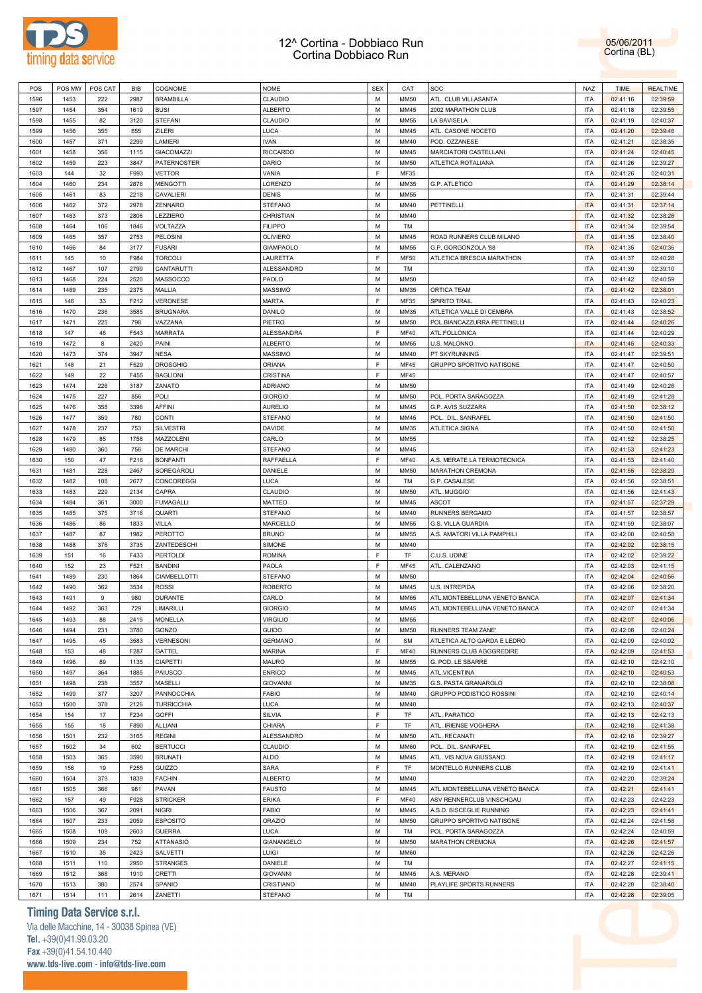

05/06/2011 Cortina (BL)

| POS  | POS MW       | POS CAT | <b>BIB</b> | COGNOME             | <b>NOME</b>       | <b>SEX</b> | CAT         | SOC                           | <b>NAZ</b> | <b>TIME</b>          | <b>REALTIME</b>      |
|------|--------------|---------|------------|---------------------|-------------------|------------|-------------|-------------------------------|------------|----------------------|----------------------|
| 1596 | 1453         | 222     | 2987       | <b>BRAMBILLA</b>    | CLAUDIO           | M          | <b>MM50</b> | ATL. CLUB VILLASANTA          | <b>ITA</b> | 02:41:16             | 02:39:59             |
| 1597 | 1454         | 354     | 1619       | <b>BUSI</b>         | <b>ALBERTO</b>    | M          | MM45        | 2002 MARATHON CLUB            | <b>ITA</b> | 02:41:18             | 02:39:55             |
| 1598 | 1455         | 82      | 3120       | <b>STEFANI</b>      | CLAUDIO           | M          | <b>MM55</b> | LA BAVISELA                   | <b>ITA</b> | 02:41:19             | 02:40:37             |
| 1599 | 1456         | 355     | 655        | ZILERI              | LUCA              | M          | MM45        | ATL. CASONE NOCETO            | <b>ITA</b> | 02:41:20             | 02:39:46             |
| 1600 | 1457         | 371     | 2299       | LAMIERI             | <b>IVAN</b>       | M          | MM40        | POD. OZZANESE                 | <b>ITA</b> | 02:41:21             | 02:38:35             |
|      |              |         |            |                     |                   |            |             | MARCIATORI CASTELLANI         | <b>ITA</b> |                      |                      |
| 1601 | 1458         | 356     | 1115       | <b>GIACOMAZZI</b>   | <b>RICCARDO</b>   | M          | MM45        |                               |            | 02:41:24             | 02:40:45             |
| 1602 | 1459         | 223     | 3847       | PATERNOSTER         | DARIO             | M          | <b>MM50</b> | ATLETICA ROTALIANA            | <b>ITA</b> | 02:41:26             | 02:39:27             |
| 1603 | 144          | 32      | F993       | <b>VETTOR</b>       | VANIA             | E          | MF35        |                               | <b>ITA</b> | 02:41:26             | 02:40:31             |
| 1604 | 1460         | 234     | 2878       | <b>MENGOTTI</b>     | LORENZO           | M          | MM35        | G.P. ATLETICO                 | <b>ITA</b> | 02:41:29             | 02:38:14             |
| 1605 | 1461         | 83      | 2218       | <b>CAVALIERI</b>    | <b>DENIS</b>      | M          | <b>MM55</b> |                               | <b>ITA</b> | 02:41:31             | 02:39:44             |
| 1606 | 1462         | 372     | 2978       | ZENNARO             | <b>STEFANO</b>    | M          | MM40        | PETTINELLI                    | <b>ITA</b> | 02:41:31             | 02:37:14             |
| 1607 | 1463         | 373     | 2806       | LEZZIERO            | CHRISTIAN         | M          | MM40        |                               | <b>ITA</b> | 02:41:32             | 02:38:26             |
| 1608 | 1464         | 106     | 1846       | VOLTAZZA            | <b>FILIPPO</b>    | M          | TM          |                               | <b>ITA</b> | 02:41:34             | 02:39:54             |
| 1609 | 1465         | 357     | 2753       | PELOSINI            | <b>OLIVIERO</b>   | M          | MM45        | ROAD RUNNERS CLUB MILANO      | <b>ITA</b> | 02:41:35             | 02:38:40             |
| 1610 | 1466         | 84      | 3177       | <b>FUSARI</b>       | <b>GIAMPAOLO</b>  | M          | <b>MM55</b> | G.P. GORGONZOLA '88           | <b>ITA</b> | 02:41:35             | 02:40:36             |
| 1611 | 145          | 10      | F984       | <b>TORCOLI</b>      | LAURETTA          | F          | <b>MF50</b> | ATLETICA BRESCIA MARATHON     | <b>ITA</b> | 02:41:37             | 02:40:28             |
| 1612 | 1467         | 107     | 2799       | CANTARUTTI          | <b>ALESSANDRO</b> | M          | TM          |                               | <b>ITA</b> | 02:41:39             | 02:39:10             |
| 1613 | 1468         | 224     | 2520       | MASSOCCO            | PAOLO             | M          | <b>MM50</b> |                               | <b>ITA</b> | 02:41:42             | 02:40:59             |
| 1614 | 1469         | 235     | 2375       | MALLIA              | <b>MASSIMO</b>    | M          | MM35        | ORTICA TEAM                   | <b>ITA</b> | 02:41:42             | 02:38:01             |
| 1615 | 146          | 33      | F212       | VERONESE            | MARTA             | E          | MF35        | SPIRITO TRAIL                 | <b>ITA</b> | 02:41:43             | 02:40:23             |
|      |              |         |            | <b>BRUGNARA</b>     |                   |            |             |                               |            |                      |                      |
| 1616 | 1470         | 236     | 3585       |                     | DANILO            | M          | MM35        | ATLETICA VALLE DI CEMBRA      | <b>ITA</b> | 02:41:43             | 02:38:52             |
| 1617 | 1471         | 225     | 798        | VAZZANA             | PIETRO            | M          | <b>MM50</b> | POL.BIANCAZZURRA PETTINELLI   | <b>ITA</b> | 02:41:44             | 02:40:26             |
| 1618 | 147          | 46      | F543       | <b>MARRATA</b>      | <b>ALESSANDRA</b> | E          | <b>MF40</b> | ATL.FOLLONICA                 | <b>ITA</b> | 02:41:44             | 02:40:29             |
| 1619 | 1472         | 8       | 2420       | PAINI               | <b>ALBERTO</b>    | M          | <b>MM65</b> | U.S. MALONNO                  | <b>ITA</b> | 02:41:45             | 02:40:33             |
| 1620 | 1473         | 374     | 3947       | <b>NESA</b>         | <b>MASSIMO</b>    | M          | MM40        | PT SKYRUNNING                 | <b>ITA</b> | 02:41:47             | 02:39:51             |
| 1621 | 148          | 21      | F529       | <b>DROSGHIG</b>     | ORIANA            | F          | <b>MF45</b> | GRUPPO SPORTIVO NATISONE      | <b>ITA</b> | 02:41:47             | 02:40:50             |
| 1622 | 149          | 22      | F455       | <b>BAGLIONI</b>     | CRISTINA          | E          | <b>MF45</b> |                               | <b>ITA</b> | 02:41:47             | 02:40:57             |
| 1623 | 1474         | 226     | 3187       | ZANATO              | <b>ADRIANO</b>    | M          | <b>MM50</b> |                               | <b>ITA</b> | 02:41:49             | 02:40:26             |
| 1624 | 1475         | 227     | 856        | POLI                | <b>GIORGIO</b>    | M          | <b>MM50</b> | POL. PORTA SARAGOZZA          | <b>ITA</b> | 02:41:49             | 02:41:28             |
| 1625 | 1476         | 358     | 3398       | AFFINI              | <b>AURELIO</b>    | M          | MM45        | G.P. AVIS SUZZARA             | <b>ITA</b> | 02:41:50             | 02:38:12             |
| 1626 | 1477         | 359     | 780        | CONTI               | <b>STEFANO</b>    | M          | MM45        | POL. DIL. SANRAFEL            | <b>ITA</b> | 02:41:50             | 02:41:50             |
| 1627 | 1478         | 237     | 753        | <b>SILVESTRI</b>    | DAVIDE            | M          | MM35        | ATLETICA SIGNA                | <b>ITA</b> | 02:41:50             | 02:41:50             |
| 1628 | 1479         | 85      | 1758       | MAZZOLENI           | CARLO             | M          | <b>MM55</b> |                               | <b>ITA</b> | 02:41:52             | 02:38:25             |
| 1629 | 1480         | 360     | 756        | <b>DE MARCHI</b>    | <b>STEFANO</b>    | M          | MM45        |                               | <b>ITA</b> |                      |                      |
|      |              |         |            |                     |                   |            |             |                               |            | 02:41:53             | 02:41:23             |
| 1630 | 150          | 47      | F216       | <b>BONFANTI</b>     | RAFFAELLA         | F          | MF40        | A.S. MERATE LA TERMOTECNICA   | <b>ITA</b> | 02:41:53             | 02:41:40             |
| 1631 | 1481         | 228     | 2467       | SOREGAROLI          | DANIELE           | M          | <b>MM50</b> | MARATHON CREMONA              | <b>ITA</b> | 02:41:55             | 02:38:29             |
| 1632 | 1482         | 108     | 2677       | <b>CONCOREGGI</b>   | LUCA              | M          | TM          | G.P. CASALESE                 | <b>ITA</b> | 02:41:56             | 02:38:51             |
| 1633 | 1483         | 229     | 2134       | CAPRA               | CLAUDIO           | M          | <b>MM50</b> | ATL. MUGGIOT                  | <b>ITA</b> | 02:41:56             | 02:41:43             |
| 1634 | 1484         | 361     | 3000       | <b>FUMAGALLI</b>    | MATTEO            | M          | MM45        | ASCOT                         | <b>ITA</b> | 02:41:57             | 02:37:29             |
| 1635 | 1485         | 375     | 3718       | <b>QUARTI</b>       | <b>STEFANO</b>    | M          | MM40        | RUNNERS BERGAMO               | <b>ITA</b> | 02:41:57             | 02:38:57             |
| 1636 | 1486         | 86      | 1833       | <b>VILLA</b>        | <b>MARCELLO</b>   | M          | <b>MM55</b> | G.S. VILLA GUARDIA            | <b>ITA</b> | 02:41:59             | 02:38:07             |
| 1637 | 1487         | 87      | 1982       | PEROTTO             | <b>BRUNO</b>      | M          | <b>MM55</b> | A.S. AMATORI VILLA PAMPHILI   | <b>ITA</b> | 02:42:00             | 02:40:58             |
| 1638 | 1488         | 376     | 3735       | ZANTEDESCHI         | <b>SIMONE</b>     | M          | MM40        |                               | <b>ITA</b> | 02:42:02             | 02:38:15             |
| 1639 | 151          | 16      | F433       | <b>PERTOLDI</b>     | <b>ROMINA</b>     | E          | TF          |                               |            | 02:42:02             | 02:39:22             |
| 1640 |              |         |            |                     |                   |            |             | C.U.S. UDINE                  | <b>ITA</b> |                      |                      |
|      | 152          | 23      | F521       | <b>BANDINI</b>      | PAOLA             | F          | <b>MF45</b> | ATL. CALENZANO                | <b>ITA</b> |                      | 02:41:15             |
|      |              |         |            |                     |                   |            |             |                               |            | 02:42:03             |                      |
| 1641 | 1489         | 230     | 1864       | <b>CIAMBELLOTTI</b> | <b>STEFANO</b>    | M          | <b>MM50</b> |                               | <b>ITA</b> | 02:42:04             | 02:40:56             |
| 1642 | 1490         | 362     | 3534       | <b>ROSSI</b>        | <b>ROBERTO</b>    | M          | MM45        | U.S. INTREPIDA                | <b>ITA</b> | 02:42:06             | 02:38:20             |
| 1643 | 1491         | 9       | 980        | <b>DURANTE</b>      | CARLO             | M          | MM65        | ATL.MONTEBELLUNA VENETO BANCA | <b>ITA</b> | 02:42:07             | 02:41:34             |
| 1644 | 1492         | 363     | 729        | <b>LIMARILLI</b>    | <b>GIORGIO</b>    | M          | MM45        | ATL.MONTEBELLUNA VENETO BANCA | <b>ITA</b> | 02:42:07             | 02:41:34             |
| 1645 | 1493         | 88      | 2415       | <b>MONELLA</b>      | <b>VIRGILIO</b>   | M          | <b>MM55</b> |                               | <b>ITA</b> | 02:42:07             | 02:40:06             |
| 1646 | 1494         | 231     | 3780       | GONZO               | GUIDO             | M          | <b>MM50</b> | RUNNERS TEAM ZANE'            | <b>ITA</b> | 02:42:08             | 02:40:24             |
| 1647 | 1495         | 45      | 3583       | <b>VERNESONI</b>    | <b>GERMANO</b>    | M          | <b>SM</b>   | ATLETICA ALTO GARDA E LEDRO   | <b>ITA</b> | 02:42:09             | 02:40:02             |
| 1648 | 153          | 48      | F287       | GATTEL              | <b>MARINA</b>     | F          | MF40        | RUNNERS CLUB AGGGREDIRE       | <b>ITA</b> | 02:42:09             | 02:41:53             |
| 1649 | 1496         | 89      | 1135       | <b>CIAPETTI</b>     | <b>MAURO</b>      | M          | <b>MM55</b> | G. POD. LE SBARRE             | <b>ITA</b> | 02:42:10             | 02:42:10             |
| 1650 | 1497         | 364     | 1885       | PAIUSCO             | <b>ENRICO</b>     | M          | MM45        | ATL.VICENTINA                 | <b>ITA</b> | 02:42:10             | 02:40:53             |
| 1651 | 1498         | 238     | 3557       | <b>MASELLI</b>      | <b>GIOVANNI</b>   | M          | MM35        | G.S. PASTA GRANAROLO          | <b>ITA</b> | 02:42:10             | 02:38:08             |
| 1652 | 1499         | 377     | 3207       | PANNOCCHIA          | <b>FABIO</b>      | M          | MM40        | GRUPPO PODISTICO ROSSINI      | <b>ITA</b> | 02:42:10             | 02:40:14             |
| 1653 | 1500         | 378     | 2126       | <b>TURRICCHIA</b>   | LUCA              | M          | MM40        |                               | <b>ITA</b> | 02:42:13             | 02:40:37             |
| 1654 | 154          | 17      | F234       | <b>GOFFI</b>        | SILVIA            | F          | TF          | ATL. PARATICO                 | <b>ITA</b> | 02:42:13             | 02:42:13             |
| 1655 | 155          | 18      | F890       | <b>ALLIANI</b>      | CHIARA            | F          | TF          | ATL. IRIENSE VOGHERA          | <b>ITA</b> |                      |                      |
|      |              |         |            |                     |                   |            |             |                               |            | 02:42:18             | 02:41:38             |
| 1656 | 1501         | 232     | 3165       | <b>REGINI</b>       | <b>ALESSANDRO</b> | M          | <b>MM50</b> | ATL. RECANATI                 | <b>ITA</b> | 02:42:18             | 02:39:27             |
| 1657 | 1502         | 34      | 602        | <b>BERTUCCI</b>     | CLAUDIO           | M          | <b>MM60</b> | POL. DIL. SANRAFEL            | <b>ITA</b> | 02:42:19             | 02:41:55             |
| 1658 | 1503         | 365     | 3590       | <b>BRUNATI</b>      | <b>ALDO</b>       | M          | MM45        | ATL. VIS NOVA GIUSSANO        | <b>ITA</b> | 02:42:19             | 02:41:17             |
| 1659 | 156          | 19      | F255       | GUIZZO              | <b>SARA</b>       | E          | TF          | MONTELLO RUNNERS CLUB         | <b>ITA</b> | 02:42:19             | 02:41:41             |
| 1660 | 1504         | 379     | 1839       | <b>FACHIN</b>       | <b>ALBERTO</b>    | M          | MM40        |                               | <b>ITA</b> | 02:42:20             | 02:39:24             |
| 1661 | 1505         | 366     | 981        | PAVAN               | <b>FAUSTO</b>     | M          | MM45        | ATL.MONTEBELLUNA VENETO BANCA | <b>ITA</b> | 02:42:21             | 02:41:41             |
| 1662 | 157          | 49      | F928       | <b>STRICKER</b>     | <b>ERIKA</b>      | F          | MF40        | ASV RENNERCLUB VINSCHGAU      | <b>ITA</b> | 02:42:23             | 02:42:23             |
| 1663 | 1506         | 367     | 2091       | <b>NIGRI</b>        | <b>FABIO</b>      | M          | MM45        | A.S.D. BISCEGLIE RUNNING      | <b>ITA</b> | 02:42:23             | 02:41:41             |
| 1664 | 1507         | 233     | 2059       | <b>ESPOSITO</b>     | <b>ORAZIO</b>     | M          | <b>MM50</b> | GRUPPO SPORTIVO NATISONE      | <b>ITA</b> | 02:42:24             | 02:41:58             |
| 1665 | 1508         | 109     | 2603       | <b>GUERRA</b>       | LUCA              | M          | TM          | POL. PORTA SARAGOZZA          | <b>ITA</b> | 02:42:24             | 02:40:59             |
| 1666 | 1509         | 234     | 752        | <b>ATTANASIO</b>    | <b>GIANANGELO</b> | M          | <b>MM50</b> | MARATHON CREMONA              | <b>ITA</b> | 02:42:26             | 02:41:57             |
| 1667 | 1510         | 35      | 2423       | SALVETTI            | LUIGI             | M          | <b>MM60</b> |                               | <b>ITA</b> | 02:42:26             | 02:42:26             |
| 1668 | 1511         | 110     | 2950       | <b>STRANGES</b>     | DANIELE           | M          | TM          |                               | <b>ITA</b> | 02:42:27             | 02:41:15             |
| 1669 | 1512         | 368     | 1910       | CRETTI              | <b>GIOVANNI</b>   | M          | MM45        | A.S. MERANO                   | <b>ITA</b> | 02:42:28             | 02:39:41             |
| 1670 |              | 380     | 2574       | SPANIO              | CRISTIANO         | M          | MM40        |                               | <b>ITA</b> |                      |                      |
| 1671 | 1513<br>1514 | 111     | 2614       | ZANETTI             | <b>STEFANO</b>    | M          | TM          | PLAYLIFE SPORTS RUNNERS       | <b>ITA</b> | 02:42:28<br>02:42:28 | 02:38:40<br>02:39:05 |

# **Timing Data Service s.r.l.**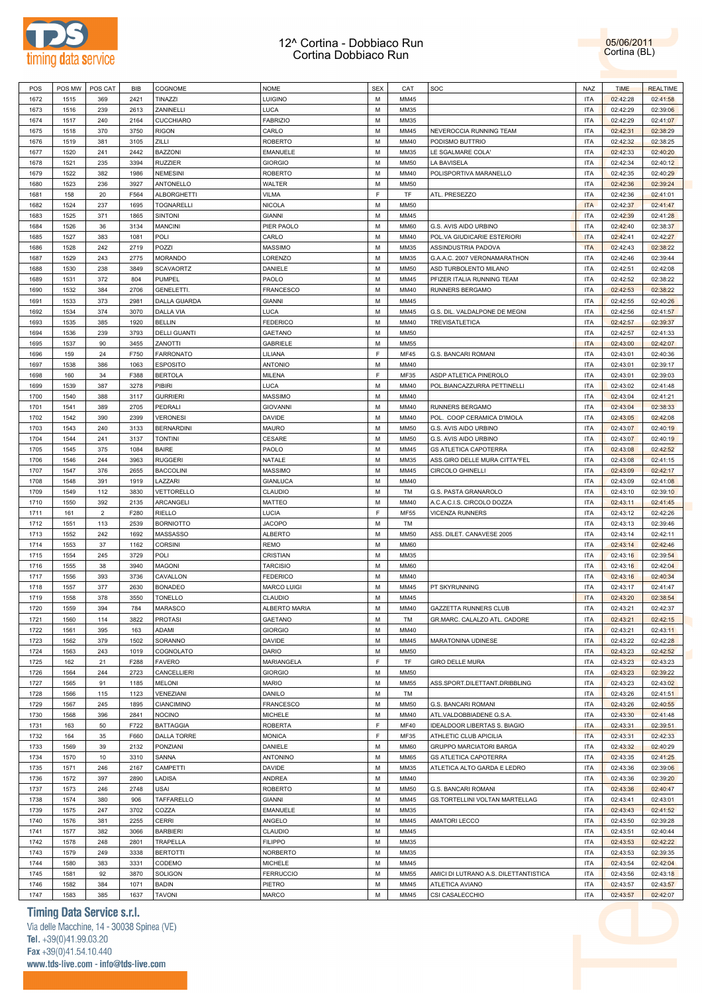



| POS  | POS MW | POS CAT        | <b>BIB</b> | COGNOME             | <b>NOME</b>        | <b>SEX</b> | CAT         | SOC                                   | <b>NAZ</b> | <b>TIME</b> | <b>REALTIME</b> |
|------|--------|----------------|------------|---------------------|--------------------|------------|-------------|---------------------------------------|------------|-------------|-----------------|
| 1672 | 1515   | 369            | 2421       | TINAZZI             | LUIGINO            | M          | MM45        |                                       | <b>ITA</b> | 02:42:28    | 02:41:58        |
| 1673 | 1516   | 239            | 2613       | ZANINELLI           | LUCA               | M          | MM35        |                                       | <b>ITA</b> | 02:42:29    | 02:39:06        |
| 1674 | 1517   | 240            | 2164       | <b>CUCCHIARO</b>    | <b>FABRIZIO</b>    | M          | MM35        |                                       | <b>ITA</b> | 02:42:29    | 02:41:07        |
| 1675 | 1518   | 370            | 3750       | <b>RIGON</b>        | CARLO              | M          | MM45        | NEVEROCCIA RUNNING TEAM               | <b>ITA</b> | 02:42:31    | 02:38:29        |
| 1676 | 1519   | 381            | 3105       | ZILLI               | <b>ROBERTO</b>     | M          | MM40        | PODISMO BUTTRIO                       | <b>ITA</b> | 02:42:32    | 02:38:25        |
| 1677 | 1520   | 241            | 2442       | <b>BAZZONI</b>      | <b>EMANUELE</b>    | M          | MM35        | LE SGALMARE COLA'                     | <b>ITA</b> | 02:42:33    | 02:40:20        |
| 1678 | 1521   | 235            | 3394       | <b>RUZZIER</b>      | <b>GIORGIO</b>     | M          | <b>MM50</b> | LA BAVISELA                           | ITA        | 02:42:34    | 02:40:12        |
|      |        |                |            |                     |                    |            | MM40        |                                       |            |             |                 |
| 1679 | 1522   | 382            | 1986       | <b>NEMESINI</b>     | ROBERTO            | M          |             | POLISPORTIVA MARANELLO                | ITA        | 02:42:35    | 02:40:29        |
| 1680 | 1523   | 236            | 3927       | ANTONELLO           | WALTER             | M          | <b>MM50</b> |                                       | ITA        | 02:42:36    | 02:39:24        |
| 1681 | 158    | 20             | F564       | <b>ALBORGHETTI</b>  | VILMA              | F          | TF          | ATL. PRESEZZO                         | <b>ITA</b> | 02:42:36    | 02:41:01        |
| 1682 | 1524   | 237            | 1695       | TOGNARELLI          | <b>NICOLA</b>      | M          | <b>MM50</b> |                                       | <b>ITA</b> | 02:42:37    | 02:41:47        |
| 1683 | 1525   | 371            | 1865       | SINTONI             | <b>GIANNI</b>      | M          | MM45        |                                       | <b>ITA</b> | 02:42:39    | 02:41:28        |
| 1684 | 1526   | 36             | 3134       | <b>MANCINI</b>      | PIER PAOLO         | M          | <b>MM60</b> | G.S. AVIS AIDO URBINO                 | <b>ITA</b> | 02:42:40    | 02:38:37        |
| 1685 | 1527   | 383            | 1081       | POLI                | CARLO              | M          | MM40        | POL.VA GIUDICARIE ESTERIORI           | <b>ITA</b> | 02:42:41    | 02:42:27        |
| 1686 | 1528   | 242            | 2719       | POZZI               | <b>MASSIMO</b>     | M          | MM35        | ASSINDUSTRIA PADOVA                   | <b>ITA</b> | 02:42:43    | 02:38:22        |
| 1687 | 1529   | 243            | 2775       | <b>MORANDO</b>      | LORENZO            | M          | MM35        | G.A.A.C. 2007 VERONAMARATHON          | <b>ITA</b> | 02:42:46    | 02:39:44        |
| 1688 | 1530   | 238            | 3849       | <b>SCAVAORTZ</b>    | DANIELE            | M          | <b>MM50</b> | ASD TURBOLENTO MILANO                 | <b>ITA</b> | 02:42:51    | 02:42:08        |
| 1689 | 1531   | 372            | 804        | PUMPEL              | PAOLO              | M          | MM45        | PFIZER ITALIA RUNNING TEAM            | <b>ITA</b> | 02:42:52    | 02:38:22        |
| 1690 | 1532   | 384            | 2706       | GENELETTI.          | <b>FRANCESCO</b>   | M          | MM40        | RUNNERS BERGAMO                       | <b>ITA</b> | 02:42:53    | 02:38:22        |
| 1691 | 1533   | 373            | 2981       | DALLA GUARDA        | <b>GIANNI</b>      | M          | MM45        |                                       | <b>ITA</b> | 02:42:55    | 02:40:26        |
| 1692 | 1534   | 374            | 3070       | <b>DALLA VIA</b>    | LUCA               | M          | MM45        | G.S. DIL. VALDALPONE DE MEGNI         | <b>ITA</b> | 02:42:56    | 02:41:57        |
| 1693 | 1535   | 385            | 1920       | <b>BELLIN</b>       | <b>FEDERICO</b>    | M          | MM40        | TREVISATLETICA                        | <b>ITA</b> | 02:42:57    | 02:39:37        |
| 1694 | 1536   | 239            | 3793       | <b>DELLI GUANTI</b> | GAETANO            | M          | <b>MM50</b> |                                       | <b>ITA</b> | 02:42:57    | 02:41:33        |
|      |        |                |            |                     |                    |            |             |                                       |            |             |                 |
| 1695 | 1537   | 90             | 3455       | ZANOTTI             | GABRIELE           | M          | <b>MM55</b> |                                       | <b>ITA</b> | 02:43:00    | 02:42:07        |
| 1696 | 159    | 24             | F750       | <b>FARRONATO</b>    | LILIANA            | F          | <b>MF45</b> | G.S. BANCARI ROMANI                   | <b>ITA</b> | 02:43:01    | 02:40:36        |
| 1697 | 1538   | 386            | 1063       | <b>ESPOSITO</b>     | <b>ANTONIO</b>     | M          | MM40        |                                       | <b>ITA</b> | 02:43:01    | 02:39:17        |
| 1698 | 160    | 34             | F388       | <b>BERTOLA</b>      | MILENA             | F          | MF35        | ASDP ATLETICA PINEROLO                | <b>ITA</b> | 02:43:01    | 02:39:03        |
| 1699 | 1539   | 387            | 3278       | PIBIRI              | LUCA               | M          | MM40        | POL.BIANCAZZURRA PETTINELLI           | <b>ITA</b> | 02:43:02    | 02:41:48        |
| 1700 | 1540   | 388            | 3117       | <b>GURRIERI</b>     | <b>MASSIMO</b>     | M          | MM40        |                                       | <b>ITA</b> | 02:43:04    | 02:41:21        |
| 1701 | 1541   | 389            | 2705       | PEDRALI             | <b>GIOVANNI</b>    | M          | MM40        | RUNNERS BERGAMO                       | <b>ITA</b> | 02:43:04    | 02:38:33        |
| 1702 | 1542   | 390            | 2399       | <b>VERONESI</b>     | DAVIDE             | M          | MM40        | POL. COOP CERAMICA D'IMOLA            | <b>ITA</b> | 02:43:05    | 02:42:08        |
| 1703 | 1543   | 240            | 3133       | <b>BERNARDINI</b>   | MAURO              | M          | <b>MM50</b> | G.S. AVIS AIDO URBINO                 | <b>ITA</b> | 02:43:07    | 02:40:19        |
| 1704 | 1544   | 241            | 3137       | <b>TONTINI</b>      | CESARE             | M          | <b>MM50</b> | G.S. AVIS AIDO URBINO                 | ITA        | 02:43:07    | 02:40:19        |
| 1705 | 1545   | 375            | 1084       | <b>BAIRE</b>        | PAOLO              | М          | MM45        | GS ATLETICA CAPOTERRA                 | ITA        | 02:43:08    | 02:42:52        |
| 1706 | 1546   | 244            | 3963       | <b>RUGGERI</b>      | NATALE             | M          | MM35        | ASS.GIRO DELLE MURA CITTA"FEL         | ITA        | 02:43:08    | 02:41:15        |
| 1707 | 1547   | 376            | 2655       | <b>BACCOLINI</b>    | <b>MASSIMO</b>     | М          | MM45        | <b>CIRCOLO GHINELLI</b>               | ITA        | 02:43:09    | 02:42:17        |
| 1708 | 1548   | 391            | 1919       | LAZZARI             | GIANLUCA           | M          | MM40        |                                       | ITA        | 02:43:09    | 02:41:08        |
| 1709 | 1549   | 112            | 3830       | VETTORELLO          | CLAUDIO            | М          | TM          | G.S. PASTA GRANAROLO                  | ITA        | 02:43:10    | 02:39:10        |
| 1710 | 1550   | 392            | 2135       | ARCANGELI           | MATTEO             | M          | MM40        | A.C.A.C.I.S. CIRCOLO DOZZA            | ITA        | 02:43:11    | 02:41:45        |
|      |        | $\overline{2}$ |            |                     |                    | F          |             |                                       |            |             |                 |
| 1711 | 161    |                | F280       | <b>RIELLO</b>       | LUCIA              |            | MF55        | VICENZA RUNNERS                       | ITA        | 02:43:12    | 02:42:26        |
| 1712 | 1551   | 113            | 2539       | <b>BORNIOTTO</b>    | <b>JACOPO</b>      | M          | TM          |                                       | <b>ITA</b> | 02:43:13    | 02:39:46        |
| 1713 | 1552   | 242            | 1692       | MASSASSO            | <b>ALBERTO</b>     | M          | <b>MM50</b> | ASS. DILET. CANAVESE 2005             | <b>ITA</b> | 02:43:14    | 02:42:11        |
| 1714 | 1553   | 37             | 1162       | <b>CORSINI</b>      | <b>REMO</b>        | M          | <b>MM60</b> |                                       | <b>ITA</b> | 02:43:14    | 02:42:46        |
| 1715 | 1554   | 245            | 3729       | POLI                | CRISTIAN           | M          | MM35        |                                       | ITA        | 02:43:16    | 02:39:54        |
| 1716 | 1555   | 38             | 3940       | <b>MAGONI</b>       | <b>TARCISIO</b>    | M          | <b>MM60</b> |                                       | <b>ITA</b> | 02:43:16    | 02:42:04        |
| 1717 | 1556   | 393            | 3736       | CAVALLON            | <b>FEDERICO</b>    | М          | MM40        |                                       | ITA        | 02:43:16    | 02:40:34        |
| 1718 | 1557   | 377            | 2630       | <b>BONADEO</b>      | <b>MARCO LUIGI</b> | M          | MM45        | PT SKYRUNNING                         | ITA        | 02:43:17    | 02:41:47        |
| 1719 | 1558   | 378            | 3550       | <b>TONELLO</b>      | CLAUDIO            | М          | MM45        |                                       | <b>ITA</b> | 02:43:20    | 02:38:54        |
| 1720 | 1559   | 394            | 784        | <b>MARASCO</b>      | ALBERTO MARIA      | M          | MM40        | <b>GAZZETTA RUNNERS CLUB</b>          | <b>ITA</b> | 02:43:21    | 02:42:37        |
| 1721 | 1560   | 114            | 3822       | <b>PROTASI</b>      | GAETANO            | М          | TM          | GR.MARC. CALALZO ATL. CADORE          | <b>ITA</b> | 02:43:21    | 02:42:15        |
| 1722 | 1561   | 395            | 163        | ADAMI               | <b>GIORGIO</b>     | M          | MM40        |                                       | <b>ITA</b> | 02:43:21    | 02:43:11        |
| 1723 | 1562   | 379            | 1502       | SORANNO             | DAVIDE             | M          | MM45        | <b>MARATONINA UDINESE</b>             | <b>ITA</b> | 02:43:22    | 02:42:28        |
| 1724 | 1563   | 243            | 1019       | COGNOLATO           | DARIO              | M          | <b>MM50</b> |                                       | ITA        | 02:43:23    | 02:42:52        |
| 1725 | 162    | 21             | F288       | <b>FAVERO</b>       | MARIANGELA         | F          | TF          | <b>GIRO DELLE MURA</b>                | <b>ITA</b> | 02:43:23    | 02:43:23        |
| 1726 | 1564   | 244            | 2723       | CANCELLIERI         | <b>GIORGIO</b>     | M          | <b>MM50</b> |                                       | <b>ITA</b> | 02:43:23    | 02:39:22        |
| 1727 | 1565   | 91             | 1185       | <b>MELONI</b>       | <b>MARIO</b>       | M          | MM55        | ASS.SPORT.DILETTANT.DRIBBLING         | <b>ITA</b> | 02:43:23    | 02:43:02        |
| 1728 | 1566   |                | 1123       |                     |                    | M          | TM          |                                       | <b>ITA</b> |             |                 |
|      |        | 115            |            | VENEZIANI           | DANILO             |            |             |                                       |            | 02:43:26    | 02:41:51        |
| 1729 | 1567   | 245            | 1895       | <b>CIANCIMINO</b>   | <b>FRANCESCO</b>   | M          | <b>MM50</b> | G.S. BANCARI ROMANI                   | ITA        | 02:43:26    | 02:40:55        |
| 1730 | 1568   | 396            | 2841       | <b>NOCINO</b>       | <b>MICHELE</b>     | M          | MM40        | ATL.VALDOBBIADENE G.S.A.              | <b>ITA</b> | 02:43:30    | 02:41:48        |
| 1731 | 163    | 50             | F722       | <b>BATTAGGIA</b>    | <b>ROBERTA</b>     | F          | <b>MF40</b> | IDEALDOOR LIBERTAS S. BIAGIO          | <b>ITA</b> | 02:43:31    | 02:39:51        |
| 1732 | 164    | 35             | F660       | DALLA TORRE         | <b>MONICA</b>      | F          | MF35        | ATHLETIC CLUB APICILIA                | <b>ITA</b> | 02:43:31    | 02:42:33        |
| 1733 | 1569   | 39             | 2132       | PONZIANI            | DANIELE            | M          | <b>MM60</b> | <b>GRUPPO MARCIATORI BARGA</b>        | ITA        | 02:43:32    | 02:40:29        |
| 1734 | 1570   | 10             | 3310       | SANNA               | ANTONINO           | M          | <b>MM65</b> | GS ATLETICA CAPOTERRA                 | <b>ITA</b> | 02:43:35    | 02:41:25        |
| 1735 | 1571   | 246            | 2167       | CAMPETTI            | DAVIDE             | M          | MM35        | ATLETICA ALTO GARDA E LEDRO           | ITA        | 02:43:36    | 02:39:06        |
| 1736 | 1572   | 397            | 2890       | LADISA              | ANDREA             | M          | MM40        |                                       | <b>ITA</b> | 02:43:36    | 02:39:20        |
| 1737 | 1573   | 246            | 2748       | USAI                | <b>ROBERTO</b>     | M          | <b>MM50</b> | G.S. BANCARI ROMANI                   | <b>ITA</b> | 02:43:36    | 02:40:47        |
| 1738 | 1574   | 380            | 906        | TAFFARELLO          | <b>GIANNI</b>      | M          | MM45        | GS.TORTELLINI VOLTAN MARTELLAG        | <b>ITA</b> | 02:43:41    | 02:43:01        |
| 1739 | 1575   | 247            | 3702       | COZZA               | <b>EMANUELE</b>    | M          | MM35        |                                       | <b>ITA</b> | 02:43:43    | 02:41:52        |
| 1740 | 1576   | 381            | 2255       | <b>CERRI</b>        | ANGELO             | M          | MM45        | <b>AMATORI LECCO</b>                  | <b>ITA</b> | 02:43:50    | 02:39:28        |
| 1741 | 1577   | 382            | 3066       | <b>BARBIERI</b>     | CLAUDIO            | M          | MM45        |                                       | <b>ITA</b> | 02:43:51    | 02:40:44        |
| 1742 | 1578   | 248            | 2801       | TRAPELLA            | <b>FILIPPO</b>     | M          | MM35        |                                       | <b>ITA</b> | 02:43:53    | 02:42:22        |
| 1743 | 1579   | 249            | 3338       | <b>BERTOTTI</b>     | NORBERTO           | M          | MM35        |                                       | <b>ITA</b> | 02:43:53    | 02:39:35        |
|      |        |                |            |                     |                    |            |             |                                       |            |             |                 |
| 1744 | 1580   | 383            | 3331       | CODEMO              | <b>MICHELE</b>     | M          | MM45        |                                       | <b>ITA</b> | 02:43:54    | 02:42:04        |
| 1745 | 1581   | 92             | 3870       | SOLIGON             | <b>FERRUCCIO</b>   | M          | MM55        | AMICI DI LUTRANO A.S. DILETTANTISTICA | <b>ITA</b> | 02:43:56    | 02:43:18        |
| 1746 | 1582   | 384            | 1071       | <b>BADIN</b>        | PIETRO             | M          | MM45        | ATLETICA AVIANO                       | <b>ITA</b> | 02:43:57    | 02:43:57        |
| 1747 | 1583   | 385            | 1637       | <b>TAVONI</b>       | <b>MARCO</b>       | М          | MM45        | CSI CASALECCHIO                       | <b>ITA</b> | 02:43:57    | 02:42:07        |

# **Timing Data Service s.r.l.**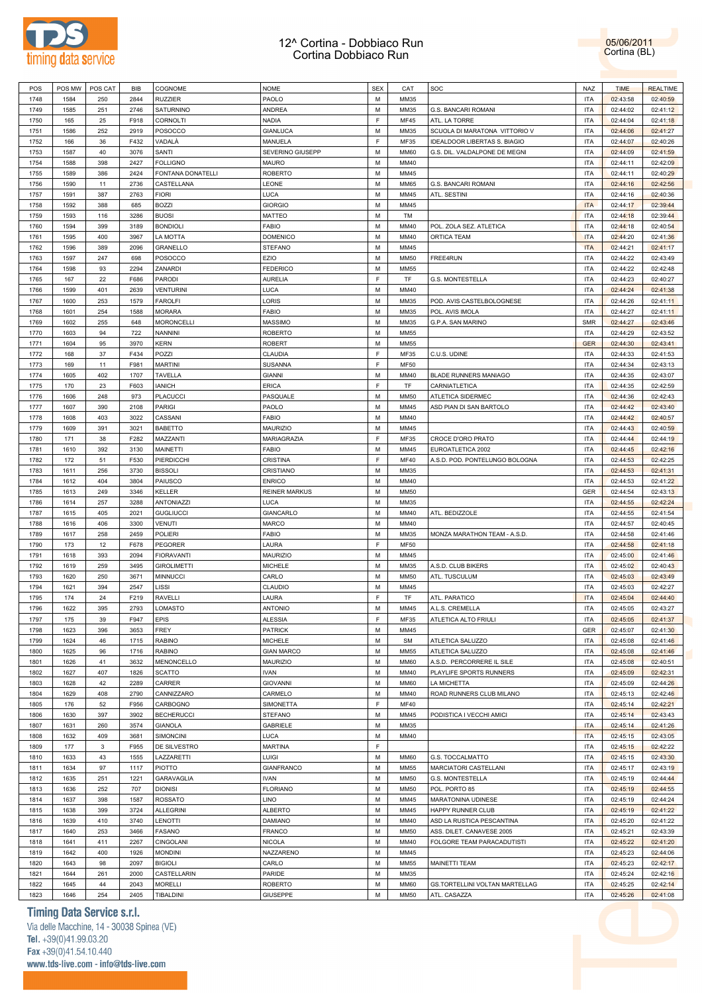

POS POS MW POSCAT BIB COGNOME NOME NOME SEX CAT SOC NAZ TIME REALTIME

05/06/2011 Cortina (BL)

| 1748 | 1584 | 250 | 2844 | <b>RUZZIER</b>     | PAOLO                | М | MM35        |                                | ITA        | 02:43:58 | 02:40:59 |
|------|------|-----|------|--------------------|----------------------|---|-------------|--------------------------------|------------|----------|----------|
| 1749 | 1585 | 251 | 2746 | SATURNINO          | ANDREA               | M | MM35        | G.S. BANCARI ROMANI            | <b>ITA</b> | 02:44:02 | 02:41:12 |
| 1750 | 165  | 25  | F918 | CORNOLTI           | <b>NADIA</b>         | F | <b>MF45</b> | ATL. LA TORRE                  | ITA        | 02:44:04 | 02:41:18 |
| 1751 | 1586 | 252 | 2919 | POSOCCO            | <b>GIANLUCA</b>      | M | MM35        | SCUOLA DI MARATONA VITTORIO V  | <b>ITA</b> | 02:44:06 | 02:41:27 |
|      |      |     |      |                    |                      | F |             |                                |            |          |          |
| 1752 | 166  | 36  | F432 | VADALÀ             | MANUELA              |   | MF35        | IDEALDOOR LIBERTAS S. BIAGIO   | <b>ITA</b> | 02:44:07 | 02:40:26 |
| 1753 | 1587 | 40  | 3076 | SANTI              | SEVERINO GIUSEPP     | M | <b>MM60</b> | G.S. DIL. VALDALPONE DE MEGNI  | <b>ITA</b> | 02:44:09 | 02:41:59 |
| 1754 | 1588 | 398 | 2427 | <b>FOLLIGNO</b>    | MAURO                | M | MM40        |                                | <b>ITA</b> | 02:44:11 | 02:42:09 |
| 1755 | 1589 | 386 | 2424 | FONTANA DONATELLI  | <b>ROBERTO</b>       | M | MM45        |                                | <b>ITA</b> | 02:44:11 | 02:40:29 |
| 1756 | 1590 | 11  | 2736 | CASTELLANA         | LEONE                | M | <b>MM65</b> | G.S. BANCARI ROMANI            | <b>ITA</b> | 02:44:16 | 02:42:56 |
| 1757 | 1591 | 387 | 2763 | <b>FIORI</b>       | LUCA                 | M | MM45        | ATL. SESTINI                   | <b>ITA</b> | 02:44:16 | 02:40:36 |
| 1758 | 1592 | 388 | 685  | <b>BOZZI</b>       | <b>GIORGIO</b>       | M | MM45        |                                | <b>ITA</b> | 02:44:17 | 02:39:44 |
| 1759 | 1593 | 116 | 3286 | <b>BUOSI</b>       | MATTEO               | M | TM          |                                | <b>ITA</b> | 02:44:18 | 02:39:44 |
| 1760 | 1594 | 399 | 3189 | <b>BONDIOLI</b>    | <b>FABIO</b>         | M | MM40        | POL. ZOLA SEZ. ATLETICA        | <b>ITA</b> | 02:44:18 | 02:40:54 |
| 1761 | 1595 | 400 | 3967 | LA MOTTA           | <b>DOMENICO</b>      | M | MM40        | ORTICA TEAM                    | <b>ITA</b> | 02:44:20 | 02:41:36 |
|      |      |     |      |                    |                      |   |             |                                |            |          |          |
| 1762 | 1596 | 389 | 2096 | GRANELLO           | <b>STEFANO</b>       | M | MM45        |                                | <b>ITA</b> | 02:44:21 | 02:41:17 |
| 1763 | 1597 | 247 | 698  | POSOCCO            | EZIO                 | M | <b>MM50</b> | FREE4RUN                       | <b>ITA</b> | 02:44:22 | 02:43:49 |
| 1764 | 1598 | 93  | 2294 | ZANARDI            | FEDERICO             | M | <b>MM55</b> |                                | <b>ITA</b> | 02:44:22 | 02:42:48 |
| 1765 | 167  | 22  | F686 | PARODI             | <b>AURELIA</b>       | F | TF          | G.S. MONTESTELLA               | <b>ITA</b> | 02:44:23 | 02:40:27 |
| 1766 | 1599 | 401 | 2639 | <b>VENTURINI</b>   | LUCA                 | M | MM40        |                                | <b>ITA</b> | 02:44:24 | 02:41:38 |
| 1767 | 1600 | 253 | 1579 | <b>FAROLFI</b>     | LORIS                | M | MM35        | POD. AVIS CASTELBOLOGNESE      | <b>ITA</b> | 02:44:26 | 02:41:11 |
| 1768 | 1601 | 254 | 1588 | <b>MORARA</b>      | <b>FABIO</b>         | M | MM35        | POL. AVIS IMOLA                | <b>ITA</b> | 02:44:27 | 02:41:11 |
| 1769 | 1602 | 255 | 648  | <b>MORONCELLI</b>  | MASSIMO              | M | MM35        | G.P.A. SAN MARINO              | <b>SMR</b> | 02:44:27 | 02:43:46 |
| 1770 | 1603 | 94  | 722  | <b>NANNINI</b>     | ROBERTO              | M | <b>MM55</b> |                                | <b>ITA</b> | 02:44:29 | 02:43:52 |
| 1771 | 1604 | 95  | 3970 | <b>KERN</b>        | <b>ROBERT</b>        | M | MM55        |                                | <b>GER</b> | 02:44:30 | 02:43:41 |
|      |      | 37  |      | POZZI              |                      | F |             |                                |            |          |          |
| 1772 | 168  |     | F434 |                    | CLAUDIA              |   | MF35        | C.U.S. UDINE                   | <b>ITA</b> | 02:44:33 | 02:41:53 |
| 1773 | 169  | 11  | F981 | <b>MARTINI</b>     | SUSANNA              | F | <b>MF50</b> |                                | <b>ITA</b> | 02:44:34 | 02:43:13 |
| 1774 | 1605 | 402 | 1707 | TAVELLA            | <b>GIANNI</b>        | M | MM40        | <b>BLADE RUNNERS MANIAGO</b>   | <b>ITA</b> | 02:44:35 | 02:43:07 |
| 1775 | 170  | 23  | F603 | <b>IANICH</b>      | ERICA                | F | TF          | CARNIATLETICA                  | <b>ITA</b> | 02:44:35 | 02:42:59 |
| 1776 | 1606 | 248 | 973  | PLACUCCI           | PASQUALE             | M | <b>MM50</b> | ATLETICA SIDERMEC              | <b>ITA</b> | 02:44:36 | 02:42:43 |
| 1777 | 1607 | 390 | 2108 | <b>PARIGI</b>      | PAOLO                | M | MM45        | ASD PIAN DI SAN BARTOLO        | <b>ITA</b> | 02:44:42 | 02:43:40 |
| 1778 | 1608 | 403 | 3022 | CASSANI            | <b>FABIO</b>         | M | MM40        |                                | <b>ITA</b> | 02:44:42 | 02:40:57 |
| 1779 | 1609 | 391 | 3021 | BABETTO            | MAURIZIO             | M | MM45        |                                | <b>ITA</b> | 02:44:43 | 02:40:59 |
| 1780 | 171  | 38  | F282 | MAZZANTI           | MARIAGRAZIA          | F | MF35        | CROCE D'ORO PRATO              | <b>ITA</b> | 02:44:44 | 02:44:19 |
| 1781 | 1610 | 392 | 3130 | MAINETTI           | FABIO                | M | MM45        | EUROATLETICA 2002              | <b>ITA</b> | 02:44:45 | 02:42:16 |
|      |      |     |      |                    |                      |   |             |                                |            |          |          |
| 1782 | 172  | 51  | F530 | PIERDICCHI         | CRISTINA             | F | <b>MF40</b> | A.S.D. POD. PONTELUNGO BOLOGNA | <b>ITA</b> | 02:44:53 | 02:42:25 |
| 1783 | 1611 | 256 | 3730 | <b>BISSOLI</b>     | CRISTIANO            | M | MM35        |                                | <b>ITA</b> | 02:44:53 | 02:41:31 |
| 1784 | 1612 | 404 | 3804 | PAIUSCO            | <b>ENRICO</b>        | M | MM40        |                                | <b>ITA</b> | 02:44:53 | 02:41:22 |
| 1785 | 1613 | 249 | 3346 | <b>KELLER</b>      | <b>REINER MARKUS</b> | M | <b>MM50</b> |                                | GER        | 02:44:54 | 02:43:13 |
| 1786 | 1614 | 257 | 3288 | ANTONIAZZI         | LUCA                 | M | MM35        |                                | <b>ITA</b> | 02:44:55 | 02:42:24 |
| 1787 | 1615 | 405 | 2021 | <b>GUGLIUCCI</b>   | GIANCARLO            | M | MM40        | ATL. BEDIZZOLE                 | <b>ITA</b> | 02:44:55 | 02:41:54 |
| 1788 | 1616 | 406 | 3300 | <b>VENUTI</b>      | MARCO                | M | MM40        |                                | <b>ITA</b> | 02:44:57 | 02:40:45 |
| 1789 | 1617 | 258 | 2459 | <b>POLIERI</b>     | FABIO                | M | MM35        | MONZA MARATHON TEAM - A.S.D.   | <b>ITA</b> | 02:44:58 | 02:41:46 |
| 1790 | 173  | 12  | F678 | <b>PEGORER</b>     | LAURA                | F | <b>MF50</b> |                                | <b>ITA</b> | 02:44:58 | 02:41:18 |
| 1791 | 1618 | 393 | 2094 | <b>FIORAVANTI</b>  | MAURIZIO             | M | MM45        |                                | <b>ITA</b> | 02:45:00 | 02:41:46 |
| 1792 | 1619 | 259 | 3495 | <b>GIROLIMETTI</b> | <b>MICHELE</b>       | M | MM35        | A.S.D. CLUB BIKERS             | <b>ITA</b> | 02:45:02 | 02:40:43 |
|      |      |     |      |                    |                      |   |             |                                |            |          |          |
| 1793 | 1620 | 250 | 3671 | <b>MINNUCCI</b>    | CARLO                | M | <b>MM50</b> | ATL. TUSCULUM                  | <b>ITA</b> | 02:45:03 | 02:43:49 |
| 1794 | 1621 | 394 | 2547 | LISSI              | CLAUDIO              | M | MM45        |                                | <b>ITA</b> | 02:45:03 | 02:42:27 |
| 1795 | 174  | 24  | F219 | <b>RAVELLI</b>     | LAURA                | F | TF          | ATL. PARATICO                  | <b>ITA</b> | 02:45:04 | 02:44:40 |
| 1796 | 1622 | 395 | 2793 | LOMASTO            | <b>ANTONIO</b>       | M | MM45        | A.L.S. CREMELLA                | <b>ITA</b> | 02:45:05 | 02:43:27 |
| 1797 | 175  | 39  | F947 | EPIS               | <b>ALESSIA</b>       | F | MF35        | ATLETICA ALTO FRIULI           | <b>ITA</b> | 02:45:05 | 02:41:37 |
| 1798 | 1623 | 396 | 3653 | <b>FREY</b>        | PATRICK              | М | MM45        |                                | GER        | 02:45:07 | 02:41:30 |
| 1799 | 1624 | 46  | 1715 | <b>RABINO</b>      | <b>MICHELE</b>       | M | <b>SM</b>   | ATLETICA SALUZZO               | ITA        | 02:45:08 | 02:41:46 |
| 1800 | 1625 | 96  | 1716 | <b>RABINO</b>      | <b>GIAN MARCO</b>    | M | MM55        | ATLETICA SALUZZO               | <b>ITA</b> | 02:45:08 | 02:41:46 |
| 1801 | 1626 | 41  | 3632 | MENONCELLO         | <b>MAURIZIO</b>      | M | <b>MM60</b> | A.S.D. PERCORRERE IL SILE      | <b>ITA</b> | 02:45:08 | 02:40:51 |
| 1802 | 1627 | 407 | 1826 | <b>SCATTO</b>      | <b>IVAN</b>          | M | MM40        | PLAYLIFE SPORTS RUNNERS        | <b>ITA</b> | 02:45:09 | 02:42:31 |
|      |      |     | 2289 |                    |                      | M | <b>MM60</b> |                                |            |          |          |
| 1803 | 1628 | 42  |      | CARRER             | <b>GIOVANNI</b>      |   |             | LA MICHETTA                    | <b>ITA</b> | 02:45:09 | 02:44:26 |
| 1804 | 1629 | 408 | 2790 | CANNIZZARO         | CARMELO              | M | MM40        | ROAD RUNNERS CLUB MILANO       | <b>ITA</b> | 02:45:13 | 02:42:46 |
| 1805 | 176  | 52  | F956 | CARBOGNO           | SIMONETTA            | F | <b>MF40</b> |                                | <b>ITA</b> | 02:45:14 | 02:42:21 |
| 1806 | 1630 | 397 | 3902 | <b>BECHERUCCI</b>  | <b>STEFANO</b>       | M | MM45        | PODISTICA I VECCHI AMICI       | <b>ITA</b> | 02:45:14 | 02:43:43 |
| 1807 | 1631 | 260 | 3574 | <b>GIANOLA</b>     | <b>GABRIELE</b>      | M | MM35        |                                | <b>ITA</b> | 02:45:14 | 02:41:26 |
| 1808 | 1632 | 409 | 3681 | SIMONCINI          | LUCA                 | M | MM40        |                                | <b>ITA</b> | 02:45:15 | 02:43:05 |
| 1809 | 177  | 3   | F955 | DE SILVESTRO       | <b>MARTINA</b>       | F |             |                                | <b>ITA</b> | 02:45:15 | 02:42:22 |
| 1810 | 1633 | 43  | 1555 | LAZZARETTI         | LUIGI                | M | <b>MM60</b> | G.S. TOCCALMATTO               | <b>ITA</b> | 02:45:15 | 02:43:30 |
| 1811 | 1634 | 97  | 1117 | PIOTTO             | <b>GIANFRANCO</b>    | M | <b>MM55</b> | MARCIATORI CASTELLANI          | <b>ITA</b> | 02:45:17 | 02:43:19 |
| 1812 | 1635 | 251 | 1221 | GARAVAGLIA         | <b>IVAN</b>          | M | <b>MM50</b> | G.S. MONTESTELLA               | <b>ITA</b> | 02:45:19 | 02:44:44 |
| 1813 | 1636 | 252 | 707  | <b>DIONISI</b>     | <b>FLORIANO</b>      | M | <b>MM50</b> | POL. PORTO 85                  | <b>ITA</b> | 02:45:19 | 02:44:55 |
|      |      |     |      |                    |                      |   |             |                                |            |          |          |
| 1814 | 1637 | 398 | 1587 | <b>ROSSATO</b>     | LINO                 | M | MM45        | MARATONINA UDINESE             | <b>ITA</b> | 02:45:19 | 02:44:24 |
| 1815 | 1638 | 399 | 3724 | <b>ALLEGRINI</b>   | <b>ALBERTO</b>       | M | MM45        | HAPPY RUNNER CLUB              | <b>ITA</b> | 02:45:19 | 02:41:22 |
| 1816 | 1639 | 410 | 3740 | LENOTTI            | DAMIANO              | M | MM40        | ASD LA RUSTICA PESCANTINA      | <b>ITA</b> | 02:45:20 | 02:41:22 |
| 1817 | 1640 | 253 | 3466 | FASANO             | <b>FRANCO</b>        | M | <b>MM50</b> | ASS. DILET. CANAVESE 2005      | <b>ITA</b> | 02:45:21 | 02:43:39 |
| 1818 | 1641 | 411 | 2267 | CINGOLANI          | <b>NICOLA</b>        | M | MM40        | FOLGORE TEAM PARACADUTISTI     | <b>ITA</b> | 02:45:22 | 02:41:20 |
| 1819 | 1642 | 400 | 1926 | <b>MONDINI</b>     | NAZZARENO            | M | MM45        |                                | <b>ITA</b> | 02:45:23 | 02:44:06 |
| 1820 | 1643 | 98  | 2097 | <b>BIGIOLI</b>     | CARLO                | M | <b>MM55</b> | <b>MAINETTI TEAM</b>           | <b>ITA</b> | 02:45:23 | 02:42:17 |
| 1821 | 1644 | 261 | 2000 | CASTELLARIN        | PARIDE               | M | MM35        |                                | <b>ITA</b> | 02:45:24 | 02:42:16 |
| 1822 | 1645 | 44  | 2043 | <b>MORELLI</b>     | <b>ROBERTO</b>       | M | <b>MM60</b> | GS.TORTELLINI VOLTAN MARTELLAG | <b>ITA</b> | 02:45:25 | 02:42:14 |
| 1823 | 1646 | 254 | 2405 | TIBALDINI          | <b>GIUSEPPE</b>      | М | <b>MM50</b> | ATL. CASAZZA                   | <b>ITA</b> | 02:45:26 | 02:41:08 |
|      |      |     |      |                    |                      |   |             |                                |            |          |          |

### **Timing Data Service s.r.l.**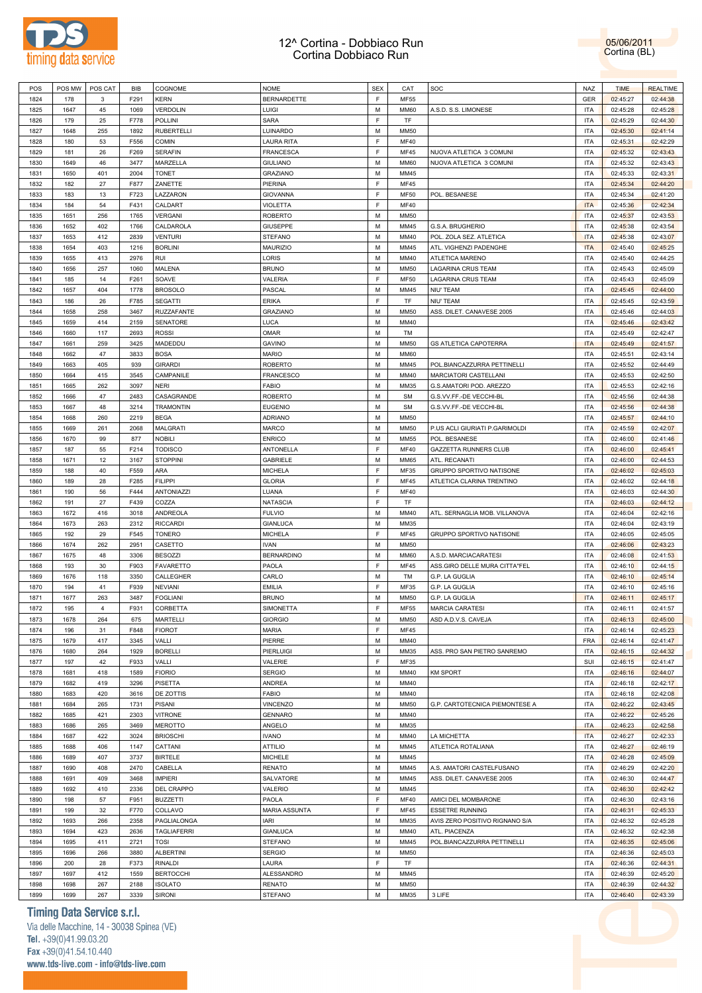

05/06/2011 Cortina (BL)

| POS          | POS MW       | POS CAT        | BIB          | <b>COGNOME</b>                  | <b>NOME</b>                     | SEX         | CAT                 | SOC                            | <b>NAZ</b>               | <b>TIME</b>          | <b>REALTIME</b>      |  |
|--------------|--------------|----------------|--------------|---------------------------------|---------------------------------|-------------|---------------------|--------------------------------|--------------------------|----------------------|----------------------|--|
| 1824         | 178          | 3              | F291         | KERN                            | BERNARDETTE                     | E           | MF55                |                                | GER                      | 02:45:27             | 02:44:38             |  |
| 1825         | 1647         | 45             | 1069         | VERDOLIN                        | LUIGI                           | M           | <b>MM60</b>         | A.S.D. S.S. LIMONESE           | <b>ITA</b>               | 02:45:28             | 02:45:28             |  |
|              |              |                |              |                                 |                                 |             |                     |                                |                          |                      |                      |  |
| 1826         | 179          | 25             | F778         | POLLINI                         | <b>SARA</b>                     | E           | TF                  |                                | <b>ITA</b>               | 02:45:29             | 02:44:30             |  |
| 1827         | 1648         | 255            | 1892         | <b>RUBERTELLI</b>               | LUINARDO                        | M           | <b>MM50</b>         |                                | <b>ITA</b>               | 02:45:30             | 02:41:14             |  |
| 1828         | 180          | 53             | F556         | <b>COMIN</b>                    | <b>LAURA RITA</b>               | E           | <b>MF40</b>         |                                | <b>ITA</b>               | 02:45:31             | 02:42:29             |  |
| 1829         | 181          | 26             | F269         | <b>SERAFIN</b>                  | <b>FRANCESCA</b>                | $\mathsf F$ | <b>MF45</b>         | NUOVA ATLETICA 3 COMUNI        | <b>ITA</b>               | 02:45:32             | 02:43:43             |  |
|              |              |                |              |                                 |                                 |             |                     |                                |                          |                      |                      |  |
| 1830         | 1649         | 46             | 3477         | MARZELLA                        | <b>GIULIANO</b>                 | M           | <b>MM60</b>         | NUOVA ATLETICA 3 COMUNI        | <b>ITA</b>               | 02:45:32             | 02:43:43             |  |
| 1831         | 1650         | 401            | 2004         | <b>TONET</b>                    | <b>GRAZIANO</b>                 | М           | MM45                |                                | <b>ITA</b>               | 02:45:33             | 02:43:31             |  |
| 1832         | 182          | 27             | F877         | ZANETTE                         | PIERINA                         | E           | <b>MF45</b>         |                                | <b>ITA</b>               | 02:45:34             | 02:44:20             |  |
| 1833         | 183          | 13             | F723         | LAZZARON                        | <b>GIOVANNA</b>                 | $\mathsf F$ | <b>MF50</b>         | POL. BESANESE                  | <b>ITA</b>               | 02:45:34             | 02:41:20             |  |
| 1834         | 184          | 54             | F431         | CALDART                         | <b>VIOLETTA</b>                 | E           | <b>MF40</b>         |                                | <b>ITA</b>               |                      | 02:42:34             |  |
|              |              |                |              |                                 |                                 |             |                     |                                |                          | 02:45:36             |                      |  |
| 1835         | 1651         | 256            | 1765         | VERGANI                         | <b>ROBERTO</b>                  | M           | <b>MM50</b>         |                                | <b>ITA</b>               | 02:45:37             | 02:43:53             |  |
| 1836         | 1652         | 402            | 1766         | CALDAROLA                       | <b>GIUSEPPE</b>                 | M           | MM45                | G.S.A. BRUGHERIO               | <b>ITA</b>               | 02:45:38             | 02:43:54             |  |
| 1837         | 1653         | 412            | 2839         | <b>VENTURI</b>                  | <b>STEFANO</b>                  | M           | MM40                | POL. ZOLA SEZ. ATLETICA        | <b>ITA</b>               | 02:45:38             | 02:43:07             |  |
| 1838         | 1654         | 403            | 1216         | <b>BORLINI</b>                  | MAURIZIO                        | M           | MM45                | ATL. VIGHENZI PADENGHE         | <b>ITA</b>               | 02:45:40             | 02:45:25             |  |
| 1839         | 1655         | 413            | 2976         | RUI                             | LORIS                           | M           | MM40                | ATLETICA MARENO                | <b>ITA</b>               | 02:45:40             | 02:44:25             |  |
|              |              |                |              |                                 |                                 |             |                     |                                |                          |                      |                      |  |
| 1840         | 1656         | 257            | 1060         | MALENA                          | <b>BRUNO</b>                    | M           | <b>MM50</b>         | LAGARINA CRUS TEAM             | <b>ITA</b>               | 02:45:43             | 02:45:09             |  |
| 1841         | 185          | 14             | F261         | SOAVE                           | VALERIA                         | E           | <b>MF50</b>         | LAGARINA CRUS TEAM             | <b>ITA</b>               | 02:45:43             | 02:45:09             |  |
| 1842         | 1657         | 404            | 1778         | <b>BROSOLO</b>                  | PASCAL                          | M           | MM45                | <b>NIU' TEAM</b>               | <b>ITA</b>               | 02:45:45             | 02:44:00             |  |
| 1843         | 186          | 26             | F785         | <b>SEGATTI</b>                  | <b>ERIKA</b>                    | E           | TF                  | NIU' TEAM                      | <b>ITA</b>               | 02:45:45             | 02:43:59             |  |
| 1844         | 1658         | 258            | 3467         | RUZZAFANTE                      | GRAZIANO                        | M           | <b>MM50</b>         | ASS. DILET. CANAVESE 2005      | <b>ITA</b>               | 02:45:46             | 02:44:03             |  |
|              |              |                |              |                                 |                                 |             |                     |                                |                          |                      |                      |  |
| 1845         | 1659         | 414            | 2159         | SENATORE                        | <b>LUCA</b>                     | M           | MM40                |                                | <b>ITA</b>               | 02:45:46             | 02:43:42             |  |
| 1846         | 1660         | 117            | 2693         | ROSSI                           | OMAR                            | M           | TM                  |                                | <b>ITA</b>               | 02:45:49             | 02:42:47             |  |
| 1847         | 1661         | 259            | 3425         | MADEDDU                         | <b>GAVINO</b>                   | M           | <b>MM50</b>         | <b>GS ATLETICA CAPOTERRA</b>   | <b>ITA</b>               | 02:45:49             | 02:41:57             |  |
| 1848         | 1662         | 47             | 3833         | <b>BOSA</b>                     | <b>MARIO</b>                    | M           | <b>MM60</b>         |                                | <b>ITA</b>               | 02:45:51             | 02:43:14             |  |
| 1849         | 1663         | 405            | 939          | <b>GIRARDI</b>                  | <b>ROBERTO</b>                  | M           | MM45                | POL.BIANCAZZURRA PETTINELLI    | <b>ITA</b>               | 02:45:52             | 02:44:49             |  |
|              |              |                |              |                                 |                                 |             |                     |                                | <b>ITA</b>               |                      |                      |  |
| 1850         | 1664         | 415            | 3545         | CAMPANILE                       | <b>FRANCESCO</b>                | M           | MM40                | MARCIATORI CASTELLANI          |                          | 02:45:53             | 02:42:50             |  |
| 1851         | 1665         | 262            | 3097         | NERI                            | <b>FABIO</b>                    | M           | MM35                | G.S.AMATORI POD. AREZZO        | <b>ITA</b>               | 02:45:53             | 02:42:16             |  |
| 1852         | 1666         | 47             | 2483         | CASAGRANDE                      | <b>ROBERTO</b>                  | M           | <b>SM</b>           | G.S.VV.FF.-DE VECCHI-BL        | <b>ITA</b>               | 02:45:56             | 02:44:38             |  |
| 1853         | 1667         | 48             | 3214         | <b>TRAMONTIN</b>                | <b>EUGENIO</b>                  | M           | <b>SM</b>           | G.S.VV.FF.-DE VECCHI-BL        | <b>ITA</b>               | 02:45:56             | 02:44:38             |  |
| 1854         | 1668         | 260            | 2219         | <b>BEGA</b>                     | <b>ADRIANO</b>                  | M           | <b>MM50</b>         |                                | <b>ITA</b>               | 02:45:57             | 02:44:10             |  |
|              | 1669         | 261            | 2068         |                                 |                                 | M           | <b>MM50</b>         |                                | <b>ITA</b>               |                      |                      |  |
| 1855         |              |                |              | MALGRATI                        | <b>MARCO</b>                    |             |                     | P.US ACLI GIURIATI P.GARIMOLDI |                          | 02:45:59             | 02:42:07             |  |
| 1856         | 1670         | 99             | 877          | NOBILI                          | <b>ENRICO</b>                   | M           | <b>MM55</b>         | POL. BESANESE                  | <b>ITA</b>               | 02:46:00             | 02:41:46             |  |
| 1857         | 187          | 55             | F214         | <b>TODISCO</b>                  | ANTONELLA                       | E           | <b>MF40</b>         | GAZZETTA RUNNERS CLUB          | <b>ITA</b>               | 02:46:00             | 02:45:41             |  |
| 1858         | 1671         | 12             | 3167         | <b>STOPPINI</b>                 | <b>GABRIELE</b>                 | M           | <b>MM65</b>         | ATL. RECANATI                  | <b>ITA</b>               | 02:46:00             | 02:44:53             |  |
| 1859         | 188          | 40             | F559         | ARA                             | <b>MICHELA</b>                  | E           | MF35                | GRUPPO SPORTIVO NATISONE       | <b>ITA</b>               | 02:46:02             | 02:45:03             |  |
| 1860         | 189          | 28             | F285         | <b>FILIPPI</b>                  | <b>GLORIA</b>                   | E           | <b>MF45</b>         | ATLETICA CLARINA TRENTINO      | <b>ITA</b>               | 02:46:02             | 02:44:18             |  |
| 1861         | 190          | 56             | F444         | <b>ANTONIAZZI</b>               | LUANA                           | $\mathsf F$ | <b>MF40</b>         |                                | <b>ITA</b>               | 02:46:03             | 02:44:30             |  |
|              |              |                |              |                                 |                                 |             |                     |                                |                          |                      |                      |  |
| 1862         | 191          | 27             | F439         | COZZA                           | <b>NATASCIA</b>                 | $\mathsf F$ | TF                  |                                | <b>ITA</b>               | 02:46:03             | 02:44:12             |  |
| 1863         | 1672         | 416            | 3018         | ANDREOLA                        | <b>FULVIO</b>                   | M           | MM40                | ATL. SERNAGLIA MOB. VILLANOVA  | <b>ITA</b>               | 02:46:04             | 02:42:16             |  |
| 1864         | 1673         | 263            | 2312         | <b>RICCARDI</b>                 | <b>GIANLUCA</b>                 | M           | MM35                |                                | <b>ITA</b>               | 02:46:04             | 02:43:19             |  |
| 1865         | 192          | 29             | F545         | TONERO                          | <b>MICHELA</b>                  | E           | <b>MF45</b>         | GRUPPO SPORTIVO NATISONE       | <b>ITA</b>               | 02:46:05             | 02:45:05             |  |
| 1866         | 1674         | 262            | 2951         | CASETTO                         | <b>IVAN</b>                     | M           | MM50                |                                | <b>ITA</b>               | 02:46:06             | 02:43:23             |  |
| 1867         | 1675         | 48             | 3306         | <b>BESOZZI</b>                  | <b>BERNARDINO</b>               | M           | <b>MM60</b>         | A.S.D. MARCIACARATESI          | <b>ITA</b>               | 02:46:08             | 02:41:53             |  |
|              |              |                |              |                                 |                                 |             |                     |                                |                          |                      |                      |  |
| 1868         | 193          | 30             | F903         | <b>FAVARETTO</b>                | PAOLA                           | E           | <b>MF45</b>         | ASS.GIRO DELLE MURA CITTA"FEL  | <b>ITA</b>               | 02:46:10             | 02:44:15             |  |
| 1869         | 1676         | 118            | 3350         | CALLEGHER                       | CARLO                           | M           | TM                  | G.P. LA GUGLIA                 | <b>ITA</b>               | 02:46:10             | 02:45:14             |  |
| 1870         | 194          | 41             | F939         | <b>NEVIANI</b>                  | <b>EMILIA</b>                   | E           | <b>MF35</b>         | G.P. LA GUGLIA                 | <b>ITA</b>               | 02:46:10             | 02:45:16             |  |
| 1871         | 1677         | 263            | 3487         | <b>FOGLIANI</b>                 | <b>BRUNO</b>                    | M           | <b>MM50</b>         | G.P. LA GUGLIA                 | <b>ITA</b>               | 02:46:11             | 02:45:17             |  |
| 1872         | 195          | $\overline{4}$ | F931         | CORBETTA                        | <b>SIMONETTA</b>                | F           | MF55                | <b>MARCIA CARATESI</b>         | <b>ITA</b>               | 02:46:11             | 02:41:57             |  |
| 1873         | 1678         | 264            | 675          | <b>MARTELLI</b>                 | <b>GIORGIO</b>                  | м           | <b>MM50</b>         | ASD A.D.V.S. CAVEJA            | ITA                      | 02:46:13             | 02:45:00             |  |
|              |              |                |              |                                 |                                 |             |                     |                                |                          |                      |                      |  |
| 1874         | 196          | 31             | F848         | <b>FIOROT</b>                   | <b>MARIA</b>                    | $\mathsf F$ | <b>MF45</b>         |                                | <b>ITA</b>               | 02:46:14             | 02:45:23             |  |
| 1875         | 1679         | 417            | 3345         | VALLI                           | PIERRE                          | M           | MM40                |                                | FRA                      | 02:46:14             | 02:41:47             |  |
| 1876         | 1680         | 264            | 1929         | <b>BORELLI</b>                  | PIERLUIGI                       | M           | MM35                | ASS. PRO SAN PIETRO SANREMO    | <b>ITA</b>               | 02:46:15             | 02:44:32             |  |
| 1877         | 197          | 42             | F933         | VALLI                           | VALERIE                         | $\mathsf F$ | MF35                |                                | SUI                      | 02:46:15             | 02:41:47             |  |
| 1878         | 1681         | 418            | 1589         | <b>FIORIO</b>                   | <b>SERGIO</b>                   | M           | MM40                | <b>KM SPORT</b>                | <b>ITA</b>               | 02:46:16             | 02:44:07             |  |
| 1879         | 1682         | 419            | 3296         | PISETTA                         | ANDREA                          | M           | MM40                |                                | <b>ITA</b>               | 02:46:18             | 02:42:17             |  |
|              |              |                |              |                                 |                                 |             |                     |                                |                          |                      |                      |  |
| 1880         | 1683         | 420            | 3616         | DE ZOTTIS                       | FABIO                           | M           | MM40                |                                | <b>ITA</b>               | 02:46:18             | 02:42:08             |  |
| 1881         | 1684         | 265            | 1731         | <b>PISANI</b>                   | VINCENZO                        | M           | <b>MM50</b>         | G.P. CARTOTECNICA PIEMONTESE A | <b>ITA</b>               | 02:46:22             | 02:43:45             |  |
| 1882         | 1685         | 421            | 2303         | <b>VITRONE</b>                  | <b>GENNARO</b>                  | M           | MM40                |                                | <b>ITA</b>               | 02:46:22             | 02:45:26             |  |
| 1883         | 1686         | 265            | 3469         | <b>MEROTTO</b>                  | ANGELO                          | M           | MM35                |                                | <b>ITA</b>               | 02:46:23             | 02:42:58             |  |
| 1884         | 1687         | 422            | 3024         | <b>BRIOSCHI</b>                 | <b>IVANO</b>                    | M           | MM40                | LA MICHETTA                    | <b>ITA</b>               | 02:46:27             | 02:42:33             |  |
| 1885         | 1688         | 406            | 1147         | CATTANI                         | <b>ATTILIO</b>                  | M           | MM45                | ATLETICA ROTALIANA             | <b>ITA</b>               | 02:46:27             | 02:46:19             |  |
|              |              |                |              |                                 |                                 |             |                     |                                |                          |                      |                      |  |
| 1886         | 1689         | 407            | 3737         | <b>BIRTELE</b>                  | <b>MICHELE</b>                  | M           | MM45                |                                | <b>ITA</b>               | 02:46:28             | 02:45:09             |  |
| 1887         | 1690         | 408            | 2470         | CABELLA                         | <b>RENATO</b>                   | M           | MM45                | A.S. AMATORI CASTELFUSANO      | <b>ITA</b>               | 02:46:29             | 02:42:20             |  |
| 1888         | 1691         | 409            | 3468         | <b>IMPIERI</b>                  | SALVATORE                       | M           | MM45                | ASS. DILET. CANAVESE 2005      | <b>ITA</b>               | 02:46:30             | 02:44:47             |  |
| 1889         | 1692         | 410            | 2336         | DEL CRAPPO                      | VALERIO                         | M           | MM45                |                                | <b>ITA</b>               | 02:46:30             | 02:42:42             |  |
| 1890         | 198          | 57             | F951         | <b>BUZZETTI</b>                 | PAOLA                           | $\mathsf F$ | <b>MF40</b>         | AMICI DEL MOMBARONE            | <b>ITA</b>               | 02:46:30             | 02:43:16             |  |
| 1891         | 199          | 32             | F770         | COLLAVO                         | <b>MARIA ASSUNTA</b>            | $\mathsf F$ | <b>MF45</b>         | <b>ESSETRE RUNNING</b>         | <b>ITA</b>               | 02:46:31             | 02:45:33             |  |
|              |              |                |              |                                 |                                 |             |                     |                                |                          |                      |                      |  |
| 1892         | 1693         | 266            | 2358         | PAGLIALONGA                     | <b>IARI</b>                     | M           | MM35                | AVIS ZERO POSITIVO RIGNANO S/A | <b>ITA</b>               | 02:46:32             | 02:45:28             |  |
| 1893         | 1694         | 423            | 2636         | <b>TAGLIAFERRI</b>              | <b>GIANLUCA</b>                 | M           | MM40                | ATL. PIACENZA                  | <b>ITA</b>               | 02:46:32             | 02:42:38             |  |
| 1894         | 1695         | 411            | 2721         | <b>TOSI</b>                     | <b>STEFANO</b>                  | M           | MM45                | POL.BIANCAZZURRA PETTINELLI    | <b>ITA</b>               | 02:46:35             | 02:45:06             |  |
| 1895         | 1696         | 266            | 3880         | <b>ALBERTINI</b>                | <b>SERGIO</b>                   | M           | <b>MM50</b>         |                                | <b>ITA</b>               | 02:46:36             | 02:45:03             |  |
| 1896         | 200          | 28             | F373         | <b>RINALDI</b>                  | LAURA                           | $\mathsf F$ | TF                  |                                | <b>ITA</b>               | 02:46:36             | 02:44:31             |  |
|              |              |                |              |                                 |                                 |             |                     |                                |                          |                      |                      |  |
|              |              |                |              |                                 |                                 |             |                     |                                |                          |                      |                      |  |
| 1897         | 1697         | 412            | 1559         | <b>BERTOCCHI</b>                | ALESSANDRO                      | M           | MM45                |                                | <b>ITA</b>               | 02:46:39             | 02:45:20             |  |
| 1898<br>1899 | 1698<br>1699 | 267<br>267     | 2188<br>3339 | <b>ISOLATO</b><br><b>SIRONI</b> | <b>RENATO</b><br><b>STEFANO</b> | M<br>M      | <b>MM50</b><br>MM35 | 3 LIFE                         | <b>ITA</b><br><b>ITA</b> | 02:46:39<br>02:46:40 | 02:44:32<br>02:43:39 |  |

# **Timing Data Service s.r.l.**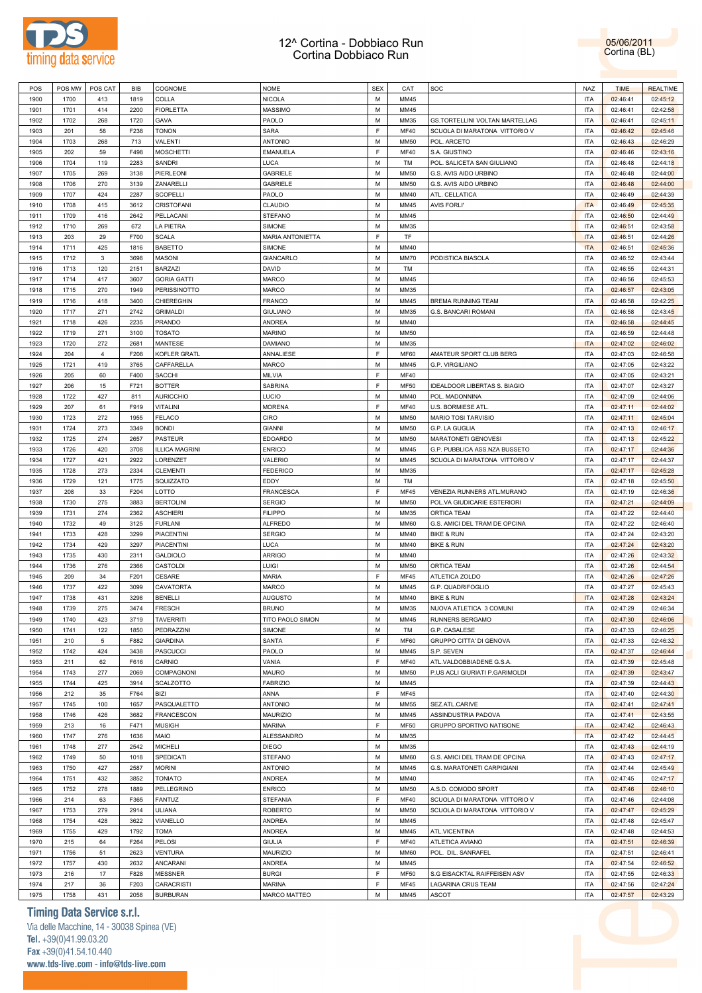



| POS  | POS MW | POS CAT        | BIB  | COGNOME               | <b>NOME</b>      | <b>SEX</b> | CAT         | SOC                            | <b>NAZ</b> | <b>TIME</b> | <b>REALTIME</b> |
|------|--------|----------------|------|-----------------------|------------------|------------|-------------|--------------------------------|------------|-------------|-----------------|
| 1900 | 1700   | 413            | 1819 | COLLA                 | <b>NICOLA</b>    | M          | MM45        |                                | <b>ITA</b> | 02:46:41    | 02:45:12        |
| 1901 | 1701   | 414            | 2200 | <b>FIORLETTA</b>      | <b>MASSIMO</b>   | M          | MM45        |                                | <b>ITA</b> | 02:46:41    | 02:42:58        |
| 1902 | 1702   | 268            | 1720 | GAVA                  | PAOLO            | М          | MM35        | GS.TORTELLINI VOLTAN MARTELLAG | <b>ITA</b> | 02:46:41    | 02:45:11        |
|      |        |                |      |                       |                  | E          |             |                                |            |             |                 |
| 1903 | 201    | 58             | F238 | <b>TONON</b>          | <b>SARA</b>      |            | <b>MF40</b> | SCUOLA DI MARATONA VITTORIO V  | <b>ITA</b> | 02:46:42    | 02:45:46        |
| 1904 | 1703   | 268            | 713  | <b>VALENTI</b>        | <b>ANTONIO</b>   | М          | <b>MM50</b> | POL. ARCETO                    | <b>ITA</b> | 02:46:43    | 02:46:29        |
| 1905 | 202    | 59             | F498 | <b>MOSCHETTI</b>      | <b>EMANUELA</b>  | E          | <b>MF40</b> | S.A. GIUSTINO                  | <b>ITA</b> | 02:46:46    | 02:43:16        |
| 1906 | 1704   | 119            | 2283 | <b>SANDRI</b>         | LUCA             | М          | TM          | POL. SALICETA SAN GIULIANO     | <b>ITA</b> | 02:46:48    | 02:44:18        |
| 1907 | 1705   | 269            | 3138 | PIERLEONI             | <b>GABRIELE</b>  | М          | <b>MM50</b> | G.S. AVIS AIDO URBINO          | <b>ITA</b> | 02:46:48    | 02:44:00        |
| 1908 | 1706   | 270            | 3139 | ZANARELLI             | <b>GABRIELE</b>  | М          | <b>MM50</b> | G.S. AVIS AIDO URBINO          | <b>ITA</b> | 02:46:48    | 02:44:00        |
| 1909 | 1707   | 424            | 2287 | <b>SCOPELLI</b>       | PAOLO            | М          | MM40        | ATL. CELLATICA                 | <b>ITA</b> | 02:46:49    | 02:44:39        |
| 1910 | 1708   | 415            | 3612 | <b>CRISTOFANI</b>     | CLAUDIO          | М          | MM45        | <b>AVIS FORLI'</b>             | <b>ITA</b> | 02:46:49    | 02:45:35        |
| 1911 | 1709   | 416            | 2642 | PELLACANI             | <b>STEFANO</b>   | М          | MM45        |                                | <b>ITA</b> | 02:46:50    | 02:44:49        |
| 1912 | 1710   | 269            | 672  | LA PIETRA             | SIMONE           | М          | MM35        |                                | <b>ITA</b> | 02:46:51    | 02:43:58        |
|      |        |                |      |                       |                  |            |             |                                |            |             |                 |
| 1913 | 203    | 29             | F700 | <b>SCALA</b>          | MARIA ANTONIETTA | E          | <b>TF</b>   |                                | <b>ITA</b> | 02:46:51    | 02:44:26        |
| 1914 | 1711   | 425            | 1816 | <b>BABETTO</b>        | SIMONE           | М          | MM40        |                                | <b>ITA</b> | 02:46:51    | 02:45:36        |
| 1915 | 1712   | 3              | 3698 | <b>MASONI</b>         | GIANCARLO        | М          | <b>MM70</b> | PODISTICA BIASOLA              | <b>ITA</b> | 02:46:52    | 02:43:44        |
| 1916 | 1713   | 120            | 2151 | <b>BARZAZI</b>        | DAVID            | М          | TM          |                                | <b>ITA</b> | 02:46:55    | 02:44:31        |
| 1917 | 1714   | 417            | 3607 | <b>GORIA GATTI</b>    | <b>MARCO</b>     | M          | MM45        |                                | <b>ITA</b> | 02:46:56    | 02:45:53        |
| 1918 | 1715   | 270            | 1949 | <b>PERISSINOTTO</b>   | <b>MARCO</b>     | М          | MM35        |                                | <b>ITA</b> | 02:46:57    | 02:43:05        |
| 1919 | 1716   | 418            | 3400 | CHIEREGHIN            | <b>FRANCO</b>    | M          | MM45        | <b>BREMA RUNNING TEAM</b>      | <b>ITA</b> | 02:46:58    | 02:42:25        |
| 1920 | 1717   | 271            | 2742 | <b>GRIMALDI</b>       | <b>GIULIANO</b>  | М          | MM35        | <b>G.S. BANCARI ROMANI</b>     | <b>ITA</b> | 02:46:58    | 02:43:45        |
| 1921 | 1718   | 426            | 2235 | <b>PRANDO</b>         | ANDREA           | M          | MM40        |                                | <b>ITA</b> |             | 02:44:45        |
|      |        |                |      |                       |                  |            |             |                                |            | 02:46:58    |                 |
| 1922 | 1719   | 271            | 3100 | <b>TOSATO</b>         | <b>MARINO</b>    | M          | MM50        |                                | <b>ITA</b> | 02:46:59    | 02:44:48        |
| 1923 | 1720   | 272            | 2681 | <b>MANTESE</b>        | <b>DAMIANO</b>   | M          | MM35        |                                | <b>ITA</b> | 02:47:02    | 02:46:02        |
| 1924 | 204    | $\overline{4}$ | F208 | KOFLER GRATL          | ANNALIESE        | E          | <b>MF60</b> | AMATEUR SPORT CLUB BERG        | <b>ITA</b> | 02:47:03    | 02:46:58        |
| 1925 | 1721   | 419            | 3765 | CAFFARELLA            | <b>MARCO</b>     | М          | MM45        | <b>G.P. VIRGILIANO</b>         | <b>ITA</b> | 02:47:05    | 02:43:22        |
| 1926 | 205    | 60             | F400 | <b>SACCHI</b>         | MILVIA           | F          | <b>MF40</b> |                                | <b>ITA</b> | 02:47:05    | 02:43:21        |
| 1927 | 206    | 15             | F721 | <b>BOTTER</b>         | SABRINA          | E          | <b>MF50</b> | IDEALDOOR LIBERTAS S. BIAGIO   | <b>ITA</b> | 02:47:07    | 02:43:27        |
| 1928 | 1722   | 427            | 811  | <b>AURICCHIO</b>      | LUCIO            | М          | MM40        | POL. MADONNINA                 | <b>ITA</b> | 02:47:09    | 02:44:06        |
| 1929 | 207    | 61             | F919 | <b>VITALINI</b>       | <b>MORENA</b>    | E          | <b>MF40</b> | U.S. BORMIESE ATL.             | <b>ITA</b> | 02:47:11    | 02:44:02        |
| 1930 | 1723   | 272            | 1955 | <b>FELACO</b>         | CIRO             | М          | <b>MM50</b> | <b>MARIO TOSI TARVISIO</b>     | <b>ITA</b> | 02:47:11    | 02:45:04        |
| 1931 | 1724   |                |      | <b>BONDI</b>          | <b>GIANNI</b>    | М          | MM50        |                                | <b>ITA</b> |             |                 |
|      |        | 273            | 3349 |                       |                  |            |             | G.P. LA GUGLIA                 |            | 02:47:13    | 02:46:17        |
| 1932 | 1725   | 274            | 2657 | <b>PASTEUR</b>        | <b>EDOARDO</b>   | М          | <b>MM50</b> | MARATONETI GENOVESI            | <b>ITA</b> | 02:47:13    | 02:45:22        |
| 1933 | 1726   | 420            | 3708 | <b>ILLICA MAGRINI</b> | <b>ENRICO</b>    | M          | MM45        | G.P. PUBBLICA ASS.NZA BUSSETO  | <b>ITA</b> | 02:47:17    | 02:44:36        |
| 1934 | 1727   | 421            | 2922 | LORENZET              | VALERIO          | М          | MM45        | SCUOLA DI MARATONA VITTORIO V  | <b>ITA</b> | 02:47:17    | 02:44:37        |
| 1935 | 1728   | 273            | 2334 | <b>CLEMENTI</b>       | <b>FEDERICO</b>  | M          | MM35        |                                | <b>ITA</b> | 02:47:17    | 02:45:28        |
| 1936 | 1729   | 121            | 1775 | SQUIZZATO             | EDDY             | М          | TM          |                                | <b>ITA</b> | 02:47:18    | 02:45:50        |
| 1937 | 208    | 33             | F204 | LOTTO                 | <b>FRANCESCA</b> | E          | <b>MF45</b> | VENEZIA RUNNERS ATL.MURANO     | <b>ITA</b> | 02:47:19    | 02:46:36        |
| 1938 | 1730   | 275            | 3883 | <b>BERTOLINI</b>      | <b>SERGIO</b>    | М          | <b>MM50</b> | POL.VA GIUDICARIE ESTERIORI    | <b>ITA</b> | 02:47:21    | 02:44:09        |
| 1939 | 1731   | 274            | 2362 | <b>ASCHIERI</b>       | <b>FILIPPO</b>   | M          | MM35        | <b>ORTICA TEAM</b>             | <b>ITA</b> | 02:47:22    | 02:44:40        |
| 1940 | 1732   | 49             | 3125 | <b>FURLANI</b>        | <b>ALFREDO</b>   | М          | <b>MM60</b> | G.S. AMICI DEL TRAM DE OPCINA  | <b>ITA</b> | 02:47:22    | 02:46:40        |
|      |        |                |      |                       |                  | M          |             |                                |            |             |                 |
| 1941 | 1733   | 428            | 3299 | <b>PIACENTINI</b>     | <b>SERGIO</b>    |            | MM40        | <b>BIKE &amp; RUN</b>          | <b>ITA</b> | 02:47:24    | 02:43:20        |
| 1942 | 1734   | 429            | 3297 | <b>PIACENTINI</b>     | LUCA             | М          | MM40        | <b>BIKE &amp; RUN</b>          | <b>ITA</b> | 02:47:24    | 02:43:20        |
| 1943 | 1735   | 430            | 2311 | <b>GALDIOLO</b>       | <b>ARRIGO</b>    | М          | MM40        |                                | <b>ITA</b> | 02:47:26    | 02:43:32        |
| 1944 | 1736   | 276            | 2366 | CASTOLDI              | LUIGI            | М          | <b>MM50</b> | <b>ORTICA TEAM</b>             | <b>ITA</b> | 02:47:26    | 02:44:54        |
| 1945 | 209    | 34             | F201 | CESARE                | MARIA            | F          | <b>MF45</b> | ATLETICA ZOLDO                 | <b>ITA</b> | 02:47:26    | 02:47:26        |
| 1946 | 1737   | 422            | 3099 | CAVATORTA             | <b>MARCO</b>     | М          | MM45        | G.P. QUADRIFOGLIO              | <b>ITA</b> | 02:47:27    | 02:45:43        |
| 1947 | 1738   | 431            | 3298 | <b>BENELLI</b>        | <b>AUGUSTO</b>   | M          | MM40        | <b>BIKE &amp; RUN</b>          | <b>ITA</b> | 02:47:28    | 02:43:24        |
| 1948 | 1739   | 275            | 3474 | <b>FRESCH</b>         | <b>BRUNO</b>     | M          | MM35        | NUOVA ATLETICA 3 COMUNI        | <b>ITA</b> | 02:47:29    | 02:46:34        |
| 1949 | 1740   | 423            | 3719 | <b>TAVERRITI</b>      | TITO PAOLO SIMON | М          | MM45        | RUNNERS BERGAMO                | <b>ITA</b> | 02:47:30    | 02:46:06        |
|      |        |                |      | PEDRAZZINI            | SIMONE           | М          | TM          | G.P. CASALESE                  | <b>ITA</b> |             |                 |
| 1950 | 1741   | 122            | 1850 |                       |                  | E          |             |                                |            | 02:47:33    | 02:46:25        |
| 1951 | 210    | 5              | F882 | <b>GIARDINA</b>       | SANTA            |            | <b>MF60</b> | GRUPPO CITTA' DI GENOVA        | <b>ITA</b> | 02:47:33    | 02:46:32        |
| 1952 | 1742   | 424            | 3438 | <b>PASCUCCI</b>       | PAOLO            | М          | MM45        | S.P. SEVEN                     | <b>ITA</b> | 02:47:37    | 02:46:44        |
| 1953 | 211    | 62             | F616 | CARNIO                | VANIA            | E          | <b>MF40</b> | ATL.VALDOBBIADENE G.S.A.       | <b>ITA</b> | 02:47:39    | 02:45:48        |
| 1954 | 1743   | 277            | 2069 | <b>COMPAGNONI</b>     | <b>MAURO</b>     | М          | <b>MM50</b> | P.US ACLI GIURIATI P.GARIMOLDI | <b>ITA</b> | 02:47:39    | 02:43:47        |
| 1955 | 1744   | 425            | 3914 | SCALZOTTO             | <b>FABRIZIO</b>  | M          | MM45        |                                | <b>ITA</b> | 02:47:39    | 02:44:43        |
| 1956 | 212    | 35             | F764 | <b>BIZI</b>           | ANNA             | E          | <b>MF45</b> |                                | <b>ITA</b> | 02:47:40    | 02:44:30        |
| 1957 | 1745   | 100            | 1657 | PASQUALETTO           | <b>ANTONIO</b>   | М          | <b>MM55</b> | SEZ.ATL.CARIVE                 | <b>ITA</b> | 02:47:41    | 02:47:41        |
| 1958 | 1746   | 426            | 3682 | FRANCESCON            | <b>MAURIZIO</b>  | М          | MM45        | ASSINDUSTRIA PADOVA            | <b>ITA</b> | 02:47:41    | 02:43:55        |
| 1959 | 213    | 16             | F471 | <b>MUSIGH</b>         | <b>MARINA</b>    | E          | <b>MF50</b> | GRUPPO SPORTIVO NATISONE       | <b>ITA</b> | 02:47:42    | 02:46:43        |
|      |        |                |      |                       |                  | М          |             |                                |            |             |                 |
| 1960 | 1747   | 276            | 1636 | <b>MAIO</b>           | ALESSANDRO       |            | MM35        |                                | <b>ITA</b> | 02:47:42    | 02:44:45        |
| 1961 | 1748   | 277            | 2542 | <b>MICHELI</b>        | <b>DIEGO</b>     | М          | MM35        |                                | <b>ITA</b> | 02:47:43    | 02:44:19        |
| 1962 | 1749   | 50             | 1018 | SPEDICATI             | <b>STEFANO</b>   | М          | <b>MM60</b> | G.S. AMICI DEL TRAM DE OPCINA  | <b>ITA</b> | 02:47:43    | 02:47:17        |
| 1963 | 1750   | 427            | 2587 | <b>MORINI</b>         | <b>ANTONIO</b>   | M          | MM45        | G.S. MARATONETI CARPIGIANI     | <b>ITA</b> | 02:47:44    | 02:45:49        |
| 1964 | 1751   | 432            | 3852 | <b>TONIATO</b>        | ANDREA           | М          | MM40        |                                | <b>ITA</b> | 02:47:45    | 02:47:17        |
| 1965 | 1752   | 278            | 1889 | PELLEGRINO            | <b>ENRICO</b>    | М          | <b>MM50</b> | A.S.D. COMODO SPORT            | <b>ITA</b> | 02:47:46    | 02:46:10        |
| 1966 | 214    | 63             | F365 | <b>FANTUZ</b>         | <b>STEFANIA</b>  | E          | <b>MF40</b> | SCUOLA DI MARATONA VITTORIO V  | <b>ITA</b> | 02:47:46    | 02:44:08        |
| 1967 | 1753   | 279            | 2914 | <b>ULIANA</b>         | <b>ROBERTO</b>   | M          | <b>MM50</b> | SCUOLA DI MARATONA VITTORIO V  | <b>ITA</b> | 02:47:47    | 02:45:29        |
| 1968 | 1754   | 428            | 3622 | VIANELLO              | ANDREA           | М          | MM45        |                                | <b>ITA</b> | 02:47:48    | 02:45:47        |
|      |        |                |      |                       |                  | M          |             |                                |            |             |                 |
| 1969 | 1755   | 429            | 1792 | <b>TOMA</b>           | ANDREA           |            | MM45        | ATL.VICENTINA                  | <b>ITA</b> | 02:47:48    | 02:44:53        |
| 1970 | 215    | 64             | F264 | <b>PELOSI</b>         | <b>GIULIA</b>    | E          | <b>MF40</b> | ATLETICA AVIANO                | <b>ITA</b> | 02:47:51    | 02:46:39        |
| 1971 | 1756   | 51             | 2623 | <b>VENTURA</b>        | <b>MAURIZIO</b>  | M          | <b>MM60</b> | POL. DIL. SANRAFEL             | <b>ITA</b> | 02:47:51    | 02:46:41        |
| 1972 | 1757   | 430            | 2632 | <b>ANCARANI</b>       | ANDREA           | М          | MM45        |                                | <b>ITA</b> | 02:47:54    | 02:46:52        |
| 1973 | 216    | 17             | F828 | <b>MESSNER</b>        | <b>BURGI</b>     | E          | <b>MF50</b> | S.G EISACKTAL RAIFFEISEN ASV   | <b>ITA</b> | 02:47:55    | 02:46:33        |
| 1974 | 217    | 36             | F203 | CARACRISTI            | <b>MARINA</b>    | E          | <b>MF45</b> | LAGARINA CRUS TEAM             | <b>ITA</b> | 02:47:56    | 02:47:24        |
| 1975 | 1758   | 431            | 2058 | <b>BURBURAN</b>       | MARCO MATTEO     | М          | MM45        | ASCOT                          | <b>ITA</b> | 02:47:57    | 02:43:29        |
|      |        |                |      |                       |                  |            |             |                                |            |             |                 |

**Timing Data Service s.r.l.**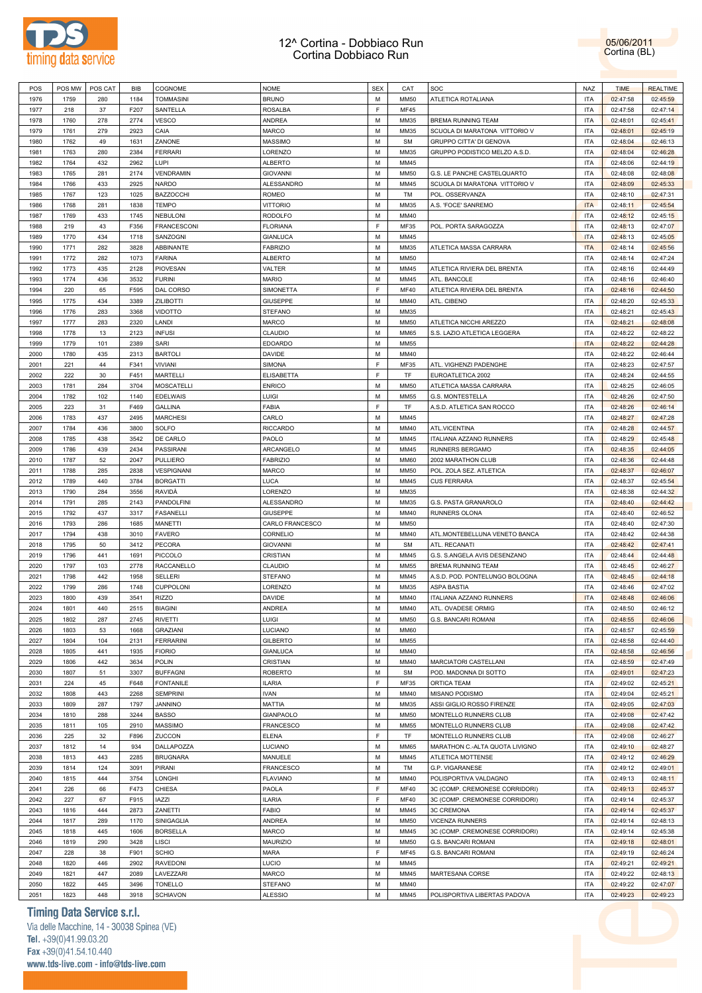



| POS          |              | POS MW   POS CAT | BIB          | COGNOME                           | <b>NOME</b>                      | <b>SEX</b> | CAT          | SOC                              | <b>NAZ</b>               | <b>TIME</b>          | <b>REALTIME</b>      |
|--------------|--------------|------------------|--------------|-----------------------------------|----------------------------------|------------|--------------|----------------------------------|--------------------------|----------------------|----------------------|
| 1976         | 1759         | 280              | 1184         | <b>TOMMASINI</b>                  | <b>BRUNO</b>                     | M          | <b>MM50</b>  | ATLETICA ROTALIANA               | <b>ITA</b>               | 02:47:58             | 02:45:59             |
| 1977         | 218          | 37               | F207         | SANTELLA                          | <b>ROSALBA</b>                   | E          | <b>MF45</b>  |                                  | <b>ITA</b>               | 02:47:58             | 02:47:14             |
| 1978         | 1760         | 278              | 2774         | <b>VESCO</b>                      | ANDREA                           | M          | MM35         | BREMA RUNNING TEAM               | <b>ITA</b>               | 02:48:01             | 02:45:41             |
| 1979         | 1761         | 279              | 2923         | CAIA                              | <b>MARCO</b>                     | M          | MM35         | SCUOLA DI MARATONA VITTORIO V    | <b>ITA</b>               | 02:48:01             | 02:45:19             |
| 1980         | 1762         | 49               | 1631         | ZANONE                            | <b>MASSIMO</b>                   | M          | <b>SM</b>    | <b>GRUPPO CITTA' DI GENOVA</b>   | <b>ITA</b>               | 02:48:04             | 02:46:13             |
| 1981         | 1763         | 280              | 2384         | <b>FERRARI</b>                    | LORENZO                          | M          | MM35         | GRUPPO PODISTICO MELZO A.S.D.    | <b>ITA</b>               | 02:48:04             | 02:46:28             |
| 1982         | 1764         | 432              | 2962         | LUPI                              | <b>ALBERTO</b>                   | M          | MM45         |                                  | <b>ITA</b>               | 02:48:06             | 02:44:19             |
| 1983         | 1765         | 281              | 2174         | VENDRAMIN                         | <b>GIOVANNI</b>                  | M          | MM50         | G.S. LE PANCHE CASTELQUARTO      | <b>ITA</b>               | 02:48:08             | 02:48:08             |
| 1984         | 1766         | 433              | 2925         | <b>NARDO</b>                      | <b>ALESSANDRO</b>                | M          | MM45         | SCUOLA DI MARATONA VITTORIO V    | <b>ITA</b>               | 02:48:09             | 02:45:33             |
| 1985         | 1767         | 123              | 1025         | <b>BAZZOCCHI</b>                  | ROMEO                            | M          | TM           | POL. OSSERVANZA                  | <b>ITA</b>               | 02:48:10             | 02:47:31             |
| 1986         | 1768         | 281              | 1838         | <b>TEMPO</b>                      | <b>VITTORIO</b>                  | M          | MM35         | A.S. 'FOCE' SANREMO              | <b>ITA</b>               | 02:48:11             | 02:45:54             |
| 1987         | 1769         | 433              | 1745         | <b>NEBULONI</b>                   | <b>RODOLFO</b>                   | M          | MM40         |                                  | <b>ITA</b>               | 02:48:12             | 02:45:15             |
| 1988         | 219          | 43               | F356         | <b>FRANCESCONI</b>                | <b>FLORIANA</b>                  | E          | MF35         | POL. PORTA SARAGOZZA             | <b>ITA</b>               | 02:48:13             | 02:47:07             |
| 1989         | 1770         | 434              | 1718         | <b>SANZOGNI</b>                   | <b>GIANLUCA</b>                  | M          | MM45         |                                  | <b>ITA</b>               | 02:48:13             | 02:45:05             |
| 1990         | 1771         | 282              | 3828         | ABBINANTE                         | <b>FABRIZIO</b>                  | M          | MM35         | ATLETICA MASSA CARRARA           | <b>ITA</b>               | 02:48:14             | 02:45:56             |
| 1991         | 1772         | 282              | 1073         | <b>FARINA</b>                     | <b>ALBERTO</b>                   | M          | <b>MM50</b>  |                                  | <b>ITA</b>               | 02:48:14             | 02:47:24             |
| 1992         | 1773         | 435              | 2128         | <b>PIOVESAN</b>                   | VALTER                           | M          | MM45         | ATLETICA RIVIERA DEL BRENTA      | <b>ITA</b>               | 02:48:16             | 02:44:49             |
| 1993         | 1774         | 436              | 3532         | <b>FURINI</b>                     | <b>MARIO</b>                     | M          | MM45         | ATL. BANCOLE                     | <b>ITA</b>               | 02:48:16             | 02:46:40             |
| 1994         | 220          | 65               | F595         | DAL CORSO                         | SIMONETTA                        | E          | <b>MF40</b>  | ATLETICA RIVIERA DEL BRENTA      | <b>ITA</b>               | 02:48:16             | 02:44:50             |
| 1995         | 1775         | 434              | 3389         | <b>ZILIBOTTI</b>                  | <b>GIUSEPPE</b>                  | M          | MM40         | ATL. CIBENO                      | <b>ITA</b>               | 02:48:20             | 02:45:33             |
| 1996         | 1776         |                  | 3368         | <b>VIDOTTO</b>                    | <b>STEFANO</b>                   | M          | MM35         |                                  | <b>ITA</b>               |                      |                      |
|              |              | 283              |              |                                   |                                  | M          |              |                                  |                          | 02:48:21             | 02:45:43             |
| 1997         | 1777         | 283              | 2320         | LANDI                             | MARCO                            |            | MM50         | ATLETICA NICCHI AREZZO           | <b>ITA</b>               | 02:48:21             | 02:48:08             |
| 1998         | 1778         | 13               | 2123         | <b>INFUSI</b>                     | CLAUDIO                          | M          | <b>MM65</b>  | S.S. LAZIO ATLETICA LEGGERA      | <b>ITA</b>               | 02:48:22             | 02:48:22             |
| 1999         | 1779         | 101              | 2389         | SARI                              | <b>EDOARDO</b>                   | M          | MM55         |                                  | <b>ITA</b>               | 02:48:22             | 02:44:28             |
| 2000         | 1780         | 435              | 2313         | <b>BARTOLI</b>                    | DAVIDE                           | M          | MM40         |                                  | <b>ITA</b>               | 02:48:22             | 02:46:44             |
| 2001         | 221          | 44               | F341         | VIVIANI                           | SIMONA                           | E          | MF35         | ATL. VIGHENZI PADENGHE           | <b>ITA</b>               | 02:48:23             | 02:47:57             |
| 2002         | 222          | 30               | F451         | <b>MARTELLI</b>                   | <b>ELISABETTA</b>                | E          | TF           | EUROATLETICA 2002                | <b>ITA</b>               | 02:48:24             | 02:44:55             |
| 2003         | 1781         | 284              | 3704         | <b>MOSCATELLI</b>                 | <b>ENRICO</b>                    | M          | <b>MM50</b>  | ATLETICA MASSA CARRARA           | <b>ITA</b>               | 02:48:25             | 02:46:05             |
| 2004         | 1782         | 102              | 1140         | <b>EDELWAIS</b>                   | LUIGI                            | M          | <b>MM55</b>  | G.S. MONTESTELLA                 | <b>ITA</b>               | 02:48:26             | 02:47:50             |
| 2005         | 223          | 31               | F469         | <b>GALLINA</b>                    | FABIA                            | E          | TF           | A.S.D. ATLETICA SAN ROCCO        | <b>ITA</b>               | 02:48:26             | 02:46:14             |
| 2006         | 1783         | 437              | 2495         | <b>MARCHESI</b>                   | CARLO                            | M          | MM45         |                                  | <b>ITA</b>               | 02:48:27             | 02:47:28             |
| 2007         | 1784         | 436              | 3800         | SOLFO                             | <b>RICCARDO</b>                  | M          | MM40         | ATL.VICENTINA                    | <b>ITA</b>               | 02:48:28             | 02:44:57             |
| 2008         | 1785         | 438              | 3542         | DE CARLO                          | PAOLO                            | M          | MM45         | ITALIANA AZZANO RUNNERS          | <b>ITA</b>               | 02:48:29             | 02:45:48             |
| 2009         | 1786         | 439              | 2434         | <b>PASSIRANI</b>                  | ARCANGELO                        | M          | MM45         | RUNNERS BERGAMO                  | <b>ITA</b>               | 02:48:35             | 02:44:05             |
| 2010         | 1787         | 52               | 2047         | <b>PULLIERO</b>                   | <b>FABRIZIO</b>                  | M          | <b>MM60</b>  | 2002 MARATHON CLUB               | <b>ITA</b>               | 02:48:36             | 02:44:48             |
| 2011         | 1788         | 285              | 2838         | VESPIGNANI                        | MARCO                            | M          | <b>MM50</b>  | POL. ZOLA SEZ. ATLETICA          | <b>ITA</b>               | 02:48:37             | 02:46:07             |
| 2012         | 1789         | 440              | 3784         | <b>BORGATTI</b>                   | LUCA                             | M          | MM45         | <b>CUS FERRARA</b>               | <b>ITA</b>               | 02:48:37             | 02:45:54             |
| 2013         | 1790         | 284              | 3556         | RAVIDÀ                            | LORENZO                          | M          | MM35         |                                  | <b>ITA</b>               | 02:48:38             | 02:44:32             |
| 2014         | 1791         | 285              | 2143         | PANDOLFINI                        | ALESSANDRO                       | M          | MM35         | G.S. PASTA GRANAROLO             | <b>ITA</b>               | 02:48:40             | 02:44:42             |
| 2015         | 1792         | 437              | 3317         | <b>FASANELLI</b>                  | <b>GIUSEPPE</b>                  | M          | MM40         | RUNNERS OLONA                    | <b>ITA</b>               | 02:48:40             | 02:46:52             |
| 2016         | 1793         | 286              | 1685         | MANETTI                           | CARLO FRANCESCO                  | M          | <b>MM50</b>  |                                  | <b>ITA</b>               | 02:48:40             | 02:47:30             |
| 2017         | 1794         | 438              | 3010         | <b>FAVERO</b>                     | CORNELIO                         | M          | MM40         | ATL.MONTEBELLUNA VENETO BANCA    | <b>ITA</b>               | 02:48:42             | 02:44:38             |
| 2018         | 1795         | 50               | 3412         | <b>PECORA</b>                     | <b>GIOVANNI</b>                  | M          | <b>SM</b>    | ATL. RECANATI                    | <b>ITA</b>               | 02:48:42             | 02:47:41             |
| 2019         | 1796         | 441              | 1691         | PICCOLO                           | <b>CRISTIAN</b>                  | M          | MM45         | G.S. S.ANGELA AVIS DESENZANO     | <b>ITA</b>               | 02:48:44             | 02:44:48             |
| 2020         | 1797         | 103              | 2778         | <b>RACCANELLO</b>                 | CLAUDIO                          | M          | <b>MM55</b>  | <b>BREMA RUNNING TEAM</b>        | <b>ITA</b>               | 02:48:45             | 02:46:27             |
| 2021         | 1798         | 442              | 1958         | <b>SELLERI</b>                    | <b>STEFANO</b>                   | M          | MM45         | A.S.D. POD. PONTELUNGO BOLOGNA   | <b>ITA</b>               | 02:48:45             | 02:44:18             |
| 2022         | 1799         | 286              | 1748         | <b>CUPPOLONI</b>                  | LORENZO                          | M          | MM35         | <b>ASPA BASTIA</b>               | <b>ITA</b>               | 02:48:46             | 02:47:02             |
| 2023         | 1800         | 439              | 3541         | <b>RIZZO</b>                      | <b>DAVIDE</b>                    | M          | MM40         | ITALIANA AZZANO RUNNERS          | <b>ITA</b>               | 02:48:48             | 02:46:06             |
| 2024         | 1801         | 440              | 2515         | <b>BIAGINI</b>                    | <b>ANDREA</b>                    | M          | MM40         | ATL. OVADESE ORMIG               | <b>ITA</b>               | 02:48:50             | 02:46:12             |
| 2025         | 1802         | 287              | 2745         | <b>RIVETTI</b>                    | LUIGI                            | M          | <b>MM50</b>  | G.S. BANCARI ROMANI              | <b>ITA</b>               | 02:48:55             | 02:46:06             |
| 2026         | 1803         | 53               | 1668         | <b>GRAZIANI</b>                   | LUCIANO                          | M          | <b>MM60</b>  |                                  | <b>ITA</b>               | 02:48:57             | 02:45:59             |
| 2027         | 1804         | 104              | 2131         | <b>FERRARINI</b>                  | <b>GILBERTO</b>                  | M          | <b>MM55</b>  |                                  | <b>ITA</b>               | 02:48:58             | 02:44:40             |
| 2028         | 1805         | 441              | 1935         | <b>FIORIO</b>                     | <b>GIANLUCA</b>                  | M          | MM40         |                                  | <b>ITA</b>               | 02:48:58             | 02:46:56             |
| 2029         | 1806         | 442              | 3634         | POLIN                             | <b>CRISTIAN</b>                  | M          | MM40         | MARCIATORI CASTELLANI            | <b>ITA</b>               | 02:48:59             | 02:47:49             |
| 2030         | 1807         | 51               | 3307         | <b>BUFFAGNI</b>                   | <b>ROBERTO</b>                   | M          | <b>SM</b>    | POD. MADONNA DI SOTTO            | <b>ITA</b>               | 02:49:01             | 02:47:23             |
| 2031         | 224          | 45               | F648         | <b>FONTANILE</b>                  | <b>ILARIA</b>                    | E          | MF35         | ORTICA TEAM                      | <b>ITA</b>               | 02:49:02             | 02:45:21             |
| 2032         | 1808         | 443              | 2268         | <b>SEMPRINI</b>                   | <b>IVAN</b>                      | M          | MM40         | MISANO PODISMO                   | <b>ITA</b>               | 02:49:04             | 02:45:21             |
| 2033         | 1809         | 287              | 1797         | <b>JANNINO</b>                    | MATTIA                           | M          | MM35         | ASSI GIGLIO ROSSO FIRENZE        | <b>ITA</b>               | 02:49:05             | 02:47:03             |
| 2034         | 1810         | 288              | 3244         | <b>BASSO</b>                      | <b>GIANPAOLO</b>                 | M          | <b>MM50</b>  | MONTELLO RUNNERS CLUB            | <b>ITA</b>               | 02:49:08             | 02:47:42             |
| 2035         | 1811         | 105              | 2910         | <b>MASSIMO</b>                    | <b>FRANCESCO</b>                 | M          | <b>MM55</b>  | MONTELLO RUNNERS CLUB            | <b>ITA</b>               | 02:49:08             | 02:47:42             |
| 2036         | 225          | 32               | F896         | ZUCCON                            | <b>ELENA</b>                     | E          | TF           | MONTELLO RUNNERS CLUB            | <b>ITA</b>               | 02:49:08             | 02:46:27             |
| 2037         | 1812         | 14               | 934          | DALLAPOZZA                        | LUCIANO                          | M          | <b>MM65</b>  | MARATHON C .- ALTA QUOTA LIVIGNO | <b>ITA</b>               | 02:49:10             | 02:48:27             |
| 2038         | 1813         | 443              | 2285         | <b>BRUGNARA</b>                   | MANUELE                          | M          | MM45         | ATLETICA MOTTENSE                | <b>ITA</b>               | 02:49:12             | 02:46:29             |
| 2039         | 1814         | 124              | 3091         | PIRANI                            | <b>FRANCESCO</b>                 | M          | TM           | G.P. VIGARANESE                  | <b>ITA</b>               | 02:49:12             | 02:49:01             |
| 2040         | 1815         | 444              | 3754         | LONGHI                            | <b>FLAVIANO</b>                  | M          | MM40         | POLISPORTIVA VALDAGNO            | <b>ITA</b>               | 02:49:13             | 02:48:11             |
| 2041         | 226          | 66               | F473         | <b>CHIESA</b>                     | PAOLA                            | F          | <b>MF40</b>  | 3C (COMP. CREMONESE CORRIDORI)   | <b>ITA</b>               | 02:49:13             | 02:45:37             |
| 2042         | 227          | 67               | F915         | <b>IAZZI</b>                      | <b>ILARIA</b>                    | E          | <b>MF40</b>  | 3C (COMP. CREMONESE CORRIDORI)   | <b>ITA</b>               | 02:49:14             | 02:45:37             |
| 2043         | 1816         | 444              | 2873         | ZANETTI                           | <b>FABIO</b>                     | M          | MM45         | <b>3C CREMONA</b>                | <b>ITA</b>               | 02:49:14             | 02:45:37             |
| 2044         | 1817         | 289              | 1170         | SINIGAGLIA                        | ANDREA                           | M          | <b>MM50</b>  | <b>VICENZA RUNNERS</b>           | <b>ITA</b>               | 02:49:14             | 02:48:13             |
| 2045         | 1818         | 445              | 1606         | <b>BORSELLA</b>                   | <b>MARCO</b>                     | M          | MM45         | 3C (COMP. CREMONESE CORRIDORI)   | <b>ITA</b>               | 02:49:14             | 02:45:38             |
| 2046         |              | 290              | 3428         | LISCI                             | <b>MAURIZIO</b>                  | M          | <b>MM50</b>  | G.S. BANCARI ROMANI              | <b>ITA</b>               | 02:49:18             | 02:48:01             |
|              |              |                  |              |                                   |                                  |            |              |                                  |                          |                      |                      |
|              | 1819         |                  |              |                                   |                                  |            |              |                                  |                          |                      |                      |
| 2047         | 228          | 38               | F901         | <b>SCHIO</b>                      | <b>MARA</b>                      | E          | <b>MF45</b>  | G.S. BANCARI ROMANI              | <b>ITA</b>               | 02:49:19             | 02:46:24             |
| 2048         | 1820         | 446              | 2902         | <b>RAVEDONI</b>                   | <b>LUCIO</b>                     | M          | MM45         |                                  | <b>ITA</b>               | 02:49:21             | 02:49:21             |
| 2049         | 1821         | 447              | 2089         | LAVEZZARI                         | <b>MARCO</b>                     | M          | MM45         | MARTESANA CORSE                  | <b>ITA</b>               | 02:49:22             | 02:48:13             |
| 2050<br>2051 | 1822<br>1823 | 445<br>448       | 3496<br>3918 | <b>TONELLO</b><br><b>SCHIAVON</b> | <b>STEFANO</b><br><b>ALESSIO</b> | M<br>М     | MM40<br>MM45 | POLISPORTIVA LIBERTAS PADOVA     | <b>ITA</b><br><b>ITA</b> | 02:49:22<br>02:49:23 | 02:47:07<br>02:49:23 |

# **Timing Data Service s.r.l.**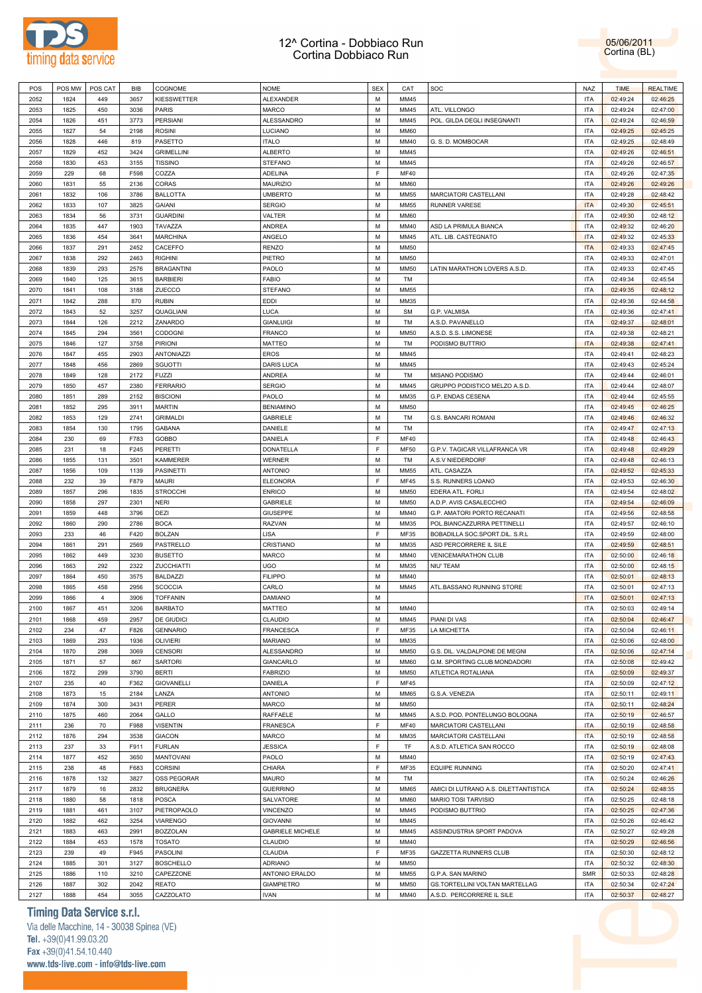



|              |              |                |              |                           |                                  | M      |              |                                                             |                   |                      |                      |  |
|--------------|--------------|----------------|--------------|---------------------------|----------------------------------|--------|--------------|-------------------------------------------------------------|-------------------|----------------------|----------------------|--|
| 2052         | 1824         | 449            | 3657         | <b>KIESSWETTER</b>        | ALEXANDER                        |        | MM45         |                                                             | ITA               | 02:49:24             | 02:46:25             |  |
| 2053         | 1825         | 450            | 3036         | <b>PARIS</b>              | MARCO                            | M      | MM45         | ATL. VILLONGO                                               | ITA               | 02:49:24             | 02:47:00             |  |
| 2054         | 1826         | 451            | 3773         | PERSIANI                  | ALESSANDRO                       | M      | MM45         | POL. GILDA DEGLI INSEGNANTI                                 | <b>ITA</b>        | 02:49:24             | 02:46:59             |  |
| 2055         | 1827         | 54             | 2198         | <b>ROSINI</b>             | LUCIANO                          | M      | <b>MM60</b>  |                                                             | ITA               | 02:49:25             | 02:45:25             |  |
|              |              |                |              |                           |                                  |        |              |                                                             |                   |                      |                      |  |
| 2056         | 1828         | 446            | 819          | PASETTO                   | <b>ITALO</b>                     | M      | MM40         | G. S. D. MOMBOCAR                                           | ITA               | 02:49:25             | 02:48:49             |  |
| 2057         | 1829         | 452            | 3424         | <b>GRIMELLINI</b>         | <b>ALBERTO</b>                   | M      | MM45         |                                                             | <b>ITA</b>        | 02:49:26             | 02:46:51             |  |
| 2058         | 1830         | 453            | 3155         | <b>TISSINO</b>            | <b>STEFANO</b>                   | M      | MM45         |                                                             | <b>ITA</b>        | 02:49:26             | 02:46:57             |  |
|              |              |                |              |                           |                                  |        |              |                                                             |                   |                      |                      |  |
| 2059         | 229          | 68             | F598         | COZZA                     | <b>ADELINA</b>                   | E      | <b>MF40</b>  |                                                             | <b>ITA</b>        | 02:49:26             | 02:47:35             |  |
| 2060         | 1831         | 55             | 2136         | CORAS                     | <b>MAURIZIO</b>                  | M      | <b>MM60</b>  |                                                             | ITA               | 02:49:26             | 02:49:26             |  |
| 2061         | 1832         | 106            | 3786         | <b>BALLOTTA</b>           | <b>UMBERTO</b>                   | M      | <b>MM55</b>  | MARCIATORI CASTELLANI                                       | <b>ITA</b>        | 02:49:28             | 02:48:42             |  |
|              |              |                |              |                           |                                  |        |              |                                                             |                   |                      |                      |  |
| 2062         | 1833         | 107            | 3825         | <b>GAIANI</b>             | <b>SERGIO</b>                    | M      | <b>MM55</b>  | <b>RUNNER VARESE</b>                                        | <b>ITA</b>        | 02:49:30             | 02:45:51             |  |
| 2063         | 1834         | 56             | 3731         | <b>GUARDINI</b>           | VALTER                           | M      | <b>MM60</b>  |                                                             | ITA               | 02:49:30             | 02:48:12             |  |
| 2064         | 1835         | 447            | 1903         | <b>TAVAZZA</b>            | ANDREA                           | M      | MM40         | ASD LA PRIMULA BIANCA                                       | ITA               | 02:49:32             | 02:46:20             |  |
|              |              |                |              |                           |                                  |        |              |                                                             |                   |                      |                      |  |
| 2065         | 1836         | 454            | 3641         | <b>MARCHINA</b>           | ANGELO                           | M      | MM45         | ATL. LIB. CASTEGNATO                                        | <b>ITA</b>        | 02:49:32             | 02:45:33             |  |
| 2066         | 1837         | 291            | 2452         | CACEFFO                   | <b>RENZO</b>                     | M      | MM50         |                                                             | <b>ITA</b>        | 02:49:33             | 02:47:45             |  |
| 2067         | 1838         | 292            | 2463         | <b>RIGHINI</b>            | PIETRO                           | M      | MM50         |                                                             | <b>ITA</b>        | 02:49:33             | 02:47:01             |  |
| 2068         | 1839         | 293            | 2576         | <b>BRAGANTINI</b>         | PAOLO                            | M      | MM50         | LATIN MARATHON LOVERS A.S.D.                                | ITA               |                      | 02:47:45             |  |
|              |              |                |              |                           |                                  |        |              |                                                             |                   | 02:49:33             |                      |  |
| 2069         | 1840         | 125            | 3615         | <b>BARBIERI</b>           | <b>FABIO</b>                     | M      | TM           |                                                             | ITA               | 02:49:34             | 02:45:54             |  |
| 2070         | 1841         | 108            | 3188         | ZUECCO                    | <b>STEFANO</b>                   | M      | MM55         |                                                             | <b>ITA</b>        | 02:49:35             | 02:48:12             |  |
| 2071         | 1842         | 288            | 870          | <b>RUBIN</b>              | <b>EDDI</b>                      | M      | MM35         |                                                             | <b>ITA</b>        | 02:49:36             | 02:44:58             |  |
|              |              |                |              |                           |                                  |        |              |                                                             |                   |                      |                      |  |
| 2072         | 1843         | 52             | 3257         | QUAGLIANI                 | LUCA                             | M      | <b>SM</b>    | G.P. VALMISA                                                | ITA               | 02:49:36             | 02:47:41             |  |
| 2073         | 1844         | 126            | 2212         | ZANARDO                   | <b>GIANLUIGI</b>                 | M      | TM           | A.S.D. PAVANELLO                                            | <b>ITA</b>        | 02:49:37             | 02:48:01             |  |
| 2074         | 1845         | 294            | 3561         | CODOGNI                   | FRANCO                           | M      | <b>MM50</b>  | A.S.D. S.S. LIMONESE                                        | ITA               | 02:49:38             | 02:48:21             |  |
|              |              |                |              |                           |                                  |        |              |                                                             |                   |                      |                      |  |
| 2075         | 1846         | 127            | 3758         | PIRIONI                   | MATTEO                           | M      | TM           | PODISMO BUTTRIO                                             | <b>ITA</b>        | 02:49:38             | 02:47:41             |  |
| 2076         | 1847         | 455            | 2903         | ANTONIAZZI                | <b>EROS</b>                      | M      | MM45         |                                                             | ITA               | 02:49:41             | 02:48:23             |  |
| 2077         | 1848         | 456            | 2869         | SGUOTTI                   | DARIS LUCA                       | M      | MM45         |                                                             | ITA               | 02:49:43             | 02:45:24             |  |
|              |              |                |              |                           |                                  |        |              |                                                             |                   |                      |                      |  |
| 2078         | 1849         | 128            | 2172         | <b>FUZZI</b>              | ANDREA                           | M      | TM           | MISANO PODISMO                                              | ITA               | 02:49:44             | 02:46:01             |  |
| 2079         | 1850         | 457            | 2380         | <b>FERRARIO</b>           | <b>SERGIO</b>                    | M      | MM45         | GRUPPO PODISTICO MELZO A.S.D.                               | <b>ITA</b>        | 02:49:44             | 02:48:07             |  |
| 2080         | 1851         | 289            | 2152         | <b>BISCIONI</b>           | PAOLO                            | M      | MM35         | G.P. ENDAS CESENA                                           | ITA               | 02:49:44             | 02:45:55             |  |
|              |              |                |              |                           |                                  |        |              |                                                             |                   |                      |                      |  |
| 2081         | 1852         | 295            | 3911         | <b>MARTIN</b>             | <b>BENIAMINO</b>                 | M      | MM50         |                                                             | ITA               | 02:49:45             | 02:46:25             |  |
| 2082         | 1853         | 129            | 2741         | <b>GRIMALDI</b>           | <b>GABRIELE</b>                  | M      | TM           | G.S. BANCARI ROMANI                                         | <b>ITA</b>        | 02:49:46             | 02:46:32             |  |
| 2083         | 1854         | 130            | 1795         | <b>GABANA</b>             | DANIELE                          | M      | TM           |                                                             | ITA               | 02:49:47             | 02:47:13             |  |
|              |              |                |              |                           |                                  |        |              |                                                             |                   |                      |                      |  |
| 2084         | 230          | 69             | F783         | GOBBO                     | DANIELA                          | F      | <b>MF40</b>  |                                                             | ITA               | 02:49:48             | 02:46:43             |  |
| 2085         | 231          | 18             | F245         | PERETTI                   | DONATELLA                        | E      | <b>MF50</b>  | G.P.V. TAGICAR VILLAFRANCA VR                               | <b>ITA</b>        | 02:49:48             | 02:49:29             |  |
| 2086         | 1855         | 131            | 3501         | <b>KAMMERER</b>           | WERNER                           | M      | TM           | A.S.V NIEDERDORF                                            | ITA               | 02:49:48             | 02:46:13             |  |
| 2087         | 1856         | 109            | 1139         |                           | <b>ANTONIO</b>                   | M      | MM55         |                                                             | ITA               | 02:49:52             |                      |  |
|              |              |                |              | PASINETTI                 |                                  |        |              | ATL. CASAZZA                                                |                   |                      | 02:45:33             |  |
| 2088         | 232          | 39             | F879         | <b>MAURI</b>              | <b>ELEONORA</b>                  | F      | MF45         | S.S. RUNNERS LOANO                                          | ITA               | 02:49:53             | 02:46:30             |  |
| 2089         | 1857         | 296            | 1835         | <b>STROCCHI</b>           | <b>ENRICO</b>                    | M      | MM50         | EDERA ATL. FORLI                                            | <b>ITA</b>        | 02:49:54             | 02:48:02             |  |
|              |              |                |              |                           |                                  |        |              |                                                             |                   |                      |                      |  |
|              |              |                |              |                           |                                  |        |              |                                                             |                   |                      |                      |  |
| 2090         | 1858         | 297            | 2301         | <b>NERI</b>               | <b>GABRIELE</b>                  | M      | MM50         | A.D.P. AVIS CASALECCHIO                                     | ITA               | 02:49:54             | 02:46:09             |  |
| 2091         | 1859         | 448            | 3796         | DEZI                      | <b>GIUSEPPE</b>                  | M      | MM40         | G.P. AMATORI PORTO RECANATI                                 | ITA               | 02:49:56             | 02:48:58             |  |
| 2092         | 1860         | 290            | 2786         | <b>BOCA</b>               | RAZVAN                           | M      | MM35         | POL.BIANCAZZURRA PETTINELLI                                 | ITA               | 02:49:57             | 02:46:10             |  |
|              |              |                |              |                           |                                  |        |              |                                                             |                   |                      |                      |  |
| 2093         | 233          | 46             | F420         | <b>BOLZAN</b>             | LISA                             | E      | MF35         | BOBADILLA SOC.SPORT.DIL. S.R.L                              | ITA               | 02:49:59             | 02:48:00             |  |
| 2094         | 1861         | 291            | 2569         | PASTRELLO                 | CRISTIANO                        | M      | MM35         | ASD PERCORRERE IL SILE                                      | ITA               | 02:49:59             | 02:48:51             |  |
| 2095         | 1862         | 449            | 3230         | <b>BUSETTO</b>            | MARCO                            | M      | MM40         | <b>VENICEMARATHON CLUB</b>                                  | <b>ITA</b>        | 02:50:00             | 02:46:18             |  |
|              |              |                |              |                           |                                  |        |              |                                                             |                   |                      |                      |  |
| 2096         | 1863         | 292            | 2322         | ZUCCHIATTI                | <b>UGO</b>                       | M      | MM35         | NIU' TEAM                                                   | ITA               | 02:50:00             | 02:48:15             |  |
| 2097         | 1864         | 450            | 3575         | <b>BALDAZZI</b>           | <b>FILIPPO</b>                   | M      | MM40         |                                                             | <b>ITA</b>        | 02:50:01             | 02:48:13             |  |
| 2098         | 1865         | 458            | 2956         | <b>SCOCCIA</b>            | CARLO                            | M      | MM45         | ATL.BASSANO RUNNING STORE                                   | <b>ITA</b>        | 02:50:01             | 02:47:13             |  |
| 2099         | 1866         | $\overline{4}$ | 3906         | <b>TOFFANIN</b>           |                                  | M      |              |                                                             | <b>ITA</b>        | 02:50:01             |                      |  |
|              |              |                |              |                           | DAMIANO                          |        |              |                                                             |                   |                      | 02:47:13             |  |
| 2100         | 1867         | 451            | 3206         | <b>BARBATO</b>            | MATTEO                           | M      | MM40         |                                                             | <b>ITA</b>        | 02:50:03             | 02:49:14             |  |
| 2101         | 1868         | 459            | 2957         | <b>DE GIUDICI</b>         | <b>CLAUDIO</b>                   | M      | MM45         | <b>PIANI DI VAS</b>                                         | <b>ITA</b>        | 02:50:04             | 02:46:47             |  |
| 2102         | 234          | 47             | F826         | <b>GENNARIO</b>           | FRANCESCA                        | F      | MF35         | LA MICHETTA                                                 | ITA               | 02:50:04             | 02:46:11             |  |
|              |              |                |              |                           |                                  |        |              |                                                             |                   |                      |                      |  |
| 2103         | 1869         | 293            | 1936         | <b>OLIVIERI</b>           | <b>MARIANO</b>                   | M      | MM35         |                                                             | ITA               | 02:50:06             | 02:48:00             |  |
| 2104         | 1870         | 298            | 3069         | <b>CENSORI</b>            | ALESSANDRO                       | M      | <b>MM50</b>  | G.S. DIL. VALDALPONE DE MEGNI                               | ITA               | 02:50:06             | 02:47:14             |  |
| 2105         | 1871         | 57             | 867          | SARTORI                   | GIANCARLO                        | M      | <b>MM60</b>  | G.M. SPORTING CLUB MONDADORI                                | ITA               | 02:50:08             | 02:49:42             |  |
| 2106         | 1872         | 299            | 3790         | <b>BERTI</b>              | <b>FABRIZIO</b>                  | M      | MM50         | ATLETICA ROTALIANA                                          | ITA               | 02:50:09             | 02:49:37             |  |
|              |              |                |              |                           |                                  |        |              |                                                             |                   |                      |                      |  |
| 2107         | 235          | 40             | F362         | <b>GIOVANELLI</b>         | DANIELA                          | F      | <b>MF45</b>  |                                                             | <b>ITA</b>        | 02:50:09             | 02:47:12             |  |
| 2108         | 1873         | 15             | 2184         | LANZA                     | <b>ANTONIO</b>                   | M      | <b>MM65</b>  | G.S.A. VENEZIA                                              | ITA               | 02:50:11             | 02:49:11             |  |
| 2109         | 1874         | 300            | 3431         | PERER                     | MARCO                            | M      | <b>MM50</b>  |                                                             | ITA               | 02:50:11             | 02:48:24             |  |
|              |              |                |              |                           |                                  |        |              |                                                             |                   |                      |                      |  |
| 2110         | 1875         | 460            | 2064         | GALLO                     | RAFFAELE                         | M      | MM45         | A.S.D. POD. PONTELUNGO BOLOGNA                              | ITA               | 02:50:19             | 02:46:57             |  |
| 2111         | 236          | 70             | F988         | <b>VISENTIN</b>           | <b>FRANESCA</b>                  | F      | <b>MF40</b>  | MARCIATORI CASTELLANI                                       | <b>ITA</b>        | 02:50:19             | 02:48:58             |  |
| 2112         | 1876         | 294            | 3538         | <b>GIACON</b>             | MARCO                            | M      | MM35         | MARCIATORI CASTELLANI                                       | <b>ITA</b>        | 02:50:19             | 02:48:58             |  |
|              |              |                |              |                           |                                  |        |              |                                                             |                   |                      |                      |  |
| 2113         | 237          | 33             | F911         | <b>FURLAN</b>             | <b>JESSICA</b>                   | F      | TF           | A.S.D. ATLETICA SAN ROCCO                                   | ITA               | 02:50:19             | 02:48:08             |  |
| 2114         | 1877         | 452            | 3650         | <b>MANTOVANI</b>          | PAOLO                            | M      | MM40         |                                                             | ITA               | 02:50:19             | 02:47:43             |  |
| 2115         | 238          | 48             | F683         | <b>CORSINI</b>            | CHIARA                           | F      | MF35         | <b>EQUIPE RUNNING</b>                                       | ITA               | 02:50:20             | 02:47:41             |  |
| 2116         | 1878         | 132            | 3827         | OSS PEGORAR               | MAURO                            | M      | TM           |                                                             | ITA               | 02:50:24             | 02:46:26             |  |
|              |              |                |              |                           |                                  |        |              |                                                             |                   |                      |                      |  |
| 2117         | 1879         | 16             | 2832         | <b>BRUGNERA</b>           | <b>GUERRINO</b>                  | M      | <b>MM65</b>  | AMICI DI LUTRANO A.S. DILETTANTISTICA                       | ITA               | 02:50:24             | 02:48:35             |  |
| 2118         | 1880         | 58             | 1818         | <b>POSCA</b>              | SALVATORE                        | M      | <b>MM60</b>  | MARIO TOSI TARVISIO                                         | ITA               | 02:50:25             | 02:48:18             |  |
| 2119         | 1881         | 461            | 3107         | PIETROPAOLO               | VINCENZO                         | M      | MM45         | PODISMO BUTTRIO                                             | ITA               | 02:50:25             | 02:47:36             |  |
|              |              |                |              |                           |                                  |        |              |                                                             |                   |                      |                      |  |
| 2120         | 1882         | 462            | 3254         | <b>VIARENGO</b>           | <b>GIOVANNI</b>                  | M      | MM45         |                                                             | ITA               | 02:50:26             | 02:46:42             |  |
| 2121         | 1883         | 463            | 2991         | <b>BOZZOLAN</b>           | <b>GABRIELE MICHELE</b>          | M      | MM45         | ASSINDUSTRIA SPORT PADOVA                                   | ITA               | 02:50:27             | 02:49:28             |  |
| 2122         | 1884         | 453            | 1578         | <b>TOSATO</b>             | CLAUDIO                          | M      | MM40         |                                                             | ITA               |                      |                      |  |
|              |              |                |              |                           |                                  |        |              |                                                             |                   | 02:50:29             | 02:46:56             |  |
| 2123         | 239          | 49             | F945         | PASOLINI                  | CLAUDIA                          | F      | MF35         | GAZZETTA RUNNERS CLUB                                       | ITA               | 02:50:30             | 02:48:12             |  |
| 2124         | 1885         | 301            | 3127         | <b>BOSCHELLO</b>          | <b>ADRIANO</b>                   | M      | <b>MM50</b>  |                                                             | ITA               | 02:50:32             | 02:48:30             |  |
| 2125         | 1886         | 110            | 3210         | CAPEZZONE                 | ANTONIO ERALDO                   | M      | MM55         | G.P.A. SAN MARINO                                           | <b>SMR</b>        | 02:50:33             | 02:48:28             |  |
|              |              |                |              |                           |                                  |        |              |                                                             |                   |                      |                      |  |
| 2126<br>2127 | 1887<br>1888 | 302<br>454     | 2042<br>3055 | <b>REATO</b><br>CAZZOLATO | <b>GIAMPIETRO</b><br><b>IVAN</b> | M<br>M | MM50<br>MM40 | GS.TORTELLINI VOLTAN MARTELLAG<br>A.S.D. PERCORRERE IL SILE | ITA<br><b>ITA</b> | 02:50:34<br>02:50:37 | 02:47:24<br>02:48:27 |  |

### **Timing Data Service s.r.l.**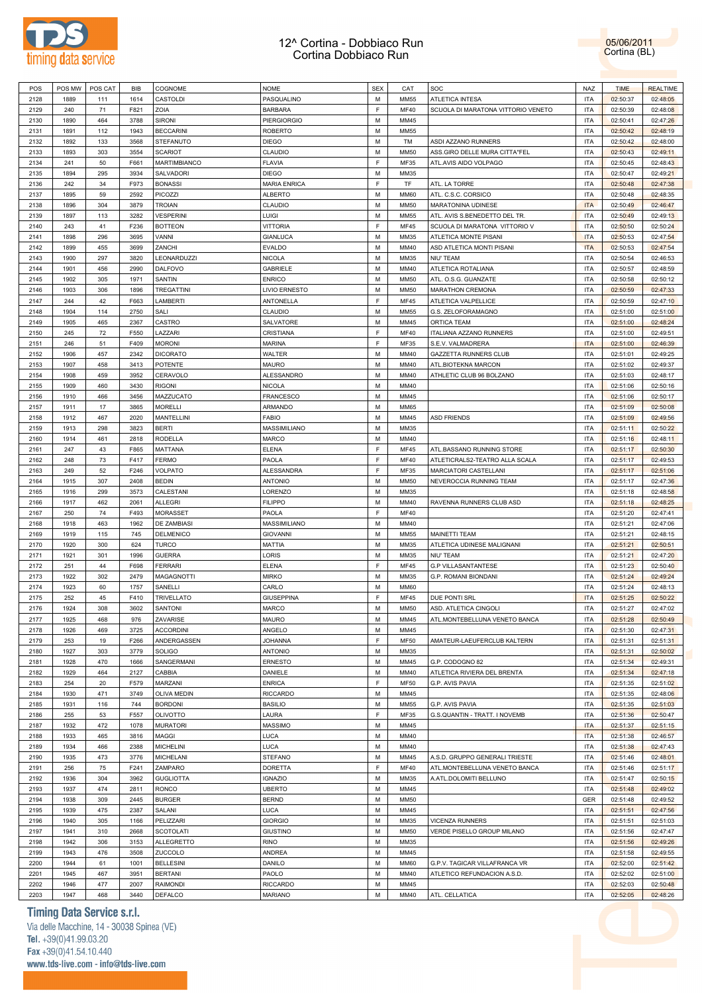

05/06/2011 Cortina (BL)

| POS  | POS MW | POS CAT | <b>BIB</b> | COGNOME            | <b>NOME</b>         | <b>SEX</b>  | CAT         | SOC                                | NAZ        | <b>TIME</b> | <b>REALTIME</b> |
|------|--------|---------|------------|--------------------|---------------------|-------------|-------------|------------------------------------|------------|-------------|-----------------|
| 2128 | 1889   | 111     | 1614       | CASTOLDI           | PASQUALINO          | M           | <b>MM55</b> | <b>ATLETICA INTESA</b>             | <b>ITA</b> | 02:50:37    | 02:48:05        |
| 2129 | 240    | 71      | F821       | ZOIA               | <b>BARBARA</b>      | E           | <b>MF40</b> | SCUOLA DI MARATONA VITTORIO VENETO | <b>ITA</b> | 02:50:39    | 02:48:08        |
| 2130 | 1890   | 464     | 3788       | <b>SIRONI</b>      | <b>PIERGIORGIO</b>  | M           | MM45        |                                    | <b>ITA</b> | 02:50:41    | 02:47:26        |
| 2131 | 1891   | 112     | 1943       | <b>BECCARINI</b>   | <b>ROBERTO</b>      | M           | <b>MM55</b> |                                    | <b>ITA</b> | 02:50:42    | 02:48:19        |
| 2132 | 1892   | 133     | 3568       | STEFANUTO          | <b>DIEGO</b>        | M           | TM          | ASDI AZZANO RUNNERS                | <b>ITA</b> | 02:50:42    | 02:48:00        |
| 2133 | 1893   | 303     | 3554       | <b>SCARIOT</b>     | CLAUDIO             | M           | <b>MM50</b> | ASS.GIRO DELLE MURA CITTA"FEL      | <b>ITA</b> |             | 02:49:11        |
|      |        |         |            |                    |                     | E           |             |                                    |            | 02:50:43    |                 |
| 2134 | 241    | 50      | F661       | MARTIMBIANCO       | <b>FLAVIA</b>       |             | MF35        | ATL.AVIS AIDO VOLPAGO              | <b>ITA</b> | 02:50:45    | 02:48:43        |
| 2135 | 1894   | 295     | 3934       | SALVADORI          | <b>DIEGO</b>        | M           | MM35        |                                    | <b>ITA</b> | 02:50:47    | 02:49:21        |
| 2136 | 242    | 34      | F973       | <b>BONASSI</b>     | <b>MARIA ENRICA</b> | E           | TF          | ATL. LA TORRE                      | <b>ITA</b> | 02:50:48    | 02:47:38        |
| 2137 | 1895   | 59      | 2592       | PICOZZI            | <b>ALBERTO</b>      | M           | <b>MM60</b> | ATL. C.S.C. CORSICO                | <b>ITA</b> | 02:50:48    | 02:48:35        |
| 2138 | 1896   | 304     | 3879       | <b>TROIAN</b>      | CLAUDIO             | M           | <b>MM50</b> | MARATONINA UDINESE                 | <b>ITA</b> | 02:50:49    | 02:46:47        |
| 2139 | 1897   | 113     | 3282       | <b>VESPERINI</b>   | LUIGI               | M           | <b>MM55</b> | ATL. AVIS S.BENEDETTO DEL TR.      | <b>ITA</b> | 02:50:49    | 02:49:13        |
| 2140 | 243    | 41      | F236       | <b>BOTTEON</b>     | <b>VITTORIA</b>     | E           | <b>MF45</b> | SCUOLA DI MARATONA VITTORIO V      | <b>ITA</b> | 02:50:50    | 02:50:24        |
| 2141 | 1898   | 296     | 3695       | VANNI              | <b>GIANLUCA</b>     | M           | MM35        | ATLETICA MONTE PISANI              | <b>ITA</b> | 02:50:53    | 02:47:54        |
| 2142 | 1899   | 455     | 3699       | ZANCHI             | <b>EVALDO</b>       | M           | MM40        | ASD ATLETICA MONTI PISANI          | <b>ITA</b> | 02:50:53    | 02:47:54        |
| 2143 | 1900   | 297     | 3820       | <b>LEONARDUZZI</b> | <b>NICOLA</b>       | M           | MM35        | NIU' TEAM                          | <b>ITA</b> | 02:50:54    | 02:46:53        |
| 2144 | 1901   | 456     | 2990       | <b>DALFOVO</b>     | <b>GABRIELE</b>     | M           | MM40        | ATLETICA ROTALIANA                 | <b>ITA</b> | 02:50:57    | 02:48:59        |
| 2145 | 1902   | 305     | 1971       | SANTIN             | <b>ENRICO</b>       | M           | <b>MM50</b> | ATL. O.S.G. GUANZATE               | <b>ITA</b> | 02:50:58    | 02:50:12        |
| 2146 | 1903   | 306     | 1896       | TREGATTINI         | LIVIO ERNESTO       | M           | <b>MM50</b> | MARATHON CREMONA                   | <b>ITA</b> | 02:50:59    | 02:47:33        |
| 2147 | 244    | 42      | F663       | LAMBERTI           | <b>ANTONELLA</b>    | E           | <b>MF45</b> | ATLETICA VALPELLICE                | <b>ITA</b> |             | 02:47:10        |
|      |        |         |            |                    |                     |             |             |                                    |            | 02:50:59    |                 |
| 2148 | 1904   | 114     | 2750       | SALI               | CLAUDIO             | M           | <b>MM55</b> | G.S. ZELOFORAMAGNO                 | <b>ITA</b> | 02:51:00    | 02:51:00        |
| 2149 | 1905   | 465     | 2367       | CASTRO             | SALVATORE           | M           | MM45        | ORTICA TEAM                        | <b>ITA</b> | 02:51:00    | 02:48:24        |
| 2150 | 245    | 72      | F550       | LAZZARI            | CRISTIANA           | E           | <b>MF40</b> | <b>ITALIANA AZZANO RUNNERS</b>     | <b>ITA</b> | 02:51:00    | 02:49:51        |
| 2151 | 246    | 51      | F409       | <b>MORONI</b>      | <b>MARINA</b>       | E           | MF35        | S.E.V. VALMADRERA                  | <b>ITA</b> | 02:51:00    | 02:46:39        |
| 2152 | 1906   | 457     | 2342       | <b>DICORATO</b>    | WALTER              | M           | MM40        | GAZZETTA RUNNERS CLUB              | <b>ITA</b> | 02:51:01    | 02:49:25        |
| 2153 | 1907   | 458     | 3413       | POTENTE            | MAURO               | M           | MM40        | ATL.BIOTEKNA MARCON                | <b>ITA</b> | 02:51:02    | 02:49:37        |
| 2154 | 1908   | 459     | 3952       | CERAVOLO           | <b>ALESSANDRO</b>   | M           | MM40        | ATHLETIC CLUB 96 BOLZANO           | <b>ITA</b> | 02:51:03    | 02:48:17        |
| 2155 | 1909   | 460     | 3430       | <b>RIGONI</b>      | <b>NICOLA</b>       | M           | MM40        |                                    | <b>ITA</b> | 02:51:06    | 02:50:16        |
| 2156 | 1910   | 466     | 3456       | MAZZUCATO          | <b>FRANCESCO</b>    | M           | MM45        |                                    | <b>ITA</b> | 02:51:06    | 02:50:17        |
| 2157 | 1911   | 17      | 3865       | MORELLI            | ARMANDO             | M           | <b>MM65</b> |                                    | <b>ITA</b> | 02:51:09    | 02:50:08        |
| 2158 | 1912   | 467     | 2020       | <b>MANTELLINI</b>  | <b>FABIO</b>        | M           | MM45        | <b>ASD FRIENDS</b>                 | <b>ITA</b> | 02:51:09    | 02:49:56        |
| 2159 | 1913   | 298     | 3823       |                    |                     | M           | MM35        |                                    | <b>ITA</b> |             |                 |
|      |        |         |            | <b>BERTI</b>       | MASSIMILIANO        |             |             |                                    |            | 02:51:11    | 02:50:22        |
| 2160 | 1914   | 461     | 2818       | RODELLA            | <b>MARCO</b>        | M           | MM40        |                                    | <b>ITA</b> | 02:51:16    | 02:48:11        |
| 2161 | 247    | 43      | F865       | MATTANA            | ELENA               | E           | <b>MF45</b> | ATL.BASSANO RUNNING STORE          | <b>ITA</b> | 02:51:17    | 02:50:30        |
| 2162 | 248    | 73      | F417       | FERMO              | PAOLA               | $\mathsf F$ | <b>MF40</b> | ATLETICRALS2-TEATRO ALLA SCALA     | <b>ITA</b> | 02:51:17    | 02:49:53        |
| 2163 | 249    | 52      | F246       | VOLPATO            | ALESSANDRA          | F           | MF35        | MARCIATORI CASTELLANI              | <b>ITA</b> | 02:51:17    | 02:51:06        |
| 2164 | 1915   | 307     | 2408       | <b>BEDIN</b>       | <b>ANTONIO</b>      | M           | <b>MM50</b> | NEVEROCCIA RUNNING TEAM            | <b>ITA</b> | 02:51:17    | 02:47:36        |
| 2165 | 1916   | 299     | 3573       | CALESTANI          | LORENZO             | M           | MM35        |                                    | <b>ITA</b> | 02:51:18    | 02:48:58        |
| 2166 | 1917   | 462     | 2061       | <b>ALLEGRI</b>     | <b>FILIPPO</b>      | M           | MM40        | RAVENNA RUNNERS CLUB ASD           | <b>ITA</b> | 02:51:18    | 02:48:25        |
| 2167 | 250    | 74      | F493       | MORASSET           | PAOLA               | E           | <b>MF40</b> |                                    | <b>ITA</b> | 02:51:20    | 02:47:41        |
| 2168 | 1918   | 463     | 1962       | <b>DE ZAMBIASI</b> | MASSIMILIANO        | M           | MM40        |                                    | <b>ITA</b> | 02:51:21    | 02:47:06        |
| 2169 | 1919   | 115     | 745        | DELMENICO          | <b>GIOVANNI</b>     | M           | <b>MM55</b> | MAINETTI TEAM                      | <b>ITA</b> | 02:51:21    | 02:48:15        |
| 2170 | 1920   | 300     | 624        | TURCO              | <b>MATTIA</b>       | M           | MM35        | ATLETICA UDINESE MALIGNANI         | <b>ITA</b> | 02:51:21    | 02:50:51        |
| 2171 | 1921   | 301     | 1996       | <b>GUERRA</b>      | LORIS               | M           | MM35        | NIU' TEAM                          | <b>ITA</b> | 02:51:21    | 02:47:20        |
| 2172 | 251    | 44      | F698       | <b>FERRARI</b>     | ELENA               | E           | <b>MF45</b> | <b>G.P VILLASANTANTESE</b>         | <b>ITA</b> | 02:51:23    | 02:50:40        |
| 2173 | 1922   | 302     | 2479       |                    | <b>MIRKO</b>        | M           | MM35        | G.P. ROMANI BIONDANI               | <b>ITA</b> |             | 02:49:24        |
|      |        |         |            | MAGAGNOTTI         |                     |             |             |                                    |            | 02:51:24    |                 |
| 2174 | 1923   | 60      | 1757       | SANELLI            | CARLO               | M           | <b>MM60</b> |                                    | <b>ITA</b> | 02:51:24    | 02:48:13        |
| 2175 | 252    | 45      | F410       | TRIVELLATO         | <b>GIUSEPPINA</b>   | E           | <b>MF45</b> | DUE PONTI SRL                      | <b>ITA</b> | 02:51:25    | 02:50:22        |
| 2176 | 1924   | 308     | 3602       | <b>SANTONI</b>     | <b>MARCO</b>        | M           | <b>MM50</b> | ASD. ATLETICA CINGOLI              | <b>ITA</b> | 02:51:27    | 02:47:02        |
| 2177 | 1925   | 468     | 976        | ZAVARISE           | <b>MAURO</b>        | M           | MM45        | ATL.MONTEBELLUNA VENETO BANCA      | <b>ITA</b> | 02:51:28    | 02:50:49        |
| 2178 | 1926   | 469     | 3725       | <b>ACCORDINI</b>   | ANGELO              | M           | MM45        |                                    | <b>ITA</b> | 02:51:30    | 02:47:31        |
| 2179 | 253    | 19      | F266       | ANDERGASSEN        | <b>JOHANNA</b>      | $\mathsf F$ | <b>MF50</b> | AMATEUR-LAEUFERCLUB KALTERN        | <b>ITA</b> | 02:51:31    | 02:51:31        |
| 2180 | 1927   | 303     | 3779       | SOLIGO             | <b>ANTONIO</b>      | M           | MM35        |                                    | <b>ITA</b> | 02:51:31    | 02:50:02        |
| 2181 | 1928   | 470     | 1666       | SANGERMANI         | <b>ERNESTO</b>      | M           | MM45        | G.P. CODOGNO 82                    | <b>ITA</b> | 02:51:34    | 02:49:31        |
| 2182 | 1929   | 464     | 2127       | CABBIA             | DANIELE             | M           | MM40        | ATLETICA RIVIERA DEL BRENTA        | <b>ITA</b> | 02:51:34    | 02:47:18        |
| 2183 | 254    | 20      | F579       | MARZANI            | <b>ENRICA</b>       | $\mathsf F$ | <b>MF50</b> | G.P. AVIS PAVIA                    | <b>ITA</b> | 02:51:35    | 02:51:02        |
| 2184 | 1930   | 471     | 3749       | <b>OLIVA MEDIN</b> | <b>RICCARDO</b>     | M           | MM45        |                                    | <b>ITA</b> | 02:51:35    | 02:48:06        |
| 2185 | 1931   | 116     | 744        | <b>BORDONI</b>     | <b>BASILIO</b>      | M           | <b>MM55</b> | G.P. AVIS PAVIA                    | <b>ITA</b> | 02:51:35    | 02:51:03        |
| 2186 | 255    | 53      | F557       | <b>OLIVOTTO</b>    | LAURA               | $\mathsf F$ | <b>MF35</b> | G.S.QUANTIN - TRATT. I NOVEMB      | <b>ITA</b> | 02:51:36    | 02:50:47        |
|      |        | 472     |            |                    |                     | M           |             |                                    | <b>ITA</b> |             |                 |
| 2187 | 1932   |         | 1078       | <b>MURATORI</b>    | <b>MASSIMO</b>      |             | MM45        |                                    |            | 02:51:37    | 02:51:15        |
| 2188 | 1933   | 465     | 3816       | MAGGI              | LUCA                | M           | MM40        |                                    | <b>ITA</b> | 02:51:38    | 02:46:57        |
| 2189 | 1934   | 466     | 2388       | <b>MICHELINI</b>   | LUCA                | M           | MM40        |                                    | <b>ITA</b> | 02:51:38    | 02:47:43        |
| 2190 | 1935   | 473     | 3776       | MICHELANI          | <b>STEFANO</b>      | M           | MM45        | A.S.D. GRUPPO GENERALI TRIESTE     | <b>ITA</b> | 02:51:46    | 02:48:01        |
| 2191 | 256    | 75      | F241       | ZAMPARO            | <b>DORETTA</b>      | $\mathsf F$ | <b>MF40</b> | ATL.MONTEBELLUNA VENETO BANCA      | <b>ITA</b> | 02:51:46    | 02:51:17        |
| 2192 | 1936   | 304     | 3962       | <b>GUGLIOTTA</b>   | <b>IGNAZIO</b>      | M           | MM35        | A.ATL.DOLOMITI BELLUNO             | <b>ITA</b> | 02:51:47    | 02:50:15        |
| 2193 | 1937   | 474     | 2811       | <b>RONCO</b>       | <b>UBERTO</b>       | M           | MM45        |                                    | <b>ITA</b> | 02:51:48    | 02:49:02        |
| 2194 | 1938   | 309     | 2445       | <b>BURGER</b>      | <b>BERND</b>        | M           | <b>MM50</b> |                                    | GER        | 02:51:48    | 02:49:52        |
| 2195 | 1939   | 475     | 2387       | SALANI             | <b>LUCA</b>         | M           | MM45        |                                    | <b>ITA</b> | 02:51:51    | 02:47:56        |
| 2196 | 1940   | 305     | 1166       | PELIZZARI          | <b>GIORGIO</b>      | M           | MM35        | <b>VICENZA RUNNERS</b>             | <b>ITA</b> | 02:51:51    | 02:51:03        |
| 2197 | 1941   | 310     | 2668       | SCOTOLATI          | <b>GIUSTINO</b>     | M           | <b>MM50</b> | VERDE PISELLO GROUP MILANO         | <b>ITA</b> | 02:51:56    | 02:47:47        |
| 2198 | 1942   | 306     | 3153       | ALLEGRETTO         | <b>RINO</b>         | M           | MM35        |                                    | <b>ITA</b> | 02:51:56    | 02:49:26        |
|      |        |         |            |                    |                     |             |             |                                    |            |             |                 |
| 2199 | 1943   | 476     | 3508       | ZUCCOLO            | ANDREA              | M           | MM45        |                                    | <b>ITA</b> | 02:51:58    | 02:49:55        |
| 2200 | 1944   | 61      | 1001       | <b>BELLESINI</b>   | DANILO              | M           | <b>MM60</b> | G.P.V. TAGICAR VILLAFRANCA VR      | <b>ITA</b> | 02:52:00    | 02:51:42        |
| 2201 | 1945   | 467     | 3951       | <b>BERTANI</b>     | PAOLO               | M           | MM40        | ATLETICO REFUNDACION A.S.D.        | <b>ITA</b> | 02:52:02    | 02:51:00        |
| 2202 | 1946   | 477     | 2007       | RAIMONDI           | <b>RICCARDO</b>     | M           | MM45        |                                    | <b>ITA</b> | 02:52:03    | 02:50:48        |
| 2203 | 1947   | 468     | 3440       | DEFALCO            | <b>MARIANO</b>      | M           | MM40        | ATL. CELLATICA                     | <b>ITA</b> | 02:52:05    | 02:48:26        |

# **Timing Data Service s.r.l.**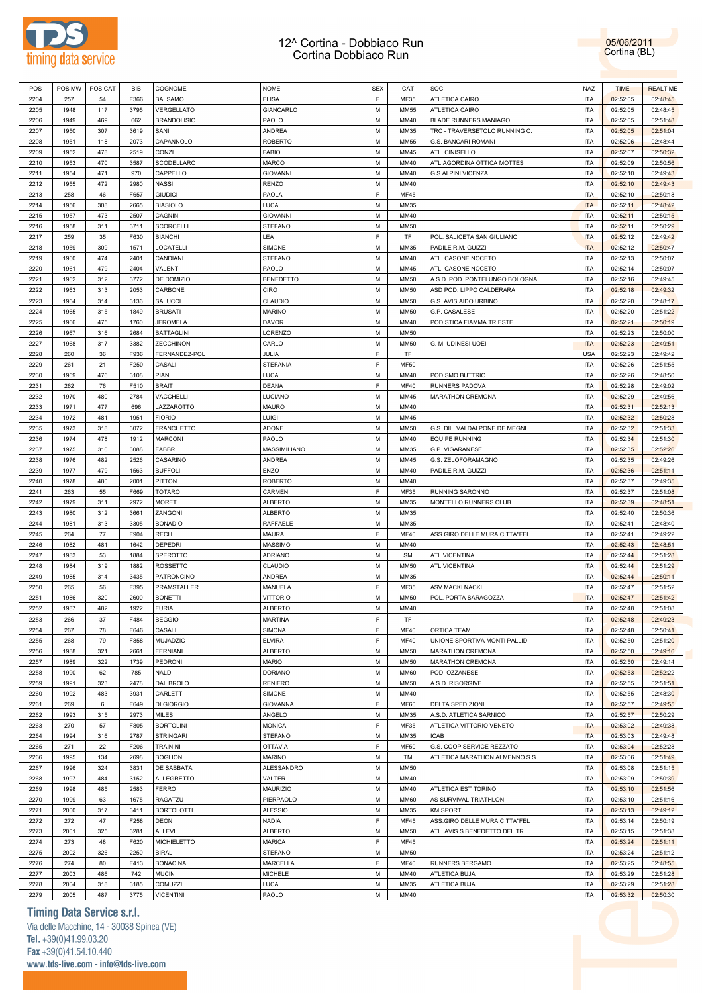



| POS  |      | POS MW POS CAT | BIB  | COGNOME            | <b>NOME</b>      | <b>SEX</b> | CAT         | SOC                            | <b>NAZ</b> | <b>TIME</b> | <b>REALTIME</b> |
|------|------|----------------|------|--------------------|------------------|------------|-------------|--------------------------------|------------|-------------|-----------------|
| 2204 | 257  | 54             | F366 | <b>BALSAMO</b>     | <b>ELISA</b>     | F          | MF35        | ATLETICA CAIRO                 | <b>ITA</b> | 02:52:05    | 02:48:45        |
| 2205 | 1948 | 117            | 3795 | VERGELLATO         | GIANCARLO        | M          | <b>MM55</b> | ATLETICA CAIRO                 | <b>ITA</b> | 02:52:05    | 02:48:45        |
|      |      |                |      |                    |                  | M          |             |                                |            |             |                 |
| 2206 | 1949 | 469            | 662  | <b>BRANDOLISIO</b> | PAOLO            |            | MM40        | BLADE RUNNERS MANIAGO          | <b>ITA</b> | 02:52:05    | 02:51:48        |
| 2207 | 1950 | 307            | 3619 | SANI               | ANDREA           | M          | MM35        | TRC - TRAVERSETOLO RUNNING C.  | <b>ITA</b> | 02:52:05    | 02:51:04        |
| 2208 | 1951 | 118            | 2073 | CAPANNOLO          | ROBERTO          | М          | <b>MM55</b> | G.S. BANCARI ROMANI            | <b>ITA</b> | 02:52:06    | 02:48:44        |
| 2209 | 1952 | 478            | 2519 | CONZI              | <b>FABIO</b>     | M          | MM45        | ATL. CINISELLO                 | <b>ITA</b> | 02:52:07    | 02:50:32        |
| 2210 | 1953 | 470            | 3587 | SCODELLARO         | MARCO            | М          | MM40        | ATL.AGORDINA OTTICA MOTTES     | <b>ITA</b> | 02:52:09    | 02:50:56        |
| 2211 | 1954 | 471            | 970  | CAPPELLO           | <b>GIOVANNI</b>  | M          | MM40        | G.S.ALPINI VICENZA             | <b>ITA</b> | 02:52:10    | 02:49:43        |
| 2212 | 1955 | 472            | 2980 | <b>NASSI</b>       | <b>RENZO</b>     | М          | MM40        |                                | <b>ITA</b> | 02:52:10    | 02:49:43        |
| 2213 | 258  | 46             | F657 | <b>GIUDICI</b>     | PAOLA            | F          | <b>MF45</b> |                                | <b>ITA</b> | 02:52:10    | 02:50:18        |
| 2214 | 1956 | 308            | 2665 | <b>BIASIOLO</b>    | LUCA             | М          | MM35        |                                | <b>ITA</b> | 02:52:11    | 02:48:42        |
| 2215 | 1957 | 473            | 2507 | CAGNIN             | <b>GIOVANNI</b>  | M          | MM40        |                                | <b>ITA</b> | 02:52:11    | 02:50:15        |
|      |      |                |      |                    |                  |            |             |                                |            |             |                 |
| 2216 | 1958 | 311            | 3711 | <b>SCORCELLI</b>   | <b>STEFANO</b>   | M          | <b>MM50</b> |                                | <b>ITA</b> | 02:52:11    | 02:50:29        |
| 2217 | 259  | 35             | F630 | <b>BIANCHI</b>     | LEA              | F          | TF          | POL. SALICETA SAN GIULIANO     | <b>ITA</b> | 02:52:12    | 02:49:42        |
| 2218 | 1959 | 309            | 1571 | LOCATELLI          | SIMONE           | M          | MM35        | PADILE R.M. GUIZZI             | <b>ITA</b> | 02:52:12    | 02:50:47        |
| 2219 | 1960 | 474            | 2401 | CANDIANI           | <b>STEFANO</b>   | M          | MM40        | ATL. CASONE NOCETO             | <b>ITA</b> | 02:52:13    | 02:50:07        |
| 2220 | 1961 | 479            | 2404 | VALENTI            | PAOLO            | M          | MM45        | ATL. CASONE NOCETO             | <b>ITA</b> | 02:52:14    | 02:50:07        |
| 2221 | 1962 | 312            | 3772 | DE DOMIZIO         | <b>BENEDETTO</b> | M          | <b>MM50</b> | A.S.D. POD. PONTELUNGO BOLOGNA | <b>ITA</b> | 02:52:16    | 02:49:45        |
| 2222 | 1963 | 313            | 2053 | CARBONE            | CIRO             | M          | <b>MM50</b> | ASD POD. LIPPO CALDERARA       | <b>ITA</b> | 02:52:18    | 02:49:32        |
| 2223 | 1964 | 314            | 3136 | SALUCCI            | CLAUDIO          | M          | <b>MM50</b> | G.S. AVIS AIDO URBINO          | <b>ITA</b> | 02:52:20    | 02:48:17        |
| 2224 | 1965 | 315            | 1849 | <b>BRUSATI</b>     | <b>MARINO</b>    | M          | <b>MM50</b> | G.P. CASALESE                  | <b>ITA</b> | 02:52:20    | 02:51:22        |
|      |      |                |      |                    |                  |            |             |                                |            |             |                 |
| 2225 | 1966 | 475            | 1760 | <b>JEROMELA</b>    | DAVOR            | M          | MM40        | PODISTICA FIAMMA TRIESTE       | <b>ITA</b> | 02:52:21    | 02:50:19        |
| 2226 | 1967 | 316            | 2684 | <b>BATTAGLINI</b>  | LORENZO          | М          | <b>MM50</b> |                                | <b>ITA</b> | 02:52:23    | 02:50:00        |
| 2227 | 1968 | 317            | 3382 | <b>ZECCHINON</b>   | CARLO            | М          | <b>MM50</b> | G. M. UDINESI UOEI             | <b>ITA</b> | 02:52:23    | 02:49:51        |
| 2228 | 260  | 36             | F936 | FERNANDEZ-POL      | JULIA            | F          | TF          |                                | <b>USA</b> | 02:52:23    | 02:49:42        |
| 2229 | 261  | 21             | F250 | CASALI             | <b>STEFANIA</b>  | F          | <b>MF50</b> |                                | <b>ITA</b> | 02:52:26    | 02:51:55        |
| 2230 | 1969 | 476            | 3108 | PIANI              | LUCA             | М          | MM40        | PODISMO BUTTRIO                | <b>ITA</b> | 02:52:26    | 02:48:50        |
| 2231 | 262  | 76             | F510 | <b>BRAIT</b>       | <b>DEANA</b>     | F          | <b>MF40</b> | RUNNERS PADOVA                 | <b>ITA</b> | 02:52:28    | 02:49:02        |
| 2232 | 1970 | 480            | 2784 | VACCHELLI          | LUCIANO          | М          | MM45        | <b>MARATHON CREMONA</b>        | <b>ITA</b> | 02:52:29    | 02:49:56        |
| 2233 | 1971 | 477            | 696  | LAZZAROTTO         | MAURO            | M          | MM40        |                                | <b>ITA</b> | 02:52:31    | 02:52:13        |
| 2234 |      |                |      | <b>FIORIO</b>      | LUIGI            | M          |             |                                | <b>ITA</b> | 02:52:32    | 02:50:28        |
|      | 1972 | 481            | 1951 |                    |                  |            | MM45        |                                |            |             |                 |
| 2235 | 1973 | 318            | 3072 | <b>FRANCHETTO</b>  | <b>ADONE</b>     | M          | <b>MM50</b> | G.S. DIL. VALDALPONE DE MEGNI  | <b>ITA</b> | 02:52:32    | 02:51:33        |
| 2236 | 1974 | 478            | 1912 | <b>MARCONI</b>     | PAOLO            | M          | MM40        | <b>EQUIPE RUNNING</b>          | <b>ITA</b> | 02:52:34    | 02:51:30        |
| 2237 | 1975 | 310            | 3088 | FABBRI             | MASSIMILIANO     | M          | MM35        | G.P. VIGARANESE                | <b>ITA</b> | 02:52:35    | 02:52:26        |
| 2238 | 1976 | 482            | 2526 | CASARINO           | ANDREA           | M          | MM45        | G.S. ZELOFORAMAGNO             | <b>ITA</b> | 02:52:35    | 02:49:26        |
| 2239 | 1977 | 479            | 1563 | <b>BUFFOLI</b>     | ENZO             | M          | MM40        | PADILE R.M. GUIZZI             | <b>ITA</b> | 02:52:36    | 02:51:11        |
| 2240 | 1978 | 480            | 2001 | PITTON             | <b>ROBERTO</b>   | M          | MM40        |                                | <b>ITA</b> | 02:52:37    | 02:49:35        |
| 2241 | 263  | 55             | F669 | <b>TOTARO</b>      | CARMEN           | F          | MF35        | RUNNING SARONNO                | <b>ITA</b> | 02:52:37    | 02:51:08        |
| 2242 | 1979 | 311            | 2972 | <b>MORET</b>       | <b>ALBERTO</b>   | М          | MM35        | MONTELLO RUNNERS CLUB          | <b>ITA</b> | 02:52:39    | 02:48:51        |
| 2243 | 1980 | 312            | 3661 | ZANGONI            | <b>ALBERTO</b>   | M          | MM35        |                                | <b>ITA</b> | 02:52:40    | 02:50:36        |
|      |      |                |      |                    |                  |            |             |                                |            |             |                 |
| 2244 | 1981 | 313            | 3305 | <b>BONADIO</b>     | RAFFAELE         | М          | MM35        |                                | <b>ITA</b> | 02:52:41    | 02:48:40        |
| 2245 | 264  | 77             | F904 | <b>RECH</b>        | MAURA            | F          | <b>MF40</b> | ASS.GIRO DELLE MURA CITTA"FEL  | <b>ITA</b> | 02:52:41    | 02:49:22        |
| 2246 | 1982 | 481            | 1642 | DEPEDRI            | MASSIMO          | М          | MM40        |                                | ITA        | 02:52:43    | 02:48:51        |
| 2247 | 1983 | 53             | 1884 | SPEROTTO           | <b>ADRIANO</b>   | M          | <b>SM</b>   | ATL.VICENTINA                  | <b>ITA</b> | 02:52:44    | 02:51:28        |
| 2248 | 1984 | 319            | 1882 | ROSSETTO           | CLAUDIO          | М          | <b>MM50</b> | ATL.VICENTINA                  | <b>ITA</b> | 02:52:44    | 02:51:29        |
| 2249 | 1985 | 314            | 3435 | PATRONCINO         | ANDREA           | М          | MM35        |                                | ITA        | 02:52:44    | 02:50:11        |
| 2250 | 265  | 56             | F395 | PRAMSTALLER        | MANUELA          | F          | MF35        | <b>ASV MACKI NACKI</b>         | <b>ITA</b> | 02:52:47    | 02:51:52        |
| 2251 | 1986 | 320            | 2600 | <b>BONETTI</b>     | <b>VITTORIO</b>  | М          | <b>MM50</b> | POL. PORTA SARAGOZZA           | <b>ITA</b> | 02:52:47    | 02:51:42        |
| 2252 | 1987 | 482            | 1922 | <b>FURIA</b>       | <b>ALBERTO</b>   | М          | MM40        |                                | <b>ITA</b> | 02:52:48    | 02:51:08        |
|      |      |                |      |                    |                  | F          |             |                                |            |             |                 |
| 2253 | 266  | 37             | F484 | <b>BEGGIO</b>      | <b>MARTINA</b>   |            | TF          |                                | <b>ITA</b> | 02:52:48    | 02:49:23        |
| 2254 | 267  | 78             | F646 | CASALI             | SIMONA           | F          | <b>MF40</b> | ORTICA TEAM                    | <b>ITA</b> | 02:52:48    | 02:50:41        |
| 2255 | 268  | 79             | F858 | MUJADZIC           | <b>ELVIRA</b>    | F          | <b>MF40</b> | UNIONE SPORTIVA MONTI PALLIDI  | <b>ITA</b> | 02:52:50    | 02:51:20        |
| 2256 | 1988 | 321            | 2661 | <b>FERNIANI</b>    | <b>ALBERTO</b>   | М          | <b>MM50</b> | MARATHON CREMONA               | <b>ITA</b> | 02:52:50    | 02:49:16        |
| 2257 | 1989 | 322            | 1739 | PEDRONI            | <b>MARIO</b>     | M          | <b>MM50</b> | MARATHON CREMONA               | <b>ITA</b> | 02:52:50    | 02:49:14        |
| 2258 | 1990 | 62             | 785  | <b>NALDI</b>       | <b>DORIANO</b>   | М          | <b>MM60</b> | POD. OZZANESE                  | <b>ITA</b> | 02:52:53    | 02:52:22        |
| 2259 | 1991 | 323            | 2478 | DAL BROLO          | <b>RENIERO</b>   | M          | <b>MM50</b> | A.S.D. RISORGIVE               | <b>ITA</b> | 02:52:55    | 02:51:51        |
| 2260 | 1992 | 483            | 3931 | CARLETTI           | SIMONE           | М          | MM40        |                                | <b>ITA</b> | 02:52:55    | 02:48:30        |
| 2261 | 269  | 6              | F649 | DI GIORGIO         | <b>GIOVANNA</b>  | F          | MF60        | DELTA SPEDIZIONI               | <b>ITA</b> | 02:52:57    | 02:49:55        |
| 2262 | 1993 | 315            | 2973 | <b>MILESI</b>      | ANGELO           | М          | MM35        | A.S.D. ATLETICA SARNICO        | <b>ITA</b> | 02:52:57    | 02:50:29        |
|      |      |                |      |                    |                  |            |             |                                |            |             |                 |
| 2263 | 270  | 57             | F805 | <b>BORTOLINI</b>   | <b>MONICA</b>    | F          | MF35        | ATLETICA VITTORIO VENETO       | <b>ITA</b> | 02:53:02    | 02:49:38        |
| 2264 | 1994 | 316            | 2787 | <b>STRINGARI</b>   | STEFANO          | М          | MM35        | <b>ICAB</b>                    | <b>ITA</b> | 02:53:03    | 02:49:48        |
| 2265 | 271  | 22             | F206 | <b>TRAININI</b>    | <b>OTTAVIA</b>   | F          | <b>MF50</b> | G.S. COOP SERVICE REZZATO      | <b>ITA</b> | 02:53:04    | 02:52:28        |
| 2266 | 1995 | 134            | 2698 | <b>BOGLIONI</b>    | <b>MARINO</b>    | М          | TM          | ATLETICA MARATHON ALMENNO S.S. | <b>ITA</b> | 02:53:06    | 02:51:49        |
| 2267 | 1996 | 324            | 3831 | DE SABBATA         | ALESSANDRO       | М          | <b>MM50</b> |                                | <b>ITA</b> | 02:53:08    | 02:51:15        |
| 2268 | 1997 | 484            | 3152 | ALLEGRETTO         | VALTER           | M          | MM40        |                                | <b>ITA</b> | 02:53:09    | 02:50:39        |
| 2269 | 1998 | 485            | 2583 | <b>FERRO</b>       | MAURIZIO         | M          | MM40        | ATLETICA EST TORINO            | <b>ITA</b> | 02:53:10    | 02:51:56        |
| 2270 | 1999 | 63             | 1675 | RAGATZU            | PIERPAOLO        | М          | <b>MM60</b> | AS SURVIVAL TRIATHLON          | <b>ITA</b> | 02:53:10    | 02:51:16        |
|      |      |                |      |                    |                  |            |             |                                |            |             |                 |
| 2271 | 2000 | 317            | 3411 | <b>BORTOLOTTI</b>  | <b>ALESSIO</b>   | M          | MM35        | <b>KM SPORT</b>                | <b>ITA</b> | 02:53:13    | 02:49:12        |
| 2272 | 272  | 47             | F258 | <b>DEON</b>        | NADIA            | F          | <b>MF45</b> | ASS.GIRO DELLE MURA CITTA"FEL  | <b>ITA</b> | 02:53:14    | 02:50:19        |
| 2273 | 2001 | 325            | 3281 | ALLEVI             | <b>ALBERTO</b>   | М          | <b>MM50</b> | ATL. AVIS S.BENEDETTO DEL TR.  | <b>ITA</b> | 02:53:15    | 02:51:38        |
| 2274 | 273  | 48             | F620 | <b>MICHIELETTO</b> | <b>MARICA</b>    | F          | <b>MF45</b> |                                | <b>ITA</b> | 02:53:24    | 02:51:11        |
| 2275 | 2002 | 326            | 2250 | <b>BIRAL</b>       | STEFANO          | М          | <b>MM50</b> |                                | <b>ITA</b> | 02:53:24    | 02:51:12        |
| 2276 | 274  | 80             | F413 | <b>BONACINA</b>    | MARCELLA         | F          | <b>MF40</b> | RUNNERS BERGAMO                | <b>ITA</b> | 02:53:25    | 02:48:55        |
| 2277 | 2003 | 486            | 742  | <b>MUCIN</b>       | MICHELE          | М          | MM40        | ATLETICA BUJA                  | <b>ITA</b> | 02:53:29    | 02:51:28        |
| 2278 | 2004 | 318            | 3185 | <b>COMUZZI</b>     | LUCA             | М          | MM35        | ATLETICA BUJA                  | <b>ITA</b> | 02:53:29    | 02:51:28        |
| 2279 | 2005 | 487            | 3775 | <b>VICENTINI</b>   | PAOLO            | М          | MM40        |                                | ITA        | 02:53:32    | 02:50:30        |
|      |      |                |      |                    |                  |            |             |                                |            |             |                 |

### **Timing Data Service s.r.l.**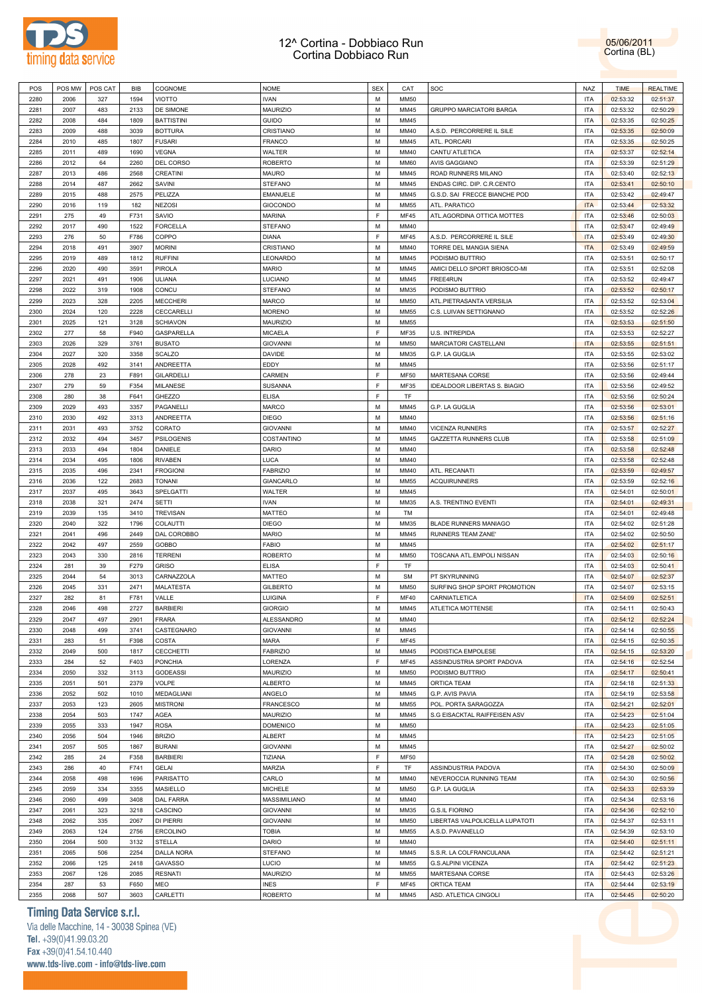

05/06/2011 Cortina (BL)

| POS  | POS MW      | POS CAT   | BIB  | COGNOME           | <b>NOME</b>                   | <b>SEX</b> | CAT         | <b>SOC</b>                           | NAZ        | <b>TIME</b>          | <b>REALTIME</b>      |  |
|------|-------------|-----------|------|-------------------|-------------------------------|------------|-------------|--------------------------------------|------------|----------------------|----------------------|--|
| 2280 | 2006        | 327       | 1594 | VIOTTO            | <b>IVAN</b>                   | М          | <b>MM50</b> |                                      | <b>ITA</b> | 02:53:32             | 02:51:37             |  |
|      |             |           |      |                   |                               |            |             |                                      |            |                      |                      |  |
| 2281 | 2007        | 483       | 2133 | DE SIMONE         | <b>MAURIZIO</b>               | M          | MM45        | <b>GRUPPO MARCIATORI BARGA</b>       | <b>ITA</b> | 02:53:32             | 02:50:29             |  |
| 2282 | 2008        | 484       | 1809 | <b>BATTISTINI</b> | <b>GUIDO</b>                  | M          | MM45        |                                      | <b>ITA</b> | 02:53:35             | 02:50:25             |  |
| 2283 | 2009        | 488       | 3039 | <b>BOTTURA</b>    | CRISTIANO                     | M          | MM40        | A.S.D. PERCORRERE IL SILE            | <b>ITA</b> | 02:53:35             | 02:50:09             |  |
| 2284 | 2010        | 485       | 1807 |                   |                               | M          | MM45        | ATL. PORCARI                         | <b>ITA</b> |                      |                      |  |
|      |             |           |      | <b>FUSARI</b>     | <b>FRANCO</b>                 |            |             |                                      |            | 02:53:35             | 02:50:25             |  |
| 2285 | 2011        | 489       | 1690 | <b>VEGNA</b>      | WALTER                        | M          | MM40        | CANTU'ATLETICA                       | <b>ITA</b> | 02:53:37             | 02:52:14             |  |
| 2286 | 2012        | 64        | 2260 | DEL CORSO         | <b>ROBERTO</b>                | M          | <b>MM60</b> | AVIS GAGGIANO                        | <b>ITA</b> | 02:53:39             | 02:51:29             |  |
| 2287 | 2013        | 486       | 2568 | CREATINI          | MAURO                         | M          | MM45        | ROAD RUNNERS MILANO                  | <b>ITA</b> | 02:53:40             | 02:52:13             |  |
|      |             |           |      |                   |                               |            |             |                                      |            |                      |                      |  |
| 2288 | 2014        | 487       | 2662 | SAVINI            | STEFANO                       | M          | MM45        | ENDAS CIRC. DIP. C.R.CENTO           | <b>ITA</b> | 02:53:41             | 02:50:10             |  |
| 2289 | 2015        | 488       | 2575 | PELIZZA           | EMANUELE                      | M          | MM45        | G.S.D. SAI FRECCE BIANCHE POD        | <b>ITA</b> | 02:53:42             | 02:49:47             |  |
| 2290 | 2016        | 119       | 182  | <b>NEZOSI</b>     | <b>GIOCONDO</b>               | M          | MM55        | ATL. PARATICO                        | <b>ITA</b> | 02:53:44             | 02:53:32             |  |
|      |             |           |      |                   |                               | E          |             |                                      |            |                      |                      |  |
| 2291 | 275         | 49        | F731 | SAVIO             | <b>MARINA</b>                 |            | <b>MF45</b> | ATL.AGORDINA OTTICA MOTTES           | <b>ITA</b> | 02:53:46             | 02:50:03             |  |
| 2292 | 2017        | 490       | 1522 | <b>FORCELLA</b>   | STEFANO                       | M          | MM40        |                                      | <b>ITA</b> | 02:53:47             | 02:49:49             |  |
| 2293 | 276         | 50        | F786 | COPPO             | <b>DIANA</b>                  | F          | <b>MF45</b> | A.S.D. PERCORRERE IL SILE            | <b>ITA</b> | 02:53:49             | 02:49:30             |  |
|      |             |           |      |                   |                               |            |             |                                      |            |                      |                      |  |
| 2294 | 2018        | 491       | 3907 | <b>MORINI</b>     | CRISTIANO                     | M          | MM40        | TORRE DEL MANGIA SIENA               | <b>ITA</b> | 02:53:49             | 02:49:59             |  |
| 2295 | 2019        | 489       | 1812 | <b>RUFFINI</b>    | LEONARDO                      | M          | MM45        | PODISMO BUTTRIO                      | <b>ITA</b> | 02:53:51             | 02:50:17             |  |
| 2296 | 2020        | 490       | 3591 | PIROLA            | <b>MARIO</b>                  | M          | MM45        | AMICI DELLO SPORT BRIOSCO-MI         | <b>ITA</b> | 02:53:51             | 02:52:08             |  |
| 2297 | 2021        | 491       | 1906 | ULIANA            | LUCIANO                       | M          | MM45        | FREE4RUN                             | <b>ITA</b> | 02:53:52             | 02:49:47             |  |
|      |             |           |      |                   |                               |            |             |                                      |            |                      |                      |  |
| 2298 | 2022        | 319       | 1908 | CONCU             | <b>STEFANO</b>                | M          | MM35        | PODISMO BUTTRIO                      | <b>ITA</b> | 02:53:52             | 02:50:17             |  |
| 2299 | 2023        | 328       | 2205 | <b>MECCHERI</b>   | MARCO                         | M          | <b>MM50</b> | ATL.PIETRASANTA VERSILIA             | <b>ITA</b> | 02:53:52             | 02:53:04             |  |
| 2300 | 2024        | 120       | 2228 | CECCARELLI        | <b>MORENO</b>                 | M          | MM55        | C.S. LUIVAN SETTIGNANO               | <b>ITA</b> | 02:53:52             | 02:52:26             |  |
|      |             |           |      |                   |                               |            |             |                                      |            |                      |                      |  |
| 2301 | 2025        | 121       | 3128 | <b>SCHIAVON</b>   | <b>MAURIZIO</b>               | M          | MM55        |                                      | <b>ITA</b> | 02:53:53             | 02:51:50             |  |
| 2302 | 277         | 58        | F940 | GASPARELLA        | <b>MICAELA</b>                | E          | <b>MF35</b> | U.S. INTREPIDA                       | <b>ITA</b> | 02:53:53             | 02:52:27             |  |
| 2303 | 2026        | 329       | 3761 | <b>BUSATO</b>     | <b>GIOVANNI</b>               | M          | <b>MM50</b> | MARCIATORI CASTELLANI                | <b>ITA</b> | 02:53:55             | 02:51:51             |  |
|      |             |           |      |                   |                               |            |             |                                      |            |                      |                      |  |
| 2304 | 2027        | 320       | 3358 | <b>SCALZO</b>     | DAVIDE                        | M          | MM35        | G.P. LA GUGLIA                       | <b>ITA</b> | 02:53:55             | 02:53:02             |  |
| 2305 | 2028        | 492       | 3141 | ANDREETTA         | EDDY                          | M          | MM45        |                                      | <b>ITA</b> | 02:53:56             | 02:51:17             |  |
| 2306 | 278         | 23        | F891 | GILARDELLI        | CARMEN                        | E          | <b>MF50</b> | MARTESANA CORSE                      | <b>ITA</b> | 02:53:56             | 02:49:44             |  |
|      |             |           |      |                   |                               |            |             |                                      |            |                      |                      |  |
| 2307 | 279         | 59        | F354 | MILANESE          | SUSANNA                       | F          | <b>MF35</b> | IDEALDOOR LIBERTAS S. BIAGIO         | <b>ITA</b> | 02:53:56             | 02:49:52             |  |
| 2308 | 280         | 38        | F641 | GHEZZO            | <b>ELISA</b>                  | F          | TF          |                                      | <b>ITA</b> | 02:53:56             | 02:50:24             |  |
| 2309 | 2029        | 493       | 3357 | PAGANELLI         | MARCO                         | M          | MM45        | G.P. LA GUGLIA                       | <b>ITA</b> | 02:53:56             | 02:53:01             |  |
|      |             |           |      |                   |                               |            |             |                                      |            |                      |                      |  |
| 2310 | 2030        | 492       | 3313 | ANDREETTA         | <b>DIEGO</b>                  | M          | MM40        |                                      | <b>ITA</b> | 02:53:56             | 02:51:16             |  |
| 2311 | 2031        | 493       | 3752 | CORATO            | <b>GIOVANNI</b>               | M          | MM40        | <b>VICENZA RUNNERS</b>               | <b>ITA</b> | 02:53:57             | 02:52:27             |  |
| 2312 | 2032        | 494       | 3457 | <b>PSILOGENIS</b> | COSTANTINO                    | M          | MM45        | <b>GAZZETTA RUNNERS CLUB</b>         | <b>ITA</b> | 02:53:58             | 02:51:09             |  |
| 2313 |             |           | 1804 |                   |                               | M          |             |                                      | <b>ITA</b> |                      |                      |  |
|      | 2033        | 494       |      | DANIELE           | <b>DARIO</b>                  |            | MM40        |                                      |            | 02:53:58             | 02:52:48             |  |
| 2314 | 2034        | 495       | 1806 | <b>RIVABEN</b>    | <b>LUCA</b>                   | M          | MM40        |                                      | <b>ITA</b> | 02:53:58             | 02:52:48             |  |
| 2315 | 2035        | 496       | 2341 | <b>FROGIONI</b>   | <b>FABRIZIO</b>               | M          | MM40        | ATL. RECANATI                        | <b>ITA</b> | 02:53:59             | 02:49:57             |  |
| 2316 | 2036        | 122       | 2683 | <b>TONANI</b>     | GIANCARLO                     | M          | MM55        | <b>ACQUIRUNNERS</b>                  | <b>ITA</b> | 02:53:59             | 02:52:16             |  |
|      |             |           |      |                   |                               |            |             |                                      |            |                      |                      |  |
| 2317 | 2037        | 495       | 3643 | SPELGATTI         | WALTER                        | M          | MM45        |                                      | <b>ITA</b> | 02:54:01             | 02:50:01             |  |
| 2318 | 2038        | 321       | 2474 | <b>SETTI</b>      | <b>IVAN</b>                   | M          | MM35        | A.S. TRENTINO EVENTI                 | <b>ITA</b> | 02:54:01             | 02:49:31             |  |
| 2319 | 2039        | 135       | 3410 | <b>TREVISAN</b>   | <b>MATTEO</b>                 | M          | TM          |                                      | <b>ITA</b> | 02:54:01             | 02:49:48             |  |
|      |             |           |      |                   |                               |            |             |                                      |            |                      |                      |  |
| 2320 | 2040        | 322       | 1796 | COLAUTTI          | <b>DIEGO</b>                  | M          | MM35        | BLADE RUNNERS MANIAGO                | <b>ITA</b> | 02:54:02             | 02:51:28             |  |
| 2321 | 2041        | 496       | 2449 | DAL COROBBO       | <b>MARIO</b>                  | M          | MM45        | RUNNERS TEAM ZANE'                   | <b>ITA</b> | 02:54:02             | 02:50:50             |  |
| 2322 | 2042        | 497       | 2559 | GOBBO             | <b>FABIO</b>                  | M          | MM45        |                                      | <b>ITA</b> | 02:54:02             | 02:51:17             |  |
|      |             |           |      |                   |                               |            |             |                                      |            |                      |                      |  |
| 2323 | 2043        | 330       | 2816 | <b>TERRENI</b>    | <b>ROBERTO</b>                | M          | <b>MM50</b> | TOSCANA ATL.EMPOLI NISSAN            | <b>ITA</b> | 02:54:03             | 02:50:16             |  |
| 2324 | 281         | 39        | F279 | <b>GRISO</b>      | <b>ELISA</b>                  | F          | TF          |                                      | <b>ITA</b> | 02:54:03             | 02:50:41             |  |
| 2325 | 2044        | 54        | 3013 | CARNAZZOLA        | MATTEO                        | M          | <b>SM</b>   | PT SKYRUNNING                        | <b>ITA</b> | 02:54:07             | 02:52:37             |  |
|      |             |           |      |                   |                               |            |             |                                      |            |                      |                      |  |
| 2326 | 2045        | 331       | 2471 | MALATESTA         | <b>GILBERTO</b>               | M          | <b>MM50</b> | SURFING SHOP SPORT PROMOTION         | <b>ITA</b> | 02:54:07             | 02:53:15             |  |
| 2327 | 282         | 81        | F781 | VALLE             | LUIGINA                       | F          | <b>MF40</b> | CARNIATLETICA                        | <b>ITA</b> | 02:54:09             | 02:52:51             |  |
| 2328 | 2046        | 498       | 2727 | <b>BARBIERI</b>   | <b>GIORGIO</b>                | M          | MM45        | ATLETICA MOTTENSE                    | <b>ITA</b> | 02:54:11             | 02:50:43             |  |
|      |             |           |      |                   |                               |            |             |                                      |            |                      |                      |  |
| 2329 | 2047        | 497       | 2901 | FRARA             | ALESSANDRO                    | М          | MM40        |                                      | ITA        | 02:54:12             | 02:52:24             |  |
| 2330 | 2048        | 499       | 3741 | CASTEGNARO        | <b>GIOVANNI</b>               | M          | MM45        |                                      | <b>ITA</b> | 02:54:14             | 02:50:55             |  |
| 2331 | 283         | 51        | F398 | COSTA             | <b>MARA</b>                   | F          | <b>MF45</b> |                                      | <b>ITA</b> | 02:54:15             | 02:50:35             |  |
| 2332 | 2049        | 500       | 1817 | CECCHETTI         | <b>FABRIZIO</b>               | M          | MM45        | PODISTICA EMPOLESE                   | <b>ITA</b> | 02:54:15             | 02:53:20             |  |
|      |             |           |      |                   |                               |            |             |                                      |            |                      |                      |  |
| 2333 | 284         | 52        | F403 | PONCHIA           | LORENZA                       | F          | <b>MF45</b> | ASSINDUSTRIA SPORT PADOVA            | <b>ITA</b> | 02:54:16             | 02:52:54             |  |
| 2334 | 2050        | 332       | 3113 | GODEASSI          | MAURIZIO                      | M          | <b>MM50</b> | PODISMO BUTTRIO                      | <b>ITA</b> | 02:54:17             | 02:50:41             |  |
| 2335 | 2051        | 501       | 2379 | <b>VOLPE</b>      | <b>ALBERTO</b>                | M          | MM45        | ORTICA TEAM                          | <b>ITA</b> | 02:54:18             | 02:51:33             |  |
|      |             |           |      |                   |                               |            |             |                                      |            |                      |                      |  |
| 2336 | 2052        | 502       | 1010 | MEDAGLIANI        | ANGELO                        | M          | MM45        | G.P. AVIS PAVIA                      | <b>ITA</b> | 02:54:19             | 02:53:58             |  |
| 2337 | 2053        | 123       | 2605 | <b>MISTRONI</b>   | <b>FRANCESCO</b>              | M          | <b>MM55</b> | POL. PORTA SARAGOZZA                 | <b>ITA</b> | 02:54:21             | 02:52:01             |  |
| 2338 | 2054        | 503       | 1747 | AGEA              | MAURIZIO                      | M          | MM45        | S.G EISACKTAL RAIFFEISEN ASV         | <b>ITA</b> | 02:54:23             | 02:51:04             |  |
|      |             |           |      |                   |                               |            |             |                                      |            |                      |                      |  |
| 2339 | 2055        | 333       | 1947 | <b>ROSA</b>       | <b>DOMENICO</b>               | M          | <b>MM50</b> |                                      | <b>ITA</b> | 02:54:23             | 02:51:05             |  |
| 2340 | 2056        | 504       | 1946 | <b>BRIZIO</b>     | ALBERT                        | M          | MM45        |                                      | <b>ITA</b> | 02:54:23             | 02:51:05             |  |
| 2341 | 2057        | 505       | 1867 | <b>BURANI</b>     | <b>GIOVANNI</b>               | M          | MM45        |                                      | <b>ITA</b> | 02:54:27             | 02:50:02             |  |
| 2342 | 285         |           | F358 |                   |                               | F          | <b>MF50</b> |                                      | <b>ITA</b> |                      |                      |  |
|      |             | 24        |      | <b>BARBIERI</b>   | TIZIANA                       |            |             |                                      |            | 02:54:28             | 02:50:02             |  |
| 2343 | 286         | 40        | F741 | GELAI             | MARZIA                        | F          | TF          | ASSINDUSTRIA PADOVA                  | <b>ITA</b> | 02:54:30             | 02:50:09             |  |
| 2344 | 2058        | 498       | 1696 | PARISATTO         | CARLO                         | M          | MM40        | NEVEROCCIA RUNNING TEAM              | <b>ITA</b> | 02:54:30             | 02:50:56             |  |
| 2345 | 2059        | 334       | 3355 | MASIELLO          | <b>MICHELE</b>                | M          | <b>MM50</b> | G.P. LA GUGLIA                       | <b>ITA</b> | 02:54:33             | 02:53:39             |  |
|      |             |           |      |                   |                               |            |             |                                      |            |                      |                      |  |
| 2346 | 2060        | 499       | 3408 | DAL FARRA         | MASSIMILIANO                  | M          | MM40        |                                      | <b>ITA</b> | 02:54:34             | 02:53:16             |  |
| 2347 | 2061        | 323       | 3218 | CASCINO           | <b>GIOVANNI</b>               | M          | MM35        | <b>G.S.IL FIORINO</b>                | <b>ITA</b> | 02:54:36             | 02:52:10             |  |
| 2348 | 2062        | 335       | 2067 | DI PIERRI         | <b>GIOVANNI</b>               | M          | <b>MM50</b> | LIBERTAS VALPOLICELLA LUPATOTI       | <b>ITA</b> | 02:54:37             | 02:53:11             |  |
|      |             |           |      |                   |                               |            |             |                                      |            |                      |                      |  |
| 2349 | 2063        | 124       | 2756 | ERCOLINO          | <b>TOBIA</b>                  | M          | <b>MM55</b> | A.S.D. PAVANELLO                     | <b>ITA</b> | 02:54:39             | 02:53:10             |  |
| 2350 | 2064        | 500       | 3132 | <b>STELLA</b>     | <b>DARIO</b>                  | M          | MM40        |                                      | <b>ITA</b> | 02:54:40             | 02:51:11             |  |
| 2351 | 2065        | 506       | 2254 | DALLA NORA        | <b>STEFANO</b>                | M          | MM45        | S.S.R. LA COLFRANCULANA              | <b>ITA</b> | 02:54:42             | 02:51:21             |  |
|      |             |           |      |                   |                               |            |             |                                      |            |                      |                      |  |
| 2352 | 2066        | 125       | 2418 | <b>GAVASSO</b>    | LUCIO                         | M          | <b>MM55</b> | <b>G.S.ALPINI VICENZA</b>            | <b>ITA</b> | 02:54:42             | 02:51:23             |  |
| 2353 | 2067        | 126       | 2085 | <b>RESNATI</b>    | MAURIZIO                      | M          | <b>MM55</b> | MARTESANA CORSE                      | <b>ITA</b> | 02:54:43             | 02:53:26             |  |
|      |             |           |      |                   |                               |            |             |                                      |            |                      |                      |  |
| 2354 |             |           | F650 |                   |                               | F          | <b>MF45</b> |                                      | <b>ITA</b> |                      |                      |  |
| 2355 | 287<br>2068 | 53<br>507 | 3603 | MEO<br>CARLETTI   | <b>INES</b><br><b>ROBERTO</b> | M          | MM45        | ORTICA TEAM<br>ASD. ATLETICA CINGOLI | <b>ITA</b> | 02:54:44<br>02:54:45 | 02:53:19<br>02:50:20 |  |

# **Timing Data Service s.r.l.**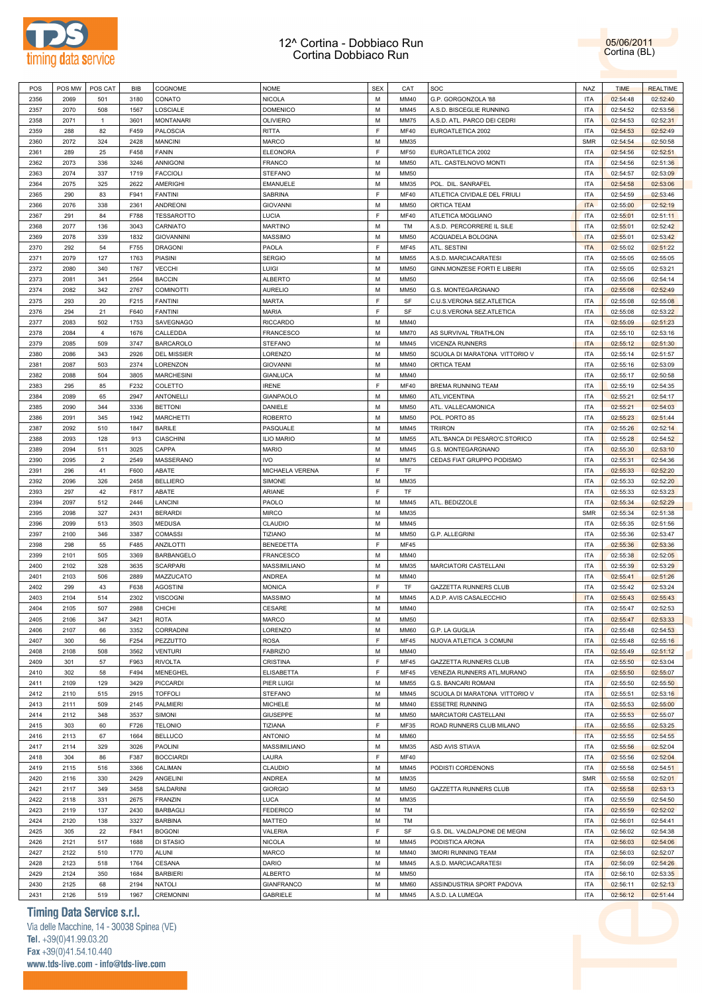



| POS          | POS MW       | POS CAT        | BIB          | COGNOME                           | <b>NOME</b>                   | <b>SEX</b> | CAT                 | SOC                                           | <b>NAZ</b>               | <b>TIME</b>          | <b>REALTIME</b>      |
|--------------|--------------|----------------|--------------|-----------------------------------|-------------------------------|------------|---------------------|-----------------------------------------------|--------------------------|----------------------|----------------------|
| 2356         | 2069         | 501            | 3180         | CONATO                            | <b>NICOLA</b>                 | M          | MM40                | G.P. GORGONZOLA '88                           | <b>ITA</b>               | 02:54:48             | 02:52:40             |
| 2357         | 2070         | 508            | 1567         | LOSCIALE                          | <b>DOMENICO</b>               | M          | MM45                | A.S.D. BISCEGLIE RUNNING                      | <b>ITA</b>               | 02:54:52             | 02:53:56             |
| 2358         | 2071         | $\overline{1}$ | 3601         | <b>MONTANARI</b>                  | <b>OLIVIERO</b>               | M          | <b>MM75</b>         | A.S.D. ATL. PARCO DEI CEDRI                   | <b>ITA</b>               | 02:54:53             | 02:52:31             |
| 2359         | 288          | 82             | F459         | <b>PALOSCIA</b>                   | <b>RITTA</b>                  | E          | <b>MF40</b>         | EUROATLETICA 2002                             | <b>ITA</b>               | 02:54:53             | 02:52:49             |
| 2360         | 2072         | 324            | 2428         | <b>MANCINI</b>                    | <b>MARCO</b>                  | M          | MM35                |                                               | <b>SMR</b>               | 02:54:54             | 02:50:58             |
| 2361         | 289          | 25             | F458         | <b>FANIN</b>                      | <b>ELEONORA</b>               | E          | <b>MF50</b>         | EUROATLETICA 2002                             | <b>ITA</b>               | 02:54:56             | 02:52:51             |
| 2362         | 2073         | 336            | 3246         | <b>ANNIGONI</b>                   | <b>FRANCO</b>                 | M          | <b>MM50</b>         | ATL. CASTELNOVO MONTI                         | <b>ITA</b>               | 02:54:56             | 02:51:36             |
| 2363         | 2074         | 337            | 1719         | <b>FACCIOLI</b>                   | <b>STEFANO</b>                | M          | MM50                |                                               | <b>ITA</b>               | 02:54:57             | 02:53:09             |
| 2364         | 2075         | 325            | 2622         | <b>AMERIGHI</b>                   | <b>EMANUELE</b>               | M          | MM35                | POL. DIL. SANRAFEL                            | <b>ITA</b>               | 02:54:58             | 02:53:06             |
| 2365         | 290          | 83             | F941         | <b>FANTINI</b>                    | SABRINA                       | E          | <b>MF40</b>         | ATLETICA CIVIDALE DEL FRIULI                  | <b>ITA</b>               | 02:54:59             | 02:53:46             |
| 2366         | 2076         | 338            | 2361         | ANDREONI                          | <b>GIOVANNI</b>               | M          | <b>MM50</b>         | ORTICA TEAM                                   | <b>ITA</b>               | 02:55:00             | 02:52:19             |
| 2367         | 291          | 84             | F788         | <b>TESSAROTTO</b>                 | LUCIA                         | E          | <b>MF40</b>         | ATLETICA MOGLIANO                             | <b>ITA</b>               | 02:55:01             | 02:51:11             |
| 2368         | 2077         | 136            | 3043         | CARNIATO                          | <b>MARTINO</b>                | M          | TM                  | A.S.D. PERCORRERE IL SILE                     | <b>ITA</b>               | 02:55:01             | 02:52:42             |
| 2369         | 2078         | 339            | 1832         | <b>GIOVANNINI</b>                 | <b>MASSIMO</b>                | M          | <b>MM50</b>         | ACQUADELA BOLOGNA                             | <b>ITA</b>               | 02:55:01             | 02:53:42             |
| 2370         | 292          | 54             | F755         | <b>DRAGONI</b>                    | PAOLA                         | E          | <b>MF45</b>         | ATL. SESTINI                                  | <b>ITA</b>               | 02:55:02             | 02:51:22             |
| 2371         | 2079         | 127            | 1763         | <b>PIASINI</b>                    | <b>SERGIO</b>                 | M          | <b>MM55</b>         | A.S.D. MARCIACARATESI                         | <b>ITA</b>               | 02:55:05             | 02:55:05             |
| 2372         | 2080         | 340            | 1767         | <b>VECCHI</b>                     | LUIGI                         | M          | <b>MM50</b>         | GINN.MONZESE FORTI E LIBERI                   | <b>ITA</b>               | 02:55:05             | 02:53:21             |
| 2373         | 2081         | 341            | 2564         | <b>BACCIN</b>                     | <b>ALBERTO</b>                | M          | MM50                |                                               | <b>ITA</b>               | 02:55:06             | 02:54:14             |
| 2374         | 2082         | 342            | 2767         | <b>COMINOTTI</b>                  | <b>AURELIO</b>                | M          | <b>MM50</b>         | G.S. MONTEGARGNANO                            | <b>ITA</b>               | 02:55:08             | 02:52:49             |
| 2375         | 293          | 20             | F215         | <b>FANTINI</b>                    | <b>MARTA</b>                  | E          | SF                  | C.U.S.VERONA SEZ.ATLETICA                     | <b>ITA</b>               | 02:55:08             | 02:55:08             |
| 2376         | 294          | 21             | F640         | <b>FANTINI</b>                    | <b>MARIA</b>                  | E          | SF                  | C.U.S.VERONA SEZ.ATLETICA                     | <b>ITA</b>               |                      | 02:53:22             |
|              |              |                |              |                                   |                               | M          |                     |                                               |                          | 02:55:08             |                      |
| 2377         | 2083         | 502            | 1753         | SAVEGNAGO                         | <b>RICCARDO</b>               |            | MM40                |                                               | <b>ITA</b>               | 02:55:09             | 02:51:23             |
| 2378         | 2084         | $\overline{4}$ | 1676         | CALLEDDA                          | <b>FRANCESCO</b>              | M<br>M     | <b>MM70</b>         | AS SURVIVAL TRIATHLON                         | <b>ITA</b>               | 02:55:10             | 02:53:16             |
| 2379         | 2085         | 509            | 3747         | <b>BARCAROLO</b>                  | <b>STEFANO</b>                |            | MM45                | VICENZA RUNNERS                               | <b>ITA</b>               | 02:55:12             | 02:51:30             |
| 2380         | 2086         | 343            | 2926         | <b>DEL MISSIER</b>                | LORENZO                       | M          | <b>MM50</b>         | SCUOLA DI MARATONA VITTORIO V                 | <b>ITA</b>               | 02:55:14             | 02:51:57             |
| 2381         | 2087         | 503            | 2374         | LORENZON                          | <b>GIOVANNI</b>               | M          | MM40                | <b>ORTICA TEAM</b>                            | <b>ITA</b>               | 02:55:16             | 02:53:09             |
| 2382         | 2088         | 504            | 3805         | <b>MARCHESINI</b>                 | <b>GIANLUCA</b>               | M          | MM40                |                                               | <b>ITA</b>               | 02:55:17             | 02:50:58             |
| 2383         | 295          | 85             | F232         | COLETTO                           | <b>IRENE</b>                  | E          | <b>MF40</b>         | <b>BREMA RUNNING TEAM</b>                     | <b>ITA</b>               | 02:55:19             | 02:54:35             |
| 2384         | 2089         | 65             | 2947         | <b>ANTONELLI</b>                  | <b>GIANPAOLO</b>              | M          | <b>MM60</b>         | ATL.VICENTINA                                 | <b>ITA</b>               | 02:55:21             | 02:54:17             |
| 2385         | 2090         | 344            | 3336         | <b>BETTONI</b>                    | DANIELE                       | M          | <b>MM50</b>         | ATL. VALLECAMONICA                            | <b>ITA</b>               | 02:55:21             | 02:54:03             |
| 2386         | 2091         | 345            | 1942         | <b>MARCHETTI</b>                  | <b>ROBERTO</b>                | M          | <b>MM50</b>         | POL. PORTO 85                                 | <b>ITA</b>               | 02:55:23             | 02:51:44             |
| 2387         | 2092         | 510            | 1847         | <b>BARILE</b>                     | PASQUALE                      | M          | MM45                | <b>TRIIRON</b>                                | <b>ITA</b>               | 02:55:26             | 02:52:14             |
| 2388         | 2093         | 128            | 913          | <b>CIASCHINI</b>                  | <b>ILIO MARIO</b>             | M          | <b>MM55</b>         | ATL.'BANCA DI PESARO'C.STORICO                | <b>ITA</b>               | 02:55:28             | 02:54:52             |
| 2389         | 2094         | 511            | 3025         | CAPPA                             | <b>MARIO</b>                  | M          | MM45                | G.S. MONTEGARGNANO                            | <b>ITA</b>               | 02:55:30             | 02:53:10             |
| 2390         | 2095         | $\overline{2}$ | 2549         | MASSERANO                         | <b>IVO</b>                    | M          | <b>MM75</b>         | CEDAS FIAT GRUPPO PODISMO                     | <b>ITA</b>               | 02:55:31             | 02:54:36             |
| 2391         | 296          | 41             | F600         | ABATE                             | MICHAELA VERENA               | E          | TF                  |                                               | <b>ITA</b>               | 02:55:33             | 02:52:20             |
| 2392         | 2096         | 326            | 2458         | <b>BELLIERO</b>                   | SIMONE                        | M          | MM35                |                                               | <b>ITA</b>               | 02:55:33             | 02:52:20             |
|              |              |                |              |                                   |                               |            |                     |                                               |                          |                      |                      |
| 2393         | 297          | 42             | F817         | ABATE                             | ARIANE                        | E          | TF                  |                                               | <b>ITA</b>               | 02:55:33             | 02:53:23             |
| 2394         | 2097         | 512            | 2446         | LANCINI                           | PAOLO                         | M          | MM45                | ATL. BEDIZZOLE                                | <b>ITA</b>               | 02:55:34             | 02:52:29             |
| 2395         | 2098         | 327            | 2431         | <b>BERARDI</b>                    | <b>MIRCO</b>                  | M          | MM35                |                                               | <b>SMR</b>               | 02:55:34             | 02:51:38             |
| 2396         | 2099         | 513            | 3503         | MEDUSA                            | CLAUDIO                       | M          | MM45                |                                               | <b>ITA</b>               | 02:55:35             | 02:51:56             |
| 2397         | 2100         | 346            | 3387         | <b>COMASSI</b>                    | <b>TIZIANO</b>                | M          | <b>MM50</b>         | <b>G.P. ALLEGRINI</b>                         | <b>ITA</b>               | 02:55:36             | 02:53:47             |
| 2398         | 298          | 55             | F485         | <b>ANZILOTTI</b>                  | <b>BENEDETTA</b>              | E          | <b>MF45</b>         |                                               | <b>ITA</b>               | 02:55:36             | 02:53:36             |
| 2399         | 2101         | 505            | 3369         | <b>BARBANGELO</b>                 | <b>FRANCESCO</b>              | M          | MM40                |                                               | <b>ITA</b>               | 02:55:38             | 02:52:05             |
| 2400         | 2102         | 328            | 3635         | <b>SCARPARI</b>                   | MASSIMILIANO                  | M          | MM35                | MARCIATORI CASTELLANI                         | <b>ITA</b>               | 02:55:39             | 02:53:29             |
| 2401         | 2103         | 506            | 2889         | MAZZUCATO                         | <b>ANDREA</b>                 | M          | MM40                |                                               | <b>ITA</b>               | 02:55:41             | 02:51:26             |
| 2402         | 299          | 43             | F638         | <b>AGOSTINI</b>                   | <b>MONICA</b>                 | E          | TF                  | GAZZETTA RUNNERS CLUB                         | <b>ITA</b>               | 02:55:42             | 02:53:24             |
| 2403         | 2104         | 514            | 2302         | <b>VISCOGNI</b>                   | <b>MASSIMO</b>                | M          | MM45                | A.D.P. AVIS CASALECCHIO                       | <b>ITA</b>               | 02:55:43             | 02:55:43             |
| 2404         | 2105         | 507            | 2988         | CHICHI                            | CESARE                        | M          | MM40                |                                               | <b>ITA</b>               | 02:55:47             | 02:52:53             |
| 2405         | 2106         | 347            | 3421         | <b>ROTA</b>                       | <b>MARCO</b>                  | M          | <b>MM50</b>         |                                               | <b>ITA</b>               | 02:55:47             | 02:53:33             |
| 2406         | 2107         | 66             | 3352         | <b>CORRADINI</b>                  | LORENZO                       | M          | <b>MM60</b>         | G.P. LA GUGLIA                                | <b>ITA</b>               | 02:55:48             | 02:54:53             |
| 2407         | 300          | 56             | F254         | PEZZUTTO                          | <b>ROSA</b>                   | E          | <b>MF45</b>         | NUOVA ATLETICA 3 COMUNI                       | <b>ITA</b>               | 02:55:48             | 02:55:16             |
| 2408         | 2108         | 508            | 3562         | VENTURI                           | <b>FABRIZIO</b>               | M          | MM40                |                                               | <b>ITA</b>               | 02:55:49             | 02:51:12             |
| 2409         | 301          | 57             | F963         | <b>RIVOLTA</b>                    | <b>CRISTINA</b>               | F          | <b>MF45</b>         | GAZZETTA RUNNERS CLUB                         | <b>ITA</b>               | 02:55:50             | 02:53:04             |
| 2410         | 302          | 58             | F494         | MENEGHEL                          | <b>ELISABETTA</b>             | E          | <b>MF45</b>         | VENEZIA RUNNERS ATL.MURANO                    | <b>ITA</b>               | 02:55:50             | 02:55:07             |
| 2411         | 2109         | 129            | 3429         | <b>PICCARDI</b>                   | PIER LUIGI                    | M          | <b>MM55</b>         | <b>G.S. BANCARI ROMANI</b>                    | <b>ITA</b>               | 02:55:50             | 02:55:50             |
| 2412         | 2110         | 515            | 2915         | <b>TOFFOLI</b>                    | <b>STEFANO</b>                | M          | MM45                | SCUOLA DI MARATONA VITTORIO V                 | <b>ITA</b>               | 02:55:51             | 02:53:16             |
| 2413         | 2111         | 509            | 2145         | <b>PALMIERI</b>                   | <b>MICHELE</b>                | M          | MM40                | <b>ESSETRE RUNNING</b>                        | <b>ITA</b>               | 02:55:53             | 02:55:00             |
| 2414         | 2112         | 348            | 3537         | SIMONI                            | <b>GIUSEPPE</b>               | M          | <b>MM50</b>         | MARCIATORI CASTELLANI                         | <b>ITA</b>               | 02:55:53             | 02:55:07             |
| 2415         | 303          | 60             | F726         | <b>TELONIO</b>                    | TIZIANA                       | E          | MF35                | ROAD RUNNERS CLUB MILANO                      | <b>ITA</b>               | 02:55:55             | 02:53:25             |
| 2416         | 2113         | 67             | 1664         | <b>BELLUCO</b>                    | <b>ANTONIO</b>                | M          | <b>MM60</b>         |                                               | <b>ITA</b>               | 02:55:55             | 02:54:55             |
| 2417         | 2114         | 329            | 3026         | <b>PAOLINI</b>                    | MASSIMILIANO                  | M          | MM35                | ASD AVIS STIAVA                               | <b>ITA</b>               | 02:55:56             | 02:52:04             |
| 2418         | 304          | 86             | F387         | <b>BOCCIARDI</b>                  | LAURA                         | E          | <b>MF40</b>         |                                               | <b>ITA</b>               | 02:55:56             | 02:52:04             |
| 2419         | 2115         |                | 3366         | CALIMAN                           | CLAUDIO                       | M          | MM45                |                                               | <b>ITA</b>               |                      |                      |
| 2420         | 2116         | 516            | 2429         | ANGELINI                          |                               | M          | MM35                | PODISTI CORDENONS                             | <b>SMR</b>               | 02:55:58             | 02:54:51             |
| 2421         | 2117         | 330<br>349     | 3458         | SALDARINI                         | ANDREA<br><b>GIORGIO</b>      | M          | <b>MM50</b>         | GAZZETTA RUNNERS CLUB                         | <b>ITA</b>               | 02:55:58             | 02:52:01             |
|              |              |                |              |                                   |                               |            |                     |                                               |                          | 02:55:58             | 02:53:13             |
| 2422         | 2118         | 331            | 2675         | <b>FRANZIN</b>                    | LUCA                          | M<br>M     | MM35                |                                               | <b>ITA</b>               | 02:55:59             | 02:54:50             |
| 2423         | 2119         | 137            | 2430         | <b>BARBAGLI</b>                   | <b>FEDERICO</b>               |            | TM                  |                                               | <b>ITA</b>               | 02:55:59             | 02:52:02             |
| 2424         | 2120         | 138            | 3327         | <b>BARBINA</b>                    | MATTEO                        | M          | TM                  |                                               | <b>ITA</b>               | 02:56:01             | 02:54:41             |
| 2425         | 305          | 22             | F841         | <b>BOGONI</b>                     | VALERIA                       | E          | SF                  | G.S. DIL. VALDALPONE DE MEGNI                 | <b>ITA</b>               | 02:56:02             | 02:54:38             |
| 2426         | 2121         | 517            | 1688         | DI STASIO                         | <b>NICOLA</b>                 | M          | MM45                | PODISTICA ARONA                               | <b>ITA</b>               | 02:56:03             | 02:54:06             |
| 2427         | 2122         | 510            | 1770         | <b>ALUNI</b>                      | <b>MARCO</b>                  | M          | MM40                | 3MORI RUNNING TEAM                            | <b>ITA</b>               | 02:56:03             | 02:52:07             |
| 2428         | 2123         | 518            | 1764         | CESANA                            | DARIO                         | M          | MM45                | A.S.D. MARCIACARATESI                         | <b>ITA</b>               | 02:56:09             | 02:54:26             |
| 2429         | 2124         | 350            | 1684         | <b>BARBIERI</b>                   | <b>ALBERTO</b>                | M          | <b>MM50</b>         |                                               | <b>ITA</b>               | 02:56:10             | 02:53:35             |
| 2430<br>2431 | 2125<br>2126 | 68<br>519      | 2194<br>1967 | <b>NATOLI</b><br><b>CREMONINI</b> | <b>GIANFRANCO</b><br>GABRIELE | M<br>M     | <b>MM60</b><br>MM45 | ASSINDUSTRIA SPORT PADOVA<br>A.S.D. LA LUMEGA | <b>ITA</b><br><b>ITA</b> | 02:56:11<br>02:56:12 | 02:52:13<br>02:51:44 |

# **Timing Data Service s.r.l.**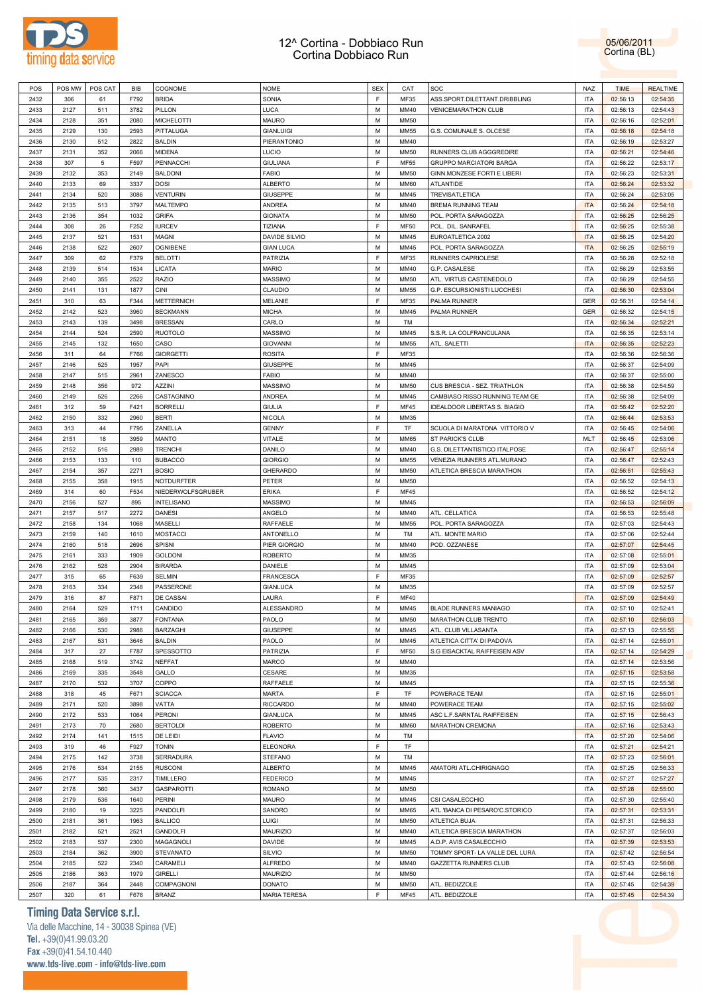



| POS  | POS MW | POS CAT         | <b>BIB</b> | COGNOME           | <b>NOME</b>         | <b>SEX</b> | CAT         | SOC                                 | <b>NAZ</b> | <b>TIME</b> | <b>REALTIME</b> |
|------|--------|-----------------|------------|-------------------|---------------------|------------|-------------|-------------------------------------|------------|-------------|-----------------|
|      |        |                 |            |                   |                     | F          |             |                                     |            |             | 02:54:35        |
| 2432 | 306    | 61              | F792       | <b>BRIDA</b>      | SONIA               |            | MF35        | ASS.SPORT.DILETTANT.DRIBBLING       | <b>ITA</b> | 02:56:13    |                 |
| 2433 | 2127   | 511             | 3782       | PILLON            | LUCA                | M          | MM40        | <b>VENICEMARATHON CLUB</b>          | ITA        | 02:56:13    | 02:54:43        |
| 2434 | 2128   | 351             | 2080       | <b>MICHELOTTI</b> | <b>MAURO</b>        | M          | <b>MM50</b> |                                     | <b>ITA</b> | 02:56:16    | 02:52:01        |
| 2435 | 2129   | 130             | 2593       | PITTALUGA         | <b>GIANLUIGI</b>    | M          | MM55        | G.S. COMUNALE S. OLCESE             | ITA        | 02:56:18    | 02:54:18        |
| 2436 | 2130   | 512             | 2822       | <b>BALDIN</b>     | PIERANTONIO         | M          | MM40        |                                     | <b>ITA</b> | 02:56:19    | 02:53:27        |
|      |        |                 |            |                   |                     |            |             |                                     |            |             |                 |
| 2437 | 2131   | 352             | 2066       | MIDENA            | <b>LUCIO</b>        | M          | <b>MM50</b> | RUNNERS CLUB AGGGREDIRE             | ITA        | 02:56:21    | 02:54:46        |
| 2438 | 307    | $5\phantom{.0}$ | F597       | PENNACCHI         | <b>GIULIANA</b>     | F          | <b>MF55</b> | <b>GRUPPO MARCIATORI BARGA</b>      | <b>ITA</b> | 02:56:22    | 02:53:17        |
| 2439 | 2132   | 353             | 2149       | <b>BALDONI</b>    | <b>FABIO</b>        | M          | <b>MM50</b> | GINN.MONZESE FORTI E LIBERI         | <b>ITA</b> | 02:56:23    | 02:53:31        |
| 2440 | 2133   | 69              | 3337       | <b>DOSI</b>       | <b>ALBERTO</b>      | M          | <b>MM60</b> | ATLANTIDE                           | <b>ITA</b> | 02:56:24    | 02:53:32        |
| 2441 | 2134   | 520             | 3086       | <b>VENTURIN</b>   | <b>GIUSEPPE</b>     | M          | MM45        | TREVISATLETICA                      | <b>ITA</b> | 02:56:24    | 02:53:05        |
|      |        |                 |            |                   |                     |            |             |                                     |            |             |                 |
| 2442 | 2135   | 513             | 3797       | MALTEMPO          | <b>ANDREA</b>       | M          | MM40        | BREMA RUNNING TEAM                  | <b>ITA</b> | 02:56:24    | 02:54:18        |
| 2443 | 2136   | 354             | 1032       | <b>GRIFA</b>      | <b>GIONATA</b>      | M          | <b>MM50</b> | POL. PORTA SARAGOZZA                | <b>ITA</b> | 02:56:25    | 02:56:25        |
| 2444 | 308    | 26              | F252       | <b>IURCEV</b>     | TIZIANA             | F          | <b>MF50</b> | POL. DIL. SANRAFEL                  | <b>ITA</b> | 02:56:25    | 02:55:38        |
| 2445 | 2137   | 521             | 1531       | MAGNI             | DAVIDE SILVIO       | M          | MM45        | EUROATLETICA 2002                   | <b>ITA</b> | 02:56:25    | 02:54:20        |
| 2446 | 2138   | 522             | 2607       | <b>OGNIBENE</b>   | <b>GIAN LUCA</b>    | M          | MM45        | POL. PORTA SARAGOZZA                | <b>ITA</b> | 02:56:25    | 02:55:19        |
|      |        |                 |            |                   |                     | F          |             |                                     |            |             |                 |
| 2447 | 309    | 62              | F379       | <b>BELOTTI</b>    | PATRIZIA            |            | MF35        | RUNNERS CAPRIOLESE                  | <b>ITA</b> | 02:56:28    | 02:52:18        |
| 2448 | 2139   | 514             | 1534       | LICATA            | <b>MARIO</b>        | M          | MM40        | G.P. CASALESE                       | <b>ITA</b> | 02:56:29    | 02:53:55        |
| 2449 | 2140   | 355             | 2522       | <b>RAZIO</b>      | <b>MASSIMO</b>      | M          | <b>MM50</b> | ATL. VIRTUS CASTENEDOLO             | ITA        | 02:56:29    | 02:54:55        |
| 2450 | 2141   | 131             | 1877       | <b>CINI</b>       | CLAUDIO             | M          | <b>MM55</b> | G.P. ESCURSIONISTI LUCCHESI         | <b>ITA</b> | 02:56:30    | 02:53:04        |
| 2451 | 310    | 63              | F344       | <b>METTERNICH</b> | MELANIE             | F          | MF35        | PALMA RUNNER                        | <b>GER</b> | 02:56:31    | 02:54:14        |
|      |        |                 |            |                   |                     |            |             |                                     |            |             |                 |
| 2452 | 2142   | 523             | 3960       | <b>BECKMANN</b>   | <b>MICHA</b>        | M          | MM45        | PALMA RUNNER                        | <b>GER</b> | 02:56:32    | 02:54:15        |
| 2453 | 2143   | 139             | 3498       | <b>BRESSAN</b>    | CARLO               | M          | TM          |                                     | ITA        | 02:56:34    | 02:52:21        |
| 2454 | 2144   | 524             | 2590       | <b>RUOTOLO</b>    | <b>MASSIMO</b>      | M          | MM45        | S.S.R. LA COLFRANCULANA             | <b>ITA</b> | 02:56:35    | 02:53:14        |
| 2455 | 2145   | 132             | 1650       | CASO              | <b>GIOVANNI</b>     | M          | <b>MM55</b> | ATL. SALETTI                        | <b>ITA</b> | 02:56:35    | 02:52:23        |
| 2456 | 311    | 64              | F766       | <b>GIORGETTI</b>  | <b>ROSITA</b>       | F          | MF35        |                                     | <b>ITA</b> | 02:56:36    | 02:56:36        |
|      |        |                 |            |                   |                     |            |             |                                     |            |             |                 |
| 2457 | 2146   | 525             | 1957       | PAPI              | <b>GIUSEPPE</b>     | M          | MM45        |                                     | <b>ITA</b> | 02:56:37    | 02:54:09        |
| 2458 | 2147   | 515             | 2961       | ZANESCO           | <b>FABIO</b>        | M          | MM40        |                                     | <b>ITA</b> | 02:56:37    | 02:55:00        |
| 2459 | 2148   | 356             | 972        | AZZINI            | <b>MASSIMO</b>      | M          | <b>MM50</b> | CUS BRESCIA - SEZ. TRIATHLON        | <b>ITA</b> | 02:56:38    | 02:54:59        |
| 2460 | 2149   | 526             | 2266       | CASTAGNINO        | <b>ANDREA</b>       | M          | MM45        | CAMBIASO RISSO RUNNING TEAM GE      | <b>ITA</b> | 02:56:38    | 02:54:09        |
| 2461 | 312    | 59              | F421       | <b>BORRELLI</b>   | <b>GIULIA</b>       | F          | MF45        | <b>IDEALDOOR LIBERTAS S. BIAGIO</b> | ITA        | 02:56:42    | 02:52:20        |
|      |        |                 |            |                   |                     |            |             |                                     |            |             |                 |
| 2462 | 2150   | 332             | 2960       | <b>BERTI</b>      | <b>NICOLA</b>       | M          | MM35        |                                     | <b>ITA</b> | 02:56:44    | 02:53:53        |
| 2463 | 313    | 44              | F795       | ZANELLA           | <b>GENNY</b>        | F          | TF          | SCUOLA DI MARATONA VITTORIO V       | ITA        | 02:56:45    | 02:54:06        |
| 2464 | 2151   | 18              | 3959       | MANTO             | VITALE              | M          | <b>MM65</b> | <b>ST PARICK'S CLUB</b>             | MLT        | 02:56:45    | 02:53:06        |
| 2465 | 2152   | 516             | 2989       | <b>TRENCHI</b>    | DANILO              | M          | MM40        | G.S. DILETTANTISTICO ITALPOSE       | <b>ITA</b> | 02:56:47    | 02:55:14        |
| 2466 | 2153   | 133             | 110        | <b>BUBACCO</b>    | <b>GIORGIO</b>      | M          | MM55        | VENEZIA RUNNERS ATL.MURANO          | <b>ITA</b> | 02:56:47    | 02:52:43        |
|      |        |                 |            |                   |                     |            |             |                                     |            |             |                 |
| 2467 | 2154   | 357             | 2271       | <b>BOSIO</b>      | <b>GHERARDO</b>     | M          | <b>MM50</b> | ATLETICA BRESCIA MARATHON           | <b>ITA</b> | 02:56:51    | 02:55:43        |
| 2468 | 2155   | 358             | 1915       | <b>NOTDURFTER</b> | PETER               | M          | <b>MM50</b> |                                     | <b>ITA</b> | 02:56:52    | 02:54:13        |
| 2469 | 314    | 60              | F534       | NIEDERWOLFSGRUBER | <b>ERIKA</b>        | F          | <b>MF45</b> |                                     | <b>ITA</b> | 02:56:52    | 02:54:12        |
| 2470 | 2156   | 527             | 895        | <b>INTELISANO</b> | <b>MASSIMO</b>      | M          | MM45        |                                     | <b>ITA</b> | 02:56:53    | 02:56:09        |
| 2471 | 2157   | 517             | 2272       | <b>DANESI</b>     | ANGELO              | M          | MM40        | ATL. CELLATICA                      | <b>ITA</b> | 02:56:53    | 02:55:48        |
|      |        |                 |            |                   |                     |            |             |                                     |            |             |                 |
| 2472 | 2158   | 134             | 1068       | <b>MASELLI</b>    | RAFFAELE            | M          | MM55        | POL. PORTA SARAGOZZA                | <b>ITA</b> | 02:57:03    | 02:54:43        |
| 2473 | 2159   | 140             | 1610       | <b>MOSTACCI</b>   | ANTONELLO           | M          | TM          | ATL. MONTE MARIO                    | <b>ITA</b> | 02:57:06    | 02:52:44        |
| 2474 | 2160   | 518             | 2696       | SPISNI            | PIER GIORGIO        | M          | MM40        | POD. OZZANESE                       | <b>ITA</b> | 02:57:07    | 02:54:45        |
| 2475 | 2161   | 333             | 1909       | <b>GOLDONI</b>    | <b>ROBERTO</b>      | M          | MM35        |                                     | <b>ITA</b> | 02:57:08    | 02:55:01        |
| 2476 | 2162   | 528             | 2904       | <b>BIRARDA</b>    | <b>DANIELE</b>      | M          | MM45        |                                     | <b>ITA</b> | 02:57:09    | 02:53:04        |
|      |        |                 |            |                   |                     |            |             |                                     |            |             |                 |
| 2477 | 315    | 65              | F639       | <b>SELMIN</b>     | <b>FRANCESCA</b>    | F          | MF35        |                                     | ITA        | 02:57:09    | 02:52:57        |
| 2478 | 2163   | 334             | 2348       | PASSERONE         | <b>GIANLUCA</b>     | M          | MM35        |                                     | <b>ITA</b> | 02:57:09    | 02:52:57        |
| 2479 | 316    | 87              | F871       | DE CASSAI         | LAURA               | F          | <b>MF40</b> |                                     | <b>ITA</b> | 02:57:09    | 02:54:49        |
| 2480 | 2164   | 529             | 1711       | CANDIDO           | ALESSANDRO          | M          | MM45        | <b>BLADE RUNNERS MANIAGO</b>        | <b>ITA</b> | 02:57:10    | 02:52:41        |
| 2481 | 2165   | 359             | 3877       | <b>FONTANA</b>    | PAOLO               | M          | <b>MM50</b> | MARATHON CLUB TRENTO                | <b>ITA</b> | 02:57:10    | 02:56:03        |
|      |        |                 |            |                   |                     |            |             |                                     |            |             |                 |
| 2482 | 2166   | 530             | 2986       | BARZAGHI          | <b>GIUSEPPE</b>     | M          | MM45        | ATL. CLUB VILLASANTA                | <b>ITA</b> | 02:57:13    | 02:55:55        |
| 2483 | 2167   | 531             | 3646       | <b>BALDIN</b>     | PAOLO               | M          | MM45        | ATLETICA CITTA' DI PADOVA           | <b>ITA</b> | 02:57:14    | 02:55:01        |
| 2484 | 317    | 27              | F787       | SPESSOTTO         | PATRIZIA            | F          | <b>MF50</b> | S.G EISACKTAL RAIFFEISEN ASV        | <b>ITA</b> | 02:57:14    | 02:54:29        |
| 2485 | 2168   | 519             | 3742       | NEFFAT            | <b>MARCO</b>        | М          | MM40        |                                     | <b>ITA</b> | 02:57:14    | 02:53:56        |
| 2486 | 2169   | 335             | 3548       | GALLO             | CESARE              | M          | MM35        |                                     | <b>ITA</b> | 02:57:15    | 02:53:58        |
|      | 2170   |                 | 3707       | COPPO             |                     | M          |             |                                     |            |             |                 |
| 2487 |        | 532             |            |                   | RAFFAELE            |            | MM45        |                                     | <b>ITA</b> | 02:57:15    | 02:55:36        |
| 2488 | 318    | 45              | F671       | <b>SCIACCA</b>    | MARTA               | F          | TF          | POWERACE TEAM                       | <b>ITA</b> | 02:57:15    | 02:55:01        |
| 2489 | 2171   | 520             | 3898       | VATTA             | <b>RICCARDO</b>     | M          | MM40        | POWERACE TEAM                       | <b>ITA</b> | 02:57:15    | 02:55:02        |
| 2490 | 2172   | 533             | 1064       | PERONI            | <b>GIANLUCA</b>     | M          | MM45        | ASC L.F.SARNTAL RAIFFEISEN          | <b>ITA</b> | 02:57:15    | 02:56:43        |
| 2491 | 2173   | 70              | 2680       | <b>BERTOLDI</b>   | <b>ROBERTO</b>      | M          | <b>MM60</b> | MARATHON CREMONA                    | <b>ITA</b> | 02:57:16    | 02:53:43        |
|      |        |                 |            |                   |                     |            |             |                                     |            |             |                 |
| 2492 | 2174   | 141             | 1515       | DE LEIDI          | <b>FLAVIO</b>       | М          | TM          |                                     | <b>ITA</b> | 02:57:20    | 02:54:06        |
| 2493 | 319    | 46              | F927       | <b>TONIN</b>      | <b>ELEONORA</b>     | F          | TF          |                                     | <b>ITA</b> | 02:57:21    | 02:54:21        |
| 2494 | 2175   | 142             | 3738       | SERRADURA         | <b>STEFANO</b>      | M          | TM          |                                     | <b>ITA</b> | 02:57:23    | 02:56:01        |
| 2495 | 2176   | 534             | 2155       | <b>RUSCONI</b>    | <b>ALBERTO</b>      | M          | MM45        | AMATORI ATL.CHIRIGNAGO              | ITA        | 02:57:25    | 02:56:33        |
| 2496 | 2177   | 535             | 2317       | TIMILLERO         | <b>FEDERICO</b>     | M          | MM45        |                                     | <b>ITA</b> | 02:57:27    | 02:57:27        |
|      |        |                 |            |                   |                     |            |             |                                     |            |             |                 |
| 2497 | 2178   | 360             | 3437       | <b>GASPAROTTI</b> | <b>ROMANO</b>       | М          | MM50        |                                     | <b>ITA</b> | 02:57:28    | 02:55:00        |
| 2498 | 2179   | 536             | 1640       | PERINI            | MAURO               | M          | MM45        | CSI CASALECCHIO                     | <b>ITA</b> | 02:57:30    | 02:55:40        |
| 2499 | 2180   | 19              | 3225       | PANDOLFI          | SANDRO              | M          | <b>MM65</b> | ATL.'BANCA DI PESARO'C.STORICO      | <b>ITA</b> | 02:57:31    | 02:53:31        |
| 2500 | 2181   | 361             | 1963       | <b>BALLICO</b>    | LUIGI               | M          | <b>MM50</b> | ATLETICA BUJA                       | <b>ITA</b> | 02:57:31    | 02:56:33        |
| 2501 | 2182   | 521             | 2521       | <b>GANDOLFI</b>   | <b>MAURIZIO</b>     | M          | MM40        | ATLETICA BRESCIA MARATHON           | <b>ITA</b> | 02:57:37    | 02:56:03        |
|      |        |                 |            |                   |                     |            |             |                                     |            |             |                 |
| 2502 | 2183   | 537             | 2300       | MAGAGNOLI         | DAVIDE              | M          | MM45        | A.D.P. AVIS CASALECCHIO             | <b>ITA</b> | 02:57:39    | 02:53:53        |
| 2503 | 2184   | 362             | 3900       | <b>STEVANATO</b>  | SILVIO              | M          | <b>MM50</b> | TOMMY SPORT- LA VALLE DEL LURA      | <b>ITA</b> | 02:57:42    | 02:56:54        |
| 2504 | 2185   | 522             | 2340       | CARAMELI          | <b>ALFREDO</b>      | M          | MM40        | <b>GAZZETTA RUNNERS CLUB</b>        | <b>ITA</b> | 02:57:43    | 02:56:08        |
| 2505 | 2186   | 363             | 1979       | <b>GIRELLI</b>    | <b>MAURIZIO</b>     | M          | <b>MM50</b> |                                     | <b>ITA</b> | 02:57:44    | 02:56:16        |
| 2506 | 2187   | 364             | 2448       | COMPAGNONI        | <b>DONATO</b>       | M          | <b>MM50</b> | ATL. BEDIZZOLE                      | <b>ITA</b> | 02:57:45    | 02:54:39        |
|      |        |                 |            |                   |                     |            |             |                                     |            |             |                 |
| 2507 | 320    | 61              | F676       | <b>BRANZ</b>      | <b>MARIA TERESA</b> | F          | <b>MF45</b> | ATL. BEDIZZOLE                      | <b>ITA</b> | 02:57:45    | 02:54:39        |

### **Timing Data Service s.r.l.**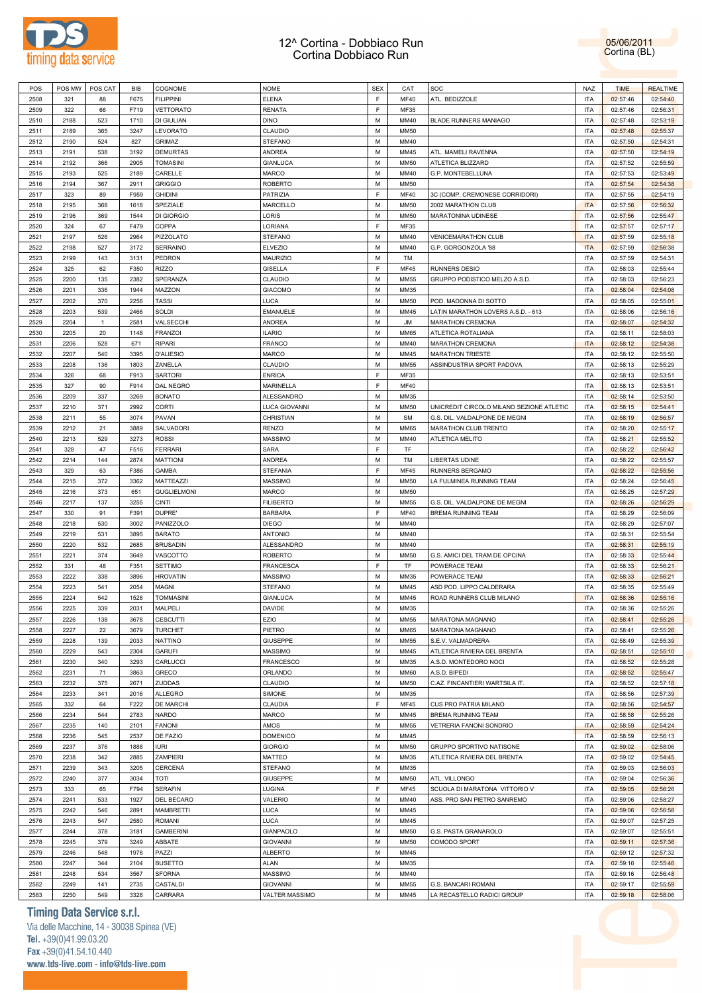

05/06/2011 Cortina (BL)

| POS          | POS MW       | POS CAT      | BIB          | COGNOME             | <b>NOME</b>                       | <b>SEX</b> | CAT                 | SOC                                               | NAZ                      | <b>TIME</b>          | <b>REALTIME</b>      |
|--------------|--------------|--------------|--------------|---------------------|-----------------------------------|------------|---------------------|---------------------------------------------------|--------------------------|----------------------|----------------------|
| 2508         | 321          | 88           | F675         | <b>FILIPPINI</b>    | <b>ELENA</b>                      | F          | MF40                | ATL. BEDIZZOLE                                    | <b>ITA</b>               | 02:57:46             | 02:54:40             |
|              |              |              |              |                     |                                   |            |                     |                                                   |                          |                      |                      |
| 2509         | 322          | 66           | F719         | VETTORATO           | <b>RENATA</b>                     | F          | MF35                |                                                   | <b>ITA</b>               | 02:57:46             | 02:56:31             |
| 2510         | 2188         | 523          | 1710         | DI GIULIAN          | <b>DINO</b>                       | М          | MM40                | <b>BLADE RUNNERS MANIAGO</b>                      | <b>ITA</b>               | 02:57:48             | 02:53:19             |
| 2511         | 2189         | 365          | 3247         | LEVORATO            | CLAUDIO                           | М          | <b>MM50</b>         |                                                   | <b>ITA</b>               | 02:57:48             | 02:55:37             |
|              |              |              |              |                     |                                   |            |                     |                                                   |                          |                      |                      |
| 2512         | 2190         | 524          | 827          | GRIMAZ              | <b>STEFANO</b>                    | М          | MM40                |                                                   | <b>ITA</b>               | 02:57:50             | 02:54:31             |
| 2513         | 2191         | 538          | 3192         | DEMURTAS            | ANDREA                            | М          | MM45                | ATL. MAMELI RAVENNA                               | <b>ITA</b>               | 02:57:50             | 02:54:19             |
| 2514         | 2192         | 366          | 2905         | <b>TOMASINI</b>     | <b>GIANLUCA</b>                   | М          | <b>MM50</b>         | ATLETICA BLIZZARD                                 | <b>ITA</b>               | 02:57:52             | 02:55:59             |
|              |              |              |              |                     |                                   | M          |                     |                                                   | <b>ITA</b>               |                      |                      |
| 2515         | 2193         | 525          | 2189         | CARELLE             | <b>MARCO</b>                      |            | MM40                | G.P. MONTEBELLUNA                                 |                          | 02:57:53             | 02:53:49             |
| 2516         | 2194         | 367          | 2911         | <b>GRIGGIO</b>      | <b>ROBERTO</b>                    | М          | <b>MM50</b>         |                                                   | <b>ITA</b>               | 02:57:54             | 02:54:38             |
| 2517         | 323          | 89           | F959         | <b>GHIDINI</b>      | PATRIZIA                          | F          | MF40                | 3C (COMP. CREMONESE CORRIDORI)                    | <b>ITA</b>               | 02:57:55             | 02:54:19             |
| 2518         | 2195         | 368          | 1618         | SPEZIALE            | MARCELLO                          | М          | <b>MM50</b>         | 2002 MARATHON CLUB                                | <b>ITA</b>               | 02:57:56             | 02:56:32             |
|              |              |              |              |                     |                                   |            |                     |                                                   |                          |                      |                      |
| 2519         | 2196         | 369          | 1544         | DI GIORGIO          | LORIS                             | M          | <b>MM50</b>         | MARATONINA UDINESE                                | <b>ITA</b>               | 02:57:56             | 02:55:47             |
| 2520         | 324          | 67           | F479         | COPPA               | LORIANA                           | F          | MF35                |                                                   | <b>ITA</b>               | 02:57:57             | 02:57:17             |
| 2521         | 2197         | 526          | 2964         | PIZZOLATO           | <b>STEFANO</b>                    | M          | MM40                | <b>VENICEMARATHON CLUB</b>                        | <b>ITA</b>               | 02:57:59             | 02:55:18             |
|              |              |              |              |                     |                                   |            |                     |                                                   |                          |                      |                      |
| 2522         | 2198         | 527          | 3172         | <b>SERRAINO</b>     | <b>ELVEZIO</b>                    | М          | MM40                | G.P. GORGONZOLA '88                               | <b>ITA</b>               | 02:57:59             | 02:56:38             |
| 2523         | 2199         | 143          | 3131         | PEDRON              | <b>MAURIZIO</b>                   | М          | TM                  |                                                   | <b>ITA</b>               | 02:57:59             | 02:54:31             |
| 2524         | 325          | 62           | F350         | RIZZO               | <b>GISELLA</b>                    | F          | MF45                | RUNNERS DESIO                                     | <b>ITA</b>               | 02:58:03             | 02:55:44             |
|              |              |              |              |                     |                                   |            |                     |                                                   |                          |                      |                      |
| 2525         | 2200         | 135          | 2382         | SPERANZA            | CLAUDIO                           | M          | <b>MM55</b>         | GRUPPO PODISTICO MELZO A.S.D.                     | <b>ITA</b>               | 02:58:03             | 02:56:23             |
| 2526         | 2201         | 336          | 1944         | MAZZON              | <b>GIACOMO</b>                    | М          | MM35                |                                                   | <b>ITA</b>               | 02:58:04             | 02:54:08             |
| 2527         | 2202         | 370          | 2256         | TASSI               | LUCA                              | М          | <b>MM50</b>         | POD. MADONNA DI SOTTO                             | <b>ITA</b>               | 02:58:05             | 02:55:01             |
| 2528         | 2203         | 539          | 2466         | SOLDI               | <b>EMANUELE</b>                   | М          | MM45                | LATIN MARATHON LOVERS A.S.D. - 613                | <b>ITA</b>               | 02:58:06             | 02:56:16             |
|              |              |              |              |                     |                                   |            |                     |                                                   |                          |                      |                      |
| 2529         | 2204         | $\mathbf{1}$ | 2581         | VALSECCHI           | ANDREA                            | М          | JM                  | MARATHON CREMONA                                  | <b>ITA</b>               | 02:58:07             | 02:54:32             |
| 2530         | 2205         | 20           | 1148         | <b>FRANZOI</b>      | <b>ILARIO</b>                     | М          | <b>MM65</b>         | ATLETICA ROTALIANA                                | <b>ITA</b>               | 02:58:11             | 02:58:03             |
| 2531         | 2206         | 528          | 671          | RIPARI              | FRANCO                            | M          | MM40                | MARATHON CREMONA                                  | <b>ITA</b>               | 02:58:12             | 02:54:38             |
|              |              |              |              |                     |                                   |            |                     |                                                   |                          |                      |                      |
| 2532         | 2207         | 540          | 3395         | <b>D'ALIESIO</b>    | MARCO                             | М          | MM45                | MARATHON TRIESTE                                  | <b>ITA</b>               | 02:58:12             | 02:55:50             |
| 2533         | 2208         | 136          | 1803         | ZANELLA             | CLAUDIO                           | М          | <b>MM55</b>         | ASSINDUSTRIA SPORT PADOVA                         | <b>ITA</b>               | 02:58:13             | 02:55:29             |
| 2534         | 326          | 68           | F913         | SARTORI             | <b>ENRICA</b>                     | F          | MF35                |                                                   | <b>ITA</b>               | 02:58:13             | 02:53:51             |
|              |              |              |              |                     |                                   |            |                     |                                                   |                          |                      |                      |
| 2535         | 327          | 90           | F914         | DAL NEGRO           | MARINELLA                         | F          | <b>MF40</b>         |                                                   | <b>ITA</b>               | 02:58:13             | 02:53:51             |
| 2536         | 2209         | 337          | 3269         | <b>BONATO</b>       | ALESSANDRO                        | М          | MM35                |                                                   | <b>ITA</b>               | 02:58:14             | 02:53:50             |
| 2537         | 2210         | 371          | 2992         | CORTI               | LUCA GIOVANNI                     | M          | <b>MM50</b>         | UNICREDIT CIRCOLO MILANO SEZIONE ATLETIC          | <b>ITA</b>               | 02:58:15             | 02:54:41             |
|              |              |              |              |                     |                                   |            |                     |                                                   |                          |                      |                      |
| 2538         | 2211         | 55           | 3074         | PAVAN               | CHRISTIAN                         | М          | SM                  | G.S. DIL. VALDALPONE DE MEGNI                     | <b>ITA</b>               | 02:58:19             | 02:56:57             |
| 2539         | 2212         | 21           | 3889         | SALVADORI           | <b>RENZO</b>                      | М          | <b>MM65</b>         | MARATHON CLUB TRENTO                              | <b>ITA</b>               | 02:58:20             | 02:55:17             |
| 2540         | 2213         | 529          | 3273         | ROSSI               | MASSIMO                           | М          | MM40                | ATLETICA MELITO                                   | <b>ITA</b>               | 02:58:21             | 02:55:52             |
|              |              |              |              |                     |                                   |            |                     |                                                   |                          |                      |                      |
| 2541         | 328          | 47           | F516         | <b>FERRARI</b>      | SARA                              | F          | TF                  |                                                   | <b>ITA</b>               | 02:58:22             | 02:56:42             |
| 2542         | 2214         | 144          | 2874         | MATTIONI            | ANDREA                            | М          | TM                  | LIBERTAS UDINE                                    | <b>ITA</b>               | 02:58:22             | 02:55:57             |
| 2543         | 329          | 63           | F386         | GAMBA               | STEFANIA                          | F          | <b>MF45</b>         | RUNNERS BERGAMO                                   | <b>ITA</b>               | 02:58:22             | 02:55:56             |
|              |              |              |              |                     |                                   |            |                     |                                                   |                          |                      |                      |
| 2544         | 2215         | 372          | 3362         | MATTEAZZI           | MASSIMO                           | М          | <b>MM50</b>         | LA FULMINEA RUNNING TEAM                          | <b>ITA</b>               | 02:58:24             | 02:56:45             |
| 2545         | 2216         | 373          | 651          | <b>GUGLIELMONI</b>  | MARCO                             | М          | <b>MM50</b>         |                                                   | <b>ITA</b>               | 02:58:25             | 02:57:29             |
| 2546         | 2217         | 137          | 3255         | CINTI               | <b>FILIBERTO</b>                  | М          | <b>MM55</b>         | G.S. DIL. VALDALPONE DE MEGNI                     | <b>ITA</b>               | 02:58:26             | 02:56:29             |
|              |              |              |              | DUPRE'              |                                   | F          |                     |                                                   | <b>ITA</b>               |                      |                      |
| 2547         | 330          | 91           | F391         |                     | <b>BARBARA</b>                    |            | MF40                | <b>BREMA RUNNING TEAM</b>                         |                          | 02:58:29             | 02:56:09             |
| 2548         | 2218         | 530          | 3002         | PANIZZOLO           | <b>DIEGO</b>                      | М          | MM40                |                                                   | <b>ITA</b>               | 02:58:29             | 02:57:07             |
| 2549         | 2219         | 531          | 3895         | <b>BARATO</b>       | <b>ANTONIO</b>                    | М          | MM40                |                                                   | <b>ITA</b>               | 02:58:31             | 02:55:54             |
|              |              |              |              | <b>BRUSADIN</b>     |                                   |            |                     |                                                   |                          |                      |                      |
| 2550         | 2220         | 532          | 2685         |                     | ALESSANDRO                        | М          | MM40                |                                                   | <b>ITA</b>               | 02:58:31             | 02:55:19             |
| 2551         | 2221         | 374          | 3649         | VASCOTTO            | ROBERTO                           | М          | <b>MM50</b>         | G.S. AMICI DEL TRAM DE OPCINA                     | <b>ITA</b>               | 02:58:33             | 02:55:44             |
| 2552         | 331          | 48           | F351         | <b>SETTIMO</b>      | FRANCESCA                         | F          |                     | POWERACE TEAM                                     |                          | 02:58:33             | 02:56:21             |
| 2553         | 2222         |              |              |                     |                                   |            | TF                  |                                                   | <b>ITA</b>               |                      |                      |
|              |              |              |              |                     |                                   |            |                     |                                                   |                          |                      |                      |
| 2554         |              | 338          | 3896         | <b>HROVATIN</b>     | MASSIMO                           | М          | MM35                | POWERACE TEAM                                     | <b>ITA</b>               | 02:58:33             | 02:56:21             |
|              | 2223         | 541          | 2054         | MAGNI               | <b>STEFANO</b>                    | М          | MM45                | ASD POD. LIPPO CALDERARA                          | ITA                      | 02:58:35             | 02:55:49             |
| 2555         | 2224         | 542          | 1528         | <b>TOMMASINI</b>    | <b>GIANLUCA</b>                   | М          | MM45                | ROAD RUNNERS CLUB MILANO                          | <b>ITA</b>               | 02:58:36             | 02:55:16             |
|              |              |              |              |                     |                                   |            |                     |                                                   |                          |                      |                      |
| 2556         | 2225         | 339          | 2031         | MALPELI             | DAVIDE                            | M          | MM35                |                                                   | <b>ITA</b>               | 02:58:36             | 02:55:26             |
| 2557         | 2226         | 138          | 3678         | <b>CESCUTTI</b>     | EZIO                              | М          | <b>MM55</b>         | MARATONA MAGNANO                                  | <b>ITA</b>               | 02:58:41             | 02:55:26             |
| 2558         | 2227         | 22           | 3679         | <b>TURCHET</b>      | PIETRO                            | М          | <b>MM65</b>         | MARATONA MAGNANO                                  | <b>ITA</b>               | 02:58:41             | 02:55:26             |
|              |              |              | 2033         |                     |                                   |            |                     | S.E.V. VALMADRERA                                 | <b>ITA</b>               |                      |                      |
| 2559         | 2228         | 139          |              | NATTINO             | <b>GIUSEPPE</b>                   | M          | <b>MM55</b>         |                                                   |                          | 02:58:49             | 02:55:39             |
| 2560         | 2229         | 543          | 2304         | GARUFI              | MASSIMO                           | M          | MM45                | ATLETICA RIVIERA DEL BRENTA                       | <b>ITA</b>               | 02:58:51             | 02:55:10             |
| 2561         | 2230         | 340          | 3293         | CARLUCCI            | <b>FRANCESCO</b>                  | M          | MM35                | A.S.D. MONTEDORO NOCI                             | <b>ITA</b>               | 02:58:52             | 02:55:28             |
| 2562         | 2231         | 71           | 3863         | GRECO               | ORLANDO                           | M          | <b>MM60</b>         | A.S.D. BIPEDI                                     | <b>ITA</b>               | 02:58:52             | 02:55:47             |
|              |              |              |              |                     |                                   |            |                     |                                                   |                          |                      |                      |
| 2563         | 2232         | 375          | 2671         | ZUDDAS              | CLAUDIO                           | M          | <b>MM50</b>         | C.AZ. FINCANTIERI WARTSILA IT.                    | <b>ITA</b>               | 02:58:52             | 02:57:18             |
| 2564         | 2233         | 341          | 2016         | ALLEGRO             | SIMONE                            | M          | MM35                |                                                   | <b>ITA</b>               | 02:58:56             | 02:57:39             |
| 2565         | 332          | 64           | F222         | DE MARCHI           | CLAUDIA                           | E          | <b>MF45</b>         | CUS PRO PATRIA MILANO                             | <b>ITA</b>               | 02:58:56             | 02:54:57             |
|              |              |              |              |                     |                                   |            |                     |                                                   |                          |                      |                      |
| 2566         | 2234         | 544          | 2783         | NARDO               | MARCO                             | M          | MM45                | BREMA RUNNING TEAM                                | <b>ITA</b>               | 02:58:58             | 02:55:26             |
| 2567         | 2235         | 140          | 2101         | <b>FANONI</b>       | AMOS                              | М          | <b>MM55</b>         | VETRERIA FANONI SONDRIO                           | <b>ITA</b>               | 02:58:59             | 02:54:24             |
| 2568         | 2236         | 545          | 2537         | DE FAZIO            | <b>DOMENICO</b>                   | M          | MM45                |                                                   | <b>ITA</b>               | 02:58:59             | 02:56:13             |
|              |              |              |              |                     |                                   |            |                     |                                                   |                          |                      |                      |
| 2569         | 2237         | 376          | 1888         | <b>IURI</b>         | <b>GIORGIO</b>                    | M          | <b>MM50</b>         | GRUPPO SPORTIVO NATISONE                          | <b>ITA</b>               | 02:59:02             | 02:58:06             |
| 2570         | 2238         | 342          | 2885         | ZAMPIERI            | MATTEO                            | M          | MM35                | ATLETICA RIVIERA DEL BRENTA                       | <b>ITA</b>               | 02:59:02             | 02:54:45             |
| 2571         | 2239         | 343          | 3205         | CERCENÀ             | <b>STEFANO</b>                    | М          | MM35                |                                                   | <b>ITA</b>               | 02:59:03             | 02:56:03             |
|              |              |              |              |                     |                                   |            |                     |                                                   |                          |                      |                      |
| 2572         | 2240         | 377          | 3034         | TOTI                | <b>GIUSEPPE</b>                   | M          | <b>MM50</b>         | ATL. VILLONGO                                     | <b>ITA</b>               | 02:59:04             | 02:56:36             |
| 2573         | 333          | 65           | F794         | <b>SERAFIN</b>      | LUGINA                            | F          | <b>MF45</b>         | SCUOLA DI MARATONA VITTORIO V                     | <b>ITA</b>               | 02:59:05             | 02:56:26             |
| 2574         | 2241         | 533          | 1927         | DEL BECARO          | VALERIO                           | M          | MM40                | ASS. PRO SAN PIETRO SANREMO                       | <b>ITA</b>               | 02:59:06             | 02:58:27             |
|              |              |              |              |                     |                                   |            |                     |                                                   |                          |                      |                      |
| 2575         | 2242         | 546          | 2891         | MAMBRETTI           | LUCA                              | М          | MM45                |                                                   | <b>ITA</b>               | 02:59:06             | 02:56:58             |
| 2576         | 2243         | 547          | 2580         | ROMANI              | LUCA                              | М          | MM45                |                                                   | <b>ITA</b>               | 02:59:07             | 02:57:25             |
| 2577         | 2244         | 378          | 3181         | <b>GAMBERINI</b>    | GIANPAOLO                         | М          | <b>MM50</b>         | G.S. PASTA GRANAROLO                              | <b>ITA</b>               | 02:59:07             | 02:55:51             |
|              |              |              |              |                     |                                   |            |                     |                                                   |                          |                      |                      |
| 2578         | 2245         | 379          | 3249         | ABBATE              | <b>GIOVANNI</b>                   | M          | <b>MM50</b>         | COMODO SPORT                                      | <b>ITA</b>               | 02:59:11             | 02:57:36             |
| 2579         | 2246         | 548          | 1978         | PAZZI               | <b>ALBERTO</b>                    | М          | MM45                |                                                   | <b>ITA</b>               | 02:59:12             | 02:57:32             |
| 2580         | 2247         | 344          | 2104         | <b>BUSETTO</b>      | <b>ALAN</b>                       | M          | MM35                |                                                   | <b>ITA</b>               | 02:59:16             | 02:55:46             |
|              |              |              |              |                     |                                   |            |                     |                                                   |                          |                      |                      |
| 2581         | 2248         | 534          | 3567         | <b>SFORNA</b>       | MASSIMO                           | M          | MM40                |                                                   | <b>ITA</b>               | 02:59:16             | 02:56:48             |
| 2582<br>2583 | 2249<br>2250 | 141<br>549   | 2735<br>3328 | CASTALDI<br>CARRARA | <b>GIOVANNI</b><br>VALTER MASSIMO | М<br>M     | <b>MM55</b><br>MM45 | G.S. BANCARI ROMANI<br>LA RECASTELLO RADICI GROUP | <b>ITA</b><br><b>ITA</b> | 02:59:17<br>02:59:18 | 02:55:59<br>02:58:06 |

### **Timing Data Service s.r.l.**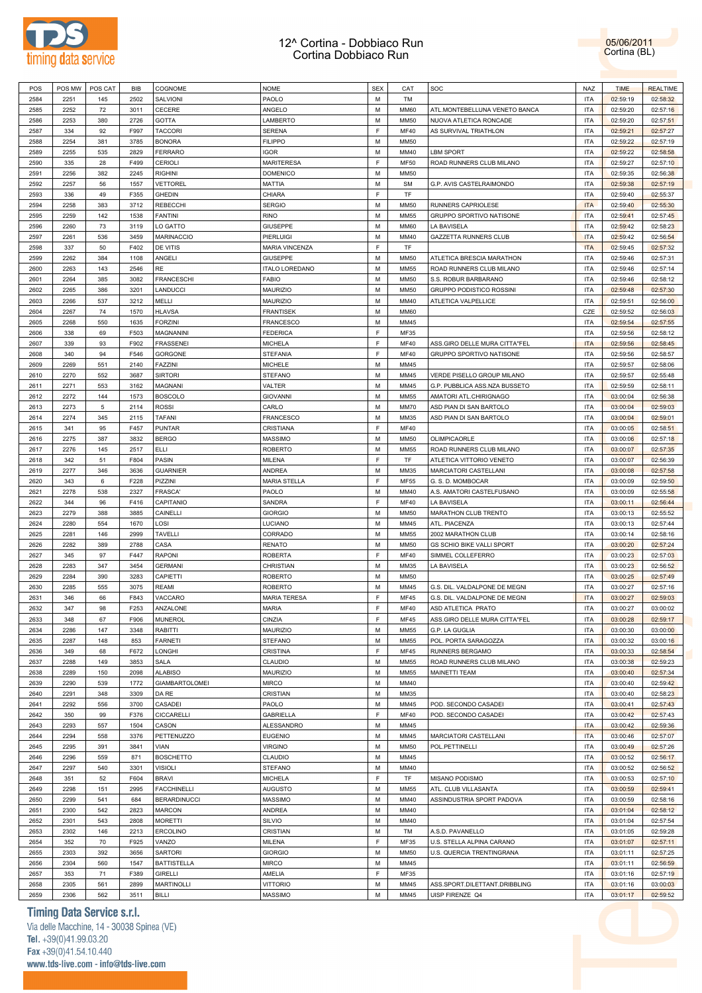

POS |POS MW |POS CAT | BIB |COGNOME NOME | NOME | SEX | CAT |SOC NAZ NAZ NAZ | TIME | REALTIME | REALTIME | REALTIME

05/06/2011 Cortina (BL)



#### **Timing Data Service s.r.l.**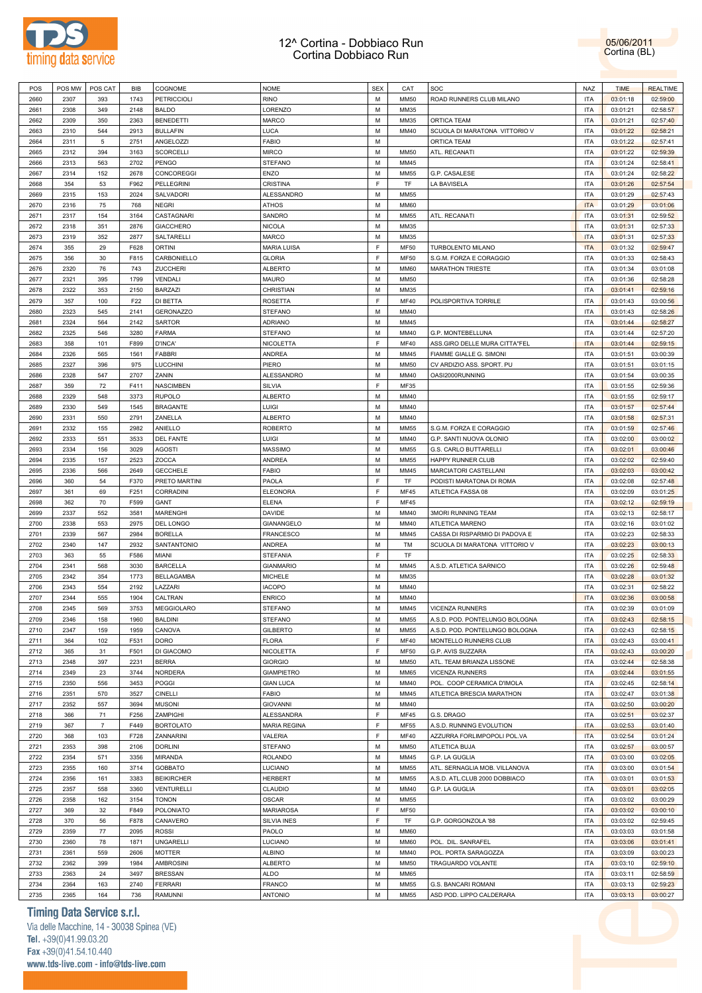



| POS  | POS MW | POS CAT        | <b>BIB</b> | COGNOME            | <b>NOME</b>         | <b>SEX</b> | CAT         | SOC                            | <b>NAZ</b> | <b>TIME</b> | <b>REALTIME</b> |
|------|--------|----------------|------------|--------------------|---------------------|------------|-------------|--------------------------------|------------|-------------|-----------------|
| 2660 | 2307   | 393            | 1743       | <b>PETRICCIOLI</b> | <b>RINO</b>         | M          | <b>MM50</b> | ROAD RUNNERS CLUB MILANO       | <b>ITA</b> | 03:01:18    | 02:59:00        |
| 2661 | 2308   | 349            | 2148       | <b>BALDO</b>       | LORENZO             | M          | MM35        |                                | ITA        | 03:01:21    | 02:58:57        |
|      |        |                |            |                    |                     |            |             |                                |            |             |                 |
| 2662 | 2309   | 350            | 2363       | <b>BENEDETTI</b>   | <b>MARCO</b>        | M          | MM35        | ORTICA TEAM                    | <b>ITA</b> | 03:01:21    | 02:57:40        |
| 2663 | 2310   | 544            | 2913       | <b>BULLAFIN</b>    | LUCA                | M          | MM40        | SCUOLA DI MARATONA VITTORIO V  | <b>ITA</b> | 03:01:22    | 02:58:21        |
| 2664 | 2311   | $\,$ 5 $\,$    | 2751       | ANGELOZZI          | <b>FABIO</b>        | М          |             | ORTICA TEAM                    | <b>ITA</b> | 03:01:22    | 02:57:41        |
| 2665 | 2312   | 394            | 3163       | <b>SCORCELLI</b>   | <b>MIRCO</b>        | M          | <b>MM50</b> | ATL. RECANATI                  | ITA        | 03:01:22    | 02:59:39        |
| 2666 | 2313   | 563            | 2702       | <b>PENGO</b>       | <b>STEFANO</b>      | M          | MM45        |                                | <b>ITA</b> | 03:01:24    | 02:58:41        |
| 2667 | 2314   | 152            | 2678       | CONCOREGGI         | <b>ENZO</b>         | M          | <b>MM55</b> | G.P. CASALESE                  | <b>ITA</b> | 03:01:24    | 02:58:22        |
| 2668 | 354    | 53             | F962       | PELLEGRINI         | CRISTINA            | F          | TF          | LA BAVISELA                    | <b>ITA</b> | 03:01:26    | 02:57:54        |
| 2669 | 2315   | 153            | 2024       | SALVADORI          | ALESSANDRO          | M          | <b>MM55</b> |                                | <b>ITA</b> | 03:01:29    | 02:57:43        |
| 2670 | 2316   | 75             | 768        | <b>NEGRI</b>       | <b>ATHOS</b>        | M          | <b>MM60</b> |                                | <b>ITA</b> | 03:01:29    | 03:01:06        |
| 2671 | 2317   | 154            | 3164       | CASTAGNARI         | SANDRO              | M          | <b>MM55</b> | ATL. RECANATI                  | <b>ITA</b> | 03:01:31    | 02:59:52        |
|      |        |                |            |                    |                     |            |             |                                |            |             |                 |
| 2672 | 2318   | 351            | 2876       | <b>GIACCHERO</b>   | <b>NICOLA</b>       | M          | MM35        |                                | <b>ITA</b> | 03:01:31    | 02:57:33        |
| 2673 | 2319   | 352            | 2877       | SALTARELLI         | <b>MARCO</b>        | M          | MM35        |                                | <b>ITA</b> | 03:01:31    | 02:57:33        |
| 2674 | 355    | 29             | F628       | <b>ORTINI</b>      | <b>MARIA LUISA</b>  | F          | <b>MF50</b> | TURBOLENTO MILANO              | <b>ITA</b> | 03:01:32    | 02:59:47        |
| 2675 | 356    | 30             | F815       | CARBONIELLO        | <b>GLORIA</b>       | F          | <b>MF50</b> | S.G.M. FORZA E CORAGGIO        | <b>ITA</b> | 03:01:33    | 02:58:43        |
| 2676 | 2320   | 76             | 743        | ZUCCHERI           | <b>ALBERTO</b>      | M          | <b>MM60</b> | <b>MARATHON TRIESTE</b>        | <b>ITA</b> | 03:01:34    | 03:01:08        |
| 2677 | 2321   | 395            | 1799       | VENDALI            | <b>MAURO</b>        | M          | <b>MM50</b> |                                | <b>ITA</b> | 03:01:36    | 02:58:28        |
| 2678 | 2322   | 353            | 2150       | <b>BARZAZI</b>     | CHRISTIAN           | M          | MM35        |                                | <b>ITA</b> | 03:01:41    | 02:59:16        |
| 2679 | 357    | 100            | F22        | DI BETTA           | ROSETTA             | F          | <b>MF40</b> | POLISPORTIVA TORRILE           | <b>ITA</b> | 03:01:43    | 03:00:56        |
| 2680 | 2323   | 545            | 2141       | <b>GERONAZZO</b>   | <b>STEFANO</b>      | M          | MM40        |                                | <b>ITA</b> | 03:01:43    | 02:58:26        |
|      |        |                |            |                    |                     |            |             |                                |            |             |                 |
| 2681 | 2324   | 564            | 2142       | <b>SARTOR</b>      | ADRIANO             | M          | MM45        |                                | <b>ITA</b> | 03:01:44    | 02:58:27        |
| 2682 | 2325   | 546            | 3280       | <b>FARMA</b>       | <b>STEFANO</b>      | M          | MM40        | G.P. MONTEBELLUNA              | <b>ITA</b> | 03:01:44    | 02:57:20        |
| 2683 | 358    | 101            | F899       | D'INCA'            | <b>NICOLETTA</b>    | F          | <b>MF40</b> | ASS.GIRO DELLE MURA CITTA"FEL  | <b>ITA</b> | 03:01:44    | 02:59:15        |
| 2684 | 2326   | 565            | 1561       | <b>FABBRI</b>      | <b>ANDREA</b>       | M          | MM45        | FIAMME GIALLE G. SIMONI        | <b>ITA</b> | 03:01:51    | 03:00:39        |
| 2685 | 2327   | 396            | 975        | <b>LUCCHINI</b>    | PIERO               | M          | <b>MM50</b> | CV ARDIZIO ASS. SPORT. PU      | <b>ITA</b> | 03:01:51    | 03:01:15        |
| 2686 | 2328   | 547            | 2707       | ZANIN              | ALESSANDRO          | M          | MM40        | OASI2000RUNNING                | <b>ITA</b> | 03:01:54    | 03:00:35        |
| 2687 | 359    | 72             | F411       | <b>NASCIMBEN</b>   | SILVIA              | F          | <b>MF35</b> |                                | <b>ITA</b> | 03:01:55    | 02:59:36        |
| 2688 | 2329   | 548            | 3373       | <b>RUPOLO</b>      | <b>ALBERTO</b>      | M          | MM40        |                                | <b>ITA</b> | 03:01:55    | 02:59:17        |
| 2689 | 2330   | 549            | 1545       | <b>BRAGANTE</b>    | LUIGI               | M          | MM40        |                                | <b>ITA</b> | 03:01:57    | 02:57:44        |
| 2690 | 2331   | 550            | 2791       | ZANELLA            | <b>ALBERTO</b>      | M          | MM40        |                                | <b>ITA</b> | 03:01:58    | 02:57:31        |
|      |        |                |            |                    |                     |            |             |                                |            |             |                 |
| 2691 | 2332   | 155            | 2982       | ANIELLO            | <b>ROBERTO</b>      | M          | MM55        | S.G.M. FORZA E CORAGGIO        | <b>ITA</b> | 03:01:59    | 02:57:46        |
| 2692 | 2333   | 551            | 3533       | <b>DEL FANTE</b>   | LUIGI               | M          | MM40        | G.P. SANTI NUOVA OLONIO        | <b>ITA</b> | 03:02:00    | 03:00:02        |
| 2693 | 2334   | 156            | 3029       | <b>AGOSTI</b>      | <b>MASSIMO</b>      | M          | <b>MM55</b> | <b>G.S. CARLO BUTTARELLI</b>   | <b>ITA</b> | 03:02:01    | 03:00:46        |
| 2694 | 2335   | 157            | 2523       | ZOCCA              | <b>ANDREA</b>       | M          | <b>MM55</b> | HAPPY RUNNER CLUB              | <b>ITA</b> | 03:02:02    | 02:59:40        |
| 2695 | 2336   | 566            | 2649       | <b>GECCHELE</b>    | <b>FABIO</b>        | M          | MM45        | MARCIATORI CASTELLANI          | <b>ITA</b> | 03:02:03    | 03:00:42        |
| 2696 | 360    | 54             | F370       | PRETO MARTINI      | PAOLA               | F          | <b>TF</b>   | PODISTI MARATONA DI ROMA       | <b>ITA</b> | 03:02:08    | 02:57:48        |
| 2697 | 361    | 69             | F251       | CORRADINI          | <b>ELEONORA</b>     | F          | MF45        | ATLETICA FASSA 08              | <b>ITA</b> | 03:02:09    | 03:01:25        |
| 2698 | 362    | 70             | F599       | GANT               | ELENA               | F          | MF45        |                                | <b>ITA</b> | 03:02:12    | 02:59:19        |
| 2699 | 2337   | 552            | 3581       | <b>MARENGHI</b>    | DAVIDE              | M          | MM40        | <b>3MORI RUNNING TEAM</b>      | <b>ITA</b> | 03:02:13    | 02:58:17        |
| 2700 | 2338   | 553            | 2975       | DEL LONGO          | GIANANGELO          | M          | MM40        | ATLETICA MARENO                | <b>ITA</b> | 03:02:16    | 03:01:02        |
|      |        |                |            |                    |                     |            |             |                                |            |             |                 |
| 2701 | 2339   | 567            | 2984       | <b>BORELLA</b>     | <b>FRANCESCO</b>    | M          | MM45        | CASSA DI RISPARMIO DI PADOVA E | <b>ITA</b> | 03:02:23    | 02:58:33        |
| 2702 | 2340   | 147            | 2932       | SANTANTONIO        | ANDREA              | M          | TM          | SCUOLA DI MARATONA VITTORIO V  | <b>ITA</b> | 03:02:23    | 03:00:13        |
| 2703 | 363    | 55             | F586       | MIANI              | STEFANIA            | F          | TF          |                                | <b>ITA</b> | 03:02:25    | 02:58:33        |
| 2704 | 2341   | 568            | 3030       | <b>BARCELLA</b>    | <b>GIANMARIO</b>    | M          | MM45        | A.S.D. ATLETICA SARNICO        | <b>ITA</b> | 03:02:26    | 02:59:48        |
| 2705 | 2342   | 354            | 1773       | <b>BELLAGAMBA</b>  | MICHELE             | M          | MM35        |                                | <b>ITA</b> | 03:02:28    | 03:01:32        |
| 2706 | 2343   | 554            | 2192       | LAZZARI            | <b>IACOPO</b>       | M          | MM40        |                                | <b>ITA</b> | 03:02:31    | 02:58:22        |
| 2707 | 2344   | 555            | 1904       | CALTRAN            | <b>ENRICO</b>       | M          | MM40        |                                | <b>ITA</b> | 03:02:36    | 03:00:58        |
| 2708 | 2345   | 569            | 3753       | <b>MEGGIOLARO</b>  | <b>STEFANO</b>      | M          | MM45        | <b>VICENZA RUNNERS</b>         | <b>ITA</b> | 03:02:39    | 03:01:09        |
| 2709 | 2346   | 158            | 1960       | <b>BALDINI</b>     | <b>STEFANO</b>      | M          | <b>MM55</b> | A.S.D. POD. PONTELUNGO BOLOGNA | <b>ITA</b> | 03:02:43    | 02:58:15        |
|      | 2347   |                | 1959       |                    |                     |            | <b>MM55</b> |                                |            |             |                 |
| 2710 |        | 159            |            | CANOVA             | <b>GILBERTO</b>     | М          |             | A.S.D. POD. PONTELUNGO BOLOGNA | <b>ITA</b> | 03:02:43    | 02:58:15        |
| 2711 | 364    | 102            | F531       | <b>DORO</b>        | <b>FLORA</b>        | F          | MF40        | MONTELLO RUNNERS CLUB          | <b>ITA</b> | 03:02:43    | 03:00:41        |
| 2712 | 365    | 31             | F501       | DI GIACOMO         | <b>NICOLETTA</b>    | F          | <b>MF50</b> | G.P. AVIS SUZZARA              | <b>ITA</b> | 03:02:43    | 03:00:20        |
| 2713 | 2348   | 397            | 2231       | <b>BERRA</b>       | <b>GIORGIO</b>      | M          | <b>MM50</b> | ATL. TEAM BRIANZA LISSONE      | <b>ITA</b> | 03:02:44    | 02:58:38        |
| 2714 | 2349   | 23             | 3744       | <b>NORDERA</b>     | <b>GIAMPIETRO</b>   | М          | MM65        | <b>VICENZA RUNNERS</b>         | <b>ITA</b> | 03:02:44    | 03:01:55        |
| 2715 | 2350   | 556            | 3453       | <b>POGGI</b>       | <b>GIAN LUCA</b>    | M          | MM40        | POL. COOP CERAMICA D'IMOLA     | <b>ITA</b> | 03:02:45    | 02:58:14        |
| 2716 | 2351   | 570            | 3527       | <b>CINELLI</b>     | <b>FABIO</b>        | М          | MM45        | ATLETICA BRESCIA MARATHON      | <b>ITA</b> | 03:02:47    | 03:01:38        |
| 2717 | 2352   | 557            | 3694       | <b>MUSONI</b>      | <b>GIOVANNI</b>     | M          | MM40        |                                | <b>ITA</b> | 03:02:50    | 03:00:20        |
| 2718 | 366    | 71             | F256       | <b>ZAMPIGHI</b>    | ALESSANDRA          | F          | MF45        | G.S. DRAGO                     | <b>ITA</b> | 03:02:51    | 03:02:37        |
|      | 367    | $\overline{7}$ |            |                    |                     | F          |             |                                |            |             |                 |
| 2719 |        |                | F449       | <b>BORTOLATO</b>   | <b>MARIA REGINA</b> |            | <b>MF55</b> | A.S.D. RUNNING EVOLUTION       | <b>ITA</b> | 03:02:53    | 03:01:40        |
| 2720 | 368    | 103            | F728       | ZANNARINI          | VALERIA             | F          | <b>MF40</b> | AZZURRA FORLIMPOPOLI POL.VA    | <b>ITA</b> | 03:02:54    | 03:01:24        |
| 2721 | 2353   | 398            | 2106       | <b>DORLINI</b>     | STEFANO             | М          | <b>MM50</b> | ATLETICA BUJA                  | <b>ITA</b> | 03:02:57    | 03:00:57        |
| 2722 | 2354   | 571            | 3356       | MIRANDA            | <b>ROLANDO</b>      | М          | MM45        | G.P. LA GUGLIA                 | ITA        | 03:03:00    | 03:02:05        |
| 2723 | 2355   | 160            | 3714       | <b>GOBBATO</b>     | LUCIANO             | М          | MM55        | ATL. SERNAGLIA MOB. VILLANOVA  | <b>ITA</b> | 03:03:00    | 03:01:54        |
| 2724 | 2356   | 161            | 3383       | <b>BEIKIRCHER</b>  | <b>HERBERT</b>      | М          | <b>MM55</b> | A.S.D. ATL.CLUB 2000 DOBBIACO  | ITA        | 03:03:01    | 03:01:53        |
| 2725 | 2357   | 558            | 3360       | <b>VENTURELLI</b>  | CLAUDIO             | М          | MM40        | G.P. LA GUGLIA                 | <b>ITA</b> | 03:03:01    | 03:02:05        |
| 2726 | 2358   | 162            | 3154       | <b>TONON</b>       | OSCAR               | М          | <b>MM55</b> |                                | ITA        | 03:03:02    | 03:00:29        |
| 2727 | 369    | 32             | F849       | POLONIATO          | <b>MARIAROSA</b>    | F          | <b>MF50</b> |                                | ITA        | 03:03:02    | 03:00:10        |
|      |        |                |            |                    |                     | F          |             |                                |            |             |                 |
| 2728 | 370    | 56             | F878       | CANAVERO           | SILVIA INES         |            | TF          | G.P. GORGONZOLA '88            | <b>ITA</b> | 03:03:02    | 02:59:45        |
| 2729 | 2359   | 77             | 2095       | <b>ROSSI</b>       | PAOLO               | М          | <b>MM60</b> |                                | ITA        | 03:03:03    | 03:01:58        |
| 2730 | 2360   | 78             | 1871       | <b>UNGARELLI</b>   | LUCIANO             | M          | <b>MM60</b> | POL. DIL. SANRAFEL             | ITA        | 03:03:06    | 03:01:41        |
| 2731 | 2361   | 559            | 2606       | <b>MOTTER</b>      | ALBINO              | М          | MM40        | POL. PORTA SARAGOZZA           | <b>ITA</b> | 03:03:09    | 03:00:23        |
| 2732 | 2362   | 399            | 1984       | <b>AMBROSINI</b>   | <b>ALBERTO</b>      | M          | <b>MM50</b> | TRAGUARDO VOLANTE              | ITA        | 03:03:10    | 02:59:10        |
| 2733 | 2363   | 24             | 3497       | <b>BRESSAN</b>     | <b>ALDO</b>         | М          | <b>MM65</b> |                                | ITA        | 03:03:11    | 02:58:59        |
| 2734 | 2364   | 163            | 2740       | <b>FERRARI</b>     | <b>FRANCO</b>       | М          | <b>MM55</b> | G.S. BANCARI ROMANI            | <b>ITA</b> | 03:03:13    | 02:59:23        |
| 2735 | 2365   | 164            | 736        | <b>RAMUNNI</b>     | <b>ANTONIO</b>      | М          | MM55        | ASD POD. LIPPO CALDERARA       | <b>ITA</b> | 03:03:13    | 03:00:27        |
|      |        |                |            |                    |                     |            |             |                                |            |             |                 |

# **Timing Data Service s.r.l.**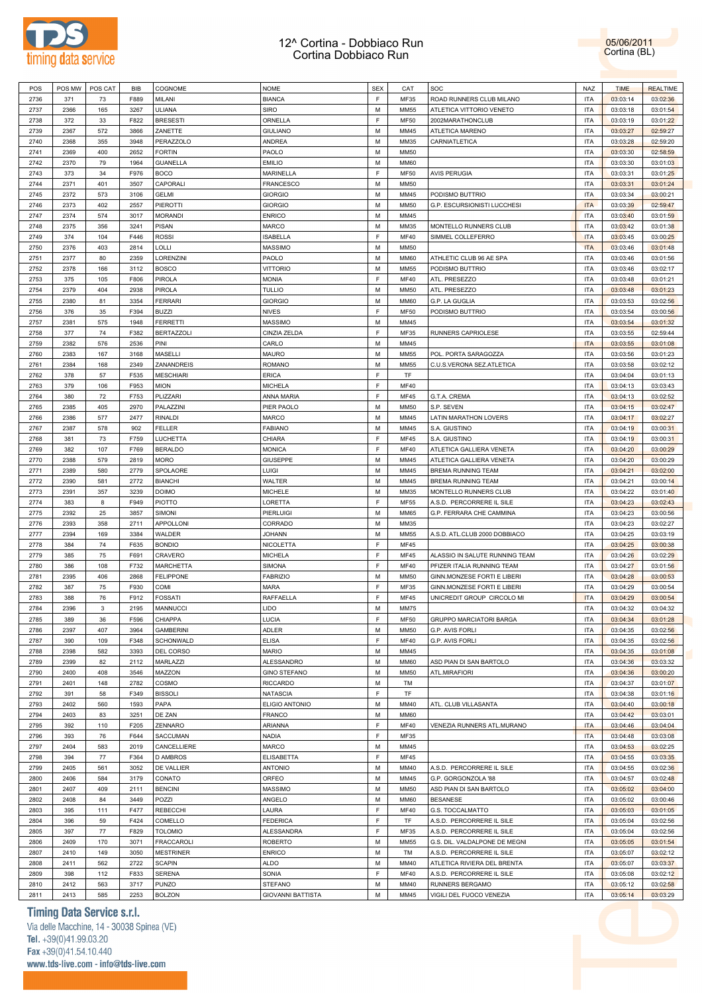



| POS  | POS MW | POS CAT | <b>BIB</b> | COGNOME           | <b>NOME</b>              | <b>SEX</b> | CAT         | SOC                                | <b>NAZ</b> | <b>TIME</b> | <b>REALTIME</b> |
|------|--------|---------|------------|-------------------|--------------------------|------------|-------------|------------------------------------|------------|-------------|-----------------|
| 2736 | 371    | 73      | F889       | MILANI            | <b>BIANCA</b>            | E          | MF35        | ROAD RUNNERS CLUB MILANO           | <b>ITA</b> | 03:03:14    | 03:02:36        |
| 2737 | 2366   | 165     | 3267       | <b>ULIANA</b>     | SIRO                     | M          | MM55        | ATLETICA VITTORIO VENETO           | <b>ITA</b> | 03:03:18    | 03:01:54        |
| 2738 | 372    | 33      | F822       | <b>BRESESTI</b>   | ORNELLA                  | E          | <b>MF50</b> | 2002MARATHONCLUB                   | <b>ITA</b> | 03:03:19    | 03:01:22        |
| 2739 | 2367   | 572     | 3866       | ZANETTE           | <b>GIULIANO</b>          | M          | MM45        | ATLETICA MARENO                    | <b>ITA</b> | 03:03:27    | 02:59:27        |
| 2740 | 2368   | 355     | 3948       | PERAZZOLO         | ANDREA                   | M          | MM35        | CARNIATLETICA                      | <b>ITA</b> | 03:03:28    | 02:59:20        |
| 2741 | 2369   | 400     | 2652       | <b>FORTIN</b>     | PAOLO                    | M          | <b>MM50</b> |                                    | <b>ITA</b> | 03:03:30    | 02:58:59        |
| 2742 | 2370   | 79      | 1964       | <b>GUANELLA</b>   | <b>EMILIO</b>            | M          | <b>MM60</b> |                                    | <b>ITA</b> | 03:03:30    | 03:01:03        |
|      |        |         |            |                   |                          | E          |             |                                    |            |             |                 |
| 2743 | 373    | 34      | F976       | <b>BOCO</b>       | MARINELLA                |            | <b>MF50</b> | <b>AVIS PERUGIA</b>                | <b>ITA</b> | 03:03:31    | 03:01:25        |
| 2744 | 2371   | 401     | 3507       | CAPORALI          | <b>FRANCESCO</b>         | M          | <b>MM50</b> |                                    | <b>ITA</b> | 03:03:31    | 03:01:24        |
| 2745 | 2372   | 573     | 3106       | <b>GELMI</b>      | <b>GIORGIO</b>           | M          | MM45        | PODISMO BUTTRIO                    | <b>ITA</b> | 03:03:34    | 03:00:21        |
| 2746 | 2373   | 402     | 2557       | <b>PIEROTTI</b>   | <b>GIORGIO</b>           | M          | <b>MM50</b> | G.P. ESCURSIONISTI LUCCHESI        | <b>ITA</b> | 03:03:39    | 02:59:47        |
| 2747 | 2374   | 574     | 3017       | <b>MORANDI</b>    | <b>ENRICO</b>            | M          | MM45        |                                    | <b>ITA</b> | 03:03:40    | 03:01:59        |
| 2748 | 2375   | 356     | 3241       | <b>PISAN</b>      | <b>MARCO</b>             | M          | MM35        | MONTELLO RUNNERS CLUB              | <b>ITA</b> | 03:03:42    | 03:01:38        |
| 2749 | 374    | 104     | F446       | <b>ROSSI</b>      | <b>ISABELLA</b>          | E          | <b>MF40</b> | SIMMEL COLLEFERRO                  | <b>ITA</b> | 03:03:45    | 03:00:25        |
| 2750 | 2376   | 403     | 2814       | LOLLI             | <b>MASSIMO</b>           | M          | <b>MM50</b> |                                    | <b>ITA</b> | 03:03:46    | 03:01:48        |
| 2751 | 2377   | 80      | 2359       | LORENZINI         | PAOLO                    | M          | <b>MM60</b> | ATHLETIC CLUB 96 AE SPA            | <b>ITA</b> | 03:03:46    | 03:01:56        |
| 2752 | 2378   | 166     | 3112       | <b>BOSCO</b>      | <b>VITTORIO</b>          | M          | MM55        | PODISMO BUTTRIO                    | <b>ITA</b> | 03:03:46    | 03:02:17        |
| 2753 | 375    | 105     | F806       | <b>PIROLA</b>     | <b>MONIA</b>             | F          | <b>MF40</b> | ATL. PRESEZZO                      | <b>ITA</b> | 03:03:48    | 03:01:21        |
| 2754 | 2379   | 404     | 2938       | <b>PIROLA</b>     | <b>TULLIO</b>            | M          | <b>MM50</b> | ATL. PRESEZZO                      | <b>ITA</b> | 03:03:48    | 03:01:23        |
| 2755 | 2380   | 81      | 3354       | <b>FERRARI</b>    | <b>GIORGIO</b>           | M          | <b>MM60</b> | G.P. LA GUGLIA                     | <b>ITA</b> | 03:03:53    | 03:02:56        |
| 2756 | 376    | 35      | F394       | <b>BUZZI</b>      | <b>NIVES</b>             | F          | <b>MF50</b> | PODISMO BUTTRIO                    | <b>ITA</b> | 03:03:54    | 03:00:56        |
| 2757 | 2381   | 575     | 1948       | <b>FERRETTI</b>   | <b>MASSIMO</b>           | M          | MM45        |                                    | <b>ITA</b> | 03:03:54    | 03:01:32        |
| 2758 | 377    | 74      | F382       | <b>BERTAZZOLI</b> | CINZIA ZELDA             | F          | MF35        | RUNNERS CAPRIOLESE                 | <b>ITA</b> | 03:03:55    | 02:59:44        |
| 2759 | 2382   | 576     | 2536       | PINI              | CARLO                    | M          | MM45        |                                    | <b>ITA</b> | 03:03:55    | 03:01:08        |
|      |        |         |            |                   |                          |            |             |                                    |            |             |                 |
| 2760 | 2383   | 167     | 3168       | MASELLI           | <b>MAURO</b>             | M          | MM55        | POL. PORTA SARAGOZZA               | <b>ITA</b> | 03:03:56    | 03:01:23        |
| 2761 | 2384   | 168     | 2349       | ZANANDREIS        | <b>ROMANO</b>            | M          | MM55        | C.U.S.VERONA SEZ.ATLETICA          | <b>ITA</b> | 03:03:58    | 03:02:12        |
| 2762 | 378    | 57      | F535       | <b>MESCHIARI</b>  | <b>ERICA</b>             | F          | TF          |                                    | <b>ITA</b> | 03:04:04    | 03:01:13        |
| 2763 | 379    | 106     | F953       | <b>MION</b>       | <b>MICHELA</b>           | F          | <b>MF40</b> |                                    | <b>ITA</b> | 03:04:13    | 03:03:43        |
| 2764 | 380    | 72      | F753       | PLIZZARI          | ANNA MARIA               | F          | <b>MF45</b> | G.T.A. CREMA                       | <b>ITA</b> | 03:04:13    | 03:02:52        |
| 2765 | 2385   | 405     | 2970       | PALAZZINI         | PIER PAOLO               | M          | <b>MM50</b> | S.P. SEVEN                         | <b>ITA</b> | 03:04:15    | 03:02:47        |
| 2766 | 2386   | 577     | 2477       | <b>RINALDI</b>    | <b>MARCO</b>             | M          | MM45        | <b>LATIN MARATHON LOVERS</b>       | <b>ITA</b> | 03:04:17    | 03:02:27        |
| 2767 | 2387   | 578     | 902        | <b>FELLER</b>     | <b>FABIANO</b>           | M          | MM45        | S.A. GIUSTINO                      | <b>ITA</b> | 03:04:19    | 03:00:31        |
| 2768 | 381    | 73      | F759       | LUCHETTA          | CHIARA                   | F          | <b>MF45</b> | S.A. GIUSTINO                      | <b>ITA</b> | 03:04:19    | 03:00:31        |
| 2769 | 382    | 107     | F769       | <b>BERALDO</b>    | <b>MONICA</b>            | F          | <b>MF40</b> | ATLETICA GALLIERA VENETA           | <b>ITA</b> | 03:04:20    | 03:00:29        |
| 2770 | 2388   | 579     | 2819       | <b>MORO</b>       | GIUSEPPE                 | M          | MM45        | ATLETICA GALLIERA VENETA           | <b>ITA</b> | 03:04:20    | 03:00:29        |
| 2771 | 2389   | 580     | 2779       | SPOLAORE          | LUIGI                    | M          | MM45        | <b>BREMA RUNNING TEAM</b>          | <b>ITA</b> | 03:04:21    | 03:02:00        |
| 2772 | 2390   | 581     | 2772       | <b>BIANCHI</b>    | WALTER                   | M          | MM45        | <b>BREMA RUNNING TEAM</b>          | <b>ITA</b> | 03:04:21    | 03:00:14        |
| 2773 | 2391   | 357     | 3239       | <b>DOIMO</b>      | <b>MICHELE</b>           | M          | MM35        | MONTELLO RUNNERS CLUB              | <b>ITA</b> | 03:04:22    | 03:01:40        |
| 2774 | 383    | 8       | F949       | <b>PIOTTO</b>     | LORETTA                  | F          | <b>MF55</b> | A.S.D. PERCORRERE IL SILE          | <b>ITA</b> | 03:04:23    | 03:02:43        |
|      | 2392   | 25      | 3857       | SIMONI            |                          | M          | <b>MM65</b> | G.P. FERRARA CHE CAMMINA           |            |             |                 |
| 2775 |        |         |            |                   | PIERLUIGI                |            |             |                                    | <b>ITA</b> | 03:04:23    | 03:00:56        |
| 2776 | 2393   | 358     | 2711       | APPOLLONI         | CORRADO                  | M          | MM35        |                                    | <b>ITA</b> | 03:04:23    | 03:02:27        |
| 2777 | 2394   | 169     | 3384       | WALDER            | <b>JOHANN</b>            | M          | MM55        | A.S.D. ATL.CLUB 2000 DOBBIACO      | <b>ITA</b> | 03:04:25    | 03:03:19        |
| 2778 | 384    | 74      | F635       | <b>BONDIO</b>     | NICOLETTA                | F          | <b>MF45</b> |                                    | <b>ITA</b> | 03:04:25    | 03:00:38        |
| 2779 | 385    | 75      | F691       | CRAVERO           | <b>MICHELA</b>           | F          | <b>MF45</b> | ALASSIO IN SALUTE RUNNING TEAM     | <b>ITA</b> | 03:04:26    | 03:02:29        |
| 2780 | 386    | 108     | F732       | <b>MARCHETTA</b>  | <b>SIMONA</b>            | F          | <b>MF40</b> | PFIZER ITALIA RUNNING TEAM         | <b>ITA</b> | 03:04:27    | 03:01:56        |
| 2781 | 2395   | 406     | 2868       | <b>FELIPPONE</b>  | <b>FABRIZIO</b>          | M          | <b>MM50</b> | GINN.MONZESE FORTI E LIBERI        | <b>ITA</b> | 03:04:28    | 03:00:53        |
| 2782 | 387    | 75      | F930       | COMI              | <b>MARA</b>              | F          | MF35        | <b>GINN.MONZESE FORTI E LIBERI</b> | <b>ITA</b> | 03:04:29    | 03:00:54        |
| 2783 | 388    | 76      | F912       | <b>FOSSATI</b>    | RAFFAELLA                | F          | <b>MF45</b> | UNICREDIT GROUP CIRCOLO MI         | <b>ITA</b> | 03:04:29    | 03:00:54        |
| 2784 | 2396   | 3       | 2195       | <b>MANNUCCI</b>   | <b>LIDO</b>              | M          | <b>MM75</b> |                                    | <b>ITA</b> | 03:04:32    | 03:04:32        |
| 2785 | 389    | 36      | F596       | CHIAPPA           | LUCIA                    | F          | <b>MF50</b> | <b>GRUPPO MARCIATORI BARGA</b>     | <b>ITA</b> | 03:04:34    | 03:01:28        |
| 2786 | 2397   | 407     | 3964       | <b>GAMBERINI</b>  | <b>ADLER</b>             | M          | <b>MM50</b> | G.P. AVIS FORLI                    | <b>ITA</b> | 03:04:35    | 03:02:56        |
| 2787 | 390    | 109     | F348       | SCHONWALD         | <b>ELISA</b>             | E          | <b>MF40</b> | <b>G.P. AVIS FORLI</b>             | <b>ITA</b> | 03:04:35    | 03:02:56        |
| 2788 | 2398   | 582     | 3393       | DEL CORSO         | <b>MARIO</b>             | M          | MM45        |                                    | <b>ITA</b> | 03:04:35    | 03:01:08        |
| 2789 | 2399   | 82      | 2112       | MARLAZZI          | ALESSANDRO               | M          | <b>MM60</b> | ASD PIAN DI SAN BARTOLO            | <b>ITA</b> | 03:04:36    | 03:03:32        |
| 2790 | 2400   | 408     | 3546       | MAZZON            | <b>GINO STEFANO</b>      | M          | <b>MM50</b> | ATL.MIRAFIORI                      | <b>ITA</b> | 03:04:36    | 03:00:20        |
| 2791 | 2401   | 148     | 2782       | COSMO             | <b>RICCARDO</b>          | M          | TM          |                                    | <b>ITA</b> | 03:04:37    | 03:01:07        |
| 2792 | 391    |         | F349       | <b>BISSOLI</b>    |                          | F          | TF          |                                    |            |             |                 |
|      |        | 58      |            |                   | <b>NATASCIA</b>          |            |             |                                    | <b>ITA</b> | 03:04:38    | 03:01:16        |
| 2793 | 2402   | 560     | 1593       | PAPA              | <b>ELIGIO ANTONIO</b>    | M          | MM40        | ATL. CLUB VILLASANTA               | <b>ITA</b> | 03:04:40    | 03:00:18        |
| 2794 | 2403   | 83      | 3251       | DE ZAN            | <b>FRANCO</b>            | M          | <b>MM60</b> |                                    | <b>ITA</b> | 03:04:42    | 03:03:01        |
| 2795 | 392    | 110     | F205       | ZENNARO           | <b>ARIANNA</b>           | F          | <b>MF40</b> | VENEZIA RUNNERS ATL.MURANO         | <b>ITA</b> | 03:04:46    | 03:04:04        |
| 2796 | 393    | 76      | F644       | SACCUMAN          | <b>NADIA</b>             | F          | <b>MF35</b> |                                    | <b>ITA</b> | 03:04:48    | 03:03:08        |
| 2797 | 2404   | 583     | 2019       | CANCELLIERE       | <b>MARCO</b>             | M          | MM45        |                                    | <b>ITA</b> | 03:04:53    | 03:02:25        |
| 2798 | 394    | 77      | F364       | <b>D AMBROS</b>   | <b>ELISABETTA</b>        | F          | <b>MF45</b> |                                    | <b>ITA</b> | 03:04:55    | 03:03:35        |
| 2799 | 2405   | 561     | 3052       | DE VALLIER        | <b>ANTONIO</b>           | M          | MM40        | A.S.D. PERCORRERE IL SILE          | <b>ITA</b> | 03:04:55    | 03:02:36        |
| 2800 | 2406   | 584     | 3179       | CONATO            | ORFEO                    | M          | MM45        | G.P. GORGONZOLA '88                | <b>ITA</b> | 03:04:57    | 03:02:48        |
| 2801 | 2407   | 409     | 2111       | <b>BENCINI</b>    | <b>MASSIMO</b>           | M          | <b>MM50</b> | ASD PIAN DI SAN BARTOLO            | <b>ITA</b> | 03:05:02    | 03:04:00        |
| 2802 | 2408   | 84      | 3449       | POZZI             | ANGELO                   | M          | <b>MM60</b> | <b>BESANESE</b>                    | <b>ITA</b> | 03:05:02    | 03:00:46        |
| 2803 | 395    | 111     | F477       | REBECCHI          | LAURA                    | E          | <b>MF40</b> | G.S. TOCCALMATTO                   | <b>ITA</b> | 03:05:03    | 03:01:05        |
| 2804 | 396    | 59      | F424       | COMELLO           | <b>FEDERICA</b>          | F          | TF          | A.S.D. PERCORRERE IL SILE          | <b>ITA</b> | 03:05:04    | 03:02:56        |
| 2805 | 397    | 77      | F829       | <b>TOLOMIO</b>    | ALESSANDRA               | F          | MF35        | A.S.D. PERCORRERE IL SILE          | <b>ITA</b> | 03:05:04    | 03:02:56        |
| 2806 | 2409   | 170     | 3071       | FRACCAROLI        | <b>ROBERTO</b>           | M          | MM55        | G.S. DIL. VALDALPONE DE MEGNI      | <b>ITA</b> | 03:05:05    | 03:01:54        |
| 2807 | 2410   | 149     | 3050       | <b>MESTRINER</b>  | <b>ENRICO</b>            | M          | TM          | A.S.D. PERCORRERE IL SILE          | <b>ITA</b> | 03:05:07    | 03:02:12        |
| 2808 | 2411   |         | 2722       |                   | <b>ALDO</b>              | M          | MM40        |                                    |            |             |                 |
|      |        | 562     |            | <b>SCAPIN</b>     |                          | F          |             | ATLETICA RIVIERA DEL BRENTA        | <b>ITA</b> | 03:05:07    | 03:03:37        |
| 2809 | 398    | 112     | F833       | <b>SERENA</b>     | SONIA                    |            | <b>MF40</b> | A.S.D. PERCORRERE IL SILE          | <b>ITA</b> | 03:05:08    | 03:02:12        |
| 2810 | 2412   | 563     | 3717       | <b>PUNZO</b>      | <b>STEFANO</b>           | M          | MM40        | RUNNERS BERGAMO                    | <b>ITA</b> | 03:05:12    | 03:02:58        |
| 2811 | 2413   | 585     | 2253       | <b>BOLZON</b>     | <b>GIOVANNI BATTISTA</b> | М          | MM45        | VIGILI DEL FUOCO VENEZIA           | <b>ITA</b> | 03:05:14    | 03:03:29        |

# **Timing Data Service s.r.l.**

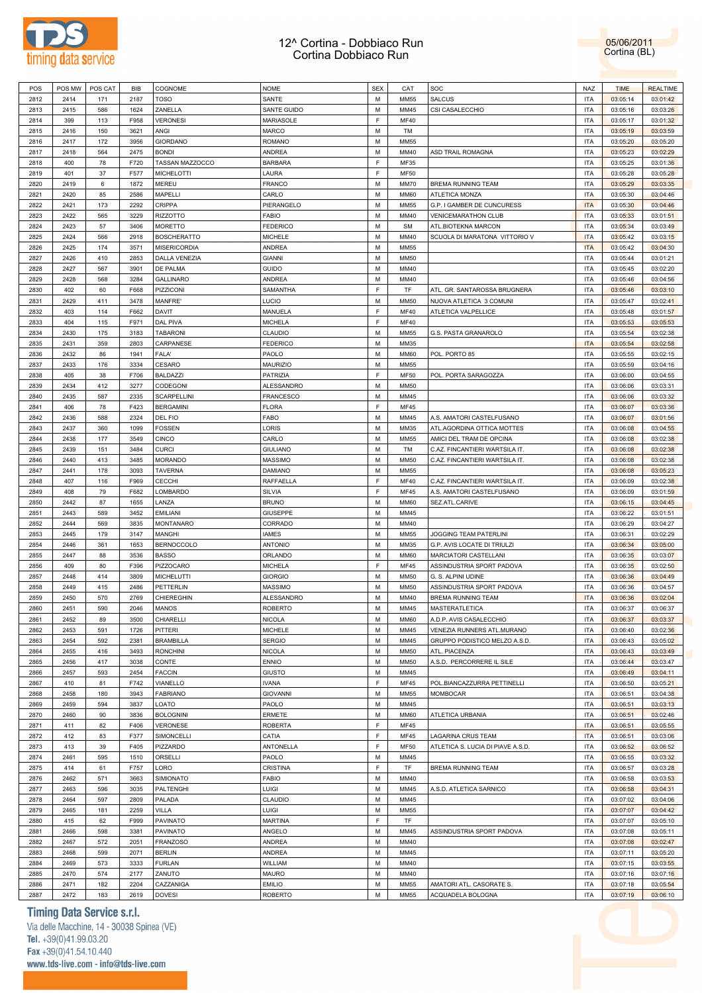

| POS  | POS MW | POS CAT | BIB  | COGNOME             | <b>NOME</b>      | <b>SEX</b> | CAT         | SOC                               | NAZ        | <b>TIME</b> | <b>REALTIME</b> |  |
|------|--------|---------|------|---------------------|------------------|------------|-------------|-----------------------------------|------------|-------------|-----------------|--|
| 2812 | 2414   | 171     | 2187 | <b>TOSO</b>         | SANTE            | М          | <b>MM55</b> | SALCUS                            | <b>ITA</b> | 03:05:14    | 03:01:42        |  |
|      |        |         |      |                     |                  |            |             |                                   |            |             |                 |  |
| 2813 | 2415   | 586     | 1624 | ZANELLA             | SANTE GUIDO      | M          | MM45        | CSI CASALECCHIO                   | <b>ITA</b> | 03:05:16    | 03:03:26        |  |
| 2814 | 399    | 113     | F958 | <b>VERONESI</b>     | <b>MARIASOLE</b> | F          | <b>MF40</b> |                                   | <b>ITA</b> | 03:05:17    | 03:01:32        |  |
| 2815 | 2416   | 150     | 3621 | ANGI                | MARCO            | М          | TM          |                                   | <b>ITA</b> | 03:05:19    | 03:03:59        |  |
|      |        |         |      |                     |                  |            |             |                                   |            |             |                 |  |
| 2816 | 2417   | 172     | 3956 | <b>GIORDANO</b>     | <b>ROMANO</b>    | М          | <b>MM55</b> |                                   | <b>ITA</b> | 03:05:20    | 03:05:20        |  |
| 2817 | 2418   | 564     | 2475 | <b>BONDI</b>        | ANDREA           | M          | MM40        | ASD TRAIL ROMAGNA                 | <b>ITA</b> | 03:05:23    | 03:02:29        |  |
| 2818 | 400    | 78      | F720 | TASSAN MAZZOCCO     | <b>BARBARA</b>   | F          | MF35        |                                   | <b>ITA</b> | 03:05:25    | 03:01:36        |  |
|      |        |         |      |                     |                  | F          |             |                                   | <b>ITA</b> |             |                 |  |
| 2819 | 401    | 37      | F577 | MICHELOTTI          | LAURA            |            | <b>MF50</b> |                                   |            | 03:05:28    | 03:05:28        |  |
| 2820 | 2419   | 6       | 1872 | MEREU               | <b>FRANCO</b>    | М          | MM70        | BREMA RUNNING TEAM                | <b>ITA</b> | 03:05:29    | 03:03:35        |  |
| 2821 | 2420   | 85      | 2586 | MAPELLI             | CARLO            | M          | MM60        | ATLETICA MONZA                    | <b>ITA</b> | 03:05:30    | 03:04:46        |  |
| 2822 | 2421   | 173     | 2292 | <b>CRIPPA</b>       | PIERANGELO       | М          |             | G.P. I GAMBER DE CUNCURESS        | <b>ITA</b> |             | 03:04:46        |  |
|      |        |         |      |                     |                  |            | <b>MM55</b> |                                   |            | 03:05:30    |                 |  |
| 2823 | 2422   | 565     | 3229 | <b>RIZZOTTO</b>     | <b>FABIO</b>     | М          | MM40        | VENICEMARATHON CLUB               | <b>ITA</b> | 03:05:33    | 03:01:51        |  |
| 2824 | 2423   | 57      | 3406 | <b>MORETTO</b>      | <b>FEDERICO</b>  | М          | SM          | ATL.BIOTEKNA MARCON               | <b>ITA</b> | 03:05:34    | 03:03:49        |  |
| 2825 | 2424   | 566     | 2918 | <b>BOSCHERATTO</b>  | <b>MICHELE</b>   | M          | MM40        | SCUOLA DI MARATONA VITTORIO V     | <b>ITA</b> | 03:05:42    | 03:03:15        |  |
|      |        |         |      |                     |                  |            |             |                                   |            |             |                 |  |
| 2826 | 2425   | 174     | 3571 | <b>MISERICORDIA</b> | <b>ANDREA</b>    | М          | <b>MM55</b> |                                   | <b>ITA</b> | 03:05:42    | 03:04:30        |  |
| 2827 | 2426   | 410     | 2853 | DALLA VENEZIA       | <b>GIANNI</b>    | М          | <b>MM50</b> |                                   | <b>ITA</b> | 03:05:44    | 03:01:21        |  |
| 2828 | 2427   | 567     | 3901 | DE PALMA            | <b>GUIDO</b>     | М          | MM40        |                                   | <b>ITA</b> | 03:05:45    | 03:02:20        |  |
|      |        |         |      |                     |                  |            |             |                                   |            |             |                 |  |
| 2829 | 2428   | 568     | 3284 | <b>GALLINARO</b>    | <b>ANDREA</b>    | М          | MM40        |                                   | <b>ITA</b> | 03:05:46    | 03:04:56        |  |
| 2830 | 402    | 60      | F668 | PIZZICONI           | SAMANTHA         | F          | TF          | ATL. GR. SANTAROSSA BRUGNERA      | <b>ITA</b> | 03:05:46    | 03:03:10        |  |
| 2831 | 2429   | 411     | 3478 | MANFRE'             | <b>LUCIO</b>     | М          | <b>MM50</b> | NUOVA ATLETICA 3 COMUNI           | <b>ITA</b> | 03:05:47    | 03:02:41        |  |
|      |        |         |      |                     |                  |            |             |                                   |            |             |                 |  |
| 2832 | 403    | 114     | F662 | DAVIT               | MANUELA          | F          | <b>MF40</b> | ATLETICA VALPELLICE               | <b>ITA</b> | 03:05:48    | 03:01:57        |  |
| 2833 | 404    | 115     | F971 | DAL PIVA            | <b>MICHELA</b>   | F          | <b>MF40</b> |                                   | <b>ITA</b> | 03:05:53    | 03:05:53        |  |
| 2834 | 2430   | 175     | 3183 | <b>TABARONI</b>     | CLAUDIO          | М          | <b>MM55</b> | G.S. PASTA GRANAROLO              | <b>ITA</b> | 03:05:54    | 03:02:38        |  |
|      |        |         |      |                     |                  |            |             |                                   |            |             |                 |  |
| 2835 | 2431   | 359     | 2803 | CARPANESE           | <b>FEDERICO</b>  | М          | MM35        |                                   | <b>ITA</b> | 03:05:54    | 03:02:58        |  |
| 2836 | 2432   | 86      | 1941 | FALA'               | PAOLO            | М          | MM60        | POL. PORTO 85                     | <b>ITA</b> | 03:05:55    | 03:02:15        |  |
| 2837 | 2433   | 176     | 3334 | CESARO              | MAURIZIO         | M          | <b>MM55</b> |                                   | <b>ITA</b> | 03:05:59    | 03:04:16        |  |
|      |        |         |      |                     |                  |            |             |                                   |            |             |                 |  |
| 2838 | 405    | 38      | F706 | <b>BALDAZZI</b>     | PATRIZIA         | F          | <b>MF50</b> | POL. PORTA SARAGOZZA              | <b>ITA</b> | 03:06:00    | 03:04:55        |  |
| 2839 | 2434   | 412     | 3277 | CODEGONI            | ALESSANDRO       | М          | <b>MM50</b> |                                   | <b>ITA</b> | 03:06:06    | 03:03:31        |  |
| 2840 | 2435   | 587     | 2335 | <b>SCARPELLINI</b>  | <b>FRANCESCO</b> | М          | MM45        |                                   | <b>ITA</b> | 03:06:06    | 03:03:32        |  |
|      |        |         |      |                     |                  |            |             |                                   |            |             |                 |  |
| 2841 | 406    | 78      | F423 | <b>BERGAMINI</b>    | <b>FLORA</b>     | F          | MF45        |                                   | <b>ITA</b> | 03:06:07    | 03:03:36        |  |
| 2842 | 2436   | 588     | 2324 | DEL FIO             | FABO             | М          | MM45        | A.S. AMATORI CASTELFUSANO         | <b>ITA</b> | 03:06:07    | 03:01:56        |  |
| 2843 | 2437   | 360     | 1099 | <b>FOSSEN</b>       | LORIS            | M          | MM35        | ATL.AGORDINA OTTICA MOTTES        | <b>ITA</b> | 03:06:08    | 03:04:55        |  |
|      |        |         |      |                     |                  |            |             |                                   |            |             |                 |  |
| 2844 | 2438   | 177     | 3549 | <b>CINCO</b>        | CARLO            | M          | <b>MM55</b> | AMICI DEL TRAM DE OPCINA          | <b>ITA</b> | 03:06:08    | 03:02:38        |  |
| 2845 | 2439   | 151     | 3484 | <b>CURCI</b>        | <b>GIULIANO</b>  | M          | TM          | C.AZ. FINCANTIERI WARTSILA IT.    | <b>ITA</b> | 03:06:08    | 03:02:38        |  |
| 2846 | 2440   | 413     | 3485 | <b>MORANDO</b>      | <b>MASSIMO</b>   | М          | <b>MM50</b> | C.AZ. FINCANTIERI WARTSILA IT.    | <b>ITA</b> | 03:06:08    | 03:02:38        |  |
|      |        |         |      |                     |                  |            |             |                                   |            |             |                 |  |
| 2847 | 2441   | 178     | 3093 | TAVERNA             | DAMIANO          | М          | <b>MM55</b> |                                   | <b>ITA</b> | 03:06:08    | 03:05:23        |  |
| 2848 | 407    | 116     | F969 | <b>CECCHI</b>       | RAFFAELLA        | F          | <b>MF40</b> | C.AZ. FINCANTIERI WARTSILA IT.    | <b>ITA</b> | 03:06:09    | 03:02:38        |  |
| 2849 | 408    | 79      | F682 | LOMBARDO            | SILVIA           | F          | MF45        | A.S. AMATORI CASTELFUSANO         | <b>ITA</b> | 03:06:09    | 03:01:59        |  |
|      |        |         |      |                     |                  |            |             |                                   |            |             |                 |  |
| 2850 | 2442   | 87      | 1655 | LANZA               | <b>BRUNO</b>     | М          | MM60        | SEZ.ATL.CARIVE                    | <b>ITA</b> | 03:06:15    | 03:04:45        |  |
| 2851 | 2443   | 589     | 3452 | <b>EMILIANI</b>     | <b>GIUSEPPE</b>  | М          | MM45        |                                   | <b>ITA</b> | 03:06:22    | 03:01:51        |  |
| 2852 | 2444   | 569     | 3835 | <b>MONTANARO</b>    | CORRADO          | М          | MM40        |                                   | <b>ITA</b> | 03:06:29    | 03:04:27        |  |
|      |        |         |      |                     |                  |            |             |                                   |            |             |                 |  |
| 2853 | 2445   | 179     | 3147 | MANGHI              | <b>IAMES</b>     | M          | <b>MM55</b> | JOGGING TEAM PATERLINI            | <b>ITA</b> | 03:06:31    | 03:02:29        |  |
| 2854 | 2446   | 361     | 1653 | <b>BERNOCCOLO</b>   | <b>ANTONIO</b>   | М          | MM35        | G.P. AVIS LOCATE DI TRIULZI       | <b>ITA</b> | 03:06:34    | 03:05:00        |  |
| 2855 | 2447   | 88      | 3536 | <b>BASSO</b>        | ORLANDO          | М          | MM60        | MARCIATORI CASTELLANI             | <b>ITA</b> | 03:06:35    | 03:03:07        |  |
| 2856 |        | 80      | F396 | PIZZOCARO           | <b>MICHELA</b>   | F          | <b>MF45</b> | ASSINDUSTRIA SPORT PADOVA         | <b>ITA</b> |             | 03:02:50        |  |
|      | 409    |         |      |                     |                  |            |             |                                   |            | 03:06:35    |                 |  |
| 2857 | 2448   | 414     | 3809 | <b>MICHELUTTI</b>   | <b>GIORGIO</b>   | М          | <b>MM50</b> | G. S. ALPINI UDINE                | <b>ITA</b> | 03:06:36    | 03:04:49        |  |
| 2858 | 2449   | 415     | 2486 | PETTERLIN           | <b>MASSIMO</b>   | М          | <b>MM50</b> | ASSINDUSTRIA SPORT PADOVA         | <b>ITA</b> | 03:06:36    | 03:04:57        |  |
| 2859 | 2450   | 570     | 2769 | CHIEREGHIN          | ALESSANDRO       | М          | MM40        | BREMA RUNNING TEAM                | <b>ITA</b> |             | 03:02:04        |  |
|      |        |         |      |                     |                  |            |             |                                   |            | 03:06:36    |                 |  |
| 2860 | 2451   | 590     | 2046 | MANOS               | <b>ROBERTO</b>   | M          | MM45        | MASTERATLETICA                    | <b>ITA</b> | 03:06:37    | 03:06:37        |  |
| 2861 | 2452   | 89      | 3500 | CHIARELLI           | <b>NICOLA</b>    | М          | MM60        | A.D.P. AVIS CASALECCHIO           | <b>ITA</b> | 03:06:37    | 03:03:37        |  |
|      |        |         |      |                     | <b>MICHELE</b>   | М          |             | VENEZIA RUNNERS ATL.MURANO        | <b>ITA</b> |             |                 |  |
| 2862 | 2453   | 591     | 1726 | PITTERI             |                  |            | MM45        |                                   |            | 03:06:40    | 03:02:36        |  |
| 2863 | 2454   | 592     | 2381 | <b>BRAMBILLA</b>    | <b>SERGIO</b>    | М          | MM45        | GRUPPO PODISTICO MELZO A.S.D.     | <b>ITA</b> | 03:06:43    | 03:05:02        |  |
| 2864 | 2455   | 416     | 3493 | <b>RONCHINI</b>     | <b>NICOLA</b>    | M          | MM50        | ATL. PIACENZA                     | <b>ITA</b> | 03:06:43    | 03:03:49        |  |
| 2865 | 2456   | 417     | 3038 | CONTE               | <b>ENNIO</b>     | M          | <b>MM50</b> | A.S.D. PERCORRERE IL SILE         | <b>ITA</b> | 03:06:44    | 03:03:47        |  |
|      |        |         |      |                     |                  |            |             |                                   |            |             |                 |  |
| 2866 | 2457   | 593     | 2454 | <b>FACCIN</b>       | <b>GIUSTO</b>    | M          | MM45        |                                   | <b>ITA</b> | 03:06:49    | 03:04:11        |  |
| 2867 | 410    | 81      | F742 | VIANELLO            | <b>IVANA</b>     | E          | <b>MF45</b> | POL.BIANCAZZURRA PETTINELLI       | <b>ITA</b> | 03:06:50    | 03:05:21        |  |
| 2868 | 2458   | 180     | 3943 | <b>FABRIANO</b>     | <b>GIOVANNI</b>  | M          | <b>MM55</b> | <b>MOMBOCAR</b>                   | <b>ITA</b> | 03:06:51    | 03:04:38        |  |
|      |        |         |      |                     |                  |            |             |                                   |            |             |                 |  |
| 2869 | 2459   | 594     | 3837 | LOATO               | PAOLO            | M          | MM45        |                                   | <b>ITA</b> | 03:06:51    | 03:03:13        |  |
| 2870 | 2460   | 90      | 3836 | <b>BOLOGNINI</b>    | ERMETE           | M          | <b>MM60</b> | ATLETICA URBANIA                  | <b>ITA</b> | 03:06:51    | 03:02:46        |  |
| 2871 | 411    | 82      | F406 | <b>VERONESE</b>     | <b>ROBERTA</b>   | E          | <b>MF45</b> |                                   | <b>ITA</b> | 03:06:51    | 03:05:55        |  |
|      |        |         |      |                     |                  |            |             |                                   |            |             |                 |  |
| 2872 | 412    | 83      | F377 | SIMONCELLI          | CATIA            | F          | <b>MF45</b> | <b>LAGARINA CRUS TEAM</b>         | <b>ITA</b> | 03:06:51    | 03:03:06        |  |
| 2873 | 413    | 39      | F405 | PIZZARDO            | ANTONELLA        | F          | <b>MF50</b> | ATLETICA S. LUCIA DI PIAVE A.S.D. | <b>ITA</b> | 03:06:52    | 03:06:52        |  |
| 2874 | 2461   | 595     | 1510 | ORSELLI             | PAOLO            | M          | MM45        |                                   | <b>ITA</b> | 03:06:55    | 03:03:32        |  |
|      |        |         |      |                     |                  |            |             |                                   |            |             |                 |  |
| 2875 | 414    | 61      | F757 | LORO                | CRISTINA         | E          | TF          | BREMA RUNNING TEAM                | <b>ITA</b> | 03:06:57    | 03:03:28        |  |
| 2876 | 2462   | 571     | 3663 | SIMIONATO           | <b>FABIO</b>     | М          | MM40        |                                   | <b>ITA</b> | 03:06:58    | 03:03:53        |  |
| 2877 | 2463   | 596     | 3035 | PALTENGHI           | LUIGI            | М          | MM45        | A.S.D. ATLETICA SARNICO           | <b>ITA</b> | 03:06:58    | 03:04:31        |  |
|      |        |         |      |                     |                  |            |             |                                   |            |             |                 |  |
| 2878 | 2464   | 597     | 2809 | PALADA              | CLAUDIO          | M          | MM45        |                                   | <b>ITA</b> | 03:07:02    | 03:04:06        |  |
| 2879 | 2465   | 181     | 2259 | VILLA               | LUIGI            | М          | <b>MM55</b> |                                   | <b>ITA</b> | 03:07:07    | 03:04:42        |  |
| 2880 | 415    | 62      | F999 | PAVINATO            | <b>MARTINA</b>   | F          | TF          |                                   | <b>ITA</b> | 03:07:07    | 03:05:10        |  |
|      |        |         |      |                     |                  |            |             |                                   |            |             |                 |  |
| 2881 | 2466   | 598     | 3381 | PAVINATO            | ANGELO           | М          | MM45        | ASSINDUSTRIA SPORT PADOVA         | <b>ITA</b> | 03:07:08    | 03:05:11        |  |
| 2882 | 2467   | 572     | 2051 | <b>FRANZOSO</b>     | ANDREA           | М          | MM40        |                                   | <b>ITA</b> | 03:07:08    | 03:02:47        |  |
| 2883 | 2468   | 599     | 2071 | <b>BERLIN</b>       | ANDREA           | М          | MM45        |                                   | <b>ITA</b> | 03:07:11    | 03:05:20        |  |
| 2884 | 2469   | 573     | 3333 | <b>FURLAN</b>       | WILLIAM          | М          | MM40        |                                   | <b>ITA</b> |             | 03:03:55        |  |
|      |        |         |      |                     |                  |            |             |                                   |            | 03:07:15    |                 |  |
| 2885 | 2470   | 574     | 2177 | ZANUTO              | <b>MAURO</b>     | М          | MM40        |                                   | <b>ITA</b> | 03:07:16    | 03:07:16        |  |
| 2886 | 2471   | 182     | 2204 | CAZZANIGA           | <b>EMILIO</b>    | М          | <b>MM55</b> | AMATORI ATL. CASORATE S.          | <b>ITA</b> | 03:07:18    | 03:05:54        |  |
| 2887 | 2472   | 183     | 2619 | <b>DOVESI</b>       | <b>ROBERTO</b>   | М          | <b>MM55</b> | ACQUADELA BOLOGNA                 | <b>ITA</b> | 03:07:19    | 03:06:10        |  |
|      |        |         |      |                     |                  |            |             |                                   |            |             |                 |  |

# **Timing Data Service s.r.l.**

Via delle Macchine, 14 - 30038 Spinea (VE) Tel. +39(0)41.99.03.20 Fax +39(0)41.54.10.440 www.tds-live.com - info@tds-live.com



05/06/2011 Cortina (BL)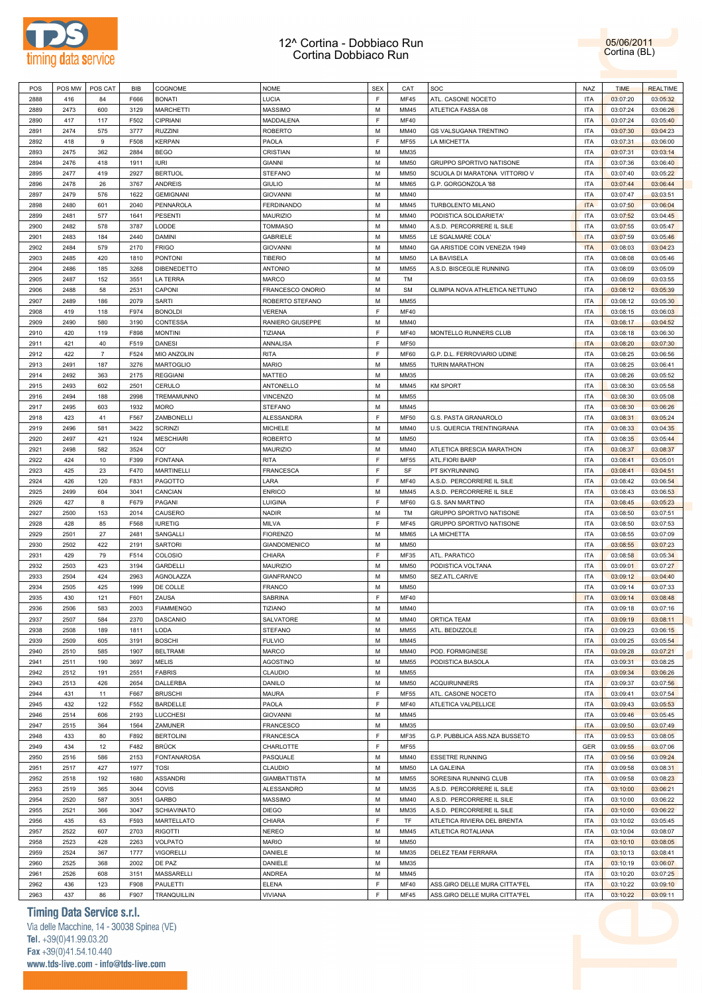

05/06/2011 Cortina (BL)

| POS  | POS MW | POS CAT        | BIB  | COGNOME            | <b>NOME</b>         | <b>SEX</b>  | CAT         | SOC                            | <b>NAZ</b> | <b>TIME</b> | <b>REALTIME</b> |
|------|--------|----------------|------|--------------------|---------------------|-------------|-------------|--------------------------------|------------|-------------|-----------------|
| 2888 | 416    | 84             | F666 | <b>BONATI</b>      | LUCIA               | $\mathsf F$ | <b>MF45</b> | ATL. CASONE NOCETO             | <b>ITA</b> | 03:07:20    | 03:05:32        |
| 2889 | 2473   | 600            | 3129 | <b>MARCHETTI</b>   | <b>MASSIMO</b>      | M           | MM45        | ATLETICA FASSA 08              | <b>ITA</b> | 03:07:24    | 03:06:26        |
| 2890 | 417    | 117            | F502 | CIPRIANI           | MADDALENA           | $\mathsf F$ | <b>MF40</b> |                                | <b>ITA</b> | 03:07:24    | 03:05:40        |
| 2891 | 2474   | 575            | 3777 | <b>RUZZINI</b>     | <b>ROBERTO</b>      | M           | MM40        | <b>GS VALSUGANA TRENTINO</b>   | <b>ITA</b> | 03:07:30    | 03:04:23        |
| 2892 | 418    | 9              | F508 | <b>KERPAN</b>      | PAOLA               | $\mathsf F$ | <b>MF55</b> | LA MICHETTA                    | <b>ITA</b> | 03:07:31    | 03:06:00        |
|      |        |                |      |                    |                     | M           |             |                                | <b>ITA</b> |             |                 |
| 2893 | 2475   | 362            | 2884 | <b>BEGO</b>        | CRISTIAN            |             | MM35        |                                |            | 03:07:31    | 03:03:14        |
| 2894 | 2476   | 418            | 1911 | <b>IURI</b>        | <b>GIANNI</b>       | M           | <b>MM50</b> | GRUPPO SPORTIVO NATISONE       | <b>ITA</b> | 03:07:36    | 03:06:40        |
| 2895 | 2477   | 419            | 2927 | <b>BERTUOL</b>     | <b>STEFANO</b>      | M           | <b>MM50</b> | SCUOLA DI MARATONA VITTORIO V  | <b>ITA</b> | 03:07:40    | 03:05:22        |
| 2896 | 2478   | 26             | 3767 | ANDREIS            | <b>GIULIO</b>       | M           | <b>MM65</b> | G.P. GORGONZOLA '88            | <b>ITA</b> | 03:07:44    | 03:06:44        |
| 2897 | 2479   | 576            | 1622 | <b>GEMIGNANI</b>   | <b>GIOVANNI</b>     | M           | MM40        |                                | <b>ITA</b> | 03:07:47    | 03:03:51        |
| 2898 | 2480   | 601            | 2040 | PENNAROLA          | <b>FERDINANDO</b>   | M           | MM45        | TURBOLENTO MILANO              | <b>ITA</b> | 03:07:50    | 03:06:04        |
| 2899 | 2481   | 577            | 1641 | <b>PESENTI</b>     | <b>MAURIZIO</b>     | M           | MM40        | PODISTICA SOLIDARIETA'         | <b>ITA</b> | 03:07:52    | 03:04:45        |
| 2900 | 2482   | 578            | 3787 | LODDE              | <b>TOMMASO</b>      | M           | MM40        | A.S.D. PERCORRERE IL SILE      | <b>ITA</b> | 03:07:55    | 03:05:47        |
|      |        |                |      |                    |                     | M           |             |                                | <b>ITA</b> |             |                 |
| 2901 | 2483   | 184            | 2440 | DAMINI             | <b>GABRIELE</b>     |             | MM55        | LE SGALMARE COLA'              |            | 03:07:59    | 03:05:46        |
| 2902 | 2484   | 579            | 2170 | <b>FRIGO</b>       | <b>GIOVANNI</b>     | M           | MM40        | GA ARISTIDE COIN VENEZIA 1949  | <b>ITA</b> | 03:08:03    | 03:04:23        |
| 2903 | 2485   | 420            | 1810 | <b>PONTONI</b>     | <b>TIBERIO</b>      | M           | <b>MM50</b> | LA BAVISELA                    | <b>ITA</b> | 03:08:08    | 03:05:46        |
| 2904 | 2486   | 185            | 3268 | DIBENEDETTO        | <b>ANTONIO</b>      | M           | MM55        | A.S.D. BISCEGLIE RUNNING       | <b>ITA</b> | 03:08:09    | 03:05:09        |
| 2905 | 2487   | 152            | 3551 | LA TERRA           | <b>MARCO</b>        | M           | TM          |                                | <b>ITA</b> | 03:08:09    | 03:03:55        |
| 2906 | 2488   | 58             | 2531 | CAPONI             | FRANCESCO ONORIO    | M           | <b>SM</b>   | OLIMPIA NOVA ATHLETICA NETTUNO | <b>ITA</b> | 03:08:12    | 03:05:39        |
| 2907 | 2489   | 186            | 2079 | SARTI              | ROBERTO STEFANO     | M           | MM55        |                                | <b>ITA</b> | 03:08:12    | 03:05:30        |
| 2908 | 419    | 118            | F974 | <b>BONOLDI</b>     | <b>VERENA</b>       | $\mathsf F$ | <b>MF40</b> |                                | <b>ITA</b> | 03:08:15    | 03:06:03        |
|      |        |                |      |                    |                     |             |             |                                |            |             |                 |
| 2909 | 2490   | 580            | 3190 | CONTESSA           | RANIERO GIUSEPPE    | M           | MM40        |                                | <b>ITA</b> | 03:08:17    | 03:04:52        |
| 2910 | 420    | 119            | F898 | <b>MONTINI</b>     | TIZIANA             | $\mathsf F$ | <b>MF40</b> | MONTELLO RUNNERS CLUB          | <b>ITA</b> | 03:08:18    | 03:06:30        |
| 2911 | 421    | 40             | F519 | DANESI             | ANNALISA            | F           | <b>MF50</b> |                                | <b>ITA</b> | 03:08:20    | 03:07:30        |
| 2912 | 422    | $\overline{7}$ | F524 | MIO ANZOLIN        | <b>RITA</b>         | $\mathsf F$ | <b>MF60</b> | G.P. D.L. FERROVIARIO UDINE    | <b>ITA</b> | 03:08:25    | 03:06:56        |
| 2913 | 2491   | 187            | 3276 | <b>MARTOGLIO</b>   | <b>MARIO</b>        | M           | MM55        | <b>TURIN MARATHON</b>          | <b>ITA</b> | 03:08:25    | 03:06:41        |
| 2914 | 2492   | 363            | 2175 | <b>REGGIANI</b>    | <b>MATTEO</b>       | M           | MM35        |                                | <b>ITA</b> | 03:08:26    | 03:05:52        |
| 2915 | 2493   | 602            | 2501 | CERULO             | ANTONELLO           | M           | MM45        | <b>KM SPORT</b>                | <b>ITA</b> | 03:08:30    | 03:05:58        |
| 2916 | 2494   | 188            | 2998 | TREMAMUNNO         | <b>VINCENZO</b>     | M           | MM55        |                                | <b>ITA</b> | 03:08:30    | 03:05:08        |
|      |        |                |      |                    |                     | M           |             |                                | <b>ITA</b> |             |                 |
| 2917 | 2495   | 603            | 1932 | <b>MORO</b>        | <b>STEFANO</b>      |             | MM45        |                                |            | 03:08:30    | 03:06:26        |
| 2918 | 423    | 41             | F567 | ZAMBONELLI         | ALESSANDRA          | $\mathsf F$ | MF50        | G.S. PASTA GRANAROLO           | <b>ITA</b> | 03:08:31    | 03:05:24        |
| 2919 | 2496   | 581            | 3422 | <b>SCRINZI</b>     | <b>MICHELE</b>      | M           | MM40        | U.S. QUERCIA TRENTINGRANA      | <b>ITA</b> | 03:08:33    | 03:04:35        |
| 2920 | 2497   | 421            | 1924 | <b>MESCHIARI</b>   | <b>ROBERTO</b>      | M           | <b>MM50</b> |                                | <b>ITA</b> | 03:08:35    | 03:05:44        |
| 2921 | 2498   | 582            | 3524 | CO'                | <b>MAURIZIO</b>     | M           | MM40        | ATLETICA BRESCIA MARATHON      | <b>ITA</b> | 03:08:37    | 03:08:37        |
| 2922 | 424    | 10             | F399 | <b>FONTANA</b>     | <b>RITA</b>         | F           | <b>MF55</b> | ATL.FIORI BARP                 | <b>ITA</b> | 03:08:41    | 03:05:01        |
| 2923 | 425    | 23             | F470 | <b>MARTINELLI</b>  | FRANCESCA           | F           | SF          | PT SKYRUNNING                  | <b>ITA</b> | 03:08:41    | 03:04:51        |
| 2924 | 426    | 120            | F831 | PAGOTTO            | LARA                | $\mathsf F$ | <b>MF40</b> | A.S.D. PERCORRERE IL SILE      | <b>ITA</b> | 03:08:42    | 03:06:54        |
|      |        |                |      |                    |                     |             |             |                                |            |             |                 |
| 2925 | 2499   | 604            | 3041 | CANCIAN            | <b>ENRICO</b>       | M           | MM45        | A.S.D. PERCORRERE IL SILE      | <b>ITA</b> | 03:08:43    | 03:06:53        |
| 2926 | 427    | 8              | F679 | PAGANI             | LUIGINA             | F           | <b>MF60</b> | G.S. SAN MARTINO               | <b>ITA</b> | 03:08:45    | 03:05:23        |
| 2927 | 2500   | 153            | 2014 | CAUSERO            | <b>NADIR</b>        | M           | TM          | GRUPPO SPORTIVO NATISONE       | <b>ITA</b> | 03:08:50    | 03:07:51        |
| 2928 | 428    | 85             | F568 | <b>IURETIG</b>     | <b>MILVA</b>        | $\mathsf F$ | <b>MF45</b> | GRUPPO SPORTIVO NATISONE       | <b>ITA</b> | 03:08:50    | 03:07:53        |
| 2929 | 2501   | 27             | 2481 | SANGALLI           | <b>FIORENZO</b>     | M           | <b>MM65</b> | LA MICHETTA                    | <b>ITA</b> | 03:08:55    | 03:07:09        |
| 2930 | 2502   | 422            | 2191 | <b>SARTORI</b>     | <b>GIANDOMENICO</b> | M           | <b>MM50</b> |                                | <b>ITA</b> | 03:08:55    | 03:07:23        |
| 2931 | 429    | 79             | F514 | COLOSIO            | CHIARA              | F           | MF35        | ATL. PARATICO                  | <b>ITA</b> | 03:08:58    | 03:05:34        |
| 2932 | 2503   | 423            | 3194 | <b>GARDELLI</b>    | MAURIZIO            | M           | <b>MM50</b> | PODISTICA VOLTANA              | <b>ITA</b> | 03:09:01    | 03:07:27        |
| 2933 | 2504   | 424            | 2963 | AGNOLAZZA          | <b>GIANFRANCO</b>   | M           | <b>MM50</b> | SEZ.ATL.CARIVE                 | <b>ITA</b> | 03:09:12    | 03:04:40        |
|      |        |                |      |                    |                     |             |             |                                |            |             |                 |
| 2934 | 2505   | 425            | 1999 | DE COLLE           | <b>FRANCO</b>       | M           | <b>MM50</b> |                                | <b>ITA</b> | 03:09:14    | 03:07:33        |
| 2935 | 430    | 121            | F601 | ZAUSA              | SABRINA             | $\mathsf F$ | <b>MF40</b> |                                | <b>ITA</b> | 03:09:14    | 03:08:48        |
| 2936 | 2506   | 583            | 2003 | <b>FIAMMENGO</b>   | TIZIANO             | M           | MM40        |                                | <b>ITA</b> | 03:09:18    | 03:07:16        |
| 2937 | 2507   | 584            | 2370 | DASCANIO           | SALVATORE           | M           | MM40        | ORTICA TEAM                    | <b>ITA</b> | 03:09:19    | 03:08:11        |
| 2938 | 2508   | 189            | 1811 | LODA               | <b>STEFANO</b>      | M           | MM55        | ATL. BEDIZZOLE                 | <b>ITA</b> | 03:09:23    | 03:06:15        |
| 2939 | 2509   | 605            | 3191 | <b>BOSCHI</b>      | <b>FULVIO</b>       | M           | MM45        |                                | <b>ITA</b> | 03:09:25    | 03:05:54        |
| 2940 | 2510   | 585            | 1907 | <b>BELTRAMI</b>    | MARCO               | M           | MM40        | POD. FORMIGINESE               | <b>ITA</b> | 03:09:28    | 03:07:21        |
| 2941 | 2511   | 190            | 3697 | <b>MELIS</b>       | <b>AGOSTINO</b>     | M           | MM55        | PODISTICA BIASOLA              | <b>ITA</b> | 03:09:31    | 03:08:25        |
| 2942 | 2512   | 191            | 2551 | <b>FABRIS</b>      | CLAUDIO             | M           | MM55        |                                | <b>ITA</b> | 03:09:34    | 03:06:26        |
|      |        |                |      |                    |                     |             |             |                                |            |             |                 |
| 2943 | 2513   | 426            | 2654 | DALLERBA           | DANILO              | M           | MM50        | <b>ACQUIRUNNERS</b>            | <b>ITA</b> | 03:09:37    | 03:07:56        |
| 2944 | 431    | 11             | F667 | <b>BRUSCHI</b>     | <b>MAURA</b>        | $\mathsf F$ | <b>MF55</b> | ATL. CASONE NOCETO             | <b>ITA</b> | 03:09:41    | 03:07:54        |
| 2945 | 432    | 122            | F552 | BARDELLE           | PAOLA               | $\mathsf F$ | <b>MF40</b> | ATLETICA VALPELLICE            | <b>ITA</b> | 03:09:43    | 03:05:53        |
| 2946 | 2514   | 606            | 2193 | LUCCHESI           | <b>GIOVANNI</b>     | M           | MM45        |                                | <b>ITA</b> | 03:09:46    | 03:05:45        |
| 2947 | 2515   | 364            | 1564 | ZAMUNER            | <b>FRANCESCO</b>    | M           | MM35        |                                | <b>ITA</b> | 03:09:50    | 03:07:49        |
| 2948 | 433    | 80             | F892 | <b>BERTOLINI</b>   | <b>FRANCESCA</b>    | $\mathsf F$ | MF35        | G.P. PUBBLICA ASS.NZA BUSSETO  | <b>ITA</b> | 03:09:53    | 03:08:05        |
| 2949 | 434    | 12             | F482 | <b>BRÜCK</b>       | CHARLOTTE           | F           | <b>MF55</b> |                                | GER        | 03:09:55    | 03:07:06        |
|      |        |                |      |                    |                     | M           | MM40        |                                |            |             |                 |
| 2950 | 2516   | 586            | 2153 | <b>FONTANAROSA</b> | PASQUALE            |             |             | <b>ESSETRE RUNNING</b>         | <b>ITA</b> | 03:09:56    | 03:09:24        |
| 2951 | 2517   | 427            | 1977 | <b>TOSI</b>        | CLAUDIO             | M           | MM50        | LA GALEINA                     | <b>ITA</b> | 03:09:58    | 03:08:31        |
| 2952 | 2518   | 192            | 1680 | <b>ASSANDRI</b>    | <b>GIAMBATTISTA</b> | M           | MM55        | SORESINA RUNNING CLUB          | <b>ITA</b> | 03:09:58    | 03:08:23        |
| 2953 | 2519   | 365            | 3044 | COVIS              | ALESSANDRO          | M           | MM35        | A.S.D. PERCORRERE IL SILE      | <b>ITA</b> | 03:10:00    | 03:06:21        |
| 2954 | 2520   | 587            | 3051 | GARBO              | <b>MASSIMO</b>      | M           | MM40        | A.S.D. PERCORRERE IL SILE      | <b>ITA</b> | 03:10:00    | 03:06:22        |
| 2955 | 2521   | 366            | 3047 | <b>SCHIAVINATO</b> | <b>DIEGO</b>        | M           | MM35        | A.S.D. PERCORRERE IL SILE      | <b>ITA</b> | 03:10:00    | 03:06:22        |
| 2956 | 435    | 63             | F593 | MARTELLATO         | CHIARA              | F           | TF          | ATLETICA RIVIERA DEL BRENTA    | <b>ITA</b> | 03:10:02    | 03:05:45        |
| 2957 | 2522   | 607            | 2703 | <b>RIGOTTI</b>     | <b>NEREO</b>        | M           | MM45        | ATLETICA ROTALIANA             | <b>ITA</b> | 03:10:04    | 03:08:07        |
| 2958 | 2523   | 428            | 2263 | VOLPATO            | <b>MARIO</b>        | M           | MM50        |                                | <b>ITA</b> | 03:10:10    | 03:08:05        |
|      |        |                |      |                    |                     | M           |             |                                |            |             |                 |
| 2959 | 2524   | 367            | 1777 | <b>VIGORELLI</b>   | DANIELE             |             | MM35        | DELEZ TEAM FERRARA             | <b>ITA</b> | 03:10:13    | 03:08:41        |
| 2960 | 2525   | 368            | 2002 | DE PAZ             | DANIELE             | M           | MM35        |                                | <b>ITA</b> | 03:10:19    | 03:06:07        |
| 2961 | 2526   | 608            | 3151 | MASSARELLI         | ANDREA              | M           | MM45        |                                | <b>ITA</b> | 03:10:20    | 03:07:25        |
| 2962 | 436    | 123            | F908 | PAULETTI           | ELENA               | F           | <b>MF40</b> | ASS.GIRO DELLE MURA CITTA"FEL  | <b>ITA</b> | 03:10:22    | 03:09:10        |
| 2963 | 437    | 86             | F907 | TRANQUILLIN        | VIVIANA             | $\mathsf F$ | <b>MF45</b> | ASS.GIRO DELLE MURA CITTA"FEL  | <b>ITA</b> | 03:10:22    | 03:09:11        |

### **Timing Data Service s.r.l.**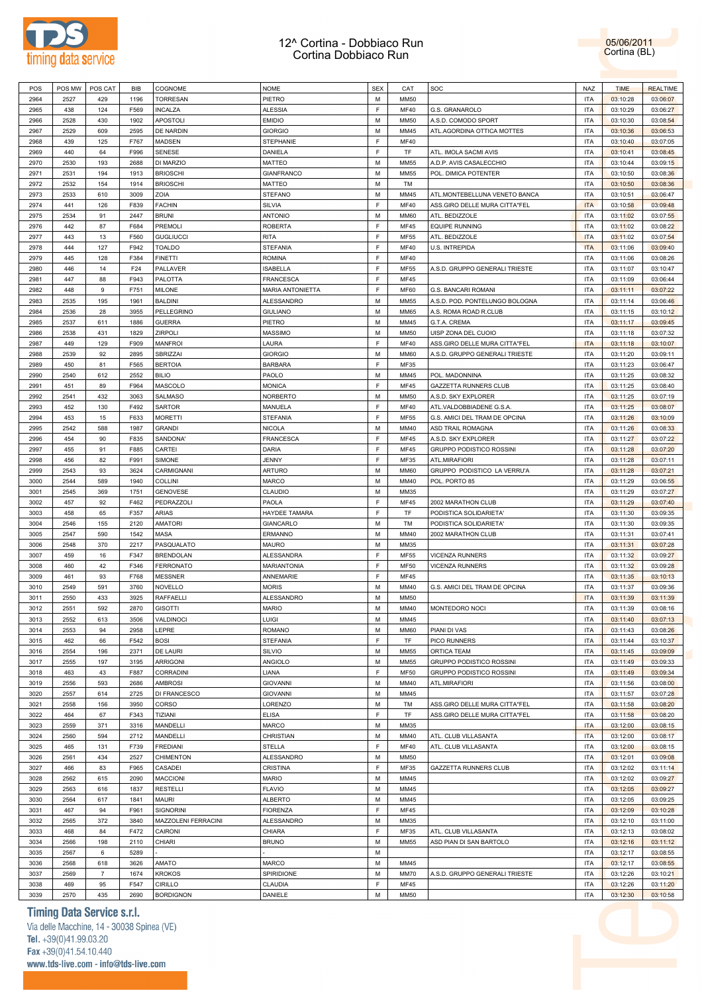

05/06/2011 Cortina (BL)

| POS  | POS MW | POS CAT        | BIB  | COGNOME             | <b>NOME</b>        | <b>SEX</b> | CAT         | SOC                            | <b>NAZ</b> | <b>TIME</b> | <b>REALTIME</b> |  |
|------|--------|----------------|------|---------------------|--------------------|------------|-------------|--------------------------------|------------|-------------|-----------------|--|
| 2964 | 2527   | 429            | 1196 | <b>TORRESAN</b>     | PIETRO             | M          | <b>MM50</b> |                                | <b>ITA</b> | 03:10:28    | 03:06:07        |  |
| 2965 | 438    | 124            | F569 | <b>INCALZA</b>      | <b>ALESSIA</b>     | E          | <b>MF40</b> | G.S. GRANAROLO                 | <b>ITA</b> | 03:10:29    | 03:06:27        |  |
| 2966 | 2528   | 430            | 1902 | APOSTOLI            | <b>EMIDIO</b>      | M          | <b>MM50</b> | A.S.D. COMODO SPORT            | <b>ITA</b> | 03:10:30    | 03:08:54        |  |
| 2967 | 2529   | 609            | 2595 | DE NARDIN           | <b>GIORGIO</b>     | M          | MM45        | ATL.AGORDINA OTTICA MOTTES     | <b>ITA</b> | 03:10:36    | 03:06:53        |  |
| 2968 | 439    | 125            | F767 |                     |                    | F          | <b>MF40</b> |                                | <b>ITA</b> |             |                 |  |
|      |        |                |      | MADSEN              | STEPHANIE          |            |             |                                |            | 03:10:40    | 03:07:05        |  |
| 2969 | 440    | 64             | F996 | SENESE              | DANIELA            | E          | TF          | ATL. IMOLA SACMI AVIS          | <b>ITA</b> | 03:10:41    | 03:08:45        |  |
| 2970 | 2530   | 193            | 2688 | DI MARZIO           | <b>MATTEO</b>      | M          | <b>MM55</b> | A.D.P. AVIS CASALECCHIO        | <b>ITA</b> | 03:10:44    | 03:09:15        |  |
| 2971 | 2531   | 194            | 1913 | <b>BRIOSCHI</b>     | <b>GIANFRANCO</b>  | M          | <b>MM55</b> | POL. DIMICA POTENTER           | <b>ITA</b> | 03:10:50    | 03:08:36        |  |
| 2972 | 2532   | 154            | 1914 | <b>BRIOSCHI</b>     | <b>MATTEO</b>      | M          | TM          |                                | <b>ITA</b> | 03:10:50    | 03:08:36        |  |
| 2973 | 2533   | 610            | 3009 | ZOIA                | <b>STEFANO</b>     | М          | MM45        | ATL.MONTEBELLUNA VENETO BANCA  | <b>ITA</b> | 03:10:51    | 03:06:47        |  |
| 2974 | 441    | 126            | F839 | <b>FACHIN</b>       | <b>SILVIA</b>      | E          | <b>MF40</b> | ASS.GIRO DELLE MURA CITTA"FEL  | <b>ITA</b> | 03:10:58    | 03:09:48        |  |
| 2975 | 2534   | 91             | 2447 | BRUNI               | <b>ANTONIO</b>     | M          | <b>MM60</b> | ATL. BEDIZZOLE                 | <b>ITA</b> | 03:11:02    | 03:07:55        |  |
| 2976 | 442    | 87             | F684 | PREMOLI             | <b>ROBERTA</b>     | F          | <b>MF45</b> | <b>EQUIPE RUNNING</b>          | <b>ITA</b> | 03:11:02    | 03:08:22        |  |
| 2977 | 443    | 13             | F560 | <b>GUGLIUCCI</b>    | <b>RITA</b>        | E          | <b>MF55</b> | ATL. BEDIZZOLE                 | <b>ITA</b> | 03:11:02    | 03:07:54        |  |
|      |        |                |      |                     |                    |            |             |                                |            |             |                 |  |
| 2978 | 444    | 127            | F942 | TOALDO              | <b>STEFANIA</b>    | E          | <b>MF40</b> | <b>U.S. INTREPIDA</b>          | <b>ITA</b> | 03:11:06    | 03:09:40        |  |
| 2979 | 445    | 128            | F384 | <b>FINETTI</b>      | <b>ROMINA</b>      | E          | <b>MF40</b> |                                | <b>ITA</b> | 03:11:06    | 03:08:26        |  |
| 2980 | 446    | 14             | F24  | PALLAVER            | <b>ISABELLA</b>    | F          | <b>MF55</b> | A.S.D. GRUPPO GENERALI TRIESTE | <b>ITA</b> | 03:11:07    | 03:10:47        |  |
| 2981 | 447    | 88             | F943 | PALOTTA             | <b>FRANCESCA</b>   | E          | <b>MF45</b> |                                | <b>ITA</b> | 03:11:09    | 03:06:44        |  |
| 2982 | 448    | 9              | F751 | MILONE              | MARIA ANTONIETTA   | E          | <b>MF60</b> | G.S. BANCARI ROMANI            | <b>ITA</b> | 03:11:11    | 03:07:22        |  |
| 2983 | 2535   | 195            | 1961 | BALDINI             | ALESSANDRO         | M          | <b>MM55</b> | A.S.D. POD. PONTELUNGO BOLOGNA | <b>ITA</b> | 03:11:14    | 03:06:46        |  |
| 2984 | 2536   | 28             | 3955 | PELLEGRINO          | <b>GIULIANO</b>    | M          | <b>MM65</b> | A.S. ROMA ROAD R.CLUB          | <b>ITA</b> | 03:11:15    | 03:10:12        |  |
| 2985 | 2537   | 611            | 1886 | <b>GUERRA</b>       | PIETRO             | M          | MM45        | G.T.A. CREMA                   | <b>ITA</b> | 03:11:17    | 03:09:45        |  |
| 2986 | 2538   | 431            | 1829 | ZIRPOLI             | <b>MASSIMO</b>     | M          | MM50        | UISP ZONA DEL CUOIO            | <b>ITA</b> | 03:11:18    | 03:07:32        |  |
|      |        |                |      |                     |                    | E          |             |                                |            |             |                 |  |
| 2987 | 449    | 129            | F909 | <b>MANFROI</b>      | LAURA              |            | <b>MF40</b> | ASS.GIRO DELLE MURA CITTA"FEL  | <b>ITA</b> | 03:11:18    | 03:10:07        |  |
| 2988 | 2539   | 92             | 2895 | <b>SBRIZZAI</b>     | <b>GIORGIO</b>     | M          | <b>MM60</b> | A.S.D. GRUPPO GENERALI TRIESTE | <b>ITA</b> | 03:11:20    | 03:09:11        |  |
| 2989 | 450    | 81             | F565 | <b>BERTOIA</b>      | <b>BARBARA</b>     | E          | <b>MF35</b> |                                | <b>ITA</b> | 03:11:23    | 03:06:47        |  |
| 2990 | 2540   | 612            | 2552 | <b>BILIO</b>        | PAOLO              | M          | MM45        | POL. MADONNINA                 | <b>ITA</b> | 03:11:25    | 03:08:32        |  |
| 2991 | 451    | 89             | F964 | MASCOLO             | <b>MONICA</b>      | E          | <b>MF45</b> | <b>GAZZETTA RUNNERS CLUB</b>   | <b>ITA</b> | 03:11:25    | 03:08:40        |  |
| 2992 | 2541   | 432            | 3063 | <b>SALMASO</b>      | NORBERTO           | M          | <b>MM50</b> | A.S.D. SKY EXPLORER            | <b>ITA</b> | 03:11:25    | 03:07:19        |  |
| 2993 | 452    | 130            | F492 | SARTOR              | MANUELA            | E          | <b>MF40</b> | ATL.VALDOBBIADENE G.S.A.       | <b>ITA</b> | 03:11:25    | 03:08:07        |  |
| 2994 | 453    | 15             | F633 | <b>MORETTI</b>      | <b>STEFANIA</b>    | F          | <b>MF55</b> | G.S. AMICI DEL TRAM DE OPCINA  | <b>ITA</b> | 03:11:26    | 03:10:09        |  |
| 2995 | 2542   | 588            | 1987 | <b>GRANDI</b>       | <b>NICOLA</b>      | M          | MM40        | ASD TRAIL ROMAGNA              | <b>ITA</b> | 03:11:26    | 03:08:33        |  |
|      |        |                |      |                     |                    | E          |             |                                |            |             |                 |  |
| 2996 | 454    | 90             | F835 | SANDONA'            | <b>FRANCESCA</b>   |            | <b>MF45</b> | A.S.D. SKY EXPLORER            | <b>ITA</b> | 03:11:27    | 03:07:22        |  |
| 2997 | 455    | 91             | F885 | CARTEI              | DARIA              | E          | <b>MF45</b> | GRUPPO PODISTICO ROSSINI       | <b>ITA</b> | 03:11:28    | 03:07:20        |  |
| 2998 | 456    | 82             | F991 | SIMONE              | JENNY              | E          | <b>MF35</b> | ATL.MIRAFIORI                  | <b>ITA</b> | 03:11:28    | 03:07:11        |  |
| 2999 | 2543   | 93             | 3624 | CARMIGNANI          | <b>ARTURO</b>      | M          | <b>MM60</b> | GRUPPO PODISTICO LA VERRU'A    | <b>ITA</b> | 03:11:28    | 03:07:21        |  |
| 3000 | 2544   | 589            | 1940 | <b>COLLINI</b>      | <b>MARCO</b>       | M          | MM40        | POL. PORTO 85                  | <b>ITA</b> | 03:11:29    | 03:06:55        |  |
| 3001 | 2545   | 369            | 1751 | <b>GENOVESE</b>     | CLAUDIO            | M          | MM35        |                                | <b>ITA</b> | 03:11:29    | 03:07:27        |  |
| 3002 | 457    | 92             | F462 | PEDRAZZOLI          | PAOLA              | E          | <b>MF45</b> | 2002 MARATHON CLUB             | <b>ITA</b> | 03:11:29    | 03:07:40        |  |
| 3003 | 458    | 65             | F357 | ARIAS               | HAYDEE TAMARA      | E          | TF          | PODISTICA SOLIDARIETA'         | <b>ITA</b> | 03:11:30    | 03:09:35        |  |
| 3004 | 2546   | 155            | 2120 | <b>AMATORI</b>      | <b>GIANCARLO</b>   | M          | TM          | PODISTICA SOLIDARIETA'         | <b>ITA</b> | 03:11:30    | 03:09:35        |  |
| 3005 | 2547   | 590            | 1542 | MASA                | ERMANNO            | M          | MM40        | 2002 MARATHON CLUB             | <b>ITA</b> | 03:11:31    | 03:07:41        |  |
|      |        |                |      |                     | <b>MAURO</b>       | M          |             |                                |            | 03:11:31    |                 |  |
|      |        |                |      |                     |                    |            |             |                                |            |             | 03:07:28        |  |
| 3006 | 2548   | 370            | 2217 | PASQUALATO          |                    |            | MM35        |                                | <b>ITA</b> |             |                 |  |
| 3007 | 459    | 16             | F347 | <b>BRENDOLAN</b>    | ALESSANDRA         | E          | <b>MF55</b> | <b>VICENZA RUNNERS</b>         | <b>ITA</b> | 03:11:32    | 03:09:27        |  |
| 3008 | 460    | 42             | F346 | <b>FERRONATO</b>    | <b>MARIANTONIA</b> | F          | <b>MF50</b> | <b>VICENZA RUNNERS</b>         | <b>ITA</b> | 03:11:32    | 03:09:28        |  |
| 3009 | 461    | 93             | F768 | <b>MESSNER</b>      | ANNEMARIE          | E          | <b>MF45</b> |                                | <b>ITA</b> | 03:11:35    | 03:10:13        |  |
| 3010 | 2549   | 591            | 3760 | NOVELLO             | <b>MORIS</b>       | M          | MM40        | G.S. AMICI DEL TRAM DE OPCINA  | <b>ITA</b> | 03:11:37    | 03:09:36        |  |
| 3011 | 2550   | 433            | 3925 | <b>RAFFAELLI</b>    | ALESSANDRO         | M          | <b>MM50</b> |                                | <b>ITA</b> | 03:11:39    | 03:11:39        |  |
| 3012 | 2551   | 592            | 2870 | <b>GISOTTI</b>      | <b>MARIO</b>       | M          | MM40        | MONTEDORO NOCI                 | <b>ITA</b> | 03:11:39    | 03:08:16        |  |
|      |        |                |      | VALDINOCI           |                    | М          | MM45        |                                | <b>ITA</b> |             |                 |  |
| 3013 | 2552   | 613            | 3506 |                     | LUIGI              |            |             |                                |            | 03:11:40    | 03:07:13        |  |
| 3014 | 2553   | 94             | 2958 | LEPRE               | <b>ROMANO</b>      | M          | <b>MM60</b> | PIANI DI VAS                   | <b>ITA</b> | 03:11:43    | 03:08:26        |  |
| 3015 | 462    | 66             | F542 | <b>BOSI</b>         | <b>STEFANIA</b>    | E          | TF          | PICO RUNNERS                   | <b>ITA</b> | 03:11:44    | 03:10:37        |  |
| 3016 | 2554   | 196            | 2371 | DE LAURI            | SILVIO             | M          | <b>MM55</b> | ORTICA TEAM                    | <b>ITA</b> | 03:11:45    | 03:09:09        |  |
| 3017 | 2555   | 197            | 3195 | <b>ARRIGONI</b>     | ANGIOLO            | M          | <b>MM55</b> | GRUPPO PODISTICO ROSSINI       | <b>ITA</b> | 03:11:49    | 03:09:33        |  |
| 3018 | 463    | 43             | F887 | <b>CORRADINI</b>    | LIANA              | F          | <b>MF50</b> | GRUPPO PODISTICO ROSSINI       | <b>ITA</b> | 03:11:49    | 03:09:34        |  |
| 3019 | 2556   | 593            | 2686 | <b>AMBROSI</b>      | <b>GIOVANNI</b>    | M          | MM40        | ATL.MIRAFIORI                  | <b>ITA</b> | 03:11:56    | 03:08:00        |  |
| 3020 | 2557   | 614            | 2725 | DI FRANCESCO        | <b>GIOVANNI</b>    | M          | MM45        |                                | <b>ITA</b> | 03:11:57    | 03:07:28        |  |
| 3021 | 2558   | 156            | 3950 | CORSO               | LORENZO            | М          | TM          | ASS.GIRO DELLE MURA CITTA"FEL  | <b>ITA</b> | 03:11:58    | 03:08:20        |  |
| 3022 | 464    | 67             | F343 | <b>TIZIANI</b>      | <b>ELISA</b>       | F          | TF          | ASS.GIRO DELLE MURA CITTA"FEL  | <b>ITA</b> | 03:11:58    | 03:08:20        |  |
|      |        |                |      |                     |                    |            |             |                                |            |             |                 |  |
| 3023 | 2559   | 371            | 3316 | MANDELLI            | MARCO              | M          | MM35        |                                | <b>ITA</b> | 03:12:00    | 03:08:15        |  |
| 3024 | 2560   | 594            | 2712 | MANDELLI            | CHRISTIAN          | M          | MM40        | ATL. CLUB VILLASANTA           | <b>ITA</b> | 03:12:00    | 03:08:17        |  |
| 3025 | 465    | 131            | F739 | <b>FREDIANI</b>     | <b>STELLA</b>      | E          | <b>MF40</b> | ATL. CLUB VILLASANTA           | <b>ITA</b> | 03:12:00    | 03:08:15        |  |
| 3026 | 2561   | 434            | 2527 | <b>CHIMENTON</b>    | ALESSANDRO         | M          | <b>MM50</b> |                                | <b>ITA</b> | 03:12:01    | 03:09:08        |  |
| 3027 | 466    | 83             | F965 | CASADEI             | CRISTINA           | F          | <b>MF35</b> | GAZZETTA RUNNERS CLUB          | <b>ITA</b> | 03:12:02    | 03:11:14        |  |
| 3028 | 2562   | 615            | 2090 | <b>MACCIONI</b>     | <b>MARIO</b>       | M          | MM45        |                                | <b>ITA</b> | 03:12:02    | 03:09:27        |  |
| 3029 | 2563   | 616            | 1837 | <b>RESTELLI</b>     | <b>FLAVIO</b>      | M          | MM45        |                                | <b>ITA</b> | 03:12:05    | 03:09:27        |  |
| 3030 | 2564   | 617            | 1841 | MAURI               | <b>ALBERTO</b>     | M          | MM45        |                                | <b>ITA</b> | 03:12:05    | 03:09:25        |  |
| 3031 | 467    | 94             | F961 | <b>SIGNORINI</b>    | <b>FIORENZA</b>    | E          | <b>MF45</b> |                                | <b>ITA</b> | 03:12:09    | 03:10:28        |  |
|      |        |                |      |                     |                    |            |             |                                |            |             |                 |  |
| 3032 | 2565   | 372            | 3840 | MAZZOLENI FERRACINI | ALESSANDRO         | M          | MM35        |                                | <b>ITA</b> | 03:12:10    | 03:11:00        |  |
| 3033 | 468    | 84             | F472 | CAIRONI             | CHIARA             | E          | <b>MF35</b> | ATL. CLUB VILLASANTA           | <b>ITA</b> | 03:12:13    | 03:08:02        |  |
| 3034 | 2566   | 198            | 2110 | CHIARI              | <b>BRUNO</b>       | M          | <b>MM55</b> | ASD PIAN DI SAN BARTOLO        | <b>ITA</b> | 03:12:16    | 03:11:12        |  |
| 3035 | 2567   | 6              | 5289 |                     |                    | M          |             |                                | <b>ITA</b> | 03:12:17    | 03:08:55        |  |
| 3036 | 2568   | 618            | 3626 | AMATO               | <b>MARCO</b>       | M          | MM45        |                                | <b>ITA</b> | 03:12:17    | 03:08:55        |  |
| 3037 | 2569   | $\overline{7}$ | 1674 | <b>KROKOS</b>       | SPIRIDIONE         | M          | <b>MM70</b> | A.S.D. GRUPPO GENERALI TRIESTE | <b>ITA</b> | 03:12:26    | 03:10:21        |  |
| 3038 | 469    | 95             | F547 | CIRILLO             | CLAUDIA            | E          | <b>MF45</b> |                                | <b>ITA</b> | 03:12:26    | 03:11:20        |  |

# **Timing Data Service s.r.l.**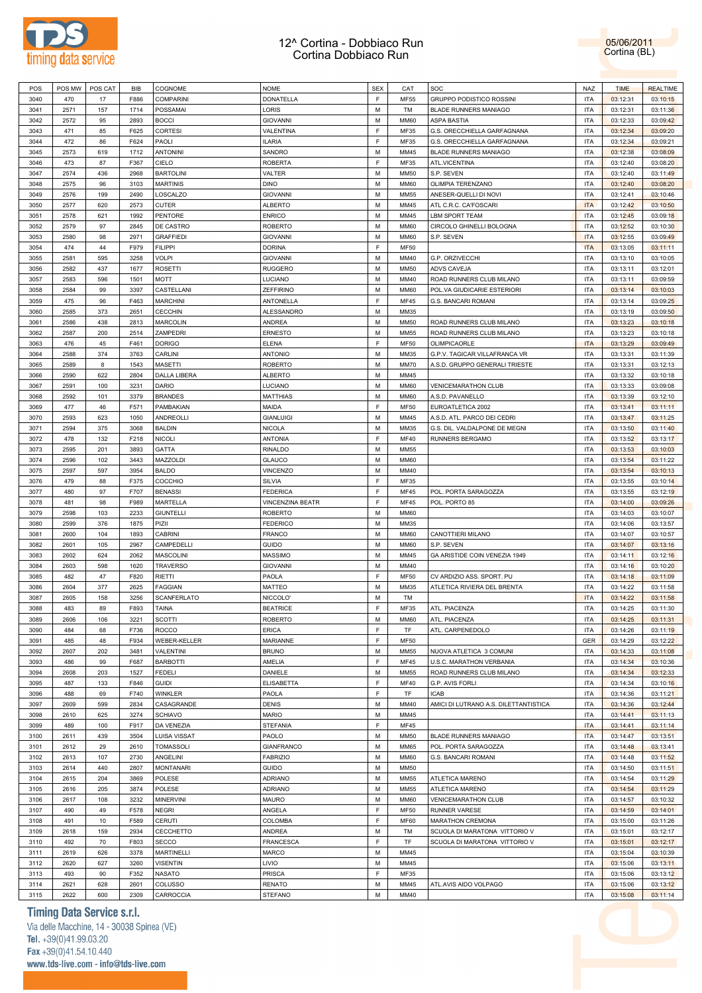



| POS          | POS MW       | POS CAT    | <b>BIB</b>   | COGNOME              | <b>NOME</b>                     | <b>SEX</b> | CAT          | SOC                                   | <b>NAZ</b>               | <b>TIME</b>          | <b>REALTIME</b>      |
|--------------|--------------|------------|--------------|----------------------|---------------------------------|------------|--------------|---------------------------------------|--------------------------|----------------------|----------------------|
|              |              |            |              |                      |                                 |            |              |                                       |                          |                      |                      |
| 3040         | 470          | 17         | F886         | <b>COMPARINI</b>     | DONATELLA                       | F          | <b>MF55</b>  | <b>GRUPPO PODISTICO ROSSINI</b>       | <b>ITA</b>               | 03:12:31             | 03:10:15             |
| 3041         | 2571         | 157        | 1714         | POSSAMAI             | LORIS                           | M          | TM           | BLADE RUNNERS MANIAGO                 | <b>ITA</b>               | 03:12:31             | 03:11:36             |
| 3042         | 2572         | 95         | 2893         | <b>BOCCI</b>         | <b>GIOVANNI</b>                 | M          | <b>MM60</b>  | <b>ASPA BASTIA</b>                    | <b>ITA</b>               | 03:12:33             | 03:09:42             |
| 3043         | 471          | 85         | F625         | <b>CORTESI</b>       | VALENTINA                       | F          | MF35         | G.S. ORECCHIELLA GARFAGNANA           | <b>ITA</b>               | 03:12:34             | 03:09:20             |
| 3044         | 472          | 86         | F624         | PAOLI                | <b>ILARIA</b>                   | F          | MF35         | G.S. ORECCHIELLA GARFAGNANA           | <b>ITA</b>               | 03:12:34             | 03:09:21             |
|              |              |            |              |                      |                                 |            |              |                                       |                          |                      |                      |
| 3045         | 2573         | 619        | 1712         | <b>ANTONINI</b>      | SANDRO                          | M          | MM45         | <b>BLADE RUNNERS MANIAGO</b>          | <b>ITA</b>               | 03:12:38             | 03:08:09             |
| 3046         | 473          | 87         | F367         | CIELO                | <b>ROBERTA</b>                  | F          | MF35         | ATL.VICENTINA                         | <b>ITA</b>               | 03:12:40             | 03:08:20             |
| 3047         | 2574         | 436        | 2968         | <b>BARTOLINI</b>     | VALTER                          | M          | <b>MM50</b>  | S.P. SEVEN                            | <b>ITA</b>               | 03:12:40             | 03:11:49             |
| 3048         | 2575         | 96         | 3103         | <b>MARTINIS</b>      | <b>DINO</b>                     | M          | <b>MM60</b>  | OLIMPIA TERENZANO                     | <b>ITA</b>               | 03:12:40             | 03:08:20             |
| 3049         | 2576         | 199        | 2490         | LOSCALZO             | <b>GIOVANNI</b>                 | M          | MM55         | ANESER-QUELLI DI NOVI                 | <b>ITA</b>               | 03:12:41             | 03:10:46             |
|              |              |            |              |                      |                                 |            |              |                                       |                          |                      |                      |
| 3050         | 2577         | 620        | 2573         | <b>CUTER</b>         | <b>ALBERTO</b>                  | M          | MM45         | ATL C.R.C. CA'FOSCARI                 | <b>ITA</b>               | 03:12:42             | 03:10:50             |
| 3051         | 2578         | 621        | 1992         | PENTORE              | <b>ENRICO</b>                   | M          | MM45         | <b>LBM SPORT TEAM</b>                 | <b>ITA</b>               | 03:12:45             | 03:09:18             |
| 3052         | 2579         | 97         | 2845         | DE CASTRO            | <b>ROBERTO</b>                  | M          | <b>MM60</b>  | CIRCOLO GHINELLI BOLOGNA              | <b>ITA</b>               | 03:12:52             | 03:10:30             |
| 3053         | 2580         | 98         | 2971         | <b>GRAFFIEDI</b>     | <b>GIOVANNI</b>                 | M          | <b>MM60</b>  | S.P. SEVEN                            | <b>ITA</b>               | 03:12:55             | 03:09:49             |
| 3054         | 474          | 44         | F979         | <b>FILIPPI</b>       | <b>DORINA</b>                   | E          | <b>MF50</b>  |                                       | <b>ITA</b>               | 03:13:05             | 03:11:11             |
|              |              |            |              |                      |                                 |            |              |                                       |                          |                      |                      |
| 3055         | 2581         | 595        | 3258         | <b>VOLPI</b>         | <b>GIOVANNI</b>                 | M          | MM40         | G.P. ORZIVECCHI                       | <b>ITA</b>               | 03:13:10             | 03:10:05             |
| 3056         | 2582         | 437        | 1677         | <b>ROSETTI</b>       | <b>RUGGERO</b>                  | M          | <b>MM50</b>  | ADVS CAVEJA                           | <b>ITA</b>               | 03:13:11             | 03:12:01             |
| 3057         | 2583         | 596        | 1501         | <b>MOTT</b>          | LUCIANO                         | M          | MM40         | ROAD RUNNERS CLUB MILANO              | <b>ITA</b>               | 03:13:11             | 03:09:59             |
| 3058         | 2584         | 99         | 3397         | CASTELLANI           | <b>ZEFFIRINO</b>                | M          | <b>MM60</b>  | POL.VA GIUDICARIE ESTERIORI           | <b>ITA</b>               | 03:13:14             | 03:10:03             |
| 3059         | 475          | 96         | F463         | <b>MARCHINI</b>      |                                 | F          | <b>MF45</b>  | G.S. BANCARI ROMANI                   | <b>ITA</b>               |                      |                      |
|              |              |            |              |                      | ANTONELLA                       |            |              |                                       |                          | 03:13:14             | 03:09:25             |
| 3060         | 2585         | 373        | 2651         | <b>CECCHIN</b>       | ALESSANDRO                      | M          | MM35         |                                       | <b>ITA</b>               | 03:13:19             | 03:09:50             |
| 3061         | 2586         | 438        | 2813         | <b>MARCOLIN</b>      | <b>ANDREA</b>                   | M          | <b>MM50</b>  | ROAD RUNNERS CLUB MILANO              | <b>ITA</b>               | 03:13:23             | 03:10:18             |
| 3062         | 2587         | 200        | 2514         | <b>ZAMPEDRI</b>      | <b>ERNESTO</b>                  | M          | MM55         | ROAD RUNNERS CLUB MILANO              | <b>ITA</b>               | 03:13:23             | 03:10:18             |
| 3063         | 476          | 45         | F461         | <b>DORIGO</b>        | <b>ELENA</b>                    | F          | MF50         | OLIMPICAORLE                          | <b>ITA</b>               | 03:13:29             | 03:09:49             |
|              |              |            |              |                      | <b>ANTONIO</b>                  | M          |              |                                       |                          |                      |                      |
| 3064         | 2588         | 374        | 3763         | CARLINI              |                                 |            | MM35         | G.P.V. TAGICAR VILLAFRANCA VR         | <b>ITA</b>               | 03:13:31             | 03:11:39             |
| 3065         | 2589         | 8          | 1543         | <b>MASETTI</b>       | <b>ROBERTO</b>                  | M          | <b>MM70</b>  | A.S.D. GRUPPO GENERALI TRIESTE        | <b>ITA</b>               | 03:13:31             | 03:12:13             |
| 3066         | 2590         | 622        | 2804         | DALLA LIBERA         | <b>ALBERTO</b>                  | M          | MM45         |                                       | <b>ITA</b>               | 03:13:32             | 03:10:18             |
| 3067         | 2591         | 100        | 3231         | <b>DARIO</b>         | LUCIANO                         | M          | <b>MM60</b>  | <b>VENICEMARATHON CLUB</b>            | <b>ITA</b>               | 03:13:33             | 03:09:08             |
| 3068         | 2592         | 101        | 3379         | <b>BRANDES</b>       | <b>MATTHIAS</b>                 | M          | <b>MM60</b>  | A.S.D. PAVANELLO                      | <b>ITA</b>               | 03:13:39             | 03:12:10             |
|              | 477          |            |              |                      |                                 | F          |              | EUROATLETICA 2002                     | <b>ITA</b>               |                      |                      |
| 3069         |              | 46         | F571         | PAMBAKIAN            | MAIDA                           |            | MF50         |                                       |                          | 03:13:41             | 03:11:11             |
| 3070         | 2593         | 623        | 1050         | <b>ANDREOLLI</b>     | <b>GIANLUIGI</b>                | M          | MM45         | A.S.D. ATL. PARCO DEI CEDRI           | <b>ITA</b>               | 03:13:47             | 03:11:25             |
| 3071         | 2594         | 375        | 3068         | <b>BALDIN</b>        | <b>NICOLA</b>                   | M          | MM35         | G.S. DIL. VALDALPONE DE MEGNI         | <b>ITA</b>               | 03:13:50             | 03:11:40             |
| 3072         | 478          | 132        | F218         | <b>NICOLI</b>        | <b>ANTONIA</b>                  | F          | <b>MF40</b>  | RUNNERS BERGAMO                       | <b>ITA</b>               | 03:13:52             | 03:13:17             |
| 3073         | 2595         | 201        | 3893         | GATTA                | <b>RINALDO</b>                  | M          | MM55         |                                       | <b>ITA</b>               | 03:13:53             | 03:10:03             |
|              |              | 102        | 3443         |                      | <b>GLAUCO</b>                   | M          |              |                                       |                          |                      |                      |
| 3074         | 2596         |            |              | MAZZOLDI             |                                 |            | <b>MM60</b>  |                                       | <b>ITA</b>               | 03:13:54             | 03:11:22             |
| 3075         | 2597         | 597        | 3954         | <b>BALDO</b>         | VINCENZO                        | M          | MM40         |                                       | <b>ITA</b>               | 03:13:54             | 03:10:13             |
| 3076         | 479          | 88         | F375         | COCCHIO              | SILVIA                          | F          | MF35         |                                       | <b>ITA</b>               | 03:13:55             | 03:10:14             |
| 3077         | 480          | 97         | F707         | <b>BENASSI</b>       | <b>FEDERICA</b>                 | F          | <b>MF45</b>  | POL. PORTA SARAGOZZA                  | <b>ITA</b>               | 03:13:55             | 03:12:19             |
|              |              |            |              |                      |                                 |            |              |                                       |                          |                      |                      |
|              |              |            |              |                      |                                 |            |              |                                       |                          |                      |                      |
| 3078         | 481          | 98         | F989         | MARTELLA             | <b>VINCENZINA BEATR</b>         | F          | <b>MF45</b>  | POL. PORTO 85                         | <b>ITA</b>               | 03:14:00             | 03:09:26             |
| 3079         | 2598         | 103        | 2233         | <b>GIUNTELLI</b>     | <b>ROBERTO</b>                  | M          | <b>MM60</b>  |                                       | <b>ITA</b>               | 03:14:03             | 03:10:07             |
| 3080         | 2599         | 376        | 1875         | PIZII                | <b>FEDERICO</b>                 | M          | MM35         |                                       | <b>ITA</b>               | 03:14:06             | 03:13:57             |
| 3081         | 2600         | 104        | 1893         | <b>CABRINI</b>       | <b>FRANCO</b>                   | M          | <b>MM60</b>  | CANOTTIERI MILANO                     | <b>ITA</b>               | 03:14:07             | 03:10:57             |
| 3082         | 2601         | 105        | 2967         | CAMPEDELLI           | <b>GUIDO</b>                    | M          | <b>MM60</b>  | S.P. SEVEN                            | <b>ITA</b>               | 03:14:07             | 03:13:16             |
|              |              |            |              |                      |                                 | M          |              |                                       | <b>ITA</b>               |                      |                      |
| 3083         | 2602         | 624        | 2062         | <b>MASCOLINI</b>     | <b>MASSIMO</b>                  |            | MM45         | GA ARISTIDE COIN VENEZIA 1949         |                          | 03:14:11             | 03:12:16             |
| 3084         | 2603         | 598        | 1620         | <b>TRAVERSO</b>      | <b>GIOVANNI</b>                 | M          | MM40         |                                       | <b>ITA</b>               | 03:14:16             | 03:10:20             |
| 3085         | 482          | 47         | F820         | <b>RIETTI</b>        | PAOLA                           | F          | MF50         | CV ARDIZIO ASS. SPORT. PU             | <b>ITA</b>               | 03:14:18             | 03:11:09             |
| 3086         | 2604         | 377        | 2625         | <b>FAGGIAN</b>       | MATTEO                          | M          | MM35         | ATLETICA RIVIERA DEL BRENTA           | <b>ITA</b>               | 03:14:22             | 03:11:58             |
| 3087         | 2605         | 158        | 3256         | <b>SCANFERLATO</b>   | NICCOLO'                        | M          | TM           |                                       | <b>ITA</b>               | 03:14:22             | 03:11:58             |
| 3088         | 483          | 89         | F893         | <b>TAINA</b>         | <b>BEATRICE</b>                 | E          | MF35         | ATL. PIACENZA                         | ITA                      | 03:14:25             | 03:11:30             |
|              |              |            |              |                      |                                 |            |              |                                       |                          |                      |                      |
| 3089         | 2606         | 106        | 3221         | <b>SCOTTI</b>        | <b>ROBERTO</b>                  | M          | <b>MM60</b>  | ATL. PIACENZA                         | <b>ITA</b>               | 03:14:25             | 03:11:31             |
| 3090         | 484          | 68         | F736         | <b>ROCCO</b>         | <b>ERICA</b>                    | E          | TF           | ATL. CARPENEDOLO                      | <b>ITA</b>               | 03:14:26             | 03:11:19             |
| 3091         | 485          | 48         | F934         | <b>WEBER-KELLER</b>  | MARIANNE                        | E          | <b>MF50</b>  |                                       | <b>GER</b>               | 03:14:29             | 03:12:22             |
| 3092         | 2607         | 202        | 3481         | VALENTINI            | <b>BRUNO</b>                    | M          | MM55         | NUOVA ATLETICA 3 COMUNI               | <b>ITA</b>               | 03:14:33             | 03:11:08             |
| 3093         | 486          | 99         | F687         | <b>BARBOTTI</b>      | AMELIA                          | E          | <b>MF45</b>  | U.S.C. MARATHON VERBANIA              | <b>ITA</b>               | 03:14:34             | 03:10:36             |
| 3094         | 2608         |            |              | <b>FEDELI</b>        | DANIELE                         | M          | MM55         |                                       | <b>ITA</b>               |                      |                      |
|              |              | 203        | 1527         |                      |                                 |            |              | ROAD RUNNERS CLUB MILANO              |                          | 03:14:34             | 03:12:33             |
| 3095         | 487          | 133        | F846         | <b>GUIDI</b>         | <b>ELISABETTA</b>               | E          | <b>MF40</b>  | G.P. AVIS FORLI                       | <b>ITA</b>               | 03:14:34             | 03:10:16             |
| 3096         | 488          | 69         | F740         | WINKLER              | PAOLA                           | F          | TF           | ICAB                                  | <b>ITA</b>               | 03:14:36             | 03:11:21             |
| 3097         | 2609         | 599        | 2834         | CASAGRANDE           | <b>DENIS</b>                    | M          | MM40         | AMICI DI LUTRANO A.S. DILETTANTISTICA | <b>ITA</b>               | 03:14:36             | 03:12:44             |
| 3098         | 2610         | 625        | 3274         | <b>SCHIAVO</b>       | <b>MARIO</b>                    | M          | MM45         |                                       | <b>ITA</b>               | 03:14:41             | 03:11:13             |
|              |              |            |              |                      |                                 |            |              |                                       |                          |                      |                      |
| 3099         | 489          | 100        | F917         | DA VENEZIA           | <b>STEFANIA</b>                 | F          | <b>MF45</b>  |                                       | <b>ITA</b>               | 03:14:41             | 03:11:14             |
| 3100         | 2611         | 439        | 3504         | <b>LUISA VISSAT</b>  | PAOLO                           | M          | <b>MM50</b>  | BLADE RUNNERS MANIAGO                 | <b>ITA</b>               | 03:14:47             | 03:13:51             |
| 3101         | 2612         | 29         | 2610         | <b>TOMASSOLI</b>     | GIANFRANCO                      | M          | <b>MM65</b>  | POL. PORTA SARAGOZZA                  | <b>ITA</b>               | 03:14:48             | 03:13:41             |
| 3102         | 2613         | 107        | 2730         | ANGELINI             | <b>FABRIZIO</b>                 | M          | <b>MM60</b>  | G.S. BANCARI ROMANI                   | <b>ITA</b>               | 03:14:48             | 03:11:52             |
| 3103         | 2614         | 440        | 2807         | <b>MONTANARI</b>     | <b>GUIDO</b>                    | M          | <b>MM50</b>  |                                       | <b>ITA</b>               | 03:14:50             | 03:11:51             |
|              |              |            |              |                      |                                 |            |              |                                       |                          |                      |                      |
| 3104         | 2615         | 204        | 3869         | POLESE               | <b>ADRIANO</b>                  | M          | MM55         | ATLETICA MARENO                       | <b>ITA</b>               | 03:14:54             | 03:11:29             |
| 3105         | 2616         | 205        | 3874         | POLESE               | <b>ADRIANO</b>                  | M          | MM55         | ATLETICA MARENO                       | <b>ITA</b>               | 03:14:54             | 03:11:29             |
| 3106         | 2617         | 108        | 3232         | <b>MINERVINI</b>     | <b>MAURO</b>                    | M          | <b>MM60</b>  | <b>VENICEMARATHON CLUB</b>            | <b>ITA</b>               | 03:14:57             | 03:10:32             |
| 3107         | 490          | 49         | F578         | <b>NEGRI</b>         | ANGELA                          | E          | <b>MF50</b>  | <b>RUNNER VARESE</b>                  | <b>ITA</b>               | 03:14:59             | 03:14:01             |
| 3108         | 491          | $10$       | F589         | CERUTI               | COLOMBA                         | E          | <b>MF60</b>  | MARATHON CREMONA                      | <b>ITA</b>               | 03:15:00             | 03:11:26             |
|              |              |            |              |                      |                                 | M          |              |                                       |                          |                      |                      |
| 3109         | 2618         | 159        | 2934         | CECCHETTO            | ANDREA                          |            | TM           | SCUOLA DI MARATONA VITTORIO V         | <b>ITA</b>               | 03:15:01             | 03:12:17             |
| 3110         | 492          | 70         | F803         | <b>SECCO</b>         | <b>FRANCESCA</b>                | F          | TF           | SCUOLA DI MARATONA VITTORIO V         | <b>ITA</b>               | 03:15:01             | 03:12:17             |
| 3111         | 2619         | 626        | 3378         | <b>MARTINELLI</b>    | <b>MARCO</b>                    | M          | MM45         |                                       | <b>ITA</b>               | 03:15:04             | 03:10:39             |
| 3112         | 2620         | 627        | 3260         | <b>VISENTIN</b>      | LIVIO                           | M          | MM45         |                                       | <b>ITA</b>               | 03:15:06             | 03:13:11             |
| 3113         | 493          | 90         | F352         | <b>NASATO</b>        | <b>PRISCA</b>                   | F          | MF35         |                                       | <b>ITA</b>               | 03:15:06             | 03:13:12             |
|              |              |            |              |                      |                                 |            |              |                                       |                          |                      |                      |
| 3114<br>3115 | 2621<br>2622 | 628<br>600 | 2601<br>2309 | COLUSSO<br>CARROCCIA | <b>RENATO</b><br><b>STEFANO</b> | M<br>М     | MM45<br>MM40 | ATL.AVIS AIDO VOLPAGO                 | <b>ITA</b><br><b>ITA</b> | 03:15:06<br>03:15:08 | 03:13:12<br>03:11:14 |

# **Timing Data Service s.r.l.**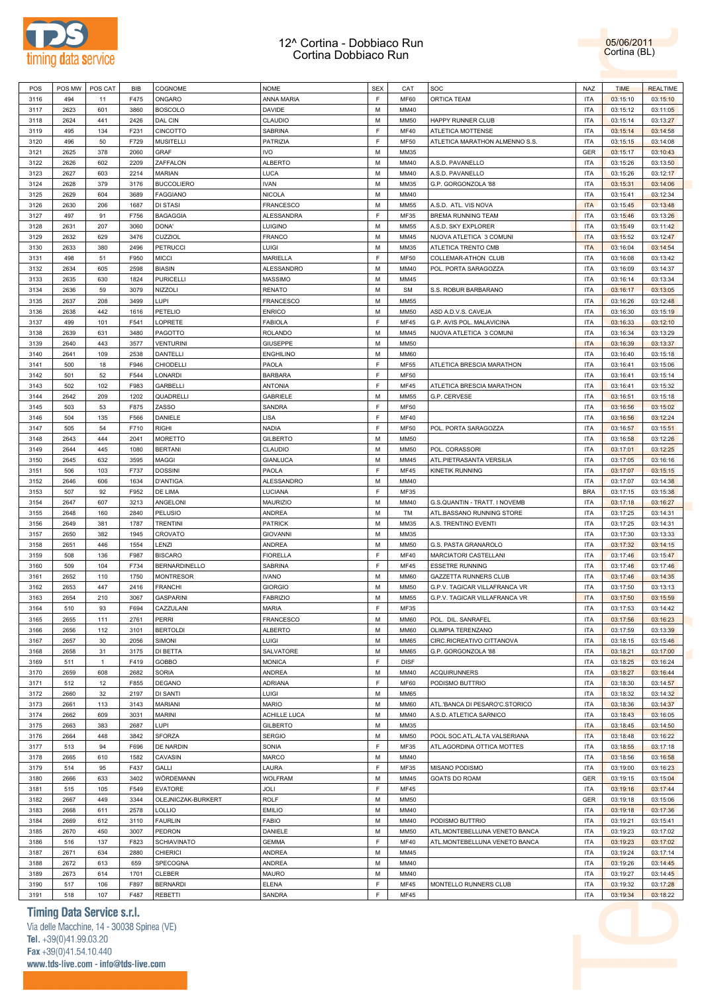

POS |POS MW |POS CAT | BIB |COGNOME NOME | NOME | SEX | CAT |SOC NAZ NAZ NAZ | TIME | REALTIME | REALTIME | REALTIME

| 3116 | 494  | 11           | F475 | ONGARO               | ANNA MARIA          | F | <b>MF60</b> | ORTICA TEAM                    | ITA        | 03:15:10 | 03:15:10 |
|------|------|--------------|------|----------------------|---------------------|---|-------------|--------------------------------|------------|----------|----------|
| 3117 | 2623 | 601          | 3860 | <b>BOSCOLO</b>       | DAVIDE              | м | MM40        |                                | <b>ITA</b> | 03:15:12 | 03:11:05 |
| 3118 | 2624 | 441          | 2426 | DAL CIN              | CLAUDIO             | M | <b>MM50</b> | HAPPY RUNNER CLUB              | <b>ITA</b> | 03:15:14 | 03:13:27 |
|      |      |              |      |                      |                     |   |             |                                |            |          |          |
| 3119 | 495  | 134          | F231 | <b>CINCOTTO</b>      | SABRINA             | F | <b>MF40</b> | ATLETICA MOTTENSE              | <b>ITA</b> | 03:15:14 | 03:14:58 |
| 3120 | 496  | 50           | F729 | <b>MUSITELLI</b>     | PATRIZIA            | F | <b>MF50</b> | ATLETICA MARATHON ALMENNO S.S. | <b>ITA</b> | 03:15:15 | 03:14:08 |
| 3121 | 2625 | 378          | 2060 | GRAF                 | <b>IVO</b>          | M | MM35        |                                | GER        | 03:15:17 | 03:10:43 |
| 3122 | 2626 | 602          | 2209 | ZAFFALON             | ALBERTO             | M | MM40        | A.S.D. PAVANELLO               | <b>ITA</b> | 03:15:26 | 03:13:50 |
| 3123 | 2627 | 603          | 2214 | <b>MARIAN</b>        | LUCA                | M | MM40        | A.S.D. PAVANELLO               | <b>ITA</b> | 03:15:26 | 03:12:17 |
|      |      |              |      |                      |                     |   |             |                                |            |          |          |
| 3124 | 2628 | 379          | 3176 | <b>BUCCOLIERO</b>    | <b>IVAN</b>         | M | MM35        | G.P. GORGONZOLA '88            | <b>ITA</b> | 03:15:31 | 03:14:06 |
| 3125 | 2629 | 604          | 3689 | <b>FAGGIANO</b>      | NICOLA              | M | MM40        |                                | <b>ITA</b> | 03:15:41 | 03:12:34 |
| 3126 | 2630 | 206          | 1687 | <b>DI STASI</b>      | FRANCESCO           | M | <b>MM55</b> | A.S.D. ATL. VIS NOVA           | <b>ITA</b> | 03:15:45 | 03:13:48 |
| 3127 | 497  | 91           | F756 | <b>BAGAGGIA</b>      | ALESSANDRA          | E | MF35        | <b>BREMA RUNNING TEAM</b>      | <b>ITA</b> | 03:15:46 | 03:13:26 |
| 3128 | 2631 | 207          | 3060 | DONA'                | LUIGINO             | M | <b>MM55</b> | A.S.D. SKY EXPLORER            | <b>ITA</b> | 03:15:49 | 03:11:42 |
|      |      |              |      |                      |                     |   |             |                                |            |          |          |
| 3129 | 2632 | 629          | 3476 | CUZZIOL              | FRANCO              | M | MM45        | NUOVA ATLETICA 3 COMUNI        | <b>ITA</b> | 03:15:52 | 03:12:47 |
| 3130 | 2633 | 380          | 2496 | <b>PETRUCCI</b>      | LUIGI               | M | MM35        | ATLETICA TRENTO CMB            | <b>ITA</b> | 03:16:04 | 03:14:54 |
| 3131 | 498  | 51           | F950 | <b>MICCI</b>         | MARIELLA            | F | <b>MF50</b> | COLLEMAR-ATHON CLUB            | <b>ITA</b> | 03:16:08 | 03:13:42 |
| 3132 | 2634 | 605          | 2598 | <b>BIASIN</b>        | ALESSANDRO          | M | MM40        | POL. PORTA SARAGOZZA           | <b>ITA</b> | 03:16:09 | 03:14:37 |
| 3133 | 2635 | 630          | 1824 | <b>PURICELLI</b>     | MASSIMO             | M | MM45        |                                | <b>ITA</b> | 03:16:14 | 03:13:34 |
|      |      |              |      |                      |                     |   |             |                                |            |          |          |
| 3134 | 2636 | 59           | 3079 | <b>NIZZOLI</b>       | RENATO              | M | <b>SM</b>   | S.S. ROBUR BARBARANO           | <b>ITA</b> | 03:16:17 | 03:13:05 |
| 3135 | 2637 | 208          | 3499 | LUPI                 | FRANCESCO           | M | <b>MM55</b> |                                | <b>ITA</b> | 03:16:26 | 03:12:48 |
| 3136 | 2638 | 442          | 1616 | PETELIO              | <b>ENRICO</b>       | M | <b>MM50</b> | ASD A.D.V.S. CAVEJA            | <b>ITA</b> | 03:16:30 | 03:15:19 |
| 3137 | 499  | 101          | F541 | LOPRETE              | <b>FABIOLA</b>      | F | <b>MF45</b> | G.P. AVIS POL. MALAVICINA      | <b>ITA</b> | 03:16:33 | 03:12:10 |
| 3138 | 2639 | 631          | 3480 | PAGOTTO              | ROLANDO             | M | MM45        | NUOVA ATLETICA 3 COMUNI        | <b>ITA</b> | 03:16:34 | 03:13:29 |
|      |      |              |      |                      |                     |   |             |                                |            |          |          |
| 3139 | 2640 | 443          | 3577 | <b>VENTURINI</b>     | GIUSEPPE            | M | <b>MM50</b> |                                | <b>ITA</b> | 03:16:39 | 03:13:37 |
| 3140 | 2641 | 109          | 2538 | <b>DANTELLI</b>      | <b>ENGHILINO</b>    | M | <b>MM60</b> |                                | <b>ITA</b> | 03:16:40 | 03:15:18 |
| 3141 | 500  | 18           | F946 | CHIODELLI            | PAOLA               | F | MF55        | ATLETICA BRESCIA MARATHON      | <b>ITA</b> | 03:16:41 | 03:15:06 |
| 3142 | 501  | 52           | F544 | <b>LONARDI</b>       | <b>BARBARA</b>      | E | <b>MF50</b> |                                | <b>ITA</b> | 03:16:41 | 03:15:14 |
| 3143 | 502  | 102          | F983 | <b>GARBELLI</b>      | <b>ANTONIA</b>      | E | <b>MF45</b> | ATLETICA BRESCIA MARATHON      | <b>ITA</b> | 03:16:41 |          |
|      |      |              |      |                      |                     |   |             |                                |            |          | 03:15:32 |
| 3144 | 2642 | 209          | 1202 | QUADRELLI            | <b>GABRIELE</b>     | M | <b>MM55</b> | G.P. CERVESE                   | <b>ITA</b> | 03:16:51 | 03:15:18 |
| 3145 | 503  | 53           | F875 | ZASSO                | SANDRA              | F | <b>MF50</b> |                                | <b>ITA</b> | 03:16:56 | 03:15:02 |
| 3146 | 504  | 135          | F566 | DANIELE              | LISA                | E | <b>MF40</b> |                                | <b>ITA</b> | 03:16:56 | 03:12:24 |
| 3147 | 505  | 54           | F710 | <b>RIGHI</b>         | NADIA               | F | <b>MF50</b> | POL. PORTA SARAGOZZA           | <b>ITA</b> | 03:16:57 | 03:15:51 |
|      |      |              |      |                      |                     |   |             |                                |            |          |          |
| 3148 | 2643 | 444          | 2041 | <b>MORETTO</b>       | <b>GILBERTO</b>     | M | <b>MM50</b> |                                | <b>ITA</b> | 03:16:58 | 03:12:26 |
| 3149 | 2644 | 445          | 1080 | <b>BERTANI</b>       | CLAUDIO             | M | <b>MM50</b> | POL. CORASSORI                 | <b>ITA</b> | 03:17:01 | 03:12:25 |
| 3150 | 2645 | 632          | 3595 | <b>MAGGI</b>         | <b>GIANLUCA</b>     | M | MM45        | ATL.PIETRASANTA VERSILIA       | <b>ITA</b> | 03:17:05 | 03:16:16 |
| 3151 | 506  | 103          | F737 | <b>DOSSINI</b>       | PAOLA               | E | <b>MF45</b> | <b>KINETIK RUNNING</b>         | <b>ITA</b> | 03:17:07 | 03:15:15 |
| 3152 | 2646 | 606          | 1634 | <b>D'ANTIGA</b>      | ALESSANDRO          | M | MM40        |                                | <b>ITA</b> | 03:17:07 | 03:14:38 |
| 3153 | 507  | 92           | F952 | DE LIMA              | LUCIANA             | F | MF35        |                                | <b>BRA</b> | 03:17:15 | 03:15:38 |
|      |      |              |      |                      |                     |   |             |                                |            |          |          |
| 3154 | 2647 | 607          | 3213 | ANGELONI             | <b>MAURIZIO</b>     | M | MM40        | G.S.QUANTIN - TRATT. I NOVEMB  | <b>ITA</b> | 03:17:18 | 03:16:27 |
| 3155 | 2648 | 160          | 2840 | PELUSIO              | ANDREA              | M | TM          | ATL.BASSANO RUNNING STORE      | <b>ITA</b> | 03:17:25 | 03:14:31 |
| 3156 | 2649 | 381          | 1787 | <b>TRENTINI</b>      | <b>PATRICK</b>      | M | MM35        | A.S. TRENTINO EVENTI           | <b>ITA</b> | 03:17:25 | 03:14:31 |
| 3157 | 2650 | 382          | 1945 | CROVATO              | <b>GIOVANNI</b>     | M | MM35        |                                | <b>ITA</b> | 03:17:30 | 03:13:33 |
| 3158 | 2651 | 446          | 1554 | LENZI                | ANDREA              | M | <b>MM50</b> | G.S. PASTA GRANAROLO           | <b>ITA</b> | 03:17:32 | 03:14:15 |
|      |      |              |      |                      |                     |   |             |                                |            |          |          |
| 3159 | 508  | 136          | F987 | <b>BISCARO</b>       | <b>FIORELLA</b>     | F | <b>MF40</b> | MARCIATORI CASTELLANI          | <b>ITA</b> | 03:17:46 | 03:15:47 |
| 3160 | 509  | 104          | F734 | <b>BERNARDINELLO</b> | SABRINA             | E | <b>MF45</b> | <b>ESSETRE RUNNING</b>         | <b>ITA</b> | 03:17:46 | 03:17:46 |
| 3161 | 2652 | 110          | 1750 | <b>MONTRESOR</b>     | <b>IVANO</b>        | M | <b>MM60</b> | GAZZETTA RUNNERS CLUB          | <b>ITA</b> | 03:17:46 | 03:14:35 |
| 3162 | 2653 | 447          | 2416 | <b>FRANCHI</b>       | <b>GIORGIO</b>      | M | <b>MM50</b> | G.P.V. TAGICAR VILLAFRANCA VR  | <b>ITA</b> | 03:17:50 | 03:13:13 |
| 3163 | 2654 | 210          | 3067 | <b>GASPARINI</b>     | <b>FABRIZIO</b>     | M | <b>MM55</b> | G.P.V. TAGICAR VILLAFRANCA VR  | <b>ITA</b> | 03:17:50 | 03:15:59 |
|      |      |              |      |                      |                     | F |             |                                |            |          |          |
| 3164 | 510  | 93           | F694 | CAZZULANI            | MARIA               |   | MF35        |                                | <b>ITA</b> | 03:17:53 | 03:14:42 |
| 3165 | 2655 | 111          | 2761 | <b>PERRI</b>         | <b>FRANCESCO</b>    | M | <b>MM60</b> | POL. DIL. SANRAFEL             | <b>ITA</b> | 03:17:56 | 03:16:23 |
| 3166 | 2656 | 112          | 3101 | <b>BERTOLDI</b>      | <b>ALBERTO</b>      | М | MM60        | OLIMPIA TERENZANO              | <b>ITA</b> | 03:17:59 | 03:13:39 |
| 3167 | 2657 | 30           | 2056 | SIMONI               | LUIGI               | м | <b>MM65</b> | CIRC.RICREATIVO CITTANOVA      | <b>ITA</b> | 03:18:15 | 03:15:46 |
| 3168 | 2658 | 31           | 3175 | DI BETTA             | SALVATORE           | М | <b>MM65</b> | G.P. GORGONZOLA '88            | <b>ITA</b> | 03:18:21 | 03:17:00 |
|      | 511  | $\mathbf{1}$ | F419 | GOBBO                | <b>MONICA</b>       | F | <b>DISF</b> |                                | <b>ITA</b> | 03:18:25 | 03:16:24 |
| 3169 |      |              |      |                      |                     |   |             |                                |            |          |          |
| 3170 | 2659 | 608          | 2682 | <b>SORIA</b>         | ANDREA              | М | MM40        | <b>ACQUIRUNNERS</b>            | <b>ITA</b> | 03:18:27 | 03:16:44 |
| 3171 | 512  | 12           | F855 | <b>DEGANO</b>        | ADRIANA             | F | <b>MF60</b> | PODISMO BUTTRIO                | <b>ITA</b> | 03:18:30 | 03:14:57 |
| 3172 | 2660 | 32           | 2197 | <b>DI SANTI</b>      | LUIGI               | М | <b>MM65</b> |                                | <b>ITA</b> | 03:18:32 | 03:14:32 |
| 3173 | 2661 | 113          | 3143 | <b>MARIANI</b>       | MARIO               | М | <b>MM60</b> | ATL.'BANCA DI PESARO'C.STORICO | <b>ITA</b> | 03:18:36 | 03:14:37 |
| 3174 | 2662 | 609          | 3031 | <b>MARINI</b>        | <b>ACHILLE LUCA</b> | М | MM40        | A.S.D. ATLETICA SARNICO        | <b>ITA</b> | 03:18:43 | 03:16:05 |
|      |      |              |      |                      |                     |   |             |                                |            |          |          |
| 3175 | 2663 | 383          | 2687 | LUPI                 | <b>GILBERTO</b>     | M | MM35        |                                | <b>ITA</b> | 03:18:45 | 03:14:50 |
| 3176 | 2664 | 448          | 3842 | <b>SFORZA</b>        | <b>SERGIO</b>       | М | <b>MM50</b> | POOL SOC.ATL.ALTA VALSERIANA   | <b>ITA</b> | 03:18:48 | 03:16:22 |
| 3177 | 513  | 94           | F696 | DE NARDIN            | SONIA               | F | MF35        | ATL.AGORDINA OTTICA MOTTES     | <b>ITA</b> | 03:18:55 | 03:17:18 |
| 3178 | 2665 | 610          | 1582 | CAVASIN              | MARCO               | М | MM40        |                                | <b>ITA</b> | 03:18:56 | 03:16:58 |
| 3179 | 514  | 95           | F437 | GALLI                | LAURA               | F | MF35        | MISANO PODISMO                 | <b>ITA</b> | 03:19:00 | 03:16:23 |
|      |      |              |      |                      |                     |   |             |                                |            |          |          |
| 3180 | 2666 | 633          | 3402 | WÖRDEMANN            | <b>WOLFRAM</b>      | М | MM45        | <b>GOATS DO ROAM</b>           | GER        | 03:19:15 | 03:15:04 |
| 3181 | 515  | 105          | F549 | <b>EVATORE</b>       | JOLI                | F | <b>MF45</b> |                                | <b>ITA</b> | 03:19:16 | 03:17:44 |
| 3182 | 2667 | 449          | 3344 | OLEJNICZAK-BURKERT   | <b>ROLF</b>         | М | <b>MM50</b> |                                | GER        | 03:19:18 | 03:15:06 |
| 3183 |      | 611          | 2578 | LOLLIO               | <b>EMILIO</b>       | М | MM40        |                                | <b>ITA</b> | 03:19:18 | 03:17:36 |
|      | 2668 |              | 3110 | <b>FAURLIN</b>       | <b>FABIO</b>        | М | MM40        | PODISMO BUTTRIO                | <b>ITA</b> | 03:19:21 | 03:15:41 |
|      |      |              |      |                      |                     |   |             |                                |            |          |          |
| 3184 | 2669 | 612          |      |                      |                     |   |             |                                |            |          |          |
| 3185 | 2670 | 450          | 3007 | PEDRON               | DANIELE             | М | <b>MM50</b> | ATL.MONTEBELLUNA VENETO BANCA  | <b>ITA</b> | 03:19:23 | 03:17:02 |
| 3186 | 516  | 137          | F823 | <b>SCHIAVINATO</b>   | <b>GEMMA</b>        | E | MF40        | ATL.MONTEBELLUNA VENETO BANCA  | <b>ITA</b> | 03:19:23 | 03:17:02 |
| 3187 | 2671 | 634          | 2880 | <b>CHIERICI</b>      | ANDREA              | М | MM45        |                                | <b>ITA</b> | 03:19:24 | 03:17:14 |
| 3188 | 2672 | 613          | 659  | SPECOGNA             | ANDREA              | М | MM40        |                                | <b>ITA</b> | 03:19:26 | 03:14:45 |
| 3189 | 2673 | 614          | 1701 | CLEBER               | <b>MAURO</b>        | М | MM40        |                                | <b>ITA</b> | 03:19:27 | 03:14:45 |
| 3190 | 517  | 106          | F897 | <b>BERNARDI</b>      | <b>ELENA</b>        | F | <b>MF45</b> | MONTELLO RUNNERS CLUB          | <b>ITA</b> | 03:19:32 | 03:17:28 |

3191 | 518 | 107 | F487 |REBETTI |SANDRA | F | MF45 | | ITA | 03:19:34 | 03:18:22

### **Timing Data Service s.r.l.**



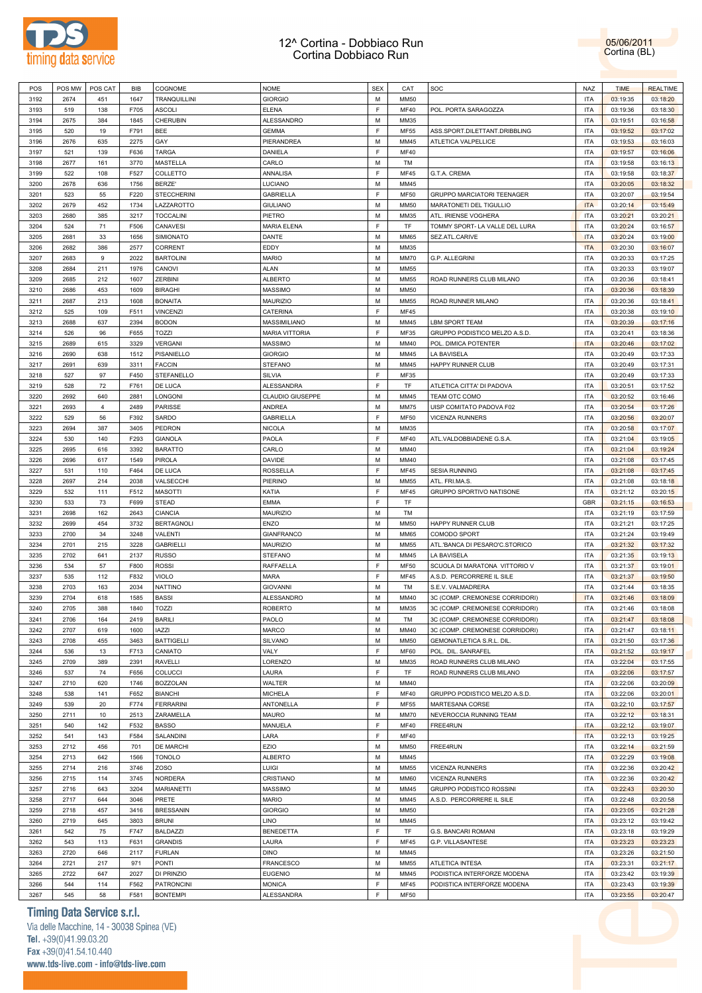

05/06/2011 Cortina (BL)

| POS          | POS MW     | POS CAT   | BIB          | COGNOME                              | <b>NOME</b>                        | <b>SEX</b> | CAT                 | SOC                            | NAZ                      | <b>TIME</b>          | <b>REALTIME</b>      |  |
|--------------|------------|-----------|--------------|--------------------------------------|------------------------------------|------------|---------------------|--------------------------------|--------------------------|----------------------|----------------------|--|
| 3192         | 2674       | 451       | 1647         | TRANQUILLINI                         | <b>GIORGIO</b>                     | M          | <b>MM50</b>         |                                | <b>ITA</b>               | 03:19:35             | 03:18:20             |  |
| 3193         | 519        | 138       | F705         | <b>ASCOLI</b>                        | <b>ELENA</b>                       | F          | <b>MF40</b>         | POL. PORTA SARAGOZZA           | <b>ITA</b>               | 03:19:36             | 03:18:30             |  |
|              |            |           |              |                                      |                                    |            |                     |                                |                          |                      |                      |  |
| 3194         | 2675       | 384       | 1845         | CHERUBIN                             | ALESSANDRO                         | М          | MM35                |                                | <b>ITA</b>               | 03:19:51             | 03:16:58             |  |
| 3195         | 520        | 19        | F791         | BEE                                  | <b>GEMMA</b>                       | F          | <b>MF55</b>         | ASS.SPORT.DILETTANT.DRIBBLING  | <b>ITA</b>               | 03:19:52             | 03:17:02             |  |
| 3196         | 2676       | 635       | 2275         | GAY                                  | PIERANDREA                         | М          | MM45                | ATLETICA VALPELLICE            | <b>ITA</b>               | 03:19:53             | 03:16:03             |  |
| 3197         | 521        | 139       | F636         | <b>TARGA</b>                         | DANIELA                            | F          | <b>MF40</b>         |                                | <b>ITA</b>               | 03:19:57             | 03:16:06             |  |
| 3198         | 2677       | 161       | 3770         | MASTELLA                             | CARLO                              | М          | TM                  |                                | <b>ITA</b>               | 03:19:58             | 03:16:13             |  |
| 3199         | 522        | 108       | F527         | COLLETTO                             | ANNALISA                           | F          | <b>MF45</b>         | G.T.A. CREMA                   | <b>ITA</b>               | 03:19:58             | 03:18:37             |  |
|              |            |           |              |                                      |                                    |            |                     |                                |                          |                      |                      |  |
| 3200         | 2678       | 636       | 1756         | <b>BERZE'</b>                        | LUCIANO                            | М          | MM45                |                                | <b>ITA</b>               | 03:20:05             | 03:18:32             |  |
| 3201         | 523        | 55        | F220         | <b>STECCHERINI</b>                   | <b>GABRIELLA</b>                   | F          | <b>MF50</b>         | GRUPPO MARCIATORI TEENAGER     | <b>ITA</b>               | 03:20:07             | 03:19:54             |  |
| 3202         | 2679       | 452       | 1734         | LAZZAROTTO                           | <b>GIULIANO</b>                    | М          | MM50                | MARATONETI DEL TIGULLIO        | <b>ITA</b>               | 03:20:14             | 03:15:49             |  |
| 3203         | 2680       | 385       | 3217         | <b>TOCCALINI</b>                     | PIETRO                             | М          | MM35                | ATL. IRIENSE VOGHERA           | <b>ITA</b>               | 03:20:21             | 03:20:21             |  |
| 3204         | 524        | 71        | F506         | CANAVESI                             | <b>MARIA ELENA</b>                 | F          | TF                  | TOMMY SPORT- LA VALLE DEL LURA | <b>ITA</b>               | 03:20:24             | 03:16:57             |  |
| 3205         | 2681       | 33        | 1656         | SIMIONATO                            | DANTE                              | M          | MM65                | SEZ.ATL.CARIVE                 | <b>ITA</b>               | 03:20:24             | 03:19:00             |  |
|              |            |           |              |                                      |                                    |            |                     |                                |                          |                      |                      |  |
| 3206         | 2682       | 386       | 2577         | CORRENT                              | EDDY                               | М          | MM35                |                                | <b>ITA</b>               | 03:20:30             | 03:16:07             |  |
| 3207         | 2683       | 9         | 2022         | <b>BARTOLINI</b>                     | <b>MARIO</b>                       | М          | <b>MM70</b>         | G.P. ALLEGRINI                 | <b>ITA</b>               | 03:20:33             | 03:17:25             |  |
| 3208         | 2684       | 211       | 1976         | CANOVI                               | ALAN                               | М          | MM55                |                                | <b>ITA</b>               | 03:20:33             | 03:19:07             |  |
| 3209         | 2685       | 212       | 1607         | ZERBINI                              | <b>ALBERTO</b>                     | M          | MM55                | ROAD RUNNERS CLUB MILANO       | <b>ITA</b>               | 03:20:36             | 03:18:41             |  |
| 3210         | 2686       | 453       | 1609         | <b>BIRAGHI</b>                       | MASSIMO                            | М          | MM50                |                                | <b>ITA</b>               | 03:20:36             | 03:18:39             |  |
| 3211         | 2687       | 213       | 1608         | <b>BONAITA</b>                       | <b>MAURIZIO</b>                    | М          | MM55                | ROAD RUNNER MILANO             | <b>ITA</b>               | 03:20:36             | 03:18:41             |  |
|              |            |           |              |                                      |                                    |            |                     |                                |                          |                      |                      |  |
| 3212         | 525        | 109       | F511         | <b>VINCENZI</b>                      | CATERINA                           | F          | <b>MF45</b>         |                                | <b>ITA</b>               | 03:20:38             | 03:19:10             |  |
| 3213         | 2688       | 637       | 2394         | <b>BODON</b>                         | MASSIMILIANO                       | М          | MM45                | LBM SPORT TEAM                 | <b>ITA</b>               | 03:20:39             | 03:17:16             |  |
| 3214         | 526        | 96        | F655         | TOZZI                                | <b>MARIA VITTORIA</b>              | F          | MF35                | GRUPPO PODISTICO MELZO A.S.D.  | <b>ITA</b>               | 03:20:41             | 03:18:36             |  |
| 3215         | 2689       | 615       | 3329         | VERGANI                              | MASSIMO                            | М          | MM40                | POL. DIMICA POTENTER           | <b>ITA</b>               | 03:20:46             | 03:17:02             |  |
| 3216         | 2690       | 638       | 1512         | PISANIELLO                           | <b>GIORGIO</b>                     | М          | MM45                | LA BAVISELA                    | <b>ITA</b>               | 03:20:49             | 03:17:33             |  |
| 3217         | 2691       | 639       | 3311         | <b>FACCIN</b>                        | <b>STEFANO</b>                     | М          | MM45                | HAPPY RUNNER CLUB              | <b>ITA</b>               | 03:20:49             | 03:17:31             |  |
|              |            |           |              |                                      |                                    |            |                     |                                |                          |                      |                      |  |
| 3218         | 527        | 97        | F450         | STEFANELLO                           | SILVIA                             | F          | MF35                |                                | <b>ITA</b>               | 03:20:49             | 03:17:33             |  |
| 3219         | 528        | 72        | F761         | DE LUCA                              | ALESSANDRA                         | F          | TF                  | ATLETICA CITTA' DI PADOVA      | <b>ITA</b>               | 03:20:51             | 03:17:52             |  |
| 3220         | 2692       | 640       | 2881         | LONGONI                              | <b>CLAUDIO GIUSEPPE</b>            | М          | MM45                | TEAM OTC COMO                  | <b>ITA</b>               | 03:20:52             | 03:16:46             |  |
| 3221         | 2693       | 4         | 2489         | PARISSE                              | ANDREA                             | М          | <b>MM75</b>         | UISP COMITATO PADOVA F02       | <b>ITA</b>               | 03:20:54             | 03:17:26             |  |
| 3222         | 529        | 56        | F392         | SARDO                                | GABRIELLA                          | F          | <b>MF50</b>         | <b>VICENZA RUNNERS</b>         | <b>ITA</b>               | 03:20:56             | 03:20:07             |  |
| 3223         | 2694       | 387       |              |                                      |                                    | М          |                     |                                | <b>ITA</b>               |                      |                      |  |
|              |            |           | 3405         | PEDRON                               | <b>NICOLA</b>                      |            | MM35                |                                |                          | 03:20:58             | 03:17:07             |  |
| 3224         | 530        | 140       | F293         | <b>GIANOLA</b>                       | PAOLA                              | F          | <b>MF40</b>         | ATL.VALDOBBIADENE G.S.A.       | <b>ITA</b>               | 03:21:04             | 03:19:05             |  |
| 3225         | 2695       | 616       | 3392         | <b>BARATTO</b>                       | CARLO                              | М          | MM40                |                                | <b>ITA</b>               | 03:21:04             | 03:19:24             |  |
| 3226         | 2696       | 617       | 1549         | PIROLA                               | DAVIDE                             | М          | MM40                |                                | <b>ITA</b>               | 03:21:08             | 03:17:45             |  |
| 3227         | 531        | 110       | F464         | DE LUCA                              | <b>ROSSELLA</b>                    | F          | <b>MF45</b>         | <b>SESIA RUNNING</b>           | <b>ITA</b>               | 03:21:08             | 03:17:45             |  |
| 3228         | 2697       | 214       | 2038         | VALSECCHI                            | PIERINO                            | М          | MM55                | ATL. FRI.MA.S.                 | <b>ITA</b>               | 03:21:08             | 03:18:18             |  |
| 3229         | 532        | 111       | F512         |                                      |                                    | F          |                     |                                | <b>ITA</b>               |                      |                      |  |
|              |            |           |              | <b>MASOTTI</b>                       | KATIA                              |            | <b>MF45</b>         | GRUPPO SPORTIVO NATISONE       |                          | 03:21:12             | 03:20:15             |  |
| 3230         | 533        | 73        | F699         | STEAD                                | <b>EMMA</b>                        | F          | TF                  |                                | <b>GBR</b>               | 03:21:15             | 03:16:53             |  |
| 3231         | 2698       | 162       | 2643         | CIANCIA                              | <b>MAURIZIO</b>                    | M          | TM                  |                                | <b>ITA</b>               | 03:21:19             | 03:17:59             |  |
| 3232         | 2699       | 454       | 3732         | <b>BERTAGNOLI</b>                    | <b>ENZO</b>                        | М          | <b>MM50</b>         | HAPPY RUNNER CLUB              | <b>ITA</b>               | 03:21:21             | 03:17:25             |  |
| 3233         | 2700       | 34        | 3248         | VALENTI                              | <b>GIANFRANCO</b>                  | М          | MM65                | COMODO SPORT                   | <b>ITA</b>               | 03:21:24             | 03:19:49             |  |
| 3234         | 2701       | 215       | 3228         | <b>GABRIELLI</b>                     | <b>MAURIZIO</b>                    | М          | MM55                | ATL.'BANCA DI PESARO'C.STORICO | <b>ITA</b>               | 03:21:32             | 03:17:32             |  |
| 3235         | 2702       | 641       | 2137         | <b>RUSSO</b>                         | <b>STEFANO</b>                     | M          | MM45                | LA BAVISELA                    | <b>ITA</b>               | 03:21:35             | 03:19:13             |  |
|              |            |           |              |                                      |                                    |            |                     |                                |                          |                      |                      |  |
| 3236         | 534        | 57        | F800         | <b>ROSSI</b>                         | RAFFAELLA                          | F          | <b>MF50</b>         | SCUOLA DI MARATONA VITTORIO V  | <b>ITA</b>               | 03:21:37             | 03:19:01             |  |
| 3237         | 535        | 112       | F832         | <b>VIOLO</b>                         | <b>MARA</b>                        | F          | <b>MF45</b>         | A.S.D. PERCORRERE IL SILE      | <b>ITA</b>               | 03:21:37             | 03:19:50             |  |
| 3238         | 2703       | 163       | 2034         | <b>NATTINO</b>                       | <b>GIOVANNI</b>                    | М          | TM                  | S.E.V. VALMADRERA              | <b>ITA</b>               | 03:21:44             | 03:18:35             |  |
| 3239         | 2704       | 618       | 1585         | <b>BASSI</b>                         | ALESSANDRO                         | М          | MM40                | 3C (COMP. CREMONESE CORRIDORI) | <b>ITA</b>               | 03:21:46             | 03:18:09             |  |
| 3240         | 2705       | 388       | 1840         | TOZZI                                | <b>ROBERTO</b>                     | M          | MM35                | 3C (COMP. CREMONESE CORRIDORI) | <b>ITA</b>               | 03:21:46             | 03:18:08             |  |
| 3241         | 2706       | 164       | 2419         | <b>BARILI</b>                        | PAOLO                              | М          | TM                  | 3C (COMP. CREMONESE CORRIDORI) | <b>ITA</b>               | 03:21:47             | 03:18:08             |  |
|              |            |           |              |                                      |                                    |            |                     |                                |                          |                      |                      |  |
| 3242         | 2707       | 619       | 1600         | <b>IAZZI</b>                         | MARCO                              | М          | MM40                | 3C (COMP. CREMONESE CORRIDORI) | <b>ITA</b>               | 03:21:47             | 03:18:11             |  |
| 3243         | 2708       | 455       | 3463         | <b>BATTIGELLI</b>                    | SILVANO                            | М          | <b>MM50</b>         | GEMONATLETICA S.R.L. DIL.      | <b>ITA</b>               | 03:21:50             | 03:17:36             |  |
| 3244         | 536        | 13        | F713         | CANIATO                              | VALY                               | F          | <b>MF60</b>         | POL. DIL. SANRAFEL             | <b>ITA</b>               | 03:21:52             | 03:19:17             |  |
| 3245         | 2709       | 389       | 2391         | <b>RAVELLI</b>                       | LORENZO                            | М          | MM35                | ROAD RUNNERS CLUB MILANO       | <b>ITA</b>               | 03:22:04             | 03:17:55             |  |
| 3246         | 537        | 74        | F656         | COLUCCI                              | LAURA                              | F          | TF                  | ROAD RUNNERS CLUB MILANO       | <b>ITA</b>               | 03:22:06             | 03:17:57             |  |
| 3247         | 2710       | 620       | 1746         | <b>BOZZOLAN</b>                      | WALTER                             | М          | MM40                |                                | <b>ITA</b>               | 03:22:06             | 03:20:09             |  |
| 3248         | 538        | 141       | F652         |                                      | <b>MICHELA</b>                     | F          | <b>MF40</b>         | GRUPPO PODISTICO MELZO A.S.D.  | <b>ITA</b>               | 03:22:06             | 03:20:01             |  |
|              |            |           |              | <b>BIANCHI</b>                       |                                    |            |                     |                                |                          |                      |                      |  |
| 3249         | 539        | 20        | F774         | <b>FERRARINI</b>                     | ANTONELLA                          | F          | MF55                | MARTESANA CORSE                | <b>ITA</b>               | 03:22:10             | 03:17:57             |  |
| 3250         | 2711       | 10        | 2513         | ZARAMELLA                            | <b>MAURO</b>                       | М          | <b>MM70</b>         | NEVEROCCIA RUNNING TEAM        | <b>ITA</b>               | 03:22:12             | 03:18:31             |  |
| 3251         | 540        | 142       | F532         | <b>BASSO</b>                         | MANUELA                            | F          | <b>MF40</b>         | FREE4RUN                       | <b>ITA</b>               | 03:22:12             | 03:19:07             |  |
| 3252         | 541        | 143       | F584         | SALANDINI                            | LARA                               | F          | <b>MF40</b>         |                                | <b>ITA</b>               | 03:22:13             | 03:19:25             |  |
| 3253         | 2712       | 456       | 701          | DE MARCHI                            | EZIO                               | М          | <b>MM50</b>         | FREE4RUN                       | <b>ITA</b>               | 03:22:14             | 03:21:59             |  |
| 3254         | 2713       | 642       | 1566         | <b>TONOLO</b>                        | ALBERTO                            | М          | MM45                |                                | <b>ITA</b>               | 03:22:29             | 03:19:08             |  |
|              |            |           |              |                                      |                                    |            |                     |                                |                          |                      |                      |  |
| 3255         | 2714       | 216       | 3746         | <b>ZOSO</b>                          | LUIGI                              | М          | <b>MM55</b>         | VICENZA RUNNERS                | <b>ITA</b>               | 03:22:36             | 03:20:42             |  |
| 3256         | 2715       | 114       | 3745         | <b>NORDERA</b>                       | CRISTIANO                          | М          | <b>MM60</b>         | VICENZA RUNNERS                | <b>ITA</b>               | 03:22:36             | 03:20:42             |  |
| 3257         | 2716       | 643       | 3204         | <b>MARIANETTI</b>                    | <b>MASSIMO</b>                     | М          | MM45                | GRUPPO PODISTICO ROSSINI       | <b>ITA</b>               | 03:22:43             | 03:20:30             |  |
| 3258         | 2717       | 644       | 3046         | PRETE                                | <b>MARIO</b>                       | М          | MM45                | A.S.D. PERCORRERE IL SILE      | <b>ITA</b>               | 03:22:48             | 03:20:58             |  |
| 3259         | 2718       | 457       | 3416         | <b>BRESSANIN</b>                     | <b>GIORGIO</b>                     | М          | <b>MM50</b>         |                                | <b>ITA</b>               | 03:23:05             | 03:21:28             |  |
| 3260         | 2719       | 645       | 3803         | BRUNI                                | LINO                               | М          | MM45                |                                | <b>ITA</b>               | 03:23:12             | 03:19:42             |  |
|              | 542        |           | F747         | <b>BALDAZZI</b>                      |                                    | F          | TF                  |                                | <b>ITA</b>               |                      |                      |  |
| 3261         |            | 75        |              |                                      | <b>BENEDETTA</b>                   |            |                     | G.S. BANCARI ROMANI            |                          | 03:23:18             | 03:19:29             |  |
| 3262         | 543        | 113       | F631         | <b>GRANDIS</b>                       | LAURA                              | F          | MF45                | G.P. VILLASANTESE              | <b>ITA</b>               | 03:23:23             | 03:23:23             |  |
| 3263         | 2720       | 646       | 2117         | <b>FURLAN</b>                        | <b>DINO</b>                        | М          | MM45                |                                | <b>ITA</b>               | 03:23:26             | 03:21:50             |  |
| 3264         | 2721       | 217       | 971          | PONTI                                | <b>FRANCESCO</b>                   | М          | <b>MM55</b>         | ATLETICA INTESA                | <b>ITA</b>               | 03:23:31             | 03:21:17             |  |
| 3265         |            | 647       | 2027         | DI PRINZIO                           | <b>EUGENIO</b>                     | М          | MM45                | PODISTICA INTERFORZE MODENA    | <b>ITA</b>               | 03:23:42             | 03:19:39             |  |
|              | 2722       |           |              |                                      |                                    |            |                     |                                |                          |                      |                      |  |
|              |            |           |              |                                      |                                    |            |                     |                                |                          |                      |                      |  |
| 3266<br>3267 | 544<br>545 | 114<br>58 | F562<br>F581 | <b>PATRONCINI</b><br><b>BONTEMPI</b> | <b>MONICA</b><br><b>ALESSANDRA</b> | F<br>F     | MF45<br><b>MF50</b> | PODISTICA INTERFORZE MODENA    | <b>ITA</b><br><b>ITA</b> | 03:23:43<br>03:23:55 | 03:19:39<br>03:20:47 |  |

# **Timing Data Service s.r.l.**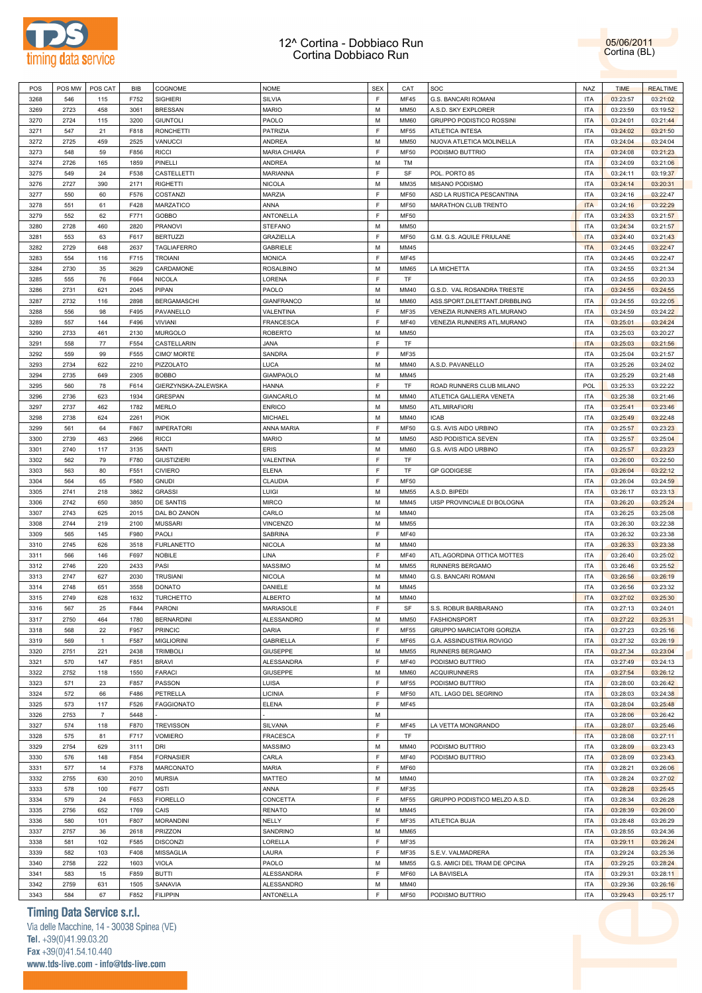

05/06/2011 Cortina (BL)

| POS  | POS MW | POS CAT        | <b>BIB</b> | COGNOME             | <b>NOME</b>       | <b>SEX</b> | CAT         | SOC                           | <b>NAZ</b> | <b>TIME</b> | <b>REALTIME</b> |
|------|--------|----------------|------------|---------------------|-------------------|------------|-------------|-------------------------------|------------|-------------|-----------------|
| 3268 | 546    | 115            | F752       | <b>SIGHIERI</b>     | <b>SILVIA</b>     | F          | <b>MF45</b> | G.S. BANCARI ROMANI           | <b>ITA</b> | 03:23:57    | 03:21:02        |
| 3269 | 2723   | 458            | 3061       | <b>BRESSAN</b>      | <b>MARIO</b>      | M          | <b>MM50</b> | A.S.D. SKY EXPLORER           | <b>ITA</b> | 03:23:59    | 03:19:52        |
| 3270 | 2724   | 115            | 3200       | <b>GIUNTOLI</b>     | PAOLO             | M          | <b>MM60</b> | GRUPPO PODISTICO ROSSINI      | <b>ITA</b> | 03:24:01    | 03:21:44        |
| 3271 | 547    | 21             | F818       | <b>RONCHETTI</b>    | PATRIZIA          | F          | <b>MF55</b> | ATLETICA INTESA               | <b>ITA</b> | 03:24:02    | 03:21:50        |
| 3272 | 2725   | 459            | 2525       | VANUCCI             | <b>ANDREA</b>     | M          | <b>MM50</b> | NUOVA ATLETICA MOLINELLA      | <b>ITA</b> | 03:24:04    | 03:24:04        |
| 3273 | 548    | 59             | F856       | <b>RICCI</b>        | MARIA CHIARA      | F          | <b>MF50</b> | PODISMO BUTTRIO               | <b>ITA</b> | 03:24:08    | 03:21:23        |
| 3274 | 2726   | 165            | 1859       | PINELLI             | <b>ANDREA</b>     | M          | TM          |                               | <b>ITA</b> | 03:24:09    | 03:21:06        |
|      |        |                |            |                     |                   |            |             |                               |            |             |                 |
| 3275 | 549    | 24             | F538       | CASTELLETTI         | <b>MARIANNA</b>   | F          | SF          | POL. PORTO 85                 | <b>ITA</b> | 03:24:11    | 03:19:37        |
| 3276 | 2727   | 390            | 2171       | <b>RIGHETTI</b>     | <b>NICOLA</b>     | M          | MM35        | MISANO PODISMO                | <b>ITA</b> | 03:24:14    | 03:20:31        |
| 3277 | 550    | 60             | F576       | COSTANZI            | MARZIA            | F          | <b>MF50</b> | ASD LA RUSTICA PESCANTINA     | <b>ITA</b> | 03:24:16    | 03:22:47        |
| 3278 | 551    | 61             | F428       | MARZATICO           | ANNA              | F          | <b>MF50</b> | MARATHON CLUB TRENTO          | <b>ITA</b> | 03:24:16    | 03:22:29        |
| 3279 | 552    | 62             | F771       | <b>GOBBO</b>        | ANTONELLA         | F          | <b>MF50</b> |                               | <b>ITA</b> | 03:24:33    | 03:21:57        |
| 3280 | 2728   | 460            | 2820       | <b>PRANOVI</b>      | <b>STEFANO</b>    | M          | <b>MM50</b> |                               | <b>ITA</b> | 03:24:34    | 03:21:57        |
| 3281 | 553    | 63             | F617       | <b>BERTUZZI</b>     | <b>GRAZIELLA</b>  | F          | <b>MF50</b> | G.M. G.S. AQUILE FRIULANE     | <b>ITA</b> | 03:24:40    | 03:21:43        |
| 3282 | 2729   | 648            | 2637       | TAGLIAFERRO         | <b>GABRIELE</b>   | M          | MM45        |                               | <b>ITA</b> | 03:24:45    | 03:22:47        |
| 3283 | 554    | 116            | F715       | <b>TROIANI</b>      | <b>MONICA</b>     | F          | <b>MF45</b> |                               | <b>ITA</b> | 03:24:45    | 03:22:47        |
| 3284 | 2730   | 35             | 3629       | CARDAMONE           | <b>ROSALBINO</b>  | M          | <b>MM65</b> | LA MICHETTA                   | <b>ITA</b> | 03:24:55    | 03:21:34        |
| 3285 | 555    | 76             | F664       | <b>NICOLA</b>       | LORENA            | F          | TF          |                               | <b>ITA</b> | 03:24:55    | 03:20:33        |
| 3286 | 2731   | 621            | 2045       | PIPAN               | PAOLO             | M          | MM40        | G.S.D. VAL ROSANDRA TRIESTE   | <b>ITA</b> | 03:24:55    | 03:24:55        |
| 3287 | 2732   | 116            | 2898       | <b>BERGAMASCHI</b>  | <b>GIANFRANCO</b> | M          | <b>MM60</b> | ASS.SPORT.DILETTANT.DRIBBLING | <b>ITA</b> | 03:24:55    | 03:22:05        |
|      |        |                |            |                     |                   | F          |             | VENEZIA RUNNERS ATL.MURANO    |            |             |                 |
| 3288 | 556    | 98             | F495       | PAVANELLO           | VALENTINA         |            | MF35        |                               | <b>ITA</b> | 03:24:59    | 03:24:22        |
| 3289 | 557    | 144            | F496       | <b>VIVIANI</b>      | <b>FRANCESCA</b>  | F          | <b>MF40</b> | VENEZIA RUNNERS ATL.MURANO    | <b>ITA</b> | 03:25:01    | 03:24:24        |
| 3290 | 2733   | 461            | 2130       | <b>MURGOLO</b>      | <b>ROBERTO</b>    | M          | <b>MM50</b> |                               | <b>ITA</b> | 03:25:03    | 03:20:27        |
| 3291 | 558    | 77             | F554       | CASTELLARIN         | <b>JANA</b>       | F          | TF          |                               | <b>ITA</b> | 03:25:03    | 03:21:56        |
| 3292 | 559    | 99             | F555       | CIMO' MORTE         | SANDRA            | E          | MF35        |                               | <b>ITA</b> | 03:25:04    | 03:21:57        |
| 3293 | 2734   | 622            | 2210       | PIZZOLATO           | LUCA              | M          | MM40        | A.S.D. PAVANELLO              | <b>ITA</b> | 03:25:26    | 03:24:02        |
| 3294 | 2735   | 649            | 2305       | <b>BOBBO</b>        | <b>GIAMPAOLO</b>  | M          | MM45        |                               | <b>ITA</b> | 03:25:29    | 03:21:48        |
| 3295 | 560    | 78             | F614       | GIERZYNSKA-ZALEWSKA | <b>HANNA</b>      | F          | TF          | ROAD RUNNERS CLUB MILANO      | <b>POL</b> | 03:25:33    | 03:22:22        |
| 3296 | 2736   | 623            | 1934       | <b>GRESPAN</b>      | <b>GIANCARLO</b>  | M          | MM40        | ATLETICA GALLIERA VENETA      | <b>ITA</b> | 03:25:38    | 03:21:46        |
| 3297 | 2737   | 462            | 1782       | <b>MERLO</b>        | <b>ENRICO</b>     | M          | MM50        | ATL.MIRAFIORI                 | <b>ITA</b> | 03:25:41    | 03:23:46        |
| 3298 | 2738   | 624            | 2261       | <b>PIOK</b>         | <b>MICHAEL</b>    | M          | MM40        | <b>ICAB</b>                   | <b>ITA</b> | 03:25:49    | 03:22:48        |
| 3299 | 561    | 64             | F867       | <b>IMPERATORI</b>   | ANNA MARIA        | F          | <b>MF50</b> | G.S. AVIS AIDO URBINO         | <b>ITA</b> | 03:25:57    | 03:23:23        |
| 3300 | 2739   | 463            | 2966       | <b>RICCI</b>        | <b>MARIO</b>      | M          | <b>MM50</b> | ASD PODISTICA SEVEN           | <b>ITA</b> | 03:25:57    | 03:25:04        |
|      |        |                |            |                     |                   |            |             |                               |            |             |                 |
| 3301 | 2740   | 117            | 3135       | SANTI               | <b>ERIS</b>       | M          | <b>MM60</b> | G.S. AVIS AIDO URBINO         | <b>ITA</b> | 03:25:57    | 03:23:23        |
| 3302 | 562    | 79             | F780       | <b>GIUSTIZIERI</b>  | VALENTINA         | F          | TF          |                               | <b>ITA</b> | 03:26:00    | 03:22:50        |
| 3303 | 563    | 80             | F551       | <b>CIVIERO</b>      | <b>ELENA</b>      | F          | TF          | <b>GP GODIGESE</b>            | <b>ITA</b> | 03:26:04    | 03:22:12        |
| 3304 | 564    | 65             | F580       | <b>GNUDI</b>        | CLAUDIA           | F          | <b>MF50</b> |                               | <b>ITA</b> | 03:26:04    | 03:24:59        |
| 3305 | 2741   | 218            | 3862       | <b>GRASSI</b>       | LUIGI             | M          | MM55        | A.S.D. BIPEDI                 | <b>ITA</b> | 03:26:17    | 03:23:13        |
| 3306 | 2742   | 650            | 3850       | <b>DE SANTIS</b>    | <b>MIRCO</b>      | M          | MM45        | UISP PROVINCIALE DI BOLOGNA   | <b>ITA</b> | 03:26:20    | 03:25:24        |
| 3307 | 2743   | 625            | 2015       | DAL BO ZANON        | CARLO             | M          | MM40        |                               | <b>ITA</b> | 03:26:25    | 03:25:08        |
| 3308 | 2744   | 219            | 2100       | <b>MUSSARI</b>      | <b>VINCENZO</b>   | M          | MM55        |                               | <b>ITA</b> | 03:26:30    | 03:22:38        |
| 3309 | 565    | 145            | F980       | PAOLI               | SABRINA           | F          | <b>MF40</b> |                               | <b>ITA</b> | 03:26:32    | 03:23:38        |
| 3310 | 2745   | 626            | 3518       | <b>FURLANETTO</b>   | <b>NICOLA</b>     | M          | MM40        |                               | <b>ITA</b> | 03:26:33    | 03:23:38        |
| 3311 | 566    | 146            | F697       | <b>NOBILE</b>       | LINA              | F          | <b>MF40</b> | ATL.AGORDINA OTTICA MOTTES    | <b>ITA</b> | 03:26:40    | 03:25:02        |
| 3312 | 2746   | 220            | 2433       | PASI                | <b>MASSIMO</b>    | M          | MM55        | RUNNERS BERGAMO               | <b>ITA</b> | 03:26:46    | 03:25:52        |
| 3313 | 2747   | 627            | 2030       | <b>TRUSIANI</b>     | <b>NICOLA</b>     | M          | MM40        | G.S. BANCARI ROMANI           | <b>ITA</b> | 03:26:56    | 03:26:19        |
| 3314 | 2748   | 651            | 3558       | <b>DONATO</b>       | DANIELE           | M          | MM45        |                               | <b>ITA</b> | 03:26:56    | 03:23:32        |
|      |        |                |            |                     |                   | M          |             |                               |            |             |                 |
| 3315 | 2749   | 628            | 1632       | TURCHETTO           | <b>ALBERTO</b>    | E.         | MM40        |                               | <b>ITA</b> | 03:27:02    | 03:25:30        |
| 3316 | 567    | 25             | F844       | PARONI              | MARIASOLE         |            | <b>SF</b>   | S.S. ROBUR BARBARANO          | <b>ITA</b> | 03:27:13    | 03:24:01        |
| 3317 | 2750   | 464            | 1780       | <b>BERNARDINI</b>   | ALESSANDRO        | M          | MM50        | <b>FASHIONSPORT</b>           | <b>ITA</b> | 03:27:22    | 03:25:31        |
| 3318 | 568    | 22             | F957       | <b>PRINCIC</b>      | <b>DARIA</b>      | E          | <b>MF55</b> | GRUPPO MARCIATORI GORIZIA     | <b>ITA</b> | 03:27:23    | 03:25:16        |
| 3319 | 569    | $\overline{1}$ | F587       | <b>MIGLIORINI</b>   | GABRIELLA         | E          | <b>MF65</b> | G.A. ASSINDUSTRIA ROVIGO      | <b>ITA</b> | 03:27:32    | 03:26:19        |
| 3320 | 2751   | 221            | 2438       | <b>TRIMBOLI</b>     | <b>GIUSEPPE</b>   | M          | MM55        | RUNNERS BERGAMO               | <b>ITA</b> | 03:27:34    | 03:23:04        |
| 3321 | 570    | 147            | F851       | <b>BRAVI</b>        | ALESSANDRA        | F          | <b>MF40</b> | PODISMO BUTTRIO               | <b>ITA</b> | 03:27:49    | 03:24:13        |
| 3322 | 2752   | 118            | 1550       | <b>FARACI</b>       | <b>GIUSEPPE</b>   | M          | MM60        | <b>ACQUIRUNNERS</b>           | <b>ITA</b> | 03:27:54    | 03:26:12        |
| 3323 | 571    | 23             | F857       | PASSON              | LUISA             | F          | <b>MF55</b> | PODISMO BUTTRIO               | <b>ITA</b> | 03:28:00    | 03:26:42        |
| 3324 | 572    | 66             | F486       | PETRELLA            | LICINIA           | E          | <b>MF50</b> | ATL. LAGO DEL SEGRINO         | <b>ITA</b> | 03:28:03    | 03:24:38        |
| 3325 | 573    | 117            | F526       | <b>FAGGIONATO</b>   | <b>ELENA</b>      | F          | <b>MF45</b> |                               | <b>ITA</b> | 03:28:04    | 03:25:48        |
| 3326 | 2753   | $\overline{7}$ | 5448       |                     |                   | M          |             |                               | <b>ITA</b> | 03:28:06    | 03:26:42        |
| 3327 | 574    | 118            | F870       | <b>TREVISSON</b>    | SILVANA           | F          | <b>MF45</b> | LA VETTA MONGRANDO            | <b>ITA</b> | 03:28:07    | 03:25:46        |
| 3328 | 575    | 81             | F717       | <b>VOMIERO</b>      | <b>FRACESCA</b>   | E          | <b>TF</b>   |                               | <b>ITA</b> | 03:28:08    | 03:27:11        |
|      |        |                |            |                     |                   |            |             |                               |            |             |                 |
| 3329 | 2754   | 629            | 3111       | DRI                 | <b>MASSIMO</b>    | M          | MM40        | PODISMO BUTTRIO               | <b>ITA</b> | 03:28:09    | 03:23:43        |
| 3330 | 576    | 148            | F854       | <b>FORNASIER</b>    | CARLA             | E          | <b>MF40</b> | PODISMO BUTTRIO               | <b>ITA</b> | 03:28:09    | 03:23:43        |
| 3331 | 577    | 14             | F378       | MARCONATO           | <b>MARIA</b>      | F          | <b>MF60</b> |                               | <b>ITA</b> | 03:28:21    | 03:26:06        |
| 3332 | 2755   | 630            | 2010       | <b>MURSIA</b>       | <b>MATTEO</b>     | M          | MM40        |                               | ITA        | 03:28:24    | 03:27:02        |
| 3333 | 578    | 100            | F677       | OSTI                | ANNA              | F          | MF35        |                               | <b>ITA</b> | 03:28:28    | 03:25:45        |
| 3334 | 579    | 24             | F653       | <b>FIORELLO</b>     | CONCETTA          | E          | <b>MF55</b> | GRUPPO PODISTICO MELZO A.S.D. | <b>ITA</b> | 03:28:34    | 03:26:28        |
| 3335 | 2756   | 652            | 1769       | CAIS                | <b>RENATO</b>     | M          | MM45        |                               | <b>ITA</b> | 03:28:39    | 03:26:00        |
| 3336 | 580    | 101            | F807       | <b>MORANDINI</b>    | NELLY             | E          | MF35        | ATLETICA BUJA                 | <b>ITA</b> | 03:28:48    | 03:26:29        |
| 3337 | 2757   | 36             | 2618       | PRIZZON             | SANDRINO          | М          | MM65        |                               | <b>ITA</b> | 03:28:55    | 03:24:36        |
| 3338 | 581    | 102            | F585       | <b>DISCONZI</b>     | LORELLA           | E          | MF35        |                               | ITA        | 03:29:11    | 03:26:24        |
| 3339 | 582    | 103            | F408       | <b>MISSAGLIA</b>    | LAURA             | E          | MF35        | S.E.V. VALMADRERA             | ITA        | 03:29:24    | 03:25:36        |
| 3340 | 2758   | 222            | 1603       | VIOLA               | PAOLO             | M          | MM55        | G.S. AMICI DEL TRAM DE OPCINA | ITA        | 03:29:25    | 03:28:24        |
| 3341 | 583    | 15             | F859       | <b>BUTTI</b>        | ALESSANDRA        | F          | <b>MF60</b> | LA BAVISELA                   | <b>ITA</b> | 03:29:31    | 03:28:11        |
| 3342 |        |                |            |                     | ALESSANDRO        | М          | MM40        |                               |            |             |                 |
|      | 2759   | 631            | 1505       | SANAVIA             |                   |            |             |                               | <b>ITA</b> | 03:29:36    | 03:26:16        |
| 3343 | 584    | 67             | F852       | <b>FILIPPIN</b>     | ANTONELLA         | F          | <b>MF50</b> | PODISMO BUTTRIO               | <b>ITA</b> | 03:29:43    | 03:25:17        |

### **Timing Data Service s.r.l.**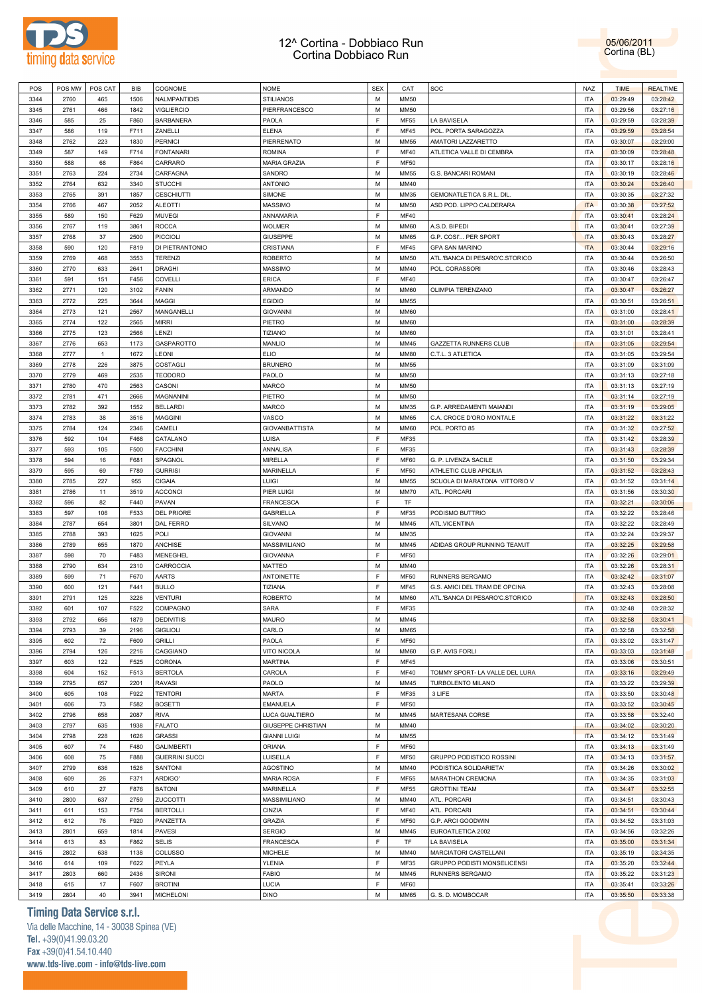



| POS  | POS MW | POS CAT        | BIB  | COGNOME               | <b>NOME</b>               | <b>SEX</b>  | CAT         | SOC                             | NAZ        | <b>TIME</b> | <b>REALTIME</b> |
|------|--------|----------------|------|-----------------------|---------------------------|-------------|-------------|---------------------------------|------------|-------------|-----------------|
| 3344 | 2760   | 465            | 1506 | NALMPANTIDIS          | <b>STILIANOS</b>          | М           | <b>MM50</b> |                                 | <b>ITA</b> | 03:29:49    | 03:28:42        |
| 3345 | 2761   | 466            | 1842 | <b>VIGLIERCIO</b>     | PIERFRANCESCO             | М           | <b>MM50</b> |                                 | <b>ITA</b> | 03:29:56    | 03:27:16        |
|      |        |                |      |                       |                           |             |             |                                 |            |             |                 |
| 3346 | 585    | 25             | F860 | <b>BARBANERA</b>      | PAOLA                     | F           | MF55        | LA BAVISELA                     | <b>ITA</b> | 03:29:59    | 03:28:39        |
| 3347 | 586    | 119            | F711 | ZANELLI               | <b>ELENA</b>              | F           | MF45        | POL. PORTA SARAGOZZA            | <b>ITA</b> | 03:29:59    | 03:28:54        |
| 3348 | 2762   | 223            | 1830 | <b>PERNICI</b>        | PIERRENATO                | М           | MM55        | AMATORI LAZZARETTO              | <b>ITA</b> | 03:30:07    | 03:29:00        |
| 3349 | 587    | 149            | F714 | <b>FONTANARI</b>      | <b>ROMINA</b>             | F           | MF40        | ATLETICA VALLE DI CEMBRA        | <b>ITA</b> | 03:30:09    | 03:28:48        |
| 3350 | 588    | 68             | F864 | CARRARO               | <b>MARIA GRAZIA</b>       | F           | <b>MF50</b> |                                 | <b>ITA</b> | 03:30:17    | 03:28:16        |
|      |        |                |      |                       |                           | M           |             |                                 |            |             |                 |
| 3351 | 2763   | 224            | 2734 | CARFAGNA              | SANDRO                    |             | MM55        | G.S. BANCARI ROMANI             | <b>ITA</b> | 03:30:19    | 03:28:46        |
| 3352 | 2764   | 632            | 3340 | <b>STUCCHI</b>        | <b>ANTONIO</b>            | М           | MM40        |                                 | <b>ITA</b> | 03:30:24    | 03:26:40        |
| 3353 | 2765   | 391            | 1857 | <b>CESCHIUTTI</b>     | SIMONE                    | M           | MM35        | GEMONATLETICA S.R.L. DIL        | <b>ITA</b> | 03:30:35    | 03:27:32        |
| 3354 | 2766   | 467            | 2052 | <b>ALEOTTI</b>        | MASSIMO                   | М           | MM50        | ASD POD. LIPPO CALDERARA        | <b>ITA</b> | 03:30:38    | 03:27:52        |
| 3355 | 589    | 150            | F629 | <b>MUVEGI</b>         | ANNAMARIA                 | F           | MF40        |                                 | ITA        | 03:30:41    | 03:28:24        |
|      |        |                |      |                       |                           |             |             |                                 |            |             |                 |
| 3356 | 2767   | 119            | 3861 | <b>ROCCA</b>          | <b>WOLMER</b>             | М           | MM60        | A.S.D. BIPEDI                   | <b>ITA</b> | 03:30:41    | 03:27:39        |
| 3357 | 2768   | 37             | 2500 | <b>PICCIOLI</b>       | <b>GIUSEPPE</b>           | М           | MM65        | G.P. COSI' PER SPORT            | <b>ITA</b> | 03:30:43    | 03:28:27        |
| 3358 | 590    | 120            | F819 | DI PIETRANTONIO       | CRISTIANA                 | F           | MF45        | <b>GPA SAN MARINO</b>           | <b>ITA</b> | 03:30:44    | 03:29:16        |
| 3359 | 2769   | 468            | 3553 | <b>TERENZI</b>        | <b>ROBERTO</b>            | M           | MM50        | ATL.'BANCA DI PESARO'C.STORICO  | <b>ITA</b> | 03:30:44    | 03:26:50        |
| 3360 | 2770   | 633            | 2641 | <b>DRAGHI</b>         | MASSIMO                   | М           | MM40        | POL. CORASSORI                  | <b>ITA</b> | 03:30:46    | 03:28:43        |
|      |        |                |      |                       |                           |             |             |                                 |            |             |                 |
| 3361 | 591    | 151            | F456 | COVELLI               | <b>ERICA</b>              | $\mathsf F$ | MF40        |                                 | <b>ITA</b> | 03:30:47    | 03:26:47        |
| 3362 | 2771   | 120            | 3102 | <b>FANIN</b>          | ARMANDO                   | М           | MM60        | OLIMPIA TERENZANO               | <b>ITA</b> | 03:30:47    | 03:26:27        |
| 3363 | 2772   | 225            | 3644 | <b>MAGGI</b>          | <b>EGIDIO</b>             | М           | MM55        |                                 | <b>ITA</b> | 03:30:51    | 03:26:51        |
| 3364 | 2773   | 121            | 2567 | MANGANELLI            | <b>GIOVANNI</b>           | М           | MM60        |                                 | <b>ITA</b> | 03:31:00    | 03:28:41        |
| 3365 | 2774   | 122            | 2565 | <b>MIRRI</b>          | PIETRO                    | М           |             |                                 | <b>ITA</b> |             | 03:28:39        |
|      |        |                |      |                       |                           |             | MM60        |                                 |            | 03:31:00    |                 |
| 3366 | 2775   | 123            | 2566 | LENZI                 | TIZIANO                   | М           | MM60        |                                 | <b>ITA</b> | 03:31:01    | 03:28:41        |
| 3367 | 2776   | 653            | 1173 | GASPAROTTO            | MANLIO                    | M           | MM45        | <b>GAZZETTA RUNNERS CLUB</b>    | <b>ITA</b> | 03:31:05    | 03:29:54        |
| 3368 | 2777   | $\overline{1}$ | 1672 | LEONI                 | <b>ELIO</b>               | М           | MM80        | C.T.L. 3 ATLETICA               | <b>ITA</b> | 03:31:05    | 03:29:54        |
| 3369 | 2778   | 226            | 3875 | COSTAGLI              | <b>BRUNERO</b>            | M           | MM55        |                                 | <b>ITA</b> | 03:31:09    | 03:31:09        |
|      |        |                |      |                       |                           |             |             |                                 |            |             |                 |
| 3370 | 2779   | 469            | 2535 | <b>TEODORO</b>        | PAOLO                     | М           | MM50        |                                 | <b>ITA</b> | 03:31:13    | 03:27:18        |
| 3371 | 2780   | 470            | 2563 | CASONI                | <b>MARCO</b>              | M           | <b>MM50</b> |                                 | <b>ITA</b> | 03:31:13    | 03:27:19        |
| 3372 | 2781   | 471            | 2666 | MAGNANINI             | PIETRO                    | М           | MM50        |                                 | <b>ITA</b> | 03:31:14    | 03:27:19        |
| 3373 | 2782   | 392            | 1552 | <b>BELLARDI</b>       | <b>MARCO</b>              | M           | MM35        | G.P. ARREDAMENTI MAIANDI        | <b>ITA</b> | 03:31:19    | 03:29:05        |
| 3374 | 2783   | 38             | 3516 | <b>MAGGINI</b>        | VASCO                     | М           | MM65        | C.A. CROCE D'ORO MONTALE        | <b>ITA</b> | 03:31:22    | 03:31:22        |
|      |        |                |      |                       |                           |             |             |                                 |            |             |                 |
| 3375 | 2784   | 124            | 2346 | CAMELI                | <b>GIOVANBATTISTA</b>     | М           | MM60        | POL. PORTO 85                   | <b>ITA</b> | 03:31:32    | 03:27:52        |
| 3376 | 592    | 104            | F468 | CATALANO              | LUISA                     | F           | MF35        |                                 | <b>ITA</b> | 03:31:42    | 03:28:39        |
| 3377 | 593    | 105            | F500 | <b>FACCHINI</b>       | ANNALISA                  | F           | MF35        |                                 | <b>ITA</b> | 03:31:43    | 03:28:39        |
| 3378 | 594    | 16             | F681 | SPAGNOL               | MIRELLA                   | F           | MF60        | G. P. LIVENZA SACILE            | <b>ITA</b> | 03:31:50    | 03:29:34        |
| 3379 | 595    | 69             | F789 | <b>GURRISI</b>        | <b>MARINELLA</b>          | F           | <b>MF50</b> | ATHLETIC CLUB APICILIA          | <b>ITA</b> | 03:31:52    | 03:28:43        |
|      |        |                |      |                       |                           |             |             |                                 |            |             |                 |
| 3380 | 2785   | 227            | 955  | <b>CIGAIA</b>         | LUIGI                     | М           | MM55        | SCUOLA DI MARATONA VITTORIO V   | <b>ITA</b> | 03:31:52    | 03:31:14        |
| 3381 | 2786   | 11             | 3519 | <b>ACCONCI</b>        | PIER LUIGI                | М           | MM70        | ATL. PORCARI                    | <b>ITA</b> | 03:31:56    | 03:30:30        |
| 3382 | 596    | 82             | F440 | PAVAN                 | FRANCESCA                 | F           | TF          |                                 | <b>ITA</b> | 03:32:21    | 03:30:06        |
| 3383 | 597    | 106            | F533 | <b>DEL PRIORE</b>     | <b>GABRIELLA</b>          | F           | MF35        | PODISMO BUTTRIO                 | <b>ITA</b> | 03:32:22    | 03:28:46        |
| 3384 | 2787   | 654            | 3801 | DAL FERRO             | SILVANO                   | М           | MM45        | ATL.VICENTINA                   | <b>ITA</b> | 03:32:22    | 03:28:49        |
|      |        |                |      |                       |                           |             |             |                                 |            |             |                 |
| 3385 | 2788   | 393            | 1625 | POLI                  | <b>GIOVANNI</b>           | M           | MM35        |                                 | <b>ITA</b> | 03:32:24    | 03:29:37        |
| 3386 | 2789   | 655            | 1870 | ANCHISE               | MASSIMILIANO              | М           | MM45        | ADIDAS GROUP RUNNING TEAM.IT    | <b>ITA</b> | 03:32:25    | 03:29:58        |
| 3387 | 598    | 70             | F483 | MENEGHEL              | <b>GIOVANNA</b>           | F           | <b>MF50</b> |                                 | <b>ITA</b> | 03:32:26    | 03:29:01        |
| 3388 | 2790   | 634            | 2310 | CARROCCIA             | <b>MATTEO</b>             | М           | MM40        |                                 | <b>ITA</b> | 03:32:26    | 03:28:31        |
| 3389 | 599    | 71             | F670 | AARTS                 | <b>ANTOINETTE</b>         | F           | <b>MF50</b> | RUNNERS BERGAMO                 | <b>ITA</b> | 03:32:42    | 03:31:07        |
|      |        |                |      |                       |                           | F           |             |                                 |            |             |                 |
| 3390 | 600    | 121            | F441 | <b>BULLO</b>          | TIZIANA                   |             | MF45        | G.S. AMICI DEL TRAM DE OPCINA   | <b>ITA</b> | 03:32:43    | 03:28:08        |
| 3391 | 2791   | 125            | 3226 | <b>VENTURI</b>        | <b>ROBERTO</b>            | М           | MM60        | ATL.'BANCA DI PESARO'C.STORICO  | <b>ITA</b> | 03:32:43    | 03:28:50        |
| 3392 | 601    | 107            | F522 | COMPAGNO              | <b>SARA</b>               | F           | MF35        |                                 | <b>ITA</b> | 03:32:48    | 03:28:32        |
| 3393 | 2792   | 656            | 1879 | <b>DEDIVITIIS</b>     | MAURO                     | м           | MM45        |                                 | <b>ITA</b> | 03:32:58    | 03:30:41        |
| 3394 | 2793   | 39             | 2196 | <b>GIGLIOLI</b>       | CARLO                     | M           | <b>MM65</b> |                                 | <b>ITA</b> | 03:32:58    | 03:32:58        |
|      |        |                |      |                       |                           |             |             |                                 |            |             |                 |
| 3395 | 602    | $72\,$         | F609 | <b>GRILLI</b>         | PAOLA                     | F           | <b>MF50</b> |                                 | <b>ITA</b> | 03:33:02    | 03:31:47        |
| 3396 | 2794   | 126            | 2216 | CAGGIANO              | <b>VITO NICOLA</b>        | M           | MM60        | G.P. AVIS FORLI                 | <b>ITA</b> | 03:33:03    | 03:31:48        |
| 3397 | 603    | 122            | F525 | CORONA                | <b>MARTINA</b>            | F           | MF45        |                                 | <b>ITA</b> | 03:33:06    | 03:30:51        |
| 3398 | 604    | 152            | F513 | <b>BERTOLA</b>        | CAROLA                    | F           | MF40        | TOMMY SPORT- LA VALLE DEL LURA  | <b>ITA</b> | 03:33:16    | 03:29:49        |
| 3399 | 2795   | 657            | 2201 | <b>RAVASI</b>         | PAOLO                     | M           | MM45        | TURBOLENTO MILANO               | <b>ITA</b> | 03:33:22    | 03:29:39        |
|      |        |                |      |                       |                           |             |             |                                 |            |             |                 |
| 3400 | 605    | 108            | F922 | <b>TENTORI</b>        | <b>MARTA</b>              | $\mathsf F$ | MF35        | 3 LIFE                          | <b>ITA</b> | 03:33:50    | 03:30:48        |
| 3401 | 606    | 73             | F582 | <b>BOSETTI</b>        | <b>EMANUELA</b>           | F           | <b>MF50</b> |                                 | <b>ITA</b> | 03:33:52    | 03:30:45        |
| 3402 | 2796   | 658            | 2087 | <b>RIVA</b>           | LUCA GUALTIERO            | M           | MM45        | MARTESANA CORSE                 | <b>ITA</b> | 03:33:58    | 03:32:40        |
| 3403 | 2797   | 635            | 1938 | <b>FALATO</b>         | <b>GIUSEPPE CHRISTIAN</b> | M           | MM40        |                                 | <b>ITA</b> | 03:34:02    | 03:30:20        |
| 3404 | 2798   | 228            | 1626 | <b>GRASSI</b>         |                           | M           | <b>MM55</b> |                                 | <b>ITA</b> | 03:34:12    | 03:31:49        |
|      |        |                |      |                       | <b>GIANNI LUIGI</b>       |             |             |                                 |            |             |                 |
| 3405 | 607    | 74             | F480 | <b>GALIMBERTI</b>     | ORIANA                    | $\mathsf F$ | <b>MF50</b> |                                 | <b>ITA</b> | 03:34:13    | 03:31:49        |
| 3406 | 608    | 75             | F888 | <b>GUERRINI SUCCI</b> | LUISELLA                  | F           | <b>MF50</b> | <b>GRUPPO PODISTICO ROSSINI</b> | <b>ITA</b> | 03:34:13    | 03:31:57        |
| 3407 | 2799   | 636            | 1526 | SANTONI               | <b>AGOSTINO</b>           | M           | MM40        | PODISTICA SOLIDARIETA'          | <b>ITA</b> | 03:34:26    | 03:30:02        |
| 3408 | 609    | 26             | F371 | ARDIGO'               | <b>MARIA ROSA</b>         | F           | <b>MF55</b> | <b>MARATHON CREMONA</b>         | <b>ITA</b> | 03:34:35    | 03:31:03        |
| 3409 | 610    | 27             | F876 | <b>BATONI</b>         | MARINELLA                 | F           | <b>MF55</b> |                                 | <b>ITA</b> | 03:34:47    | 03:32:55        |
|      |        |                |      |                       |                           |             |             | <b>GROTTINI TEAM</b>            |            |             |                 |
| 3410 | 2800   | 637            | 2759 | ZUCCOTTI              | MASSIMILIANO              | M           | MM40        | ATL. PORCARI                    | <b>ITA</b> | 03:34:51    | 03:30:43        |
| 3411 | 611    | 153            | F754 | <b>BERTOLLI</b>       | CINZIA                    | F           | <b>MF40</b> | ATL. PORCARI                    | <b>ITA</b> | 03:34:51    | 03:30:44        |
| 3412 | 612    | 76             | F920 | PANZETTA              | <b>GRAZIA</b>             | F           | <b>MF50</b> | G.P. ARCI GOODWIN               | <b>ITA</b> | 03:34:52    | 03:31:03        |
| 3413 | 2801   | 659            | 1814 | PAVESI                | <b>SERGIO</b>             | M           | MM45        | EUROATLETICA 2002               | <b>ITA</b> | 03:34:56    | 03:32:26        |
|      |        |                |      |                       |                           | F           |             |                                 |            |             |                 |
| 3414 | 613    | 83             | F862 | <b>SELIS</b>          | <b>FRANCESCA</b>          |             | TF          | LA BAVISELA                     | <b>ITA</b> | 03:35:00    | 03:31:34        |
| 3415 | 2802   | 638            | 1138 | COLUSSO               | <b>MICHELE</b>            | M           | MM40        | MARCIATORI CASTELLANI           | <b>ITA</b> | 03:35:19    | 03:34:35        |
| 3416 | 614    | 109            | F622 | PEYLA                 | <b>YLENIA</b>             | F           | MF35        | GRUPPO PODISTI MONSELICENSI     | <b>ITA</b> | 03:35:20    | 03:32:44        |
| 3417 | 2803   | 660            | 2436 | <b>SIRONI</b>         | <b>FABIO</b>              | M           | MM45        | RUNNERS BERGAMO                 | <b>ITA</b> | 03:35:22    | 03:31:23        |
| 3418 | 615    | 17             | F607 | <b>BROTINI</b>        | LUCIA                     | F           | <b>MF60</b> |                                 | <b>ITA</b> | 03:35:41    | 03:33:26        |
|      |        |                |      |                       |                           |             |             |                                 |            |             |                 |
| 3419 | 2804   | 40             | 3941 | <b>MICHELONI</b>      | <b>DINO</b>               | M           | <b>MM65</b> | G. S. D. MOMBOCAR               | <b>ITA</b> | 03:35:50    | 03:33:38        |

### **Timing Data Service s.r.l.**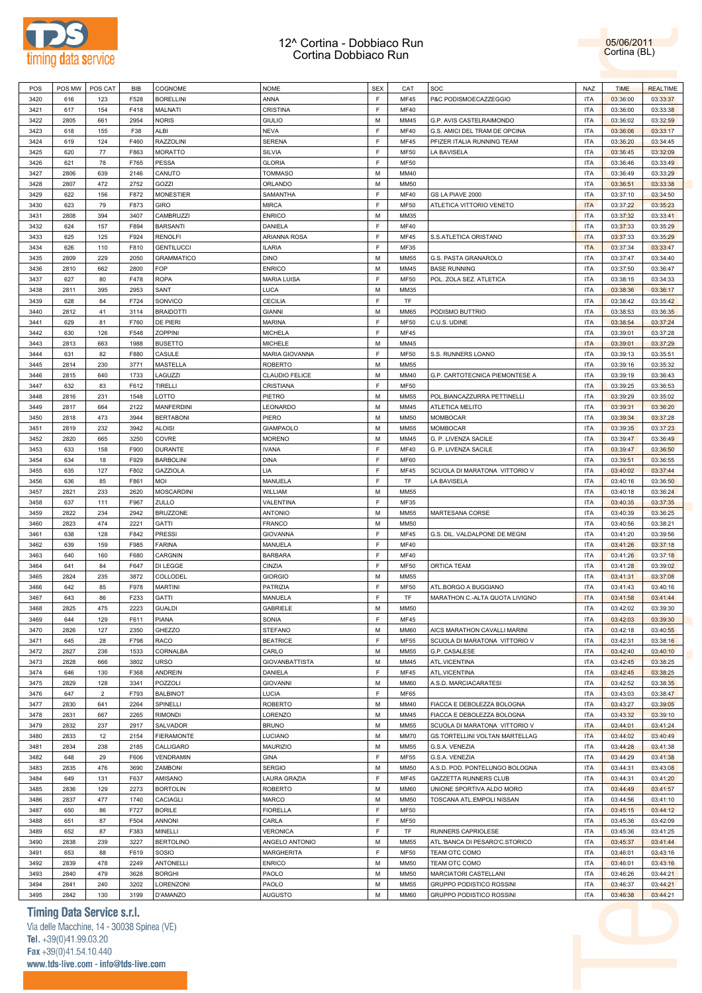



| POS  | POS MW | POS CAT        | BIB  | COGNOME           | <b>NOME</b>           | <b>SEX</b> | CAT         | SOC                              | <b>NAZ</b> | <b>TIME</b> | <b>REALTIME</b> |
|------|--------|----------------|------|-------------------|-----------------------|------------|-------------|----------------------------------|------------|-------------|-----------------|
| 3420 | 616    | 123            | F528 | <b>BORELLINI</b>  | ANNA                  | F          | <b>MF45</b> | P&C PODISMOECAZZEGGIO            | <b>ITA</b> | 03:36:00    | 03:33:37        |
| 3421 | 617    | 154            | F418 | MALNATI           | <b>CRISTINA</b>       | F          | MF40        |                                  | <b>ITA</b> | 03:36:00    | 03:33:38        |
|      |        |                |      |                   |                       |            |             | G.P. AVIS CASTELRAIMONDO         |            |             |                 |
| 3422 | 2805   | 661            | 2954 | <b>NORIS</b>      | <b>GIULIO</b>         | М          | MM45        |                                  | <b>ITA</b> | 03:36:02    | 03:32:59        |
| 3423 | 618    | 155            | F38  | ALBI              | <b>NEVA</b>           | F          | <b>MF40</b> | G.S. AMICI DEL TRAM DE OPCINA    | <b>ITA</b> | 03:36:06    | 03:33:17        |
| 3424 | 619    | 124            | F460 | <b>RAZZOLINI</b>  | <b>SERENA</b>         | F          | MF45        | PFIZER ITALIA RUNNING TEAM       | ITA        | 03:36:20    | 03:34:45        |
| 3425 | 620    | 77             | F863 | <b>MORATTO</b>    | SILVIA                | F          | <b>MF50</b> | LA BAVISELA                      | ITA        | 03:36:45    | 03:32:09        |
| 3426 | 621    | 78             | F765 | <b>PESSA</b>      | <b>GLORIA</b>         | F          | <b>MF50</b> |                                  | ITA        | 03:36:46    | 03:33:49        |
| 3427 | 2806   | 639            | 2146 | CANUTO            | <b>TOMMASO</b>        | М          | MM40        |                                  | ITA        | 03:36:49    | 03:33:29        |
| 3428 | 2807   | 472            | 2752 | GOZZI             | ORLANDO               | М          | <b>MM50</b> |                                  | <b>ITA</b> | 03:36:51    | 03:33:38        |
| 3429 | 622    | 156            | F872 | <b>MONESTIER</b>  | SAMANTHA              | F          | MF40        | GS LA PIAVE 2000                 | <b>ITA</b> | 03:37:10    | 03:34:50        |
| 3430 | 623    | 79             | F873 | <b>GIRO</b>       | <b>MIRCA</b>          | F          | <b>MF50</b> | ATLETICA VITTORIO VENETO         | <b>ITA</b> | 03:37:22    | 03:35:23        |
| 3431 |        |                | 3407 | CAMBRUZZI         | <b>ENRICO</b>         | M          |             |                                  | <b>ITA</b> | 03:37:32    | 03:33:41        |
|      | 2808   | 394            |      |                   |                       |            | MM35        |                                  |            |             |                 |
| 3432 | 624    | 157            | F894 | <b>BARSANTI</b>   | DANIELA               | F          | <b>MF40</b> |                                  | <b>ITA</b> | 03:37:33    | 03:35:29        |
| 3433 | 625    | 125            | F924 | <b>RENOLFI</b>    | ARIANNA ROSA          | F          | <b>MF45</b> | S.S.ATLETICA ORISTANO            | <b>ITA</b> | 03:37:33    | 03:35:29        |
| 3434 | 626    | 110            | F810 | <b>GENTILUCCI</b> | <b>ILARIA</b>         | F          | MF35        |                                  | <b>ITA</b> | 03:37:34    | 03:33:47        |
| 3435 | 2809   | 229            | 2050 | <b>GRAMMATICO</b> | <b>DINO</b>           | М          | <b>MM55</b> | G.S. PASTA GRANAROLO             | <b>ITA</b> | 03:37:47    | 03:34:40        |
| 3436 | 2810   | 662            | 2800 | <b>FOP</b>        | <b>ENRICO</b>         | М          | MM45        | <b>BASE RUNNING</b>              | ITA        | 03:37:50    | 03:36:47        |
| 3437 | 627    | 80             | F478 | <b>ROPA</b>       | <b>MARIA LUISA</b>    | F          | <b>MF50</b> | POL. ZOLA SEZ. ATLETICA          | ITA        | 03:38:15    | 03:34:33        |
| 3438 | 2811   | 395            | 2953 | SANT              | <b>LUCA</b>           | М          | MM35        |                                  | ITA        | 03:38:36    | 03:36:17        |
| 3439 | 628    | 84             | F724 | SONVICO           | <b>CECILIA</b>        | F          | TF          |                                  | ITA        | 03:38:42    | 03:35:42        |
| 3440 | 2812   | 41             | 3114 | <b>BRAIDOTTI</b>  | <b>GIANNI</b>         | М          | MM65        | PODISMO BUTTRIO                  | ITA        | 03:38:53    | 03:36:35        |
|      |        |                |      |                   |                       |            |             |                                  |            |             |                 |
| 3441 | 629    | 81             | F760 | DE PIERI          | <b>MARINA</b>         | F          | <b>MF50</b> | C.U.S. UDINE                     | ITA        | 03:38:54    | 03:37:24        |
| 3442 | 630    | 126            | F548 | ZOPPINI           | <b>MICHELA</b>        | F          | MF45        |                                  | <b>ITA</b> | 03:39:01    | 03:37:28        |
| 3443 | 2813   | 663            | 1988 | <b>BUSETTO</b>    | <b>MICHELE</b>        | М          | MM45        |                                  | <b>ITA</b> | 03:39:01    | 03:37:29        |
| 3444 | 631    | 82             | F880 | CASULE            | MARIA GIOVANNA        | F          | <b>MF50</b> | S.S. RUNNERS LOANO               | <b>ITA</b> | 03:39:13    | 03:35:51        |
| 3445 | 2814   | 230            | 3771 | <b>MASTELLA</b>   | <b>ROBERTO</b>        | M          | <b>MM55</b> |                                  | <b>ITA</b> | 03:39:16    | 03:35:32        |
| 3446 | 2815   | 640            | 1733 | LAGUZZI           | CLAUDIO FELICE        | М          | MM40        | G.P. CARTOTECNICA PIEMONTESE A   | <b>ITA</b> | 03:39:19    | 03:36:43        |
| 3447 | 632    | 83             | F612 | <b>TIRELLI</b>    | CRISTIANA             | F          | <b>MF50</b> |                                  | <b>ITA</b> | 03:39:25    | 03:36:53        |
| 3448 | 2816   | 231            | 1548 | LOTTO             | PIETRO                | М          | <b>MM55</b> | POL.BIANCAZZURRA PETTINELLI      | ITA        | 03:39:29    | 03:35:02        |
| 3449 | 2817   | 664            | 2122 | <b>MANFERDINI</b> | LEONARDO              | М          | MM45        | ATLETICA MELITO                  | ITA        | 03:39:31    | 03:36:20        |
|      |        |                |      |                   |                       |            |             |                                  |            |             |                 |
| 3450 | 2818   | 473            | 3944 | <b>BERTABONI</b>  | PIERO                 | М          | <b>MM50</b> | MOMBOCAR                         | ITA        | 03:39:34    | 03:37:28        |
| 3451 | 2819   | 232            | 3942 | <b>ALOISI</b>     | GIAMPAOLO             | М          | MM55        | MOMBOCAR                         | ITA        | 03:39:35    | 03:37:23        |
| 3452 | 2820   | 665            | 3250 | COVRE             | <b>MORENO</b>         | М          | MM45        | G. P. LIVENZA SACILE             | ITA        | 03:39:47    | 03:36:49        |
| 3453 | 633    | 158            | F900 | <b>DURANTE</b>    | <b>IVANA</b>          | F          | MF40        | G. P. LIVENZA SACILE             | ITA        | 03:39:47    | 03:36:50        |
| 3454 | 634    | 18             | F929 | <b>BARBOLINI</b>  | <b>DINA</b>           | F          | <b>MF60</b> |                                  | <b>ITA</b> | 03:39:51    | 03:36:55        |
| 3455 | 635    | 127            | F802 | <b>GAZZIOLA</b>   | LIA                   | F          | MF45        | SCUOLA DI MARATONA VITTORIO V    | ITA        | 03:40:02    | 03:37:44        |
| 3456 | 636    | 85             | F861 | MOI               | MANUELA               | F          | TF          | LA BAVISELA                      | <b>ITA</b> | 03:40:16    | 03:36:50        |
|      |        |                |      |                   |                       |            |             |                                  |            |             |                 |
|      |        |                |      |                   |                       |            |             |                                  |            |             |                 |
| 3457 | 2821   | 233            | 2620 | <b>MOSCARDINI</b> | WILLIAM               | М          | MM55        |                                  | <b>ITA</b> | 03:40:18    | 03:36:24        |
| 3458 | 637    | 111            | F967 | ZULLO             | VALENTINA             | F          | MF35        |                                  | <b>ITA</b> | 03:40:35    | 03:37:35        |
| 3459 | 2822   | 234            | 2942 | <b>BRUZZONE</b>   | <b>ANTONIO</b>        | М          | MM55        | MARTESANA CORSE                  | <b>ITA</b> | 03:40:39    | 03:36:25        |
| 3460 | 2823   | 474            | 2221 | <b>GATTI</b>      | <b>FRANCO</b>         | М          | <b>MM50</b> |                                  | <b>ITA</b> | 03:40:56    | 03:38:21        |
| 3461 | 638    | 128            | F842 | <b>PRESSI</b>     | <b>GIOVANNA</b>       | F          | MF45        | G.S. DIL. VALDALPONE DE MEGNI    | ITA        | 03:41:20    | 03:39:56        |
| 3462 | 639    | 159            | F985 | <b>FARINA</b>     | MANUELA               | F          | <b>MF40</b> |                                  | ITA        | 03:41:26    | 03:37:18        |
| 3463 | 640    | 160            | F680 | CARGNIN           | <b>BARBARA</b>        | F          | <b>MF40</b> |                                  | ITA        | 03:41:26    | 03:37:18        |
| 3464 | 641    | 84             | F647 | DI LEGGE          | CINZIA                | F          | <b>MF50</b> | ORTICA TEAM                      | ITA        | 03:41:28    | 03:39:02        |
| 3465 | 2824   | 235            | 3872 | COLLODEL          | <b>GIORGIO</b>        | м          | MM55        |                                  | ITA        | 03:41:31    | 03:37:08        |
| 3466 | 642    | 85             | F978 | <b>MARTINI</b>    | PATRIZIA              | F          | <b>MF50</b> | ATL.BORGO A BUGGIANO             | ITA        | 03:41:43    | 03:40:16        |
|      |        |                |      |                   |                       | F          |             |                                  |            |             |                 |
| 3467 | 643    | 86             | F233 | <b>GATTI</b>      | MANUELA               |            | TF          | MARATHON C .- ALTA QUOTA LIVIGNO | <b>ITA</b> | 03:41:58    | 03:41:44        |
| 3468 | 2825   | 475            | 2223 | <b>GUALDI</b>     | <b>GABRIELE</b>       | M          | MM50        |                                  | <b>ITA</b> | 03:42:02    | 03:39:30        |
| 3469 | 644    | 129            | F611 | PIANA             | SONIA                 | F          | <b>MF45</b> |                                  | <b>ITA</b> | 03:42:03    | 03:39:30        |
| 3470 | 2826   | 127            | 2350 | GHEZZO            | <b>STEFANO</b>        | М          | <b>MM60</b> | AICS MARATHON CAVALLI MARINI     | <b>ITA</b> | 03:42:18    | 03:40:55        |
| 3471 | 645    | 28             | F798 | RACO              | <b>BEATRICE</b>       | F          | <b>MF55</b> | SCUOLA DI MARATONA VITTORIO V    | <b>ITA</b> | 03:42:31    | 03:38:16        |
| 3472 | 2827   | 236            | 1533 | CORNALBA          | CARLO                 | М          | <b>MM55</b> | G.P. CASALESE                    | <b>ITA</b> | 03:42:40    | 03:40:10        |
| 3473 | 2828   | 666            | 3802 | <b>URSO</b>       | <b>GIOVANBATTISTA</b> | М          | MM45        | ATL.VICENTINA                    | <b>ITA</b> | 03:42:45    | 03:38:25        |
| 3474 | 646    | 130            | F368 | ANDREIN           | DANIELA               | F          | MF45        | ATL.VICENTINA                    | <b>ITA</b> | 03:42:45    | 03:38:25        |
| 3475 | 2829   | 128            | 3341 | POZZOLI           | <b>GIOVANNI</b>       | М          | MM60        | A.S.D. MARCIACARATESI            | <b>ITA</b> | 03:42:52    | 03:38:35        |
| 3476 | 647    | $\overline{2}$ | F793 | <b>BALBINOT</b>   | <b>LUCIA</b>          | F          | MF65        |                                  | <b>ITA</b> | 03:43:03    | 03:38:47        |
|      |        |                |      |                   |                       |            |             |                                  |            |             |                 |
| 3477 | 2830   | 641            | 2264 | SPINELLI          | <b>ROBERTO</b>        | М          | MM40        | FIACCA E DEBOLEZZA BOLOGNA       | <b>ITA</b> | 03:43:27    | 03:39:05        |
| 3478 | 2831   | 667            | 2265 | <b>RIMONDI</b>    | LORENZO               | М          | MM45        | FIACCA E DEBOLEZZA BOLOGNA       | <b>ITA</b> | 03:43:32    | 03:39:10        |
| 3479 | 2832   | 237            | 2917 | SALVADOR          | <b>BRUNO</b>          | М          | MM55        | SCUOLA DI MARATONA VITTORIO V    | <b>ITA</b> | 03:44:01    | 03:41:24        |
| 3480 | 2833   | 12             | 2154 | <b>FIERAMONTE</b> | LUCIANO               | М          | MM70        | GS.TORTELLINI VOLTAN MARTELLAG   | <b>ITA</b> | 03:44:02    | 03:40:49        |
| 3481 | 2834   | 238            | 2185 | CALLIGARO         | MAURIZIO              | М          | MM55        | G.S.A. VENEZIA                   | <b>ITA</b> | 03:44:28    | 03:41:38        |
| 3482 | 648    | 29             | F606 | VENDRAMIN         | GINA                  | F          | <b>MF55</b> | G.S.A. VENEZIA                   | <b>ITA</b> | 03:44:29    | 03:41:38        |
| 3483 | 2835   | 476            | 3690 | ZAMBONI           | <b>SERGIO</b>         | М          | <b>MM50</b> | A.S.D. POD. PONTELUNGO BOLOGNA   | ITA        | 03:44:31    | 03:43:08        |
| 3484 | 649    | 131            | F637 | AMISANO           | LAURA GRAZIA          | F          | <b>MF45</b> | GAZZETTA RUNNERS CLUB            | <b>ITA</b> | 03:44:31    | 03:41:20        |
| 3485 | 2836   | 129            | 2273 | <b>BORTOLIN</b>   | <b>ROBERTO</b>        | М          | MM60        | UNIONE SPORTIVA ALDO MORO        | <b>ITA</b> | 03:44:49    | 03:41:57        |
|      |        |                |      |                   |                       |            |             |                                  |            |             |                 |
| 3486 | 2837   | 477            | 1740 | CACIAGLI          | MARCO                 | М          | <b>MM50</b> | TOSCANA ATL.EMPOLI NISSAN        | <b>ITA</b> | 03:44:56    | 03:41:10        |
| 3487 | 650    | 86             | F727 | <b>BORILE</b>     | <b>FIORELLA</b>       | F          | <b>MF50</b> |                                  | <b>ITA</b> | 03:45:15    | 03:44:12        |
| 3488 | 651    | 87             | F504 | <b>ANNONI</b>     | CARLA                 | F          | <b>MF50</b> |                                  | ITA        | 03:45:36    | 03:42:09        |
| 3489 | 652    | 87             | F383 | MINELLI           | <b>VERONICA</b>       | F          | TF          | RUNNERS CAPRIOLESE               | <b>ITA</b> | 03:45:36    | 03:41:25        |
| 3490 | 2838   | 239            | 3227 | <b>BERTOLINO</b>  | ANGELO ANTONIO        | М          | <b>MM55</b> | ATL.'BANCA DI PESARO'C.STORICO   | <b>ITA</b> | 03:45:37    | 03:41:44        |
| 3491 | 653    | 88             | F619 | SOSIO             | <b>MARGHERITA</b>     | F          | <b>MF50</b> | TEAM OTC COMO                    | <b>ITA</b> | 03:46:01    | 03:43:16        |
| 3492 | 2839   | 478            | 2249 | <b>ANTONELLI</b>  | <b>ENRICO</b>         | М          | <b>MM50</b> | TEAM OTC COMO                    | <b>ITA</b> | 03:46:01    | 03:43:16        |
| 3493 | 2840   | 479            | 3628 | <b>BORGHI</b>     | PAOLO                 | М          | <b>MM50</b> | MARCIATORI CASTELLANI            | ITA        | 03:46:26    | 03:44:21        |
| 3494 | 2841   | 240            | 3202 | LORENZONI         | PAOLO                 | М          | <b>MM55</b> | GRUPPO PODISTICO ROSSINI         | <b>ITA</b> | 03:46:37    | 03:44:21        |

### **Timing Data Service s.r.l.**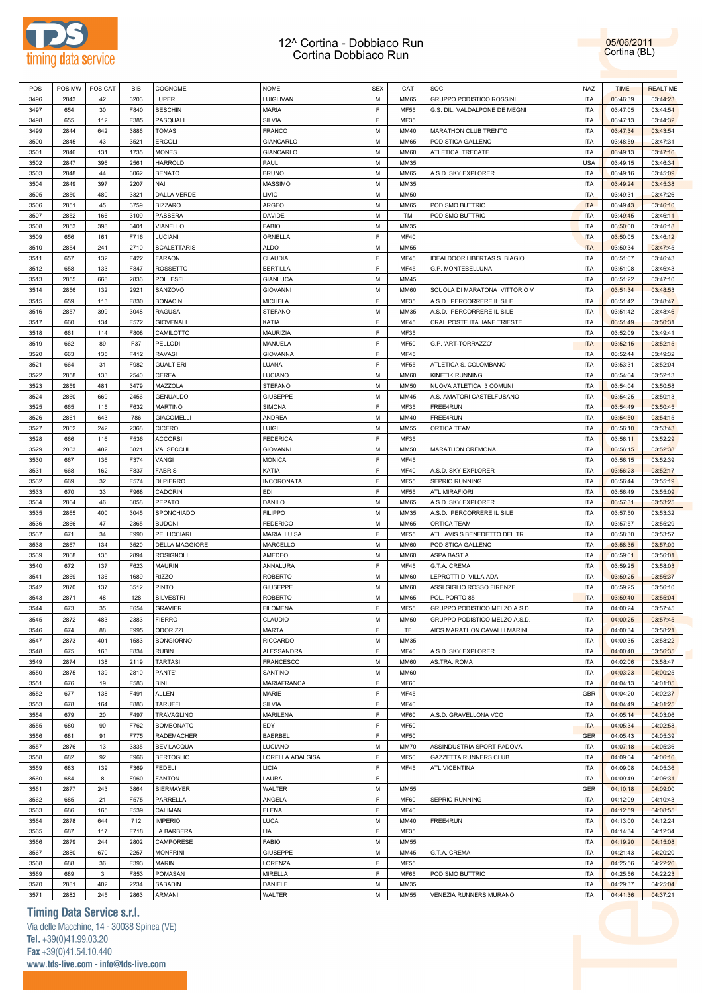



| POS          | POS MW      | POS CAT     | BIB         | COGNOME                            | <b>NOME</b>                       | <b>SEX</b>  | CAT          | SOC                                                           | <b>NAZ</b>               | <b>TIME</b>          | <b>REALTIME</b>      |
|--------------|-------------|-------------|-------------|------------------------------------|-----------------------------------|-------------|--------------|---------------------------------------------------------------|--------------------------|----------------------|----------------------|
| 3496         | 2843        | 42          | 3203        | LUPERI                             | <b>LUIGI IVAN</b>                 | M           | <b>MM65</b>  | GRUPPO PODISTICO ROSSINI                                      | <b>ITA</b>               | 03:46:39             | 03:44:23             |
| 3497         | 654         | 30          | F840        | <b>BESCHIN</b>                     | <b>MARIA</b>                      | E           | <b>MF55</b>  | G.S. DIL. VALDALPONE DE MEGNI                                 | <b>ITA</b>               | 03:47:05             | 03:44:54             |
| 3498         | 655         | 112         | F385        | PASQUALI                           | SILVIA                            | E           | MF35         |                                                               | <b>ITA</b>               | 03:47:13             | 03:44:32             |
| 3499         | 2844        | 642         | 3886        | <b>TOMASI</b>                      | FRANCO                            | M           | MM40         | MARATHON CLUB TRENTO                                          | <b>ITA</b>               | 03:47:34             | 03:43:54             |
| 3500         | 2845        | 43          | 3521        | <b>ERCOLI</b>                      | <b>GIANCARLO</b>                  | M           | <b>MM65</b>  | PODISTICA GALLENO                                             | <b>ITA</b>               | 03:48:59             | 03:47:31             |
| 3501         | 2846        | 131         | 1735        | <b>MONES</b>                       | <b>GIANCARLO</b>                  | M           | <b>MM60</b>  | ATLETICA TRECATE                                              | <b>ITA</b>               | 03:49:13             | 03:47:16             |
| 3502         | 2847        | 396         | 2561        | <b>HARROLD</b>                     | PAUL                              | M           | MM35         |                                                               | <b>USA</b>               | 03:49:15             | 03:46:34             |
| 3503         | 2848        | 44          | 3062        | <b>BENATO</b>                      | <b>BRUNO</b>                      | M           | <b>MM65</b>  | A.S.D. SKY EXPLORER                                           | <b>ITA</b>               | 03:49:16             | 03:45:09             |
| 3504         | 2849        | 397         | 2207        | NAI                                | <b>MASSIMO</b>                    | M           | MM35         |                                                               | <b>ITA</b>               | 03:49:24             | 03:45:38             |
| 3505         | 2850        | 480         | 3321        | DALLA VERDE                        | LIVIO                             | M           | <b>MM50</b>  |                                                               | <b>ITA</b>               | 03:49:31             | 03:47:26             |
| 3506         | 2851        | 45          | 3759        | <b>BIZZARO</b>                     | ARGEO                             | M           | <b>MM65</b>  | PODISMO BUTTRIO                                               | <b>ITA</b>               | 03:49:43             | 03:46:10             |
| 3507         | 2852        | 166         | 3109        | PASSERA                            | <b>DAVIDE</b>                     | M           | TM           | PODISMO BUTTRIO                                               | <b>ITA</b>               | 03:49:45             | 03:46:11             |
| 3508         | 2853        | 398         | 3401        | VIANELLO                           | FABIO                             | M           | MM35         |                                                               | <b>ITA</b>               | 03:50:00             | 03:46:18             |
| 3509         | 656         | 161         | F716        | LUCIANI                            | ORNELLA                           | E           | <b>MF40</b>  |                                                               | <b>ITA</b>               | 03:50:05             | 03:46:12             |
| 3510         | 2854        | 241         | 2710        | <b>SCALETTARIS</b>                 | ALDO                              | M           | <b>MM55</b>  |                                                               | <b>ITA</b>               | 03:50:34             | 03:47:45             |
| 3511         | 657         | 132         | F422        | <b>FARAON</b>                      | CLAUDIA                           | E           | <b>MF45</b>  | IDEALDOOR LIBERTAS S. BIAGIO                                  | <b>ITA</b>               | 03:51:07             | 03:46:43             |
| 3512         | 658         | 133         | F847        | ROSSETTO                           | <b>BERTILLA</b>                   | E           | <b>MF45</b>  | G.P. MONTEBELLUNA                                             | <b>ITA</b>               | 03:51:08             | 03:46:43             |
|              | 2855        |             | 2836        | <b>POLLESEL</b>                    | <b>GIANLUCA</b>                   | M           | MM45         |                                                               | <b>ITA</b>               |                      |                      |
| 3513         |             | 668         | 2921        |                                    |                                   | M           |              |                                                               |                          | 03:51:22             | 03:47:10             |
| 3514         | 2856        | 132         |             | SANZOVO                            | <b>GIOVANNI</b>                   | E           | <b>MM60</b>  | SCUOLA DI MARATONA VITTORIO V                                 | <b>ITA</b>               | 03:51:34             | 03:48:53             |
| 3515         | 659         | 113         | F830        | <b>BONACIN</b>                     | <b>MICHELA</b>                    |             | MF35         | A.S.D. PERCORRERE IL SILE                                     | <b>ITA</b>               | 03:51:42             | 03:48:47             |
| 3516         | 2857        | 399         | 3048        | <b>RAGUSA</b>                      | <b>STEFANO</b>                    | M           | MM35         | A.S.D. PERCORRERE IL SILE                                     | <b>ITA</b>               | 03:51:42             | 03:48:46             |
| 3517         | 660         | 134         | F572        | <b>GIOVENALI</b>                   | KATIA                             | F           | <b>MF45</b>  | CRAL POSTE ITALIANE TRIESTE                                   | <b>ITA</b>               | 03:51:49             | 03:50:31             |
| 3518         | 661         | 114         | F808        | CAMILOTTO                          | MAURIZIA                          | F           | MF35         |                                                               | <b>ITA</b>               | 03:52:09             | 03:49:41             |
| 3519         | 662         | 89          | F37         | <b>PELLODI</b>                     | MANUELA                           | F           | <b>MF50</b>  | G.P. 'ART-TORRAZZO'                                           | <b>ITA</b>               | 03:52:15             | 03:52:15             |
| 3520         | 663         | 135         | F412        | <b>RAVASI</b>                      | <b>GIOVANNA</b>                   | F           | <b>MF45</b>  |                                                               | <b>ITA</b>               | 03:52:44             | 03:49:32             |
| 3521         | 664         | 31          | F982        | <b>GUALTIERI</b>                   | LUANA                             | E           | <b>MF55</b>  | ATLETICA S. COLOMBANO                                         | <b>ITA</b>               | 03:53:31             | 03:52:04             |
| 3522         | 2858        | 133         | 2540        | <b>CEREA</b>                       | LUCIANO                           | M           | <b>MM60</b>  | KINETIK RUNNING                                               | <b>ITA</b>               | 03:54:04             | 03:52:13             |
| 3523         | 2859        | 481         | 3479        | MAZZOLA                            | <b>STEFANO</b>                    | M           | <b>MM50</b>  | NUOVA ATLETICA 3 COMUNI                                       | <b>ITA</b>               | 03:54:04             | 03:50:58             |
| 3524         | 2860        | 669         | 2456        | <b>GENUALDO</b>                    | GIUSEPPE                          | M           | MM45         | A.S. AMATORI CASTELFUSANO                                     | <b>ITA</b>               | 03:54:25             | 03:50:13             |
| 3525         | 665         | 115         | F632        | <b>MARTINO</b>                     | SIMONA                            | E           | MF35         | FREE4RUN                                                      | <b>ITA</b>               | 03:54:49             | 03:50:45             |
| 3526         | 2861        | 643         | 786         | <b>GIACOMELLI</b>                  | <b>ANDREA</b>                     | M           | MM40         | FREE4RUN                                                      | <b>ITA</b>               | 03:54:50             | 03:54:15             |
| 3527         | 2862        | 242         | 2368        | <b>CICERO</b>                      | LUIGI                             | M           | MM55         | <b>ORTICA TEAM</b>                                            | <b>ITA</b>               | 03:56:10             | 03:53:43             |
| 3528         | 666         | 116         | F536        | <b>ACCORSI</b>                     | <b>FEDERICA</b>                   | $\mathsf F$ | MF35         |                                                               | <b>ITA</b>               | 03:56:11             | 03:52:29             |
| 3529         | 2863        | 482         | 3821        | VALSECCHI                          | <b>GIOVANNI</b>                   | M           | <b>MM50</b>  | MARATHON CREMONA                                              | <b>ITA</b>               | 03:56:15             | 03:52:38             |
| 3530         | 667         | 136         | F374        | VANGI                              | <b>MONICA</b>                     | F           | <b>MF45</b>  |                                                               | <b>ITA</b>               | 03:56:15             | 03:52:39             |
| 3531         | 668         | 162         | F837        | <b>FABRIS</b>                      | KATIA                             | F           | MF40         | A.S.D. SKY EXPLORER                                           | <b>ITA</b>               | 03:56:23             | 03:52:17             |
| 3532         | 669         | 32          | F574        | DI PIERRO                          | INCORONATA                        | F           | MF55         | SEPRIO RUNNING                                                | <b>ITA</b>               | 03:56:44             | 03:55:19             |
| 3533         | 670         | 33          | F968        | CADORIN                            | <b>EDI</b>                        | $\mathsf F$ | MF55         | ATL.MIRAFIORI                                                 | <b>ITA</b>               | 03:56:49             | 03:55:09             |
| 3534         | 2864        | 46          | 3058        | <b>PEPATO</b>                      | DANILO                            | M           | <b>MM65</b>  | A.S.D. SKY EXPLORER                                           | <b>ITA</b>               | 03:57:31             | 03:53:25             |
| 3535         | 2865        | 400         | 3045        | SPONCHIADO                         | <b>FILIPPO</b>                    | M           | MM35         | A.S.D. PERCORRERE IL SILE                                     | <b>ITA</b>               | 03:57:50             | 03:53:32             |
| 3536         | 2866        | 47          | 2365        | <b>BUDONI</b>                      | <b>FEDERICO</b>                   | M           | <b>MM65</b>  | <b>ORTICA TEAM</b>                                            | <b>ITA</b>               | 03:57:57             | 03:55:29             |
| 3537         |             |             |             | <b>PELLICCIARI</b>                 | MARIA LUISA                       | E           | MF55         | ATL. AVIS S.BENEDETTO DEL TR.                                 |                          |                      |                      |
|              | 671         | 34          | F990        |                                    |                                   |             |              |                                                               | <b>ITA</b>               | 03:58:30             | 03:53:57             |
| 3538         | 2867        | 134         | 3520        | <b>DELLA MAGGIORE</b>              | MARCELLO                          | M           | <b>MM60</b>  | PODISTICA GALLENO                                             | <b>ITA</b>               | 03:58:35             | 03:57:09             |
| 3539         | 2868        | 135         | 2894        | <b>ROSIGNOLI</b>                   | AMEDEO                            | M           | <b>MM60</b>  | ASPA BASTIA                                                   | <b>ITA</b>               | 03:59:01             | 03:56:01             |
| 3540         | 672         | 137         | F623        | <b>MAURIN</b>                      | ANNALURA                          | $\mathsf F$ | <b>MF45</b>  | G.T.A. CREMA                                                  | <b>ITA</b>               | 03:59:25             | 03:58:03             |
| 3541         | 2869        | 136         | 1689        | <b>RIZZO</b>                       | <b>ROBERTO</b>                    | M           | <b>MM60</b>  | LEPROTTI DI VILLA ADA                                         | <b>ITA</b>               | 03:59:25             | 03:56:37             |
|              |             |             |             |                                    |                                   |             |              |                                                               |                          |                      |                      |
| 3542         | 2870        | 137         | 3512        | <b>PINTO</b>                       | GIUSEPPE                          | M           | <b>MM60</b>  | ASSI GIGLIO ROSSO FIRENZE                                     | <b>ITA</b>               | 03:59:25             | 03:56:10             |
| 3543<br>3544 | 2871<br>673 | 48<br>35    | 128<br>F654 | <b>SILVESTRI</b><br><b>GRAVIER</b> | <b>ROBERTO</b><br><b>FILOMENA</b> | M<br>F      | MM65<br>MF55 | POL. PORTO 85                                                 | <b>ITA</b><br><b>ITA</b> | 03:59:40<br>04:00:24 | 03:55:04<br>03:57:45 |
|              |             |             |             |                                    | CLAUDIO                           | М           |              | GRUPPO PODISTICO MELZO A.S.D.<br>GRUPPO PODISTICO MELZO A.S.D | <b>ITA</b>               |                      |                      |
| 3545         | 2872        | 483         | 2383        | <b>FIERRO</b>                      |                                   |             | <b>MM50</b>  |                                                               |                          | 04:00:25             | 03:57:45             |
| 3546         | 674         | 88          | F995        | <b>ODORIZZI</b>                    | <b>MARTA</b>                      | F           | TF           | AICS MARATHON CAVALLI MARINI                                  | <b>ITA</b>               | 04:00:34             | 03:58:21             |
| 3547         | 2873        | 401         | 1583        | <b>BONGIORNO</b>                   | <b>RICCARDO</b>                   | M           | MM35         |                                                               | <b>ITA</b>               | 04:00:35             | 03:58:22             |
| 3548         | 675         | 163         | F834        | <b>RUBIN</b>                       | ALESSANDRA                        | F           | MF40         | A.S.D. SKY EXPLORER                                           | <b>ITA</b>               | 04:00:40             | 03:56:35             |
| 3549         | 2874        | 138         | 2119        | <b>TARTASI</b>                     | <b>FRANCESCO</b>                  | M           | <b>MM60</b>  | AS.TRA. ROMA                                                  | <b>ITA</b>               | 04:02:06             | 03:58:47             |
| 3550         | 2875        | 139         | 2810        | PANTE'                             | SANTINO                           | M           | <b>MM60</b>  |                                                               | <b>ITA</b>               | 04:03:23             | 04:00:25             |
| 3551         | 676         | 19          | F583        | BINI                               | MARIAFRANCA                       | F           | <b>MF60</b>  |                                                               | <b>ITA</b>               | 04:04:13             | 04:01:05             |
| 3552         | 677         | 138         | F491        | ALLEN                              | MARIE                             | F           | <b>MF45</b>  |                                                               | <b>GBR</b>               | 04:04:20             | 04:02:37             |
| 3553         | 678         | 164         | F883        | <b>TARUFFI</b>                     | SILVIA                            | F           | MF40         |                                                               | <b>ITA</b>               | 04:04:49             | 04:01:25             |
| 3554         | 679         | 20          | F497        | <b>TRAVAGLINO</b>                  | <b>MARILENA</b>                   | F           | <b>MF60</b>  | A.S.D. GRAVELLONA VCO                                         | <b>ITA</b>               | 04:05:14             | 04:03:06             |
| 3555         | 680         | 90          | F762        | <b>BOMBONATO</b>                   | EDY                               | F           | <b>MF50</b>  |                                                               | <b>ITA</b>               | 04:05:34             | 04:02:58             |
| 3556         | 681         | 91          | F775        | <b>RADEMACHER</b>                  | <b>BAERBEL</b>                    | F           | <b>MF50</b>  |                                                               | <b>GER</b>               | 04:05:43             | 04:05:39             |
| 3557         | 2876        | 13          | 3335        | <b>BEVILACQUA</b>                  | <b>LUCIANO</b>                    | M           | <b>MM70</b>  | ASSINDUSTRIA SPORT PADOVA                                     | <b>ITA</b>               | 04:07:18             | 04:05:36             |
| 3558         | 682         | 92          | F966        | <b>BERTOGLIO</b>                   | LORELLA ADALGISA                  | F           | <b>MF50</b>  | <b>GAZZETTA RUNNERS CLUB</b>                                  | <b>ITA</b>               | 04:09:04             | 04:06:16             |
| 3559         | 683         | 139         | F369        | <b>FEDELI</b>                      | <b>LICIA</b>                      | F           | <b>MF45</b>  | ATL.VICENTINA                                                 | <b>ITA</b>               | 04:09:08             | 04:05:36             |
| 3560         | 684         | 8           | F960        | <b>FANTON</b>                      | LAURA                             | F           |              |                                                               | <b>ITA</b>               | 04:09:49             | 04:06:31             |
| 3561         | 2877        | 243         | 3864        | <b>BIERMAYER</b>                   | WALTER                            | M           | <b>MM55</b>  |                                                               | GER                      | 04:10:18             | 04:09:00             |
| 3562         | 685         | 21          | F575        | PARRELLA                           | ANGELA                            | F           | <b>MF60</b>  | SEPRIO RUNNING                                                | <b>ITA</b>               | 04:12:09             | 04:10:43             |
| 3563         | 686         | 165         | F539        | CALIMAN                            | <b>ELENA</b>                      | E           | MF40         |                                                               | <b>ITA</b>               | 04:12:59             | 04:08:55             |
| 3564         | 2878        | 644         | 712         | <b>IMPERIO</b>                     | LUCA                              | M           | MM40         | FREE4RUN                                                      | <b>ITA</b>               | 04:13:00             | 04:12:24             |
| 3565         | 687         | 117         | F718        | LA BARBERA                         | LIA                               | E           | MF35         |                                                               | <b>ITA</b>               | 04:14:34             | 04:12:34             |
| 3566         | 2879        | 244         | 2802        | CAMPORESE                          | <b>FABIO</b>                      | M           | <b>MM55</b>  |                                                               | <b>ITA</b>               | 04:19:20             | 04:15:08             |
| 3567         | 2880        | 670         | 2257        | <b>MONFRINI</b>                    | <b>GIUSEPPE</b>                   | M           | MM45         | G.T.A. CREMA                                                  | <b>ITA</b>               | 04:21:43             | 04:20:20             |
| 3568         | 688         | 36          | F393        | <b>MARIN</b>                       | LORENZA                           | F           | MF55         |                                                               | <b>ITA</b>               | 04:25:56             | 04:22:26             |
| 3569         | 689         | $\mathbf 3$ | F853        | POMASAN                            | <b>MIRELLA</b>                    | F           | <b>MF65</b>  | PODISMO BUTTRIO                                               | <b>ITA</b>               | 04:25:56             | 04:22:23             |
| 3570         | 2881        | 402         | 2234        | SABADIN                            | DANIELE                           | M           | MM35         |                                                               | <b>ITA</b>               | 04:29:37             | 04:25:04             |

### **Timing Data Service s.r.l.**